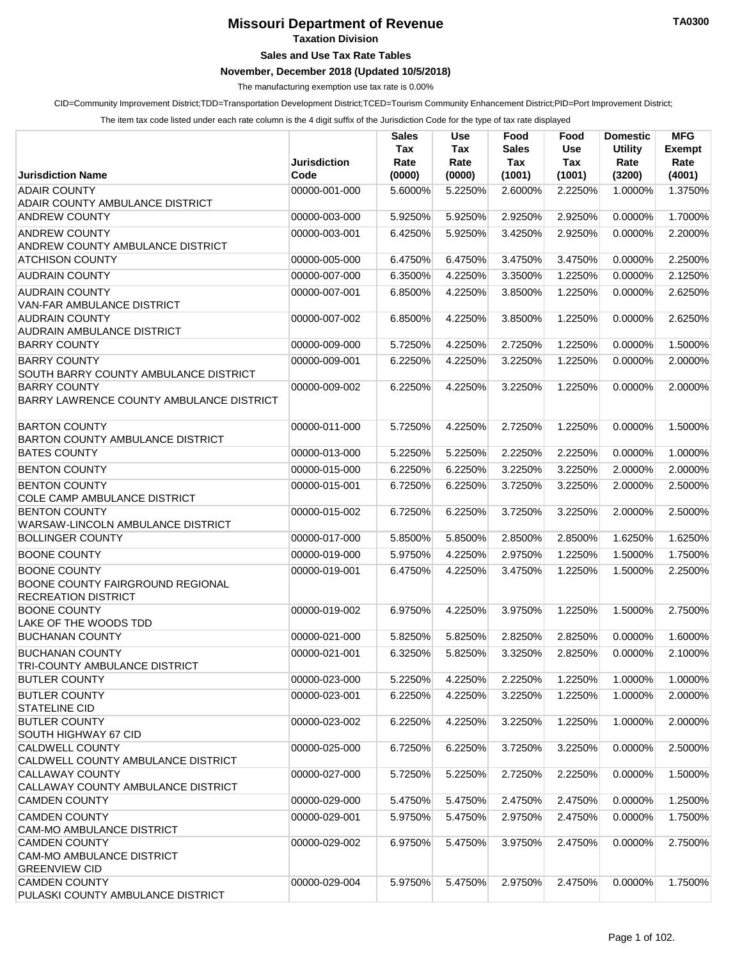## **Missouri Department of Revenue**

**Taxation Division**

## **Sales and Use Tax Rate Tables**

## **November, December 2018 (Updated 10/5/2018)**

The manufacturing exemption use tax rate is 0.00%

CID=Community Improvement District;TDD=Transportation Development District;TCED=Tourism Community Enhancement District;PID=Port Improvement District;

The item tax code listed under each rate column is the 4 digit suffix of the Jurisdiction Code for the type of tax rate displayed

|                                                                                       | <b>Jurisdiction</b> | <b>Sales</b><br>Tax<br>Rate | Use<br>Tax<br>Rate | Food<br><b>Sales</b><br>Tax | Food<br><b>Use</b><br>Tax | <b>Domestic</b><br><b>Utility</b><br>Rate | <b>MFG</b><br><b>Exempt</b><br>Rate |
|---------------------------------------------------------------------------------------|---------------------|-----------------------------|--------------------|-----------------------------|---------------------------|-------------------------------------------|-------------------------------------|
| <b>Jurisdiction Name</b>                                                              | Code                | (0000)                      | (0000)             | (1001)                      | (1001)                    | (3200)                                    | (4001)                              |
| <b>ADAIR COUNTY</b>                                                                   | 00000-001-000       | 5.6000%                     | 5.2250%            | 2.6000%                     | 2.2250%                   | 1.0000%                                   | 1.3750%                             |
| <b>ADAIR COUNTY AMBULANCE DISTRICT</b>                                                |                     |                             |                    |                             |                           |                                           |                                     |
| <b>ANDREW COUNTY</b>                                                                  | 00000-003-000       | 5.9250%                     | 5.9250%            | 2.9250%                     | 2.9250%                   | 0.0000%                                   | 1.7000%                             |
| <b>ANDREW COUNTY</b><br><b>ANDREW COUNTY AMBULANCE DISTRICT</b>                       | 00000-003-001       | 6.4250%                     | 5.9250%            | 3.4250%                     | 2.9250%                   | 0.0000%                                   | 2.2000%                             |
| <b>ATCHISON COUNTY</b>                                                                | 00000-005-000       | 6.4750%                     | 6.4750%            | 3.4750%                     | 3.4750%                   | 0.0000%                                   | 2.2500%                             |
| <b>AUDRAIN COUNTY</b>                                                                 | 00000-007-000       | 6.3500%                     | 4.2250%            | 3.3500%                     | 1.2250%                   | 0.0000%                                   | 2.1250%                             |
| <b>AUDRAIN COUNTY</b>                                                                 | 00000-007-001       | 6.8500%                     | 4.2250%            | 3.8500%                     | 1.2250%                   | 0.0000%                                   | 2.6250%                             |
| VAN-FAR AMBULANCE DISTRICT                                                            |                     |                             |                    |                             |                           |                                           |                                     |
| <b>AUDRAIN COUNTY</b>                                                                 | 00000-007-002       | 6.8500%                     | 4.2250%            | 3.8500%                     | 1.2250%                   | 0.0000%                                   | 2.6250%                             |
| AUDRAIN AMBULANCE DISTRICT                                                            |                     |                             |                    |                             |                           |                                           |                                     |
| <b>BARRY COUNTY</b>                                                                   | 00000-009-000       | 5.7250%                     | 4.2250%            | 2.7250%                     | 1.2250%                   | 0.0000%                                   | 1.5000%                             |
| <b>BARRY COUNTY</b>                                                                   | 00000-009-001       | 6.2250%                     | 4.2250%            | 3.2250%                     | 1.2250%                   | 0.0000%                                   | 2.0000%                             |
| SOUTH BARRY COUNTY AMBULANCE DISTRICT                                                 |                     |                             |                    |                             |                           |                                           |                                     |
| <b>BARRY COUNTY</b>                                                                   | 00000-009-002       | 6.2250%                     | 4.2250%            | 3.2250%                     | 1.2250%                   | 0.0000%                                   | 2.0000%                             |
| BARRY LAWRENCE COUNTY AMBULANCE DISTRICT                                              |                     |                             |                    |                             |                           |                                           |                                     |
|                                                                                       |                     |                             |                    |                             |                           |                                           |                                     |
| <b>BARTON COUNTY</b>                                                                  | 00000-011-000       | 5.7250%                     | 4.2250%            | 2.7250%                     | 1.2250%                   | 0.0000%                                   | 1.5000%                             |
| <b>BARTON COUNTY AMBULANCE DISTRICT</b>                                               |                     |                             |                    |                             |                           |                                           |                                     |
| <b>BATES COUNTY</b>                                                                   | 00000-013-000       | 5.2250%                     | 5.2250%            | 2.2250%                     | 2.2250%                   | 0.0000%                                   | 1.0000%                             |
| <b>BENTON COUNTY</b>                                                                  | 00000-015-000       | 6.2250%                     | 6.2250%            | 3.2250%                     | 3.2250%                   | 2.0000%                                   | 2.0000%                             |
| <b>BENTON COUNTY</b>                                                                  | 00000-015-001       | 6.7250%                     | 6.2250%            | 3.7250%                     | 3.2250%                   | 2.0000%                                   | 2.5000%                             |
| COLE CAMP AMBULANCE DISTRICT                                                          |                     |                             |                    |                             |                           |                                           |                                     |
| <b>BENTON COUNTY</b>                                                                  | 00000-015-002       | 6.7250%                     | 6.2250%            | 3.7250%                     | 3.2250%                   | 2.0000%                                   | 2.5000%                             |
| WARSAW-LINCOLN AMBULANCE DISTRICT                                                     |                     |                             |                    |                             |                           |                                           |                                     |
| <b>BOLLINGER COUNTY</b>                                                               | 00000-017-000       | 5.8500%                     | 5.8500%            | 2.8500%                     | 2.8500%                   | 1.6250%                                   | 1.6250%                             |
| <b>BOONE COUNTY</b>                                                                   | 00000-019-000       | 5.9750%                     | 4.2250%            | 2.9750%                     | 1.2250%                   | 1.5000%                                   | 1.7500%                             |
| <b>BOONE COUNTY</b><br>BOONE COUNTY FAIRGROUND REGIONAL<br><b>RECREATION DISTRICT</b> | 00000-019-001       | 6.4750%                     | 4.2250%            | 3.4750%                     | 1.2250%                   | 1.5000%                                   | 2.2500%                             |
| <b>BOONE COUNTY</b>                                                                   | 00000-019-002       | 6.9750%                     | 4.2250%            | 3.9750%                     | 1.2250%                   | 1.5000%                                   | 2.7500%                             |
| LAKE OF THE WOODS TDD                                                                 |                     |                             |                    |                             |                           |                                           |                                     |
| <b>BUCHANAN COUNTY</b>                                                                | 00000-021-000       | 5.8250%                     | 5.8250%            | 2.8250%                     | 2.8250%                   | 0.0000%                                   | 1.6000%                             |
| <b>BUCHANAN COUNTY</b>                                                                | 00000-021-001       | 6.3250%                     | 5.8250%            | 3.3250%                     | 2.8250%                   | 0.0000%                                   | 2.1000%                             |
| <b>TRI-COUNTY AMBULANCE DISTRICT</b>                                                  |                     |                             |                    |                             |                           |                                           |                                     |
| <b>BUTLER COUNTY</b>                                                                  | 00000-023-000       | 5.2250%                     | 4.2250%            | 2.2250%                     | 1.2250%                   | 1.0000%                                   | 1.0000%                             |
| <b>BUTLER COUNTY</b>                                                                  | 00000-023-001       | 6.2250%                     | 4.2250%            | 3.2250%                     | 1.2250%                   | 1.0000%                                   | 2.0000%                             |
| <b>STATELINE CID</b>                                                                  |                     |                             |                    |                             |                           |                                           |                                     |
| <b>BUTLER COUNTY</b>                                                                  | 00000-023-002       | 6.2250%                     | 4.2250%            | 3.2250%                     | 1.2250%                   | 1.0000%                                   | 2.0000%                             |
| <b>SOUTH HIGHWAY 67 CID</b>                                                           |                     |                             |                    |                             |                           |                                           |                                     |
| <b>CALDWELL COUNTY</b>                                                                | 00000-025-000       | 6.7250%                     | 6.2250%            | 3.7250%                     | 3.2250%                   | 0.0000%                                   | 2.5000%                             |
| CALDWELL COUNTY AMBULANCE DISTRICT                                                    |                     |                             |                    |                             |                           |                                           |                                     |
| <b>CALLAWAY COUNTY</b>                                                                | 00000-027-000       | 5.7250%                     | 5.2250%            | 2.7250%                     | 2.2250%                   | 0.0000%                                   | 1.5000%                             |
| CALLAWAY COUNTY AMBULANCE DISTRICT                                                    |                     |                             |                    |                             |                           |                                           |                                     |
| <b>CAMDEN COUNTY</b>                                                                  | 00000-029-000       | 5.4750%                     | 5.4750%            | 2.4750%                     | 2.4750%                   | 0.0000%                                   | 1.2500%                             |
| <b>CAMDEN COUNTY</b>                                                                  | 00000-029-001       | 5.9750%                     | 5.4750%            | 2.9750%                     | 2.4750%                   | 0.0000%                                   | 1.7500%                             |
| <b>CAM-MO AMBULANCE DISTRICT</b>                                                      |                     |                             |                    |                             |                           |                                           |                                     |
| <b>CAMDEN COUNTY</b>                                                                  | 00000-029-002       | 6.9750%                     | 5.4750%            | 3.9750%                     | 2.4750%                   | 0.0000%                                   | 2.7500%                             |
| <b>CAM-MO AMBULANCE DISTRICT</b><br><b>GREENVIEW CID</b>                              |                     |                             |                    |                             |                           |                                           |                                     |
| <b>CAMDEN COUNTY</b>                                                                  | 00000-029-004       | 5.9750%                     | 5.4750%            | 2.9750%                     | 2.4750%                   | 0.0000%                                   | 1.7500%                             |
| PULASKI COUNTY AMBULANCE DISTRICT                                                     |                     |                             |                    |                             |                           |                                           |                                     |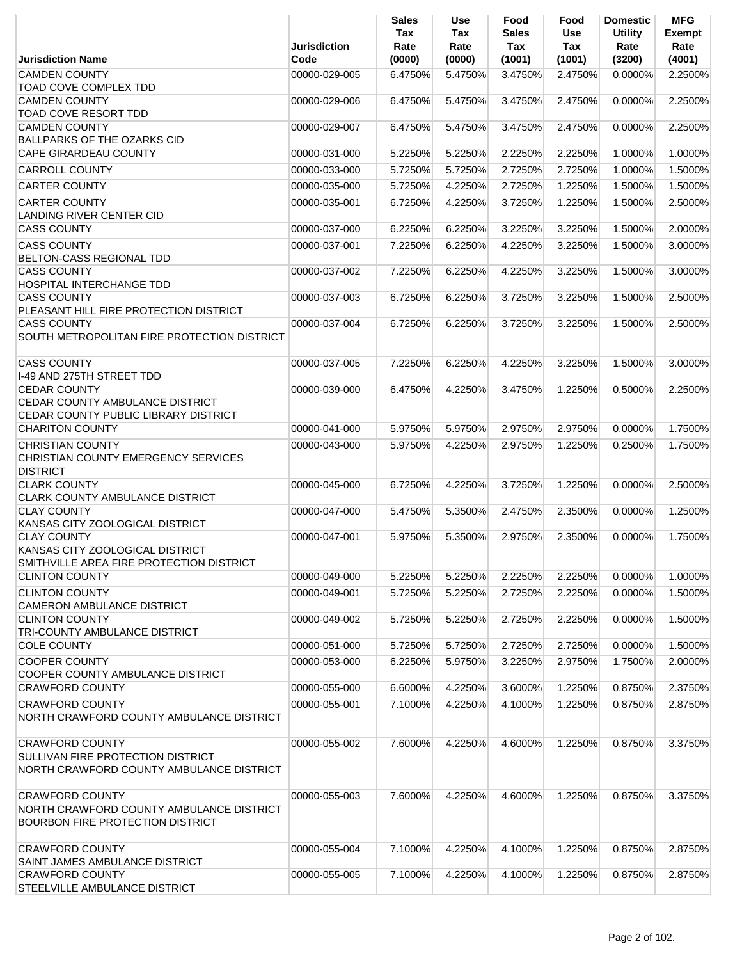|                                                                                                                | <b>Jurisdiction</b> | Sales<br>Tax<br>Rate | <b>Use</b><br>Tax<br>Rate | Food<br>Sales<br>Tax | Food<br><b>Use</b><br>Tax | <b>Domestic</b><br><b>Utility</b><br>Rate | <b>MFG</b><br><b>Exempt</b><br>Rate |
|----------------------------------------------------------------------------------------------------------------|---------------------|----------------------|---------------------------|----------------------|---------------------------|-------------------------------------------|-------------------------------------|
| <b>Jurisdiction Name</b>                                                                                       | Code                | (0000)               | (0000)                    | (1001)               | (1001)                    | (3200)                                    | (4001)                              |
| <b>CAMDEN COUNTY</b><br>TOAD COVE COMPLEX TDD                                                                  | 00000-029-005       | 6.4750%              | 5.4750%                   | 3.4750%              | 2.4750%                   | $0.0000\%$                                | 2.2500%                             |
| <b>CAMDEN COUNTY</b><br>TOAD COVE RESORT TDD                                                                   | 00000-029-006       | 6.4750%              | 5.4750%                   | 3.4750%              | 2.4750%                   | 0.0000%                                   | 2.2500%                             |
| <b>CAMDEN COUNTY</b><br><b>BALLPARKS OF THE OZARKS CID</b>                                                     | 00000-029-007       | 6.4750%              | 5.4750%                   | 3.4750%              | 2.4750%                   | 0.0000%                                   | 2.2500%                             |
| <b>CAPE GIRARDEAU COUNTY</b>                                                                                   | 00000-031-000       | 5.2250%              | 5.2250%                   | 2.2250%              | 2.2250%                   | 1.0000%                                   | 1.0000%                             |
| <b>CARROLL COUNTY</b>                                                                                          | 00000-033-000       | 5.7250%              | 5.7250%                   | 2.7250%              | 2.7250%                   | 1.0000%                                   | 1.5000%                             |
| <b>CARTER COUNTY</b>                                                                                           | 00000-035-000       | 5.7250%              | 4.2250%                   | 2.7250%              | 1.2250%                   | 1.5000%                                   | 1.5000%                             |
| <b>CARTER COUNTY</b><br><b>LANDING RIVER CENTER CID</b>                                                        | 00000-035-001       | 6.7250%              | 4.2250%                   | 3.7250%              | 1.2250%                   | 1.5000%                                   | 2.5000%                             |
| <b>CASS COUNTY</b>                                                                                             | 00000-037-000       | 6.2250%              | 6.2250%                   | 3.2250%              | 3.2250%                   | 1.5000%                                   | 2.0000%                             |
| <b>CASS COUNTY</b><br>BELTON-CASS REGIONAL TDD                                                                 | 00000-037-001       | 7.2250%              | 6.2250%                   | 4.2250%              | 3.2250%                   | 1.5000%                                   | 3.0000%                             |
| <b>CASS COUNTY</b><br>HOSPITAL INTERCHANGE TDD                                                                 | 00000-037-002       | 7.2250%              | 6.2250%                   | 4.2250%              | 3.2250%                   | 1.5000%                                   | 3.0000%                             |
| <b>CASS COUNTY</b><br>PLEASANT HILL FIRE PROTECTION DISTRICT                                                   | 00000-037-003       | 6.7250%              | 6.2250%                   | 3.7250%              | 3.2250%                   | 1.5000%                                   | 2.5000%                             |
| <b>CASS COUNTY</b><br>SOUTH METROPOLITAN FIRE PROTECTION DISTRICT                                              | 00000-037-004       | 6.7250%              | 6.2250%                   | 3.7250%              | 3.2250%                   | 1.5000%                                   | 2.5000%                             |
| <b>CASS COUNTY</b><br>I-49 AND 275TH STREET TDD                                                                | 00000-037-005       | 7.2250%              | 6.2250%                   | 4.2250%              | 3.2250%                   | 1.5000%                                   | 3.0000%                             |
| <b>CEDAR COUNTY</b><br>CEDAR COUNTY AMBULANCE DISTRICT<br>CEDAR COUNTY PUBLIC LIBRARY DISTRICT                 | 00000-039-000       | 6.4750%              | 4.2250%                   | 3.4750%              | 1.2250%                   | 0.5000%                                   | 2.2500%                             |
| <b>CHARITON COUNTY</b>                                                                                         | 00000-041-000       | 5.9750%              | 5.9750%                   | 2.9750%              | 2.9750%                   | 0.0000%                                   | 1.7500%                             |
| <b>CHRISTIAN COUNTY</b><br>CHRISTIAN COUNTY EMERGENCY SERVICES<br><b>DISTRICT</b>                              | 00000-043-000       | 5.9750%              | 4.2250%                   | 2.9750%              | 1.2250%                   | 0.2500%                                   | 1.7500%                             |
| <b>CLARK COUNTY</b><br><b>CLARK COUNTY AMBULANCE DISTRICT</b>                                                  | 00000-045-000       | 6.7250%              | 4.2250%                   | 3.7250%              | 1.2250%                   | $0.0000\%$                                | 2.5000%                             |
| <b>CLAY COUNTY</b><br>KANSAS CITY ZOOLOGICAL DISTRICT                                                          | 00000-047-000       | 5.4750%              | 5.3500%                   | 2.4750%              | 2.3500%                   | 0.0000%                                   | 1.2500%                             |
| <b>CLAY COUNTY</b><br>KANSAS CITY ZOOLOGICAL DISTRICT<br>SMITHVILLE AREA FIRE PROTECTION DISTRICT              | 00000-047-001       | 5.9750%              | 5.3500%                   | 2.9750%              | 2.3500%                   | 0.0000%                                   | 1.7500%                             |
| <b>CLINTON COUNTY</b>                                                                                          | 00000-049-000       | 5.2250%              | 5.2250%                   | 2.2250%              | 2.2250%                   | 0.0000%                                   | 1.0000%                             |
| <b>CLINTON COUNTY</b><br><b>CAMERON AMBULANCE DISTRICT</b>                                                     | 00000-049-001       | 5.7250%              | 5.2250%                   | 2.7250%              | 2.2250%                   | 0.0000%                                   | 1.5000%                             |
| <b>CLINTON COUNTY</b><br>TRI-COUNTY AMBULANCE DISTRICT                                                         | 00000-049-002       | 5.7250%              | 5.2250%                   | 2.7250%              | 2.2250%                   | 0.0000%                                   | 1.5000%                             |
| <b>COLE COUNTY</b>                                                                                             | 00000-051-000       | 5.7250%              | 5.7250%                   | 2.7250%              | 2.7250%                   | 0.0000%                                   | 1.5000%                             |
| <b>COOPER COUNTY</b>                                                                                           | 00000-053-000       | 6.2250%              | 5.9750%                   | 3.2250%              | 2.9750%                   | 1.7500%                                   | 2.0000%                             |
| COOPER COUNTY AMBULANCE DISTRICT<br><b>CRAWFORD COUNTY</b>                                                     | 00000-055-000       | 6.6000%              | 4.2250%                   | 3.6000%              | 1.2250%                   | 0.8750%                                   | 2.3750%                             |
| <b>CRAWFORD COUNTY</b>                                                                                         | 00000-055-001       | 7.1000%              | 4.2250%                   | 4.1000%              | 1.2250%                   | 0.8750%                                   | 2.8750%                             |
| NORTH CRAWFORD COUNTY AMBULANCE DISTRICT                                                                       |                     |                      |                           |                      |                           |                                           |                                     |
| <b>CRAWFORD COUNTY</b><br><b>SULLIVAN FIRE PROTECTION DISTRICT</b><br>NORTH CRAWFORD COUNTY AMBULANCE DISTRICT | 00000-055-002       | 7.6000%              | 4.2250%                   | 4.6000%              | 1.2250%                   | 0.8750%                                   | 3.3750%                             |
| <b>CRAWFORD COUNTY</b><br>NORTH CRAWFORD COUNTY AMBULANCE DISTRICT<br><b>BOURBON FIRE PROTECTION DISTRICT</b>  | 00000-055-003       | 7.6000%              | 4.2250%                   | 4.6000%              | 1.2250%                   | 0.8750%                                   | 3.3750%                             |
| <b>CRAWFORD COUNTY</b><br>SAINT JAMES AMBULANCE DISTRICT                                                       | 00000-055-004       | 7.1000%              | 4.2250%                   | 4.1000%              | 1.2250%                   | 0.8750%                                   | 2.8750%                             |
| <b>CRAWFORD COUNTY</b><br>STEELVILLE AMBULANCE DISTRICT                                                        | 00000-055-005       | 7.1000%              | 4.2250%                   | 4.1000%              | 1.2250%                   | 0.8750%                                   | 2.8750%                             |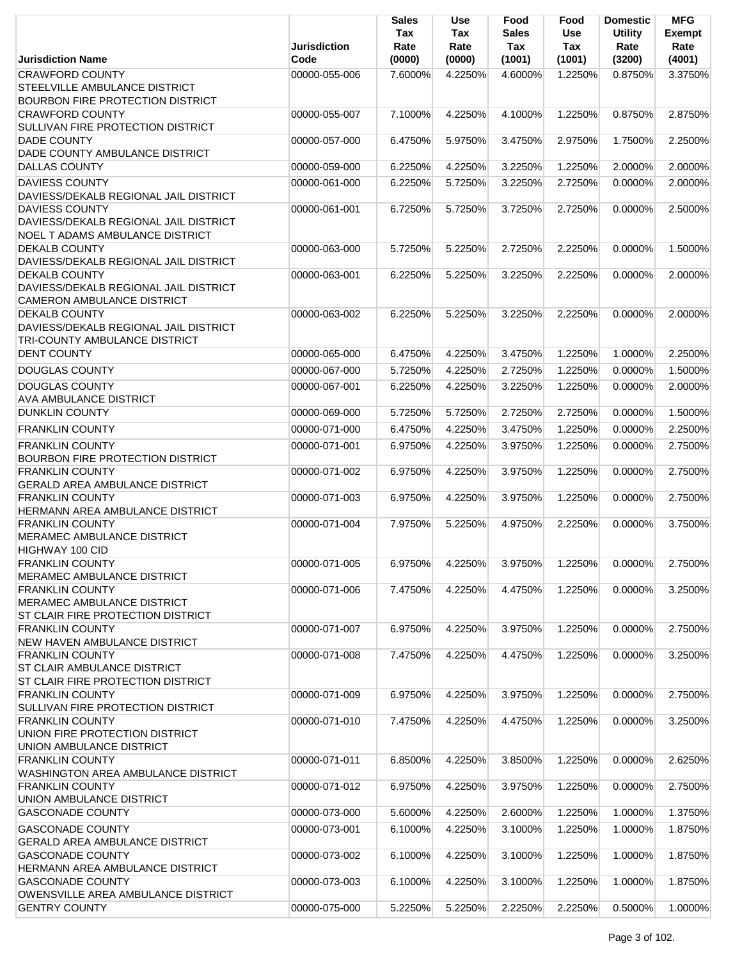|                                                                                                          | <b>Jurisdiction</b> | <b>Sales</b><br>Tax<br>Rate | <b>Use</b><br>Tax<br>Rate | Food<br>Sales<br>Tax | Food<br><b>Use</b><br>Tax | <b>Domestic</b><br><b>Utility</b><br>Rate | <b>MFG</b><br><b>Exempt</b><br>Rate |
|----------------------------------------------------------------------------------------------------------|---------------------|-----------------------------|---------------------------|----------------------|---------------------------|-------------------------------------------|-------------------------------------|
| <b>Jurisdiction Name</b>                                                                                 | Code                | (0000)                      | (0000)                    | (1001)               | (1001)                    | (3200)                                    | (4001)                              |
| <b>CRAWFORD COUNTY</b>                                                                                   | 00000-055-006       | 7.6000%                     | 4.2250%                   | 4.6000%              | 1.2250%                   | 0.8750%                                   | 3.3750%                             |
| STEELVILLE AMBULANCE DISTRICT                                                                            |                     |                             |                           |                      |                           |                                           |                                     |
| <b>BOURBON FIRE PROTECTION DISTRICT</b>                                                                  |                     |                             |                           |                      |                           |                                           |                                     |
| <b>CRAWFORD COUNTY</b>                                                                                   | 00000-055-007       | 7.1000%                     | 4.2250%                   | 4.1000%              | 1.2250%                   | 0.8750%                                   | 2.8750%                             |
| <b>SULLIVAN FIRE PROTECTION DISTRICT</b><br><b>DADE COUNTY</b>                                           | 00000-057-000       | 6.4750%                     | 5.9750%                   | 3.4750%              | 2.9750%                   | 1.7500%                                   | 2.2500%                             |
| DADE COUNTY AMBULANCE DISTRICT                                                                           |                     |                             |                           |                      |                           |                                           |                                     |
| <b>DALLAS COUNTY</b>                                                                                     | 00000-059-000       | 6.2250%                     | 4.2250%                   | 3.2250%              | 1.2250%                   | 2.0000%                                   | 2.0000%                             |
|                                                                                                          |                     |                             |                           |                      |                           |                                           |                                     |
| <b>DAVIESS COUNTY</b><br>DAVIESS/DEKALB REGIONAL JAIL DISTRICT                                           | 00000-061-000       | 6.2250%                     | 5.7250%                   | 3.2250%              | 2.7250%                   | 0.0000%                                   | 2.0000%                             |
| <b>DAVIESS COUNTY</b><br>DAVIESS/DEKALB REGIONAL JAIL DISTRICT<br><b>NOEL T ADAMS AMBULANCE DISTRICT</b> | 00000-061-001       | 6.7250%                     | 5.7250%                   | 3.7250%              | 2.7250%                   | 0.0000%                                   | 2.5000%                             |
| <b>DEKALB COUNTY</b><br>DAVIESS/DEKALB REGIONAL JAIL DISTRICT                                            | 00000-063-000       | 5.7250%                     | 5.2250%                   | 2.7250%              | 2.2250%                   | 0.0000%                                   | 1.5000%                             |
| <b>DEKALB COUNTY</b>                                                                                     | 00000-063-001       | 6.2250%                     | 5.2250%                   | 3.2250%              | 2.2250%                   | 0.0000%                                   | 2.0000%                             |
| DAVIESS/DEKALB REGIONAL JAIL DISTRICT<br>CAMERON AMBULANCE DISTRICT                                      |                     |                             |                           |                      |                           |                                           |                                     |
| <b>DEKALB COUNTY</b><br>DAVIESS/DEKALB REGIONAL JAIL DISTRICT<br>TRI-COUNTY AMBULANCE DISTRICT           | 00000-063-002       | 6.2250%                     | 5.2250%                   | 3.2250%              | 2.2250%                   | 0.0000%                                   | 2.0000%                             |
| <b>DENT COUNTY</b>                                                                                       | 00000-065-000       | 6.4750%                     | 4.2250%                   | 3.4750%              | 1.2250%                   | 1.0000%                                   | 2.2500%                             |
| <b>DOUGLAS COUNTY</b>                                                                                    | 00000-067-000       | 5.7250%                     | 4.2250%                   | 2.7250%              | 1.2250%                   | 0.0000%                                   | 1.5000%                             |
| <b>DOUGLAS COUNTY</b>                                                                                    |                     |                             |                           |                      |                           |                                           |                                     |
| <b>AVA AMBULANCE DISTRICT</b>                                                                            | 00000-067-001       | 6.2250%                     | 4.2250%                   | 3.2250%              | 1.2250%                   | 0.0000%                                   | 2.0000%                             |
| <b>DUNKLIN COUNTY</b>                                                                                    | 00000-069-000       | 5.7250%                     | 5.7250%                   | 2.7250%              | 2.7250%                   | 0.0000%                                   | 1.5000%                             |
| <b>FRANKLIN COUNTY</b>                                                                                   | 00000-071-000       | 6.4750%                     | 4.2250%                   | 3.4750%              | 1.2250%                   | 0.0000%                                   | 2.2500%                             |
|                                                                                                          |                     |                             |                           |                      |                           |                                           |                                     |
| <b>FRANKLIN COUNTY</b>                                                                                   | 00000-071-001       | 6.9750%                     | 4.2250%                   | 3.9750%              | 1.2250%                   | 0.0000%                                   | 2.7500%                             |
| <b>BOURBON FIRE PROTECTION DISTRICT</b><br><b>FRANKLIN COUNTY</b>                                        | 00000-071-002       | 6.9750%                     | 4.2250%                   | 3.9750%              | 1.2250%                   | 0.0000%                                   | 2.7500%                             |
| <b>GERALD AREA AMBULANCE DISTRICT</b>                                                                    |                     |                             |                           |                      |                           |                                           |                                     |
| <b>FRANKLIN COUNTY</b>                                                                                   | 00000-071-003       | 6.9750%                     | 4.2250%                   | 3.9750%              | 1.2250%                   | 0.0000%                                   | 2.7500%                             |
| HERMANN AREA AMBULANCE DISTRICT                                                                          |                     |                             |                           |                      |                           |                                           |                                     |
| <b>FRANKLIN COUNTY</b>                                                                                   | 00000-071-004       | 7.9750%                     | 5.2250%                   | 4.9750%              | 2.2250%                   | 0.0000%                                   | 3.7500%                             |
| MERAMEC AMBULANCE DISTRICT                                                                               |                     |                             |                           |                      |                           |                                           |                                     |
| HIGHWAY 100 CID                                                                                          |                     |                             |                           |                      |                           |                                           |                                     |
| <b>FRANKLIN COUNTY</b>                                                                                   | 00000-071-005       | 6.9750%                     | 4.2250%                   | 3.9750%              | 1.2250%                   | 0.0000%                                   | 2.7500%                             |
| <b>MERAMEC AMBULANCE DISTRICT</b>                                                                        |                     |                             |                           |                      |                           |                                           |                                     |
| <b>FRANKLIN COUNTY</b>                                                                                   | 00000-071-006       | 7.4750%                     | 4.2250%                   | 4.4750%              | 1.2250%                   | 0.0000%                                   | 3.2500%                             |
| MERAMEC AMBULANCE DISTRICT                                                                               |                     |                             |                           |                      |                           |                                           |                                     |
| ST CLAIR FIRE PROTECTION DISTRICT                                                                        | 00000-071-007       |                             |                           |                      |                           |                                           | 2.7500%                             |
| <b>FRANKLIN COUNTY</b><br><b>NEW HAVEN AMBULANCE DISTRICT</b>                                            |                     | 6.9750%                     | 4.2250%                   | 3.9750%              | 1.2250%                   | 0.0000%                                   |                                     |
| <b>FRANKLIN COUNTY</b>                                                                                   | 00000-071-008       | 7.4750%                     | 4.2250%                   | 4.4750%              | 1.2250%                   | 0.0000%                                   | 3.2500%                             |
| ST CLAIR AMBULANCE DISTRICT                                                                              |                     |                             |                           |                      |                           |                                           |                                     |
| ST CLAIR FIRE PROTECTION DISTRICT                                                                        |                     |                             |                           |                      |                           |                                           |                                     |
| <b>FRANKLIN COUNTY</b>                                                                                   | 00000-071-009       | 6.9750%                     | 4.2250%                   | 3.9750%              | 1.2250%                   | 0.0000%                                   | 2.7500%                             |
| <b>SULLIVAN FIRE PROTECTION DISTRICT</b>                                                                 |                     |                             |                           |                      |                           |                                           |                                     |
| <b>FRANKLIN COUNTY</b>                                                                                   | 00000-071-010       | 7.4750%                     | 4.2250%                   | 4.4750%              | 1.2250%                   | 0.0000%                                   | 3.2500%                             |
| UNION FIRE PROTECTION DISTRICT                                                                           |                     |                             |                           |                      |                           |                                           |                                     |
| UNION AMBULANCE DISTRICT                                                                                 |                     |                             |                           |                      |                           |                                           |                                     |
| <b>FRANKLIN COUNTY</b>                                                                                   | 00000-071-011       | 6.8500%                     | 4.2250%                   | 3.8500%              | 1.2250%                   | 0.0000%                                   | 2.6250%                             |
| <b>WASHINGTON AREA AMBULANCE DISTRICT</b>                                                                |                     |                             |                           |                      |                           |                                           |                                     |
| <b>FRANKLIN COUNTY</b>                                                                                   | 00000-071-012       | 6.9750%                     | 4.2250%                   | 3.9750%              | 1.2250%                   | 0.0000%                                   | 2.7500%                             |
| UNION AMBULANCE DISTRICT                                                                                 |                     |                             |                           |                      |                           |                                           |                                     |
| <b>GASCONADE COUNTY</b>                                                                                  | 00000-073-000       | 5.6000%                     | 4.2250%                   | 2.6000%              | 1.2250%                   | 1.0000%                                   | 1.3750%                             |
| <b>GASCONADE COUNTY</b>                                                                                  | 00000-073-001       | 6.1000%                     | 4.2250%                   | 3.1000%              | 1.2250%                   | 1.0000%                                   | 1.8750%                             |
| <b>GERALD AREA AMBULANCE DISTRICT</b>                                                                    |                     |                             |                           |                      |                           |                                           |                                     |
| <b>GASCONADE COUNTY</b>                                                                                  | 00000-073-002       | 6.1000%                     | 4.2250%                   | 3.1000%              | 1.2250%                   | 1.0000%                                   | 1.8750%                             |
| HERMANN AREA AMBULANCE DISTRICT<br><b>GASCONADE COUNTY</b>                                               | 00000-073-003       | 6.1000%                     | 4.2250%                   | 3.1000%              | 1.2250%                   | 1.0000%                                   | 1.8750%                             |
| OWENSVILLE AREA AMBULANCE DISTRICT                                                                       |                     |                             |                           |                      |                           |                                           |                                     |
| <b>GENTRY COUNTY</b>                                                                                     | 00000-075-000       | 5.2250%                     | 5.2250%                   | 2.2250%              | 2.2250%                   | 0.5000%                                   | 1.0000%                             |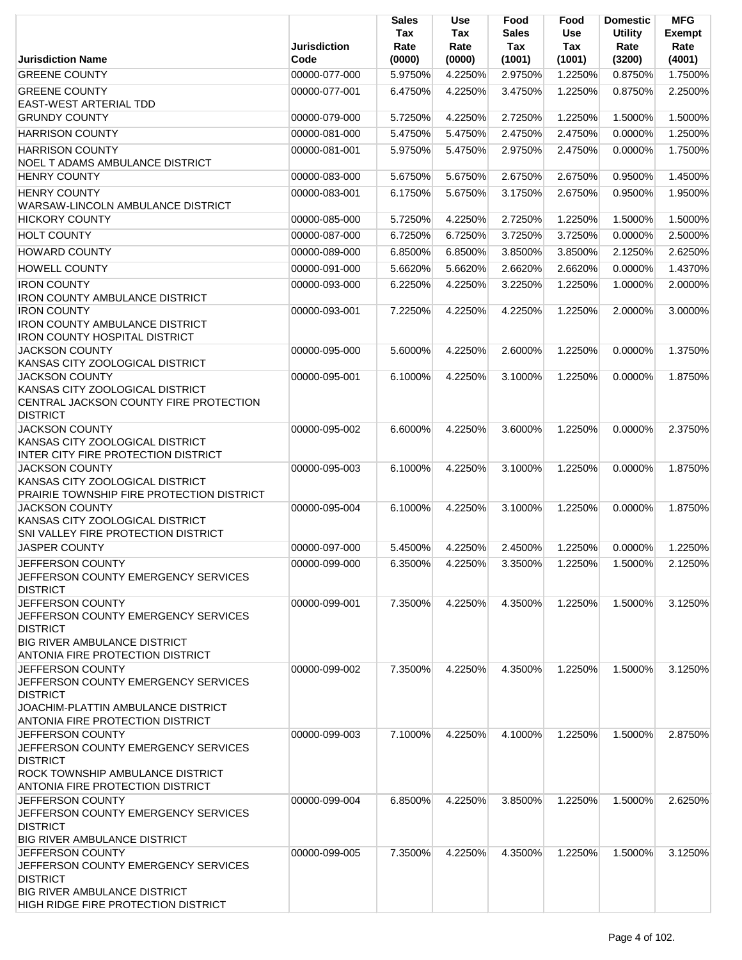|                                                                                   | <b>Jurisdiction</b> | <b>Sales</b><br>Tax<br>Rate | <b>Use</b><br>Tax<br>Rate | Food<br>Sales<br>Tax | Food<br><b>Use</b><br>Tax | <b>Domestic</b><br><b>Utility</b><br>Rate | <b>MFG</b><br>Exempt<br>Rate |
|-----------------------------------------------------------------------------------|---------------------|-----------------------------|---------------------------|----------------------|---------------------------|-------------------------------------------|------------------------------|
| <b>Jurisdiction Name</b>                                                          | Code                | (0000)                      | (0000)                    | (1001)               | (1001)                    | (3200)                                    | (4001)                       |
| <b>GREENE COUNTY</b>                                                              | 00000-077-000       | 5.9750%                     | 4.2250%                   | 2.9750%              | 1.2250%                   | 0.8750%                                   | 1.7500%                      |
| <b>GREENE COUNTY</b><br><b>EAST-WEST ARTERIAL TDD</b>                             | 00000-077-001       | 6.4750%                     | 4.2250%                   | 3.4750%              | 1.2250%                   | 0.8750%                                   | 2.2500%                      |
| <b>GRUNDY COUNTY</b>                                                              | 00000-079-000       | 5.7250%                     | 4.2250%                   | 2.7250%              | 1.2250%                   | 1.5000%                                   | 1.5000%                      |
| <b>HARRISON COUNTY</b>                                                            | 00000-081-000       | 5.4750%                     | 5.4750%                   | 2.4750%              | 2.4750%                   | 0.0000%                                   | 1.2500%                      |
| <b>HARRISON COUNTY</b>                                                            | 00000-081-001       | 5.9750%                     | 5.4750%                   | 2.9750%              | 2.4750%                   | 0.0000%                                   | 1.7500%                      |
| <b>NOEL T ADAMS AMBULANCE DISTRICT</b>                                            |                     |                             |                           |                      |                           |                                           |                              |
| <b>HENRY COUNTY</b>                                                               | 00000-083-000       | 5.6750%                     | 5.6750%                   | 2.6750%              | 2.6750%                   | 0.9500%                                   | 1.4500%                      |
| <b>HENRY COUNTY</b>                                                               | 00000-083-001       | 6.1750%                     | 5.6750%                   | 3.1750%              | 2.6750%                   | 0.9500%                                   | 1.9500%                      |
| WARSAW-LINCOLN AMBULANCE DISTRICT                                                 |                     |                             |                           |                      |                           |                                           |                              |
| <b>HICKORY COUNTY</b>                                                             | 00000-085-000       | 5.7250%                     | 4.2250%                   | 2.7250%              | 1.2250%                   | 1.5000%                                   | 1.5000%                      |
| <b>HOLT COUNTY</b>                                                                | 00000-087-000       | 6.7250%                     | 6.7250%                   | 3.7250%              | 3.7250%                   | 0.0000%                                   | 2.5000%                      |
| <b>HOWARD COUNTY</b>                                                              | 00000-089-000       | 6.8500%                     | 6.8500%                   | 3.8500%              | 3.8500%                   | 2.1250%                                   | 2.6250%                      |
| <b>HOWELL COUNTY</b>                                                              | 00000-091-000       | 5.6620%                     | 5.6620%                   | 2.6620%              | 2.6620%                   | 0.0000%                                   | 1.4370%                      |
| <b>IRON COUNTY</b>                                                                | 00000-093-000       | 6.2250%                     | 4.2250%                   | 3.2250%              | 1.2250%                   | 1.0000%                                   | 2.0000%                      |
| <b>IRON COUNTY AMBULANCE DISTRICT</b><br><b>IRON COUNTY</b>                       | 00000-093-001       | 7.2250%                     | 4.2250%                   | 4.2250%              | 1.2250%                   | 2.0000%                                   | 3.0000%                      |
| <b>IRON COUNTY AMBULANCE DISTRICT</b>                                             |                     |                             |                           |                      |                           |                                           |                              |
| <b>IRON COUNTY HOSPITAL DISTRICT</b>                                              |                     |                             |                           |                      |                           |                                           |                              |
| <b>JACKSON COUNTY</b>                                                             | 00000-095-000       | 5.6000%                     | 4.2250%                   | 2.6000%              | 1.2250%                   | 0.0000%                                   | 1.3750%                      |
| KANSAS CITY ZOOLOGICAL DISTRICT<br><b>JACKSON COUNTY</b>                          | 00000-095-001       | 6.1000%                     | 4.2250%                   | 3.1000%              | 1.2250%                   | 0.0000%                                   | 1.8750%                      |
| KANSAS CITY ZOOLOGICAL DISTRICT                                                   |                     |                             |                           |                      |                           |                                           |                              |
| CENTRAL JACKSON COUNTY FIRE PROTECTION                                            |                     |                             |                           |                      |                           |                                           |                              |
| <b>DISTRICT</b>                                                                   |                     |                             |                           |                      |                           |                                           |                              |
| <b>JACKSON COUNTY</b>                                                             | 00000-095-002       | 6.6000%                     | 4.2250%                   | 3.6000%              | 1.2250%                   | 0.0000%                                   | 2.3750%                      |
| KANSAS CITY ZOOLOGICAL DISTRICT<br>INTER CITY FIRE PROTECTION DISTRICT            |                     |                             |                           |                      |                           |                                           |                              |
| <b>JACKSON COUNTY</b>                                                             | 00000-095-003       | 6.1000%                     | 4.2250%                   | 3.1000%              | 1.2250%                   | 0.0000%                                   | 1.8750%                      |
| KANSAS CITY ZOOLOGICAL DISTRICT                                                   |                     |                             |                           |                      |                           |                                           |                              |
| PRAIRIE TOWNSHIP FIRE PROTECTION DISTRICT                                         |                     |                             |                           |                      |                           |                                           |                              |
| <b>JACKSON COUNTY</b><br>KANSAS CITY ZOOLOGICAL DISTRICT                          | 00000-095-004       | 6.1000%                     | 4.2250%                   | 3.1000%              | 1.2250%                   | 0.0000%                                   | 1.8750%                      |
| SNI VALLEY FIRE PROTECTION DISTRICT                                               |                     |                             |                           |                      |                           |                                           |                              |
| <b>JASPER COUNTY</b>                                                              | 00000-097-000       | 5.4500%                     | 4.2250%                   | 2.4500%              | 1.2250%                   | 0.0000%                                   | 1.2250%                      |
| JEFFERSON COUNTY                                                                  | 00000-099-000       | 6.3500%                     | 4.2250%                   | 3.3500%              | 1.2250%                   | 1.5000%                                   | 2.1250%                      |
| JEFFERSON COUNTY EMERGENCY SERVICES                                               |                     |                             |                           |                      |                           |                                           |                              |
| <b>DISTRICT</b>                                                                   |                     |                             |                           |                      |                           |                                           |                              |
| JEFFERSON COUNTY<br>JEFFERSON COUNTY EMERGENCY SERVICES                           | 00000-099-001       | 7.3500%                     | 4.2250%                   | 4.3500%              | 1.2250%                   | 1.5000%                                   | 3.1250%                      |
| <b>DISTRICT</b>                                                                   |                     |                             |                           |                      |                           |                                           |                              |
| <b>BIG RIVER AMBULANCE DISTRICT</b>                                               |                     |                             |                           |                      |                           |                                           |                              |
| <b>ANTONIA FIRE PROTECTION DISTRICT</b>                                           |                     |                             |                           |                      |                           |                                           |                              |
| <b>JEFFERSON COUNTY</b>                                                           | 00000-099-002       | 7.3500%                     | 4.2250%                   | 4.3500%              | 1.2250%                   | 1.5000%                                   | 3.1250%                      |
| JEFFERSON COUNTY EMERGENCY SERVICES<br><b>DISTRICT</b>                            |                     |                             |                           |                      |                           |                                           |                              |
| JOACHIM-PLATTIN AMBULANCE DISTRICT                                                |                     |                             |                           |                      |                           |                                           |                              |
| <b>ANTONIA FIRE PROTECTION DISTRICT</b>                                           |                     |                             |                           |                      |                           |                                           |                              |
| <b>JEFFERSON COUNTY</b>                                                           | 00000-099-003       | 7.1000%                     | 4.2250%                   | 4.1000%              | 1.2250%                   | 1.5000%                                   | 2.8750%                      |
| JEFFERSON COUNTY EMERGENCY SERVICES<br><b>DISTRICT</b>                            |                     |                             |                           |                      |                           |                                           |                              |
| <b>ROCK TOWNSHIP AMBULANCE DISTRICT</b>                                           |                     |                             |                           |                      |                           |                                           |                              |
| <b>ANTONIA FIRE PROTECTION DISTRICT</b>                                           |                     |                             |                           |                      |                           |                                           |                              |
| JEFFERSON COUNTY                                                                  | 00000-099-004       | 6.8500%                     | 4.2250%                   | 3.8500%              | 1.2250%                   | 1.5000%                                   | 2.6250%                      |
| <b>JEFFERSON COUNTY EMERGENCY SERVICES</b>                                        |                     |                             |                           |                      |                           |                                           |                              |
| <b>DISTRICT</b><br><b>BIG RIVER AMBULANCE DISTRICT</b>                            |                     |                             |                           |                      |                           |                                           |                              |
| JEFFERSON COUNTY                                                                  | 00000-099-005       | 7.3500%                     | 4.2250%                   | 4.3500%              | 1.2250%                   | 1.5000%                                   | 3.1250%                      |
| JEFFERSON COUNTY EMERGENCY SERVICES                                               |                     |                             |                           |                      |                           |                                           |                              |
| <b>DISTRICT</b>                                                                   |                     |                             |                           |                      |                           |                                           |                              |
| <b>BIG RIVER AMBULANCE DISTRICT</b><br><b>HIGH RIDGE FIRE PROTECTION DISTRICT</b> |                     |                             |                           |                      |                           |                                           |                              |
|                                                                                   |                     |                             |                           |                      |                           |                                           |                              |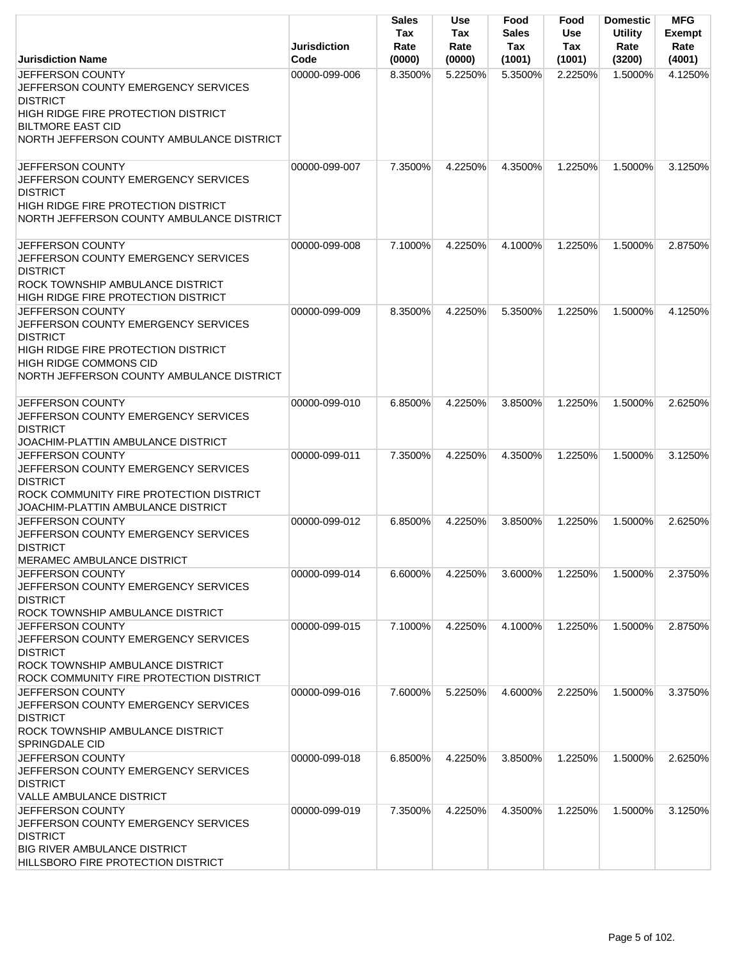|                                                                                                                                                                                                               | <b>Jurisdiction</b> | Sales<br>Tax<br>Rate | <b>Use</b><br>Tax<br>Rate | Food<br><b>Sales</b><br>Tax | Food<br><b>Use</b><br>Tax | <b>Domestic</b><br><b>Utility</b><br>Rate | <b>MFG</b><br><b>Exempt</b><br>Rate |
|---------------------------------------------------------------------------------------------------------------------------------------------------------------------------------------------------------------|---------------------|----------------------|---------------------------|-----------------------------|---------------------------|-------------------------------------------|-------------------------------------|
| <b>Jurisdiction Name</b>                                                                                                                                                                                      | Code                | (0000)               | (0000)                    | (1001)                      | (1001)                    | (3200)                                    | (4001)                              |
| JEFFERSON COUNTY<br><b>JEFFERSON COUNTY EMERGENCY SERVICES</b><br><b>DISTRICT</b><br>HIGH RIDGE FIRE PROTECTION DISTRICT<br><b>BILTMORE EAST CID</b><br>NORTH JEFFERSON COUNTY AMBULANCE DISTRICT             | 00000-099-006       | 8.3500%              | 5.2250%                   | 5.3500%                     | 2.2250%                   | 1.5000%                                   | 4.1250%                             |
| <b>JEFFERSON COUNTY</b><br>JEFFERSON COUNTY EMERGENCY SERVICES<br><b>DISTRICT</b><br><b>HIGH RIDGE FIRE PROTECTION DISTRICT</b><br>NORTH JEFFERSON COUNTY AMBULANCE DISTRICT                                  | 00000-099-007       | 7.3500%              | 4.2250%                   | 4.3500%                     | 1.2250%                   | 1.5000%                                   | 3.1250%                             |
| <b>JEFFERSON COUNTY</b><br>JEFFERSON COUNTY EMERGENCY SERVICES<br><b>DISTRICT</b><br><b>ROCK TOWNSHIP AMBULANCE DISTRICT</b><br><b>HIGH RIDGE FIRE PROTECTION DISTRICT</b>                                    | 00000-099-008       | 7.1000%              | 4.2250%                   | 4.1000%                     | 1.2250%                   | 1.5000%                                   | 2.8750%                             |
| <b>JEFFERSON COUNTY</b><br>JEFFERSON COUNTY EMERGENCY SERVICES<br><b>DISTRICT</b><br><b>HIGH RIDGE FIRE PROTECTION DISTRICT</b><br><b>HIGH RIDGE COMMONS CID</b><br>NORTH JEFFERSON COUNTY AMBULANCE DISTRICT | 00000-099-009       | 8.3500%              | 4.2250%                   | 5.3500%                     | 1.2250%                   | 1.5000%                                   | 4.1250%                             |
| JEFFERSON COUNTY<br>JEFFERSON COUNTY EMERGENCY SERVICES<br><b>DISTRICT</b><br>JOACHIM-PLATTIN AMBULANCE DISTRICT                                                                                              | 00000-099-010       | 6.8500%              | 4.2250%                   | 3.8500%                     | 1.2250%                   | 1.5000%                                   | 2.6250%                             |
| <b>JEFFERSON COUNTY</b><br>JEFFERSON COUNTY EMERGENCY SERVICES<br><b>DISTRICT</b><br>ROCK COMMUNITY FIRE PROTECTION DISTRICT<br>JOACHIM-PLATTIN AMBULANCE DISTRICT                                            | 00000-099-011       | 7.3500%              | 4.2250%                   | 4.3500%                     | 1.2250%                   | 1.5000%                                   | 3.1250%                             |
| JEFFERSON COUNTY<br>JEFFERSON COUNTY EMERGENCY SERVICES<br><b>DISTRICT</b><br>MERAMEC AMBULANCE DISTRICT                                                                                                      | 00000-099-012       | 6.8500%              | 4.2250%                   | 3.8500%                     | 1.2250%                   | 1.5000%                                   | 2.6250%                             |
| JEFFERSON COUNTY<br>JEFFERSON COUNTY EMERGENCY SERVICES<br><b>DISTRICT</b><br>ROCK TOWNSHIP AMBULANCE DISTRICT                                                                                                | 00000-099-014       | 6.6000%              | 4.2250%                   | 3.6000%                     | 1.2250%                   | 1.5000%                                   | 2.3750%                             |
| <b>JEFFERSON COUNTY</b><br>JEFFERSON COUNTY EMERGENCY SERVICES<br><b>DISTRICT</b><br>ROCK TOWNSHIP AMBULANCE DISTRICT<br>ROCK COMMUNITY FIRE PROTECTION DISTRICT                                              | 00000-099-015       | 7.1000%              | 4.2250%                   | 4.1000%                     | 1.2250%                   | 1.5000%                                   | 2.8750%                             |
| <b>JEFFERSON COUNTY</b><br>JEFFERSON COUNTY EMERGENCY SERVICES<br><b>DISTRICT</b><br><b>ROCK TOWNSHIP AMBULANCE DISTRICT</b><br><b>SPRINGDALE CID</b>                                                         | 00000-099-016       | 7.6000%              | 5.2250%                   | 4.6000%                     | 2.2250%                   | 1.5000%                                   | 3.3750%                             |
| JEFFERSON COUNTY<br>JEFFERSON COUNTY EMERGENCY SERVICES<br><b>DISTRICT</b><br>VALLE AMBULANCE DISTRICT                                                                                                        | 00000-099-018       | 6.8500%              | 4.2250%                   | 3.8500%                     | 1.2250%                   | 1.5000%                                   | 2.6250%                             |
| JEFFERSON COUNTY<br>JEFFERSON COUNTY EMERGENCY SERVICES<br><b>DISTRICT</b><br><b>BIG RIVER AMBULANCE DISTRICT</b><br>HILLSBORO FIRE PROTECTION DISTRICT                                                       | 00000-099-019       | 7.3500%              | 4.2250%                   | 4.3500%                     | 1.2250%                   | 1.5000%                                   | 3.1250%                             |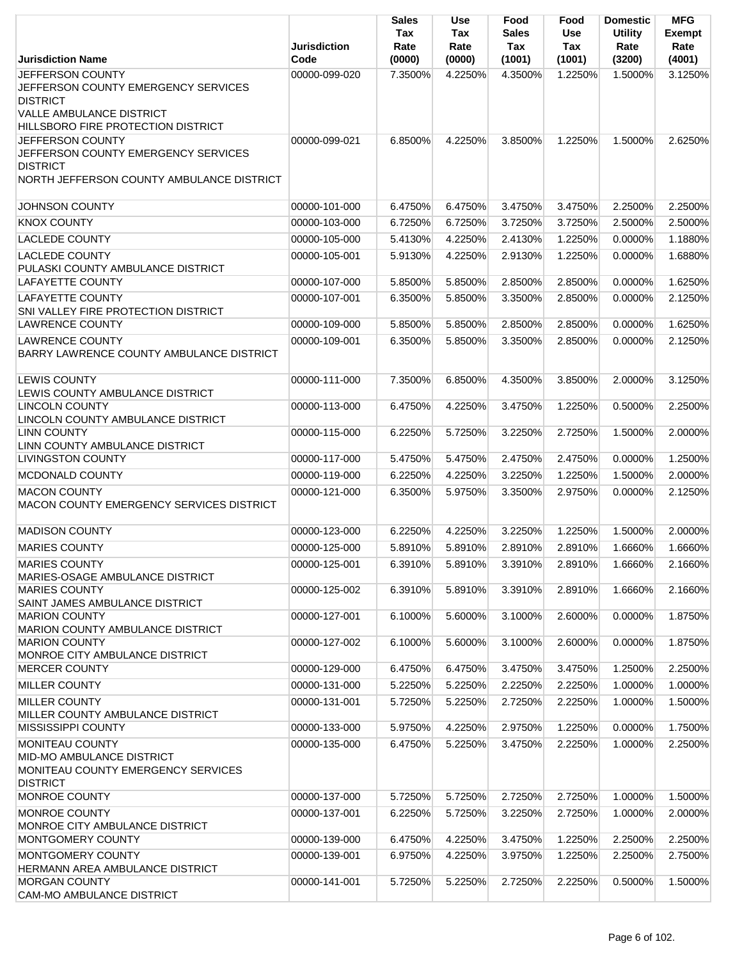|                                                                                                                                                     | <b>Jurisdiction</b>            | <b>Sales</b><br>Tax<br>Rate | <b>Use</b><br>Tax<br>Rate | Food<br><b>Sales</b><br>Tax | Food<br>Use<br>Tax | <b>Domestic</b><br><b>Utility</b><br>Rate | <b>MFG</b><br><b>Exempt</b><br>Rate |
|-----------------------------------------------------------------------------------------------------------------------------------------------------|--------------------------------|-----------------------------|---------------------------|-----------------------------|--------------------|-------------------------------------------|-------------------------------------|
| <b>Jurisdiction Name</b>                                                                                                                            | Code                           | (0000)                      | (0000)                    | (1001)                      | (1001)             | (3200)                                    | (4001)                              |
| JEFFERSON COUNTY<br>JEFFERSON COUNTY EMERGENCY SERVICES<br><b>DISTRICT</b><br><b>VALLE AMBULANCE DISTRICT</b><br>HILLSBORO FIRE PROTECTION DISTRICT | 00000-099-020                  | 7.3500%                     | 4.2250%                   | 4.3500%                     | 1.2250%            | 1.5000%                                   | 3.1250%                             |
| JEFFERSON COUNTY<br>JEFFERSON COUNTY EMERGENCY SERVICES<br><b>DISTRICT</b><br>NORTH JEFFERSON COUNTY AMBULANCE DISTRICT                             | 00000-099-021                  | 6.8500%                     | 4.2250%                   | 3.8500%                     | 1.2250%            | 1.5000%                                   | 2.6250%                             |
| <b>JOHNSON COUNTY</b>                                                                                                                               | 00000-101-000                  | 6.4750%                     | 6.4750%                   | 3.4750%                     | 3.4750%            | 2.2500%                                   | 2.2500%                             |
| <b>KNOX COUNTY</b>                                                                                                                                  | 00000-103-000                  | 6.7250%                     | 6.7250%                   | 3.7250%                     | 3.7250%            | 2.5000%                                   | 2.5000%                             |
| <b>LACLEDE COUNTY</b>                                                                                                                               | 00000-105-000                  | 5.4130%                     | 4.2250%                   | 2.4130%                     | 1.2250%            | 0.0000%                                   | 1.1880%                             |
| <b>LACLEDE COUNTY</b><br>PULASKI COUNTY AMBULANCE DISTRICT<br><b>LAFAYETTE COUNTY</b>                                                               | 00000-105-001<br>00000-107-000 | 5.9130%<br>5.8500%          | 4.2250%<br>5.8500%        | 2.9130%<br>2.8500%          | 1.2250%<br>2.8500% | 0.0000%<br>0.0000%                        | 1.6880%<br>1.6250%                  |
| <b>LAFAYETTE COUNTY</b>                                                                                                                             | 00000-107-001                  |                             |                           |                             |                    | 0.0000%                                   |                                     |
| SNI VALLEY FIRE PROTECTION DISTRICT                                                                                                                 |                                | 6.3500%                     | 5.8500%                   | 3.3500%                     | 2.8500%            |                                           | 2.1250%                             |
| <b>LAWRENCE COUNTY</b>                                                                                                                              | 00000-109-000                  | 5.8500%                     | 5.8500%                   | 2.8500%                     | 2.8500%            | 0.0000%                                   | 1.6250%                             |
| <b>LAWRENCE COUNTY</b><br>BARRY LAWRENCE COUNTY AMBULANCE DISTRICT                                                                                  | 00000-109-001                  | 6.3500%                     | 5.8500%                   | 3.3500%                     | 2.8500%            | 0.0000%                                   | 2.1250%                             |
| <b>LEWIS COUNTY</b><br>LEWIS COUNTY AMBULANCE DISTRICT<br><b>LINCOLN COUNTY</b>                                                                     | 00000-111-000<br>00000-113-000 | 7.3500%<br>6.4750%          | 6.8500%<br>4.2250%        | 4.3500%<br>3.4750%          | 3.8500%<br>1.2250% | 2.0000%<br>0.5000%                        | 3.1250%<br>2.2500%                  |
| LINCOLN COUNTY AMBULANCE DISTRICT                                                                                                                   |                                |                             |                           |                             |                    |                                           |                                     |
| <b>LINN COUNTY</b><br>LINN COUNTY AMBULANCE DISTRICT                                                                                                | 00000-115-000                  | 6.2250%                     | 5.7250%                   | 3.2250%                     | 2.7250%            | 1.5000%                                   | 2.0000%                             |
| <b>LIVINGSTON COUNTY</b>                                                                                                                            | 00000-117-000                  | 5.4750%                     | 5.4750%                   | 2.4750%                     | 2.4750%            | 0.0000%                                   | 1.2500%                             |
| MCDONALD COUNTY                                                                                                                                     | 00000-119-000                  | 6.2250%                     | 4.2250%                   | 3.2250%                     | 1.2250%            | 1.5000%                                   | 2.0000%                             |
| <b>MACON COUNTY</b><br>MACON COUNTY EMERGENCY SERVICES DISTRICT                                                                                     | 00000-121-000                  | 6.3500%                     | 5.9750%                   | 3.3500%                     | 2.9750%            | 0.0000%                                   | 2.1250%                             |
| <b>MADISON COUNTY</b>                                                                                                                               | 00000-123-000                  | 6.2250%                     | 4.2250%                   | 3.2250%                     | 1.2250%            | 1.5000%                                   | 2.0000%                             |
| <b>MARIES COUNTY</b>                                                                                                                                | 00000-125-000                  | 5.8910%                     | 5.8910%                   | 2.8910%                     | 2.8910%            | 1.6660%                                   | 1.6660%                             |
| <b>MARIES COUNTY</b><br>MARIES-OSAGE AMBULANCE DISTRICT                                                                                             | 00000-125-001                  | 6.3910%                     | 5.8910%                   | 3.3910%                     | 2.8910%            | 1.6660%                                   | 2.1660%                             |
| <b>MARIES COUNTY</b><br>SAINT JAMES AMBULANCE DISTRICT<br><b>MARION COUNTY</b>                                                                      | 00000-125-002<br>00000-127-001 | 6.3910%<br>6.1000%          | 5.8910%<br>5.6000%        | 3.3910%<br>3.1000%          | 2.8910%<br>2.6000% | 1.6660%<br>0.0000%                        | 2.1660%<br>1.8750%                  |
| MARION COUNTY AMBULANCE DISTRICT<br><b>MARION COUNTY</b>                                                                                            | 00000-127-002                  | 6.1000%                     | 5.6000%                   | 3.1000%                     | 2.6000%            | 0.0000%                                   | 1.8750%                             |
| MONROE CITY AMBULANCE DISTRICT                                                                                                                      |                                |                             |                           |                             |                    |                                           |                                     |
| <b>MERCER COUNTY</b>                                                                                                                                | 00000-129-000                  | 6.4750%                     | 6.4750%                   | 3.4750%                     | 3.4750%            | 1.2500%                                   | 2.2500%                             |
| <b>MILLER COUNTY</b><br><b>MILLER COUNTY</b>                                                                                                        | 00000-131-000<br>00000-131-001 | 5.2250%<br>5.7250%          | 5.2250%<br>5.2250%        | 2.2250%<br>2.7250%          | 2.2250%<br>2.2250% | 1.0000%<br>1.0000%                        | 1.0000%<br>1.5000%                  |
| MILLER COUNTY AMBULANCE DISTRICT<br><b>MISSISSIPPI COUNTY</b>                                                                                       | 00000-133-000                  | 5.9750%                     |                           | 2.9750%                     | 1.2250%            |                                           | 1.7500%                             |
| <b>MONITEAU COUNTY</b>                                                                                                                              | 00000-135-000                  | 6.4750%                     | 4.2250%<br>5.2250%        | 3.4750%                     |                    | 0.0000%<br>1.0000%                        | 2.2500%                             |
| MID-MO AMBULANCE DISTRICT<br>MONITEAU COUNTY EMERGENCY SERVICES<br><b>DISTRICT</b>                                                                  |                                |                             |                           |                             | 2.2250%            |                                           |                                     |
| MONROE COUNTY                                                                                                                                       | 00000-137-000                  | 5.7250%                     | 5.7250%                   | 2.7250%                     | 2.7250%            | 1.0000%                                   | 1.5000%                             |
| MONROE COUNTY<br>MONROE CITY AMBULANCE DISTRICT                                                                                                     | 00000-137-001                  | 6.2250%                     | 5.7250%                   | 3.2250%                     | 2.7250%            | 1.0000%                                   | 2.0000%                             |
| MONTGOMERY COUNTY                                                                                                                                   | 00000-139-000                  | 6.4750%                     | 4.2250%                   | 3.4750%                     | 1.2250%            | 2.2500%                                   | 2.2500%                             |
| MONTGOMERY COUNTY<br>HERMANN AREA AMBULANCE DISTRICT                                                                                                | 00000-139-001                  | 6.9750%                     | 4.2250%                   | 3.9750%                     | 1.2250%            | 2.2500%                                   | 2.7500%                             |
| <b>MORGAN COUNTY</b><br>CAM-MO AMBULANCE DISTRICT                                                                                                   | 00000-141-001                  | 5.7250%                     | 5.2250%                   | 2.7250%                     | 2.2250%            | 0.5000%                                   | 1.5000%                             |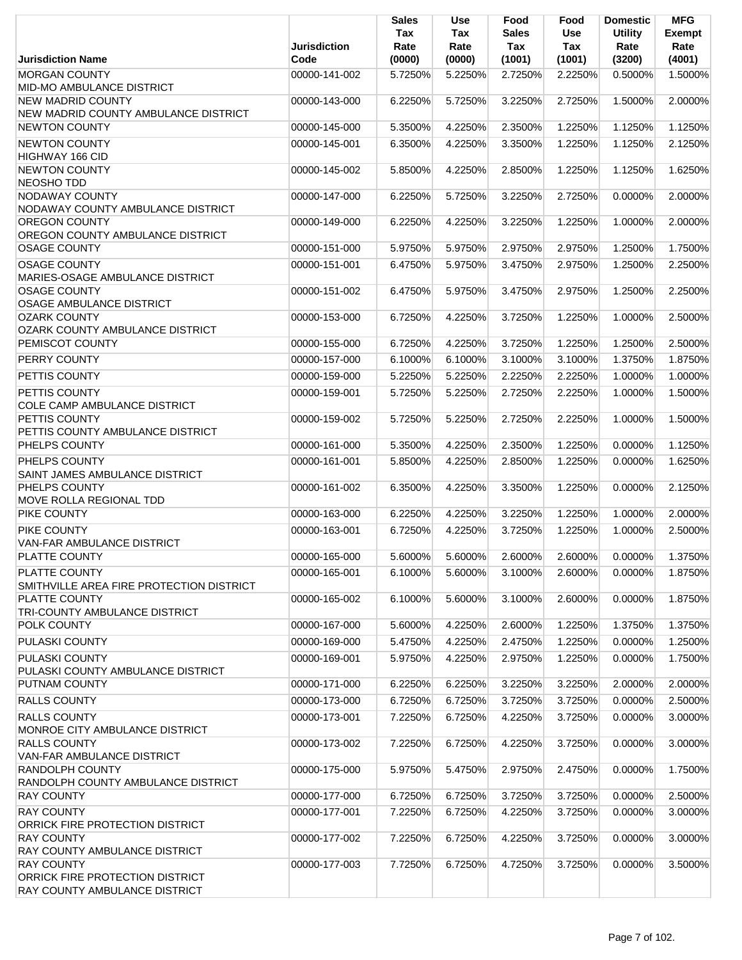|                                                                                              | <b>Jurisdiction</b> | <b>Sales</b><br>Tax<br>Rate | <b>Use</b><br>Tax<br>Rate | Food<br><b>Sales</b><br>Tax | Food<br><b>Use</b><br>Tax | <b>Domestic</b><br><b>Utility</b><br>Rate | <b>MFG</b><br><b>Exempt</b><br>Rate |
|----------------------------------------------------------------------------------------------|---------------------|-----------------------------|---------------------------|-----------------------------|---------------------------|-------------------------------------------|-------------------------------------|
| <b>Jurisdiction Name</b>                                                                     | Code                | (0000)                      | (0000)                    | (1001)                      | (1001)                    | (3200)                                    | (4001)                              |
| <b>MORGAN COUNTY</b><br>MID-MO AMBULANCE DISTRICT                                            | 00000-141-002       | 5.7250%                     | 5.2250%                   | 2.7250%                     | 2.2250%                   | 0.5000%                                   | 1.5000%                             |
| <b>NEW MADRID COUNTY</b><br>NEW MADRID COUNTY AMBULANCE DISTRICT                             | 00000-143-000       | 6.2250%                     | 5.7250%                   | 3.2250%                     | 2.7250%                   | 1.5000%                                   | 2.0000%                             |
| <b>NEWTON COUNTY</b>                                                                         | 00000-145-000       | 5.3500%                     | 4.2250%                   | 2.3500%                     | 1.2250%                   | 1.1250%                                   | 1.1250%                             |
| <b>NEWTON COUNTY</b><br>HIGHWAY 166 CID                                                      | 00000-145-001       | 6.3500%                     | 4.2250%                   | 3.3500%                     | 1.2250%                   | 1.1250%                                   | 2.1250%                             |
| <b>NEWTON COUNTY</b><br><b>NEOSHO TDD</b>                                                    | 00000-145-002       | 5.8500%                     | 4.2250%                   | 2.8500%                     | 1.2250%                   | 1.1250%                                   | 1.6250%                             |
| <b>NODAWAY COUNTY</b><br>NODAWAY COUNTY AMBULANCE DISTRICT                                   | 00000-147-000       | 6.2250%                     | 5.7250%                   | 3.2250%                     | 2.7250%                   | 0.0000%                                   | 2.0000%                             |
| OREGON COUNTY<br>OREGON COUNTY AMBULANCE DISTRICT                                            | 00000-149-000       | 6.2250%                     | 4.2250%                   | 3.2250%                     | 1.2250%                   | 1.0000%                                   | 2.0000%                             |
| <b>OSAGE COUNTY</b>                                                                          | 00000-151-000       | 5.9750%                     | 5.9750%                   | 2.9750%                     | 2.9750%                   | 1.2500%                                   | 1.7500%                             |
| <b>OSAGE COUNTY</b><br>MARIES-OSAGE AMBULANCE DISTRICT                                       | 00000-151-001       | 6.4750%                     | 5.9750%                   | 3.4750%                     | 2.9750%                   | 1.2500%                                   | 2.2500%                             |
| <b>OSAGE COUNTY</b><br>OSAGE AMBULANCE DISTRICT                                              | 00000-151-002       | 6.4750%                     | 5.9750%                   | 3.4750%                     | 2.9750%                   | 1.2500%                                   | 2.2500%                             |
| <b>OZARK COUNTY</b><br>OZARK COUNTY AMBULANCE DISTRICT                                       | 00000-153-000       | 6.7250%                     | 4.2250%                   | 3.7250%                     | 1.2250%                   | 1.0000%                                   | 2.5000%                             |
| <b>PEMISCOT COUNTY</b>                                                                       | 00000-155-000       | 6.7250%                     | 4.2250%                   | 3.7250%                     | 1.2250%                   | 1.2500%                                   | 2.5000%                             |
| PERRY COUNTY                                                                                 | 00000-157-000       | 6.1000%                     | 6.1000%                   | 3.1000%                     | 3.1000%                   | 1.3750%                                   | 1.8750%                             |
| PETTIS COUNTY                                                                                | 00000-159-000       | 5.2250%                     | 5.2250%                   | 2.2250%                     | 2.2250%                   | 1.0000%                                   | 1.0000%                             |
| PETTIS COUNTY<br>COLE CAMP AMBULANCE DISTRICT                                                | 00000-159-001       | 5.7250%                     | 5.2250%                   | 2.7250%                     | 2.2250%                   | 1.0000%                                   | 1.5000%                             |
| PETTIS COUNTY<br>PETTIS COUNTY AMBULANCE DISTRICT                                            | 00000-159-002       | 5.7250%                     | 5.2250%                   | 2.7250%                     | 2.2250%                   | 1.0000%                                   | 1.5000%                             |
| PHELPS COUNTY                                                                                | 00000-161-000       | 5.3500%                     | 4.2250%                   | 2.3500%                     | 1.2250%                   | 0.0000%                                   | 1.1250%                             |
| PHELPS COUNTY<br>SAINT JAMES AMBULANCE DISTRICT                                              | 00000-161-001       | 5.8500%                     | 4.2250%                   | 2.8500%                     | 1.2250%                   | 0.0000%                                   | 1.6250%                             |
| PHELPS COUNTY<br>MOVE ROLLA REGIONAL TDD                                                     | 00000-161-002       | 6.3500%                     | 4.2250%                   | 3.3500%                     | 1.2250%                   | 0.0000%                                   | 2.1250%                             |
| PIKE COUNTY                                                                                  | 00000-163-000       | 6.2250%                     | 4.2250%                   | 3.2250%                     | 1.2250%                   | 1.0000%                                   | 2.0000%                             |
| PIKE COUNTY                                                                                  | 00000-163-001       | 6.7250%                     | 4.2250%                   | 3.7250%                     | 1.2250%                   | 1.0000%                                   | 2.5000%                             |
| VAN-FAR AMBULANCE DISTRICT<br>PLATTE COUNTY                                                  | 00000-165-000       |                             | 5.6000%                   |                             | 2.6000%                   |                                           | 1.3750%                             |
| PLATTE COUNTY                                                                                |                     | 5.6000%                     |                           | 2.6000%                     |                           | 0.0000%                                   |                                     |
| SMITHVILLE AREA FIRE PROTECTION DISTRICT                                                     | 00000-165-001       | 6.1000%                     | 5.6000%                   | 3.1000%                     | 2.6000%                   | 0.0000%                                   | 1.8750%                             |
| <b>PLATTE COUNTY</b><br>TRI-COUNTY AMBULANCE DISTRICT                                        | 00000-165-002       | 6.1000%                     | 5.6000%                   | 3.1000%                     | 2.6000%                   | 0.0000%                                   | 1.8750%                             |
| <b>POLK COUNTY</b>                                                                           | 00000-167-000       | 5.6000%                     | 4.2250%                   | 2.6000%                     | 1.2250%                   | 1.3750%                                   | 1.3750%                             |
| PULASKI COUNTY                                                                               | 00000-169-000       | 5.4750%                     | 4.2250%                   | 2.4750%                     | 1.2250%                   | 0.0000%                                   | 1.2500%                             |
| PULASKI COUNTY<br>PULASKI COUNTY AMBULANCE DISTRICT                                          | 00000-169-001       | 5.9750%                     | 4.2250%                   | 2.9750%                     | 1.2250%                   | 0.0000%                                   | 1.7500%                             |
| PUTNAM COUNTY                                                                                | 00000-171-000       | 6.2250%                     | 6.2250%                   | 3.2250%                     | 3.2250%                   | 2.0000%                                   | 2.0000%                             |
| <b>RALLS COUNTY</b>                                                                          | 00000-173-000       | 6.7250%                     | 6.7250%                   | 3.7250%                     | 3.7250%                   | 0.0000%                                   | 2.5000%                             |
| <b>RALLS COUNTY</b><br>MONROE CITY AMBULANCE DISTRICT                                        | 00000-173-001       | 7.2250%                     | 6.7250%                   | 4.2250%                     | 3.7250%                   | 0.0000%                                   | 3.0000%                             |
| <b>RALLS COUNTY</b><br><b>VAN-FAR AMBULANCE DISTRICT</b>                                     | 00000-173-002       | 7.2250%                     | 6.7250%                   | 4.2250%                     | 3.7250%                   | 0.0000%                                   | 3.0000%                             |
| <b>RANDOLPH COUNTY</b><br>RANDOLPH COUNTY AMBULANCE DISTRICT                                 | 00000-175-000       | 5.9750%                     | 5.4750%                   | 2.9750%                     | 2.4750%                   | 0.0000%                                   | 1.7500%                             |
| <b>RAY COUNTY</b>                                                                            | 00000-177-000       | 6.7250%                     | 6.7250%                   | 3.7250%                     | 3.7250%                   | 0.0000%                                   | 2.5000%                             |
| <b>RAY COUNTY</b><br>ORRICK FIRE PROTECTION DISTRICT                                         | 00000-177-001       | 7.2250%                     | 6.7250%                   | 4.2250%                     | 3.7250%                   | 0.0000%                                   | 3.0000%                             |
| <b>RAY COUNTY</b><br>RAY COUNTY AMBULANCE DISTRICT                                           | 00000-177-002       | 7.2250%                     | 6.7250%                   | 4.2250%                     | 3.7250%                   | 0.0000%                                   | 3.0000%                             |
| <b>RAY COUNTY</b><br>ORRICK FIRE PROTECTION DISTRICT<br><b>RAY COUNTY AMBULANCE DISTRICT</b> | 00000-177-003       | 7.7250%                     | 6.7250%                   | 4.7250%                     | 3.7250%                   | 0.0000%                                   | 3.5000%                             |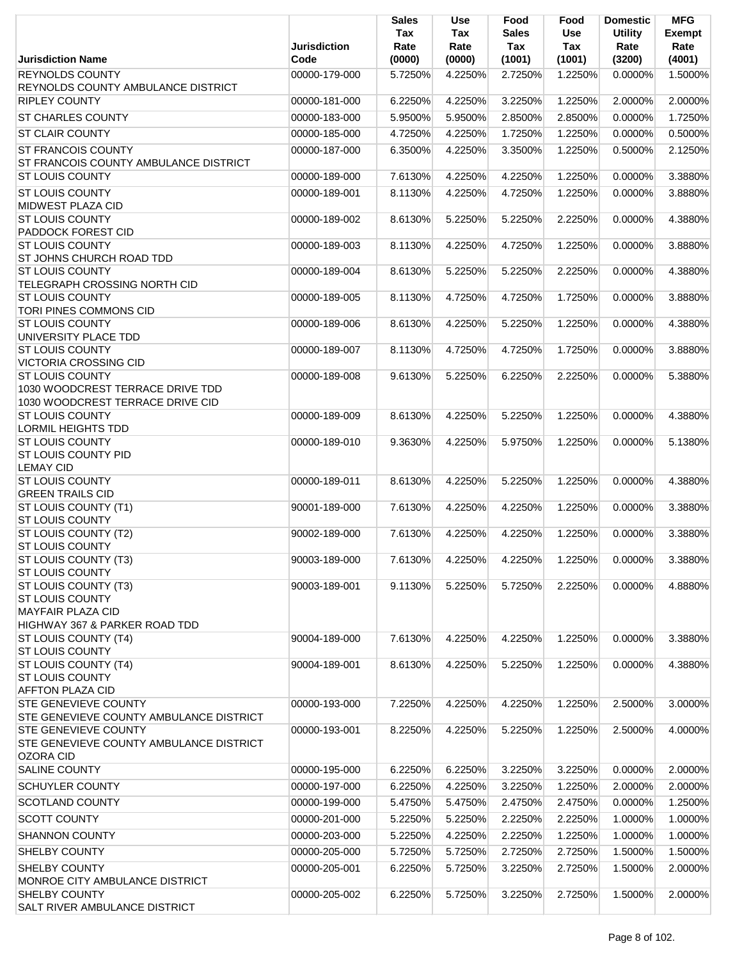|                                                                                                |                             | <b>Sales</b><br>Tax | <b>Use</b><br>Tax | Food<br><b>Sales</b> | Food<br><b>Use</b> | <b>Domestic</b><br><b>Utility</b> | <b>MFG</b><br>Exempt |
|------------------------------------------------------------------------------------------------|-----------------------------|---------------------|-------------------|----------------------|--------------------|-----------------------------------|----------------------|
| <b>Jurisdiction Name</b>                                                                       | <b>Jurisdiction</b><br>Code | Rate<br>(0000)      | Rate<br>(0000)    | Tax<br>(1001)        | Tax<br>(1001)      | Rate<br>(3200)                    | Rate<br>(4001)       |
| <b>REYNOLDS COUNTY</b><br><b>REYNOLDS COUNTY AMBULANCE DISTRICT</b>                            | 00000-179-000               | 5.7250%             | 4.2250%           | 2.7250%              | 1.2250%            | 0.0000%                           | 1.5000%              |
| <b>RIPLEY COUNTY</b>                                                                           | 00000-181-000               | 6.2250%             | 4.2250%           | 3.2250%              | 1.2250%            | 2.0000%                           | 2.0000%              |
| <b>ST CHARLES COUNTY</b>                                                                       | 00000-183-000               | 5.9500%             | 5.9500%           | 2.8500%              | 2.8500%            | 0.0000%                           | 1.7250%              |
| <b>ST CLAIR COUNTY</b>                                                                         | 00000-185-000               | 4.7250%             | 4.2250%           | 1.7250%              | 1.2250%            | 0.0000%                           | 0.5000%              |
| <b>ST FRANCOIS COUNTY</b><br>ST FRANCOIS COUNTY AMBULANCE DISTRICT                             | 00000-187-000               | 6.3500%             | 4.2250%           | 3.3500%              | 1.2250%            | 0.5000%                           | 2.1250%              |
| <b>ST LOUIS COUNTY</b>                                                                         | 00000-189-000               | 7.6130%             | 4.2250%           | 4.2250%              | 1.2250%            | 0.0000%                           | 3.3880%              |
| <b>ST LOUIS COUNTY</b><br>MIDWEST PLAZA CID                                                    | 00000-189-001               | 8.1130%             | 4.2250%           | 4.7250%              | 1.2250%            | 0.0000%                           | 3.8880%              |
| <b>ST LOUIS COUNTY</b><br>PADDOCK FOREST CID                                                   | 00000-189-002               | 8.6130%             | 5.2250%           | 5.2250%              | 2.2250%            | 0.0000%                           | 4.3880%              |
| <b>ST LOUIS COUNTY</b><br>ST JOHNS CHURCH ROAD TDD                                             | 00000-189-003               | 8.1130%             | 4.2250%           | 4.7250%              | 1.2250%            | 0.0000%                           | 3.8880%              |
| <b>ST LOUIS COUNTY</b><br>TELEGRAPH CROSSING NORTH CID                                         | 00000-189-004               | 8.6130%             | 5.2250%           | 5.2250%              | 2.2250%            | 0.0000%                           | 4.3880%              |
| <b>ST LOUIS COUNTY</b><br><b>TORI PINES COMMONS CID</b>                                        | 00000-189-005               | 8.1130%             | 4.7250%           | 4.7250%              | 1.7250%            | 0.0000%                           | 3.8880%              |
| <b>ST LOUIS COUNTY</b><br>UNIVERSITY PLACE TDD                                                 | 00000-189-006               | 8.6130%             | 4.2250%           | 5.2250%              | 1.2250%            | 0.0000%                           | 4.3880%              |
| <b>ST LOUIS COUNTY</b><br><b>VICTORIA CROSSING CID</b>                                         | 00000-189-007               | 8.1130%             | 4.7250%           | 4.7250%              | 1.7250%            | 0.0000%                           | 3.8880%              |
| <b>ST LOUIS COUNTY</b><br>1030 WOODCREST TERRACE DRIVE TDD<br>1030 WOODCREST TERRACE DRIVE CID | 00000-189-008               | 9.6130%             | 5.2250%           | 6.2250%              | 2.2250%            | 0.0000%                           | 5.3880%              |
| <b>ST LOUIS COUNTY</b><br><b>LORMIL HEIGHTS TDD</b>                                            | 00000-189-009               | 8.6130%             | 4.2250%           | 5.2250%              | 1.2250%            | 0.0000%                           | 4.3880%              |
| <b>ST LOUIS COUNTY</b><br>ST LOUIS COUNTY PID<br><b>LEMAY CID</b>                              | 00000-189-010               | 9.3630%             | 4.2250%           | 5.9750%              | 1.2250%            | 0.0000%                           | 5.1380%              |
| <b>ST LOUIS COUNTY</b><br><b>GREEN TRAILS CID</b>                                              | 00000-189-011               | 8.6130%             | 4.2250%           | 5.2250%              | 1.2250%            | 0.0000%                           | 4.3880%              |
| ST LOUIS COUNTY (T1)<br><b>ST LOUIS COUNTY</b>                                                 | 90001-189-000               | 7.6130%             | 4.2250%           | 4.2250%              | 1.2250%            | 0.0000%                           | 3.3880%              |
| ST LOUIS COUNTY (T2)<br>ST LOUIS COUNTY                                                        | 90002-189-000               | 7.6130%             | 4.2250%           | 4.2250%              | 1.2250%            | 0.0000%                           | 3.3880%              |
| ST LOUIS COUNTY (T3)<br><b>ST LOUIS COUNTY</b>                                                 | 90003-189-000               | 7.6130%             | 4.2250%           | 4.2250%              | 1.2250%            | 0.0000%                           | 3.3880%              |
| ST LOUIS COUNTY (T3)<br><b>ST LOUIS COUNTY</b><br><b>MAYFAIR PLAZA CID</b>                     | 90003-189-001               | 9.1130%             | 5.2250%           | 5.7250%              | 2.2250%            | 0.0000%                           | 4.8880%              |
| HIGHWAY 367 & PARKER ROAD TDD                                                                  |                             |                     |                   |                      |                    |                                   |                      |
| ST LOUIS COUNTY (T4)<br><b>ST LOUIS COUNTY</b>                                                 | 90004-189-000               | 7.6130%             | 4.2250%           | 4.2250%              | 1.2250%            | 0.0000%                           | 3.3880%              |
| ST LOUIS COUNTY (T4)<br><b>ST LOUIS COUNTY</b><br><b>AFFTON PLAZA CID</b>                      | 90004-189-001               | 8.6130%             | 4.2250%           | 5.2250%              | 1.2250%            | $0.0000\%$                        | 4.3880%              |
| <b>STE GENEVIEVE COUNTY</b><br>STE GENEVIEVE COUNTY AMBULANCE DISTRICT                         | 00000-193-000               | 7.2250%             | 4.2250%           | 4.2250%              | 1.2250%            | 2.5000%                           | 3.0000%              |
| <b>STE GENEVIEVE COUNTY</b><br>STE GENEVIEVE COUNTY AMBULANCE DISTRICT<br><b>OZORA CID</b>     | 00000-193-001               | 8.2250%             | 4.2250%           | 5.2250%              | 1.2250%            | 2.5000%                           | 4.0000%              |
| <b>SALINE COUNTY</b>                                                                           | 00000-195-000               | 6.2250%             | 6.2250%           | 3.2250%              | 3.2250%            | 0.0000%                           | 2.0000%              |
| <b>SCHUYLER COUNTY</b>                                                                         | 00000-197-000               | 6.2250%             | 4.2250%           | 3.2250%              | 1.2250%            | 2.0000%                           | 2.0000%              |
| <b>SCOTLAND COUNTY</b>                                                                         | 00000-199-000               | 5.4750%             | 5.4750%           | 2.4750%              | 2.4750%            | 0.0000%                           | 1.2500%              |
| <b>SCOTT COUNTY</b>                                                                            | 00000-201-000               | 5.2250%             | 5.2250%           | 2.2250%              | 2.2250%            | 1.0000%                           | 1.0000%              |
| <b>SHANNON COUNTY</b>                                                                          | 00000-203-000               | 5.2250%             | 4.2250%           | 2.2250%              | 1.2250%            | 1.0000%                           | 1.0000%              |
| <b>SHELBY COUNTY</b>                                                                           | 00000-205-000               | 5.7250%             | 5.7250%           | 2.7250%              | 2.7250%            | 1.5000%                           | 1.5000%              |
| SHELBY COUNTY<br>MONROE CITY AMBULANCE DISTRICT                                                | 00000-205-001               | 6.2250%             | 5.7250%           | 3.2250%              | 2.7250%            | 1.5000%                           | 2.0000%              |
| <b>SHELBY COUNTY</b><br>SALT RIVER AMBULANCE DISTRICT                                          | 00000-205-002               | 6.2250%             | 5.7250%           | 3.2250%              | 2.7250%            | 1.5000%                           | 2.0000%              |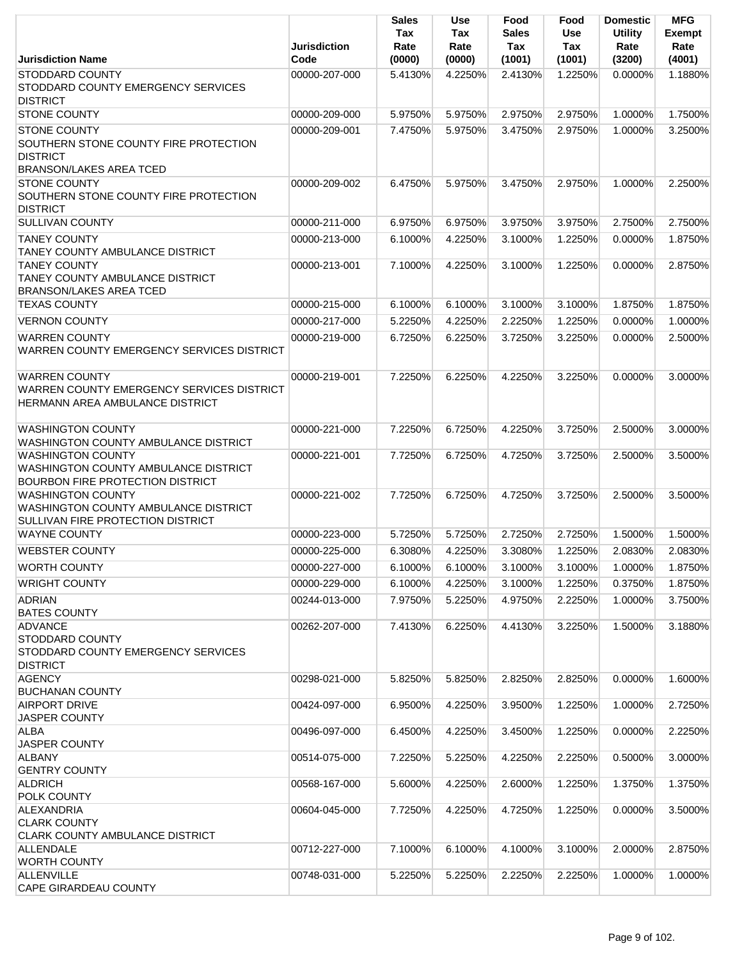|                                                                                                                   | <b>Jurisdiction</b> | <b>Sales</b><br>Tax<br>Rate | Use<br>Tax<br>Rate | Food<br><b>Sales</b><br>Tax | Food<br><b>Use</b><br>Tax | <b>Domestic</b><br><b>Utility</b><br>Rate | <b>MFG</b><br><b>Exempt</b><br>Rate |
|-------------------------------------------------------------------------------------------------------------------|---------------------|-----------------------------|--------------------|-----------------------------|---------------------------|-------------------------------------------|-------------------------------------|
| <b>Jurisdiction Name</b>                                                                                          | Code                | (0000)                      | (0000)             | (1001)                      | (1001)                    | (3200)                                    | (4001)                              |
| <b>STODDARD COUNTY</b><br>STODDARD COUNTY EMERGENCY SERVICES<br><b>DISTRICT</b>                                   | 00000-207-000       | 5.4130%                     | 4.2250%            | 2.4130%                     | 1.2250%                   | $0.0000\%$                                | 1.1880%                             |
| <b>STONE COUNTY</b>                                                                                               | 00000-209-000       | 5.9750%                     | 5.9750%            | 2.9750%                     | 2.9750%                   | 1.0000%                                   | 1.7500%                             |
| <b>STONE COUNTY</b><br>SOUTHERN STONE COUNTY FIRE PROTECTION<br><b>DISTRICT</b><br><b>BRANSON/LAKES AREA TCED</b> | 00000-209-001       | 7.4750%                     | 5.9750%            | 3.4750%                     | 2.9750%                   | 1.0000%                                   | 3.2500%                             |
| <b>STONE COUNTY</b><br>SOUTHERN STONE COUNTY FIRE PROTECTION<br><b>DISTRICT</b>                                   | 00000-209-002       | 6.4750%                     | 5.9750%            | 3.4750%                     | 2.9750%                   | 1.0000%                                   | 2.2500%                             |
| <b>SULLIVAN COUNTY</b>                                                                                            | 00000-211-000       | 6.9750%                     | 6.9750%            | 3.9750%                     | 3.9750%                   | 2.7500%                                   | 2.7500%                             |
| <b>TANEY COUNTY</b><br><b>TANEY COUNTY AMBULANCE DISTRICT</b>                                                     | 00000-213-000       | 6.1000%                     | 4.2250%            | 3.1000%                     | 1.2250%                   | 0.0000%                                   | 1.8750%                             |
| <b>TANEY COUNTY</b><br>TANEY COUNTY AMBULANCE DISTRICT<br><b>BRANSON/LAKES AREA TCED</b>                          | 00000-213-001       | 7.1000%                     | 4.2250%            | 3.1000%                     | 1.2250%                   | 0.0000%                                   | 2.8750%                             |
| <b>TEXAS COUNTY</b>                                                                                               | 00000-215-000       | 6.1000%                     | 6.1000%            | 3.1000%                     | 3.1000%                   | 1.8750%                                   | 1.8750%                             |
| <b>VERNON COUNTY</b>                                                                                              | 00000-217-000       | 5.2250%                     | 4.2250%            | 2.2250%                     | 1.2250%                   | 0.0000%                                   | 1.0000%                             |
| <b>WARREN COUNTY</b><br>WARREN COUNTY EMERGENCY SERVICES DISTRICT                                                 | 00000-219-000       | 6.7250%                     | 6.2250%            | 3.7250%                     | 3.2250%                   | 0.0000%                                   | 2.5000%                             |
| <b>WARREN COUNTY</b><br>WARREN COUNTY EMERGENCY SERVICES DISTRICT<br>HERMANN AREA AMBULANCE DISTRICT              | 00000-219-001       | 7.2250%                     | 6.2250%            | 4.2250%                     | 3.2250%                   | 0.0000%                                   | 3.0000%                             |
| <b>WASHINGTON COUNTY</b><br>WASHINGTON COUNTY AMBULANCE DISTRICT                                                  | 00000-221-000       | 7.2250%                     | 6.7250%            | 4.2250%                     | 3.7250%                   | 2.5000%                                   | 3.0000%                             |
| <b>WASHINGTON COUNTY</b><br>WASHINGTON COUNTY AMBULANCE DISTRICT<br><b>BOURBON FIRE PROTECTION DISTRICT</b>       | 00000-221-001       | 7.7250%                     | 6.7250%            | 4.7250%                     | 3.7250%                   | 2.5000%                                   | 3.5000%                             |
| <b>WASHINGTON COUNTY</b><br>WASHINGTON COUNTY AMBULANCE DISTRICT<br>SULLIVAN FIRE PROTECTION DISTRICT             | 00000-221-002       | 7.7250%                     | 6.7250%            | 4.7250%                     | 3.7250%                   | 2.5000%                                   | 3.5000%                             |
| <b>WAYNE COUNTY</b>                                                                                               | 00000-223-000       | 5.7250%                     | 5.7250%            | 2.7250%                     | 2.7250%                   | 1.5000%                                   | 1.5000%                             |
| <b>WEBSTER COUNTY</b>                                                                                             | 00000-225-000       | 6.3080%                     | 4.2250%            | 3.3080%                     | 1.2250%                   | 2.0830%                                   | 2.0830%                             |
| <b>WORTH COUNTY</b>                                                                                               | 00000-227-000       | 6.1000%                     | 6.1000%            | 3.1000%                     | 3.1000%                   | 1.0000%                                   | 1.8750%                             |
| <b>WRIGHT COUNTY</b>                                                                                              | 00000-229-000       | 6.1000%                     | 4.2250%            | 3.1000%                     | 1.2250%                   | 0.3750%                                   | 1.8750%                             |
| <b>ADRIAN</b><br><b>BATES COUNTY</b>                                                                              | 00244-013-000       | 7.9750%                     | 5.2250%            | 4.9750%                     | 2.2250%                   | 1.0000%                                   | 3.7500%                             |
| <b>ADVANCE</b><br>STODDARD COUNTY<br>STODDARD COUNTY EMERGENCY SERVICES<br><b>DISTRICT</b>                        | 00262-207-000       | 7.4130%                     | 6.2250%            | 4.4130%                     | 3.2250%                   | 1.5000%                                   | 3.1880%                             |
| <b>AGENCY</b><br><b>BUCHANAN COUNTY</b>                                                                           | 00298-021-000       | 5.8250%                     | 5.8250%            | 2.8250%                     | 2.8250%                   | 0.0000%                                   | 1.6000%                             |
| <b>AIRPORT DRIVE</b><br><b>JASPER COUNTY</b>                                                                      | 00424-097-000       | 6.9500%                     | 4.2250%            | 3.9500%                     | 1.2250%                   | 1.0000%                                   | 2.7250%                             |
| <b>ALBA</b><br><b>JASPER COUNTY</b>                                                                               | 00496-097-000       | 6.4500%                     | 4.2250%            | 3.4500%                     | 1.2250%                   | 0.0000%                                   | 2.2250%                             |
| <b>ALBANY</b><br><b>GENTRY COUNTY</b>                                                                             | 00514-075-000       | 7.2250%                     | 5.2250%            | 4.2250%                     | 2.2250%                   | 0.5000%                                   | 3.0000%                             |
| <b>ALDRICH</b><br><b>POLK COUNTY</b>                                                                              | 00568-167-000       | 5.6000%                     | 4.2250%            | 2.6000%                     | 1.2250%                   | 1.3750%                                   | 1.3750%                             |
| ALEXANDRIA<br><b>CLARK COUNTY</b><br><b>CLARK COUNTY AMBULANCE DISTRICT</b>                                       | 00604-045-000       | 7.7250%                     | 4.2250%            | 4.7250%                     | 1.2250%                   | 0.0000%                                   | 3.5000%                             |
| <b>ALLENDALE</b><br><b>WORTH COUNTY</b>                                                                           | 00712-227-000       | 7.1000%                     | 6.1000%            | 4.1000%                     | 3.1000%                   | 2.0000%                                   | 2.8750%                             |
| <b>ALLENVILLE</b><br><b>CAPE GIRARDEAU COUNTY</b>                                                                 | 00748-031-000       | 5.2250%                     | 5.2250%            | 2.2250%                     | 2.2250%                   | 1.0000%                                   | 1.0000%                             |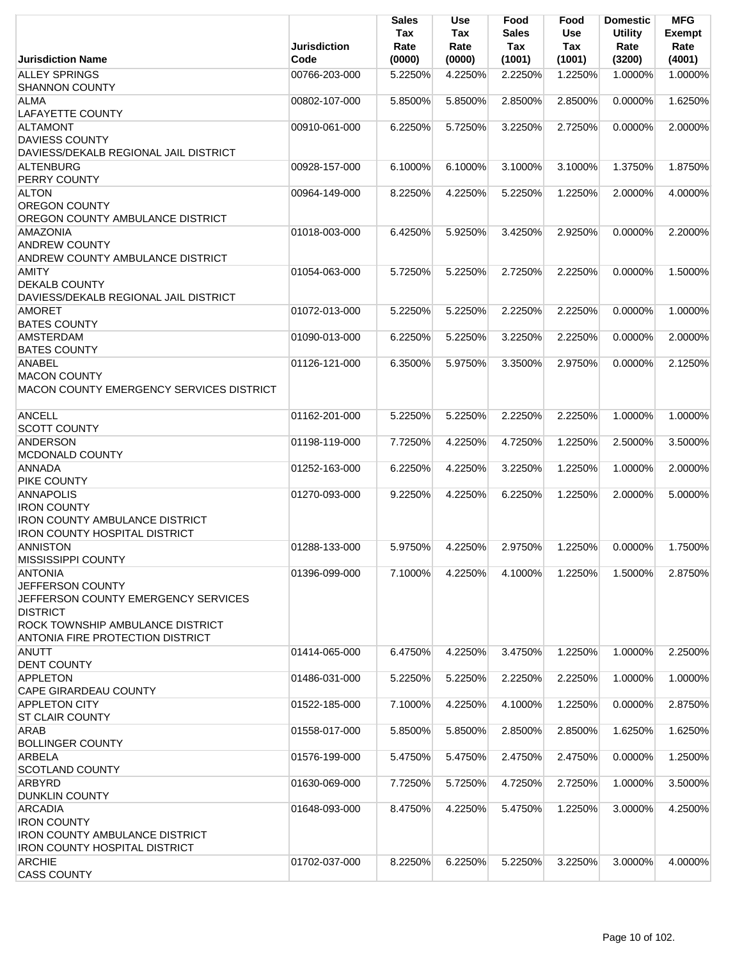| <b>Jurisdiction Name</b>                               | <b>Jurisdiction</b><br>Code | <b>Sales</b><br>Tax<br>Rate<br>(0000) | Use<br>Tax<br>Rate<br>(0000) | Food<br><b>Sales</b><br>Tax<br>(1001) | Food<br><b>Use</b><br>Tax<br>(1001) | <b>Domestic</b><br><b>Utility</b><br>Rate<br>(3200) | <b>MFG</b><br>Exempt<br>Rate<br>(4001) |
|--------------------------------------------------------|-----------------------------|---------------------------------------|------------------------------|---------------------------------------|-------------------------------------|-----------------------------------------------------|----------------------------------------|
| <b>ALLEY SPRINGS</b>                                   | 00766-203-000               | 5.2250%                               | 4.2250%                      | 2.2250%                               | 1.2250%                             | 1.0000%                                             | 1.0000%                                |
| <b>SHANNON COUNTY</b>                                  |                             |                                       |                              |                                       |                                     |                                                     |                                        |
| <b>ALMA</b>                                            | 00802-107-000               | 5.8500%                               | 5.8500%                      | 2.8500%                               | 2.8500%                             | 0.0000%                                             | 1.6250%                                |
| <b>LAFAYETTE COUNTY</b>                                |                             |                                       |                              |                                       |                                     |                                                     |                                        |
| <b>ALTAMONT</b>                                        | 00910-061-000               | 6.2250%                               | 5.7250%                      | 3.2250%                               | 2.7250%                             | 0.0000%                                             | 2.0000%                                |
| <b>DAVIESS COUNTY</b>                                  |                             |                                       |                              |                                       |                                     |                                                     |                                        |
| DAVIESS/DEKALB REGIONAL JAIL DISTRICT                  |                             |                                       |                              |                                       |                                     |                                                     |                                        |
| <b>ALTENBURG</b><br><b>PERRY COUNTY</b>                | 00928-157-000               | 6.1000%                               | 6.1000%                      | 3.1000%                               | 3.1000%                             | 1.3750%                                             | 1.8750%                                |
| <b>ALTON</b>                                           | 00964-149-000               | 8.2250%                               | 4.2250%                      | 5.2250%                               | 1.2250%                             | 2.0000%                                             | 4.0000%                                |
| <b>OREGON COUNTY</b>                                   |                             |                                       |                              |                                       |                                     |                                                     |                                        |
| OREGON COUNTY AMBULANCE DISTRICT                       |                             |                                       |                              |                                       |                                     |                                                     |                                        |
| AMAZONIA                                               | 01018-003-000               | 6.4250%                               | 5.9250%                      | 3.4250%                               | 2.9250%                             | 0.0000%                                             | 2.2000%                                |
| <b>ANDREW COUNTY</b>                                   |                             |                                       |                              |                                       |                                     |                                                     |                                        |
| ANDREW COUNTY AMBULANCE DISTRICT                       |                             |                                       |                              |                                       |                                     |                                                     |                                        |
| <b>AMITY</b>                                           | 01054-063-000               | 5.7250%                               | 5.2250%                      | 2.7250%                               | 2.2250%                             | 0.0000%                                             | 1.5000%                                |
| <b>DEKALB COUNTY</b>                                   |                             |                                       |                              |                                       |                                     |                                                     |                                        |
| DAVIESS/DEKALB REGIONAL JAIL DISTRICT<br><b>AMORET</b> | 01072-013-000               | 5.2250%                               | 5.2250%                      | 2.2250%                               | 2.2250%                             | 0.0000%                                             | 1.0000%                                |
| <b>BATES COUNTY</b>                                    |                             |                                       |                              |                                       |                                     |                                                     |                                        |
| <b>AMSTERDAM</b>                                       | 01090-013-000               | 6.2250%                               | 5.2250%                      | 3.2250%                               | 2.2250%                             | 0.0000%                                             | 2.0000%                                |
| <b>BATES COUNTY</b>                                    |                             |                                       |                              |                                       |                                     |                                                     |                                        |
| <b>ANABEL</b>                                          | 01126-121-000               | 6.3500%                               | 5.9750%                      | 3.3500%                               | 2.9750%                             | 0.0000%                                             | 2.1250%                                |
| <b>MACON COUNTY</b>                                    |                             |                                       |                              |                                       |                                     |                                                     |                                        |
| MACON COUNTY EMERGENCY SERVICES DISTRICT               |                             |                                       |                              |                                       |                                     |                                                     |                                        |
|                                                        |                             |                                       |                              |                                       |                                     |                                                     |                                        |
| <b>ANCELL</b><br><b>SCOTT COUNTY</b>                   | 01162-201-000               | 5.2250%                               | 5.2250%                      | 2.2250%                               | 2.2250%                             | 1.0000%                                             | 1.0000%                                |
| <b>ANDERSON</b>                                        | 01198-119-000               | 7.7250%                               | 4.2250%                      | 4.7250%                               | 1.2250%                             | 2.5000%                                             | 3.5000%                                |
| MCDONALD COUNTY                                        |                             |                                       |                              |                                       |                                     |                                                     |                                        |
| <b>ANNADA</b>                                          | 01252-163-000               | 6.2250%                               | 4.2250%                      | 3.2250%                               | 1.2250%                             | 1.0000%                                             | 2.0000%                                |
| PIKE COUNTY                                            |                             |                                       |                              |                                       |                                     |                                                     |                                        |
| <b>ANNAPOLIS</b>                                       | 01270-093-000               | 9.2250%                               | 4.2250%                      | 6.2250%                               | 1.2250%                             | 2.0000%                                             | 5.0000%                                |
| <b>IRON COUNTY</b>                                     |                             |                                       |                              |                                       |                                     |                                                     |                                        |
| <b>IRON COUNTY AMBULANCE DISTRICT</b>                  |                             |                                       |                              |                                       |                                     |                                                     |                                        |
| <b>IRON COUNTY HOSPITAL DISTRICT</b>                   |                             |                                       |                              |                                       |                                     |                                                     |                                        |
| <b>ANNISTON</b><br><b>MISSISSIPPI COUNTY</b>           | 01288-133-000               | 5.9750%                               | 4.2250%                      | 2.9750%                               | 1.2250%                             | 0.0000%                                             | 1.7500%                                |
| <b>ANTONIA</b>                                         | 01396-099-000               | 7.1000%                               | 4.2250%                      | 4.1000%                               | 1.2250%                             | 1.5000%                                             | 2.8750%                                |
| JEFFERSON COUNTY                                       |                             |                                       |                              |                                       |                                     |                                                     |                                        |
| JEFFERSON COUNTY EMERGENCY SERVICES                    |                             |                                       |                              |                                       |                                     |                                                     |                                        |
| <b>DISTRICT</b>                                        |                             |                                       |                              |                                       |                                     |                                                     |                                        |
| ROCK TOWNSHIP AMBULANCE DISTRICT                       |                             |                                       |                              |                                       |                                     |                                                     |                                        |
| ANTONIA FIRE PROTECTION DISTRICT                       |                             |                                       |                              |                                       |                                     |                                                     |                                        |
| <b>ANUTT</b>                                           | 01414-065-000               | 6.4750%                               | 4.2250%                      | 3.4750%                               | 1.2250%                             | 1.0000%                                             | 2.2500%                                |
| <b>DENT COUNTY</b>                                     |                             |                                       |                              |                                       |                                     |                                                     |                                        |
| <b>APPLETON</b><br><b>CAPE GIRARDEAU COUNTY</b>        | 01486-031-000               | 5.2250%                               | 5.2250%                      | 2.2250%                               | 2.2250%                             | 1.0000%                                             | 1.0000%                                |
| <b>APPLETON CITY</b>                                   | 01522-185-000               | 7.1000%                               | 4.2250%                      | 4.1000%                               | 1.2250%                             | 0.0000%                                             | 2.8750%                                |
| <b>ST CLAIR COUNTY</b>                                 |                             |                                       |                              |                                       |                                     |                                                     |                                        |
| <b>ARAB</b>                                            | 01558-017-000               | 5.8500%                               | 5.8500%                      | 2.8500%                               | 2.8500%                             | 1.6250%                                             | 1.6250%                                |
| <b>BOLLINGER COUNTY</b>                                |                             |                                       |                              |                                       |                                     |                                                     |                                        |
| <b>ARBELA</b>                                          | 01576-199-000               | 5.4750%                               | 5.4750%                      | 2.4750%                               | 2.4750%                             | 0.0000%                                             | 1.2500%                                |
| <b>SCOTLAND COUNTY</b>                                 |                             |                                       |                              |                                       |                                     |                                                     |                                        |
| ARBYRD                                                 | 01630-069-000               | 7.7250%                               | 5.7250%                      | 4.7250%                               | 2.7250%                             | 1.0000%                                             | 3.5000%                                |
| <b>DUNKLIN COUNTY</b>                                  |                             |                                       |                              |                                       |                                     |                                                     |                                        |
| <b>ARCADIA</b><br><b>IRON COUNTY</b>                   | 01648-093-000               | 8.4750%                               | 4.2250%                      | 5.4750%                               | 1.2250%                             | 3.0000%                                             | 4.2500%                                |
| <b>IRON COUNTY AMBULANCE DISTRICT</b>                  |                             |                                       |                              |                                       |                                     |                                                     |                                        |
| <b>IRON COUNTY HOSPITAL DISTRICT</b>                   |                             |                                       |                              |                                       |                                     |                                                     |                                        |
| <b>ARCHIE</b>                                          | 01702-037-000               | 8.2250%                               | 6.2250%                      | 5.2250%                               | 3.2250%                             | 3.0000%                                             | 4.0000%                                |
| <b>CASS COUNTY</b>                                     |                             |                                       |                              |                                       |                                     |                                                     |                                        |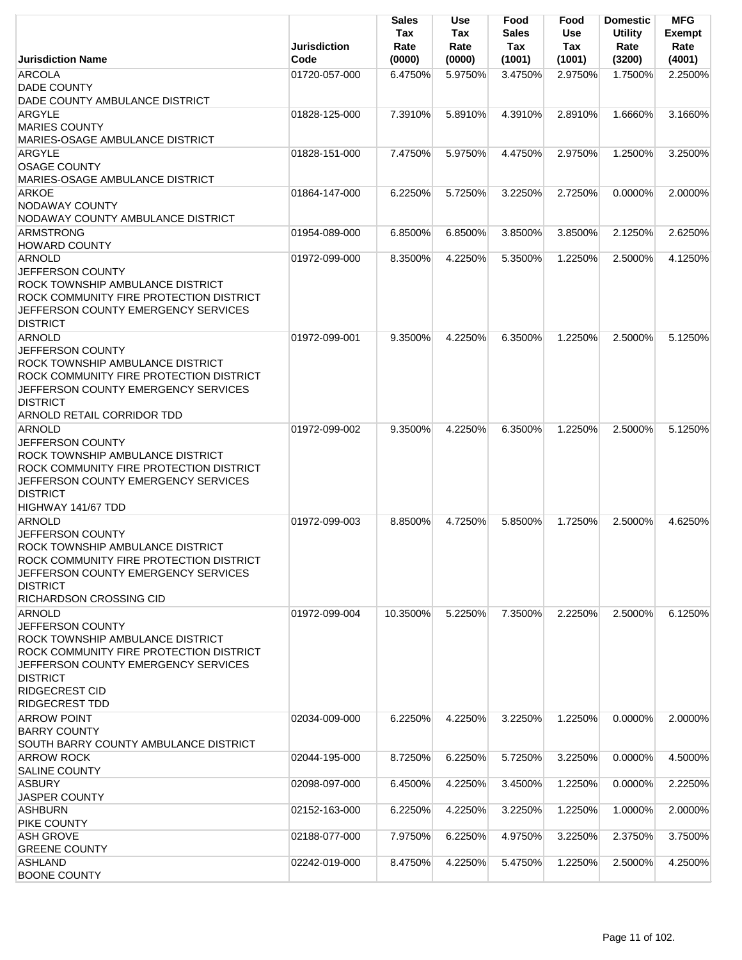|                                                                                                                                                                                                                              | <b>Jurisdiction</b> | <b>Sales</b><br>Tax<br>Rate | <b>Use</b><br>Tax<br>Rate | Food<br><b>Sales</b><br>Tax | Food<br><b>Use</b><br>Tax | <b>Domestic</b><br><b>Utility</b><br>Rate | <b>MFG</b><br><b>Exempt</b><br>Rate |
|------------------------------------------------------------------------------------------------------------------------------------------------------------------------------------------------------------------------------|---------------------|-----------------------------|---------------------------|-----------------------------|---------------------------|-------------------------------------------|-------------------------------------|
| <b>Jurisdiction Name</b>                                                                                                                                                                                                     | Code                | (0000)                      | (0000)                    | (1001)                      | (1001)                    | (3200)                                    | (4001)                              |
| <b>ARCOLA</b><br><b>DADE COUNTY</b><br>DADE COUNTY AMBULANCE DISTRICT                                                                                                                                                        | 01720-057-000       | 6.4750%                     | 5.9750%                   | 3.4750%                     | 2.9750%                   | 1.7500%                                   | 2.2500%                             |
| <b>ARGYLE</b><br><b>MARIES COUNTY</b><br><b>MARIES-OSAGE AMBULANCE DISTRICT</b>                                                                                                                                              | 01828-125-000       | 7.3910%                     | 5.8910%                   | 4.3910%                     | 2.8910%                   | 1.6660%                                   | 3.1660%                             |
| <b>ARGYLE</b><br><b>OSAGE COUNTY</b><br>MARIES-OSAGE AMBULANCE DISTRICT                                                                                                                                                      | 01828-151-000       | 7.4750%                     | 5.9750%                   | 4.4750%                     | 2.9750%                   | 1.2500%                                   | 3.2500%                             |
| <b>ARKOE</b><br><b>NODAWAY COUNTY</b><br>NODAWAY COUNTY AMBULANCE DISTRICT                                                                                                                                                   | 01864-147-000       | 6.2250%                     | 5.7250%                   | 3.2250%                     | 2.7250%                   | $0.0000\%$                                | 2.0000%                             |
| <b>ARMSTRONG</b>                                                                                                                                                                                                             | 01954-089-000       | 6.8500%                     | 6.8500%                   | 3.8500%                     | 3.8500%                   | 2.1250%                                   | 2.6250%                             |
| <b>HOWARD COUNTY</b>                                                                                                                                                                                                         |                     |                             |                           |                             |                           |                                           |                                     |
| <b>ARNOLD</b><br><b>JEFFERSON COUNTY</b><br><b>ROCK TOWNSHIP AMBULANCE DISTRICT</b><br>ROCK COMMUNITY FIRE PROTECTION DISTRICT<br>JEFFERSON COUNTY EMERGENCY SERVICES<br><b>DISTRICT</b>                                     | 01972-099-000       | 8.3500%                     | 4.2250%                   | 5.3500%                     | 1.2250%                   | 2.5000%                                   | 4.1250%                             |
| <b>ARNOLD</b><br>JEFFERSON COUNTY<br>ROCK TOWNSHIP AMBULANCE DISTRICT<br>ROCK COMMUNITY FIRE PROTECTION DISTRICT<br>JEFFERSON COUNTY EMERGENCY SERVICES<br><b>DISTRICT</b><br>ARNOLD RETAIL CORRIDOR TDD                     | 01972-099-001       | 9.3500%                     | 4.2250%                   | 6.3500%                     | 1.2250%                   | 2.5000%                                   | 5.1250%                             |
| <b>ARNOLD</b><br><b>JEFFERSON COUNTY</b><br><b>ROCK TOWNSHIP AMBULANCE DISTRICT</b><br>ROCK COMMUNITY FIRE PROTECTION DISTRICT<br>JEFFERSON COUNTY EMERGENCY SERVICES<br><b>DISTRICT</b><br>HIGHWAY 141/67 TDD               | 01972-099-002       | 9.3500%                     | 4.2250%                   | 6.3500%                     | 1.2250%                   | 2.5000%                                   | 5.1250%                             |
| <b>ARNOLD</b><br><b>JEFFERSON COUNTY</b><br><b>ROCK TOWNSHIP AMBULANCE DISTRICT</b><br>ROCK COMMUNITY FIRE PROTECTION DISTRICT<br>JEFFERSON COUNTY EMERGENCY SERVICES<br><b>DISTRICT</b><br>RICHARDSON CROSSING CID          | 01972-099-003       | 8.8500%                     | 4.7250%                   | 5.8500%                     | 1.7250%                   | 2.5000%                                   | 4.6250%                             |
| <b>ARNOLD</b><br>JEFFERSON COUNTY<br>ROCK TOWNSHIP AMBULANCE DISTRICT<br>ROCK COMMUNITY FIRE PROTECTION DISTRICT<br>JEFFERSON COUNTY EMERGENCY SERVICES<br><b>DISTRICT</b><br><b>RIDGECREST CID</b><br><b>RIDGECREST TDD</b> | 01972-099-004       | 10.3500%                    | 5.2250%                   | 7.3500%                     | 2.2250%                   | 2.5000%                                   | 6.1250%                             |
| <b>ARROW POINT</b><br><b>BARRY COUNTY</b><br>SOUTH BARRY COUNTY AMBULANCE DISTRICT                                                                                                                                           | 02034-009-000       | 6.2250%                     | 4.2250%                   | 3.2250%                     | 1.2250%                   | $0.0000\%$                                | 2.0000%                             |
| ARROW ROCK                                                                                                                                                                                                                   | 02044-195-000       | 8.7250%                     | 6.2250%                   | 5.7250%                     | 3.2250%                   | 0.0000%                                   | 4.5000%                             |
| <b>SALINE COUNTY</b><br><b>ASBURY</b><br><b>JASPER COUNTY</b>                                                                                                                                                                | 02098-097-000       | 6.4500%                     | 4.2250%                   | 3.4500%                     | 1.2250%                   | 0.0000%                                   | 2.2250%                             |
| <b>ASHBURN</b>                                                                                                                                                                                                               | 02152-163-000       | 6.2250%                     | 4.2250%                   | 3.2250%                     | 1.2250%                   | 1.0000%                                   | 2.0000%                             |
| PIKE COUNTY<br><b>ASH GROVE</b>                                                                                                                                                                                              | 02188-077-000       | 7.9750%                     | 6.2250%                   | 4.9750%                     | 3.2250%                   | 2.3750%                                   | 3.7500%                             |
| <b>GREENE COUNTY</b><br><b>ASHLAND</b>                                                                                                                                                                                       | 02242-019-000       | 8.4750%                     | 4.2250%                   | 5.4750%                     | 1.2250%                   | 2.5000%                                   | 4.2500%                             |
| <b>BOONE COUNTY</b>                                                                                                                                                                                                          |                     |                             |                           |                             |                           |                                           |                                     |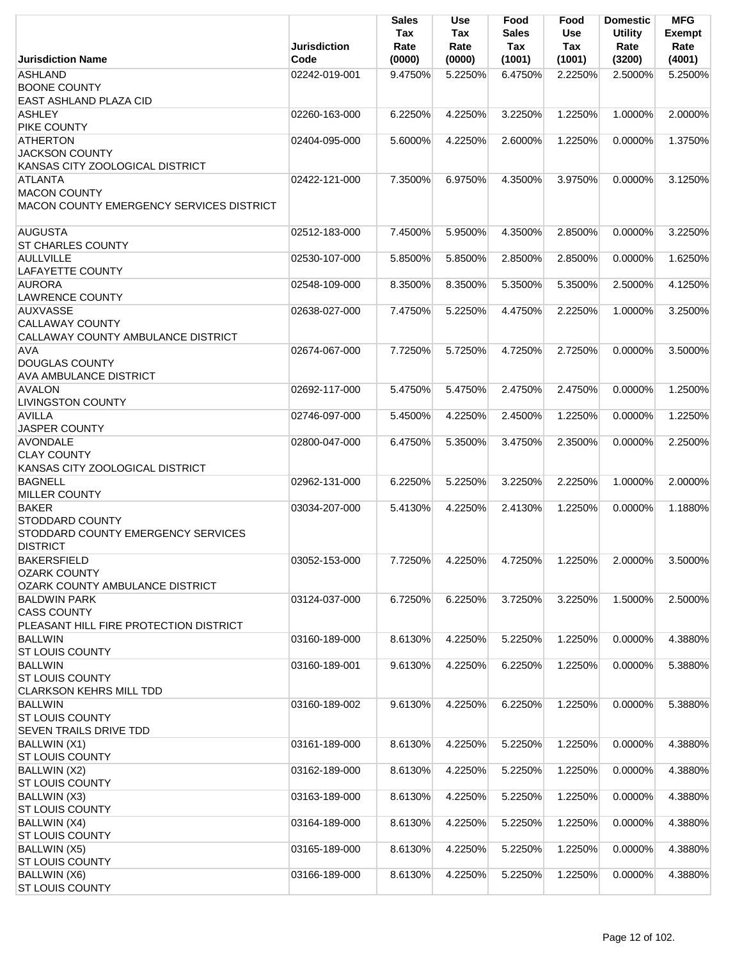|                                                                                   | <b>Jurisdiction</b> | <b>Sales</b><br>Tax<br>Rate | <b>Use</b><br>Tax<br>Rate | Food<br><b>Sales</b><br><b>Tax</b> | Food<br>Use<br>Tax | <b>Domestic</b><br><b>Utility</b><br>Rate | <b>MFG</b><br><b>Exempt</b><br>Rate |
|-----------------------------------------------------------------------------------|---------------------|-----------------------------|---------------------------|------------------------------------|--------------------|-------------------------------------------|-------------------------------------|
| <b>Jurisdiction Name</b>                                                          | Code                | (0000)                      | (0000)                    | (1001)                             | (1001)             | (3200)                                    | (4001)                              |
| <b>ASHLAND</b><br><b>BOONE COUNTY</b>                                             | 02242-019-001       | 9.4750%                     | 5.2250%                   | 6.4750%                            | 2.2250%            | 2.5000%                                   | 5.2500%                             |
| EAST ASHLAND PLAZA CID                                                            |                     |                             |                           |                                    |                    |                                           |                                     |
| <b>ASHLEY</b><br>PIKE COUNTY                                                      | 02260-163-000       | 6.2250%                     | 4.2250%                   | 3.2250%                            | 1.2250%            | 1.0000%                                   | 2.0000%                             |
| <b>ATHERTON</b>                                                                   | 02404-095-000       | 5.6000%                     | 4.2250%                   | 2.6000%                            | 1.2250%            | $0.0000\%$                                | 1.3750%                             |
| <b>JACKSON COUNTY</b><br>KANSAS CITY ZOOLOGICAL DISTRICT                          |                     |                             |                           |                                    |                    |                                           |                                     |
| <b>ATLANTA</b><br><b>MACON COUNTY</b><br>MACON COUNTY EMERGENCY SERVICES DISTRICT | 02422-121-000       | 7.3500%                     | 6.9750%                   | 4.3500%                            | 3.9750%            | 0.0000%                                   | 3.1250%                             |
| <b>AUGUSTA</b><br><b>ST CHARLES COUNTY</b>                                        | 02512-183-000       | 7.4500%                     | 5.9500%                   | 4.3500%                            | 2.8500%            | 0.0000%                                   | 3.2250%                             |
| <b>AULLVILLE</b>                                                                  | 02530-107-000       | 5.8500%                     | 5.8500%                   | 2.8500%                            | 2.8500%            | 0.0000%                                   | 1.6250%                             |
| <b>LAFAYETTE COUNTY</b>                                                           |                     |                             |                           |                                    |                    |                                           |                                     |
| <b>AURORA</b><br><b>LAWRENCE COUNTY</b>                                           | 02548-109-000       | 8.3500%                     | 8.3500%                   | 5.3500%                            | 5.3500%            | 2.5000%                                   | 4.1250%                             |
| <b>AUXVASSE</b>                                                                   | 02638-027-000       | 7.4750%                     | 5.2250%                   | 4.4750%                            | 2.2250%            | 1.0000%                                   | 3.2500%                             |
| <b>CALLAWAY COUNTY</b><br>CALLAWAY COUNTY AMBULANCE DISTRICT                      |                     |                             |                           |                                    |                    |                                           |                                     |
| <b>AVA</b>                                                                        | 02674-067-000       | 7.7250%                     | 5.7250%                   | 4.7250%                            | 2.7250%            | 0.0000%                                   | 3.5000%                             |
| <b>DOUGLAS COUNTY</b>                                                             |                     |                             |                           |                                    |                    |                                           |                                     |
| <b>AVA AMBULANCE DISTRICT</b>                                                     |                     |                             |                           |                                    |                    |                                           |                                     |
| <b>AVALON</b><br><b>LIVINGSTON COUNTY</b>                                         | 02692-117-000       | 5.4750%                     | 5.4750%                   | 2.4750%                            | 2.4750%            | $0.0000\%$                                | 1.2500%                             |
| <b>AVILLA</b><br><b>JASPER COUNTY</b>                                             | 02746-097-000       | 5.4500%                     | 4.2250%                   | 2.4500%                            | 1.2250%            | $0.0000\%$                                | 1.2250%                             |
| <b>AVONDALE</b>                                                                   | 02800-047-000       | 6.4750%                     | 5.3500%                   | 3.4750%                            | 2.3500%            | 0.0000%                                   | 2.2500%                             |
| <b>CLAY COUNTY</b>                                                                |                     |                             |                           |                                    |                    |                                           |                                     |
| KANSAS CITY ZOOLOGICAL DISTRICT                                                   |                     |                             |                           |                                    |                    |                                           |                                     |
| <b>BAGNELL</b><br><b>MILLER COUNTY</b>                                            | 02962-131-000       | 6.2250%                     | 5.2250%                   | 3.2250%                            | 2.2250%            | 1.0000%                                   | 2.0000%                             |
| <b>BAKER</b>                                                                      | 03034-207-000       | 5.4130%                     | 4.2250%                   | 2.4130%                            | 1.2250%            | 0.0000%                                   | 1.1880%                             |
| <b>STODDARD COUNTY</b><br>STODDARD COUNTY EMERGENCY SERVICES<br><b>DISTRICT</b>   |                     |                             |                           |                                    |                    |                                           |                                     |
| <b>BAKERSFIELD</b>                                                                | 03052-153-000       | 7.7250%                     | 4.2250%                   | 4.7250%                            | 1.2250%            | 2.0000%                                   | 3.5000%                             |
| <b>OZARK COUNTY</b><br>OZARK COUNTY AMBULANCE DISTRICT                            |                     |                             |                           |                                    |                    |                                           |                                     |
| <b>BALDWIN PARK</b>                                                               | 03124-037-000       | 6.7250%                     | 6.2250%                   | 3.7250%                            | 3.2250%            | 1.5000%                                   | 2.5000%                             |
| <b>CASS COUNTY</b>                                                                |                     |                             |                           |                                    |                    |                                           |                                     |
| PLEASANT HILL FIRE PROTECTION DISTRICT<br><b>BALLWIN</b>                          | 03160-189-000       |                             | 4.2250%                   |                                    | 1.2250%            | 0.0000%                                   | 4.3880%                             |
| <b>ST LOUIS COUNTY</b>                                                            |                     | 8.6130%                     |                           | 5.2250%                            |                    |                                           |                                     |
| <b>BALLWIN</b>                                                                    | 03160-189-001       | 9.6130%                     | 4.2250%                   | 6.2250%                            | 1.2250%            | 0.0000%                                   | 5.3880%                             |
| <b>ST LOUIS COUNTY</b>                                                            |                     |                             |                           |                                    |                    |                                           |                                     |
| <b>CLARKSON KEHRS MILL TDD</b>                                                    |                     |                             |                           |                                    |                    |                                           |                                     |
| <b>BALLWIN</b><br><b>ST LOUIS COUNTY</b>                                          | 03160-189-002       | 9.6130%                     | 4.2250%                   | 6.2250%                            | 1.2250%            | $0.0000\%$                                | 5.3880%                             |
| SEVEN TRAILS DRIVE TDD                                                            |                     |                             |                           |                                    |                    |                                           |                                     |
| BALLWIN (X1)                                                                      | 03161-189-000       | 8.6130%                     | 4.2250%                   | 5.2250%                            | 1.2250%            | 0.0000%                                   | 4.3880%                             |
| <b>ST LOUIS COUNTY</b>                                                            |                     |                             |                           |                                    |                    |                                           |                                     |
| BALLWIN (X2)<br><b>ST LOUIS COUNTY</b>                                            | 03162-189-000       | 8.6130%                     | 4.2250%                   | 5.2250%                            | 1.2250%            | 0.0000%                                   | 4.3880%                             |
| BALLWIN (X3)<br><b>ST LOUIS COUNTY</b>                                            | 03163-189-000       | 8.6130%                     | 4.2250%                   | 5.2250%                            | 1.2250%            | 0.0000%                                   | 4.3880%                             |
| BALLWIN (X4)                                                                      | 03164-189-000       | 8.6130%                     | 4.2250%                   | 5.2250%                            | 1.2250%            | 0.0000%                                   | 4.3880%                             |
| <b>ST LOUIS COUNTY</b>                                                            |                     |                             |                           |                                    |                    |                                           |                                     |
| BALLWIN (X5)<br><b>ST LOUIS COUNTY</b>                                            | 03165-189-000       | 8.6130%                     | 4.2250%                   | 5.2250%                            | 1.2250%            | 0.0000%                                   | 4.3880%                             |
| BALLWIN (X6)                                                                      | 03166-189-000       | 8.6130%                     | 4.2250%                   | 5.2250%                            | 1.2250%            | 0.0000%                                   | 4.3880%                             |
| <b>ST LOUIS COUNTY</b>                                                            |                     |                             |                           |                                    |                    |                                           |                                     |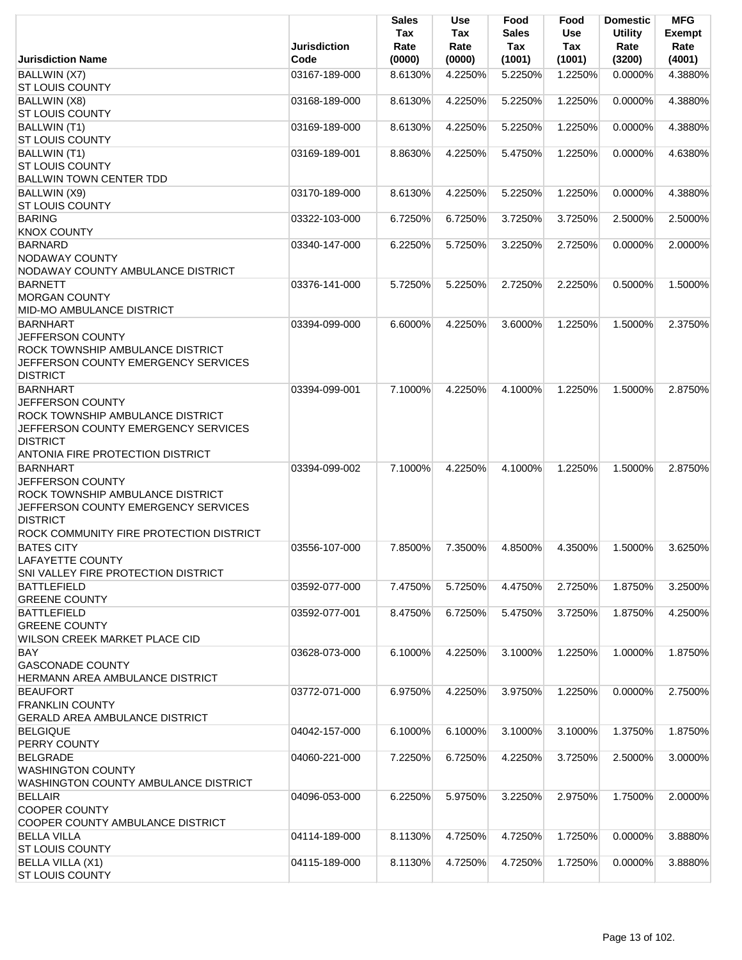|                                                                                                                                                                                     | <b>Jurisdiction</b> | <b>Sales</b><br>Tax<br>Rate | Use<br>Tax<br>Rate | Food<br><b>Sales</b><br>Tax | Food<br>Use<br>Tax | <b>Domestic</b><br><b>Utility</b><br>Rate | <b>MFG</b><br><b>Exempt</b><br>Rate |
|-------------------------------------------------------------------------------------------------------------------------------------------------------------------------------------|---------------------|-----------------------------|--------------------|-----------------------------|--------------------|-------------------------------------------|-------------------------------------|
| <b>Jurisdiction Name</b>                                                                                                                                                            | Code                | (0000)                      | (0000)             | (1001)                      | (1001)             | (3200)                                    | (4001)                              |
| BALLWIN (X7)<br><b>ST LOUIS COUNTY</b>                                                                                                                                              | 03167-189-000       | 8.6130%                     | 4.2250%            | 5.2250%                     | 1.2250%            | 0.0000%                                   | 4.3880%                             |
| BALLWIN (X8)<br><b>ST LOUIS COUNTY</b>                                                                                                                                              | 03168-189-000       | 8.6130%                     | 4.2250%            | 5.2250%                     | 1.2250%            | 0.0000%                                   | 4.3880%                             |
| BALLWIN (T1)<br><b>ST LOUIS COUNTY</b>                                                                                                                                              | 03169-189-000       | 8.6130%                     | 4.2250%            | 5.2250%                     | 1.2250%            | 0.0000%                                   | 4.3880%                             |
| BALLWIN (T1)<br><b>ST LOUIS COUNTY</b><br><b>BALLWIN TOWN CENTER TDD</b>                                                                                                            | 03169-189-001       | 8.8630%                     | 4.2250%            | 5.4750%                     | 1.2250%            | 0.0000%                                   | 4.6380%                             |
| BALLWIN (X9)<br><b>ST LOUIS COUNTY</b>                                                                                                                                              | 03170-189-000       | 8.6130%                     | 4.2250%            | 5.2250%                     | 1.2250%            | 0.0000%                                   | 4.3880%                             |
| <b>BARING</b><br><b>KNOX COUNTY</b>                                                                                                                                                 | 03322-103-000       | 6.7250%                     | 6.7250%            | 3.7250%                     | 3.7250%            | 2.5000%                                   | 2.5000%                             |
| <b>BARNARD</b><br><b>NODAWAY COUNTY</b><br>NODAWAY COUNTY AMBULANCE DISTRICT                                                                                                        | 03340-147-000       | 6.2250%                     | 5.7250%            | 3.2250%                     | 2.7250%            | 0.0000%                                   | 2.0000%                             |
| <b>BARNETT</b><br><b>MORGAN COUNTY</b><br>MID-MO AMBULANCE DISTRICT                                                                                                                 | 03376-141-000       | 5.7250%                     | 5.2250%            | 2.7250%                     | 2.2250%            | 0.5000%                                   | 1.5000%                             |
| <b>BARNHART</b><br>JEFFERSON COUNTY<br>ROCK TOWNSHIP AMBULANCE DISTRICT<br>JEFFERSON COUNTY EMERGENCY SERVICES<br><b>DISTRICT</b>                                                   | 03394-099-000       | 6.6000%                     | 4.2250%            | 3.6000%                     | 1.2250%            | 1.5000%                                   | 2.3750%                             |
| <b>BARNHART</b><br><b>JEFFERSON COUNTY</b><br>ROCK TOWNSHIP AMBULANCE DISTRICT<br>JEFFERSON COUNTY EMERGENCY SERVICES<br><b>DISTRICT</b><br><b>ANTONIA FIRE PROTECTION DISTRICT</b> | 03394-099-001       | 7.1000%                     | 4.2250%            | 4.1000%                     | 1.2250%            | 1.5000%                                   | 2.8750%                             |
| <b>BARNHART</b><br>JEFFERSON COUNTY<br><b>ROCK TOWNSHIP AMBULANCE DISTRICT</b><br>JEFFERSON COUNTY EMERGENCY SERVICES<br><b>DISTRICT</b><br>ROCK COMMUNITY FIRE PROTECTION DISTRICT | 03394-099-002       | 7.1000%                     | 4.2250%            | 4.1000%                     | 1.2250%            | 1.5000%                                   | 2.8750%                             |
| <b>BATES CITY</b><br><b>LAFAYETTE COUNTY</b><br>SNI VALLEY FIRE PROTECTION DISTRICT                                                                                                 | 03556-107-000       | 7.8500%                     | 7.3500%            | 4.8500%                     | 4.3500%            | 1.5000%                                   | 3.6250%                             |
| <b>BATTLEFIELD</b><br><b>GREENE COUNTY</b>                                                                                                                                          | 03592-077-000       | 7.4750%                     | 5.7250%            | 4.4750%                     | 2.7250%            | 1.8750%                                   | 3.2500%                             |
| <b>BATTLEFIELD</b><br><b>GREENE COUNTY</b><br><b>WILSON CREEK MARKET PLACE CID</b>                                                                                                  | 03592-077-001       | 8.4750%                     | 6.7250%            | 5.4750%                     | 3.7250%            | 1.8750%                                   | 4.2500%                             |
| <b>BAY</b><br><b>GASCONADE COUNTY</b><br>HERMANN AREA AMBULANCE DISTRICT                                                                                                            | 03628-073-000       | 6.1000%                     | 4.2250%            | 3.1000%                     | 1.2250%            | 1.0000%                                   | 1.8750%                             |
| <b>BEAUFORT</b><br><b>FRANKLIN COUNTY</b><br><b>GERALD AREA AMBULANCE DISTRICT</b>                                                                                                  | 03772-071-000       | 6.9750%                     | 4.2250%            | 3.9750%                     | 1.2250%            | 0.0000%                                   | 2.7500%                             |
| <b>BELGIQUE</b><br>PERRY COUNTY                                                                                                                                                     | 04042-157-000       | 6.1000%                     | 6.1000%            | 3.1000%                     | 3.1000%            | 1.3750%                                   | 1.8750%                             |
| <b>BELGRADE</b><br><b>WASHINGTON COUNTY</b><br>WASHINGTON COUNTY AMBULANCE DISTRICT                                                                                                 | 04060-221-000       | 7.2250%                     | 6.7250%            | 4.2250%                     | 3.7250%            | 2.5000%                                   | 3.0000%                             |
| <b>BELLAIR</b><br><b>COOPER COUNTY</b><br>COOPER COUNTY AMBULANCE DISTRICT                                                                                                          | 04096-053-000       | 6.2250%                     | 5.9750%            | 3.2250%                     | 2.9750%            | 1.7500%                                   | 2.0000%                             |
| <b>BELLA VILLA</b><br><b>ST LOUIS COUNTY</b>                                                                                                                                        | 04114-189-000       | 8.1130%                     | 4.7250%            | 4.7250%                     | 1.7250%            | 0.0000%                                   | 3.8880%                             |
| <b>BELLA VILLA (X1)</b><br><b>ST LOUIS COUNTY</b>                                                                                                                                   | 04115-189-000       | 8.1130%                     | 4.7250%            | 4.7250%                     | 1.7250%            | 0.0000%                                   | 3.8880%                             |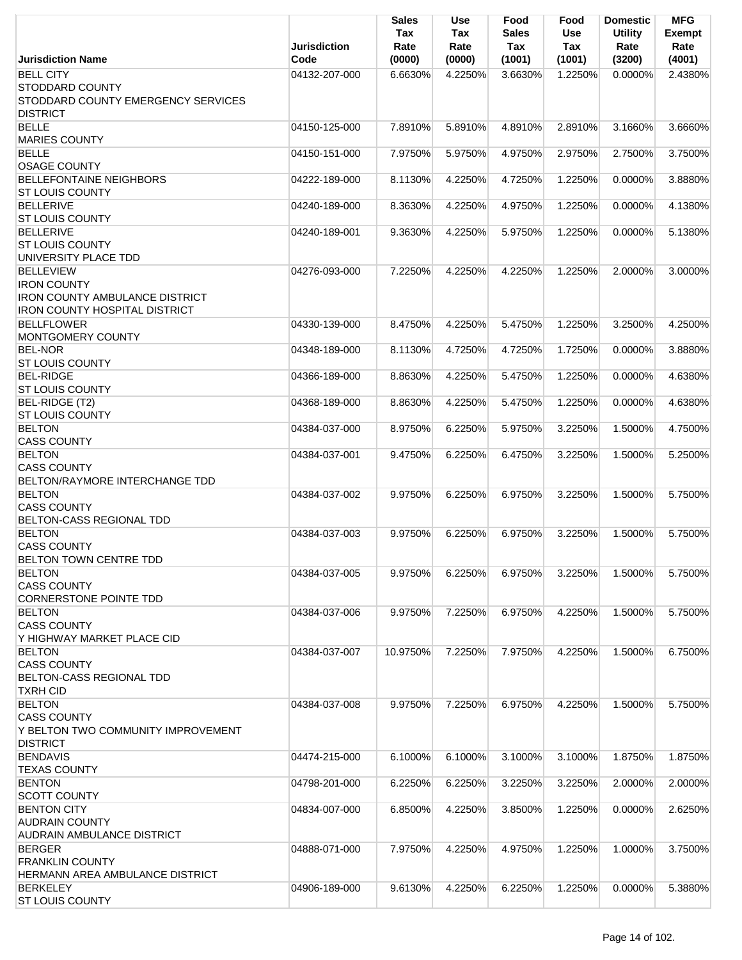|                                                                                                                         | <b>Jurisdiction</b> | <b>Sales</b><br>Tax<br>Rate | Use<br>Tax<br>Rate      | Food<br>Sales<br>Tax | Food<br><b>Use</b><br>Tax | <b>Domestic</b><br><b>Utility</b><br>Rate | <b>MFG</b><br><b>Exempt</b><br>Rate |
|-------------------------------------------------------------------------------------------------------------------------|---------------------|-----------------------------|-------------------------|----------------------|---------------------------|-------------------------------------------|-------------------------------------|
| <b>Jurisdiction Name</b>                                                                                                | Code                | (0000)                      | (0000)                  | (1001)               | (1001)                    | (3200)                                    | (4001)                              |
| <b>BELL CITY</b><br><b>STODDARD COUNTY</b><br>STODDARD COUNTY EMERGENCY SERVICES<br><b>DISTRICT</b>                     | 04132-207-000       | 6.6630%                     | 4.2250%                 | 3.6630%              | 1.2250%                   | $0.0000\%$                                | 2.4380%                             |
| <b>BELLE</b><br><b>MARIES COUNTY</b>                                                                                    | 04150-125-000       | 7.8910%                     | 5.8910%                 | 4.8910%              | 2.8910%                   | 3.1660%                                   | 3.6660%                             |
| <b>BELLE</b><br><b>OSAGE COUNTY</b>                                                                                     | 04150-151-000       | 7.9750%                     | 5.9750%                 | 4.9750%              | 2.9750%                   | 2.7500%                                   | 3.7500%                             |
| <b>BELLEFONTAINE NEIGHBORS</b><br><b>ST LOUIS COUNTY</b>                                                                | 04222-189-000       | 8.1130%                     | 4.2250%                 | 4.7250%              | 1.2250%                   | 0.0000%                                   | 3.8880%                             |
| <b>BELLERIVE</b><br><b>ST LOUIS COUNTY</b>                                                                              | 04240-189-000       | 8.3630%                     | 4.2250%                 | 4.9750%              | 1.2250%                   | 0.0000%                                   | 4.1380%                             |
| <b>BELLERIVE</b><br><b>ST LOUIS COUNTY</b><br>UNIVERSITY PLACE TDD                                                      | 04240-189-001       | 9.3630%                     | 4.2250%                 | 5.9750%              | 1.2250%                   | 0.0000%                                   | 5.1380%                             |
| <b>BELLEVIEW</b><br><b>IRON COUNTY</b><br><b>IRON COUNTY AMBULANCE DISTRICT</b><br><b>IRON COUNTY HOSPITAL DISTRICT</b> | 04276-093-000       | 7.2250%                     | 4.2250%                 | 4.2250%              | 1.2250%                   | 2.0000%                                   | 3.0000%                             |
| <b>BELLFLOWER</b><br>MONTGOMERY COUNTY                                                                                  | 04330-139-000       | 8.4750%                     | 4.2250%                 | 5.4750%              | 1.2250%                   | 3.2500%                                   | 4.2500%                             |
| <b>BEL-NOR</b><br><b>ST LOUIS COUNTY</b>                                                                                | 04348-189-000       | 8.1130%                     | 4.7250%                 | 4.7250%              | 1.7250%                   | 0.0000%                                   | 3.8880%                             |
| <b>BEL-RIDGE</b><br><b>ST LOUIS COUNTY</b>                                                                              | 04366-189-000       | 8.8630%                     | 4.2250%                 | 5.4750%              | 1.2250%                   | 0.0000%                                   | 4.6380%                             |
| BEL-RIDGE (T2)<br><b>ST LOUIS COUNTY</b>                                                                                | 04368-189-000       | 8.8630%                     | 4.2250%                 | 5.4750%              | 1.2250%                   | 0.0000%                                   | 4.6380%                             |
| <b>BELTON</b><br><b>CASS COUNTY</b>                                                                                     | 04384-037-000       | 8.9750%                     | 6.2250%                 | 5.9750%              | 3.2250%                   | 1.5000%                                   | 4.7500%                             |
| <b>BELTON</b><br><b>CASS COUNTY</b><br>BELTON/RAYMORE INTERCHANGE TDD                                                   | 04384-037-001       | 9.4750%                     | 6.2250%                 | 6.4750%              | 3.2250%                   | 1.5000%                                   | 5.2500%                             |
| <b>BELTON</b><br><b>CASS COUNTY</b><br>BELTON-CASS REGIONAL TDD                                                         | 04384-037-002       | 9.9750%                     | 6.2250%                 | 6.9750%              | 3.2250%                   | 1.5000%                                   | 5.7500%                             |
| <b>BELTON</b><br><b>CASS COUNTY</b><br><b>BELTON TOWN CENTRE TDD</b>                                                    | 04384-037-003       |                             | 9.9750% 6.2250% 6.9750% |                      |                           | 3.2250% 1.5000% 5.7500%                   |                                     |
| <b>BELTON</b><br><b>CASS COUNTY</b><br>CORNERSTONE POINTE TDD                                                           | 04384-037-005       | 9.9750%                     | 6.2250%                 | 6.9750%              | 3.2250%                   | 1.5000%                                   | 5.7500%                             |
| <b>BELTON</b><br><b>CASS COUNTY</b><br>Y HIGHWAY MARKET PLACE CID                                                       | 04384-037-006       | 9.9750%                     | 7.2250%                 | 6.9750%              | 4.2250%                   | 1.5000%                                   | 5.7500%                             |
| <b>BELTON</b><br><b>CASS COUNTY</b><br>BELTON-CASS REGIONAL TDD<br><b>TXRH CID</b>                                      | 04384-037-007       | 10.9750%                    | 7.2250%                 | 7.9750%              | 4.2250%                   | 1.5000%                                   | 6.7500%                             |
| <b>BELTON</b><br><b>CASS COUNTY</b><br>Y BELTON TWO COMMUNITY IMPROVEMENT<br><b>DISTRICT</b>                            | 04384-037-008       | 9.9750%                     | 7.2250%                 | 6.9750%              | 4.2250%                   | 1.5000%                                   | 5.7500%                             |
| <b>BENDAVIS</b><br><b>TEXAS COUNTY</b>                                                                                  | 04474-215-000       | 6.1000%                     | 6.1000%                 | 3.1000%              | 3.1000%                   | 1.8750%                                   | 1.8750%                             |
| <b>BENTON</b><br><b>SCOTT COUNTY</b>                                                                                    | 04798-201-000       | 6.2250%                     | 6.2250%                 | 3.2250%              | 3.2250%                   | 2.0000%                                   | 2.0000%                             |
| <b>BENTON CITY</b><br><b>AUDRAIN COUNTY</b><br><b>AUDRAIN AMBULANCE DISTRICT</b>                                        | 04834-007-000       | 6.8500%                     | 4.2250%                 | 3.8500%              | 1.2250%                   | 0.0000%                                   | 2.6250%                             |
| <b>BERGER</b><br><b>FRANKLIN COUNTY</b><br>HERMANN AREA AMBULANCE DISTRICT                                              | 04888-071-000       | 7.9750%                     | 4.2250%                 | 4.9750%              | 1.2250%                   | 1.0000%                                   | 3.7500%                             |
| <b>BERKELEY</b><br><b>ST LOUIS COUNTY</b>                                                                               | 04906-189-000       | 9.6130%                     | 4.2250%                 | 6.2250%              | 1.2250%                   | 0.0000%                                   | 5.3880%                             |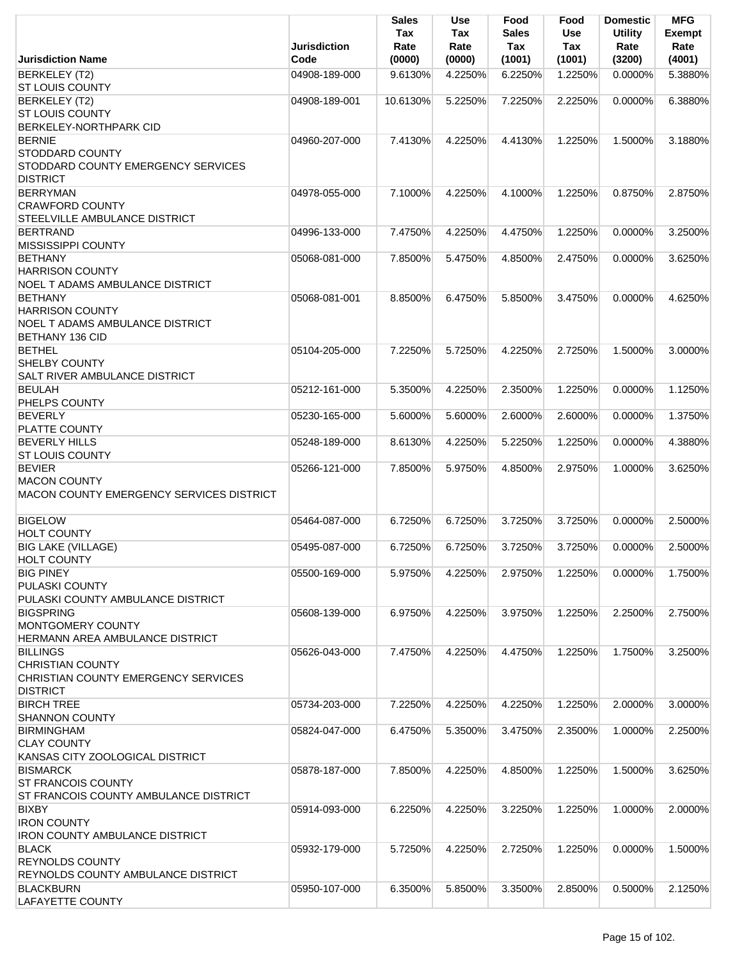|                                                                                 | <b>Jurisdiction</b> | <b>Sales</b><br>Tax<br>Rate | <b>Use</b><br>Tax<br>Rate | Food<br><b>Sales</b><br>Tax | Food<br><b>Use</b><br>Tax | <b>Domestic</b><br><b>Utility</b><br>Rate | <b>MFG</b><br><b>Exempt</b><br>Rate |
|---------------------------------------------------------------------------------|---------------------|-----------------------------|---------------------------|-----------------------------|---------------------------|-------------------------------------------|-------------------------------------|
| <b>Jurisdiction Name</b>                                                        | Code                | (0000)                      | (0000)                    | (1001)                      | (1001)                    | (3200)                                    | (4001)                              |
| <b>BERKELEY (T2)</b><br><b>ST LOUIS COUNTY</b>                                  | 04908-189-000       | 9.6130%                     | 4.2250%                   | 6.2250%                     | 1.2250%                   | $0.0000\%$                                | 5.3880%                             |
| <b>BERKELEY (T2)</b>                                                            | 04908-189-001       | 10.6130%                    | 5.2250%                   | 7.2250%                     | 2.2250%                   | 0.0000%                                   | 6.3880%                             |
| <b>ST LOUIS COUNTY</b>                                                          |                     |                             |                           |                             |                           |                                           |                                     |
| <b>BERKELEY-NORTHPARK CID</b>                                                   |                     |                             |                           |                             |                           |                                           |                                     |
| <b>BERNIE</b>                                                                   | 04960-207-000       | 7.4130%                     | 4.2250%                   | 4.4130%                     | 1.2250%                   | 1.5000%                                   | 3.1880%                             |
| <b>STODDARD COUNTY</b><br>STODDARD COUNTY EMERGENCY SERVICES<br><b>DISTRICT</b> |                     |                             |                           |                             |                           |                                           |                                     |
| <b>BERRYMAN</b>                                                                 | 04978-055-000       | 7.1000%                     | 4.2250%                   | 4.1000%                     | 1.2250%                   | 0.8750%                                   | 2.8750%                             |
| <b>CRAWFORD COUNTY</b>                                                          |                     |                             |                           |                             |                           |                                           |                                     |
| STEELVILLE AMBULANCE DISTRICT                                                   |                     |                             |                           |                             |                           |                                           |                                     |
| <b>BERTRAND</b>                                                                 | 04996-133-000       | 7.4750%                     | 4.2250%                   | 4.4750%                     | 1.2250%                   | 0.0000%                                   | 3.2500%                             |
| <b>MISSISSIPPI COUNTY</b>                                                       |                     |                             |                           |                             |                           |                                           |                                     |
| <b>BETHANY</b>                                                                  | 05068-081-000       | 7.8500%                     | 5.4750%                   | 4.8500%                     | 2.4750%                   | 0.0000%                                   | 3.6250%                             |
| <b>HARRISON COUNTY</b>                                                          |                     |                             |                           |                             |                           |                                           |                                     |
| NOEL T ADAMS AMBULANCE DISTRICT                                                 |                     |                             |                           |                             |                           |                                           |                                     |
| <b>BETHANY</b>                                                                  | 05068-081-001       | 8.8500%                     | 6.4750%                   | 5.8500%                     | 3.4750%                   | $0.0000\%$                                | 4.6250%                             |
| <b>HARRISON COUNTY</b>                                                          |                     |                             |                           |                             |                           |                                           |                                     |
| <b>NOEL T ADAMS AMBULANCE DISTRICT</b>                                          |                     |                             |                           |                             |                           |                                           |                                     |
| <b>BETHANY 136 CID</b>                                                          |                     |                             |                           |                             |                           |                                           |                                     |
| <b>BETHEL</b>                                                                   | 05104-205-000       | 7.2250%                     | 5.7250%                   | 4.2250%                     | 2.7250%                   | 1.5000%                                   | 3.0000%                             |
| <b>SHELBY COUNTY</b><br><b>SALT RIVER AMBULANCE DISTRICT</b>                    |                     |                             |                           |                             |                           |                                           |                                     |
|                                                                                 |                     |                             |                           |                             |                           |                                           | 1.1250%                             |
| <b>BEULAH</b><br>PHELPS COUNTY                                                  | 05212-161-000       | 5.3500%                     | 4.2250%                   | 2.3500%                     | 1.2250%                   | 0.0000%                                   |                                     |
| <b>BEVERLY</b>                                                                  | 05230-165-000       | 5.6000%                     | 5.6000%                   | 2.6000%                     | 2.6000%                   | 0.0000%                                   | 1.3750%                             |
| <b>PLATTE COUNTY</b>                                                            |                     |                             |                           |                             |                           |                                           |                                     |
| <b>BEVERLY HILLS</b>                                                            | 05248-189-000       | 8.6130%                     | 4.2250%                   | 5.2250%                     | 1.2250%                   | 0.0000%                                   | 4.3880%                             |
| <b>ST LOUIS COUNTY</b>                                                          |                     |                             |                           |                             |                           |                                           |                                     |
| <b>BEVIER</b>                                                                   | 05266-121-000       | 7.8500%                     | 5.9750%                   | 4.8500%                     | 2.9750%                   | 1.0000%                                   | 3.6250%                             |
| <b>MACON COUNTY</b>                                                             |                     |                             |                           |                             |                           |                                           |                                     |
| MACON COUNTY EMERGENCY SERVICES DISTRICT                                        |                     |                             |                           |                             |                           |                                           |                                     |
|                                                                                 |                     |                             |                           |                             |                           |                                           |                                     |
| <b>BIGELOW</b><br>HOLT COUNTY                                                   | 05464-087-000       | 6.7250%                     | 6.7250%                   | 3.7250%                     | 3.7250%                   | 0.0000%                                   | 2.5000%                             |
| <b>BIG LAKE (VILLAGE)</b>                                                       | 05495-087-000       | 6.7250%                     | 6.7250%                   | 3.7250%                     | 3.7250%                   | 0.0000%                                   | 2.5000%                             |
| <b>HOLT COUNTY</b>                                                              |                     |                             |                           |                             |                           |                                           |                                     |
| <b>BIG PINEY</b>                                                                | 05500-169-000       | 5.9750%                     | 4.2250%                   | 2.9750%                     | 1.2250%                   | 0.0000%                                   | 1.7500%                             |
| PULASKI COUNTY                                                                  |                     |                             |                           |                             |                           |                                           |                                     |
| PULASKI COUNTY AMBULANCE DISTRICT                                               |                     |                             |                           |                             |                           |                                           |                                     |
| <b>BIGSPRING</b>                                                                | 05608-139-000       | 6.9750%                     | 4.2250%                   | 3.9750%                     | 1.2250%                   | 2.2500%                                   | 2.7500%                             |
| MONTGOMERY COUNTY                                                               |                     |                             |                           |                             |                           |                                           |                                     |
| HERMANN AREA AMBULANCE DISTRICT                                                 |                     |                             |                           |                             |                           |                                           |                                     |
| <b>BILLINGS</b>                                                                 | 05626-043-000       | 7.4750%                     | 4.2250%                   | 4.4750%                     | 1.2250%                   | 1.7500%                                   | 3.2500%                             |
| <b>CHRISTIAN COUNTY</b>                                                         |                     |                             |                           |                             |                           |                                           |                                     |
| CHRISTIAN COUNTY EMERGENCY SERVICES                                             |                     |                             |                           |                             |                           |                                           |                                     |
| <b>DISTRICT</b>                                                                 |                     |                             |                           |                             |                           |                                           |                                     |
| <b>BIRCH TREE</b>                                                               | 05734-203-000       | 7.2250%                     | 4.2250%                   | 4.2250%                     | 1.2250%                   | 2.0000%                                   | 3.0000%                             |
| <b>SHANNON COUNTY</b>                                                           |                     |                             |                           |                             |                           |                                           |                                     |
| <b>BIRMINGHAM</b>                                                               | 05824-047-000       | 6.4750%                     | 5.3500%                   | 3.4750%                     | 2.3500%                   | 1.0000%                                   | 2.2500%                             |
| <b>CLAY COUNTY</b>                                                              |                     |                             |                           |                             |                           |                                           |                                     |
| KANSAS CITY ZOOLOGICAL DISTRICT                                                 |                     |                             |                           |                             |                           |                                           |                                     |
| <b>BISMARCK</b>                                                                 | 05878-187-000       | 7.8500%                     | 4.2250%                   | 4.8500%                     | 1.2250%                   | 1.5000%                                   | 3.6250%                             |
| <b>ST FRANCOIS COUNTY</b>                                                       |                     |                             |                           |                             |                           |                                           |                                     |
| ST FRANCOIS COUNTY AMBULANCE DISTRICT                                           |                     |                             |                           |                             |                           |                                           |                                     |
| <b>BIXBY</b>                                                                    | 05914-093-000       | 6.2250%                     | 4.2250%                   | 3.2250%                     | 1.2250%                   | 1.0000%                                   | 2.0000%                             |
| <b>IRON COUNTY</b>                                                              |                     |                             |                           |                             |                           |                                           |                                     |
| <b>IRON COUNTY AMBULANCE DISTRICT</b>                                           |                     |                             |                           |                             |                           |                                           |                                     |
| <b>BLACK</b>                                                                    | 05932-179-000       | 5.7250%                     | 4.2250%                   | 2.7250%                     | 1.2250%                   | 0.0000%                                   | 1.5000%                             |
| <b>REYNOLDS COUNTY</b>                                                          |                     |                             |                           |                             |                           |                                           |                                     |
| REYNOLDS COUNTY AMBULANCE DISTRICT                                              |                     |                             |                           |                             |                           |                                           |                                     |
| <b>BLACKBURN</b>                                                                | 05950-107-000       | 6.3500%                     | 5.8500%                   | 3.3500%                     | 2.8500%                   | 0.5000%                                   | 2.1250%                             |
| <b>LAFAYETTE COUNTY</b>                                                         |                     |                             |                           |                             |                           |                                           |                                     |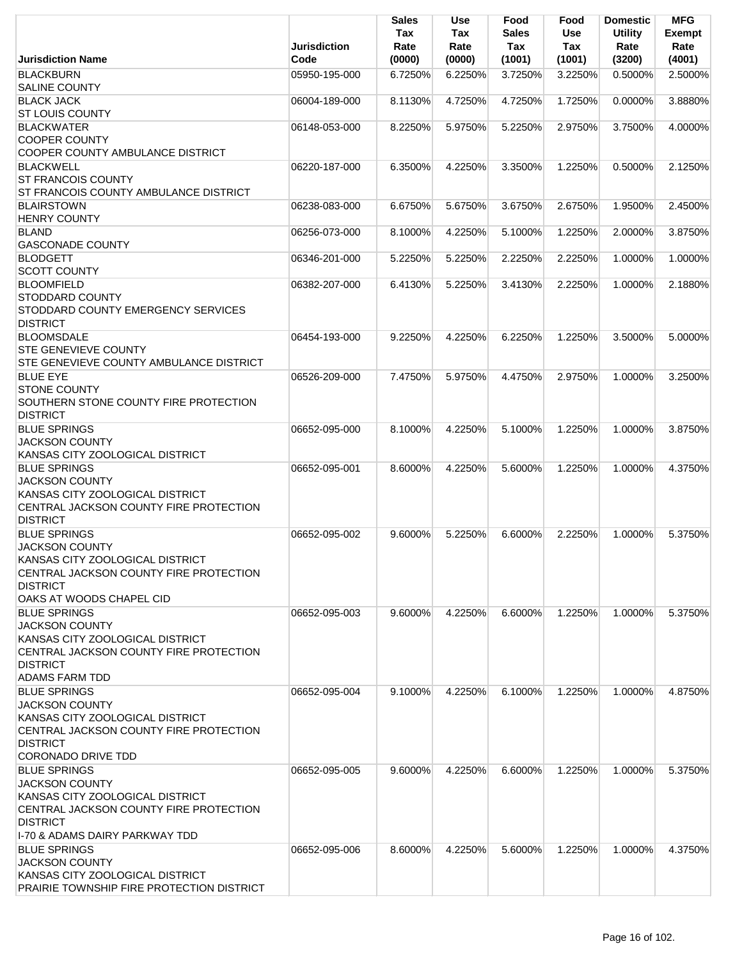|                                                          | Jurisdiction  | <b>Sales</b><br><b>Tax</b><br>Rate | <b>Use</b><br>Tax<br>Rate | Food<br><b>Sales</b><br>Tax | Food<br><b>Use</b><br>Tax | <b>Domestic</b><br><b>Utility</b><br>Rate | <b>MFG</b><br>Exempt<br>Rate |
|----------------------------------------------------------|---------------|------------------------------------|---------------------------|-----------------------------|---------------------------|-------------------------------------------|------------------------------|
| <b>Jurisdiction Name</b>                                 | Code          | (0000)                             | (0000)                    | (1001)                      | (1001)                    | (3200)                                    | (4001)                       |
| <b>BLACKBURN</b>                                         | 05950-195-000 | 6.7250%                            | 6.2250%                   | 3.7250%                     | 3.2250%                   | 0.5000%                                   | 2.5000%                      |
| <b>SALINE COUNTY</b>                                     |               |                                    |                           |                             |                           |                                           |                              |
| <b>BLACK JACK</b><br><b>ST LOUIS COUNTY</b>              | 06004-189-000 | 8.1130%                            | 4.7250%                   | 4.7250%                     | 1.7250%                   | 0.0000%                                   | 3.8880%                      |
| <b>BLACKWATER</b>                                        | 06148-053-000 | 8.2250%                            | 5.9750%                   | 5.2250%                     | 2.9750%                   | 3.7500%                                   | 4.0000%                      |
| <b>COOPER COUNTY</b>                                     |               |                                    |                           |                             |                           |                                           |                              |
| COOPER COUNTY AMBULANCE DISTRICT                         |               |                                    |                           |                             |                           |                                           |                              |
| <b>BLACKWELL</b>                                         | 06220-187-000 | 6.3500%                            | 4.2250%                   | 3.3500%                     | 1.2250%                   | 0.5000%                                   | 2.1250%                      |
| <b>ST FRANCOIS COUNTY</b>                                |               |                                    |                           |                             |                           |                                           |                              |
| ST FRANCOIS COUNTY AMBULANCE DISTRICT                    |               |                                    |                           |                             |                           |                                           |                              |
| <b>BLAIRSTOWN</b>                                        | 06238-083-000 | 6.6750%                            | 5.6750%                   | 3.6750%                     | 2.6750%                   | 1.9500%                                   | 2.4500%                      |
| <b>HENRY COUNTY</b>                                      |               |                                    |                           |                             |                           |                                           |                              |
| <b>BLAND</b>                                             | 06256-073-000 | 8.1000%                            | 4.2250%                   | 5.1000%                     | 1.2250%                   | 2.0000%                                   | 3.8750%                      |
| <b>GASCONADE COUNTY</b>                                  |               |                                    |                           |                             |                           |                                           |                              |
| <b>BLODGETT</b>                                          | 06346-201-000 | 5.2250%                            | 5.2250%                   | 2.2250%                     | 2.2250%                   | 1.0000%                                   | 1.0000%                      |
| <b>SCOTT COUNTY</b>                                      |               |                                    |                           |                             |                           |                                           |                              |
| <b>BLOOMFIELD</b>                                        | 06382-207-000 | 6.4130%                            | 5.2250%                   | 3.4130%                     | 2.2250%                   | 1.0000%                                   | 2.1880%                      |
| <b>STODDARD COUNTY</b>                                   |               |                                    |                           |                             |                           |                                           |                              |
| STODDARD COUNTY EMERGENCY SERVICES                       |               |                                    |                           |                             |                           |                                           |                              |
| <b>DISTRICT</b><br><b>BLOOMSDALE</b>                     | 06454-193-000 |                                    | 4.2250%                   |                             |                           |                                           | 5.0000%                      |
| <b>STE GENEVIEVE COUNTY</b>                              |               | 9.2250%                            |                           | 6.2250%                     | 1.2250%                   | 3.5000%                                   |                              |
| STE GENEVIEVE COUNTY AMBULANCE DISTRICT                  |               |                                    |                           |                             |                           |                                           |                              |
| <b>BLUE EYE</b>                                          | 06526-209-000 | 7.4750%                            | 5.9750%                   | 4.4750%                     | 2.9750%                   | 1.0000%                                   | 3.2500%                      |
| <b>STONE COUNTY</b>                                      |               |                                    |                           |                             |                           |                                           |                              |
| SOUTHERN STONE COUNTY FIRE PROTECTION                    |               |                                    |                           |                             |                           |                                           |                              |
| <b>DISTRICT</b>                                          |               |                                    |                           |                             |                           |                                           |                              |
| <b>BLUE SPRINGS</b>                                      | 06652-095-000 | 8.1000%                            | 4.2250%                   | 5.1000%                     | 1.2250%                   | 1.0000%                                   | 3.8750%                      |
| <b>JACKSON COUNTY</b>                                    |               |                                    |                           |                             |                           |                                           |                              |
| KANSAS CITY ZOOLOGICAL DISTRICT                          |               |                                    |                           |                             |                           |                                           |                              |
| <b>BLUE SPRINGS</b>                                      | 06652-095-001 | 8.6000%                            | 4.2250%                   | 5.6000%                     | 1.2250%                   | 1.0000%                                   | 4.3750%                      |
| <b>JACKSON COUNTY</b>                                    |               |                                    |                           |                             |                           |                                           |                              |
| KANSAS CITY ZOOLOGICAL DISTRICT                          |               |                                    |                           |                             |                           |                                           |                              |
| CENTRAL JACKSON COUNTY FIRE PROTECTION                   |               |                                    |                           |                             |                           |                                           |                              |
| <b>DISTRICT</b>                                          |               |                                    |                           |                             |                           |                                           |                              |
| <b>BLUE SPRINGS</b><br><b>JACKSON COUNTY</b>             | 06652-095-002 | 9.6000%                            | 5.2250%                   | 6.6000%                     | 2.2250%                   | 1.0000%                                   | 5.3750%                      |
| KANSAS CITY ZOOLOGICAL DISTRICT                          |               |                                    |                           |                             |                           |                                           |                              |
| CENTRAL JACKSON COUNTY FIRE PROTECTION                   |               |                                    |                           |                             |                           |                                           |                              |
| <b>DISTRICT</b>                                          |               |                                    |                           |                             |                           |                                           |                              |
| OAKS AT WOODS CHAPEL CID                                 |               |                                    |                           |                             |                           |                                           |                              |
| <b>BLUE SPRINGS</b>                                      | 06652-095-003 | 9.6000%                            | 4.2250%                   | 6.6000%                     | 1.2250%                   | 1.0000%                                   | 5.3750%                      |
| <b>JACKSON COUNTY</b>                                    |               |                                    |                           |                             |                           |                                           |                              |
| KANSAS CITY ZOOLOGICAL DISTRICT                          |               |                                    |                           |                             |                           |                                           |                              |
| CENTRAL JACKSON COUNTY FIRE PROTECTION                   |               |                                    |                           |                             |                           |                                           |                              |
| <b>DISTRICT</b>                                          |               |                                    |                           |                             |                           |                                           |                              |
| <b>ADAMS FARM TDD</b>                                    |               |                                    |                           |                             |                           |                                           |                              |
| <b>BLUE SPRINGS</b>                                      | 06652-095-004 | 9.1000%                            | 4.2250%                   | 6.1000%                     | 1.2250%                   | 1.0000%                                   | 4.8750%                      |
| <b>JACKSON COUNTY</b><br>KANSAS CITY ZOOLOGICAL DISTRICT |               |                                    |                           |                             |                           |                                           |                              |
| CENTRAL JACKSON COUNTY FIRE PROTECTION                   |               |                                    |                           |                             |                           |                                           |                              |
| <b>DISTRICT</b>                                          |               |                                    |                           |                             |                           |                                           |                              |
| <b>CORONADO DRIVE TDD</b>                                |               |                                    |                           |                             |                           |                                           |                              |
| <b>BLUE SPRINGS</b>                                      | 06652-095-005 | 9.6000%                            | 4.2250%                   | 6.6000%                     | 1.2250%                   | 1.0000%                                   | 5.3750%                      |
| <b>JACKSON COUNTY</b>                                    |               |                                    |                           |                             |                           |                                           |                              |
| KANSAS CITY ZOOLOGICAL DISTRICT                          |               |                                    |                           |                             |                           |                                           |                              |
| CENTRAL JACKSON COUNTY FIRE PROTECTION                   |               |                                    |                           |                             |                           |                                           |                              |
| <b>DISTRICT</b>                                          |               |                                    |                           |                             |                           |                                           |                              |
| II-70 & ADAMS DAIRY PARKWAY TDD                          |               |                                    |                           |                             |                           |                                           |                              |
| <b>BLUE SPRINGS</b>                                      | 06652-095-006 | 8.6000%                            | 4.2250%                   | 5.6000%                     | 1.2250%                   | 1.0000%                                   | 4.3750%                      |
| <b>JACKSON COUNTY</b>                                    |               |                                    |                           |                             |                           |                                           |                              |
| KANSAS CITY ZOOLOGICAL DISTRICT                          |               |                                    |                           |                             |                           |                                           |                              |
| PRAIRIE TOWNSHIP FIRE PROTECTION DISTRICT                |               |                                    |                           |                             |                           |                                           |                              |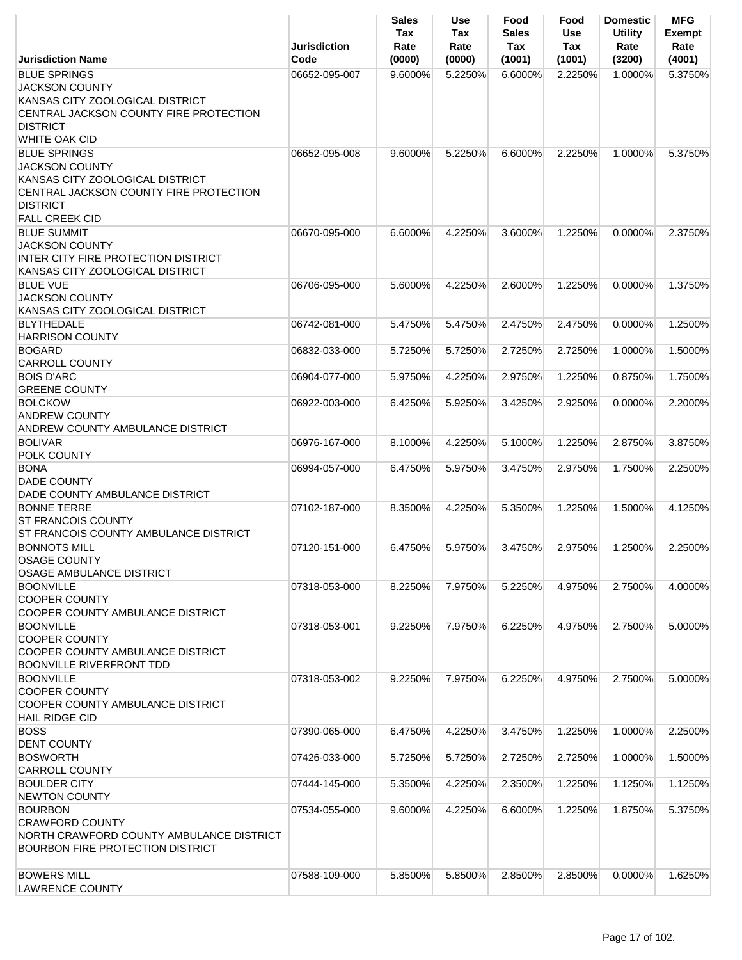|                                                                                                                                                                       | <b>Jurisdiction</b> | <b>Sales</b><br>Tax<br>Rate | <b>Use</b><br>Tax<br>Rate | Food<br><b>Sales</b><br>Tax | Food<br><b>Use</b><br>Tax | <b>Domestic</b><br><b>Utility</b><br>Rate | <b>MFG</b><br><b>Exempt</b><br>Rate |
|-----------------------------------------------------------------------------------------------------------------------------------------------------------------------|---------------------|-----------------------------|---------------------------|-----------------------------|---------------------------|-------------------------------------------|-------------------------------------|
| <b>Jurisdiction Name</b>                                                                                                                                              | Code                | (0000)                      | (0000)                    | (1001)                      | (1001)                    | (3200)                                    | (4001)                              |
| <b>BLUE SPRINGS</b><br><b>JACKSON COUNTY</b><br>KANSAS CITY ZOOLOGICAL DISTRICT<br>CENTRAL JACKSON COUNTY FIRE PROTECTION<br><b>DISTRICT</b><br><b>WHITE OAK CID</b>  | 06652-095-007       | 9.6000%                     | 5.2250%                   | 6.6000%                     | 2.2250%                   | 1.0000%                                   | 5.3750%                             |
| <b>BLUE SPRINGS</b><br><b>JACKSON COUNTY</b><br>KANSAS CITY ZOOLOGICAL DISTRICT<br>CENTRAL JACKSON COUNTY FIRE PROTECTION<br><b>DISTRICT</b><br><b>FALL CREEK CID</b> | 06652-095-008       | 9.6000%                     | 5.2250%                   | 6.6000%                     | 2.2250%                   | 1.0000%                                   | 5.3750%                             |
| <b>BLUE SUMMIT</b><br><b>JACKSON COUNTY</b><br>INTER CITY FIRE PROTECTION DISTRICT<br>KANSAS CITY ZOOLOGICAL DISTRICT                                                 | 06670-095-000       | 6.6000%                     | 4.2250%                   | 3.6000%                     | 1.2250%                   | $0.0000\%$                                | 2.3750%                             |
| <b>BLUE VUE</b><br><b>JACKSON COUNTY</b><br>KANSAS CITY ZOOLOGICAL DISTRICT                                                                                           | 06706-095-000       | 5.6000%                     | 4.2250%                   | 2.6000%                     | 1.2250%                   | 0.0000%                                   | 1.3750%                             |
| <b>BLYTHEDALE</b><br><b>HARRISON COUNTY</b>                                                                                                                           | 06742-081-000       | 5.4750%                     | 5.4750%                   | 2.4750%                     | 2.4750%                   | 0.0000%                                   | 1.2500%                             |
| <b>BOGARD</b><br><b>CARROLL COUNTY</b>                                                                                                                                | 06832-033-000       | 5.7250%                     | 5.7250%                   | 2.7250%                     | 2.7250%                   | 1.0000%                                   | 1.5000%                             |
| <b>BOIS D'ARC</b><br><b>GREENE COUNTY</b>                                                                                                                             | 06904-077-000       | 5.9750%                     | 4.2250%                   | 2.9750%                     | 1.2250%                   | 0.8750%                                   | 1.7500%                             |
| <b>BOLCKOW</b><br><b>ANDREW COUNTY</b><br>ANDREW COUNTY AMBULANCE DISTRICT                                                                                            | 06922-003-000       | 6.4250%                     | 5.9250%                   | 3.4250%                     | 2.9250%                   | 0.0000%                                   | 2.2000%                             |
| <b>BOLIVAR</b><br>POLK COUNTY                                                                                                                                         | 06976-167-000       | 8.1000%                     | 4.2250%                   | 5.1000%                     | 1.2250%                   | 2.8750%                                   | 3.8750%                             |
| <b>BONA</b><br><b>DADE COUNTY</b><br>DADE COUNTY AMBULANCE DISTRICT                                                                                                   | 06994-057-000       | 6.4750%                     | 5.9750%                   | 3.4750%                     | 2.9750%                   | 1.7500%                                   | 2.2500%                             |
| <b>BONNE TERRE</b><br><b>ST FRANCOIS COUNTY</b><br>ST FRANCOIS COUNTY AMBULANCE DISTRICT                                                                              | 07102-187-000       | 8.3500%                     | 4.2250%                   | 5.3500%                     | 1.2250%                   | 1.5000%                                   | 4.1250%                             |
| <b>BONNOTS MILL</b><br><b>OSAGE COUNTY</b><br><b>OSAGE AMBULANCE DISTRICT</b>                                                                                         | 07120-151-000       | 6.4750%                     | 5.9750%                   | 3.4750%                     | 2.9750%                   | 1.2500%                                   | 2.2500%                             |
| <b>BOONVILLE</b><br><b>COOPER COUNTY</b><br>COOPER COUNTY AMBULANCE DISTRICT                                                                                          | 07318-053-000       | 8.2250%                     | 7.9750%                   | 5.2250%                     | 4.9750%                   | 2.7500%                                   | 4.0000%                             |
| <b>BOONVILLE</b><br><b>COOPER COUNTY</b><br>COOPER COUNTY AMBULANCE DISTRICT<br><b>BOONVILLE RIVERFRONT TDD</b>                                                       | 07318-053-001       | 9.2250%                     | 7.9750%                   | 6.2250%                     | 4.9750%                   | 2.7500%                                   | 5.0000%                             |
| <b>BOONVILLE</b><br><b>COOPER COUNTY</b><br>COOPER COUNTY AMBULANCE DISTRICT<br><b>HAIL RIDGE CID</b>                                                                 | 07318-053-002       | 9.2250%                     | 7.9750%                   | 6.2250%                     | 4.9750%                   | 2.7500%                                   | 5.0000%                             |
| <b>BOSS</b><br><b>DENT COUNTY</b>                                                                                                                                     | 07390-065-000       | 6.4750%                     | 4.2250%                   | 3.4750%                     | 1.2250%                   | 1.0000%                                   | 2.2500%                             |
| <b>BOSWORTH</b><br><b>CARROLL COUNTY</b>                                                                                                                              | 07426-033-000       | 5.7250%                     | 5.7250%                   | 2.7250%                     | 2.7250%                   | 1.0000%                                   | 1.5000%                             |
| <b>BOULDER CITY</b><br><b>NEWTON COUNTY</b>                                                                                                                           | 07444-145-000       | 5.3500%                     | 4.2250%                   | 2.3500%                     | 1.2250%                   | 1.1250%                                   | 1.1250%                             |
| <b>BOURBON</b><br><b>CRAWFORD COUNTY</b><br>NORTH CRAWFORD COUNTY AMBULANCE DISTRICT<br><b>BOURBON FIRE PROTECTION DISTRICT</b>                                       | 07534-055-000       | 9.6000%                     | 4.2250%                   | 6.6000%                     | 1.2250%                   | 1.8750%                                   | 5.3750%                             |
| <b>BOWERS MILL</b><br><b>LAWRENCE COUNTY</b>                                                                                                                          | 07588-109-000       | 5.8500%                     | 5.8500%                   | 2.8500%                     | 2.8500%                   | 0.0000%                                   | 1.6250%                             |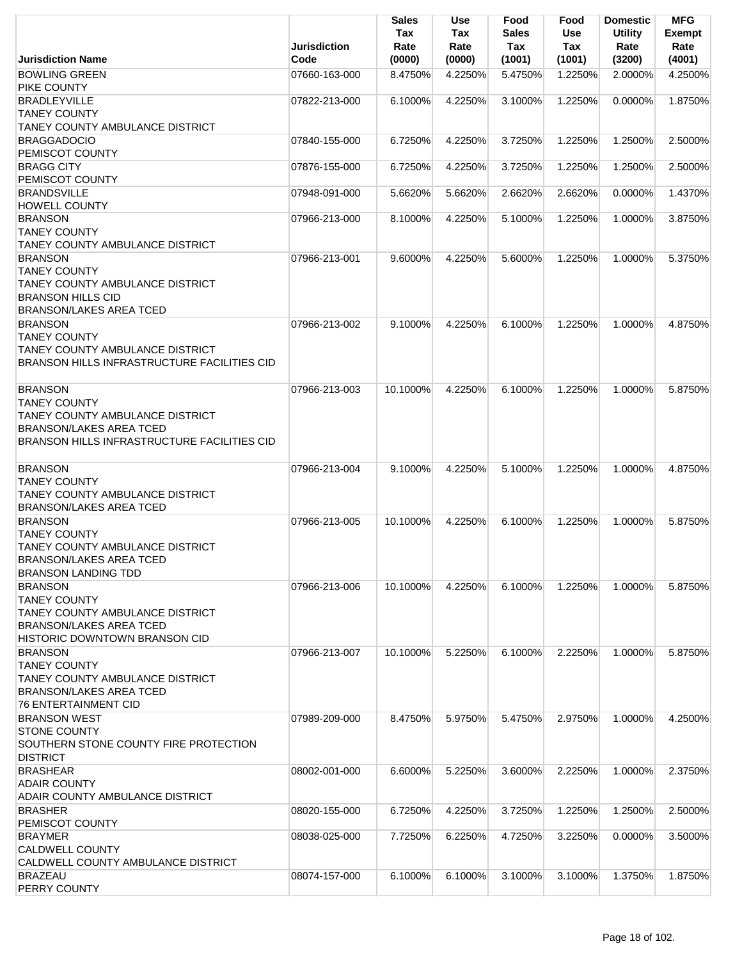|                                                        | <b>Jurisdiction</b> | <b>Sales</b><br>Tax<br>Rate | <b>Use</b><br>Tax<br>Rate | Food<br><b>Sales</b><br>Tax | Food<br>Use<br>Tax | <b>Domestic</b><br><b>Utility</b><br>Rate | <b>MFG</b><br>Exempt<br>Rate |
|--------------------------------------------------------|---------------------|-----------------------------|---------------------------|-----------------------------|--------------------|-------------------------------------------|------------------------------|
| <b>Jurisdiction Name</b>                               | Code                | (0000)                      | (0000)                    | (1001)                      | (1001)             | (3200)                                    | (4001)                       |
| <b>BOWLING GREEN</b>                                   | 07660-163-000       | 8.4750%                     | 4.2250%                   | 5.4750%                     | 1.2250%            | 2.0000%                                   | 4.2500%                      |
| PIKE COUNTY<br><b>BRADLEYVILLE</b>                     | 07822-213-000       | 6.1000%                     | 4.2250%                   | 3.1000%                     | 1.2250%            | 0.0000%                                   | 1.8750%                      |
| <b>TANEY COUNTY</b>                                    |                     |                             |                           |                             |                    |                                           |                              |
| TANEY COUNTY AMBULANCE DISTRICT                        |                     |                             |                           |                             |                    |                                           |                              |
| <b>BRAGGADOCIO</b>                                     | 07840-155-000       | 6.7250%                     | 4.2250%                   | 3.7250%                     | 1.2250%            | 1.2500%                                   | 2.5000%                      |
| PEMISCOT COUNTY                                        |                     |                             |                           |                             |                    |                                           |                              |
| <b>BRAGG CITY</b>                                      | 07876-155-000       | 6.7250%                     | 4.2250%                   | 3.7250%                     | 1.2250%            | 1.2500%                                   | 2.5000%                      |
| PEMISCOT COUNTY                                        |                     |                             |                           |                             |                    |                                           |                              |
| <b>BRANDSVILLE</b>                                     | 07948-091-000       | 5.6620%                     | 5.6620%                   | 2.6620%                     | 2.6620%            | 0.0000%                                   | 1.4370%                      |
| <b>HOWELL COUNTY</b>                                   |                     |                             |                           |                             |                    |                                           |                              |
| <b>BRANSON</b>                                         | 07966-213-000       | 8.1000%                     | 4.2250%                   | 5.1000%                     | 1.2250%            | 1.0000%                                   | 3.8750%                      |
| <b>TANEY COUNTY</b>                                    |                     |                             |                           |                             |                    |                                           |                              |
| <b>TANEY COUNTY AMBULANCE DISTRICT</b>                 |                     |                             |                           |                             |                    |                                           |                              |
| <b>BRANSON</b><br><b>TANEY COUNTY</b>                  | 07966-213-001       | 9.6000%                     | 4.2250%                   | 5.6000%                     | 1.2250%            | 1.0000%                                   | 5.3750%                      |
| TANEY COUNTY AMBULANCE DISTRICT                        |                     |                             |                           |                             |                    |                                           |                              |
| <b>BRANSON HILLS CID</b>                               |                     |                             |                           |                             |                    |                                           |                              |
| <b>BRANSON/LAKES AREA TCED</b>                         |                     |                             |                           |                             |                    |                                           |                              |
| <b>BRANSON</b>                                         | 07966-213-002       | 9.1000%                     | 4.2250%                   | 6.1000%                     | 1.2250%            | 1.0000%                                   | 4.8750%                      |
| <b>TANEY COUNTY</b>                                    |                     |                             |                           |                             |                    |                                           |                              |
| TANEY COUNTY AMBULANCE DISTRICT                        |                     |                             |                           |                             |                    |                                           |                              |
| BRANSON HILLS INFRASTRUCTURE FACILITIES CID            |                     |                             |                           |                             |                    |                                           |                              |
|                                                        |                     |                             |                           |                             |                    |                                           |                              |
| <b>BRANSON</b>                                         | 07966-213-003       | 10.1000%                    | 4.2250%                   | 6.1000%                     | 1.2250%            | 1.0000%                                   | 5.8750%                      |
| <b>TANEY COUNTY</b>                                    |                     |                             |                           |                             |                    |                                           |                              |
| TANEY COUNTY AMBULANCE DISTRICT                        |                     |                             |                           |                             |                    |                                           |                              |
| <b>BRANSON/LAKES AREA TCED</b>                         |                     |                             |                           |                             |                    |                                           |                              |
| BRANSON HILLS INFRASTRUCTURE FACILITIES CID            |                     |                             |                           |                             |                    |                                           |                              |
| <b>BRANSON</b>                                         | 07966-213-004       | 9.1000%                     | 4.2250%                   | 5.1000%                     | 1.2250%            | 1.0000%                                   | 4.8750%                      |
| <b>TANEY COUNTY</b>                                    |                     |                             |                           |                             |                    |                                           |                              |
| TANEY COUNTY AMBULANCE DISTRICT                        |                     |                             |                           |                             |                    |                                           |                              |
| <b>BRANSON/LAKES AREA TCED</b>                         |                     |                             |                           |                             |                    |                                           |                              |
| <b>BRANSON</b>                                         | 07966-213-005       | 10.1000%                    | 4.2250%                   | 6.1000%                     | 1.2250%            | 1.0000%                                   | 5.8750%                      |
| <b>TANEY COUNTY</b>                                    |                     |                             |                           |                             |                    |                                           |                              |
| TANEY COUNTY AMBULANCE DISTRICT                        |                     |                             |                           |                             |                    |                                           |                              |
| <b>BRANSON/LAKES AREA TCED</b>                         |                     |                             |                           |                             |                    |                                           |                              |
| <b>BRANSON LANDING TDD</b>                             |                     |                             |                           |                             |                    |                                           |                              |
| <b>BRANSON</b>                                         | 07966-213-006       | 10.1000%                    | 4.2250%                   | 6.1000%                     | 1.2250%            | 1.0000%                                   | 5.8750%                      |
| <b>TANEY COUNTY</b><br>TANEY COUNTY AMBULANCE DISTRICT |                     |                             |                           |                             |                    |                                           |                              |
| <b>BRANSON/LAKES AREA TCED</b>                         |                     |                             |                           |                             |                    |                                           |                              |
| <b>HISTORIC DOWNTOWN BRANSON CID</b>                   |                     |                             |                           |                             |                    |                                           |                              |
| <b>BRANSON</b>                                         | 07966-213-007       | 10.1000%                    | 5.2250%                   | 6.1000%                     | 2.2250%            | 1.0000%                                   | 5.8750%                      |
| <b>TANEY COUNTY</b>                                    |                     |                             |                           |                             |                    |                                           |                              |
| <b>TANEY COUNTY AMBULANCE DISTRICT</b>                 |                     |                             |                           |                             |                    |                                           |                              |
| BRANSON/LAKES AREA TCED                                |                     |                             |                           |                             |                    |                                           |                              |
| 76 ENTERTAINMENT CID                                   |                     |                             |                           |                             |                    |                                           |                              |
| <b>BRANSON WEST</b>                                    | 07989-209-000       | 8.4750%                     | 5.9750%                   | 5.4750%                     | 2.9750%            | 1.0000%                                   | 4.2500%                      |
| <b>STONE COUNTY</b>                                    |                     |                             |                           |                             |                    |                                           |                              |
| SOUTHERN STONE COUNTY FIRE PROTECTION                  |                     |                             |                           |                             |                    |                                           |                              |
| <b>DISTRICT</b>                                        |                     |                             |                           |                             |                    |                                           |                              |
| <b>BRASHEAR</b>                                        | 08002-001-000       | 6.6000%                     | 5.2250%                   | 3.6000%                     | 2.2250%            | 1.0000%                                   | 2.3750%                      |
| <b>ADAIR COUNTY</b><br>ADAIR COUNTY AMBULANCE DISTRICT |                     |                             |                           |                             |                    |                                           |                              |
| <b>BRASHER</b>                                         | 08020-155-000       | 6.7250%                     | 4.2250%                   | 3.7250%                     | 1.2250%            | 1.2500%                                   | 2.5000%                      |
| <b>PEMISCOT COUNTY</b>                                 |                     |                             |                           |                             |                    |                                           |                              |
| <b>BRAYMER</b>                                         | 08038-025-000       | 7.7250%                     | 6.2250%                   | 4.7250%                     | 3.2250%            | 0.0000%                                   | 3.5000%                      |
| <b>CALDWELL COUNTY</b>                                 |                     |                             |                           |                             |                    |                                           |                              |
| CALDWELL COUNTY AMBULANCE DISTRICT                     |                     |                             |                           |                             |                    |                                           |                              |
| <b>BRAZEAU</b>                                         | 08074-157-000       | 6.1000%                     | 6.1000%                   | 3.1000%                     | 3.1000%            | 1.3750%                                   | 1.8750%                      |
| PERRY COUNTY                                           |                     |                             |                           |                             |                    |                                           |                              |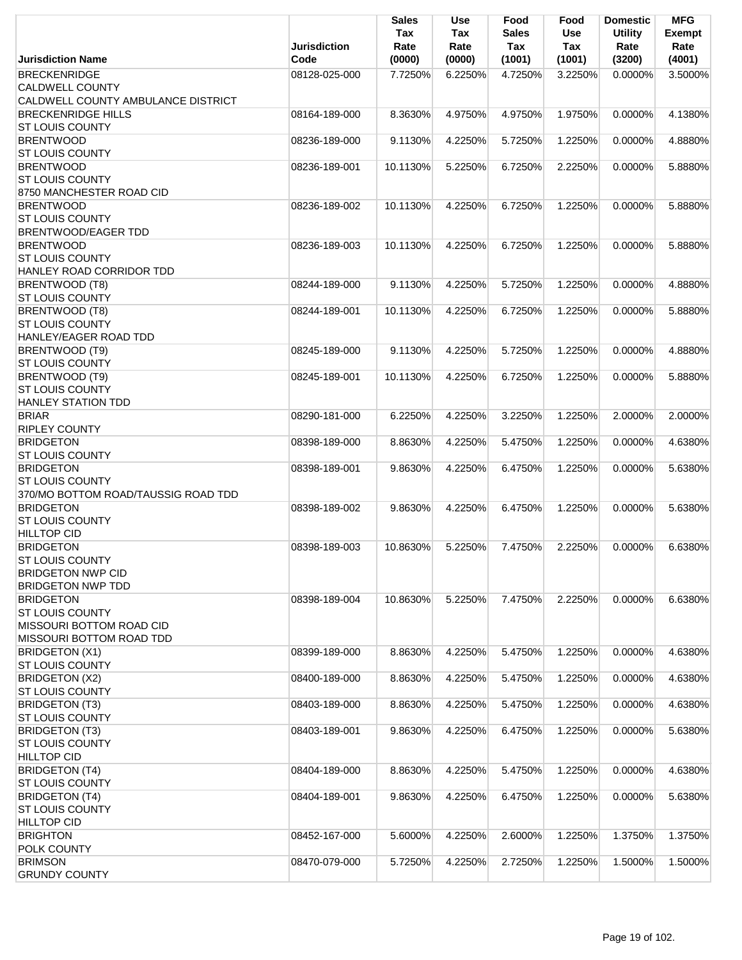|                                                    |                     | <b>Sales</b> | <b>Use</b>  | Food                | Food       | <b>Domestic</b>        | <b>MFG</b>     |
|----------------------------------------------------|---------------------|--------------|-------------|---------------------|------------|------------------------|----------------|
|                                                    | <b>Jurisdiction</b> | Tax<br>Rate  | Tax<br>Rate | <b>Sales</b><br>Tax | Use<br>Tax | <b>Utility</b><br>Rate | Exempt<br>Rate |
| <b>Jurisdiction Name</b>                           | Code                | (0000)       | (0000)      | (1001)              | (1001)     | (3200)                 | (4001)         |
| <b>BRECKENRIDGE</b>                                | 08128-025-000       | 7.7250%      | 6.2250%     | 4.7250%             | 3.2250%    | 0.0000%                | 3.5000%        |
| <b>CALDWELL COUNTY</b>                             |                     |              |             |                     |            |                        |                |
| CALDWELL COUNTY AMBULANCE DISTRICT                 |                     |              |             |                     |            |                        |                |
| <b>BRECKENRIDGE HILLS</b>                          | 08164-189-000       | 8.3630%      | 4.9750%     | 4.9750%             | 1.9750%    | 0.0000%                | 4.1380%        |
| <b>ST LOUIS COUNTY</b>                             |                     |              |             |                     |            |                        |                |
| <b>BRENTWOOD</b>                                   | 08236-189-000       | 9.1130%      | 4.2250%     | 5.7250%             | 1.2250%    | 0.0000%                | 4.8880%        |
| <b>ST LOUIS COUNTY</b>                             |                     |              |             |                     |            |                        |                |
| <b>BRENTWOOD</b>                                   | 08236-189-001       | 10.1130%     | 5.2250%     | 6.7250%             | 2.2250%    | 0.0000%                | 5.8880%        |
| <b>ST LOUIS COUNTY</b><br>8750 MANCHESTER ROAD CID |                     |              |             |                     |            |                        |                |
| <b>BRENTWOOD</b>                                   | 08236-189-002       | 10.1130%     | 4.2250%     | 6.7250%             | 1.2250%    | $0.0000\%$             | 5.8880%        |
| <b>ST LOUIS COUNTY</b>                             |                     |              |             |                     |            |                        |                |
| <b>BRENTWOOD/EAGER TDD</b>                         |                     |              |             |                     |            |                        |                |
| <b>BRENTWOOD</b>                                   | 08236-189-003       | 10.1130%     | 4.2250%     | 6.7250%             | 1.2250%    | 0.0000%                | 5.8880%        |
| <b>ST LOUIS COUNTY</b>                             |                     |              |             |                     |            |                        |                |
| HANLEY ROAD CORRIDOR TDD                           |                     |              |             |                     |            |                        |                |
| BRENTWOOD (T8)                                     | 08244-189-000       | 9.1130%      | 4.2250%     | 5.7250%             | 1.2250%    | $0.0000\%$             | 4.8880%        |
| <b>ST LOUIS COUNTY</b>                             |                     |              |             |                     |            |                        |                |
| BRENTWOOD (T8)                                     | 08244-189-001       | 10.1130%     | 4.2250%     | 6.7250%             | 1.2250%    | 0.0000%                | 5.8880%        |
| <b>ST LOUIS COUNTY</b><br>HANLEY/EAGER ROAD TDD    |                     |              |             |                     |            |                        |                |
| BRENTWOOD (T9)                                     | 08245-189-000       | 9.1130%      | 4.2250%     | 5.7250%             | 1.2250%    | 0.0000%                | 4.8880%        |
| <b>ST LOUIS COUNTY</b>                             |                     |              |             |                     |            |                        |                |
| BRENTWOOD (T9)                                     | 08245-189-001       | 10.1130%     | 4.2250%     | 6.7250%             | 1.2250%    | 0.0000%                | 5.8880%        |
| <b>ST LOUIS COUNTY</b>                             |                     |              |             |                     |            |                        |                |
| <b>HANLEY STATION TDD</b>                          |                     |              |             |                     |            |                        |                |
| <b>BRIAR</b>                                       | 08290-181-000       | 6.2250%      | 4.2250%     | 3.2250%             | 1.2250%    | 2.0000%                | 2.0000%        |
| <b>RIPLEY COUNTY</b>                               |                     |              |             |                     |            |                        |                |
| <b>BRIDGETON</b>                                   | 08398-189-000       | 8.8630%      | 4.2250%     | 5.4750%             | 1.2250%    | 0.0000%                | 4.6380%        |
| <b>ST LOUIS COUNTY</b>                             |                     |              |             |                     |            |                        |                |
| <b>BRIDGETON</b><br><b>ST LOUIS COUNTY</b>         | 08398-189-001       | 9.8630%      | 4.2250%     | 6.4750%             | 1.2250%    | 0.0000%                | 5.6380%        |
| 370/MO BOTTOM ROAD/TAUSSIG ROAD TDD                |                     |              |             |                     |            |                        |                |
| <b>BRIDGETON</b>                                   | 08398-189-002       | 9.8630%      | 4.2250%     | 6.4750%             | 1.2250%    | 0.0000%                | 5.6380%        |
| <b>ST LOUIS COUNTY</b>                             |                     |              |             |                     |            |                        |                |
| <b>HILLTOP CID</b>                                 |                     |              |             |                     |            |                        |                |
| <b>BRIDGETON</b>                                   | 08398-189-003       | 10.8630%     | 5.2250%     | 7.4750%             | 2.2250%    | 0.0000%                | 6.6380%        |
| <b>ST LOUIS COUNTY</b>                             |                     |              |             |                     |            |                        |                |
| <b>BRIDGETON NWP CID</b>                           |                     |              |             |                     |            |                        |                |
| <b>BRIDGETON NWP TDD</b>                           |                     |              |             |                     |            |                        |                |
| <b>BRIDGETON</b><br><b>ST LOUIS COUNTY</b>         | 08398-189-004       | 10.8630%     | 5.2250%     | 7.4750%             | 2.2250%    | 0.0000%                | 6.6380%        |
| MISSOURI BOTTOM ROAD CID                           |                     |              |             |                     |            |                        |                |
| MISSOURI BOTTOM ROAD TDD                           |                     |              |             |                     |            |                        |                |
| <b>BRIDGETON (X1)</b>                              | 08399-189-000       | 8.8630%      | 4.2250%     | 5.4750%             | 1.2250%    | 0.0000%                | 4.6380%        |
| <b>ST LOUIS COUNTY</b>                             |                     |              |             |                     |            |                        |                |
| <b>BRIDGETON (X2)</b>                              | 08400-189-000       | 8.8630%      | 4.2250%     | 5.4750%             | 1.2250%    | 0.0000%                | 4.6380%        |
| <b>ST LOUIS COUNTY</b>                             |                     |              |             |                     |            |                        |                |
| <b>BRIDGETON (T3)</b>                              | 08403-189-000       | 8.8630%      | 4.2250%     | 5.4750%             | 1.2250%    | 0.0000%                | 4.6380%        |
| <b>ST LOUIS COUNTY</b><br><b>BRIDGETON (T3)</b>    | 08403-189-001       | 9.8630%      | 4.2250%     | 6.4750%             | 1.2250%    | 0.0000%                | 5.6380%        |
| <b>ST LOUIS COUNTY</b>                             |                     |              |             |                     |            |                        |                |
| <b>HILLTOP CID</b>                                 |                     |              |             |                     |            |                        |                |
| <b>BRIDGETON (T4)</b>                              | 08404-189-000       | 8.8630%      | 4.2250%     | 5.4750%             | 1.2250%    | 0.0000%                | 4.6380%        |
| <b>ST LOUIS COUNTY</b>                             |                     |              |             |                     |            |                        |                |
| <b>BRIDGETON (T4)</b>                              | 08404-189-001       | 9.8630%      | 4.2250%     | 6.4750%             | 1.2250%    | 0.0000%                | 5.6380%        |
| <b>ST LOUIS COUNTY</b>                             |                     |              |             |                     |            |                        |                |
| <b>HILLTOP CID</b>                                 |                     |              |             |                     |            |                        |                |
| <b>BRIGHTON</b>                                    | 08452-167-000       | 5.6000%      | 4.2250%     | 2.6000%             | 1.2250%    | 1.3750%                | 1.3750%        |
| POLK COUNTY<br><b>BRIMSON</b>                      | 08470-079-000       | 5.7250%      | 4.2250%     | 2.7250%             | 1.2250%    | 1.5000%                | 1.5000%        |
| <b>GRUNDY COUNTY</b>                               |                     |              |             |                     |            |                        |                |
|                                                    |                     |              |             |                     |            |                        |                |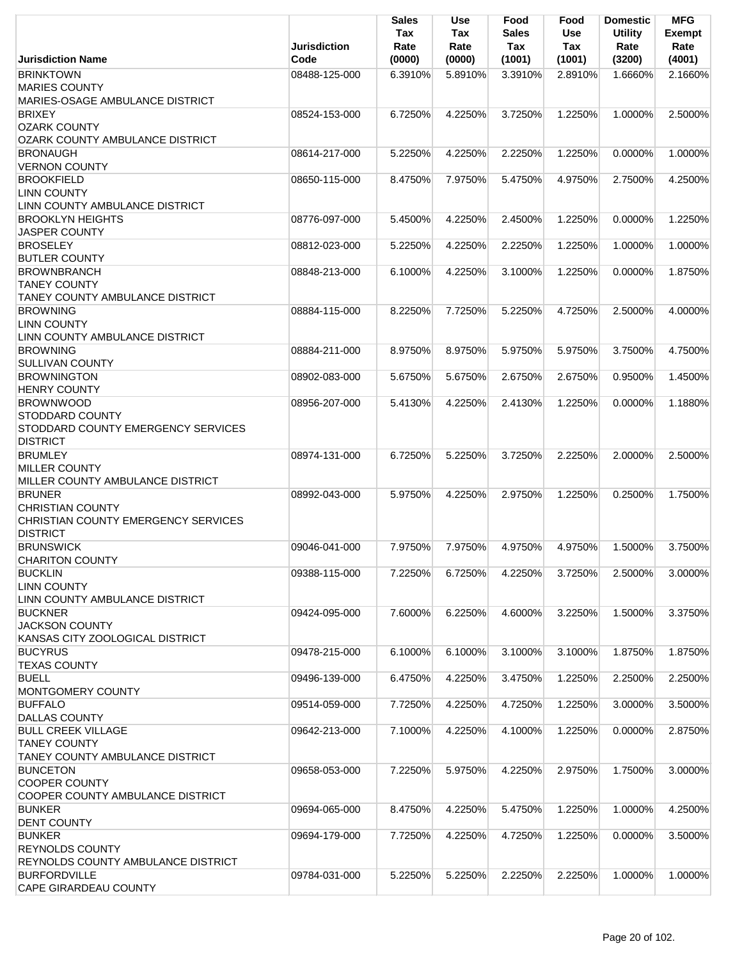|                                                                                                                    | <b>Jurisdiction</b> | <b>Sales</b><br>Tax<br>Rate | Use<br>Tax<br>Rate | Food<br><b>Sales</b><br>Tax | Food<br><b>Use</b><br>Tax | <b>Domestic</b><br><b>Utility</b><br>Rate | <b>MFG</b><br><b>Exempt</b><br>Rate |
|--------------------------------------------------------------------------------------------------------------------|---------------------|-----------------------------|--------------------|-----------------------------|---------------------------|-------------------------------------------|-------------------------------------|
| <b>Jurisdiction Name</b>                                                                                           | Code                | (0000)                      | (0000)             | (1001)                      | (1001)                    | (3200)                                    | (4001)                              |
| <b>BRINKTOWN</b><br><b>MARIES COUNTY</b><br>MARIES-OSAGE AMBULANCE DISTRICT                                        | 08488-125-000       | 6.3910%                     | 5.8910%            | 3.3910%                     | 2.8910%                   | 1.6660%                                   | 2.1660%                             |
| <b>BRIXEY</b><br><b>OZARK COUNTY</b>                                                                               | 08524-153-000       | 6.7250%                     | 4.2250%            | 3.7250%                     | 1.2250%                   | 1.0000%                                   | 2.5000%                             |
| OZARK COUNTY AMBULANCE DISTRICT                                                                                    |                     |                             |                    |                             |                           |                                           |                                     |
| <b>BRONAUGH</b><br><b>VERNON COUNTY</b>                                                                            | 08614-217-000       | 5.2250%                     | 4.2250%            | 2.2250%                     | 1.2250%                   | 0.0000%                                   | 1.0000%                             |
| <b>BROOKFIELD</b><br><b>LINN COUNTY</b><br>LINN COUNTY AMBULANCE DISTRICT                                          | 08650-115-000       | 8.4750%                     | 7.9750%            | 5.4750%                     | 4.9750%                   | 2.7500%                                   | 4.2500%                             |
| <b>BROOKLYN HEIGHTS</b><br><b>JASPER COUNTY</b>                                                                    | 08776-097-000       | 5.4500%                     | 4.2250%            | 2.4500%                     | 1.2250%                   | 0.0000%                                   | 1.2250%                             |
| <b>BROSELEY</b>                                                                                                    | 08812-023-000       | 5.2250%                     | 4.2250%            | 2.2250%                     | 1.2250%                   | 1.0000%                                   | 1.0000%                             |
| <b>BUTLER COUNTY</b><br><b>BROWNBRANCH</b><br><b>TANEY COUNTY</b><br><b>TANEY COUNTY AMBULANCE DISTRICT</b>        | 08848-213-000       | 6.1000%                     | 4.2250%            | 3.1000%                     | 1.2250%                   | $0.0000\%$                                | 1.8750%                             |
| <b>BROWNING</b><br><b>LINN COUNTY</b><br>LINN COUNTY AMBULANCE DISTRICT                                            | 08884-115-000       | 8.2250%                     | 7.7250%            | 5.2250%                     | 4.7250%                   | 2.5000%                                   | 4.0000%                             |
| <b>BROWNING</b><br><b>SULLIVAN COUNTY</b>                                                                          | 08884-211-000       | 8.9750%                     | 8.9750%            | 5.9750%                     | 5.9750%                   | 3.7500%                                   | 4.7500%                             |
| <b>BROWNINGTON</b>                                                                                                 | 08902-083-000       | 5.6750%                     | 5.6750%            | 2.6750%                     | 2.6750%                   | 0.9500%                                   | 1.4500%                             |
| <b>HENRY COUNTY</b><br><b>BROWNWOOD</b>                                                                            | 08956-207-000       | 5.4130%                     | 4.2250%            | 2.4130%                     | 1.2250%                   | 0.0000%                                   | 1.1880%                             |
| <b>STODDARD COUNTY</b><br>STODDARD COUNTY EMERGENCY SERVICES<br><b>DISTRICT</b>                                    |                     |                             |                    |                             |                           |                                           |                                     |
| <b>BRUMLEY</b><br><b>MILLER COUNTY</b><br>MILLER COUNTY AMBULANCE DISTRICT                                         | 08974-131-000       | 6.7250%                     | 5.2250%            | 3.7250%                     | 2.2250%                   | 2.0000%                                   | 2.5000%                             |
| <b>BRUNER</b><br><b>CHRISTIAN COUNTY</b><br>CHRISTIAN COUNTY EMERGENCY SERVICES<br><b>DISTRICT</b>                 | 08992-043-000       | 5.9750%                     | 4.2250%            | 2.9750%                     | 1.2250%                   | 0.2500%                                   | 1.7500%                             |
| <b>BRUNSWICK</b><br><b>CHARITON COUNTY</b>                                                                         | 09046-041-000       | 7.9750%                     | 7.9750%            | 4.9750%                     | 4.9750%                   | 1.5000%                                   | 3.7500%                             |
| <b>BUCKLIN</b><br><b>LINN COUNTY</b><br>LINN COUNTY AMBULANCE DISTRICT                                             | 09388-115-000       | 7.2250%                     | 6.7250%            | 4.2250%                     | 3.7250%                   | 2.5000%                                   | 3.0000%                             |
| <b>BUCKNER</b><br><b>JACKSON COUNTY</b><br>KANSAS CITY ZOOLOGICAL DISTRICT                                         | 09424-095-000       | 7.6000%                     | 6.2250%            | 4.6000%                     | 3.2250%                   | 1.5000%                                   | 3.3750%                             |
| <b>BUCYRUS</b><br><b>TEXAS COUNTY</b>                                                                              | 09478-215-000       | 6.1000%                     | 6.1000%            | 3.1000%                     | 3.1000%                   | 1.8750%                                   | 1.8750%                             |
| <b>BUELL</b><br>MONTGOMERY COUNTY                                                                                  | 09496-139-000       | 6.4750%                     | 4.2250%            | 3.4750%                     | 1.2250%                   | 2.2500%                                   | 2.2500%                             |
| <b>BUFFALO</b>                                                                                                     | 09514-059-000       | 7.7250%                     | 4.2250%            | 4.7250%                     | 1.2250%                   | 3.0000%                                   | 3.5000%                             |
| <b>DALLAS COUNTY</b><br><b>BULL CREEK VILLAGE</b><br><b>TANEY COUNTY</b><br><b>TANEY COUNTY AMBULANCE DISTRICT</b> | 09642-213-000       | 7.1000%                     | 4.2250%            | 4.1000%                     | 1.2250%                   | 0.0000%                                   | 2.8750%                             |
| <b>BUNCETON</b><br><b>COOPER COUNTY</b><br>COOPER COUNTY AMBULANCE DISTRICT                                        | 09658-053-000       | 7.2250%                     | 5.9750%            | 4.2250%                     | 2.9750%                   | 1.7500%                                   | 3.0000%                             |
| <b>BUNKER</b><br><b>DENT COUNTY</b>                                                                                | 09694-065-000       | 8.4750%                     | 4.2250%            | 5.4750%                     | 1.2250%                   | 1.0000%                                   | 4.2500%                             |
| <b>BUNKER</b><br><b>REYNOLDS COUNTY</b><br>REYNOLDS COUNTY AMBULANCE DISTRICT                                      | 09694-179-000       | 7.7250%                     | 4.2250%            | 4.7250%                     | 1.2250%                   | 0.0000%                                   | 3.5000%                             |
| <b>BURFORDVILLE</b>                                                                                                | 09784-031-000       | 5.2250%                     | 5.2250%            | 2.2250%                     | 2.2250%                   | 1.0000%                                   | 1.0000%                             |
| <b>CAPE GIRARDEAU COUNTY</b>                                                                                       |                     |                             |                    |                             |                           |                                           |                                     |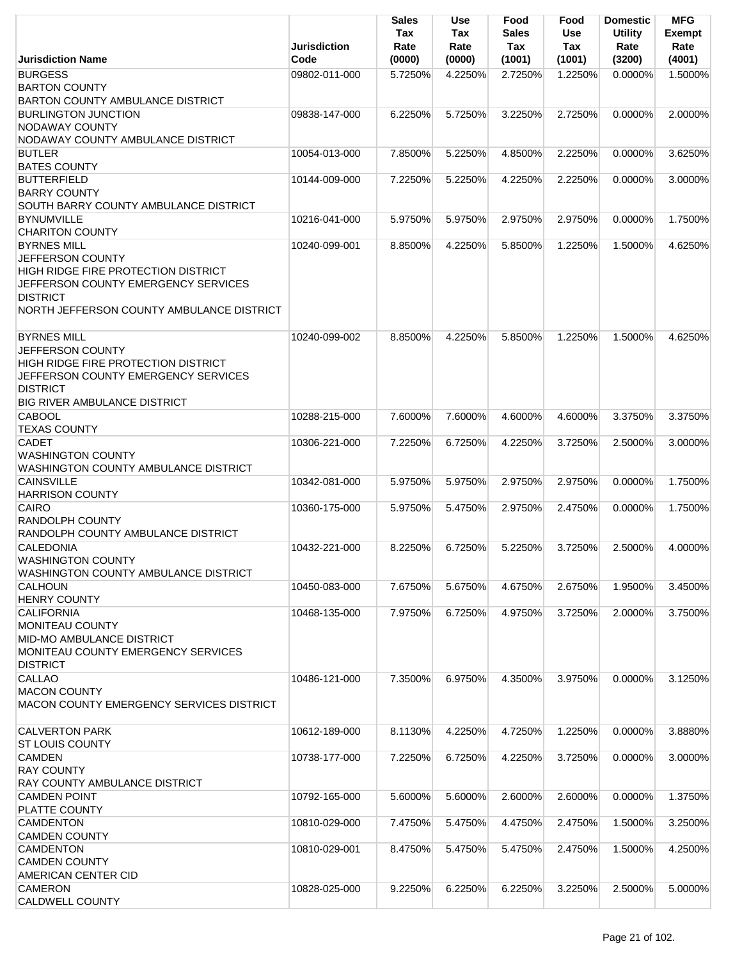|                                                              | <b>Jurisdiction</b> | Sales<br>Tax<br>Rate | <b>Use</b><br>Tax<br>Rate | Food<br><b>Sales</b><br>Tax | Food<br>Use<br>Tax | <b>Domestic</b><br><b>Utility</b><br>Rate | <b>MFG</b><br><b>Exempt</b><br>Rate |
|--------------------------------------------------------------|---------------------|----------------------|---------------------------|-----------------------------|--------------------|-------------------------------------------|-------------------------------------|
| <b>Jurisdiction Name</b>                                     | Code                | (0000)               | (0000)                    | (1001)                      | (1001)             | (3200)                                    | (4001)                              |
| <b>BURGESS</b>                                               | 09802-011-000       | 5.7250%              | 4.2250%                   | 2.7250%                     | 1.2250%            | 0.0000%                                   | 1.5000%                             |
| <b>BARTON COUNTY</b>                                         |                     |                      |                           |                             |                    |                                           |                                     |
| <b>BARTON COUNTY AMBULANCE DISTRICT</b>                      |                     |                      |                           |                             |                    |                                           |                                     |
| <b>BURLINGTON JUNCTION</b>                                   | 09838-147-000       | 6.2250%              | 5.7250%                   | 3.2250%                     | 2.7250%            | $0.0000\%$                                | 2.0000%                             |
| <b>NODAWAY COUNTY</b>                                        |                     |                      |                           |                             |                    |                                           |                                     |
| NODAWAY COUNTY AMBULANCE DISTRICT                            |                     |                      |                           |                             |                    |                                           |                                     |
| <b>BUTLER</b>                                                | 10054-013-000       | 7.8500%              | 5.2250%                   | 4.8500%                     | 2.2250%            | 0.0000%                                   | 3.6250%                             |
| <b>BATES COUNTY</b><br><b>BUTTERFIELD</b>                    |                     |                      |                           |                             |                    |                                           |                                     |
| <b>BARRY COUNTY</b>                                          | 10144-009-000       | 7.2250%              | 5.2250%                   | 4.2250%                     | 2.2250%            | $0.0000\%$                                | 3.0000%                             |
| SOUTH BARRY COUNTY AMBULANCE DISTRICT                        |                     |                      |                           |                             |                    |                                           |                                     |
| <b>BYNUMVILLE</b>                                            | 10216-041-000       | 5.9750%              | 5.9750%                   | 2.9750%                     | 2.9750%            | 0.0000%                                   | 1.7500%                             |
| <b>CHARITON COUNTY</b>                                       |                     |                      |                           |                             |                    |                                           |                                     |
| <b>BYRNES MILL</b>                                           | 10240-099-001       | 8.8500%              | 4.2250%                   | 5.8500%                     | 1.2250%            | 1.5000%                                   | 4.6250%                             |
| JEFFERSON COUNTY                                             |                     |                      |                           |                             |                    |                                           |                                     |
| <b>HIGH RIDGE FIRE PROTECTION DISTRICT</b>                   |                     |                      |                           |                             |                    |                                           |                                     |
| JEFFERSON COUNTY EMERGENCY SERVICES                          |                     |                      |                           |                             |                    |                                           |                                     |
| <b>DISTRICT</b>                                              |                     |                      |                           |                             |                    |                                           |                                     |
| NORTH JEFFERSON COUNTY AMBULANCE DISTRICT                    |                     |                      |                           |                             |                    |                                           |                                     |
|                                                              |                     |                      |                           |                             |                    |                                           |                                     |
| <b>BYRNES MILL</b>                                           | 10240-099-002       | 8.8500%              | 4.2250%                   | 5.8500%                     | 1.2250%            | 1.5000%                                   | 4.6250%                             |
| JEFFERSON COUNTY                                             |                     |                      |                           |                             |                    |                                           |                                     |
| <b>HIGH RIDGE FIRE PROTECTION DISTRICT</b>                   |                     |                      |                           |                             |                    |                                           |                                     |
| JEFFERSON COUNTY EMERGENCY SERVICES                          |                     |                      |                           |                             |                    |                                           |                                     |
| <b>DISTRICT</b>                                              |                     |                      |                           |                             |                    |                                           |                                     |
| <b>BIG RIVER AMBULANCE DISTRICT</b>                          |                     |                      |                           |                             |                    |                                           |                                     |
| <b>CABOOL</b>                                                | 10288-215-000       | 7.6000%              | 7.6000%                   | 4.6000%                     | 4.6000%            | 3.3750%                                   | 3.3750%                             |
| <b>TEXAS COUNTY</b>                                          |                     |                      |                           |                             |                    |                                           |                                     |
| <b>CADET</b>                                                 | 10306-221-000       | 7.2250%              | 6.7250%                   | 4.2250%                     | 3.7250%            | 2.5000%                                   | 3.0000%                             |
| <b>WASHINGTON COUNTY</b>                                     |                     |                      |                           |                             |                    |                                           |                                     |
| WASHINGTON COUNTY AMBULANCE DISTRICT                         |                     |                      |                           |                             |                    |                                           |                                     |
| <b>CAINSVILLE</b>                                            | 10342-081-000       | 5.9750%              | 5.9750%                   | 2.9750%                     | 2.9750%            | 0.0000%                                   | 1.7500%                             |
| <b>HARRISON COUNTY</b>                                       |                     |                      |                           |                             |                    |                                           |                                     |
| CAIRO                                                        | 10360-175-000       | 5.9750%              | 5.4750%                   | 2.9750%                     | 2.4750%            | 0.0000%                                   | 1.7500%                             |
| <b>RANDOLPH COUNTY</b><br>RANDOLPH COUNTY AMBULANCE DISTRICT |                     |                      |                           |                             |                    |                                           |                                     |
| <b>CALEDONIA</b>                                             | 10432-221-000       | 8.2250%              | 6.7250%                   | 5.2250%                     | 3.7250%            | 2.5000%                                   | 4.0000%                             |
| <b>WASHINGTON COUNTY</b>                                     |                     |                      |                           |                             |                    |                                           |                                     |
| WASHINGTON COUNTY AMBULANCE DISTRICT                         |                     |                      |                           |                             |                    |                                           |                                     |
| <b>CALHOUN</b>                                               | 10450-083-000       | 7.6750%              | 5.6750%                   | 4.6750%                     | 2.6750%            | 1.9500%                                   | 3.4500%                             |
| <b>HENRY COUNTY</b>                                          |                     |                      |                           |                             |                    |                                           |                                     |
| <b>CALIFORNIA</b>                                            | 10468-135-000       | 7.9750%              | 6.7250%                   | 4.9750%                     | 3.7250%            | 2.0000%                                   | 3.7500%                             |
| <b>MONITEAU COUNTY</b>                                       |                     |                      |                           |                             |                    |                                           |                                     |
| <b>MID-MO AMBULANCE DISTRICT</b>                             |                     |                      |                           |                             |                    |                                           |                                     |
| MONITEAU COUNTY EMERGENCY SERVICES                           |                     |                      |                           |                             |                    |                                           |                                     |
| <b>DISTRICT</b>                                              |                     |                      |                           |                             |                    |                                           |                                     |
| <b>CALLAO</b>                                                | 10486-121-000       | 7.3500%              | 6.9750%                   | 4.3500%                     | 3.9750%            | 0.0000%                                   | 3.1250%                             |
| <b>MACON COUNTY</b>                                          |                     |                      |                           |                             |                    |                                           |                                     |
| <b>MACON COUNTY EMERGENCY SERVICES DISTRICT</b>              |                     |                      |                           |                             |                    |                                           |                                     |
|                                                              |                     |                      |                           |                             |                    |                                           |                                     |
| <b>CALVERTON PARK</b>                                        | 10612-189-000       | 8.1130%              | 4.2250%                   | 4.7250%                     | 1.2250%            | 0.0000%                                   | 3.8880%                             |
| <b>ST LOUIS COUNTY</b>                                       |                     |                      |                           |                             |                    |                                           |                                     |
| <b>CAMDEN</b>                                                | 10738-177-000       | 7.2250%              | 6.7250%                   | 4.2250%                     | 3.7250%            | 0.0000%                                   | 3.0000%                             |
| <b>RAY COUNTY</b>                                            |                     |                      |                           |                             |                    |                                           |                                     |
| <b>RAY COUNTY AMBULANCE DISTRICT</b>                         |                     |                      |                           |                             |                    |                                           |                                     |
| <b>CAMDEN POINT</b>                                          | 10792-165-000       | 5.6000%              | 5.6000%                   | 2.6000%                     | 2.6000%            | 0.0000%                                   | 1.3750%                             |
| PLATTE COUNTY                                                |                     |                      |                           |                             |                    |                                           |                                     |
| <b>CAMDENTON</b><br><b>CAMDEN COUNTY</b>                     | 10810-029-000       | 7.4750%              | 5.4750%                   | 4.4750%                     | 2.4750%            | 1.5000%                                   | 3.2500%                             |
| <b>CAMDENTON</b>                                             | 10810-029-001       | 8.4750%              | 5.4750%                   | 5.4750%                     | 2.4750%            | 1.5000%                                   | 4.2500%                             |
| <b>CAMDEN COUNTY</b>                                         |                     |                      |                           |                             |                    |                                           |                                     |
| <b>AMERICAN CENTER CID</b>                                   |                     |                      |                           |                             |                    |                                           |                                     |
| <b>CAMERON</b>                                               | 10828-025-000       | 9.2250%              | 6.2250%                   | 6.2250%                     | 3.2250%            | 2.5000%                                   | 5.0000%                             |
| <b>CALDWELL COUNTY</b>                                       |                     |                      |                           |                             |                    |                                           |                                     |
|                                                              |                     |                      |                           |                             |                    |                                           |                                     |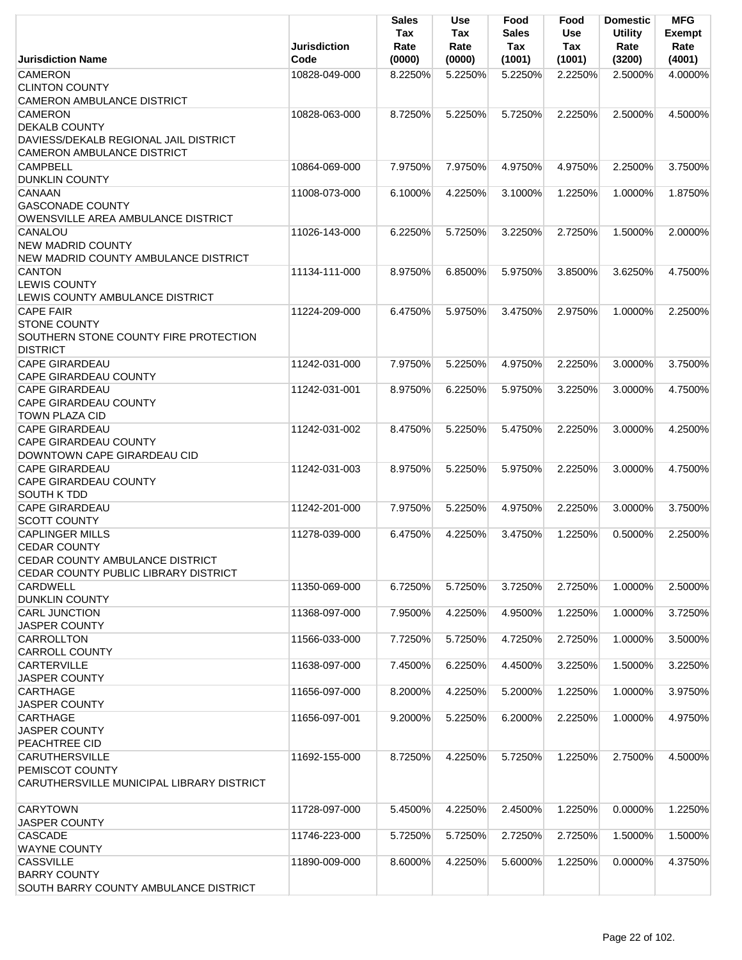|                                                                                       | <b>Jurisdiction</b> | <b>Sales</b><br>Tax<br>Rate | <b>Use</b><br>Tax<br>Rate | Food<br><b>Sales</b><br>Tax | Food<br>Use<br>Tax | <b>Domestic</b><br><b>Utility</b><br>Rate | <b>MFG</b><br><b>Exempt</b><br>Rate |
|---------------------------------------------------------------------------------------|---------------------|-----------------------------|---------------------------|-----------------------------|--------------------|-------------------------------------------|-------------------------------------|
| <b>Jurisdiction Name</b>                                                              | Code                | (0000)                      | (0000)                    | (1001)                      | (1001)             | (3200)                                    | (4001)                              |
| <b>CAMERON</b><br><b>CLINTON COUNTY</b><br>CAMERON AMBULANCE DISTRICT                 | 10828-049-000       | 8.2250%                     | 5.2250%                   | 5.2250%                     | 2.2250%            | 2.5000%                                   | 4.0000%                             |
| <b>CAMERON</b><br><b>DEKALB COUNTY</b>                                                | 10828-063-000       | 8.7250%                     | 5.2250%                   | 5.7250%                     | 2.2250%            | 2.5000%                                   | 4.5000%                             |
| DAVIESS/DEKALB REGIONAL JAIL DISTRICT                                                 |                     |                             |                           |                             |                    |                                           |                                     |
| <b>CAMERON AMBULANCE DISTRICT</b>                                                     |                     |                             |                           |                             |                    |                                           |                                     |
| <b>CAMPBELL</b><br><b>DUNKLIN COUNTY</b>                                              | 10864-069-000       | 7.9750%                     | 7.9750%                   | 4.9750%                     | 4.9750%            | 2.2500%                                   | 3.7500%                             |
| <b>CANAAN</b><br><b>GASCONADE COUNTY</b><br>OWENSVILLE AREA AMBULANCE DISTRICT        | 11008-073-000       | 6.1000%                     | 4.2250%                   | 3.1000%                     | 1.2250%            | 1.0000%                                   | 1.8750%                             |
| CANALOU<br><b>NEW MADRID COUNTY</b><br>NEW MADRID COUNTY AMBULANCE DISTRICT           | 11026-143-000       | 6.2250%                     | 5.7250%                   | 3.2250%                     | 2.7250%            | 1.5000%                                   | 2.0000%                             |
| CANTON<br><b>LEWIS COUNTY</b><br>LEWIS COUNTY AMBULANCE DISTRICT                      | 11134-111-000       | 8.9750%                     | 6.8500%                   | 5.9750%                     | 3.8500%            | 3.6250%                                   | 4.7500%                             |
| <b>CAPE FAIR</b><br><b>STONE COUNTY</b><br>SOUTHERN STONE COUNTY FIRE PROTECTION      | 11224-209-000       | 6.4750%                     | 5.9750%                   | 3.4750%                     | 2.9750%            | 1.0000%                                   | 2.2500%                             |
| <b>DISTRICT</b><br><b>CAPE GIRARDEAU</b><br><b>CAPE GIRARDEAU COUNTY</b>              | 11242-031-000       | 7.9750%                     | 5.2250%                   | 4.9750%                     | 2.2250%            | 3.0000%                                   | 3.7500%                             |
| <b>CAPE GIRARDEAU</b><br><b>CAPE GIRARDEAU COUNTY</b><br><b>TOWN PLAZA CID</b>        | 11242-031-001       | 8.9750%                     | 6.2250%                   | 5.9750%                     | 3.2250%            | 3.0000%                                   | 4.7500%                             |
| <b>CAPE GIRARDEAU</b><br><b>CAPE GIRARDEAU COUNTY</b><br>DOWNTOWN CAPE GIRARDEAU CID  | 11242-031-002       | 8.4750%                     | 5.2250%                   | 5.4750%                     | 2.2250%            | 3.0000%                                   | 4.2500%                             |
| <b>CAPE GIRARDEAU</b><br><b>CAPE GIRARDEAU COUNTY</b><br><b>SOUTH K TDD</b>           | 11242-031-003       | 8.9750%                     | 5.2250%                   | 5.9750%                     | 2.2250%            | 3.0000%                                   | 4.7500%                             |
| <b>CAPE GIRARDEAU</b><br><b>SCOTT COUNTY</b>                                          | 11242-201-000       | 7.9750%                     | 5.2250%                   | 4.9750%                     | 2.2250%            | 3.0000%                                   | 3.7500%                             |
| <b>CAPLINGER MILLS</b><br><b>CEDAR COUNTY</b><br>CEDAR COUNTY AMBULANCE DISTRICT      | 11278-039-000       | 6.4750%                     | 4.2250%                   | 3.4750%                     | 1.2250%            | 0.5000%                                   | 2.2500%                             |
| CEDAR COUNTY PUBLIC LIBRARY DISTRICT<br><b>CARDWELL</b>                               | 11350-069-000       | 6.7250%                     | 5.7250%                   | 3.7250%                     | 2.7250%            | 1.0000%                                   | 2.5000%                             |
| <b>DUNKLIN COUNTY</b>                                                                 |                     |                             |                           |                             |                    |                                           |                                     |
| <b>CARL JUNCTION</b><br><b>JASPER COUNTY</b>                                          | 11368-097-000       | 7.9500%                     | 4.2250%                   | 4.9500%                     | 1.2250%            | 1.0000%                                   | 3.7250%                             |
| <b>CARROLLTON</b><br><b>CARROLL COUNTY</b>                                            | 11566-033-000       | 7.7250%                     | 5.7250%                   | 4.7250%                     | 2.7250%            | 1.0000%                                   | 3.5000%                             |
| <b>CARTERVILLE</b><br><b>JASPER COUNTY</b>                                            | 11638-097-000       | 7.4500%                     | 6.2250%                   | 4.4500%                     | 3.2250%            | 1.5000%                                   | 3.2250%                             |
| <b>CARTHAGE</b><br><b>JASPER COUNTY</b>                                               | 11656-097-000       | 8.2000%                     | 4.2250%                   | 5.2000%                     | 1.2250%            | 1.0000%                                   | 3.9750%                             |
| <b>CARTHAGE</b><br><b>JASPER COUNTY</b><br><b>PEACHTREE CID</b>                       | 11656-097-001       | 9.2000%                     | 5.2250%                   | 6.2000%                     | 2.2250%            | 1.0000%                                   | 4.9750%                             |
| <b>CARUTHERSVILLE</b><br>PEMISCOT COUNTY<br>CARUTHERSVILLE MUNICIPAL LIBRARY DISTRICT | 11692-155-000       | 8.7250%                     | 4.2250%                   | 5.7250%                     | 1.2250%            | 2.7500%                                   | 4.5000%                             |
| <b>CARYTOWN</b><br><b>JASPER COUNTY</b>                                               | 11728-097-000       | 5.4500%                     | 4.2250%                   | 2.4500%                     | 1.2250%            | 0.0000%                                   | 1.2250%                             |
| <b>CASCADE</b><br><b>WAYNE COUNTY</b>                                                 | 11746-223-000       | 5.7250%                     | 5.7250%                   | 2.7250%                     | 2.7250%            | 1.5000%                                   | 1.5000%                             |
| <b>CASSVILLE</b><br><b>BARRY COUNTY</b><br>SOUTH BARRY COUNTY AMBULANCE DISTRICT      | 11890-009-000       | 8.6000%                     | 4.2250%                   | 5.6000%                     | 1.2250%            | 0.0000%                                   | 4.3750%                             |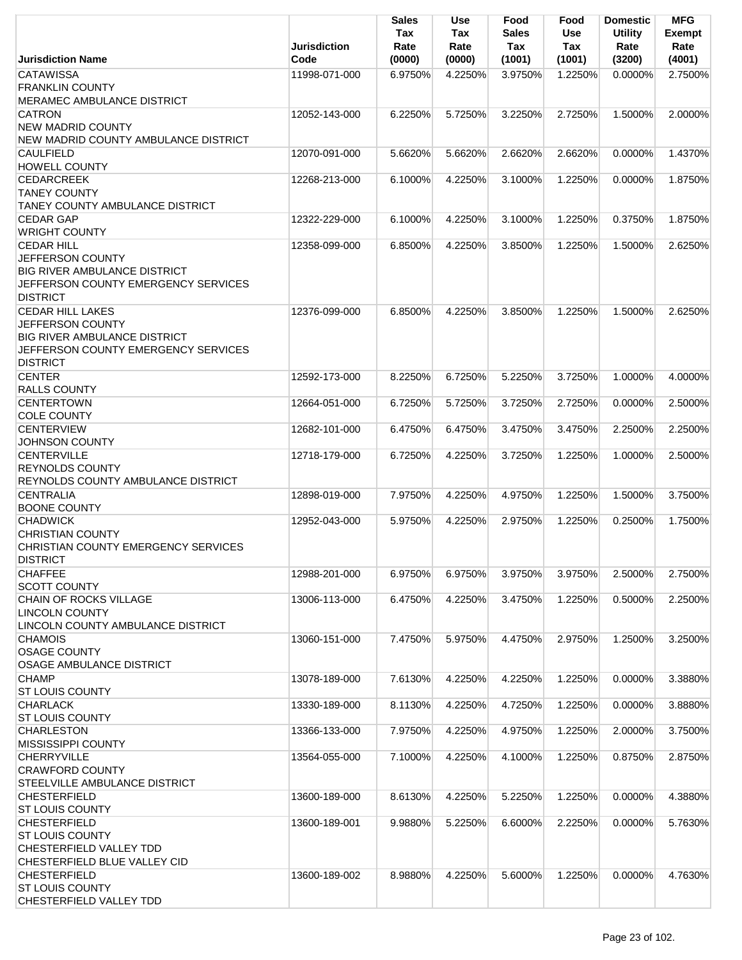|                                      | <b>Jurisdiction</b> | Sales<br>Tax<br>Rate | Use<br>Tax<br>Rate | Food<br><b>Sales</b><br>Tax | Food<br>Use<br>Tax | <b>Domestic</b><br><b>Utility</b><br>Rate | <b>MFG</b><br><b>Exempt</b><br>Rate |
|--------------------------------------|---------------------|----------------------|--------------------|-----------------------------|--------------------|-------------------------------------------|-------------------------------------|
| <b>Jurisdiction Name</b>             | Code                | (0000)               | (0000)             | (1001)                      | (1001)             | (3200)                                    | (4001)                              |
| <b>CATAWISSA</b>                     | 11998-071-000       | 6.9750%              | 4.2250%            | 3.9750%                     | 1.2250%            | $0.0000\%$                                | 2.7500%                             |
| <b>FRANKLIN COUNTY</b>               |                     |                      |                    |                             |                    |                                           |                                     |
| MERAMEC AMBULANCE DISTRICT           |                     |                      |                    |                             |                    |                                           |                                     |
| <b>CATRON</b>                        | 12052-143-000       | 6.2250%              | 5.7250%            | 3.2250%                     | 2.7250%            | 1.5000%                                   | 2.0000%                             |
| <b>NEW MADRID COUNTY</b>             |                     |                      |                    |                             |                    |                                           |                                     |
| NEW MADRID COUNTY AMBULANCE DISTRICT |                     |                      |                    |                             |                    |                                           |                                     |
| <b>CAULFIELD</b>                     | 12070-091-000       | 5.6620%              | 5.6620%            | 2.6620%                     | 2.6620%            | 0.0000%                                   | 1.4370%                             |
| <b>HOWELL COUNTY</b>                 |                     |                      |                    |                             |                    |                                           |                                     |
| <b>CEDARCREEK</b>                    | 12268-213-000       | 6.1000%              | 4.2250%            | 3.1000%                     | 1.2250%            | 0.0000%                                   | 1.8750%                             |
| <b>TANEY COUNTY</b>                  |                     |                      |                    |                             |                    |                                           |                                     |
| TANEY COUNTY AMBULANCE DISTRICT      |                     |                      |                    |                             |                    |                                           |                                     |
| <b>CEDAR GAP</b>                     | 12322-229-000       | 6.1000%              | 4.2250%            | 3.1000%                     | 1.2250%            | 0.3750%                                   | 1.8750%                             |
| <b>WRIGHT COUNTY</b>                 |                     |                      |                    |                             |                    |                                           |                                     |
| <b>CEDAR HILL</b>                    | 12358-099-000       | 6.8500%              | 4.2250%            | 3.8500%                     | 1.2250%            | 1.5000%                                   | 2.6250%                             |
| JEFFERSON COUNTY                     |                     |                      |                    |                             |                    |                                           |                                     |
| <b>BIG RIVER AMBULANCE DISTRICT</b>  |                     |                      |                    |                             |                    |                                           |                                     |
| JEFFERSON COUNTY EMERGENCY SERVICES  |                     |                      |                    |                             |                    |                                           |                                     |
| <b>DISTRICT</b>                      |                     |                      |                    |                             |                    |                                           |                                     |
| <b>CEDAR HILL LAKES</b>              | 12376-099-000       | 6.8500%              | 4.2250%            | 3.8500%                     | 1.2250%            | 1.5000%                                   | 2.6250%                             |
| JEFFERSON COUNTY                     |                     |                      |                    |                             |                    |                                           |                                     |
| <b>BIG RIVER AMBULANCE DISTRICT</b>  |                     |                      |                    |                             |                    |                                           |                                     |
| JEFFERSON COUNTY EMERGENCY SERVICES  |                     |                      |                    |                             |                    |                                           |                                     |
| <b>DISTRICT</b>                      |                     |                      |                    |                             |                    |                                           |                                     |
| <b>CENTER</b>                        | 12592-173-000       | 8.2250%              | 6.7250%            | 5.2250%                     | 3.7250%            | 1.0000%                                   | 4.0000%                             |
| <b>RALLS COUNTY</b>                  |                     |                      |                    |                             |                    |                                           |                                     |
| <b>CENTERTOWN</b>                    | 12664-051-000       | 6.7250%              | 5.7250%            | 3.7250%                     | 2.7250%            | 0.0000%                                   | 2.5000%                             |
| <b>COLE COUNTY</b>                   |                     |                      |                    |                             |                    |                                           |                                     |
| <b>CENTERVIEW</b>                    | 12682-101-000       | 6.4750%              | 6.4750%            | 3.4750%                     | 3.4750%            | 2.2500%                                   | 2.2500%                             |
| <b>JOHNSON COUNTY</b>                |                     |                      |                    |                             |                    |                                           |                                     |
| <b>CENTERVILLE</b>                   | 12718-179-000       | 6.7250%              | 4.2250%            | 3.7250%                     | 1.2250%            | 1.0000%                                   | 2.5000%                             |
| <b>REYNOLDS COUNTY</b>               |                     |                      |                    |                             |                    |                                           |                                     |
| REYNOLDS COUNTY AMBULANCE DISTRICT   |                     |                      |                    |                             |                    |                                           |                                     |
| <b>CENTRALIA</b>                     | 12898-019-000       | 7.9750%              | 4.2250%            | 4.9750%                     | 1.2250%            | 1.5000%                                   | 3.7500%                             |
| <b>BOONE COUNTY</b>                  |                     |                      |                    |                             |                    |                                           |                                     |
| <b>CHADWICK</b>                      | 12952-043-000       | 5.9750%              | 4.2250%            | 2.9750%                     | 1.2250%            | 0.2500%                                   | 1.7500%                             |
| <b>CHRISTIAN COUNTY</b>              |                     |                      |                    |                             |                    |                                           |                                     |
| CHRISTIAN COUNTY EMERGENCY SERVICES  |                     |                      |                    |                             |                    |                                           |                                     |
| <b>DISTRICT</b>                      |                     |                      |                    |                             |                    |                                           |                                     |
| <b>CHAFFEE</b>                       | 12988-201-000       | 6.9750%              | 6.9750%            | 3.9750%                     | 3.9750%            | 2.5000%                                   | 2.7500%                             |
| <b>SCOTT COUNTY</b>                  |                     |                      |                    |                             |                    |                                           |                                     |
| CHAIN OF ROCKS VILLAGE               | 13006-113-000       | 6.4750%              | 4.2250%            | 3.4750%                     | 1.2250%            | 0.5000%                                   | 2.2500%                             |
| <b>LINCOLN COUNTY</b>                |                     |                      |                    |                             |                    |                                           |                                     |
| LINCOLN COUNTY AMBULANCE DISTRICT    |                     |                      |                    |                             |                    |                                           |                                     |
| <b>CHAMOIS</b>                       | 13060-151-000       | 7.4750%              | 5.9750%            | 4.4750%                     | 2.9750%            | 1.2500%                                   | 3.2500%                             |
| <b>OSAGE COUNTY</b>                  |                     |                      |                    |                             |                    |                                           |                                     |
| <b>OSAGE AMBULANCE DISTRICT</b>      |                     |                      |                    |                             |                    |                                           |                                     |
| <b>CHAMP</b>                         | 13078-189-000       | 7.6130%              | 4.2250%            | 4.2250%                     | 1.2250%            | 0.0000%                                   | 3.3880%                             |
| <b>ST LOUIS COUNTY</b>               |                     |                      |                    |                             |                    |                                           |                                     |
| <b>CHARLACK</b>                      | 13330-189-000       | 8.1130%              | 4.2250%            | 4.7250%                     | 1.2250%            | 0.0000%                                   | 3.8880%                             |
| <b>ST LOUIS COUNTY</b>               |                     |                      |                    |                             |                    |                                           |                                     |
| <b>CHARLESTON</b>                    | 13366-133-000       | 7.9750%              | 4.2250%            | 4.9750%                     | 1.2250%            | 2.0000%                                   | 3.7500%                             |
| <b>MISSISSIPPI COUNTY</b>            |                     |                      |                    |                             |                    |                                           |                                     |
| <b>CHERRYVILLE</b>                   | 13564-055-000       | 7.1000%              | 4.2250%            | 4.1000%                     | 1.2250%            | 0.8750%                                   | 2.8750%                             |
| <b>CRAWFORD COUNTY</b>               |                     |                      |                    |                             |                    |                                           |                                     |
| STEELVILLE AMBULANCE DISTRICT        |                     |                      |                    |                             |                    |                                           |                                     |
| <b>CHESTERFIELD</b>                  | 13600-189-000       | 8.6130%              | 4.2250%            | 5.2250%                     | 1.2250%            | 0.0000%                                   | 4.3880%                             |
| <b>ST LOUIS COUNTY</b>               |                     |                      |                    |                             |                    |                                           |                                     |
| <b>CHESTERFIELD</b>                  | 13600-189-001       | 9.9880%              | 5.2250%            | 6.6000%                     | 2.2250%            | 0.0000%                                   | 5.7630%                             |
| <b>ST LOUIS COUNTY</b>               |                     |                      |                    |                             |                    |                                           |                                     |
| <b>CHESTERFIELD VALLEY TDD</b>       |                     |                      |                    |                             |                    |                                           |                                     |
| CHESTERFIELD BLUE VALLEY CID         |                     |                      |                    |                             |                    |                                           |                                     |
| <b>CHESTERFIELD</b>                  | 13600-189-002       | 8.9880%              | 4.2250%            | 5.6000%                     | 1.2250%            | 0.0000%                                   | 4.7630%                             |
| <b>ST LOUIS COUNTY</b>               |                     |                      |                    |                             |                    |                                           |                                     |
| CHESTERFIELD VALLEY TDD              |                     |                      |                    |                             |                    |                                           |                                     |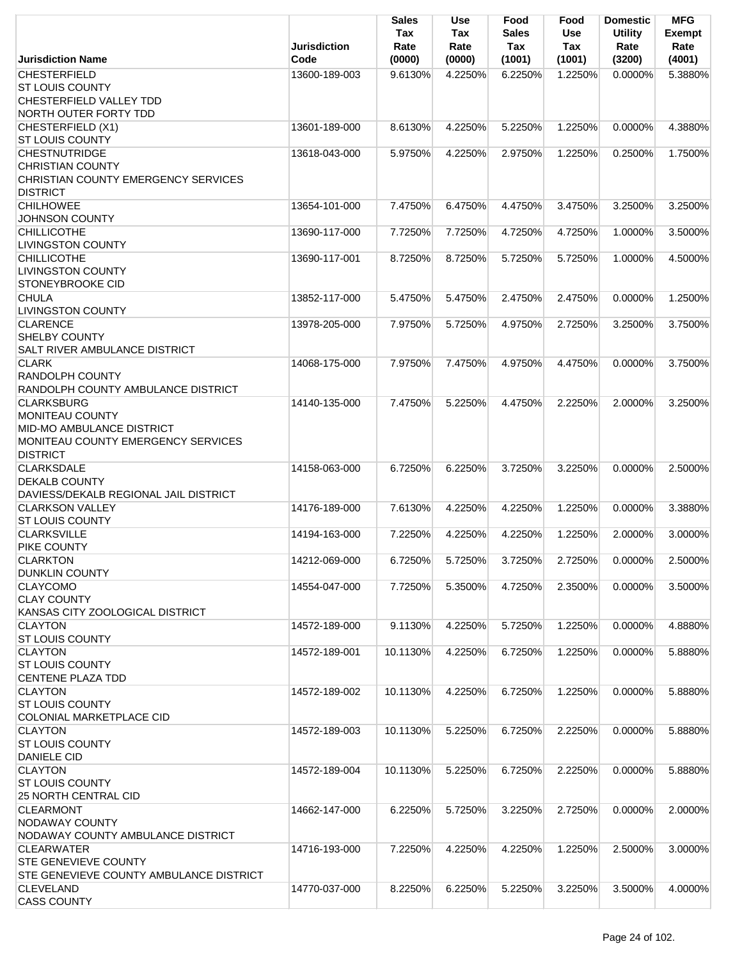|                                                          | Jurisdiction  | <b>Sales</b><br>Tax<br>Rate | Use<br>Tax<br>Rate | Food<br><b>Sales</b><br>Tax | Food<br><b>Use</b><br>Tax | <b>Domestic</b><br><b>Utility</b><br>Rate | <b>MFG</b><br><b>Exempt</b><br>Rate |
|----------------------------------------------------------|---------------|-----------------------------|--------------------|-----------------------------|---------------------------|-------------------------------------------|-------------------------------------|
| <b>Jurisdiction Name</b>                                 | Code          | (0000)                      | (0000)             | (1001)                      | (1001)                    | (3200)                                    | (4001)                              |
| <b>CHESTERFIELD</b>                                      | 13600-189-003 | 9.6130%                     | 4.2250%            | 6.2250%                     | 1.2250%                   | 0.0000%                                   | 5.3880%                             |
| <b>ST LOUIS COUNTY</b><br><b>CHESTERFIELD VALLEY TDD</b> |               |                             |                    |                             |                           |                                           |                                     |
| NORTH OUTER FORTY TDD                                    |               |                             |                    |                             |                           |                                           |                                     |
| CHESTERFIELD (X1)                                        | 13601-189-000 | 8.6130%                     | 4.2250%            | 5.2250%                     | 1.2250%                   | 0.0000%                                   | 4.3880%                             |
| <b>ST LOUIS COUNTY</b>                                   |               |                             |                    |                             |                           |                                           |                                     |
| <b>CHESTNUTRIDGE</b>                                     | 13618-043-000 | 5.9750%                     | 4.2250%            | 2.9750%                     | 1.2250%                   | 0.2500%                                   | 1.7500%                             |
| <b>CHRISTIAN COUNTY</b>                                  |               |                             |                    |                             |                           |                                           |                                     |
| CHRISTIAN COUNTY EMERGENCY SERVICES                      |               |                             |                    |                             |                           |                                           |                                     |
| <b>DISTRICT</b>                                          |               |                             |                    |                             |                           |                                           |                                     |
| <b>CHILHOWEE</b>                                         | 13654-101-000 | 7.4750%                     | 6.4750%            | 4.4750%                     | 3.4750%                   | 3.2500%                                   | 3.2500%                             |
| <b>JOHNSON COUNTY</b>                                    |               |                             |                    |                             |                           |                                           |                                     |
| <b>CHILLICOTHE</b>                                       | 13690-117-000 | 7.7250%                     | 7.7250%            | 4.7250%                     | 4.7250%                   | 1.0000%                                   | 3.5000%                             |
| <b>LIVINGSTON COUNTY</b>                                 |               |                             |                    |                             |                           |                                           |                                     |
| <b>CHILLICOTHE</b>                                       | 13690-117-001 | 8.7250%                     | 8.7250%            | 5.7250%                     | 5.7250%                   | 1.0000%                                   | 4.5000%                             |
| <b>LIVINGSTON COUNTY</b>                                 |               |                             |                    |                             |                           |                                           |                                     |
| <b>STONEYBROOKE CID</b>                                  |               |                             |                    |                             |                           |                                           |                                     |
| <b>CHULA</b>                                             | 13852-117-000 | 5.4750%                     | 5.4750%            | 2.4750%                     | 2.4750%                   | 0.0000%                                   | 1.2500%                             |
| <b>LIVINGSTON COUNTY</b><br><b>CLARENCE</b>              | 13978-205-000 | 7.9750%                     | 5.7250%            | 4.9750%                     | 2.7250%                   | 3.2500%                                   | 3.7500%                             |
| <b>SHELBY COUNTY</b>                                     |               |                             |                    |                             |                           |                                           |                                     |
| <b>SALT RIVER AMBULANCE DISTRICT</b>                     |               |                             |                    |                             |                           |                                           |                                     |
| <b>CLARK</b>                                             | 14068-175-000 | 7.9750%                     | 7.4750%            | 4.9750%                     | 4.4750%                   | $0.0000\%$                                | 3.7500%                             |
| <b>RANDOLPH COUNTY</b>                                   |               |                             |                    |                             |                           |                                           |                                     |
| RANDOLPH COUNTY AMBULANCE DISTRICT                       |               |                             |                    |                             |                           |                                           |                                     |
| <b>CLARKSBURG</b>                                        | 14140-135-000 | 7.4750%                     | 5.2250%            | 4.4750%                     | 2.2250%                   | 2.0000%                                   | 3.2500%                             |
| MONITEAU COUNTY                                          |               |                             |                    |                             |                           |                                           |                                     |
| <b>MID-MO AMBULANCE DISTRICT</b>                         |               |                             |                    |                             |                           |                                           |                                     |
| MONITEAU COUNTY EMERGENCY SERVICES                       |               |                             |                    |                             |                           |                                           |                                     |
| <b>DISTRICT</b>                                          |               |                             |                    |                             |                           |                                           |                                     |
| <b>CLARKSDALE</b>                                        | 14158-063-000 | 6.7250%                     | 6.2250%            | 3.7250%                     | 3.2250%                   | $0.0000\%$                                | 2.5000%                             |
| <b>DEKALB COUNTY</b>                                     |               |                             |                    |                             |                           |                                           |                                     |
| DAVIESS/DEKALB REGIONAL JAIL DISTRICT                    |               |                             |                    |                             |                           |                                           |                                     |
| <b>CLARKSON VALLEY</b>                                   | 14176-189-000 | 7.6130%                     | 4.2250%            | 4.2250%                     | 1.2250%                   | 0.0000%                                   | 3.3880%                             |
| <b>ST LOUIS COUNTY</b>                                   |               |                             |                    |                             |                           |                                           |                                     |
| <b>CLARKSVILLE</b><br>PIKE COUNTY                        | 14194-163-000 | 7.2250%                     | 4.2250%            | 4.2250%                     | 1.2250%                   | 2.0000%                                   | 3.0000%                             |
| <b>CLARKTON</b>                                          | 14212-069-000 | 6.7250%                     | 5.7250%            | 3.7250%                     | 2.7250%                   | 0.0000%                                   | 2.5000%                             |
| <b>DUNKLIN COUNTY</b>                                    |               |                             |                    |                             |                           |                                           |                                     |
| <b>CLAYCOMO</b>                                          | 14554-047-000 | 7.7250%                     | 5.3500%            | 4.7250%                     | 2.3500%                   | 0.0000%                                   | 3.5000%                             |
| <b>CLAY COUNTY</b>                                       |               |                             |                    |                             |                           |                                           |                                     |
| KANSAS CITY ZOOLOGICAL DISTRICT                          |               |                             |                    |                             |                           |                                           |                                     |
| <b>CLAYTON</b>                                           | 14572-189-000 | 9.1130%                     | 4.2250%            | 5.7250%                     | 1.2250%                   | 0.0000%                                   | 4.8880%                             |
| <b>ST LOUIS COUNTY</b>                                   |               |                             |                    |                             |                           |                                           |                                     |
| <b>CLAYTON</b>                                           | 14572-189-001 | 10.1130%                    | 4.2250%            | 6.7250%                     | 1.2250%                   | 0.0000%                                   | 5.8880%                             |
| <b>ST LOUIS COUNTY</b>                                   |               |                             |                    |                             |                           |                                           |                                     |
| <b>CENTENE PLAZA TDD</b>                                 |               |                             |                    |                             |                           |                                           |                                     |
| <b>CLAYTON</b>                                           | 14572-189-002 | 10.1130%                    | 4.2250%            | 6.7250%                     | 1.2250%                   | 0.0000%                                   | 5.8880%                             |
| <b>ST LOUIS COUNTY</b>                                   |               |                             |                    |                             |                           |                                           |                                     |
| <b>COLONIAL MARKETPLACE CID</b>                          |               |                             |                    |                             |                           |                                           |                                     |
| <b>CLAYTON</b>                                           | 14572-189-003 | 10.1130%                    | 5.2250%            | 6.7250%                     | 2.2250%                   | 0.0000%                                   | 5.8880%                             |
| <b>ST LOUIS COUNTY</b><br><b>DANIELE CID</b>             |               |                             |                    |                             |                           |                                           |                                     |
| <b>CLAYTON</b>                                           | 14572-189-004 | 10.1130%                    | 5.2250%            | 6.7250%                     | 2.2250%                   | 0.0000%                                   | 5.8880%                             |
| <b>ST LOUIS COUNTY</b>                                   |               |                             |                    |                             |                           |                                           |                                     |
| <b>25 NORTH CENTRAL CID</b>                              |               |                             |                    |                             |                           |                                           |                                     |
| <b>CLEARMONT</b>                                         | 14662-147-000 | 6.2250%                     | 5.7250%            | 3.2250%                     | 2.7250%                   | $0.0000\%$                                | 2.0000%                             |
| <b>NODAWAY COUNTY</b>                                    |               |                             |                    |                             |                           |                                           |                                     |
| NODAWAY COUNTY AMBULANCE DISTRICT                        |               |                             |                    |                             |                           |                                           |                                     |
| <b>CLEARWATER</b>                                        | 14716-193-000 | 7.2250%                     | 4.2250%            | 4.2250%                     | 1.2250%                   | 2.5000%                                   | 3.0000%                             |
| STE GENEVIEVE COUNTY                                     |               |                             |                    |                             |                           |                                           |                                     |
| STE GENEVIEVE COUNTY AMBULANCE DISTRICT                  |               |                             |                    |                             |                           |                                           |                                     |
| <b>CLEVELAND</b>                                         | 14770-037-000 | 8.2250%                     | 6.2250%            | 5.2250%                     | 3.2250%                   | 3.5000%                                   | 4.0000%                             |
| <b>CASS COUNTY</b>                                       |               |                             |                    |                             |                           |                                           |                                     |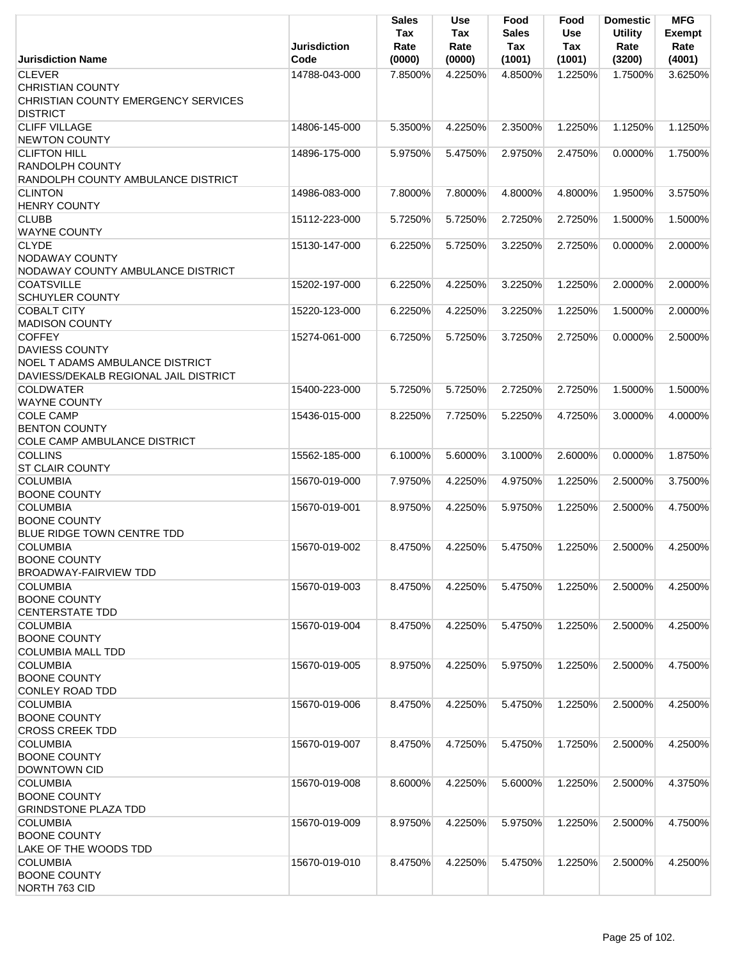|                                                                                                                    | <b>Jurisdiction</b> | <b>Sales</b><br>Tax<br>Rate | <b>Use</b><br>Tax<br>Rate | Food<br><b>Sales</b><br>Tax | Food<br><b>Use</b><br>Tax | <b>Domestic</b><br><b>Utility</b><br>Rate | <b>MFG</b><br><b>Exempt</b><br>Rate |
|--------------------------------------------------------------------------------------------------------------------|---------------------|-----------------------------|---------------------------|-----------------------------|---------------------------|-------------------------------------------|-------------------------------------|
| <b>Jurisdiction Name</b>                                                                                           | Code                | (0000)                      | (0000)                    | (1001)                      | (1001)                    | (3200)                                    | (4001)                              |
| <b>CLEVER</b><br><b>CHRISTIAN COUNTY</b><br>CHRISTIAN COUNTY EMERGENCY SERVICES                                    | 14788-043-000       | 7.8500%                     | 4.2250%                   | 4.8500%                     | 1.2250%                   | 1.7500%                                   | 3.6250%                             |
| <b>DISTRICT</b><br><b>CLIFF VILLAGE</b><br><b>NEWTON COUNTY</b>                                                    | 14806-145-000       | 5.3500%                     | 4.2250%                   | 2.3500%                     | 1.2250%                   | 1.1250%                                   | 1.1250%                             |
| <b>CLIFTON HILL</b><br><b>RANDOLPH COUNTY</b><br>RANDOLPH COUNTY AMBULANCE DISTRICT                                | 14896-175-000       | 5.9750%                     | 5.4750%                   | 2.9750%                     | 2.4750%                   | 0.0000%                                   | 1.7500%                             |
| <b>CLINTON</b><br><b>HENRY COUNTY</b>                                                                              | 14986-083-000       | 7.8000%                     | 7.8000%                   | 4.8000%                     | 4.8000%                   | 1.9500%                                   | 3.5750%                             |
| <b>CLUBB</b><br><b>WAYNE COUNTY</b>                                                                                | 15112-223-000       | 5.7250%                     | 5.7250%                   | 2.7250%                     | 2.7250%                   | 1.5000%                                   | 1.5000%                             |
| <b>CLYDE</b><br>NODAWAY COUNTY<br>NODAWAY COUNTY AMBULANCE DISTRICT                                                | 15130-147-000       | 6.2250%                     | 5.7250%                   | 3.2250%                     | 2.7250%                   | 0.0000%                                   | 2.0000%                             |
| <b>COATSVILLE</b><br><b>SCHUYLER COUNTY</b>                                                                        | 15202-197-000       | 6.2250%                     | 4.2250%                   | 3.2250%                     | 1.2250%                   | 2.0000%                                   | 2.0000%                             |
| <b>COBALT CITY</b><br><b>MADISON COUNTY</b>                                                                        | 15220-123-000       | 6.2250%                     | 4.2250%                   | 3.2250%                     | 1.2250%                   | 1.5000%                                   | 2.0000%                             |
| <b>COFFEY</b><br><b>DAVIESS COUNTY</b><br>NOEL T ADAMS AMBULANCE DISTRICT<br>DAVIESS/DEKALB REGIONAL JAIL DISTRICT | 15274-061-000       | 6.7250%                     | 5.7250%                   | 3.7250%                     | 2.7250%                   | 0.0000%                                   | 2.5000%                             |
| <b>COLDWATER</b><br><b>WAYNE COUNTY</b>                                                                            | 15400-223-000       | 5.7250%                     | 5.7250%                   | 2.7250%                     | 2.7250%                   | 1.5000%                                   | 1.5000%                             |
| <b>COLE CAMP</b><br><b>BENTON COUNTY</b><br>COLE CAMP AMBULANCE DISTRICT                                           | 15436-015-000       | 8.2250%                     | 7.7250%                   | 5.2250%                     | 4.7250%                   | 3.0000%                                   | 4.0000%                             |
| <b>COLLINS</b><br><b>ST CLAIR COUNTY</b>                                                                           | 15562-185-000       | 6.1000%                     | 5.6000%                   | 3.1000%                     | 2.6000%                   | 0.0000%                                   | 1.8750%                             |
| <b>COLUMBIA</b><br><b>BOONE COUNTY</b>                                                                             | 15670-019-000       | 7.9750%                     | 4.2250%                   | 4.9750%                     | 1.2250%                   | 2.5000%                                   | 3.7500%                             |
| <b>COLUMBIA</b><br><b>BOONE COUNTY</b><br>BLUE RIDGE TOWN CENTRE TDD                                               | 15670-019-001       | 8.9750%                     | 4.2250%                   | 5.9750%                     | 1.2250%                   | 2.5000%                                   | 4.7500%                             |
| <b>COLUMBIA</b><br><b>BOONE COUNTY</b><br><b>BROADWAY-FAIRVIEW TDD</b>                                             | 15670-019-002       | 8.4750%                     | 4.2250%                   | 5.4750%                     | 1.2250%                   | 2.5000%                                   | 4.2500%                             |
| <b>COLUMBIA</b><br><b>BOONE COUNTY</b><br><b>CENTERSTATE TDD</b>                                                   | 15670-019-003       | 8.4750%                     | 4.2250%                   | 5.4750%                     | 1.2250%                   | 2.5000%                                   | 4.2500%                             |
| <b>COLUMBIA</b><br><b>BOONE COUNTY</b><br><b>COLUMBIA MALL TDD</b>                                                 | 15670-019-004       | 8.4750%                     | 4.2250%                   | 5.4750%                     | 1.2250%                   | 2.5000%                                   | 4.2500%                             |
| <b>COLUMBIA</b><br><b>BOONE COUNTY</b><br>CONLEY ROAD TDD                                                          | 15670-019-005       | 8.9750%                     | 4.2250%                   | 5.9750%                     | 1.2250%                   | 2.5000%                                   | 4.7500%                             |
| <b>COLUMBIA</b><br><b>BOONE COUNTY</b><br><b>CROSS CREEK TDD</b>                                                   | 15670-019-006       | 8.4750%                     | 4.2250%                   | 5.4750%                     | 1.2250%                   | 2.5000%                                   | 4.2500%                             |
| <b>COLUMBIA</b><br><b>BOONE COUNTY</b><br><b>DOWNTOWN CID</b>                                                      | 15670-019-007       | 8.4750%                     | 4.7250%                   | 5.4750%                     | 1.7250%                   | 2.5000%                                   | 4.2500%                             |
| <b>COLUMBIA</b><br><b>BOONE COUNTY</b><br><b>GRINDSTONE PLAZA TDD</b>                                              | 15670-019-008       | 8.6000%                     | 4.2250%                   | 5.6000%                     | 1.2250%                   | 2.5000%                                   | 4.3750%                             |
| <b>COLUMBIA</b><br><b>BOONE COUNTY</b><br>LAKE OF THE WOODS TDD                                                    | 15670-019-009       | 8.9750%                     | 4.2250%                   | 5.9750%                     | 1.2250%                   | 2.5000%                                   | 4.7500%                             |
| <b>COLUMBIA</b><br><b>BOONE COUNTY</b><br>NORTH 763 CID                                                            | 15670-019-010       | 8.4750%                     | 4.2250%                   | 5.4750%                     | 1.2250%                   | 2.5000%                                   | 4.2500%                             |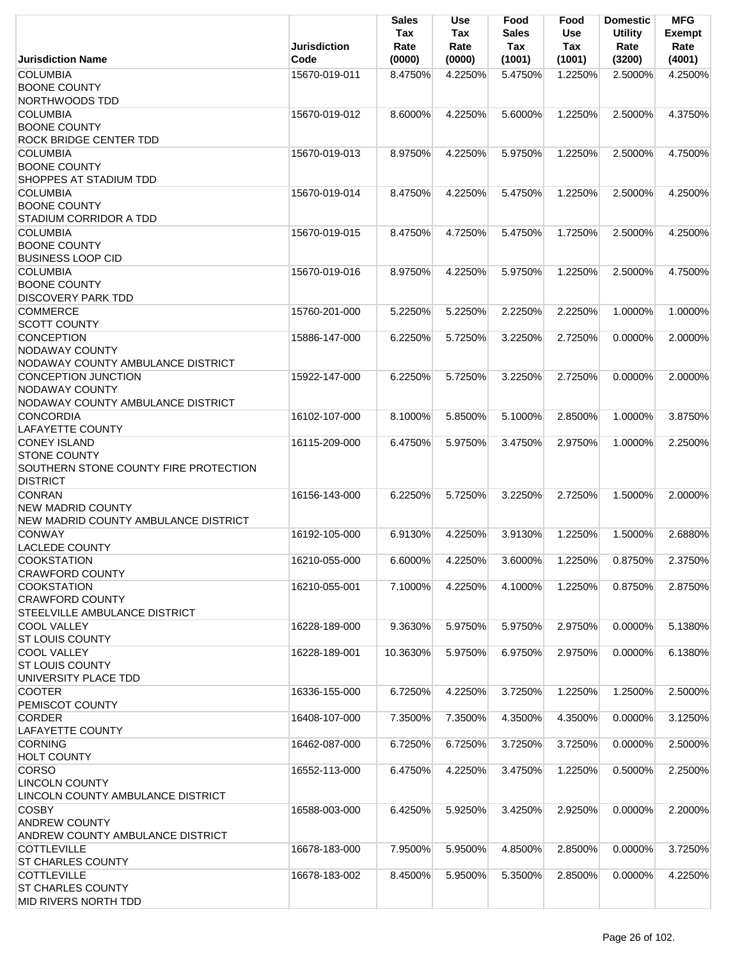|                                                | <b>Jurisdiction</b> | Sales<br>Tax<br>Rate | <b>Use</b><br>Tax<br>Rate | Food<br><b>Sales</b><br><b>Tax</b> | Food<br>Use<br><b>Tax</b> | <b>Domestic</b><br><b>Utility</b><br>Rate | <b>MFG</b><br><b>Exempt</b><br>Rate |
|------------------------------------------------|---------------------|----------------------|---------------------------|------------------------------------|---------------------------|-------------------------------------------|-------------------------------------|
| <b>Jurisdiction Name</b>                       | Code                | (0000)               | (0000)                    | (1001)                             | (1001)                    | (3200)                                    | (4001)                              |
| <b>COLUMBIA</b>                                | 15670-019-011       | 8.4750%              | 4.2250%                   | 5.4750%                            | 1.2250%                   | 2.5000%                                   | 4.2500%                             |
| <b>BOONE COUNTY</b>                            |                     |                      |                           |                                    |                           |                                           |                                     |
| NORTHWOODS TDD                                 |                     |                      |                           |                                    |                           |                                           |                                     |
| <b>COLUMBIA</b>                                | 15670-019-012       | 8.6000%              | 4.2250%                   | 5.6000%                            | 1.2250%                   | 2.5000%                                   | 4.3750%                             |
| <b>BOONE COUNTY</b>                            |                     |                      |                           |                                    |                           |                                           |                                     |
| ROCK BRIDGE CENTER TDD                         |                     |                      |                           |                                    |                           |                                           |                                     |
| <b>COLUMBIA</b><br><b>BOONE COUNTY</b>         | 15670-019-013       | 8.9750%              | 4.2250%                   | 5.9750%                            | 1.2250%                   | 2.5000%                                   | 4.7500%                             |
| SHOPPES AT STADIUM TDD                         |                     |                      |                           |                                    |                           |                                           |                                     |
| <b>COLUMBIA</b>                                | 15670-019-014       | 8.4750%              | 4.2250%                   | 5.4750%                            | 1.2250%                   | 2.5000%                                   | 4.2500%                             |
| <b>BOONE COUNTY</b>                            |                     |                      |                           |                                    |                           |                                           |                                     |
| STADIUM CORRIDOR A TDD                         |                     |                      |                           |                                    |                           |                                           |                                     |
| <b>COLUMBIA</b>                                | 15670-019-015       | 8.4750%              | 4.7250%                   | 5.4750%                            | 1.7250%                   | 2.5000%                                   | 4.2500%                             |
| <b>BOONE COUNTY</b>                            |                     |                      |                           |                                    |                           |                                           |                                     |
| <b>BUSINESS LOOP CID</b>                       |                     |                      |                           |                                    |                           |                                           |                                     |
| <b>COLUMBIA</b>                                | 15670-019-016       | 8.9750%              | 4.2250%                   | 5.9750%                            | 1.2250%                   | 2.5000%                                   | 4.7500%                             |
| <b>BOONE COUNTY</b>                            |                     |                      |                           |                                    |                           |                                           |                                     |
| <b>DISCOVERY PARK TDD</b>                      |                     |                      |                           |                                    |                           |                                           |                                     |
| <b>COMMERCE</b>                                | 15760-201-000       | 5.2250%              | 5.2250%                   | 2.2250%                            | 2.2250%                   | 1.0000%                                   | 1.0000%                             |
| <b>SCOTT COUNTY</b>                            |                     |                      |                           |                                    |                           |                                           |                                     |
| <b>CONCEPTION</b>                              | 15886-147-000       | 6.2250%              | 5.7250%                   | 3.2250%                            | 2.7250%                   | 0.0000%                                   | 2.0000%                             |
| <b>NODAWAY COUNTY</b>                          |                     |                      |                           |                                    |                           |                                           |                                     |
| NODAWAY COUNTY AMBULANCE DISTRICT              |                     |                      |                           |                                    |                           |                                           |                                     |
| <b>CONCEPTION JUNCTION</b>                     | 15922-147-000       | 6.2250%              | 5.7250%                   | 3.2250%                            | 2.7250%                   | $0.0000\%$                                | 2.0000%                             |
| NODAWAY COUNTY                                 |                     |                      |                           |                                    |                           |                                           |                                     |
| NODAWAY COUNTY AMBULANCE DISTRICT              |                     |                      |                           |                                    |                           |                                           |                                     |
| <b>CONCORDIA</b>                               | 16102-107-000       | 8.1000%              | 5.8500%                   | 5.1000%                            | 2.8500%                   | 1.0000%                                   | 3.8750%                             |
| <b>LAFAYETTE COUNTY</b><br><b>CONEY ISLAND</b> | 16115-209-000       | 6.4750%              | 5.9750%                   | 3.4750%                            | 2.9750%                   | 1.0000%                                   | 2.2500%                             |
| <b>STONE COUNTY</b>                            |                     |                      |                           |                                    |                           |                                           |                                     |
| SOUTHERN STONE COUNTY FIRE PROTECTION          |                     |                      |                           |                                    |                           |                                           |                                     |
| <b>DISTRICT</b>                                |                     |                      |                           |                                    |                           |                                           |                                     |
| <b>CONRAN</b>                                  | 16156-143-000       | 6.2250%              | 5.7250%                   | 3.2250%                            | 2.7250%                   | 1.5000%                                   | 2.0000%                             |
| <b>NEW MADRID COUNTY</b>                       |                     |                      |                           |                                    |                           |                                           |                                     |
| NEW MADRID COUNTY AMBULANCE DISTRICT           |                     |                      |                           |                                    |                           |                                           |                                     |
| <b>CONWAY</b>                                  | 16192-105-000       | 6.9130%              | 4.2250%                   | 3.9130%                            | 1.2250%                   | 1.5000%                                   | 2.6880%                             |
| <b>LACLEDE COUNTY</b>                          |                     |                      |                           |                                    |                           |                                           |                                     |
| <b>COOKSTATION</b>                             | 16210-055-000       | 6.6000%              | 4.2250%                   | 3.6000%                            | 1.2250%                   | 0.8750%                                   | 2.3750%                             |
| <b>CRAWFORD COUNTY</b>                         |                     |                      |                           |                                    |                           |                                           |                                     |
| <b>COOKSTATION</b>                             | 16210-055-001       | 7.1000%              | 4.2250%                   | 4.1000%                            | 1.2250%                   | 0.8750%                                   | 2.8750%                             |
| <b>CRAWFORD COUNTY</b>                         |                     |                      |                           |                                    |                           |                                           |                                     |
| STEELVILLE AMBULANCE DISTRICT                  |                     |                      |                           |                                    |                           |                                           |                                     |
| <b>COOL VALLEY</b>                             | 16228-189-000       | 9.3630%              | 5.9750%                   | 5.9750%                            | 2.9750%                   | 0.0000%                                   | 5.1380%                             |
| <b>ST LOUIS COUNTY</b><br><b>COOL VALLEY</b>   | 16228-189-001       | 10.3630%             |                           | 6.9750%                            | 2.9750%                   | 0.0000%                                   | 6.1380%                             |
| <b>ST LOUIS COUNTY</b>                         |                     |                      | 5.9750%                   |                                    |                           |                                           |                                     |
| UNIVERSITY PLACE TDD                           |                     |                      |                           |                                    |                           |                                           |                                     |
| <b>COOTER</b>                                  | 16336-155-000       | 6.7250%              | 4.2250%                   | 3.7250%                            | 1.2250%                   | 1.2500%                                   | 2.5000%                             |
| PEMISCOT COUNTY                                |                     |                      |                           |                                    |                           |                                           |                                     |
| <b>CORDER</b>                                  | 16408-107-000       | 7.3500%              | 7.3500%                   | 4.3500%                            | 4.3500%                   | 0.0000%                                   | 3.1250%                             |
| LAFAYETTE COUNTY                               |                     |                      |                           |                                    |                           |                                           |                                     |
| <b>CORNING</b>                                 | 16462-087-000       | 6.7250%              | 6.7250%                   | 3.7250%                            | 3.7250%                   | 0.0000%                                   | 2.5000%                             |
| <b>HOLT COUNTY</b>                             |                     |                      |                           |                                    |                           |                                           |                                     |
| <b>CORSO</b>                                   | 16552-113-000       | 6.4750%              | 4.2250%                   | 3.4750%                            | 1.2250%                   | 0.5000%                                   | 2.2500%                             |
| <b>LINCOLN COUNTY</b>                          |                     |                      |                           |                                    |                           |                                           |                                     |
| LINCOLN COUNTY AMBULANCE DISTRICT              |                     |                      |                           |                                    |                           |                                           |                                     |
| <b>COSBY</b>                                   | 16588-003-000       | 6.4250%              | 5.9250%                   | 3.4250%                            | 2.9250%                   | 0.0000%                                   | 2.2000%                             |
| <b>ANDREW COUNTY</b>                           |                     |                      |                           |                                    |                           |                                           |                                     |
| ANDREW COUNTY AMBULANCE DISTRICT               |                     |                      |                           |                                    |                           |                                           |                                     |
| <b>COTTLEVILLE</b>                             | 16678-183-000       | 7.9500%              | 5.9500%                   | 4.8500%                            | 2.8500%                   | 0.0000%                                   | 3.7250%                             |
| <b>ST CHARLES COUNTY</b><br><b>COTTLEVILLE</b> | 16678-183-002       | 8.4500%              | 5.9500%                   | 5.3500%                            | 2.8500%                   | 0.0000%                                   | 4.2250%                             |
| <b>ST CHARLES COUNTY</b>                       |                     |                      |                           |                                    |                           |                                           |                                     |
| MID RIVERS NORTH TDD                           |                     |                      |                           |                                    |                           |                                           |                                     |
|                                                |                     |                      |                           |                                    |                           |                                           |                                     |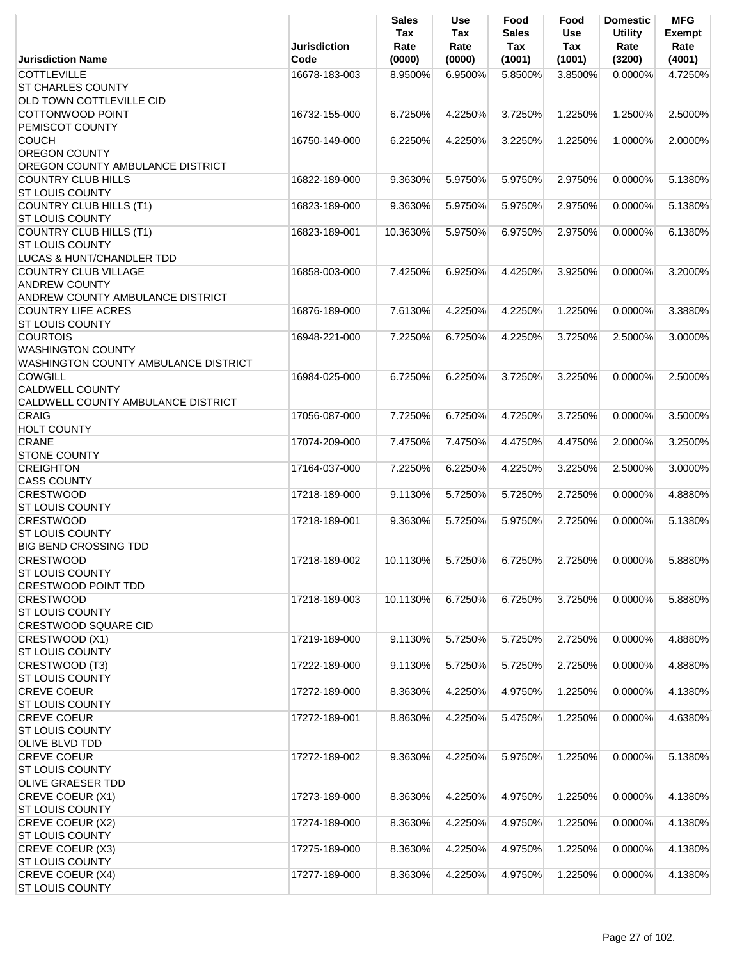|                                                   | <b>Jurisdiction</b> | <b>Sales</b><br>Tax<br>Rate | <b>Use</b><br>Tax<br>Rate | Food<br><b>Sales</b><br>Tax | Food<br>Use<br>Tax | <b>Domestic</b><br><b>Utility</b><br>Rate | <b>MFG</b><br><b>Exempt</b><br>Rate |
|---------------------------------------------------|---------------------|-----------------------------|---------------------------|-----------------------------|--------------------|-------------------------------------------|-------------------------------------|
| <b>Jurisdiction Name</b>                          | Code                | (0000)                      | (0000)                    | (1001)                      | (1001)             | (3200)                                    | (4001)                              |
| <b>COTTLEVILLE</b><br><b>ST CHARLES COUNTY</b>    | 16678-183-003       | 8.9500%                     | 6.9500%                   | 5.8500%                     | 3.8500%            | $0.0000\%$                                | 4.7250%                             |
| OLD TOWN COTTLEVILLE CID                          |                     |                             |                           |                             |                    |                                           |                                     |
| COTTONWOOD POINT<br>PEMISCOT COUNTY               | 16732-155-000       | 6.7250%                     | 4.2250%                   | 3.7250%                     | 1.2250%            | 1.2500%                                   | 2.5000%                             |
| <b>COUCH</b>                                      | 16750-149-000       | 6.2250%                     | 4.2250%                   | 3.2250%                     | 1.2250%            | 1.0000%                                   | 2.0000%                             |
| <b>OREGON COUNTY</b>                              |                     |                             |                           |                             |                    |                                           |                                     |
| OREGON COUNTY AMBULANCE DISTRICT                  |                     |                             |                           |                             |                    |                                           |                                     |
| COUNTRY CLUB HILLS<br><b>ST LOUIS COUNTY</b>      | 16822-189-000       | 9.3630%                     | 5.9750%                   | 5.9750%                     | 2.9750%            | 0.0000%                                   | 5.1380%                             |
| COUNTRY CLUB HILLS (T1)<br><b>ST LOUIS COUNTY</b> | 16823-189-000       | 9.3630%                     | 5.9750%                   | 5.9750%                     | 2.9750%            | 0.0000%                                   | 5.1380%                             |
| COUNTRY CLUB HILLS (T1)                           | 16823-189-001       | 10.3630%                    | 5.9750%                   | 6.9750%                     | 2.9750%            | 0.0000%                                   | 6.1380%                             |
| <b>ST LOUIS COUNTY</b>                            |                     |                             |                           |                             |                    |                                           |                                     |
| LUCAS & HUNT/CHANDLER TDD                         |                     |                             |                           |                             |                    |                                           |                                     |
| <b>COUNTRY CLUB VILLAGE</b>                       | 16858-003-000       | 7.4250%                     | 6.9250%                   | 4.4250%                     | 3.9250%            | 0.0000%                                   | 3.2000%                             |
| <b>ANDREW COUNTY</b>                              |                     |                             |                           |                             |                    |                                           |                                     |
| ANDREW COUNTY AMBULANCE DISTRICT                  |                     |                             |                           |                             |                    |                                           |                                     |
| <b>COUNTRY LIFE ACRES</b>                         | 16876-189-000       | 7.6130%                     | 4.2250%                   | 4.2250%                     | 1.2250%            | 0.0000%                                   | 3.3880%                             |
| <b>ST LOUIS COUNTY</b>                            |                     |                             |                           |                             |                    |                                           |                                     |
| <b>COURTOIS</b>                                   | 16948-221-000       | 7.2250%                     | 6.7250%                   | 4.2250%                     | 3.7250%            | 2.5000%                                   | 3.0000%                             |
| <b>WASHINGTON COUNTY</b>                          |                     |                             |                           |                             |                    |                                           |                                     |
| WASHINGTON COUNTY AMBULANCE DISTRICT              |                     |                             |                           |                             |                    |                                           |                                     |
| <b>COWGILL</b>                                    | 16984-025-000       | 6.7250%                     | 6.2250%                   | 3.7250%                     | 3.2250%            | 0.0000%                                   | 2.5000%                             |
| <b>CALDWELL COUNTY</b>                            |                     |                             |                           |                             |                    |                                           |                                     |
| CALDWELL COUNTY AMBULANCE DISTRICT                |                     |                             |                           |                             |                    |                                           |                                     |
| <b>CRAIG</b>                                      | 17056-087-000       | 7.7250%                     | 6.7250%                   | 4.7250%                     | 3.7250%            | 0.0000%                                   | 3.5000%                             |
| <b>HOLT COUNTY</b>                                |                     |                             |                           |                             |                    |                                           |                                     |
| <b>CRANE</b><br><b>STONE COUNTY</b>               | 17074-209-000       | 7.4750%                     | 7.4750%                   | 4.4750%                     | 4.4750%            | 2.0000%                                   | 3.2500%                             |
| <b>CREIGHTON</b>                                  | 17164-037-000       | 7.2250%                     | 6.2250%                   | 4.2250%                     | 3.2250%            | 2.5000%                                   | 3.0000%                             |
| <b>CASS COUNTY</b>                                |                     |                             |                           |                             |                    |                                           |                                     |
| <b>CRESTWOOD</b>                                  | 17218-189-000       | 9.1130%                     | 5.7250%                   | 5.7250%                     | 2.7250%            | 0.0000%                                   | 4.8880%                             |
| <b>ST LOUIS COUNTY</b>                            |                     |                             |                           |                             |                    |                                           |                                     |
| <b>CRESTWOOD</b>                                  | 17218-189-001       | 9.3630%                     | 5.7250%                   | 5.9750%                     | 2.7250%            | 0.0000%                                   | 5.1380%                             |
| ST LOUIS COUNTY                                   |                     |                             |                           |                             |                    |                                           |                                     |
| <b>BIG BEND CROSSING TDD</b>                      |                     |                             |                           |                             |                    |                                           |                                     |
| <b>CRESTWOOD</b>                                  | 17218-189-002       | 10.1130%                    | 5.7250%                   | 6.7250%                     | 2.7250%            | 0.0000%                                   | 5.8880%                             |
| <b>ST LOUIS COUNTY</b>                            |                     |                             |                           |                             |                    |                                           |                                     |
| <b>CRESTWOOD POINT TDD</b>                        |                     |                             |                           |                             |                    |                                           |                                     |
| <b>CRESTWOOD</b>                                  | 17218-189-003       | 10.1130%                    | 6.7250%                   | 6.7250%                     | 3.7250%            | 0.0000%                                   | 5.8880%                             |
| <b>ST LOUIS COUNTY</b>                            |                     |                             |                           |                             |                    |                                           |                                     |
| <b>CRESTWOOD SQUARE CID</b>                       |                     |                             |                           |                             |                    |                                           |                                     |
| CRESTWOOD (X1)<br><b>ST LOUIS COUNTY</b>          | 17219-189-000       | 9.1130%                     | 5.7250%                   | 5.7250%                     | 2.7250%            | 0.0000%                                   | 4.8880%                             |
| CRESTWOOD (T3)                                    | 17222-189-000       | 9.1130%                     | 5.7250%                   | 5.7250%                     | 2.7250%            | 0.0000%                                   | 4.8880%                             |
| <b>ST LOUIS COUNTY</b>                            |                     |                             |                           |                             |                    |                                           |                                     |
| <b>CREVE COEUR</b>                                | 17272-189-000       | 8.3630%                     | 4.2250%                   | 4.9750%                     | 1.2250%            | 0.0000%                                   | 4.1380%                             |
| <b>ST LOUIS COUNTY</b>                            |                     |                             |                           |                             |                    |                                           |                                     |
| <b>CREVE COEUR</b>                                | 17272-189-001       | 8.8630%                     | 4.2250%                   | 5.4750%                     | 1.2250%            | 0.0000%                                   | 4.6380%                             |
| <b>ST LOUIS COUNTY</b>                            |                     |                             |                           |                             |                    |                                           |                                     |
| <b>OLIVE BLVD TDD</b>                             |                     |                             |                           |                             |                    |                                           |                                     |
| <b>CREVE COEUR</b>                                | 17272-189-002       | 9.3630%                     | 4.2250%                   | 5.9750%                     | 1.2250%            | 0.0000%                                   | 5.1380%                             |
| <b>ST LOUIS COUNTY</b>                            |                     |                             |                           |                             |                    |                                           |                                     |
| <b>OLIVE GRAESER TDD</b>                          |                     |                             |                           |                             |                    |                                           |                                     |
| CREVE COEUR (X1)                                  | 17273-189-000       | 8.3630%                     | 4.2250%                   | 4.9750%                     | 1.2250%            | 0.0000%                                   | 4.1380%                             |
| <b>ST LOUIS COUNTY</b>                            |                     |                             |                           |                             |                    |                                           |                                     |
| CREVE COEUR (X2)                                  | 17274-189-000       | 8.3630%                     | 4.2250%                   | 4.9750%                     | 1.2250%            | 0.0000%                                   | 4.1380%                             |
| <b>ST LOUIS COUNTY</b>                            |                     |                             |                           |                             |                    |                                           |                                     |
| CREVE COEUR (X3)<br><b>ST LOUIS COUNTY</b>        | 17275-189-000       | 8.3630%                     | 4.2250%                   | 4.9750%                     | 1.2250%            | 0.0000%                                   | 4.1380%                             |
| CREVE COEUR (X4)                                  | 17277-189-000       | 8.3630%                     | 4.2250%                   | 4.9750%                     | 1.2250%            | 0.0000%                                   | 4.1380%                             |
| <b>ST LOUIS COUNTY</b>                            |                     |                             |                           |                             |                    |                                           |                                     |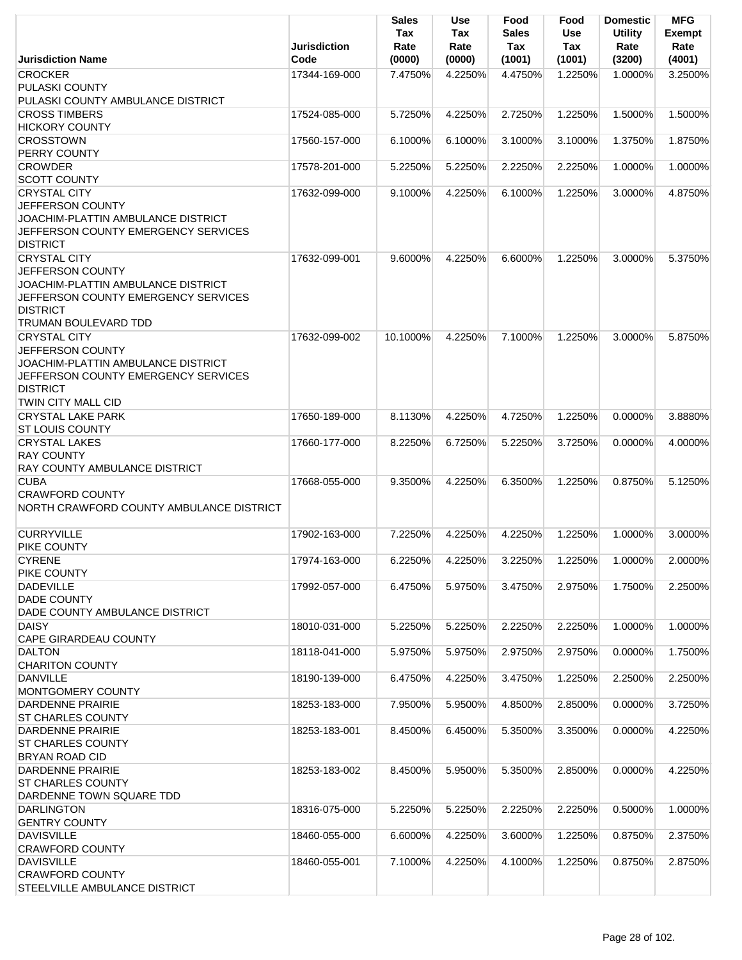|                                                                                                                                                        | <b>Jurisdiction</b> | Sales<br>Tax<br>Rate | Use<br>Tax<br>Rate | Food<br><b>Sales</b><br>Tax | Food<br><b>Use</b><br>Tax | <b>Domestic</b><br><b>Utility</b><br>Rate | <b>MFG</b><br><b>Exempt</b><br>Rate |
|--------------------------------------------------------------------------------------------------------------------------------------------------------|---------------------|----------------------|--------------------|-----------------------------|---------------------------|-------------------------------------------|-------------------------------------|
| <b>Jurisdiction Name</b>                                                                                                                               | Code                | (0000)               | (0000)             | (1001)                      | (1001)                    | (3200)                                    | (4001)                              |
| <b>CROCKER</b><br>PULASKI COUNTY                                                                                                                       | 17344-169-000       | 7.4750%              | 4.2250%            | 4.4750%                     | 1.2250%                   | 1.0000%                                   | 3.2500%                             |
| PULASKI COUNTY AMBULANCE DISTRICT                                                                                                                      |                     |                      |                    |                             |                           |                                           |                                     |
| <b>CROSS TIMBERS</b><br><b>HICKORY COUNTY</b>                                                                                                          | 17524-085-000       | 5.7250%              | 4.2250%            | 2.7250%                     | 1.2250%                   | 1.5000%                                   | 1.5000%                             |
| <b>CROSSTOWN</b>                                                                                                                                       | 17560-157-000       | 6.1000%              | 6.1000%            | 3.1000%                     | 3.1000%                   | 1.3750%                                   | 1.8750%                             |
| PERRY COUNTY                                                                                                                                           |                     |                      |                    |                             |                           |                                           |                                     |
| <b>CROWDER</b><br><b>SCOTT COUNTY</b>                                                                                                                  | 17578-201-000       | 5.2250%              | 5.2250%            | 2.2250%                     | 2.2250%                   | 1.0000%                                   | 1.0000%                             |
| <b>CRYSTAL CITY</b>                                                                                                                                    | 17632-099-000       | 9.1000%              | 4.2250%            | 6.1000%                     | 1.2250%                   | 3.0000%                                   | 4.8750%                             |
| JEFFERSON COUNTY<br>JOACHIM-PLATTIN AMBULANCE DISTRICT<br>JEFFERSON COUNTY EMERGENCY SERVICES                                                          |                     |                      |                    |                             |                           |                                           |                                     |
| <b>DISTRICT</b>                                                                                                                                        |                     |                      |                    |                             |                           |                                           |                                     |
| <b>CRYSTAL CITY</b>                                                                                                                                    | 17632-099-001       | 9.6000%              | 4.2250%            | 6.6000%                     | 1.2250%                   | 3.0000%                                   | 5.3750%                             |
| <b>JEFFERSON COUNTY</b><br>JOACHIM-PLATTIN AMBULANCE DISTRICT<br><b>JEFFERSON COUNTY EMERGENCY SERVICES</b><br><b>DISTRICT</b><br>TRUMAN BOULEVARD TDD |                     |                      |                    |                             |                           |                                           |                                     |
| <b>CRYSTAL CITY</b>                                                                                                                                    | 17632-099-002       | 10.1000%             | 4.2250%            | 7.1000%                     | 1.2250%                   | 3.0000%                                   | 5.8750%                             |
| JEFFERSON COUNTY<br>JOACHIM-PLATTIN AMBULANCE DISTRICT<br>JEFFERSON COUNTY EMERGENCY SERVICES<br><b>DISTRICT</b><br>TWIN CITY MALL CID                 |                     |                      |                    |                             |                           |                                           |                                     |
| <b>CRYSTAL LAKE PARK</b>                                                                                                                               | 17650-189-000       | 8.1130%              | 4.2250%            | 4.7250%                     | 1.2250%                   | 0.0000%                                   | 3.8880%                             |
| <b>ST LOUIS COUNTY</b>                                                                                                                                 |                     |                      |                    |                             |                           |                                           |                                     |
| <b>CRYSTAL LAKES</b><br><b>RAY COUNTY</b>                                                                                                              | 17660-177-000       | 8.2250%              | 6.7250%            | 5.2250%                     | 3.7250%                   | 0.0000%                                   | 4.0000%                             |
| <b>RAY COUNTY AMBULANCE DISTRICT</b>                                                                                                                   |                     |                      |                    |                             |                           |                                           |                                     |
| <b>CUBA</b><br><b>CRAWFORD COUNTY</b>                                                                                                                  | 17668-055-000       | 9.3500%              | 4.2250%            | 6.3500%                     | 1.2250%                   | 0.8750%                                   | 5.1250%                             |
| NORTH CRAWFORD COUNTY AMBULANCE DISTRICT                                                                                                               |                     |                      |                    |                             |                           |                                           |                                     |
| <b>CURRYVILLE</b>                                                                                                                                      | 17902-163-000       | 7.2250%              | 4.2250%            | 4.2250%                     | 1.2250%                   | 1.0000%                                   | 3.0000%                             |
| PIKE COUNTY                                                                                                                                            |                     |                      |                    |                             |                           |                                           |                                     |
| <b>CYRENE</b>                                                                                                                                          | 17974-163-000       | 6.2250%              | 4.2250%            | 3.2250%                     | 1.2250%                   | 1.0000%                                   | 2.0000%                             |
| PIKE COUNTY                                                                                                                                            |                     |                      |                    |                             |                           |                                           |                                     |
| <b>DADEVILLE</b><br><b>DADE COUNTY</b>                                                                                                                 | 17992-057-000       | 6.4750%              | 5.9750%            | 3.4750%                     | 2.9750%                   | 1.7500%                                   | 2.2500%                             |
| DADE COUNTY AMBULANCE DISTRICT                                                                                                                         |                     |                      |                    |                             |                           |                                           |                                     |
| <b>DAISY</b><br>CAPE GIRARDEAU COUNTY                                                                                                                  | 18010-031-000       | 5.2250%              | 5.2250%            | 2.2250%                     | 2.2250%                   | 1.0000%                                   | 1.0000%                             |
| <b>DALTON</b><br><b>CHARITON COUNTY</b>                                                                                                                | 18118-041-000       | 5.9750%              | 5.9750%            | 2.9750%                     | 2.9750%                   | 0.0000%                                   | 1.7500%                             |
| <b>DANVILLE</b>                                                                                                                                        | 18190-139-000       | 6.4750%              | 4.2250%            | 3.4750%                     | 1.2250%                   | 2.2500%                                   | 2.2500%                             |
| MONTGOMERY COUNTY                                                                                                                                      |                     |                      |                    |                             |                           |                                           |                                     |
| <b>DARDENNE PRAIRIE</b><br><b>ST CHARLES COUNTY</b>                                                                                                    | 18253-183-000       | 7.9500%              | 5.9500%            | 4.8500%                     | 2.8500%                   | 0.0000%                                   | 3.7250%                             |
| <b>DARDENNE PRAIRIE</b>                                                                                                                                | 18253-183-001       | 8.4500%              | 6.4500%            | 5.3500%                     | 3.3500%                   | 0.0000%                                   | 4.2250%                             |
| <b>ST CHARLES COUNTY</b>                                                                                                                               |                     |                      |                    |                             |                           |                                           |                                     |
| <b>BRYAN ROAD CID</b>                                                                                                                                  |                     |                      |                    |                             |                           |                                           |                                     |
| <b>DARDENNE PRAIRIE</b>                                                                                                                                | 18253-183-002       | 8.4500%              | 5.9500%            | 5.3500%                     | 2.8500%                   | 0.0000%                                   | 4.2250%                             |
| <b>ST CHARLES COUNTY</b>                                                                                                                               |                     |                      |                    |                             |                           |                                           |                                     |
| DARDENNE TOWN SQUARE TDD                                                                                                                               |                     |                      |                    |                             |                           |                                           |                                     |
| <b>DARLINGTON</b><br><b>GENTRY COUNTY</b>                                                                                                              | 18316-075-000       | 5.2250%              | 5.2250%            | 2.2250%                     | 2.2250%                   | 0.5000%                                   | 1.0000%                             |
| <b>DAVISVILLE</b>                                                                                                                                      | 18460-055-000       | 6.6000%              | 4.2250%            | 3.6000%                     | 1.2250%                   | 0.8750%                                   | 2.3750%                             |
| <b>CRAWFORD COUNTY</b>                                                                                                                                 |                     |                      |                    |                             |                           |                                           |                                     |
| <b>DAVISVILLE</b><br><b>CRAWFORD COUNTY</b>                                                                                                            | 18460-055-001       | 7.1000%              | 4.2250%            | 4.1000%                     | 1.2250%                   | 0.8750%                                   | 2.8750%                             |
| STEELVILLE AMBULANCE DISTRICT                                                                                                                          |                     |                      |                    |                             |                           |                                           |                                     |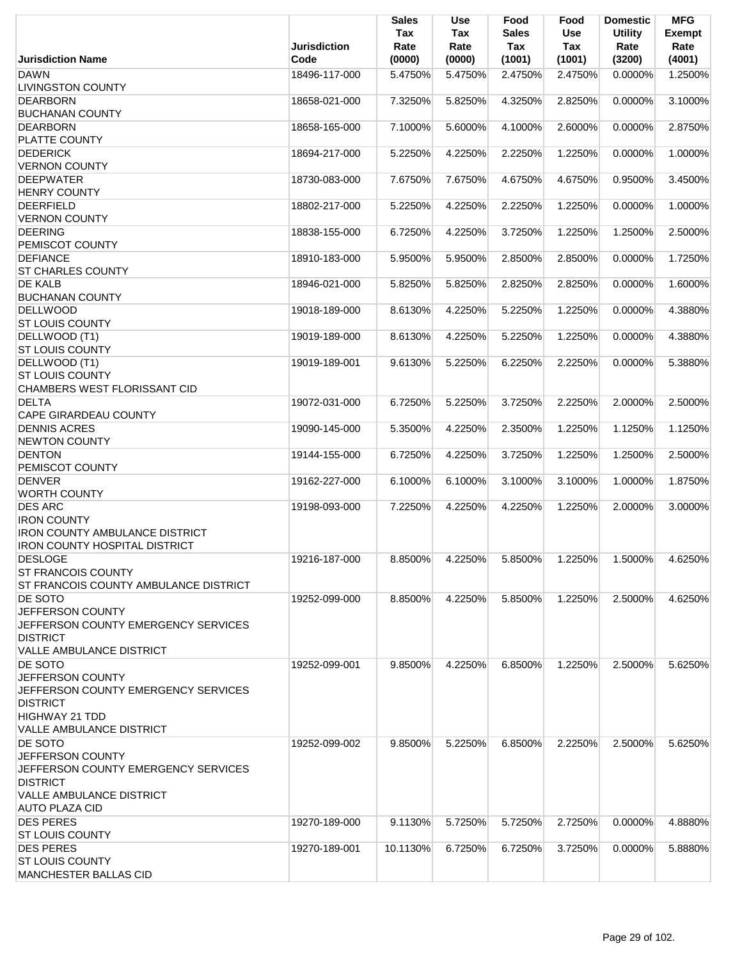|                                                                                                                                                   | <b>Jurisdiction</b> | <b>Sales</b><br>Tax<br>Rate | <b>Use</b><br>Tax<br>Rate | Food<br>Sales<br>Tax | Food<br><b>Use</b><br>Tax | <b>Domestic</b><br><b>Utility</b><br>Rate | <b>MFG</b><br>Exempt<br>Rate |
|---------------------------------------------------------------------------------------------------------------------------------------------------|---------------------|-----------------------------|---------------------------|----------------------|---------------------------|-------------------------------------------|------------------------------|
| <b>Jurisdiction Name</b>                                                                                                                          | Code                | (0000)                      | (0000)                    | (1001)               | (1001)                    | (3200)                                    | (4001)                       |
| <b>DAWN</b><br><b>LIVINGSTON COUNTY</b>                                                                                                           | 18496-117-000       | 5.4750%                     | 5.4750%                   | 2.4750%              | 2.4750%                   | 0.0000%                                   | 1.2500%                      |
| <b>DEARBORN</b><br><b>BUCHANAN COUNTY</b>                                                                                                         | 18658-021-000       | 7.3250%                     | 5.8250%                   | 4.3250%              | 2.8250%                   | 0.0000%                                   | 3.1000%                      |
| <b>DEARBORN</b>                                                                                                                                   | 18658-165-000       | 7.1000%                     | 5.6000%                   | 4.1000%              | 2.6000%                   | 0.0000%                                   | 2.8750%                      |
| PLATTE COUNTY<br><b>DEDERICK</b>                                                                                                                  | 18694-217-000       | 5.2250%                     | 4.2250%                   | 2.2250%              | 1.2250%                   | 0.0000%                                   | 1.0000%                      |
| <b>VERNON COUNTY</b><br><b>DEEPWATER</b>                                                                                                          | 18730-083-000       | 7.6750%                     | 7.6750%                   | 4.6750%              | 4.6750%                   | 0.9500%                                   | 3.4500%                      |
| <b>HENRY COUNTY</b><br><b>DEERFIELD</b>                                                                                                           | 18802-217-000       | 5.2250%                     | 4.2250%                   | 2.2250%              | 1.2250%                   | 0.0000%                                   | 1.0000%                      |
| <b>VERNON COUNTY</b><br><b>DEERING</b>                                                                                                            | 18838-155-000       | 6.7250%                     | 4.2250%                   | 3.7250%              | 1.2250%                   | 1.2500%                                   | 2.5000%                      |
| PEMISCOT COUNTY<br><b>DEFIANCE</b>                                                                                                                | 18910-183-000       | 5.9500%                     | 5.9500%                   | 2.8500%              | 2.8500%                   | 0.0000%                                   | 1.7250%                      |
| <b>ST CHARLES COUNTY</b><br>DE KALB                                                                                                               | 18946-021-000       | 5.8250%                     | 5.8250%                   | 2.8250%              | 2.8250%                   | 0.0000%                                   | 1.6000%                      |
| <b>BUCHANAN COUNTY</b><br><b>DELLWOOD</b>                                                                                                         | 19018-189-000       | 8.6130%                     | 4.2250%                   | 5.2250%              | 1.2250%                   | 0.0000%                                   | 4.3880%                      |
| <b>ST LOUIS COUNTY</b><br>DELLWOOD (T1)                                                                                                           | 19019-189-000       | 8.6130%                     | 4.2250%                   | 5.2250%              | 1.2250%                   | 0.0000%                                   | 4.3880%                      |
| <b>ST LOUIS COUNTY</b>                                                                                                                            |                     |                             |                           |                      |                           |                                           |                              |
| DELLWOOD (T1)<br><b>ST LOUIS COUNTY</b><br>CHAMBERS WEST FLORISSANT CID                                                                           | 19019-189-001       | 9.6130%                     | 5.2250%                   | 6.2250%              | 2.2250%                   | 0.0000%                                   | 5.3880%                      |
| <b>DELTA</b><br><b>CAPE GIRARDEAU COUNTY</b>                                                                                                      | 19072-031-000       | 6.7250%                     | 5.2250%                   | 3.7250%              | 2.2250%                   | 2.0000%                                   | 2.5000%                      |
| <b>DENNIS ACRES</b><br><b>NEWTON COUNTY</b>                                                                                                       | 19090-145-000       | 5.3500%                     | 4.2250%                   | 2.3500%              | 1.2250%                   | 1.1250%                                   | 1.1250%                      |
| <b>DENTON</b><br>PEMISCOT COUNTY                                                                                                                  | 19144-155-000       | 6.7250%                     | 4.2250%                   | 3.7250%              | 1.2250%                   | 1.2500%                                   | 2.5000%                      |
| <b>DENVER</b><br><b>WORTH COUNTY</b>                                                                                                              | 19162-227-000       | 6.1000%                     | 6.1000%                   | 3.1000%              | 3.1000%                   | 1.0000%                                   | 1.8750%                      |
| <b>DES ARC</b>                                                                                                                                    | 19198-093-000       | 7.2250%                     | 4.2250%                   | 4.2250%              | 1.2250%                   | 2.0000%                                   | 3.0000%                      |
| <b>IRON COUNTY</b><br><b>IRON COUNTY AMBULANCE DISTRICT</b><br><b>IRON COUNTY HOSPITAL DISTRICT</b>                                               |                     |                             |                           |                      |                           |                                           |                              |
| <b>DESLOGE</b><br><b>ST FRANCOIS COUNTY</b><br>ST FRANCOIS COUNTY AMBULANCE DISTRICT                                                              | 19216-187-000       | 8.8500%                     | 4.2250%                   | 5.8500%              | 1.2250%                   | 1.5000%                                   | 4.6250%                      |
| DE SOTO<br>JEFFERSON COUNTY<br>JEFFERSON COUNTY EMERGENCY SERVICES<br><b>DISTRICT</b>                                                             | 19252-099-000       | 8.8500%                     | 4.2250%                   | 5.8500%              | 1.2250%                   | 2.5000%                                   | 4.6250%                      |
| <b>VALLE AMBULANCE DISTRICT</b><br>DE SOTO                                                                                                        | 19252-099-001       | 9.8500%                     | 4.2250%                   | 6.8500%              | 1.2250%                   | 2.5000%                                   | 5.6250%                      |
| JEFFERSON COUNTY<br>JEFFERSON COUNTY EMERGENCY SERVICES<br><b>DISTRICT</b><br><b>HIGHWAY 21 TDD</b><br><b>VALLE AMBULANCE DISTRICT</b>            |                     |                             |                           |                      |                           |                                           |                              |
| DE SOTO<br>JEFFERSON COUNTY<br>JEFFERSON COUNTY EMERGENCY SERVICES<br><b>DISTRICT</b><br><b>VALLE AMBULANCE DISTRICT</b><br><b>AUTO PLAZA CID</b> | 19252-099-002       | 9.8500%                     | 5.2250%                   | 6.8500%              | 2.2250%                   | 2.5000%                                   | 5.6250%                      |
| <b>DES PERES</b><br><b>ST LOUIS COUNTY</b>                                                                                                        | 19270-189-000       | 9.1130%                     | 5.7250%                   | 5.7250%              | 2.7250%                   | 0.0000%                                   | 4.8880%                      |
| <b>DES PERES</b><br><b>ST LOUIS COUNTY</b><br><b>MANCHESTER BALLAS CID</b>                                                                        | 19270-189-001       | 10.1130%                    | 6.7250%                   | 6.7250%              | 3.7250%                   | 0.0000%                                   | 5.8880%                      |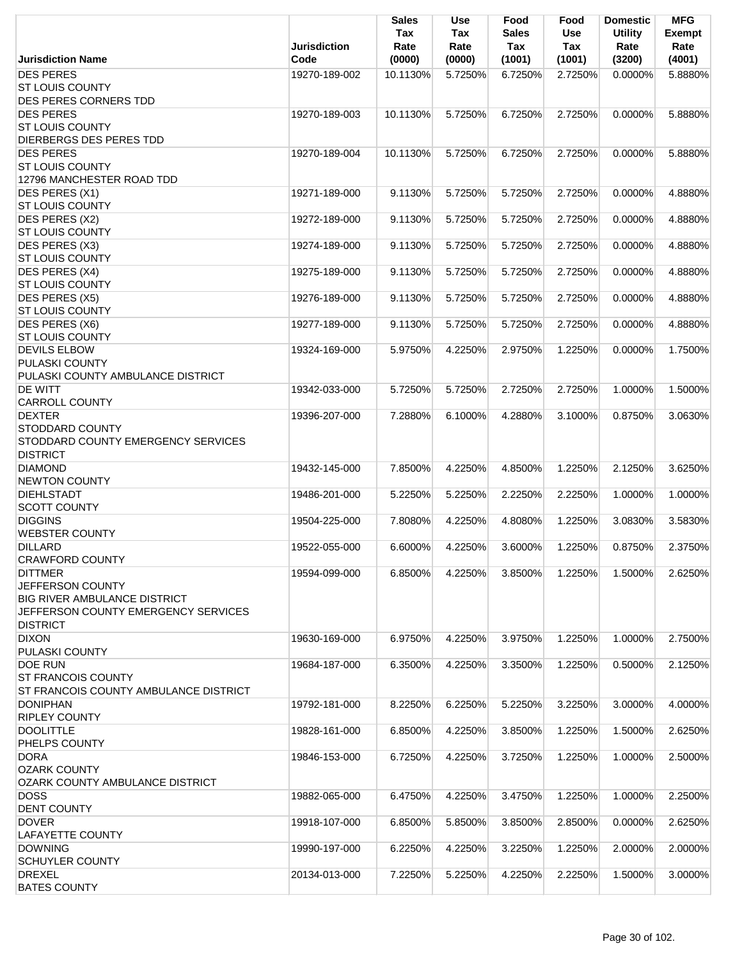|                                            | <b>Jurisdiction</b> | <b>Sales</b><br>Tax<br>Rate | <b>Use</b><br>Tax<br>Rate | Food<br><b>Sales</b><br>Tax | Food<br><b>Use</b><br>Tax | <b>Domestic</b><br><b>Utility</b><br>Rate | <b>MFG</b><br><b>Exempt</b><br>Rate |
|--------------------------------------------|---------------------|-----------------------------|---------------------------|-----------------------------|---------------------------|-------------------------------------------|-------------------------------------|
| <b>Jurisdiction Name</b>                   | Code                | (0000)                      | (0000)                    | (1001)                      | (1001)                    | (3200)                                    | (4001)                              |
| <b>DES PERES</b>                           | 19270-189-002       | 10.1130%                    | 5.7250%                   | 6.7250%                     | 2.7250%                   | 0.0000%                                   | 5.8880%                             |
| <b>ST LOUIS COUNTY</b>                     |                     |                             |                           |                             |                           |                                           |                                     |
| DES PERES CORNERS TDD                      |                     |                             |                           |                             |                           |                                           |                                     |
| <b>DES PERES</b>                           | 19270-189-003       | 10.1130%                    | 5.7250%                   | 6.7250%                     | 2.7250%                   | 0.0000%                                   | 5.8880%                             |
| <b>ST LOUIS COUNTY</b>                     |                     |                             |                           |                             |                           |                                           |                                     |
| DIERBERGS DES PERES TDD                    |                     |                             |                           |                             |                           |                                           |                                     |
| <b>DES PERES</b>                           | 19270-189-004       | 10.1130%                    | 5.7250%                   | 6.7250%                     | 2.7250%                   | $0.0000\%$                                | 5.8880%                             |
| <b>ST LOUIS COUNTY</b>                     |                     |                             |                           |                             |                           |                                           |                                     |
| 12796 MANCHESTER ROAD TDD                  |                     |                             |                           |                             |                           |                                           |                                     |
| <b>DES PERES (X1)</b>                      | 19271-189-000       | 9.1130%                     | 5.7250%                   | 5.7250%                     | 2.7250%                   | 0.0000%                                   | 4.8880%                             |
| <b>ST LOUIS COUNTY</b>                     |                     |                             |                           |                             |                           |                                           |                                     |
| DES PERES (X2)                             | 19272-189-000       | 9.1130%                     | 5.7250%                   | 5.7250%                     | 2.7250%                   | 0.0000%                                   | 4.8880%                             |
| <b>ST LOUIS COUNTY</b>                     |                     |                             |                           |                             |                           |                                           |                                     |
| DES PERES (X3)                             | 19274-189-000       | 9.1130%                     | 5.7250%                   | 5.7250%                     | 2.7250%                   | 0.0000%                                   | 4.8880%                             |
| <b>ST LOUIS COUNTY</b>                     |                     |                             |                           |                             |                           |                                           |                                     |
| DES PERES (X4)                             | 19275-189-000       | 9.1130%                     | 5.7250%                   | 5.7250%                     | 2.7250%                   | 0.0000%                                   | 4.8880%                             |
| <b>ST LOUIS COUNTY</b>                     |                     |                             |                           |                             |                           |                                           |                                     |
| DES PERES (X5)                             | 19276-189-000       | 9.1130%                     | 5.7250%                   | 5.7250%                     | 2.7250%                   | 0.0000%                                   | 4.8880%                             |
| <b>ST LOUIS COUNTY</b>                     |                     |                             |                           |                             |                           |                                           |                                     |
| <b>DES PERES (X6)</b>                      | 19277-189-000       | 9.1130%                     | 5.7250%                   | 5.7250%                     | 2.7250%                   | 0.0000%                                   | 4.8880%                             |
| <b>ST LOUIS COUNTY</b>                     |                     |                             |                           |                             |                           |                                           |                                     |
| <b>DEVILS ELBOW</b>                        | 19324-169-000       | 5.9750%                     | 4.2250%                   | 2.9750%                     | 1.2250%                   | 0.0000%                                   | 1.7500%                             |
| PULASKI COUNTY                             |                     |                             |                           |                             |                           |                                           |                                     |
| PULASKI COUNTY AMBULANCE DISTRICT          |                     |                             |                           |                             |                           |                                           |                                     |
| <b>DE WITT</b>                             | 19342-033-000       | 5.7250%                     | 5.7250%                   | 2.7250%                     | 2.7250%                   | 1.0000%                                   | 1.5000%                             |
| <b>CARROLL COUNTY</b>                      |                     |                             |                           |                             |                           |                                           |                                     |
| <b>DEXTER</b>                              | 19396-207-000       | 7.2880%                     | 6.1000%                   | 4.2880%                     | 3.1000%                   | 0.8750%                                   | 3.0630%                             |
| <b>STODDARD COUNTY</b>                     |                     |                             |                           |                             |                           |                                           |                                     |
| STODDARD COUNTY EMERGENCY SERVICES         |                     |                             |                           |                             |                           |                                           |                                     |
| <b>DISTRICT</b>                            |                     |                             |                           |                             |                           |                                           |                                     |
| <b>DIAMOND</b>                             | 19432-145-000       | 7.8500%                     | 4.2250%                   | 4.8500%                     | 1.2250%                   | 2.1250%                                   | 3.6250%                             |
| <b>NEWTON COUNTY</b>                       |                     |                             |                           |                             |                           |                                           |                                     |
| <b>DIEHLSTADT</b>                          | 19486-201-000       | 5.2250%                     | 5.2250%                   | 2.2250%                     | 2.2250%                   | 1.0000%                                   | 1.0000%                             |
| <b>SCOTT COUNTY</b>                        |                     |                             |                           |                             |                           |                                           |                                     |
| <b>DIGGINS</b>                             | 19504-225-000       | 7.8080%                     | 4.2250%                   | 4.8080%                     | 1.2250%                   | 3.0830%                                   | 3.5830%                             |
| <b>WEBSTER COUNTY</b>                      |                     |                             |                           |                             |                           |                                           |                                     |
| <b>DILLARD</b>                             | 19522-055-000       | 6.6000%                     | 4.2250%                   | 3.6000%                     | 1.2250%                   | 0.8750%                                   | 2.3750%                             |
| <b>CRAWFORD COUNTY</b>                     |                     |                             |                           |                             |                           |                                           |                                     |
| <b>DITTMER</b>                             | 19594-099-000       | 6.8500%                     | 4.2250%                   | 3.8500%                     | 1.2250%                   | 1.5000%                                   | 2.6250%                             |
| JEFFERSON COUNTY                           |                     |                             |                           |                             |                           |                                           |                                     |
| <b>BIG RIVER AMBULANCE DISTRICT</b>        |                     |                             |                           |                             |                           |                                           |                                     |
| <b>JEFFERSON COUNTY EMERGENCY SERVICES</b> |                     |                             |                           |                             |                           |                                           |                                     |
| <b>DISTRICT</b>                            |                     |                             |                           |                             |                           |                                           |                                     |
| <b>DIXON</b>                               | 19630-169-000       | 6.9750%                     | 4.2250%                   | 3.9750%                     | 1.2250%                   | 1.0000%                                   | 2.7500%                             |
| PULASKI COUNTY                             |                     |                             |                           |                             |                           |                                           |                                     |
| <b>DOE RUN</b>                             | 19684-187-000       | 6.3500%                     | 4.2250%                   | 3.3500%                     | 1.2250%                   | 0.5000%                                   | 2.1250%                             |
| <b>ST FRANCOIS COUNTY</b>                  |                     |                             |                           |                             |                           |                                           |                                     |
| ST FRANCOIS COUNTY AMBULANCE DISTRICT      |                     |                             |                           |                             |                           |                                           |                                     |
| <b>DONIPHAN</b>                            | 19792-181-000       | 8.2250%                     | 6.2250%                   | 5.2250%                     | 3.2250%                   | 3.0000%                                   | 4.0000%                             |
| <b>RIPLEY COUNTY</b>                       |                     |                             |                           |                             |                           |                                           |                                     |
|                                            |                     |                             |                           |                             |                           |                                           |                                     |
| <b>DOOLITTLE</b>                           | 19828-161-000       | 6.8500%                     | 4.2250%                   | 3.8500%                     | 1.2250%                   | 1.5000%                                   | 2.6250%                             |
| PHELPS COUNTY                              |                     |                             |                           |                             |                           |                                           |                                     |
| <b>DORA</b>                                | 19846-153-000       | 6.7250%                     | 4.2250%                   | 3.7250%                     | 1.2250%                   | 1.0000%                                   | 2.5000%                             |
| <b>OZARK COUNTY</b>                        |                     |                             |                           |                             |                           |                                           |                                     |
| OZARK COUNTY AMBULANCE DISTRICT            |                     |                             |                           |                             |                           |                                           |                                     |
| <b>DOSS</b>                                | 19882-065-000       | 6.4750%                     | 4.2250%                   | 3.4750%                     | 1.2250%                   | 1.0000%                                   | 2.2500%                             |
| <b>DENT COUNTY</b>                         |                     |                             |                           |                             |                           |                                           |                                     |
| <b>DOVER</b>                               | 19918-107-000       | 6.8500%                     | 5.8500%                   | 3.8500%                     | 2.8500%                   | 0.0000%                                   | 2.6250%                             |
| LAFAYETTE COUNTY                           |                     |                             |                           |                             |                           |                                           |                                     |
| <b>DOWNING</b>                             | 19990-197-000       | 6.2250%                     | 4.2250%                   | 3.2250%                     | 1.2250%                   | 2.0000%                                   | 2.0000%                             |
| <b>SCHUYLER COUNTY</b>                     |                     |                             |                           |                             |                           |                                           |                                     |
| <b>DREXEL</b>                              | 20134-013-000       | 7.2250%                     | 5.2250%                   | 4.2250%                     | 2.2250%                   | 1.5000%                                   | 3.0000%                             |
| <b>BATES COUNTY</b>                        |                     |                             |                           |                             |                           |                                           |                                     |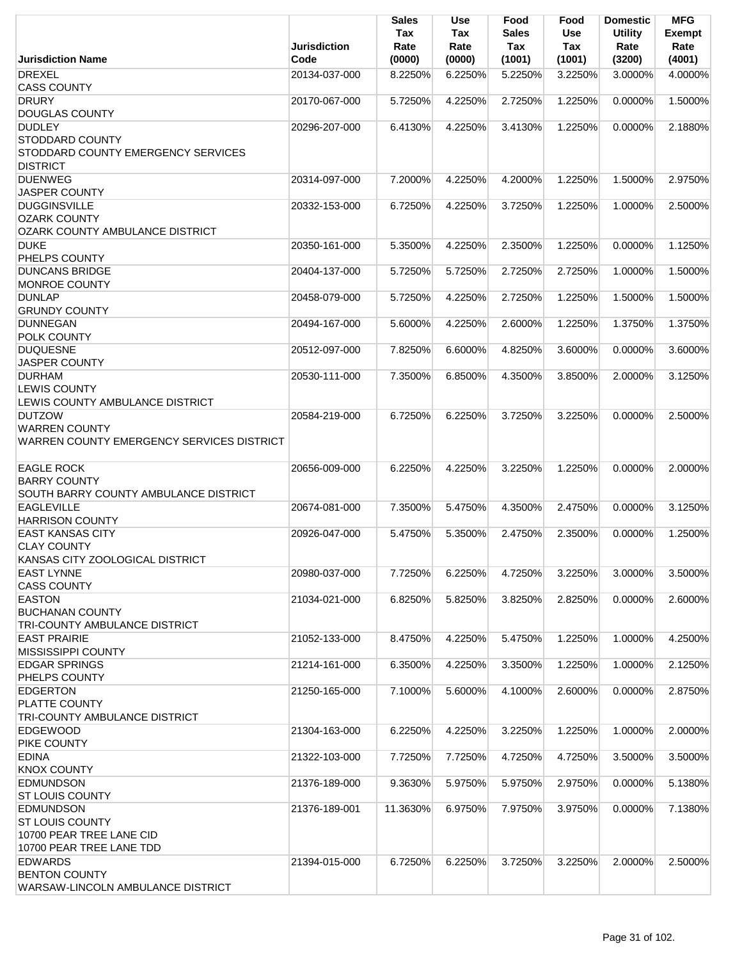|                                                        | <b>Jurisdiction</b> | <b>Sales</b><br>Tax<br>Rate | <b>Use</b><br>Tax<br>Rate | Food<br><b>Sales</b><br>Tax | Food<br><b>Use</b><br><b>Tax</b> | <b>Domestic</b><br><b>Utility</b><br>Rate | <b>MFG</b><br><b>Exempt</b><br>Rate |
|--------------------------------------------------------|---------------------|-----------------------------|---------------------------|-----------------------------|----------------------------------|-------------------------------------------|-------------------------------------|
| <b>Jurisdiction Name</b>                               | Code                | (0000)                      | (0000)                    | (1001)                      | (1001)                           | (3200)                                    | (4001)                              |
| <b>DREXEL</b><br><b>CASS COUNTY</b>                    | 20134-037-000       | 8.2250%                     | 6.2250%                   | 5.2250%                     | 3.2250%                          | 3.0000%                                   | 4.0000%                             |
| <b>DRURY</b>                                           | 20170-067-000       | 5.7250%                     | 4.2250%                   | 2.7250%                     | 1.2250%                          | 0.0000%                                   | 1.5000%                             |
| <b>DOUGLAS COUNTY</b>                                  |                     |                             |                           |                             |                                  |                                           |                                     |
| <b>DUDLEY</b>                                          | 20296-207-000       | 6.4130%                     | 4.2250%                   | 3.4130%                     | 1.2250%                          | 0.0000%                                   | 2.1880%                             |
| <b>STODDARD COUNTY</b>                                 |                     |                             |                           |                             |                                  |                                           |                                     |
| STODDARD COUNTY EMERGENCY SERVICES                     |                     |                             |                           |                             |                                  |                                           |                                     |
| <b>DISTRICT</b>                                        |                     |                             |                           |                             |                                  |                                           |                                     |
| <b>DUENWEG</b>                                         | 20314-097-000       | 7.2000%                     | 4.2250%                   | 4.2000%                     | 1.2250%                          | 1.5000%                                   | 2.9750%                             |
| <b>JASPER COUNTY</b>                                   |                     |                             |                           |                             |                                  |                                           |                                     |
| <b>DUGGINSVILLE</b>                                    | 20332-153-000       | 6.7250%                     | 4.2250%                   | 3.7250%                     | 1.2250%                          | 1.0000%                                   | 2.5000%                             |
| <b>OZARK COUNTY</b><br>OZARK COUNTY AMBULANCE DISTRICT |                     |                             |                           |                             |                                  |                                           |                                     |
| <b>DUKE</b>                                            | 20350-161-000       | 5.3500%                     | 4.2250%                   | 2.3500%                     | 1.2250%                          | 0.0000%                                   | 1.1250%                             |
| PHELPS COUNTY                                          |                     |                             |                           |                             |                                  |                                           |                                     |
| <b>DUNCANS BRIDGE</b>                                  | 20404-137-000       | 5.7250%                     | 5.7250%                   | 2.7250%                     | 2.7250%                          | 1.0000%                                   | 1.5000%                             |
| <b>MONROE COUNTY</b>                                   |                     |                             |                           |                             |                                  |                                           |                                     |
| <b>DUNLAP</b>                                          | 20458-079-000       | 5.7250%                     | 4.2250%                   | 2.7250%                     | 1.2250%                          | 1.5000%                                   | 1.5000%                             |
| <b>GRUNDY COUNTY</b>                                   |                     |                             |                           |                             |                                  |                                           |                                     |
| <b>DUNNEGAN</b>                                        | 20494-167-000       | 5.6000%                     | 4.2250%                   | 2.6000%                     | 1.2250%                          | 1.3750%                                   | 1.3750%                             |
| <b>POLK COUNTY</b>                                     |                     |                             |                           |                             | 3.6000%                          |                                           |                                     |
| <b>DUQUESNE</b><br><b>JASPER COUNTY</b>                | 20512-097-000       | 7.8250%                     | 6.6000%                   | 4.8250%                     |                                  | 0.0000%                                   | 3.6000%                             |
| <b>DURHAM</b>                                          | 20530-111-000       | 7.3500%                     | 6.8500%                   | 4.3500%                     | 3.8500%                          | 2.0000%                                   | 3.1250%                             |
| <b>LEWIS COUNTY</b>                                    |                     |                             |                           |                             |                                  |                                           |                                     |
| LEWIS COUNTY AMBULANCE DISTRICT                        |                     |                             |                           |                             |                                  |                                           |                                     |
| <b>DUTZOW</b>                                          | 20584-219-000       | 6.7250%                     | 6.2250%                   | 3.7250%                     | 3.2250%                          | 0.0000%                                   | 2.5000%                             |
| <b>WARREN COUNTY</b>                                   |                     |                             |                           |                             |                                  |                                           |                                     |
| WARREN COUNTY EMERGENCY SERVICES DISTRICT              |                     |                             |                           |                             |                                  |                                           |                                     |
| <b>EAGLE ROCK</b>                                      | 20656-009-000       | 6.2250%                     | 4.2250%                   | 3.2250%                     | 1.2250%                          | 0.0000%                                   | 2.0000%                             |
| <b>BARRY COUNTY</b>                                    |                     |                             |                           |                             |                                  |                                           |                                     |
| SOUTH BARRY COUNTY AMBULANCE DISTRICT                  |                     |                             |                           |                             |                                  |                                           |                                     |
| <b>EAGLEVILLE</b>                                      | 20674-081-000       | 7.3500%                     | 5.4750%                   | 4.3500%                     | 2.4750%                          | 0.0000%                                   | 3.1250%                             |
| <b>HARRISON COUNTY</b>                                 |                     |                             |                           |                             |                                  |                                           |                                     |
| <b>EAST KANSAS CITY</b>                                | 20926-047-000       | 5.4750%                     | 5.3500%                   | 2.4750%                     | 2.3500%                          | 0.0000%                                   | 1.2500%                             |
| <b>CLAY COUNTY</b>                                     |                     |                             |                           |                             |                                  |                                           |                                     |
| KANSAS CITY ZOOLOGICAL DISTRICT                        |                     |                             |                           |                             |                                  |                                           |                                     |
| <b>EAST LYNNE</b><br><b>CASS COUNTY</b>                | 20980-037-000       | 7.7250%                     | 6.2250%                   | 4.7250%                     | 3.2250%                          | 3.0000%                                   | 3.5000%                             |
| <b>EASTON</b>                                          | 21034-021-000       | 6.8250%                     | 5.8250%                   | 3.8250%                     | 2.8250%                          | 0.0000%                                   | 2.6000%                             |
| <b>BUCHANAN COUNTY</b>                                 |                     |                             |                           |                             |                                  |                                           |                                     |
| <b>TRI-COUNTY AMBULANCE DISTRICT</b>                   |                     |                             |                           |                             |                                  |                                           |                                     |
| <b>EAST PRAIRIE</b>                                    | 21052-133-000       | 8.4750%                     | 4.2250%                   | 5.4750%                     | 1.2250%                          | 1.0000%                                   | 4.2500%                             |
| <b>MISSISSIPPI COUNTY</b>                              |                     |                             |                           |                             |                                  |                                           |                                     |
| <b>EDGAR SPRINGS</b>                                   | 21214-161-000       | 6.3500%                     | 4.2250%                   | 3.3500%                     | 1.2250%                          | 1.0000%                                   | 2.1250%                             |
| PHELPS COUNTY                                          |                     |                             |                           |                             |                                  |                                           |                                     |
| <b>EDGERTON</b><br><b>PLATTE COUNTY</b>                | 21250-165-000       | 7.1000%                     | 5.6000%                   | 4.1000%                     | 2.6000%                          | 0.0000%                                   | 2.8750%                             |
| <b>TRI-COUNTY AMBULANCE DISTRICT</b>                   |                     |                             |                           |                             |                                  |                                           |                                     |
| <b>EDGEWOOD</b>                                        | 21304-163-000       | 6.2250%                     | 4.2250%                   | 3.2250%                     | 1.2250%                          | 1.0000%                                   | 2.0000%                             |
| PIKE COUNTY                                            |                     |                             |                           |                             |                                  |                                           |                                     |
| <b>EDINA</b>                                           | 21322-103-000       | 7.7250%                     | 7.7250%                   | 4.7250%                     | 4.7250%                          | 3.5000%                                   | 3.5000%                             |
| <b>KNOX COUNTY</b>                                     |                     |                             |                           |                             |                                  |                                           |                                     |
| <b>EDMUNDSON</b>                                       | 21376-189-000       | 9.3630%                     | 5.9750%                   | 5.9750%                     | 2.9750%                          | 0.0000%                                   | 5.1380%                             |
| <b>ST LOUIS COUNTY</b><br><b>EDMUNDSON</b>             | 21376-189-001       | 11.3630%                    | 6.9750%                   | 7.9750%                     | 3.9750%                          | 0.0000%                                   | 7.1380%                             |
| <b>ST LOUIS COUNTY</b>                                 |                     |                             |                           |                             |                                  |                                           |                                     |
| 10700 PEAR TREE LANE CID                               |                     |                             |                           |                             |                                  |                                           |                                     |
| 10700 PEAR TREE LANE TDD                               |                     |                             |                           |                             |                                  |                                           |                                     |
| <b>EDWARDS</b>                                         | 21394-015-000       | 6.7250%                     | 6.2250%                   | 3.7250%                     | 3.2250%                          | 2.0000%                                   | 2.5000%                             |
| <b>BENTON COUNTY</b>                                   |                     |                             |                           |                             |                                  |                                           |                                     |
| WARSAW-LINCOLN AMBULANCE DISTRICT                      |                     |                             |                           |                             |                                  |                                           |                                     |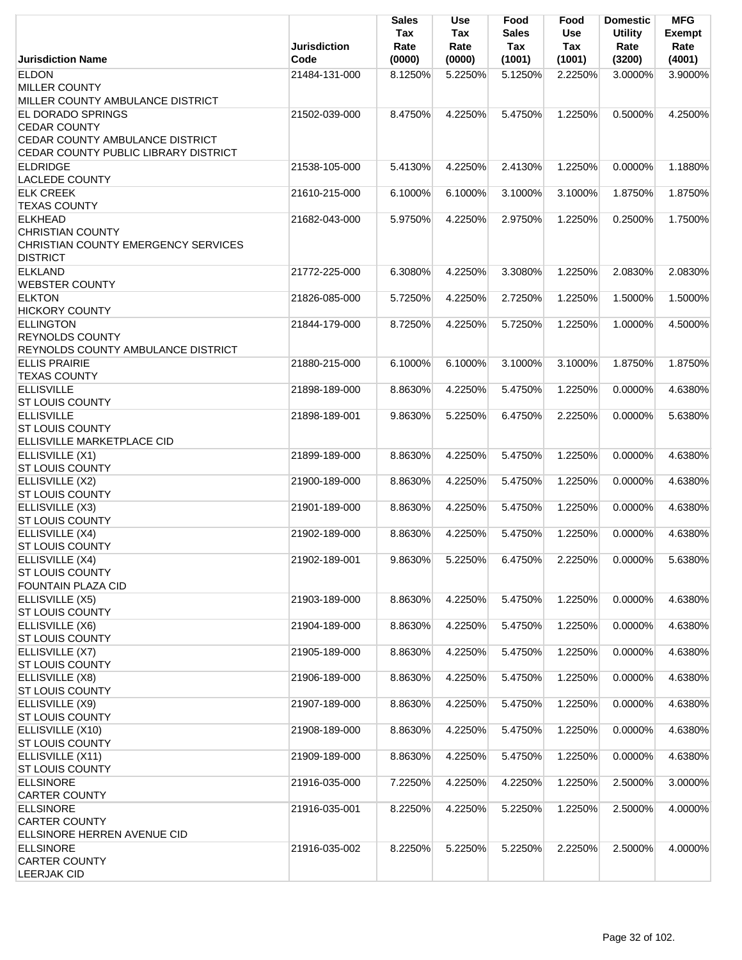|                                                                                                     | Jurisdiction  | <b>Sales</b><br>Tax<br>Rate | <b>Use</b><br>Tax<br>Rate | Food<br><b>Sales</b><br>Tax | Food<br>Use<br>Tax | <b>Domestic</b><br><b>Utility</b><br>Rate | <b>MFG</b><br><b>Exempt</b><br>Rate |
|-----------------------------------------------------------------------------------------------------|---------------|-----------------------------|---------------------------|-----------------------------|--------------------|-------------------------------------------|-------------------------------------|
| <b>Jurisdiction Name</b>                                                                            | Code          | (0000)                      | (0000)                    | (1001)                      | (1001)             | (3200)                                    | (4001)                              |
| <b>ELDON</b><br><b>MILLER COUNTY</b>                                                                | 21484-131-000 | 8.1250%                     | 5.2250%                   | 5.1250%                     | 2.2250%            | 3.0000%                                   | 3.9000%                             |
| MILLER COUNTY AMBULANCE DISTRICT<br>EL DORADO SPRINGS                                               | 21502-039-000 | 8.4750%                     | 4.2250%                   | 5.4750%                     | 1.2250%            | 0.5000%                                   | 4.2500%                             |
| <b>CEDAR COUNTY</b><br>CEDAR COUNTY AMBULANCE DISTRICT<br>CEDAR COUNTY PUBLIC LIBRARY DISTRICT      |               |                             |                           |                             |                    |                                           |                                     |
| <b>ELDRIDGE</b><br><b>LACLEDE COUNTY</b>                                                            | 21538-105-000 | 5.4130%                     | 4.2250%                   | 2.4130%                     | 1.2250%            | 0.0000%                                   | 1.1880%                             |
| <b>ELK CREEK</b><br><b>TEXAS COUNTY</b>                                                             | 21610-215-000 | 6.1000%                     | 6.1000%                   | 3.1000%                     | 3.1000%            | 1.8750%                                   | 1.8750%                             |
| <b>ELKHEAD</b><br><b>CHRISTIAN COUNTY</b><br>CHRISTIAN COUNTY EMERGENCY SERVICES<br><b>DISTRICT</b> | 21682-043-000 | 5.9750%                     | 4.2250%                   | 2.9750%                     | 1.2250%            | 0.2500%                                   | 1.7500%                             |
| <b>ELKLAND</b><br><b>WEBSTER COUNTY</b>                                                             | 21772-225-000 | 6.3080%                     | 4.2250%                   | 3.3080%                     | 1.2250%            | 2.0830%                                   | 2.0830%                             |
| <b>ELKTON</b><br><b>HICKORY COUNTY</b>                                                              | 21826-085-000 | 5.7250%                     | 4.2250%                   | 2.7250%                     | 1.2250%            | 1.5000%                                   | 1.5000%                             |
| <b>ELLINGTON</b><br><b>REYNOLDS COUNTY</b><br>REYNOLDS COUNTY AMBULANCE DISTRICT                    | 21844-179-000 | 8.7250%                     | 4.2250%                   | 5.7250%                     | 1.2250%            | 1.0000%                                   | 4.5000%                             |
| <b>ELLIS PRAIRIE</b><br><b>TEXAS COUNTY</b>                                                         | 21880-215-000 | 6.1000%                     | 6.1000%                   | 3.1000%                     | 3.1000%            | 1.8750%                                   | 1.8750%                             |
| <b>ELLISVILLE</b><br><b>ST LOUIS COUNTY</b>                                                         | 21898-189-000 | 8.8630%                     | 4.2250%                   | 5.4750%                     | 1.2250%            | 0.0000%                                   | 4.6380%                             |
| <b>ELLISVILLE</b><br><b>ST LOUIS COUNTY</b><br>ELLISVILLE MARKETPLACE CID                           | 21898-189-001 | 9.8630%                     | 5.2250%                   | 6.4750%                     | 2.2250%            | 0.0000%                                   | 5.6380%                             |
| ELLISVILLE (X1)<br><b>ST LOUIS COUNTY</b>                                                           | 21899-189-000 | 8.8630%                     | 4.2250%                   | 5.4750%                     | 1.2250%            | 0.0000%                                   | 4.6380%                             |
| ELLISVILLE (X2)<br><b>ST LOUIS COUNTY</b>                                                           | 21900-189-000 | 8.8630%                     | 4.2250%                   | 5.4750%                     | 1.2250%            | 0.0000%                                   | 4.6380%                             |
| ELLISVILLE (X3)<br><b>ST LOUIS COUNTY</b>                                                           | 21901-189-000 | 8.8630%                     | 4.2250%                   | 5.4750%                     | 1.2250%            | 0.0000%                                   | 4.6380%                             |
| ELLISVILLE (X4)<br><b>ST LOUIS COUNTY</b>                                                           | 21902-189-000 | 8.8630%                     | 4.2250%                   | 5.4750%                     | 1.2250%            | 0.0000%                                   | 4.6380%                             |
| ELLISVILLE (X4)<br><b>ST LOUIS COUNTY</b><br>FOUNTAIN PLAZA CID                                     | 21902-189-001 | 9.8630%                     | 5.2250%                   | 6.4750%                     | 2.2250%            | 0.0000%                                   | 5.6380%                             |
| ELLISVILLE (X5)<br><b>ST LOUIS COUNTY</b>                                                           | 21903-189-000 | 8.8630%                     | 4.2250%                   | 5.4750%                     | 1.2250%            | $0.0000\%$                                | 4.6380%                             |
| ELLISVILLE (X6)<br><b>ST LOUIS COUNTY</b>                                                           | 21904-189-000 | 8.8630%                     | 4.2250%                   | 5.4750%                     | 1.2250%            | 0.0000%                                   | 4.6380%                             |
| ELLISVILLE (X7)<br>ST LOUIS COUNTY                                                                  | 21905-189-000 | 8.8630%                     | 4.2250%                   | 5.4750%                     | 1.2250%            | $0.0000\%$                                | 4.6380%                             |
| ELLISVILLE (X8)<br><b>ST LOUIS COUNTY</b>                                                           | 21906-189-000 | 8.8630%                     | 4.2250%                   | 5.4750%                     | 1.2250%            | 0.0000%                                   | 4.6380%                             |
| ELLISVILLE (X9)<br><b>ST LOUIS COUNTY</b>                                                           | 21907-189-000 | 8.8630%                     | 4.2250%                   | 5.4750%                     | 1.2250%            | 0.0000%                                   | 4.6380%                             |
| ELLISVILLE (X10)<br><b>ST LOUIS COUNTY</b>                                                          | 21908-189-000 | 8.8630%                     | 4.2250%                   | 5.4750%                     | 1.2250%            | 0.0000%                                   | 4.6380%                             |
| ELLISVILLE (X11)<br><b>ST LOUIS COUNTY</b>                                                          | 21909-189-000 | 8.8630%                     | 4.2250%                   | 5.4750%                     | 1.2250%            | 0.0000%                                   | 4.6380%                             |
| <b>ELLSINORE</b><br><b>CARTER COUNTY</b>                                                            | 21916-035-000 | 7.2250%                     | 4.2250%                   | 4.2250%                     | 1.2250%            | 2.5000%                                   | 3.0000%                             |
| <b>ELLSINORE</b><br><b>CARTER COUNTY</b><br>ELLSINORE HERREN AVENUE CID                             | 21916-035-001 | 8.2250%                     | 4.2250%                   | 5.2250%                     | 1.2250%            | 2.5000%                                   | 4.0000%                             |
| <b>ELLSINORE</b><br><b>CARTER COUNTY</b><br><b>LEERJAK CID</b>                                      | 21916-035-002 | 8.2250%                     | 5.2250%                   | 5.2250%                     | 2.2250%            | 2.5000%                                   | 4.0000%                             |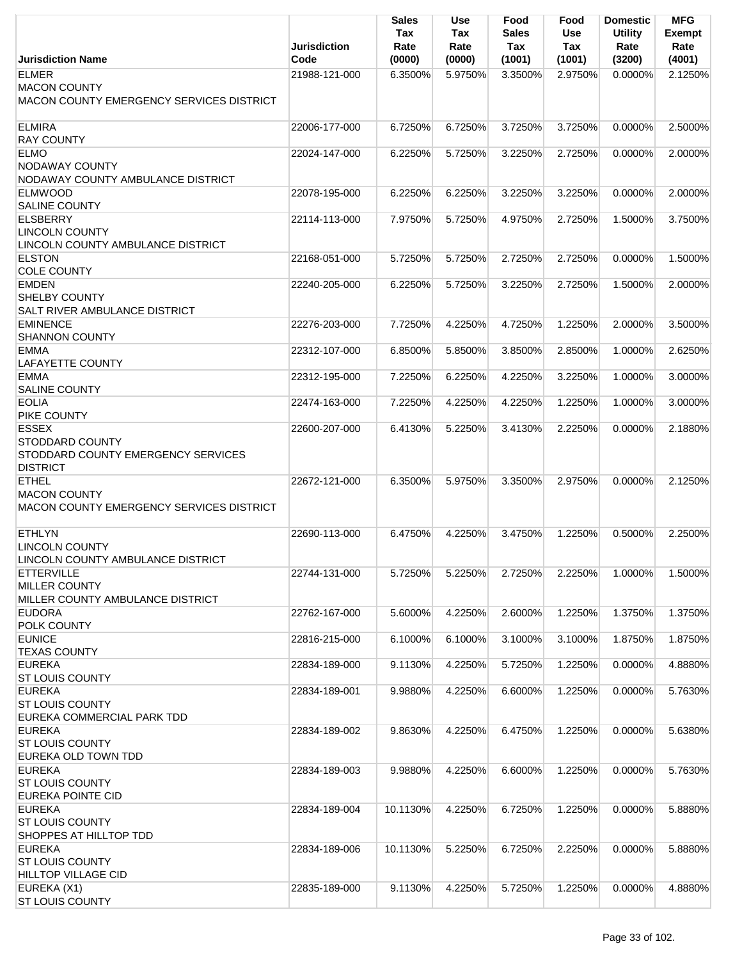| Jurisdiction Name                                                                               | <b>Jurisdiction</b><br>Code | <b>Sales</b><br>Tax<br>Rate<br>(0000) | Use<br>Tax<br>Rate<br>(0000) | Food<br><b>Sales</b><br>Tax<br>(1001) | Food<br>Use<br><b>Tax</b><br>(1001) | <b>Domestic</b><br><b>Utility</b><br>Rate<br>(3200) | <b>MFG</b><br><b>Exempt</b><br>Rate<br>(4001) |
|-------------------------------------------------------------------------------------------------|-----------------------------|---------------------------------------|------------------------------|---------------------------------------|-------------------------------------|-----------------------------------------------------|-----------------------------------------------|
| <b>ELMER</b>                                                                                    | 21988-121-000               | 6.3500%                               | 5.9750%                      | 3.3500%                               | 2.9750%                             | $0.0000\%$                                          | 2.1250%                                       |
| <b>MACON COUNTY</b><br>MACON COUNTY EMERGENCY SERVICES DISTRICT                                 |                             |                                       |                              |                                       |                                     |                                                     |                                               |
| <b>ELMIRA</b><br><b>RAY COUNTY</b>                                                              | 22006-177-000               | 6.7250%                               | 6.7250%                      | 3.7250%                               | 3.7250%                             | 0.0000%                                             | 2.5000%                                       |
| <b>ELMO</b><br>NODAWAY COUNTY<br>NODAWAY COUNTY AMBULANCE DISTRICT                              | 22024-147-000               | 6.2250%                               | 5.7250%                      | 3.2250%                               | 2.7250%                             | $0.0000\%$                                          | 2.0000%                                       |
| <b>ELMWOOD</b><br><b>SALINE COUNTY</b>                                                          | 22078-195-000               | 6.2250%                               | 6.2250%                      | 3.2250%                               | 3.2250%                             | $0.0000\%$                                          | 2.0000%                                       |
| <b>ELSBERRY</b><br><b>LINCOLN COUNTY</b><br>LINCOLN COUNTY AMBULANCE DISTRICT                   | 22114-113-000               | 7.9750%                               | 5.7250%                      | 4.9750%                               | 2.7250%                             | 1.5000%                                             | 3.7500%                                       |
| <b>ELSTON</b><br><b>COLE COUNTY</b>                                                             | 22168-051-000               | 5.7250%                               | 5.7250%                      | 2.7250%                               | 2.7250%                             | 0.0000%                                             | 1.5000%                                       |
| <b>EMDEN</b><br><b>SHELBY COUNTY</b><br><b>SALT RIVER AMBULANCE DISTRICT</b>                    | 22240-205-000               | 6.2250%                               | 5.7250%                      | 3.2250%                               | 2.7250%                             | 1.5000%                                             | 2.0000%                                       |
| <b>EMINENCE</b><br><b>SHANNON COUNTY</b>                                                        | 22276-203-000               | 7.7250%                               | 4.2250%                      | 4.7250%                               | 1.2250%                             | 2.0000%                                             | 3.5000%                                       |
| <b>EMMA</b><br><b>LAFAYETTE COUNTY</b>                                                          | 22312-107-000               | 6.8500%                               | 5.8500%                      | 3.8500%                               | 2.8500%                             | 1.0000%                                             | 2.6250%                                       |
| <b>EMMA</b><br><b>SALINE COUNTY</b>                                                             | 22312-195-000               | 7.2250%                               | 6.2250%                      | 4.2250%                               | 3.2250%                             | 1.0000%                                             | 3.0000%                                       |
| <b>EOLIA</b><br>PIKE COUNTY                                                                     | 22474-163-000               | 7.2250%                               | 4.2250%                      | 4.2250%                               | 1.2250%                             | 1.0000%                                             | 3.0000%                                       |
| <b>ESSEX</b><br><b>STODDARD COUNTY</b><br>STODDARD COUNTY EMERGENCY SERVICES<br><b>DISTRICT</b> | 22600-207-000               | 6.4130%                               | 5.2250%                      | 3.4130%                               | 2.2250%                             | 0.0000%                                             | 2.1880%                                       |
| <b>ETHEL</b><br><b>MACON COUNTY</b><br>MACON COUNTY EMERGENCY SERVICES DISTRICT                 | 22672-121-000               | 6.3500%                               | 5.9750%                      | 3.3500%                               | 2.9750%                             | $0.0000\%$                                          | 2.1250%                                       |
| <b>ETHLYN</b><br><b>LINCOLN COUNTY</b><br>LINCOLN COUNTY AMBULANCE DISTRICT                     | 22690-113-000               | 6.4750%                               | 4.2250%                      | 3.4750%                               | 1.2250%                             | 0.5000%                                             | 2.2500%                                       |
| <b>ETTERVILLE</b><br><b>MILLER COUNTY</b><br>MILLER COUNTY AMBULANCE DISTRICT                   | 22744-131-000               | 5.7250%                               | 5.2250%                      | 2.7250%                               | 2.2250%                             | 1.0000%                                             | 1.5000%                                       |
| <b>EUDORA</b><br>POLK COUNTY                                                                    | 22762-167-000               | 5.6000%                               | 4.2250%                      | 2.6000%                               | 1.2250%                             | 1.3750%                                             | 1.3750%                                       |
| <b>EUNICE</b><br><b>TEXAS COUNTY</b>                                                            | 22816-215-000               | 6.1000%                               | 6.1000%                      | 3.1000%                               | 3.1000%                             | 1.8750%                                             | 1.8750%                                       |
| <b>EUREKA</b><br><b>ST LOUIS COUNTY</b>                                                         | 22834-189-000               | 9.1130%                               | 4.2250%                      | 5.7250%                               | 1.2250%                             | 0.0000%                                             | 4.8880%                                       |
| <b>EUREKA</b><br><b>ST LOUIS COUNTY</b><br>EUREKA COMMERCIAL PARK TDD                           | 22834-189-001               | 9.9880%                               | 4.2250%                      | 6.6000%                               | 1.2250%                             | 0.0000%                                             | 5.7630%                                       |
| <b>EUREKA</b><br><b>ST LOUIS COUNTY</b><br>EUREKA OLD TOWN TDD                                  | 22834-189-002               | 9.8630%                               | 4.2250%                      | 6.4750%                               | 1.2250%                             | 0.0000%                                             | 5.6380%                                       |
| <b>EUREKA</b><br><b>ST LOUIS COUNTY</b><br>EUREKA POINTE CID                                    | 22834-189-003               | 9.9880%                               | 4.2250%                      | 6.6000%                               | 1.2250%                             | 0.0000%                                             | 5.7630%                                       |
| <b>EUREKA</b><br><b>ST LOUIS COUNTY</b><br>SHOPPES AT HILLTOP TDD                               | 22834-189-004               | 10.1130%                              | 4.2250%                      | 6.7250%                               | 1.2250%                             | $0.0000\%$                                          | 5.8880%                                       |
| <b>EUREKA</b><br><b>ST LOUIS COUNTY</b><br><b>HILLTOP VILLAGE CID</b>                           | 22834-189-006               | 10.1130%                              | 5.2250%                      | 6.7250%                               | 2.2250%                             | $0.0000\%$                                          | 5.8880%                                       |
| EUREKA (X1)<br><b>ST LOUIS COUNTY</b>                                                           | 22835-189-000               | 9.1130%                               | 4.2250%                      | 5.7250%                               | 1.2250%                             | 0.0000%                                             | 4.8880%                                       |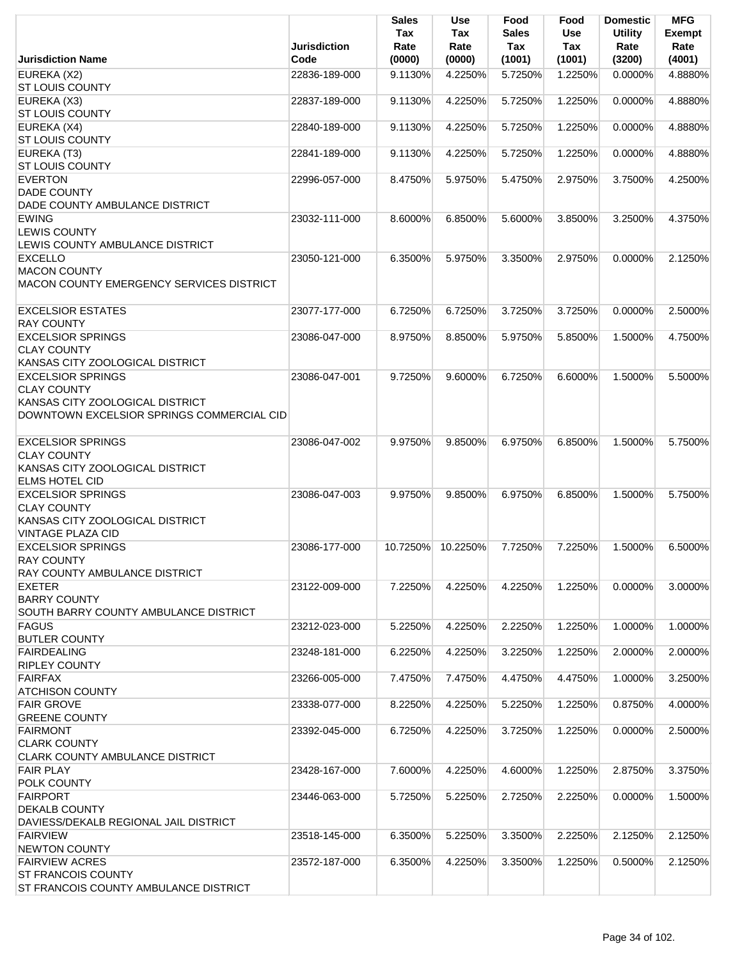|                                                                                                                                | <b>Jurisdiction</b> | <b>Sales</b><br>Tax<br>Rate | <b>Use</b><br>Tax<br>Rate | Food<br>Sales<br>Tax | Food<br><b>Use</b><br>Tax | <b>Domestic</b><br><b>Utility</b><br>Rate | <b>MFG</b><br>Exempt<br>Rate |
|--------------------------------------------------------------------------------------------------------------------------------|---------------------|-----------------------------|---------------------------|----------------------|---------------------------|-------------------------------------------|------------------------------|
| <b>Jurisdiction Name</b>                                                                                                       | Code                | (0000)                      | (0000)                    | (1001)               | (1001)                    | (3200)                                    | (4001)                       |
| EUREKA (X2)<br><b>ST LOUIS COUNTY</b>                                                                                          | 22836-189-000       | 9.1130%                     | 4.2250%                   | 5.7250%              | 1.2250%                   | 0.0000%                                   | 4.8880%                      |
| EUREKA (X3)<br><b>ST LOUIS COUNTY</b>                                                                                          | 22837-189-000       | 9.1130%                     | 4.2250%                   | 5.7250%              | 1.2250%                   | 0.0000%                                   | 4.8880%                      |
| EUREKA (X4)<br><b>ST LOUIS COUNTY</b>                                                                                          | 22840-189-000       | 9.1130%                     | 4.2250%                   | 5.7250%              | 1.2250%                   | 0.0000%                                   | 4.8880%                      |
| EUREKA (T3)<br><b>ST LOUIS COUNTY</b>                                                                                          | 22841-189-000       | 9.1130%                     | 4.2250%                   | 5.7250%              | 1.2250%                   | 0.0000%                                   | 4.8880%                      |
| <b>EVERTON</b><br><b>DADE COUNTY</b><br>DADE COUNTY AMBULANCE DISTRICT                                                         | 22996-057-000       | 8.4750%                     | 5.9750%                   | 5.4750%              | 2.9750%                   | 3.7500%                                   | 4.2500%                      |
| <b>EWING</b><br><b>LEWIS COUNTY</b>                                                                                            | 23032-111-000       | 8.6000%                     | 6.8500%                   | 5.6000%              | 3.8500%                   | 3.2500%                                   | 4.3750%                      |
| LEWIS COUNTY AMBULANCE DISTRICT<br><b>EXCELLO</b><br><b>MACON COUNTY</b>                                                       | 23050-121-000       | 6.3500%                     | 5.9750%                   | 3.3500%              | 2.9750%                   | 0.0000%                                   | 2.1250%                      |
| MACON COUNTY EMERGENCY SERVICES DISTRICT                                                                                       |                     |                             |                           |                      |                           |                                           |                              |
| <b>EXCELSIOR ESTATES</b><br><b>RAY COUNTY</b>                                                                                  | 23077-177-000       | 6.7250%                     | 6.7250%                   | 3.7250%              | 3.7250%                   | 0.0000%                                   | 2.5000%                      |
| <b>EXCELSIOR SPRINGS</b><br><b>CLAY COUNTY</b><br>KANSAS CITY ZOOLOGICAL DISTRICT                                              | 23086-047-000       | 8.9750%                     | 8.8500%                   | 5.9750%              | 5.8500%                   | 1.5000%                                   | 4.7500%                      |
| <b>EXCELSIOR SPRINGS</b><br><b>CLAY COUNTY</b><br>KANSAS CITY ZOOLOGICAL DISTRICT<br>DOWNTOWN EXCELSIOR SPRINGS COMMERCIAL CID | 23086-047-001       | 9.7250%                     | 9.6000%                   | 6.7250%              | 6.6000%                   | 1.5000%                                   | 5.5000%                      |
| <b>EXCELSIOR SPRINGS</b><br><b>CLAY COUNTY</b><br>KANSAS CITY ZOOLOGICAL DISTRICT<br><b>ELMS HOTEL CID</b>                     | 23086-047-002       | 9.9750%                     | 9.8500%                   | 6.9750%              | 6.8500%                   | 1.5000%                                   | 5.7500%                      |
| <b>EXCELSIOR SPRINGS</b><br><b>CLAY COUNTY</b><br>KANSAS CITY ZOOLOGICAL DISTRICT<br><b>VINTAGE PLAZA CID</b>                  | 23086-047-003       | 9.9750%                     | 9.8500%                   | 6.9750%              | 6.8500%                   | 1.5000%                                   | 5.7500%                      |
| <b>EXCELSIOR SPRINGS</b><br><b>RAY COUNTY</b><br>RAY COUNTY AMBULANCE DISTRICT                                                 | 23086-177-000       | 10.7250%                    | 10.2250%                  | 7.7250%              | 7.2250%                   | 1.5000%                                   | 6.5000%                      |
| <b>EXETER</b><br><b>BARRY COUNTY</b><br>SOUTH BARRY COUNTY AMBULANCE DISTRICT                                                  | 23122-009-000       | 7.2250%                     | 4.2250%                   | 4.2250%              | 1.2250%                   | 0.0000%                                   | 3.0000%                      |
| <b>FAGUS</b><br><b>BUTLER COUNTY</b>                                                                                           | 23212-023-000       | 5.2250%                     | 4.2250%                   | 2.2250%              | 1.2250%                   | 1.0000%                                   | 1.0000%                      |
| <b>FAIRDEALING</b><br><b>RIPLEY COUNTY</b>                                                                                     | 23248-181-000       | 6.2250%                     | 4.2250%                   | 3.2250%              | 1.2250%                   | 2.0000%                                   | 2.0000%                      |
| <b>FAIRFAX</b><br><b>ATCHISON COUNTY</b>                                                                                       | 23266-005-000       | 7.4750%                     | 7.4750%                   | 4.4750%              | 4.4750%                   | 1.0000%                                   | 3.2500%                      |
| <b>FAIR GROVE</b><br><b>GREENE COUNTY</b>                                                                                      | 23338-077-000       | 8.2250%                     | 4.2250%                   | 5.2250%              | 1.2250%                   | 0.8750%                                   | 4.0000%                      |
| <b>FAIRMONT</b><br><b>CLARK COUNTY</b><br><b>CLARK COUNTY AMBULANCE DISTRICT</b>                                               | 23392-045-000       | 6.7250%                     | 4.2250%                   | 3.7250%              | 1.2250%                   | 0.0000%                                   | 2.5000%                      |
| <b>FAIR PLAY</b><br><b>POLK COUNTY</b>                                                                                         | 23428-167-000       | 7.6000%                     | 4.2250%                   | 4.6000%              | 1.2250%                   | 2.8750%                                   | 3.3750%                      |
| FAIRPORT<br><b>DEKALB COUNTY</b><br>DAVIESS/DEKALB REGIONAL JAIL DISTRICT                                                      | 23446-063-000       | 5.7250%                     | 5.2250%                   | 2.7250%              | 2.2250%                   | 0.0000%                                   | 1.5000%                      |
| <b>FAIRVIEW</b><br><b>NEWTON COUNTY</b>                                                                                        | 23518-145-000       | 6.3500%                     | 5.2250%                   | 3.3500%              | 2.2250%                   | 2.1250%                                   | 2.1250%                      |
| <b>FAIRVIEW ACRES</b><br><b>ST FRANCOIS COUNTY</b>                                                                             | 23572-187-000       | 6.3500%                     | 4.2250%                   | 3.3500%              | 1.2250%                   | 0.5000%                                   | 2.1250%                      |
| ST FRANCOIS COUNTY AMBULANCE DISTRICT                                                                                          |                     |                             |                           |                      |                           |                                           |                              |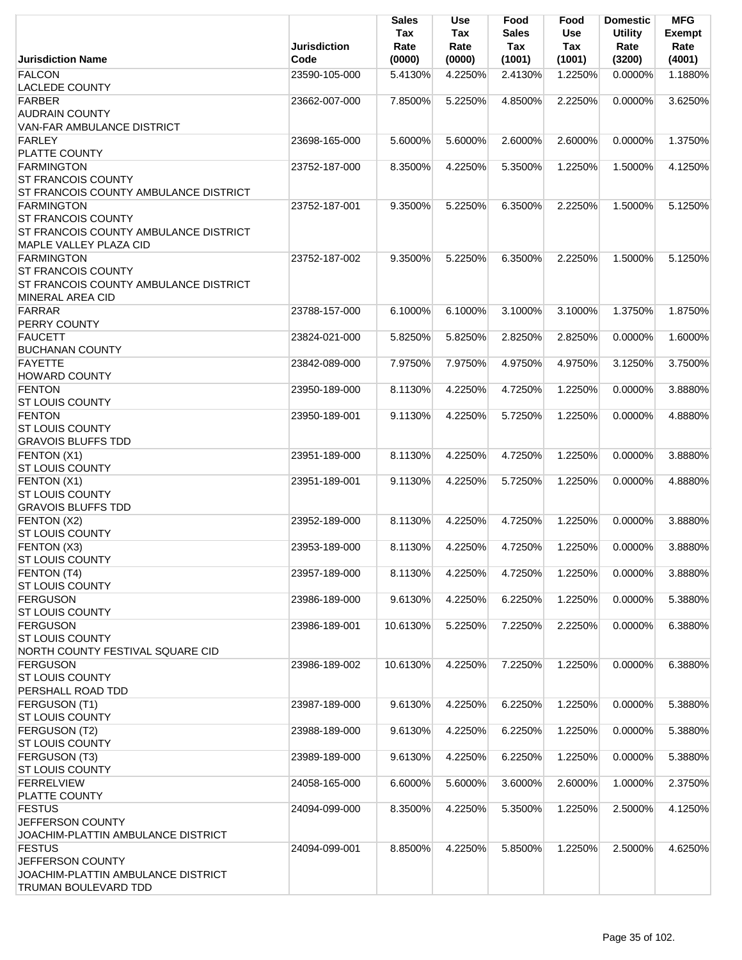|                                                                  | <b>Jurisdiction</b> | <b>Sales</b><br>Tax<br>Rate | <b>Use</b><br>Tax<br>Rate | Food<br><b>Sales</b><br>Tax | Food<br><b>Use</b><br>Tax | <b>Domestic</b><br><b>Utility</b><br>Rate | <b>MFG</b><br><b>Exempt</b><br>Rate |
|------------------------------------------------------------------|---------------------|-----------------------------|---------------------------|-----------------------------|---------------------------|-------------------------------------------|-------------------------------------|
| <b>Jurisdiction Name</b>                                         | Code                | (0000)                      | (0000)                    | (1001)                      | (1001)                    | (3200)                                    | (4001)                              |
| <b>FALCON</b><br><b>LACLEDE COUNTY</b>                           | 23590-105-000       | 5.4130%                     | 4.2250%                   | 2.4130%                     | 1.2250%                   | 0.0000%                                   | 1.1880%                             |
| FARBER                                                           | 23662-007-000       | 7.8500%                     | 5.2250%                   | 4.8500%                     | 2.2250%                   | 0.0000%                                   | 3.6250%                             |
| <b>AUDRAIN COUNTY</b>                                            |                     |                             |                           |                             |                           |                                           |                                     |
| VAN-FAR AMBULANCE DISTRICT                                       |                     |                             |                           |                             |                           |                                           |                                     |
| <b>FARLEY</b>                                                    | 23698-165-000       | 5.6000%                     | 5.6000%                   | 2.6000%                     | 2.6000%                   | $0.0000\%$                                | 1.3750%                             |
| <b>PLATTE COUNTY</b>                                             |                     |                             |                           |                             |                           |                                           |                                     |
| <b>FARMINGTON</b>                                                | 23752-187-000       | 8.3500%                     | 4.2250%                   | 5.3500%                     | 1.2250%                   | 1.5000%                                   | 4.1250%                             |
| <b>ST FRANCOIS COUNTY</b>                                        |                     |                             |                           |                             |                           |                                           |                                     |
| ST FRANCOIS COUNTY AMBULANCE DISTRICT                            |                     |                             |                           |                             |                           |                                           |                                     |
| <b>FARMINGTON</b>                                                | 23752-187-001       | 9.3500%                     | 5.2250%                   | 6.3500%                     | 2.2250%                   | 1.5000%                                   | 5.1250%                             |
| <b>ST FRANCOIS COUNTY</b>                                        |                     |                             |                           |                             |                           |                                           |                                     |
| ST FRANCOIS COUNTY AMBULANCE DISTRICT                            |                     |                             |                           |                             |                           |                                           |                                     |
| MAPLE VALLEY PLAZA CID                                           |                     |                             |                           |                             |                           |                                           |                                     |
| <b>FARMINGTON</b>                                                | 23752-187-002       | 9.3500%                     | 5.2250%                   | 6.3500%                     | 2.2250%                   | 1.5000%                                   | 5.1250%                             |
| <b>ST FRANCOIS COUNTY</b>                                        |                     |                             |                           |                             |                           |                                           |                                     |
|                                                                  |                     |                             |                           |                             |                           |                                           |                                     |
| ST FRANCOIS COUNTY AMBULANCE DISTRICT<br><b>MINERAL AREA CID</b> |                     |                             |                           |                             |                           |                                           |                                     |
| FARRAR                                                           |                     | 6.1000%                     | 6.1000%                   |                             |                           | 1.3750%                                   | 1.8750%                             |
|                                                                  | 23788-157-000       |                             |                           | 3.1000%                     | 3.1000%                   |                                           |                                     |
| PERRY COUNTY                                                     |                     |                             |                           |                             |                           |                                           |                                     |
| <b>FAUCETT</b>                                                   | 23824-021-000       | 5.8250%                     | 5.8250%                   | 2.8250%                     | 2.8250%                   | 0.0000%                                   | 1.6000%                             |
| <b>BUCHANAN COUNTY</b>                                           |                     |                             |                           |                             |                           |                                           |                                     |
| <b>FAYETTE</b>                                                   | 23842-089-000       | 7.9750%                     | 7.9750%                   | 4.9750%                     | 4.9750%                   | 3.1250%                                   | 3.7500%                             |
| <b>HOWARD COUNTY</b>                                             |                     |                             |                           |                             |                           |                                           |                                     |
| <b>FENTON</b>                                                    | 23950-189-000       | 8.1130%                     | 4.2250%                   | 4.7250%                     | 1.2250%                   | 0.0000%                                   | 3.8880%                             |
| <b>ST LOUIS COUNTY</b>                                           |                     |                             |                           |                             |                           |                                           |                                     |
| <b>FENTON</b>                                                    | 23950-189-001       | 9.1130%                     | 4.2250%                   | 5.7250%                     | 1.2250%                   | 0.0000%                                   | 4.8880%                             |
| <b>ST LOUIS COUNTY</b>                                           |                     |                             |                           |                             |                           |                                           |                                     |
| <b>GRAVOIS BLUFFS TDD</b>                                        |                     |                             |                           |                             |                           |                                           |                                     |
| FENTON (X1)                                                      | 23951-189-000       | 8.1130%                     | 4.2250%                   | 4.7250%                     | 1.2250%                   | 0.0000%                                   | 3.8880%                             |
| <b>ST LOUIS COUNTY</b>                                           |                     |                             |                           |                             |                           |                                           |                                     |
| FENTON (X1)                                                      | 23951-189-001       | 9.1130%                     | 4.2250%                   | 5.7250%                     | 1.2250%                   | 0.0000%                                   | 4.8880%                             |
| <b>ST LOUIS COUNTY</b>                                           |                     |                             |                           |                             |                           |                                           |                                     |
| <b>GRAVOIS BLUFFS TDD</b>                                        |                     |                             |                           |                             |                           |                                           |                                     |
| FENTON (X2)                                                      | 23952-189-000       | 8.1130%                     | 4.2250%                   | 4.7250%                     | 1.2250%                   | $0.0000\%$                                | 3.8880%                             |
| ST LOUIS COUNTY                                                  |                     |                             |                           |                             |                           |                                           |                                     |
| FENTON (X3)                                                      | 23953-189-000       | 8.1130%                     | 4.2250%                   | 4.7250%                     | 1.2250%                   | 0.0000%                                   | 3.8880%                             |
| <b>ST LOUIS COUNTY</b>                                           |                     |                             |                           |                             |                           |                                           |                                     |
| FENTON (T4)                                                      | 23957-189-000       | 8.1130%                     | 4.2250%                   | 4.7250%                     | 1.2250%                   | $0.0000\%$                                | 3.8880%                             |
| <b>ST LOUIS COUNTY</b>                                           |                     |                             |                           |                             |                           |                                           |                                     |
| <b>FERGUSON</b>                                                  | 23986-189-000       | 9.6130%                     | 4.2250%                   | 6.2250%                     | 1.2250%                   | 0.0000%                                   | 5.3880%                             |
| <b>ST LOUIS COUNTY</b>                                           |                     |                             |                           |                             |                           |                                           |                                     |
| <b>FERGUSON</b>                                                  | 23986-189-001       | 10.6130%                    | 5.2250%                   | 7.2250%                     | 2.2250%                   | 0.0000%                                   | 6.3880%                             |
| <b>ST LOUIS COUNTY</b>                                           |                     |                             |                           |                             |                           |                                           |                                     |
| NORTH COUNTY FESTIVAL SQUARE CID                                 |                     |                             |                           |                             |                           |                                           |                                     |
| <b>FERGUSON</b>                                                  | 23986-189-002       | 10.6130%                    | 4.2250%                   | 7.2250%                     | 1.2250%                   | 0.0000%                                   | 6.3880%                             |
| <b>ST LOUIS COUNTY</b>                                           |                     |                             |                           |                             |                           |                                           |                                     |
| PERSHALL ROAD TDD                                                |                     |                             |                           |                             |                           |                                           |                                     |
| FERGUSON (T1)                                                    | 23987-189-000       | 9.6130%                     | 4.2250%                   | 6.2250%                     | 1.2250%                   | 0.0000%                                   | 5.3880%                             |
| <b>ST LOUIS COUNTY</b>                                           |                     |                             |                           |                             |                           |                                           |                                     |
| FERGUSON (T2)                                                    | 23988-189-000       | 9.6130%                     | 4.2250%                   | 6.2250%                     | 1.2250%                   | 0.0000%                                   | 5.3880%                             |
| <b>ST LOUIS COUNTY</b>                                           |                     |                             |                           |                             |                           |                                           |                                     |
| FERGUSON (T3)                                                    | 23989-189-000       | 9.6130%                     | 4.2250%                   | 6.2250%                     | 1.2250%                   | 0.0000%                                   | 5.3880%                             |
| <b>ST LOUIS COUNTY</b>                                           |                     |                             |                           |                             |                           |                                           |                                     |
| <b>FERRELVIEW</b>                                                | 24058-165-000       | 6.6000%                     | 5.6000%                   | 3.6000%                     | 2.6000%                   | 1.0000%                                   | 2.3750%                             |
| PLATTE COUNTY                                                    |                     |                             |                           |                             |                           |                                           |                                     |
| <b>FESTUS</b>                                                    | 24094-099-000       | 8.3500%                     | 4.2250%                   | 5.3500%                     | 1.2250%                   | 2.5000%                                   | 4.1250%                             |
| JEFFERSON COUNTY                                                 |                     |                             |                           |                             |                           |                                           |                                     |
| JOACHIM-PLATTIN AMBULANCE DISTRICT                               |                     |                             |                           |                             |                           |                                           |                                     |
| <b>FESTUS</b>                                                    | 24094-099-001       | 8.8500%                     | 4.2250%                   | 5.8500%                     | 1.2250%                   | 2.5000%                                   | 4.6250%                             |
| JEFFERSON COUNTY                                                 |                     |                             |                           |                             |                           |                                           |                                     |
| JOACHIM-PLATTIN AMBULANCE DISTRICT                               |                     |                             |                           |                             |                           |                                           |                                     |
| TRUMAN BOULEVARD TDD                                             |                     |                             |                           |                             |                           |                                           |                                     |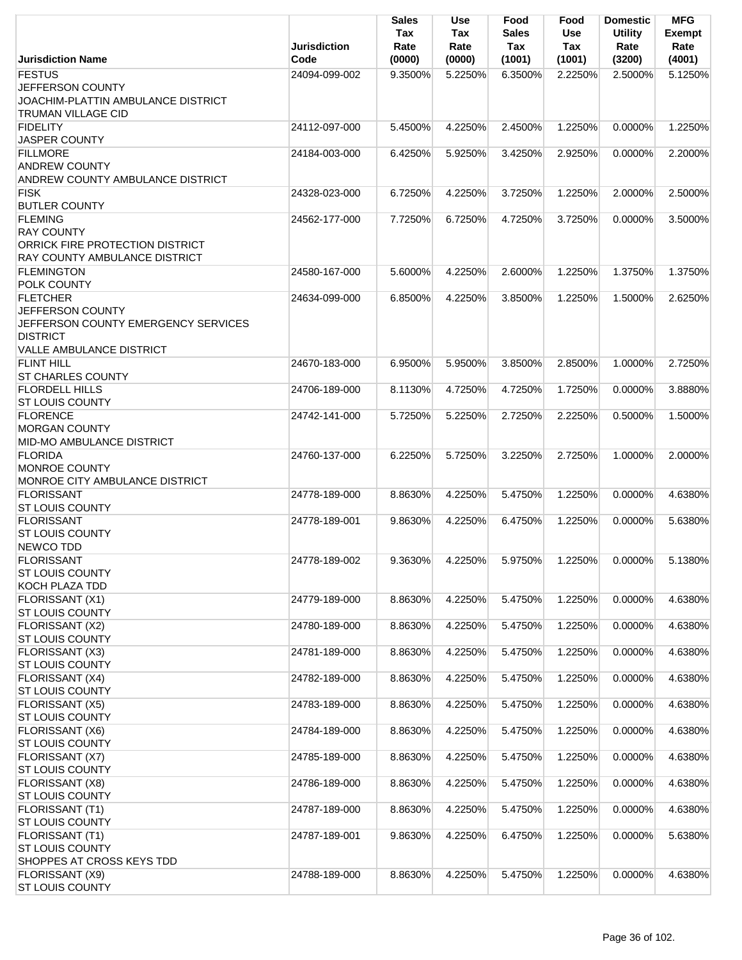|                                                                                                                                  | <b>Jurisdiction</b> | <b>Sales</b><br>Tax<br>Rate | <b>Use</b><br>Tax<br>Rate | Food<br><b>Sales</b><br>Tax | Food<br>Use<br><b>Tax</b> | <b>Domestic</b><br><b>Utility</b><br>Rate | <b>MFG</b><br><b>Exempt</b><br>Rate |
|----------------------------------------------------------------------------------------------------------------------------------|---------------------|-----------------------------|---------------------------|-----------------------------|---------------------------|-------------------------------------------|-------------------------------------|
| <b>Jurisdiction Name</b>                                                                                                         | Code                | (0000)                      | (0000)                    | (1001)                      | (1001)                    | (3200)                                    | (4001)                              |
| <b>FESTUS</b><br>JEFFERSON COUNTY<br><b>JOACHIM-PLATTIN AMBULANCE DISTRICT</b><br><b>TRUMAN VILLAGE CID</b>                      | 24094-099-002       | 9.3500%                     | 5.2250%                   | 6.3500%                     | 2.2250%                   | 2.5000%                                   | 5.1250%                             |
| <b>FIDELITY</b><br>JASPER COUNTY                                                                                                 | 24112-097-000       | 5.4500%                     | 4.2250%                   | 2.4500%                     | 1.2250%                   | 0.0000%                                   | 1.2250%                             |
| <b>FILLMORE</b><br><b>ANDREW COUNTY</b><br>ANDREW COUNTY AMBULANCE DISTRICT                                                      | 24184-003-000       | 6.4250%                     | 5.9250%                   | 3.4250%                     | 2.9250%                   | 0.0000%                                   | 2.2000%                             |
| <b>FISK</b><br><b>BUTLER COUNTY</b>                                                                                              | 24328-023-000       | 6.7250%                     | 4.2250%                   | 3.7250%                     | 1.2250%                   | 2.0000%                                   | 2.5000%                             |
| <b>FLEMING</b><br><b>RAY COUNTY</b><br>ORRICK FIRE PROTECTION DISTRICT<br>RAY COUNTY AMBULANCE DISTRICT                          | 24562-177-000       | 7.7250%                     | 6.7250%                   | 4.7250%                     | 3.7250%                   | 0.0000%                                   | 3.5000%                             |
| <b>FLEMINGTON</b><br>POLK COUNTY                                                                                                 | 24580-167-000       | 5.6000%                     | 4.2250%                   | 2.6000%                     | 1.2250%                   | 1.3750%                                   | 1.3750%                             |
| <b>FLETCHER</b><br>JEFFERSON COUNTY<br>JEFFERSON COUNTY EMERGENCY SERVICES<br><b>DISTRICT</b><br><b>VALLE AMBULANCE DISTRICT</b> | 24634-099-000       | 6.8500%                     | 4.2250%                   | 3.8500%                     | 1.2250%                   | 1.5000%                                   | 2.6250%                             |
| <b>FLINT HILL</b><br><b>ST CHARLES COUNTY</b>                                                                                    | 24670-183-000       | 6.9500%                     | 5.9500%                   | 3.8500%                     | 2.8500%                   | 1.0000%                                   | 2.7250%                             |
| <b>FLORDELL HILLS</b><br><b>ST LOUIS COUNTY</b>                                                                                  | 24706-189-000       | 8.1130%                     | 4.7250%                   | 4.7250%                     | 1.7250%                   | 0.0000%                                   | 3.8880%                             |
| <b>FLORENCE</b><br><b>MORGAN COUNTY</b><br>MID-MO AMBULANCE DISTRICT                                                             | 24742-141-000       | 5.7250%                     | 5.2250%                   | 2.7250%                     | 2.2250%                   | 0.5000%                                   | 1.5000%                             |
| <b>FLORIDA</b><br><b>MONROE COUNTY</b><br>MONROE CITY AMBULANCE DISTRICT                                                         | 24760-137-000       | 6.2250%                     | 5.7250%                   | 3.2250%                     | 2.7250%                   | 1.0000%                                   | 2.0000%                             |
| <b>FLORISSANT</b><br><b>ST LOUIS COUNTY</b>                                                                                      | 24778-189-000       | 8.8630%                     | 4.2250%                   | 5.4750%                     | 1.2250%                   | $0.0000\%$                                | 4.6380%                             |
| <b>FLORISSANT</b><br>ST LOUIS COUNTY<br>NEWCO TDD                                                                                | 24778-189-001       | 9.8630%                     | 4.2250%                   | 6.4750%                     | 1.2250%                   | 0.0000%                                   | 5.6380%                             |
| <b>FLORISSANT</b><br><b>ST LOUIS COUNTY</b><br>KOCH PLAZA TDD                                                                    | 24778-189-002       | 9.3630%                     | 4.2250%                   | 5.9750%                     | 1.2250%                   | 0.0000%                                   | 5.1380%                             |
| FLORISSANT (X1)<br><b>ST LOUIS COUNTY</b>                                                                                        | 24779-189-000       | 8.8630%                     | 4.2250%                   | 5.4750%                     | 1.2250%                   | 0.0000%                                   | 4.6380%                             |
| FLORISSANT (X2)<br>ST LOUIS COUNTY                                                                                               | 24780-189-000       | 8.8630%                     | 4.2250%                   | 5.4750%                     | 1.2250%                   | 0.0000%                                   | 4.6380%                             |
| FLORISSANT (X3)<br><b>ST LOUIS COUNTY</b>                                                                                        | 24781-189-000       | 8.8630%                     | 4.2250%                   | 5.4750%                     | 1.2250%                   | 0.0000%                                   | 4.6380%                             |
| FLORISSANT (X4)<br><b>ST LOUIS COUNTY</b>                                                                                        | 24782-189-000       | 8.8630%                     | 4.2250%                   | 5.4750%                     | 1.2250%                   | 0.0000%                                   | 4.6380%                             |
| FLORISSANT (X5)<br><b>ST LOUIS COUNTY</b>                                                                                        | 24783-189-000       | 8.8630%                     | 4.2250%                   | 5.4750%                     | 1.2250%                   | 0.0000%                                   | 4.6380%                             |
| FLORISSANT (X6)<br><b>ST LOUIS COUNTY</b>                                                                                        | 24784-189-000       | 8.8630%                     | 4.2250%                   | 5.4750%                     | 1.2250%                   | 0.0000%                                   | 4.6380%                             |
| FLORISSANT (X7)<br>ST LOUIS COUNTY                                                                                               | 24785-189-000       | 8.8630%                     | 4.2250%                   | 5.4750%                     | 1.2250%                   | 0.0000%                                   | 4.6380%                             |
| FLORISSANT (X8)<br><b>ST LOUIS COUNTY</b>                                                                                        | 24786-189-000       | 8.8630%                     | 4.2250%                   | 5.4750%                     | 1.2250%                   | 0.0000%                                   | 4.6380%                             |
| FLORISSANT (T1)<br><b>ST LOUIS COUNTY</b>                                                                                        | 24787-189-000       | 8.8630%                     | 4.2250%                   | 5.4750%                     | 1.2250%                   | 0.0000%                                   | 4.6380%                             |
| FLORISSANT (T1)<br><b>ST LOUIS COUNTY</b><br>SHOPPES AT CROSS KEYS TDD                                                           | 24787-189-001       | 9.8630%                     | 4.2250%                   | 6.4750%                     | 1.2250%                   | 0.0000%                                   | 5.6380%                             |
| FLORISSANT (X9)<br><b>ST LOUIS COUNTY</b>                                                                                        | 24788-189-000       | 8.8630%                     | 4.2250%                   | 5.4750%                     | 1.2250%                   | 0.0000%                                   | 4.6380%                             |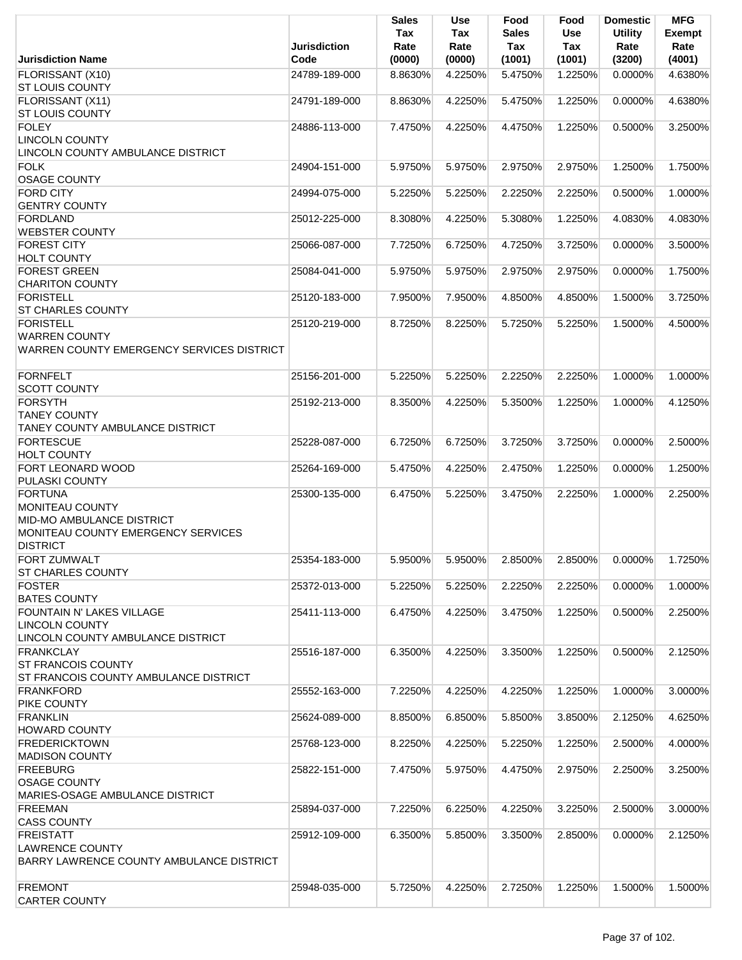| <b>Jurisdiction Name</b>                          | Jurisdiction<br>Code | <b>Sales</b><br>Tax<br>Rate<br>(0000) | Use<br>Tax<br>Rate<br>(0000) | Food<br>Sales<br>Tax<br>(1001) | Food<br>Use<br>Tax<br>(1001) | <b>Domestic</b><br><b>Utility</b><br>Rate<br>(3200) | <b>MFG</b><br><b>Exempt</b><br>Rate<br>(4001) |
|---------------------------------------------------|----------------------|---------------------------------------|------------------------------|--------------------------------|------------------------------|-----------------------------------------------------|-----------------------------------------------|
|                                                   | 24789-189-000        | 8.8630%                               | 4.2250%                      | 5.4750%                        | 1.2250%                      | 0.0000%                                             | 4.6380%                                       |
| FLORISSANT (X10)<br><b>ST LOUIS COUNTY</b>        |                      |                                       |                              |                                |                              |                                                     |                                               |
| FLORISSANT (X11)                                  | 24791-189-000        | 8.8630%                               | 4.2250%                      | 5.4750%                        | 1.2250%                      | 0.0000%                                             | 4.6380%                                       |
| <b>ST LOUIS COUNTY</b>                            |                      |                                       |                              |                                |                              |                                                     |                                               |
| <b>FOLEY</b>                                      | 24886-113-000        | 7.4750%                               | 4.2250%                      | 4.4750%                        | 1.2250%                      | 0.5000%                                             | 3.2500%                                       |
| <b>LINCOLN COUNTY</b>                             |                      |                                       |                              |                                |                              |                                                     |                                               |
| LINCOLN COUNTY AMBULANCE DISTRICT                 |                      |                                       |                              |                                |                              |                                                     |                                               |
| <b>FOLK</b>                                       | 24904-151-000        | 5.9750%                               | 5.9750%                      | 2.9750%                        | 2.9750%                      | 1.2500%                                             | 1.7500%                                       |
| <b>OSAGE COUNTY</b>                               |                      |                                       |                              |                                |                              |                                                     |                                               |
| <b>FORD CITY</b>                                  | 24994-075-000        | 5.2250%                               | 5.2250%                      | 2.2250%                        | 2.2250%                      | 0.5000%                                             | 1.0000%                                       |
| <b>GENTRY COUNTY</b>                              |                      |                                       |                              |                                |                              |                                                     |                                               |
| <b>FORDLAND</b>                                   | 25012-225-000        | 8.3080%                               | 4.2250%                      | 5.3080%                        | 1.2250%                      | 4.0830%                                             | 4.0830%                                       |
| <b>WEBSTER COUNTY</b>                             |                      |                                       |                              |                                |                              |                                                     |                                               |
| <b>FOREST CITY</b>                                | 25066-087-000        | 7.7250%                               | 6.7250%                      | 4.7250%                        | 3.7250%                      | 0.0000%                                             | 3.5000%                                       |
| <b>HOLT COUNTY</b>                                |                      |                                       |                              |                                |                              |                                                     |                                               |
| <b>FOREST GREEN</b>                               | 25084-041-000        | 5.9750%                               | 5.9750%                      | 2.9750%                        | 2.9750%                      | 0.0000%                                             | 1.7500%                                       |
| <b>CHARITON COUNTY</b>                            |                      |                                       |                              |                                |                              |                                                     |                                               |
| <b>FORISTELL</b>                                  | 25120-183-000        | 7.9500%                               | 7.9500%                      | 4.8500%                        | 4.8500%                      | 1.5000%                                             | 3.7250%                                       |
| <b>ST CHARLES COUNTY</b>                          |                      |                                       |                              |                                |                              |                                                     |                                               |
| <b>FORISTELL</b>                                  | 25120-219-000        | 8.7250%                               | 8.2250%                      | 5.7250%                        | 5.2250%                      | 1.5000%                                             | 4.5000%                                       |
| <b>WARREN COUNTY</b>                              |                      |                                       |                              |                                |                              |                                                     |                                               |
| WARREN COUNTY EMERGENCY SERVICES DISTRICT         |                      |                                       |                              |                                |                              |                                                     |                                               |
|                                                   |                      |                                       |                              |                                |                              |                                                     |                                               |
| <b>FORNFELT</b>                                   | 25156-201-000        | 5.2250%                               | 5.2250%                      | 2.2250%                        | 2.2250%                      | 1.0000%                                             | 1.0000%                                       |
| <b>SCOTT COUNTY</b>                               |                      |                                       |                              |                                |                              |                                                     |                                               |
| <b>FORSYTH</b>                                    | 25192-213-000        | 8.3500%                               | 4.2250%                      | 5.3500%                        | 1.2250%                      | 1.0000%                                             | 4.1250%                                       |
| <b>TANEY COUNTY</b>                               |                      |                                       |                              |                                |                              |                                                     |                                               |
| TANEY COUNTY AMBULANCE DISTRICT                   |                      |                                       |                              |                                |                              |                                                     |                                               |
| <b>FORTESCUE</b>                                  | 25228-087-000        | 6.7250%                               | 6.7250%                      | 3.7250%                        | 3.7250%                      | 0.0000%                                             | 2.5000%                                       |
| <b>HOLT COUNTY</b>                                |                      |                                       |                              |                                |                              |                                                     |                                               |
| <b>FORT LEONARD WOOD</b><br><b>PULASKI COUNTY</b> | 25264-169-000        | 5.4750%                               | 4.2250%                      | 2.4750%                        | 1.2250%                      | 0.0000%                                             | 1.2500%                                       |
| <b>FORTUNA</b>                                    | 25300-135-000        | 6.4750%                               | 5.2250%                      | 3.4750%                        | 2.2250%                      | 1.0000%                                             | 2.2500%                                       |
| MONITEAU COUNTY                                   |                      |                                       |                              |                                |                              |                                                     |                                               |
| MID-MO AMBULANCE DISTRICT                         |                      |                                       |                              |                                |                              |                                                     |                                               |
| MONITEAU COUNTY EMERGENCY SERVICES                |                      |                                       |                              |                                |                              |                                                     |                                               |
| <b>DISTRICT</b>                                   |                      |                                       |                              |                                |                              |                                                     |                                               |
| <b>FORT ZUMWALT</b>                               | 25354-183-000        | 5.9500%                               | 5.9500%                      | 2.8500%                        | 2.8500%                      | 0.0000%                                             | 1.7250%                                       |
| <b>ST CHARLES COUNTY</b>                          |                      |                                       |                              |                                |                              |                                                     |                                               |
| <b>FOSTER</b>                                     | 25372-013-000        | 5.2250%                               | 5.2250%                      | 2.2250%                        | 2.2250%                      | 0.0000%                                             | 1.0000%                                       |
| <b>BATES COUNTY</b>                               |                      |                                       |                              |                                |                              |                                                     |                                               |
| FOUNTAIN N' LAKES VILLAGE                         | 25411-113-000        | 6.4750%                               | 4.2250%                      | 3.4750%                        | 1.2250%                      | 0.5000%                                             | 2.2500%                                       |
| <b>LINCOLN COUNTY</b>                             |                      |                                       |                              |                                |                              |                                                     |                                               |
| LINCOLN COUNTY AMBULANCE DISTRICT                 |                      |                                       |                              |                                |                              |                                                     |                                               |
| <b>FRANKCLAY</b>                                  | 25516-187-000        | 6.3500%                               | 4.2250%                      | 3.3500%                        | 1.2250%                      | 0.5000%                                             | 2.1250%                                       |
| <b>ST FRANCOIS COUNTY</b>                         |                      |                                       |                              |                                |                              |                                                     |                                               |
| <b>ST FRANCOIS COUNTY AMBULANCE DISTRICT</b>      |                      |                                       |                              |                                |                              |                                                     |                                               |
| <b>FRANKFORD</b>                                  | 25552-163-000        | 7.2250%                               | 4.2250%                      | 4.2250%                        | 1.2250%                      | 1.0000%                                             | 3.0000%                                       |
| <b>PIKE COUNTY</b>                                |                      |                                       |                              |                                |                              |                                                     |                                               |
| <b>FRANKLIN</b>                                   | 25624-089-000        | 8.8500%                               | 6.8500%                      | 5.8500%                        | 3.8500%                      | 2.1250%                                             | 4.6250%                                       |
| <b>HOWARD COUNTY</b>                              |                      |                                       |                              |                                |                              |                                                     |                                               |
| <b>FREDERICKTOWN</b>                              | 25768-123-000        | 8.2250%                               | 4.2250%                      | 5.2250%                        | 1.2250%                      | 2.5000%                                             | 4.0000%                                       |
| <b>MADISON COUNTY</b>                             |                      |                                       |                              |                                |                              |                                                     |                                               |
| <b>FREEBURG</b>                                   | 25822-151-000        | 7.4750%                               | 5.9750%                      | 4.4750%                        | 2.9750%                      | 2.2500%                                             | 3.2500%                                       |
| <b>OSAGE COUNTY</b>                               |                      |                                       |                              |                                |                              |                                                     |                                               |
| MARIES-OSAGE AMBULANCE DISTRICT                   |                      |                                       |                              |                                |                              |                                                     |                                               |
| <b>FREEMAN</b>                                    | 25894-037-000        | 7.2250%                               | 6.2250%                      | 4.2250%                        | 3.2250%                      | 2.5000%                                             | 3.0000%                                       |
| <b>CASS COUNTY</b>                                |                      |                                       |                              |                                |                              |                                                     |                                               |
| <b>FREISTATT</b><br><b>LAWRENCE COUNTY</b>        | 25912-109-000        | 6.3500%                               | 5.8500%                      | 3.3500%                        | 2.8500%                      | 0.0000%                                             | 2.1250%                                       |
| BARRY LAWRENCE COUNTY AMBULANCE DISTRICT          |                      |                                       |                              |                                |                              |                                                     |                                               |
|                                                   |                      |                                       |                              |                                |                              |                                                     |                                               |
| <b>FREMONT</b>                                    | 25948-035-000        | 5.7250%                               | 4.2250%                      | 2.7250%                        | 1.2250%                      | 1.5000%                                             | 1.5000%                                       |
| <b>CARTER COUNTY</b>                              |                      |                                       |                              |                                |                              |                                                     |                                               |
|                                                   |                      |                                       |                              |                                |                              |                                                     |                                               |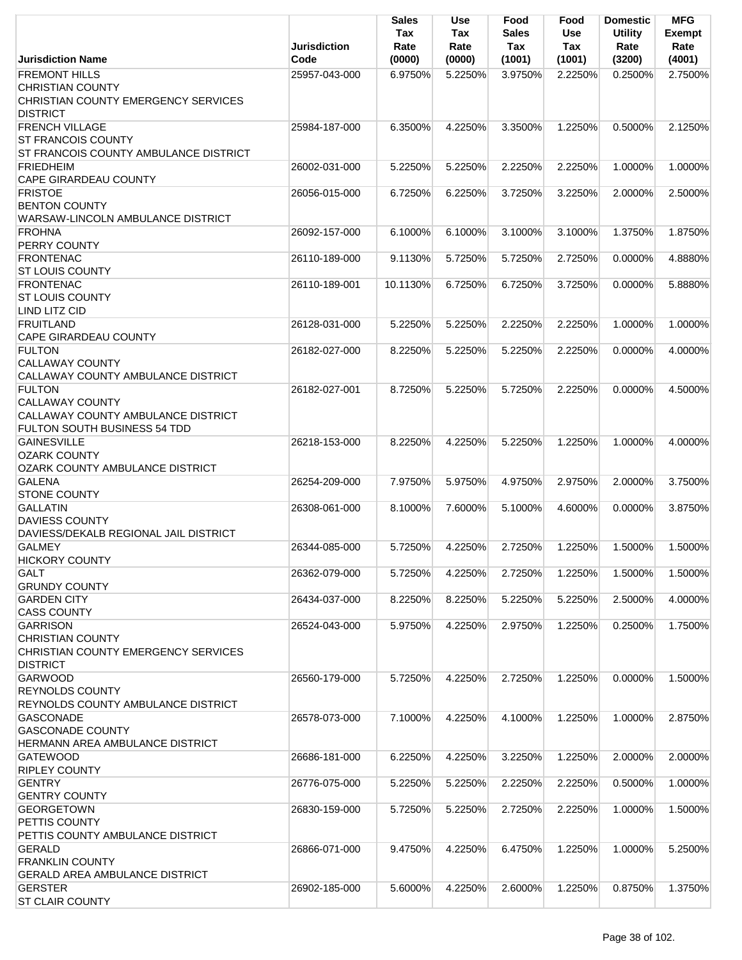|                                                                                                                      | <b>Jurisdiction</b> | Sales<br>Tax<br>Rate | <b>Use</b><br>Tax<br>Rate | Food<br>Sales<br>Tax | Food<br><b>Use</b><br>Tax | <b>Domestic</b><br><b>Utility</b><br>Rate | <b>MFG</b><br>Exempt<br>Rate |
|----------------------------------------------------------------------------------------------------------------------|---------------------|----------------------|---------------------------|----------------------|---------------------------|-------------------------------------------|------------------------------|
| <b>Jurisdiction Name</b>                                                                                             | Code                | (0000)               | (0000)                    | (1001)               | (1001)                    | (3200)                                    | (4001)                       |
| <b>FREMONT HILLS</b><br><b>CHRISTIAN COUNTY</b><br>CHRISTIAN COUNTY EMERGENCY SERVICES<br><b>DISTRICT</b>            | 25957-043-000       | 6.9750%              | 5.2250%                   | 3.9750%              | 2.2250%                   | 0.2500%                                   | 2.7500%                      |
| <b>FRENCH VILLAGE</b><br><b>ST FRANCOIS COUNTY</b><br>ST FRANCOIS COUNTY AMBULANCE DISTRICT                          | 25984-187-000       | 6.3500%              | 4.2250%                   | 3.3500%              | 1.2250%                   | 0.5000%                                   | 2.1250%                      |
| <b>FRIEDHEIM</b><br><b>CAPE GIRARDEAU COUNTY</b>                                                                     | 26002-031-000       | 5.2250%              | 5.2250%                   | 2.2250%              | 2.2250%                   | 1.0000%                                   | 1.0000%                      |
| <b>FRISTOE</b><br><b>BENTON COUNTY</b><br>WARSAW-LINCOLN AMBULANCE DISTRICT                                          | 26056-015-000       | 6.7250%              | 6.2250%                   | 3.7250%              | 3.2250%                   | 2.0000%                                   | 2.5000%                      |
| <b>FROHNA</b><br>PERRY COUNTY                                                                                        | 26092-157-000       | 6.1000%              | 6.1000%                   | 3.1000%              | 3.1000%                   | 1.3750%                                   | 1.8750%                      |
| <b>FRONTENAC</b><br><b>ST LOUIS COUNTY</b>                                                                           | 26110-189-000       | 9.1130%              | 5.7250%                   | 5.7250%              | 2.7250%                   | 0.0000%                                   | 4.8880%                      |
| <b>FRONTENAC</b><br><b>ST LOUIS COUNTY</b><br>LIND LITZ CID                                                          | 26110-189-001       | 10.1130%             | 6.7250%                   | 6.7250%              | 3.7250%                   | 0.0000%                                   | 5.8880%                      |
| FRUITLAND<br><b>CAPE GIRARDEAU COUNTY</b>                                                                            | 26128-031-000       | 5.2250%              | 5.2250%                   | 2.2250%              | 2.2250%                   | 1.0000%                                   | 1.0000%                      |
| <b>FULTON</b><br><b>CALLAWAY COUNTY</b><br>CALLAWAY COUNTY AMBULANCE DISTRICT                                        | 26182-027-000       | 8.2250%              | 5.2250%                   | 5.2250%              | 2.2250%                   | 0.0000%                                   | 4.0000%                      |
| <b>FULTON</b><br><b>CALLAWAY COUNTY</b><br><b>CALLAWAY COUNTY AMBULANCE DISTRICT</b><br>FULTON SOUTH BUSINESS 54 TDD | 26182-027-001       | 8.7250%              | 5.2250%                   | 5.7250%              | 2.2250%                   | $0.0000\%$                                | 4.5000%                      |
| <b>GAINESVILLE</b><br><b>OZARK COUNTY</b><br><b>OZARK COUNTY AMBULANCE DISTRICT</b>                                  | 26218-153-000       | 8.2250%              | 4.2250%                   | 5.2250%              | 1.2250%                   | 1.0000%                                   | 4.0000%                      |
| <b>GALENA</b><br><b>STONE COUNTY</b>                                                                                 | 26254-209-000       | 7.9750%              | 5.9750%                   | 4.9750%              | 2.9750%                   | 2.0000%                                   | 3.7500%                      |
| <b>GALLATIN</b><br><b>DAVIESS COUNTY</b><br>DAVIESS/DEKALB REGIONAL JAIL DISTRICT                                    | 26308-061-000       | 8.1000%              | 7.6000%                   | 5.1000%              | 4.6000%                   | 0.0000%                                   | 3.8750%                      |
| <b>GALMEY</b><br><b>HICKORY COUNTY</b>                                                                               | 26344-085-000       | 5.7250%              | 4.2250%                   | 2.7250%              | 1.2250%                   | 1.5000%                                   | 1.5000%                      |
| <b>GALT</b><br><b>GRUNDY COUNTY</b>                                                                                  | 26362-079-000       | 5.7250%              | 4.2250%                   | 2.7250%              | 1.2250%                   | 1.5000%                                   | 1.5000%                      |
| <b>GARDEN CITY</b><br><b>CASS COUNTY</b>                                                                             | 26434-037-000       | 8.2250%              | 8.2250%                   | 5.2250%              | 5.2250%                   | 2.5000%                                   | 4.0000%                      |
| <b>GARRISON</b><br><b>CHRISTIAN COUNTY</b><br>CHRISTIAN COUNTY EMERGENCY SERVICES<br><b>DISTRICT</b>                 | 26524-043-000       | 5.9750%              | 4.2250%                   | 2.9750%              | 1.2250%                   | 0.2500%                                   | 1.7500%                      |
| <b>GARWOOD</b><br><b>REYNOLDS COUNTY</b><br>REYNOLDS COUNTY AMBULANCE DISTRICT                                       | 26560-179-000       | 5.7250%              | 4.2250%                   | 2.7250%              | 1.2250%                   | 0.0000%                                   | 1.5000%                      |
| <b>GASCONADE</b><br><b>GASCONADE COUNTY</b><br>HERMANN AREA AMBULANCE DISTRICT                                       | 26578-073-000       | 7.1000%              | 4.2250%                   | 4.1000%              | 1.2250%                   | 1.0000%                                   | 2.8750%                      |
| <b>GATEWOOD</b><br><b>RIPLEY COUNTY</b>                                                                              | 26686-181-000       | 6.2250%              | 4.2250%                   | 3.2250%              | 1.2250%                   | 2.0000%                                   | 2.0000%                      |
| <b>GENTRY</b><br><b>GENTRY COUNTY</b>                                                                                | 26776-075-000       | 5.2250%              | 5.2250%                   | 2.2250%              | 2.2250%                   | 0.5000%                                   | 1.0000%                      |
| <b>GEORGETOWN</b><br>PETTIS COUNTY<br>PETTIS COUNTY AMBULANCE DISTRICT                                               | 26830-159-000       | 5.7250%              | 5.2250%                   | 2.7250%              | 2.2250%                   | 1.0000%                                   | 1.5000%                      |
| <b>GERALD</b><br><b>FRANKLIN COUNTY</b><br><b>GERALD AREA AMBULANCE DISTRICT</b>                                     | 26866-071-000       | 9.4750%              | 4.2250%                   | 6.4750%              | 1.2250%                   | 1.0000%                                   | 5.2500%                      |
| <b>GERSTER</b><br><b>ST CLAIR COUNTY</b>                                                                             | 26902-185-000       | 5.6000%              | 4.2250%                   | 2.6000%              | 1.2250%                   | 0.8750%                                   | 1.3750%                      |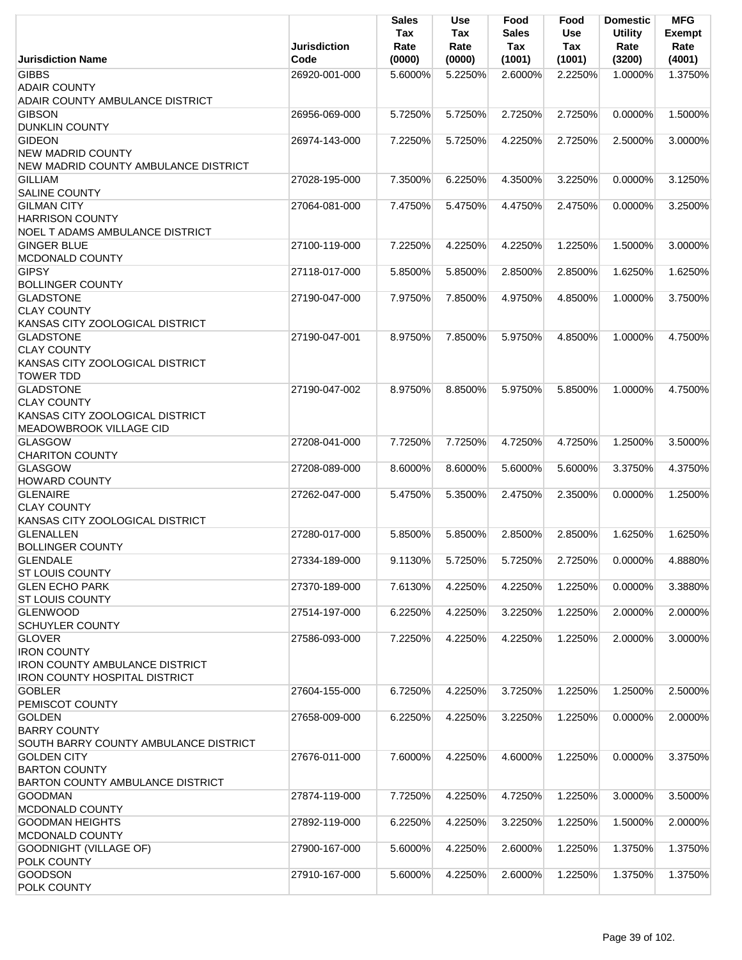|                                                                                                                                | <b>Jurisdiction</b> | <b>Sales</b><br>Tax<br>Rate | <b>Use</b><br>Tax<br>Rate | Food<br><b>Sales</b><br>Tax | Food<br>Use<br><b>Tax</b> | <b>Domestic</b><br><b>Utility</b><br>Rate | <b>MFG</b><br><b>Exempt</b><br>Rate |
|--------------------------------------------------------------------------------------------------------------------------------|---------------------|-----------------------------|---------------------------|-----------------------------|---------------------------|-------------------------------------------|-------------------------------------|
| <b>Jurisdiction Name</b>                                                                                                       | Code                | (0000)                      | (0000)                    | (1001)                      | (1001)                    | (3200)                                    | (4001)                              |
| <b>GIBBS</b><br><b>ADAIR COUNTY</b>                                                                                            | 26920-001-000       | 5.6000%                     | 5.2250%                   | 2.6000%                     | 2.2250%                   | 1.0000%                                   | 1.3750%                             |
| ADAIR COUNTY AMBULANCE DISTRICT<br><b>GIBSON</b><br><b>DUNKLIN COUNTY</b>                                                      | 26956-069-000       | 5.7250%                     | 5.7250%                   | 2.7250%                     | 2.7250%                   | 0.0000%                                   | 1.5000%                             |
| <b>GIDEON</b>                                                                                                                  | 26974-143-000       | 7.2250%                     | 5.7250%                   | 4.2250%                     | 2.7250%                   | 2.5000%                                   | 3.0000%                             |
| <b>NEW MADRID COUNTY</b><br>NEW MADRID COUNTY AMBULANCE DISTRICT                                                               |                     |                             |                           |                             |                           |                                           |                                     |
| <b>GILLIAM</b><br><b>SALINE COUNTY</b>                                                                                         | 27028-195-000       | 7.3500%                     | 6.2250%                   | 4.3500%                     | 3.2250%                   | 0.0000%                                   | 3.1250%                             |
| <b>GILMAN CITY</b><br><b>HARRISON COUNTY</b><br>NOEL T ADAMS AMBULANCE DISTRICT                                                | 27064-081-000       | 7.4750%                     | 5.4750%                   | 4.4750%                     | 2.4750%                   | 0.0000%                                   | 3.2500%                             |
| <b>GINGER BLUE</b><br>MCDONALD COUNTY                                                                                          | 27100-119-000       | 7.2250%                     | 4.2250%                   | 4.2250%                     | 1.2250%                   | 1.5000%                                   | 3.0000%                             |
| <b>GIPSY</b><br><b>BOLLINGER COUNTY</b>                                                                                        | 27118-017-000       | 5.8500%                     | 5.8500%                   | 2.8500%                     | 2.8500%                   | 1.6250%                                   | 1.6250%                             |
| <b>GLADSTONE</b><br><b>CLAY COUNTY</b>                                                                                         | 27190-047-000       | 7.9750%                     | 7.8500%                   | 4.9750%                     | 4.8500%                   | 1.0000%                                   | 3.7500%                             |
| KANSAS CITY ZOOLOGICAL DISTRICT<br><b>GLADSTONE</b>                                                                            |                     |                             | 7.8500%                   | 5.9750%                     | 4.8500%                   | 1.0000%                                   | 4.7500%                             |
| <b>CLAY COUNTY</b><br>KANSAS CITY ZOOLOGICAL DISTRICT<br><b>TOWER TDD</b>                                                      | 27190-047-001       | 8.9750%                     |                           |                             |                           |                                           |                                     |
| <b>GLADSTONE</b><br><b>CLAY COUNTY</b><br>KANSAS CITY ZOOLOGICAL DISTRICT                                                      | 27190-047-002       | 8.9750%                     | 8.8500%                   | 5.9750%                     | 5.8500%                   | 1.0000%                                   | 4.7500%                             |
| MEADOWBROOK VILLAGE CID                                                                                                        |                     |                             |                           |                             |                           |                                           |                                     |
| <b>GLASGOW</b><br><b>CHARITON COUNTY</b>                                                                                       | 27208-041-000       | 7.7250%                     | 7.7250%                   | 4.7250%                     | 4.7250%                   | 1.2500%                                   | 3.5000%                             |
| <b>GLASGOW</b><br><b>HOWARD COUNTY</b>                                                                                         | 27208-089-000       | 8.6000%                     | 8.6000%                   | 5.6000%                     | 5.6000%                   | 3.3750%                                   | 4.3750%                             |
| <b>GLENAIRE</b><br><b>CLAY COUNTY</b>                                                                                          | 27262-047-000       | 5.4750%                     | 5.3500%                   | 2.4750%                     | 2.3500%                   | 0.0000%                                   | 1.2500%                             |
| KANSAS CITY ZOOLOGICAL DISTRICT                                                                                                |                     |                             |                           |                             |                           |                                           |                                     |
| <b>GLENALLEN</b><br><b>BOLLINGER COUNTY</b>                                                                                    | 27280-017-000       | 5.8500%                     | 5.8500%                   | 2.8500%                     | 2.8500%                   | 1.6250%                                   | 1.6250%                             |
| <b>GLENDALE</b>                                                                                                                | 27334-189-000       | 9.1130%                     | 5.7250%                   | 5.7250%                     | 2.7250%                   | 0.0000%                                   | 4.8880%                             |
| <b>ST LOUIS COUNTY</b><br><b>GLEN ECHO PARK</b>                                                                                | 27370-189-000       | 7.6130%                     | 4.2250%                   | 4.2250%                     | 1.2250%                   | 0.0000%                                   | 3.3880%                             |
| <b>ST LOUIS COUNTY</b><br><b>GLENWOOD</b>                                                                                      | 27514-197-000       | 6.2250%                     | 4.2250%                   | 3.2250%                     | 1.2250%                   | 2.0000%                                   | 2.0000%                             |
| <b>SCHUYLER COUNTY</b><br><b>GLOVER</b>                                                                                        | 27586-093-000       | 7.2250%                     | 4.2250%                   | 4.2250%                     | 1.2250%                   | 2.0000%                                   | 3.0000%                             |
| <b>IRON COUNTY</b><br><b>IRON COUNTY AMBULANCE DISTRICT</b><br><b>IRON COUNTY HOSPITAL DISTRICT</b>                            |                     |                             |                           |                             |                           |                                           |                                     |
| <b>GOBLER</b><br>PEMISCOT COUNTY                                                                                               | 27604-155-000       | 6.7250%                     | 4.2250%                   | 3.7250%                     | 1.2250%                   | 1.2500%                                   | 2.5000%                             |
| <b>GOLDEN</b><br><b>BARRY COUNTY</b>                                                                                           | 27658-009-000       | 6.2250%                     | 4.2250%                   | 3.2250%                     | 1.2250%                   | 0.0000%                                   | 2.0000%                             |
| SOUTH BARRY COUNTY AMBULANCE DISTRICT<br><b>GOLDEN CITY</b><br><b>BARTON COUNTY</b><br><b>BARTON COUNTY AMBULANCE DISTRICT</b> | 27676-011-000       | 7.6000%                     | 4.2250%                   | 4.6000%                     | 1.2250%                   | 0.0000%                                   | 3.3750%                             |
| GOODMAN<br>MCDONALD COUNTY                                                                                                     | 27874-119-000       | 7.7250%                     | 4.2250%                   | 4.7250%                     | 1.2250%                   | 3.0000%                                   | 3.5000%                             |
| <b>GOODMAN HEIGHTS</b><br>MCDONALD COUNTY                                                                                      | 27892-119-000       | 6.2250%                     | 4.2250%                   | 3.2250%                     | 1.2250%                   | 1.5000%                                   | 2.0000%                             |
| <b>GOODNIGHT (VILLAGE OF)</b><br><b>POLK COUNTY</b>                                                                            | 27900-167-000       | 5.6000%                     | 4.2250%                   | 2.6000%                     | 1.2250%                   | 1.3750%                                   | 1.3750%                             |
| <b>GOODSON</b><br>POLK COUNTY                                                                                                  | 27910-167-000       | 5.6000%                     | 4.2250%                   | 2.6000%                     | 1.2250%                   | 1.3750%                                   | 1.3750%                             |
|                                                                                                                                |                     |                             |                           |                             |                           |                                           |                                     |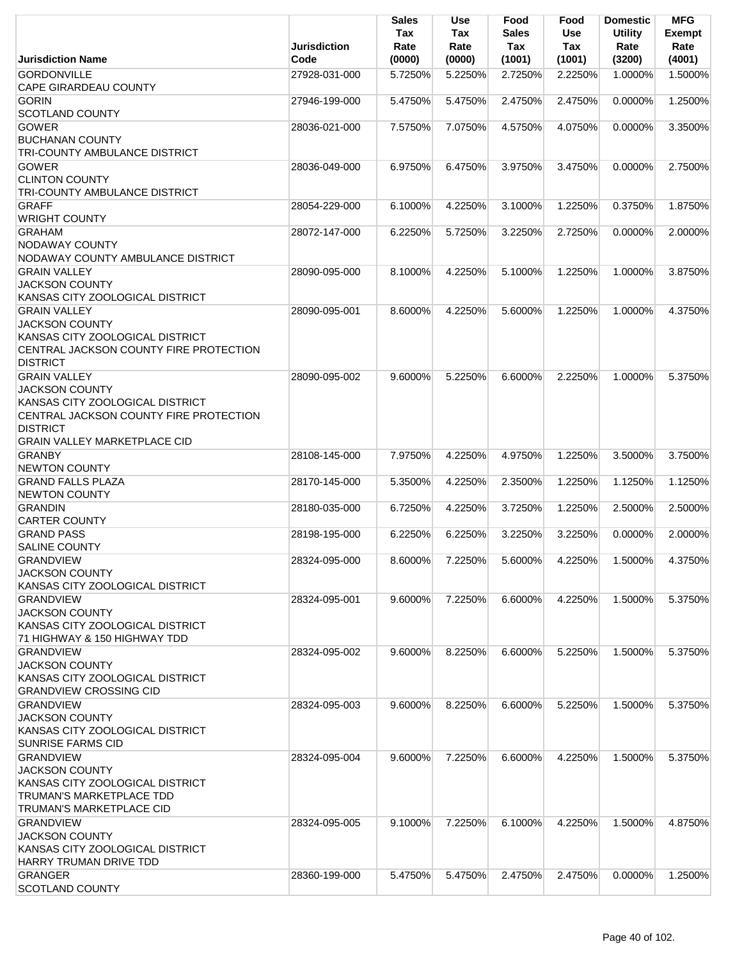|                                                                                                                                                                                     | Jurisdiction  | Sales<br>Tax<br>Rate | <b>Use</b><br>Tax<br>Rate | Food<br><b>Sales</b><br><b>Tax</b> | Food<br>Use<br>Tax | <b>Domestic</b><br><b>Utility</b><br>Rate | <b>MFG</b><br><b>Exempt</b><br>Rate |
|-------------------------------------------------------------------------------------------------------------------------------------------------------------------------------------|---------------|----------------------|---------------------------|------------------------------------|--------------------|-------------------------------------------|-------------------------------------|
| <b>Jurisdiction Name</b>                                                                                                                                                            | Code          | (0000)               | (0000)                    | (1001)                             | (1001)             | (3200)                                    | (4001)                              |
| <b>GORDONVILLE</b><br><b>CAPE GIRARDEAU COUNTY</b>                                                                                                                                  | 27928-031-000 | 5.7250%              | 5.2250%                   | 2.7250%                            | 2.2250%            | 1.0000%                                   | 1.5000%                             |
| <b>GORIN</b><br>SCOTLAND COUNTY                                                                                                                                                     | 27946-199-000 | 5.4750%              | 5.4750%                   | 2.4750%                            | 2.4750%            | 0.0000%                                   | 1.2500%                             |
| <b>GOWER</b><br><b>BUCHANAN COUNTY</b>                                                                                                                                              | 28036-021-000 | 7.5750%              | 7.0750%                   | 4.5750%                            | 4.0750%            | 0.0000%                                   | 3.3500%                             |
| TRI-COUNTY AMBULANCE DISTRICT<br><b>GOWER</b><br><b>CLINTON COUNTY</b>                                                                                                              | 28036-049-000 | 6.9750%              | 6.4750%                   | 3.9750%                            | 3.4750%            | 0.0000%                                   | 2.7500%                             |
| TRI-COUNTY AMBULANCE DISTRICT<br><b>GRAFF</b>                                                                                                                                       | 28054-229-000 | 6.1000%              | 4.2250%                   | 3.1000%                            | 1.2250%            | 0.3750%                                   | 1.8750%                             |
| <b>WRIGHT COUNTY</b><br><b>GRAHAM</b>                                                                                                                                               | 28072-147-000 | 6.2250%              | 5.7250%                   | 3.2250%                            | 2.7250%            | 0.0000%                                   | 2.0000%                             |
| <b>NODAWAY COUNTY</b><br>NODAWAY COUNTY AMBULANCE DISTRICT                                                                                                                          |               |                      |                           |                                    |                    |                                           |                                     |
| <b>GRAIN VALLEY</b><br><b>JACKSON COUNTY</b><br>KANSAS CITY ZOOLOGICAL DISTRICT                                                                                                     | 28090-095-000 | 8.1000%              | 4.2250%                   | 5.1000%                            | 1.2250%            | 1.0000%                                   | 3.8750%                             |
| <b>GRAIN VALLEY</b><br><b>JACKSON COUNTY</b><br>KANSAS CITY ZOOLOGICAL DISTRICT<br>CENTRAL JACKSON COUNTY FIRE PROTECTION<br><b>DISTRICT</b>                                        | 28090-095-001 | 8.6000%              | 4.2250%                   | 5.6000%                            | 1.2250%            | 1.0000%                                   | 4.3750%                             |
| <b>GRAIN VALLEY</b><br><b>JACKSON COUNTY</b><br>KANSAS CITY ZOOLOGICAL DISTRICT<br>CENTRAL JACKSON COUNTY FIRE PROTECTION<br><b>DISTRICT</b><br><b>GRAIN VALLEY MARKETPLACE CID</b> | 28090-095-002 | 9.6000%              | 5.2250%                   | 6.6000%                            | 2.2250%            | 1.0000%                                   | 5.3750%                             |
| <b>GRANBY</b><br><b>NEWTON COUNTY</b>                                                                                                                                               | 28108-145-000 | 7.9750%              | 4.2250%                   | 4.9750%                            | 1.2250%            | 3.5000%                                   | 3.7500%                             |
| <b>GRAND FALLS PLAZA</b><br><b>NEWTON COUNTY</b>                                                                                                                                    | 28170-145-000 | 5.3500%              | 4.2250%                   | 2.3500%                            | 1.2250%            | 1.1250%                                   | 1.1250%                             |
| <b>GRANDIN</b><br><b>CARTER COUNTY</b>                                                                                                                                              | 28180-035-000 | 6.7250%              | 4.2250%                   | 3.7250%                            | 1.2250%            | 2.5000%                                   | 2.5000%                             |
| <b>GRAND PASS</b><br><b>SALINE COUNTY</b>                                                                                                                                           | 28198-195-000 | 6.2250%              | 6.2250%                   | 3.2250%                            | 3.2250%            | 0.0000%                                   | 2.0000%                             |
| <b>GRANDVIEW</b><br><b>JACKSON COUNTY</b><br>KANSAS CITY ZOOLOGICAL DISTRICT                                                                                                        | 28324-095-000 | 8.6000%              | 7.2250%                   | 5.6000%                            | 4.2250%            | 1.5000%                                   | 4.3750%                             |
| <b>GRANDVIEW</b><br><b>JACKSON COUNTY</b><br>KANSAS CITY ZOOLOGICAL DISTRICT<br>71 HIGHWAY & 150 HIGHWAY TDD                                                                        | 28324-095-001 | 9.6000%              | 7.2250%                   | 6.6000%                            | 4.2250%            | 1.5000%                                   | 5.3750%                             |
| <b>GRANDVIEW</b><br><b>JACKSON COUNTY</b><br>KANSAS CITY ZOOLOGICAL DISTRICT<br><b>GRANDVIEW CROSSING CID</b>                                                                       | 28324-095-002 | 9.6000%              | 8.2250%                   | 6.6000%                            | 5.2250%            | 1.5000%                                   | 5.3750%                             |
| <b>GRANDVIEW</b><br><b>JACKSON COUNTY</b><br>KANSAS CITY ZOOLOGICAL DISTRICT<br><b>SUNRISE FARMS CID</b>                                                                            | 28324-095-003 | 9.6000%              | 8.2250%                   | 6.6000%                            | 5.2250%            | 1.5000%                                   | 5.3750%                             |
| <b>GRANDVIEW</b><br><b>JACKSON COUNTY</b><br>KANSAS CITY ZOOLOGICAL DISTRICT<br>TRUMAN'S MARKETPLACE TDD<br><b>TRUMAN'S MARKETPLACE CID</b>                                         | 28324-095-004 | 9.6000%              | 7.2250%                   | 6.6000%                            | 4.2250%            | 1.5000%                                   | 5.3750%                             |
| <b>GRANDVIEW</b><br><b>JACKSON COUNTY</b><br>KANSAS CITY ZOOLOGICAL DISTRICT<br>HARRY TRUMAN DRIVE TDD                                                                              | 28324-095-005 | 9.1000%              | 7.2250%                   | 6.1000%                            | 4.2250%            | 1.5000%                                   | 4.8750%                             |
| <b>GRANGER</b><br>SCOTLAND COUNTY                                                                                                                                                   | 28360-199-000 | 5.4750%              | 5.4750%                   | 2.4750%                            | 2.4750%            | 0.0000%                                   | 1.2500%                             |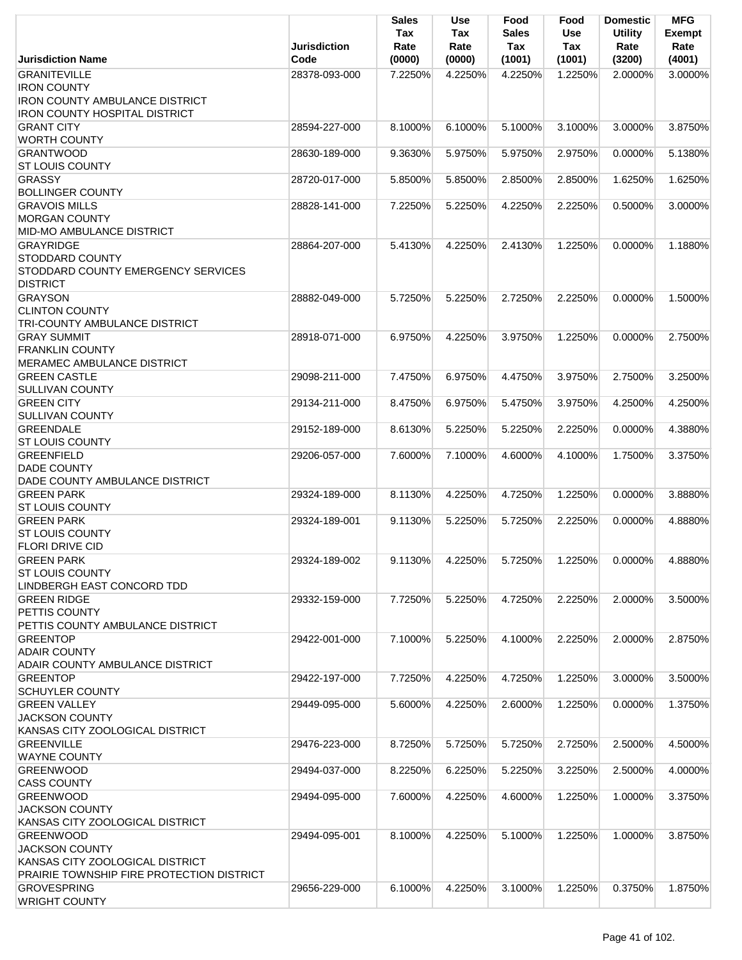|                                                                                                                           | <b>Jurisdiction</b> | <b>Sales</b><br>Tax<br>Rate | <b>Use</b><br>Tax<br>Rate | Food<br><b>Sales</b><br>Tax | Food<br><b>Use</b><br>Tax | <b>Domestic</b><br><b>Utility</b><br>Rate | <b>MFG</b><br>Exempt<br>Rate |
|---------------------------------------------------------------------------------------------------------------------------|---------------------|-----------------------------|---------------------------|-----------------------------|---------------------------|-------------------------------------------|------------------------------|
| <b>Jurisdiction Name</b>                                                                                                  | Code                | (0000)                      | (0000)                    | (1001)                      | (1001)                    | (3200)                                    | (4001)                       |
| <b>GRANITEVILLE</b><br><b>IRON COUNTY</b><br><b>IRON COUNTY AMBULANCE DISTRICT</b>                                        | 28378-093-000       | 7.2250%                     | 4.2250%                   | 4.2250%                     | 1.2250%                   | 2.0000%                                   | 3.0000%                      |
| <b>IRON COUNTY HOSPITAL DISTRICT</b><br><b>GRANT CITY</b><br><b>WORTH COUNTY</b>                                          | 28594-227-000       | 8.1000%                     | 6.1000%                   | 5.1000%                     | 3.1000%                   | 3.0000%                                   | 3.8750%                      |
| <b>GRANTWOOD</b><br><b>ST LOUIS COUNTY</b>                                                                                | 28630-189-000       | 9.3630%                     | 5.9750%                   | 5.9750%                     | 2.9750%                   | 0.0000%                                   | 5.1380%                      |
| <b>GRASSY</b><br><b>BOLLINGER COUNTY</b>                                                                                  | 28720-017-000       | 5.8500%                     | 5.8500%                   | 2.8500%                     | 2.8500%                   | 1.6250%                                   | 1.6250%                      |
| <b>GRAVOIS MILLS</b><br><b>MORGAN COUNTY</b><br><b>MID-MO AMBULANCE DISTRICT</b>                                          | 28828-141-000       | 7.2250%                     | 5.2250%                   | 4.2250%                     | 2.2250%                   | 0.5000%                                   | 3.0000%                      |
| <b>GRAYRIDGE</b><br><b>STODDARD COUNTY</b><br>STODDARD COUNTY EMERGENCY SERVICES<br><b>DISTRICT</b>                       | 28864-207-000       | 5.4130%                     | 4.2250%                   | 2.4130%                     | 1.2250%                   | 0.0000%                                   | 1.1880%                      |
| <b>GRAYSON</b><br><b>CLINTON COUNTY</b><br>TRI-COUNTY AMBULANCE DISTRICT                                                  | 28882-049-000       | 5.7250%                     | 5.2250%                   | 2.7250%                     | 2.2250%                   | $0.0000\%$                                | 1.5000%                      |
| <b>GRAY SUMMIT</b><br><b>FRANKLIN COUNTY</b>                                                                              | 28918-071-000       | 6.9750%                     | 4.2250%                   | 3.9750%                     | 1.2250%                   | $0.0000\%$                                | 2.7500%                      |
| MERAMEC AMBULANCE DISTRICT<br><b>GREEN CASTLE</b>                                                                         | 29098-211-000       | 7.4750%                     | 6.9750%                   | 4.4750%                     | 3.9750%                   | 2.7500%                                   | 3.2500%                      |
| <b>SULLIVAN COUNTY</b><br><b>GREEN CITY</b><br><b>SULLIVAN COUNTY</b>                                                     | 29134-211-000       | 8.4750%                     | 6.9750%                   | 5.4750%                     | 3.9750%                   | 4.2500%                                   | 4.2500%                      |
| <b>GREENDALE</b><br><b>ST LOUIS COUNTY</b>                                                                                | 29152-189-000       | 8.6130%                     | 5.2250%                   | 5.2250%                     | 2.2250%                   | $0.0000\%$                                | 4.3880%                      |
| <b>GREENFIELD</b><br><b>DADE COUNTY</b><br>DADE COUNTY AMBULANCE DISTRICT                                                 | 29206-057-000       | 7.6000%                     | 7.1000%                   | 4.6000%                     | 4.1000%                   | 1.7500%                                   | 3.3750%                      |
| <b>GREEN PARK</b><br><b>ST LOUIS COUNTY</b>                                                                               | 29324-189-000       | 8.1130%                     | 4.2250%                   | 4.7250%                     | 1.2250%                   | 0.0000%                                   | 3.8880%                      |
| <b>GREEN PARK</b><br>ST LOUIS COUNTY<br><b>FLORI DRIVE CID</b>                                                            | 29324-189-001       | 9.1130%                     | 5.2250%                   | 5.7250%                     | 2.2250%                   | 0.0000%                                   | 4.8880%                      |
| <b>GREEN PARK</b><br><b>ST LOUIS COUNTY</b>                                                                               | 29324-189-002       | 9.1130%                     | 4.2250%                   | 5.7250%                     | 1.2250%                   | 0.0000%                                   | 4.8880%                      |
| LINDBERGH EAST CONCORD TDD<br><b>GREEN RIDGE</b><br>PETTIS COUNTY                                                         | 29332-159-000       | 7.7250%                     | 5.2250%                   | 4.7250%                     | 2.2250%                   | 2.0000%                                   | 3.5000%                      |
| PETTIS COUNTY AMBULANCE DISTRICT<br><b>GREENTOP</b><br><b>ADAIR COUNTY</b>                                                | 29422-001-000       | 7.1000%                     | 5.2250%                   | 4.1000%                     | 2.2250%                   | 2.0000%                                   | 2.8750%                      |
| ADAIR COUNTY AMBULANCE DISTRICT<br><b>GREENTOP</b>                                                                        | 29422-197-000       | 7.7250%                     | 4.2250%                   | 4.7250%                     | 1.2250%                   | 3.0000%                                   | 3.5000%                      |
| <b>SCHUYLER COUNTY</b><br><b>GREEN VALLEY</b>                                                                             | 29449-095-000       | 5.6000%                     | 4.2250%                   | 2.6000%                     | 1.2250%                   | 0.0000%                                   | 1.3750%                      |
| <b>JACKSON COUNTY</b><br>KANSAS CITY ZOOLOGICAL DISTRICT                                                                  |                     |                             |                           |                             |                           |                                           |                              |
| <b>GREENVILLE</b><br><b>WAYNE COUNTY</b>                                                                                  | 29476-223-000       | 8.7250%                     | 5.7250%                   | 5.7250%                     | 2.7250%                   | 2.5000%                                   | 4.5000%                      |
| <b>GREENWOOD</b><br><b>CASS COUNTY</b>                                                                                    | 29494-037-000       | 8.2250%                     | 6.2250%                   | 5.2250%                     | 3.2250%                   | 2.5000%                                   | 4.0000%                      |
| <b>GREENWOOD</b><br><b>JACKSON COUNTY</b><br>KANSAS CITY ZOOLOGICAL DISTRICT                                              | 29494-095-000       | 7.6000%                     | 4.2250%                   | 4.6000%                     | 1.2250%                   | 1.0000%                                   | 3.3750%                      |
| <b>GREENWOOD</b><br><b>JACKSON COUNTY</b><br>KANSAS CITY ZOOLOGICAL DISTRICT<br>PRAIRIE TOWNSHIP FIRE PROTECTION DISTRICT | 29494-095-001       | 8.1000%                     | 4.2250%                   | 5.1000%                     | 1.2250%                   | 1.0000%                                   | 3.8750%                      |
| <b>GROVESPRING</b><br><b>WRIGHT COUNTY</b>                                                                                | 29656-229-000       | 6.1000%                     | 4.2250%                   | 3.1000%                     | 1.2250%                   | 0.3750%                                   | 1.8750%                      |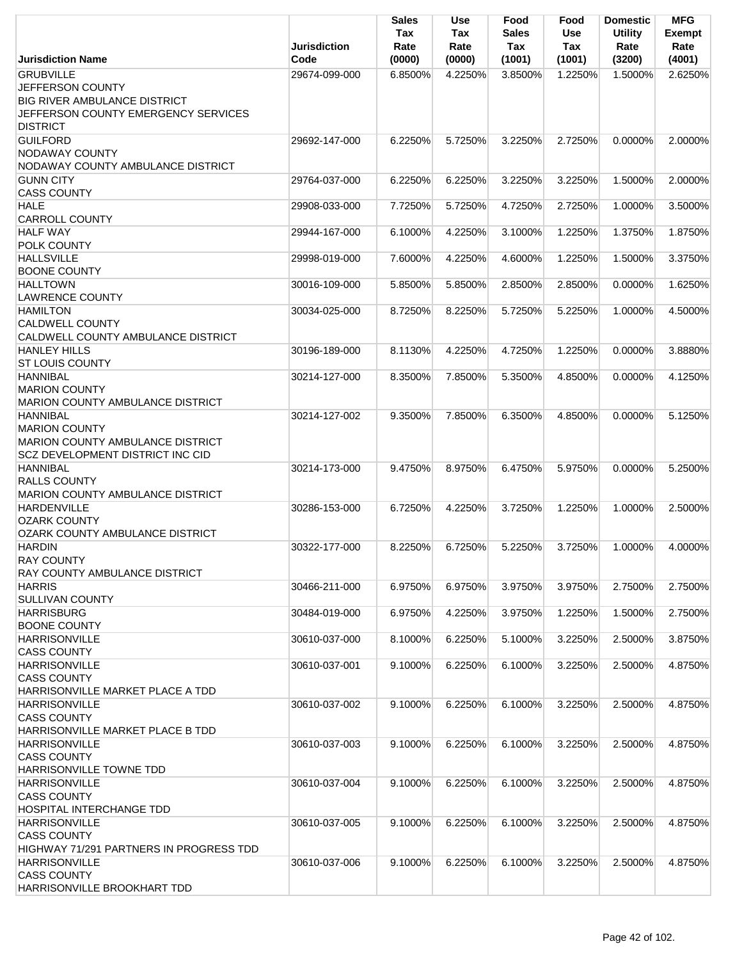|                                                                                                                                              | <b>Jurisdiction</b> | <b>Sales</b><br>Tax<br>Rate | <b>Use</b><br>Tax<br>Rate | Food<br><b>Sales</b><br>Tax | Food<br><b>Use</b><br>Tax | <b>Domestic</b><br><b>Utility</b><br>Rate | <b>MFG</b><br>Exempt<br>Rate |
|----------------------------------------------------------------------------------------------------------------------------------------------|---------------------|-----------------------------|---------------------------|-----------------------------|---------------------------|-------------------------------------------|------------------------------|
| <b>Jurisdiction Name</b>                                                                                                                     | Code                | (0000)                      | (0000)                    | (1001)                      | (1001)                    | (3200)                                    | (4001)                       |
| <b>GRUBVILLE</b><br><b>JEFFERSON COUNTY</b><br><b>BIG RIVER AMBULANCE DISTRICT</b><br>JEFFERSON COUNTY EMERGENCY SERVICES<br><b>DISTRICT</b> | 29674-099-000       | 6.8500%                     | 4.2250%                   | 3.8500%                     | 1.2250%                   | 1.5000%                                   | 2.6250%                      |
| <b>GUILFORD</b><br>NODAWAY COUNTY<br>NODAWAY COUNTY AMBULANCE DISTRICT                                                                       | 29692-147-000       | 6.2250%                     | 5.7250%                   | 3.2250%                     | 2.7250%                   | $0.0000\%$                                | 2.0000%                      |
| <b>GUNN CITY</b><br><b>CASS COUNTY</b>                                                                                                       | 29764-037-000       | 6.2250%                     | 6.2250%                   | 3.2250%                     | 3.2250%                   | 1.5000%                                   | 2.0000%                      |
| <b>HALE</b><br><b>CARROLL COUNTY</b>                                                                                                         | 29908-033-000       | 7.7250%                     | 5.7250%                   | 4.7250%                     | 2.7250%                   | 1.0000%                                   | 3.5000%                      |
| <b>HALF WAY</b><br>POLK COUNTY                                                                                                               | 29944-167-000       | 6.1000%                     | 4.2250%                   | 3.1000%                     | 1.2250%                   | 1.3750%                                   | 1.8750%                      |
| <b>HALLSVILLE</b><br><b>BOONE COUNTY</b>                                                                                                     | 29998-019-000       | 7.6000%                     | 4.2250%                   | 4.6000%                     | 1.2250%                   | 1.5000%                                   | 3.3750%                      |
| <b>HALLTOWN</b><br><b>LAWRENCE COUNTY</b>                                                                                                    | 30016-109-000       | 5.8500%                     | 5.8500%                   | 2.8500%                     | 2.8500%                   | 0.0000%                                   | 1.6250%                      |
| <b>HAMILTON</b><br><b>CALDWELL COUNTY</b><br>CALDWELL COUNTY AMBULANCE DISTRICT                                                              | 30034-025-000       | 8.7250%                     | 8.2250%                   | 5.7250%                     | 5.2250%                   | 1.0000%                                   | 4.5000%                      |
| <b>HANLEY HILLS</b><br><b>ST LOUIS COUNTY</b>                                                                                                | 30196-189-000       | 8.1130%                     | 4.2250%                   | 4.7250%                     | 1.2250%                   | 0.0000%                                   | 3.8880%                      |
| <b>HANNIBAL</b><br><b>MARION COUNTY</b><br>MARION COUNTY AMBULANCE DISTRICT                                                                  | 30214-127-000       | 8.3500%                     | 7.8500%                   | 5.3500%                     | 4.8500%                   | 0.0000%                                   | 4.1250%                      |
| <b>HANNIBAL</b><br><b>MARION COUNTY</b><br>MARION COUNTY AMBULANCE DISTRICT<br><b>SCZ DEVELOPMENT DISTRICT INC CID</b>                       | 30214-127-002       | 9.3500%                     | 7.8500%                   | 6.3500%                     | 4.8500%                   | $0.0000\%$                                | 5.1250%                      |
| <b>HANNIBAL</b><br><b>RALLS COUNTY</b><br><b>MARION COUNTY AMBULANCE DISTRICT</b>                                                            | 30214-173-000       | 9.4750%                     | 8.9750%                   | 6.4750%                     | 5.9750%                   | $0.0000\%$                                | 5.2500%                      |
| <b>HARDENVILLE</b><br><b>OZARK COUNTY</b><br>OZARK COUNTY AMBULANCE DISTRICT                                                                 | 30286-153-000       | 6.7250%                     | 4.2250%                   | 3.7250%                     | 1.2250%                   | 1.0000%                                   | 2.5000%                      |
| <b>HARDIN</b><br><b>RAY COUNTY</b><br>RAY COUNTY AMBULANCE DISTRICT                                                                          | 30322-177-000       | 8.2250%                     | 6.7250%                   | 5.2250%                     | 3.7250%                   | 1.0000%                                   | 4.0000%                      |
| <b>HARRIS</b><br><b>SULLIVAN COUNTY</b>                                                                                                      | 30466-211-000       | 6.9750%                     | 6.9750%                   | 3.9750%                     | 3.9750%                   | 2.7500%                                   | 2.7500%                      |
| <b>HARRISBURG</b><br><b>BOONE COUNTY</b>                                                                                                     | 30484-019-000       | 6.9750%                     | 4.2250%                   | 3.9750%                     | 1.2250%                   | 1.5000%                                   | 2.7500%                      |
| <b>HARRISONVILLE</b><br><b>CASS COUNTY</b>                                                                                                   | 30610-037-000       | 8.1000%                     | 6.2250%                   | 5.1000%                     | 3.2250%                   | 2.5000%                                   | 3.8750%                      |
| <b>HARRISONVILLE</b><br><b>CASS COUNTY</b>                                                                                                   | 30610-037-001       | 9.1000%                     | 6.2250%                   | 6.1000%                     | 3.2250%                   | 2.5000%                                   | 4.8750%                      |
| HARRISONVILLE MARKET PLACE A TDD<br><b>HARRISONVILLE</b><br><b>CASS COUNTY</b>                                                               | 30610-037-002       | 9.1000%                     | 6.2250%                   | 6.1000%                     | 3.2250%                   | 2.5000%                                   | 4.8750%                      |
| HARRISONVILLE MARKET PLACE B TDD<br><b>HARRISONVILLE</b><br><b>CASS COUNTY</b>                                                               | 30610-037-003       | 9.1000%                     | 6.2250%                   | 6.1000%                     | 3.2250%                   | 2.5000%                                   | 4.8750%                      |
| <b>HARRISONVILLE TOWNE TDD</b><br><b>HARRISONVILLE</b><br><b>CASS COUNTY</b><br><b>HOSPITAL INTERCHANGE TDD</b>                              | 30610-037-004       | 9.1000%                     | 6.2250%                   | 6.1000%                     | 3.2250%                   | 2.5000%                                   | 4.8750%                      |
| <b>HARRISONVILLE</b><br><b>CASS COUNTY</b><br>HIGHWAY 71/291 PARTNERS IN PROGRESS TDD                                                        | 30610-037-005       | 9.1000%                     | 6.2250%                   | 6.1000%                     | 3.2250%                   | 2.5000%                                   | 4.8750%                      |
| <b>HARRISONVILLE</b><br><b>CASS COUNTY</b><br>HARRISONVILLE BROOKHART TDD                                                                    | 30610-037-006       | 9.1000%                     | 6.2250%                   | 6.1000%                     | 3.2250%                   | 2.5000%                                   | 4.8750%                      |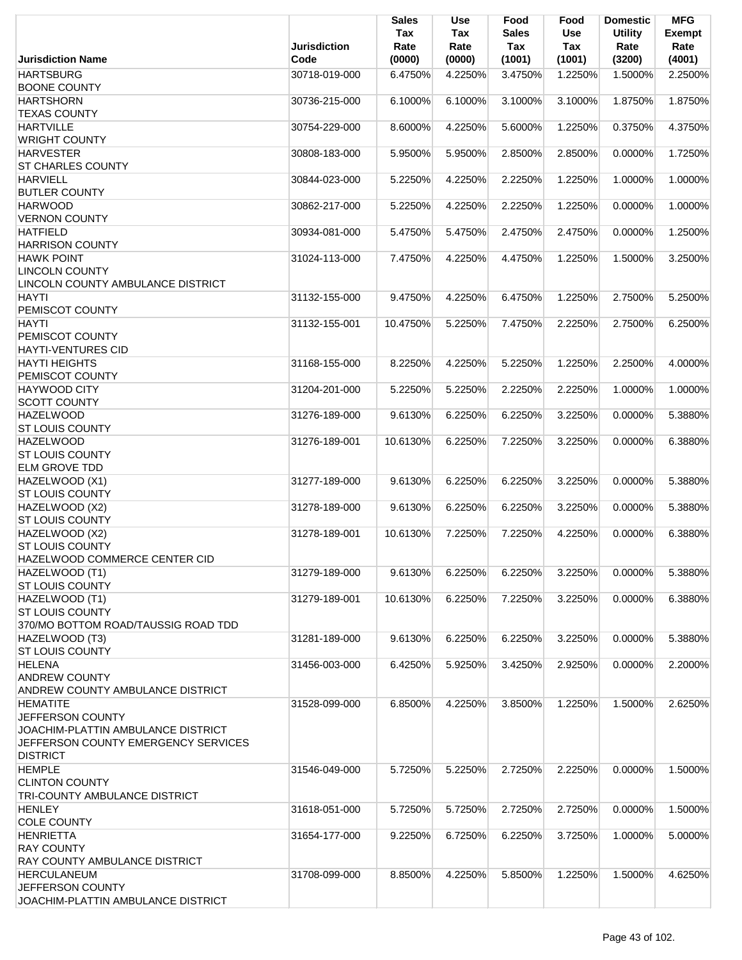|                                                                           | <b>Jurisdiction</b> | <b>Sales</b><br>Tax<br>Rate | <b>Use</b><br>Tax<br>Rate | Food<br><b>Sales</b><br><b>Tax</b> | Food<br><b>Use</b><br>Tax | <b>Domestic</b><br><b>Utility</b><br>Rate | <b>MFG</b><br>Exempt<br>Rate |
|---------------------------------------------------------------------------|---------------------|-----------------------------|---------------------------|------------------------------------|---------------------------|-------------------------------------------|------------------------------|
| <b>Jurisdiction Name</b>                                                  | Code                | (0000)                      | (0000)                    | (1001)                             | (1001)                    | (3200)                                    | (4001)                       |
| <b>HARTSBURG</b>                                                          | 30718-019-000       | 6.4750%                     | 4.2250%                   | 3.4750%                            | 1.2250%                   | 1.5000%                                   | 2.2500%                      |
| <b>BOONE COUNTY</b>                                                       |                     |                             |                           |                                    |                           |                                           |                              |
| <b>HARTSHORN</b><br><b>TEXAS COUNTY</b>                                   | 30736-215-000       | 6.1000%                     | 6.1000%                   | 3.1000%                            | 3.1000%                   | 1.8750%                                   | 1.8750%                      |
| <b>HARTVILLE</b>                                                          | 30754-229-000       | 8.6000%                     | 4.2250%                   | 5.6000%                            | 1.2250%                   | 0.3750%                                   | 4.3750%                      |
| <b>WRIGHT COUNTY</b>                                                      |                     |                             |                           |                                    |                           |                                           |                              |
| <b>HARVESTER</b>                                                          | 30808-183-000       | 5.9500%                     | 5.9500%                   | 2.8500%                            | 2.8500%                   | 0.0000%                                   | 1.7250%                      |
| <b>ST CHARLES COUNTY</b>                                                  |                     |                             |                           |                                    |                           |                                           |                              |
| <b>HARVIELL</b>                                                           | 30844-023-000       | 5.2250%                     | 4.2250%                   | 2.2250%                            | 1.2250%                   | 1.0000%                                   | 1.0000%                      |
| <b>BUTLER COUNTY</b><br><b>HARWOOD</b>                                    | 30862-217-000       | 5.2250%                     | 4.2250%                   | 2.2250%                            | 1.2250%                   | 0.0000%                                   | 1.0000%                      |
| <b>VERNON COUNTY</b>                                                      |                     |                             |                           |                                    |                           |                                           |                              |
| <b>HATFIELD</b>                                                           | 30934-081-000       | 5.4750%                     | 5.4750%                   | 2.4750%                            | 2.4750%                   | 0.0000%                                   | 1.2500%                      |
| <b>HARRISON COUNTY</b>                                                    |                     |                             |                           |                                    |                           |                                           |                              |
| <b>HAWK POINT</b>                                                         | 31024-113-000       | 7.4750%                     | 4.2250%                   | 4.4750%                            | 1.2250%                   | 1.5000%                                   | 3.2500%                      |
| <b>LINCOLN COUNTY</b><br>LINCOLN COUNTY AMBULANCE DISTRICT                |                     |                             |                           |                                    |                           |                                           |                              |
| <b>HAYTI</b>                                                              | 31132-155-000       | 9.4750%                     | 4.2250%                   | 6.4750%                            | 1.2250%                   | 2.7500%                                   | 5.2500%                      |
| PEMISCOT COUNTY                                                           |                     |                             |                           |                                    |                           |                                           |                              |
| <b>HAYTI</b>                                                              | 31132-155-001       | 10.4750%                    | 5.2250%                   | 7.4750%                            | 2.2250%                   | 2.7500%                                   | 6.2500%                      |
| PEMISCOT COUNTY                                                           |                     |                             |                           |                                    |                           |                                           |                              |
| <b>HAYTI-VENTURES CID</b>                                                 |                     |                             |                           |                                    |                           |                                           |                              |
| <b>HAYTI HEIGHTS</b>                                                      | 31168-155-000       | 8.2250%                     | 4.2250%                   | 5.2250%                            | 1.2250%                   | 2.2500%                                   | 4.0000%                      |
| PEMISCOT COUNTY<br><b>HAYWOOD CITY</b>                                    | 31204-201-000       | 5.2250%                     | 5.2250%                   | 2.2250%                            | 2.2250%                   | 1.0000%                                   | 1.0000%                      |
| <b>SCOTT COUNTY</b>                                                       |                     |                             |                           |                                    |                           |                                           |                              |
| <b>HAZELWOOD</b>                                                          | 31276-189-000       | 9.6130%                     | 6.2250%                   | 6.2250%                            | 3.2250%                   | 0.0000%                                   | 5.3880%                      |
| <b>ST LOUIS COUNTY</b>                                                    |                     |                             |                           |                                    |                           |                                           |                              |
| <b>HAZELWOOD</b>                                                          | 31276-189-001       | 10.6130%                    | 6.2250%                   | 7.2250%                            | 3.2250%                   | 0.0000%                                   | 6.3880%                      |
| <b>ST LOUIS COUNTY</b>                                                    |                     |                             |                           |                                    |                           |                                           |                              |
| <b>ELM GROVE TDD</b><br>HAZELWOOD (X1)                                    | 31277-189-000       | 9.6130%                     | 6.2250%                   | 6.2250%                            | 3.2250%                   | 0.0000%                                   | 5.3880%                      |
| <b>ST LOUIS COUNTY</b>                                                    |                     |                             |                           |                                    |                           |                                           |                              |
| HAZELWOOD (X2)                                                            | 31278-189-000       | 9.6130%                     | 6.2250%                   | 6.2250%                            | 3.2250%                   | 0.0000%                                   | 5.3880%                      |
| <b>ST LOUIS COUNTY</b>                                                    |                     |                             |                           |                                    |                           |                                           |                              |
| HAZELWOOD (X2)                                                            | 31278-189-001       | 10.6130%                    | 7.2250%                   | 7.2250%                            | 4.2250%                   | 0.0000%                                   | 6.3880%                      |
| <b>ST LOUIS COUNTY</b><br>HAZELWOOD COMMERCE CENTER CID                   |                     |                             |                           |                                    |                           |                                           |                              |
| HAZELWOOD (T1)                                                            | 31279-189-000       | 9.6130%                     | 6.2250%                   | 6.2250%                            | 3.2250%                   | 0.0000%                                   | 5.3880%                      |
| <b>ST LOUIS COUNTY</b>                                                    |                     |                             |                           |                                    |                           |                                           |                              |
| HAZELWOOD (T1)                                                            | 31279-189-001       | 10.6130%                    | 6.2250%                   | 7.2250%                            | 3.2250%                   | 0.0000%                                   | 6.3880%                      |
| <b>ST LOUIS COUNTY</b>                                                    |                     |                             |                           |                                    |                           |                                           |                              |
| 370/MO BOTTOM ROAD/TAUSSIG ROAD TDD                                       |                     |                             |                           |                                    |                           |                                           |                              |
| HAZELWOOD (T3)<br><b>ST LOUIS COUNTY</b>                                  | 31281-189-000       | 9.6130%                     | 6.2250%                   | 6.2250%                            | 3.2250%                   | 0.0000%                                   | 5.3880%                      |
| <b>HELENA</b>                                                             | 31456-003-000       | 6.4250%                     | 5.9250%                   | 3.4250%                            | 2.9250%                   | 0.0000%                                   | 2.2000%                      |
| <b>ANDREW COUNTY</b>                                                      |                     |                             |                           |                                    |                           |                                           |                              |
| ANDREW COUNTY AMBULANCE DISTRICT                                          |                     |                             |                           |                                    |                           |                                           |                              |
| <b>HEMATITE</b>                                                           | 31528-099-000       | 6.8500%                     | 4.2250%                   | 3.8500%                            | 1.2250%                   | 1.5000%                                   | 2.6250%                      |
| JEFFERSON COUNTY                                                          |                     |                             |                           |                                    |                           |                                           |                              |
| JOACHIM-PLATTIN AMBULANCE DISTRICT<br>JEFFERSON COUNTY EMERGENCY SERVICES |                     |                             |                           |                                    |                           |                                           |                              |
| <b>DISTRICT</b>                                                           |                     |                             |                           |                                    |                           |                                           |                              |
| <b>HEMPLE</b>                                                             | 31546-049-000       | 5.7250%                     | 5.2250%                   | 2.7250%                            | 2.2250%                   | 0.0000%                                   | 1.5000%                      |
| <b>CLINTON COUNTY</b>                                                     |                     |                             |                           |                                    |                           |                                           |                              |
| <b>TRI-COUNTY AMBULANCE DISTRICT</b>                                      |                     |                             |                           |                                    |                           |                                           |                              |
| <b>HENLEY</b>                                                             | 31618-051-000       | 5.7250%                     | 5.7250%                   | 2.7250%                            | 2.7250%                   | $0.0000\%$                                | 1.5000%                      |
| <b>COLE COUNTY</b><br><b>HENRIETTA</b>                                    | 31654-177-000       | 9.2250%                     | 6.7250%                   | 6.2250%                            | 3.7250%                   | 1.0000%                                   | 5.0000%                      |
| <b>RAY COUNTY</b>                                                         |                     |                             |                           |                                    |                           |                                           |                              |
| <b>RAY COUNTY AMBULANCE DISTRICT</b>                                      |                     |                             |                           |                                    |                           |                                           |                              |
| <b>HERCULANEUM</b>                                                        | 31708-099-000       | 8.8500%                     | 4.2250%                   | 5.8500%                            | 1.2250%                   | 1.5000%                                   | 4.6250%                      |
| JEFFERSON COUNTY                                                          |                     |                             |                           |                                    |                           |                                           |                              |
| JOACHIM-PLATTIN AMBULANCE DISTRICT                                        |                     |                             |                           |                                    |                           |                                           |                              |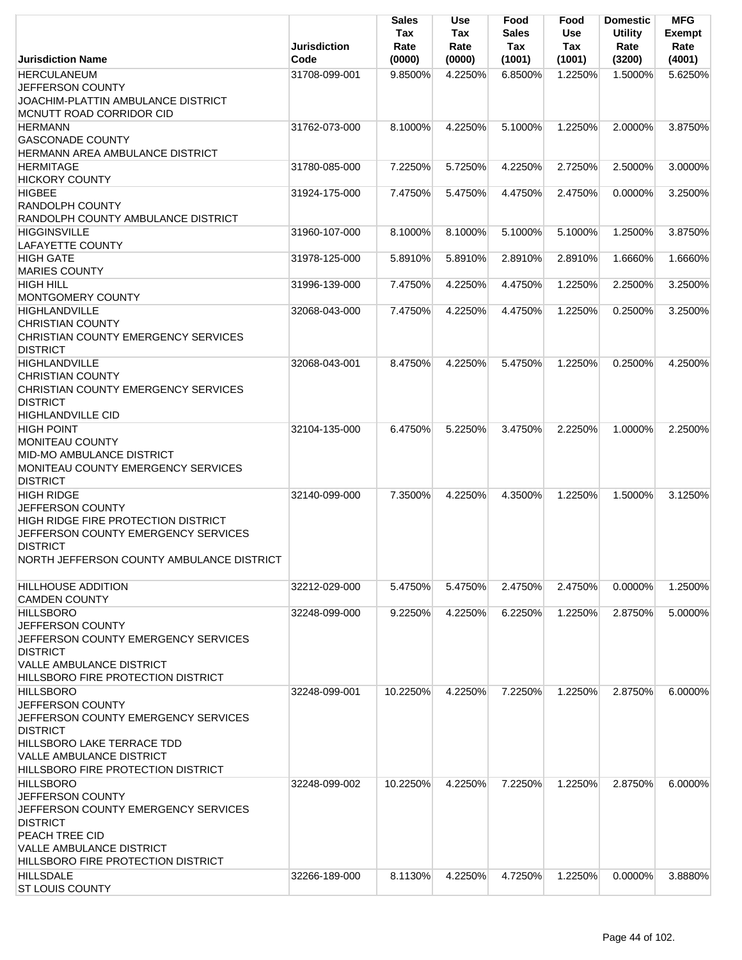|                                                                                                                                                                                                | Jurisdiction  | <b>Sales</b><br>Tax<br>Rate | Use<br>Tax<br>Rate | Food<br>Sales<br>Tax | Food<br><b>Use</b><br><b>Tax</b> | <b>Domestic</b><br><b>Utility</b><br>Rate | <b>MFG</b><br><b>Exempt</b><br>Rate |
|------------------------------------------------------------------------------------------------------------------------------------------------------------------------------------------------|---------------|-----------------------------|--------------------|----------------------|----------------------------------|-------------------------------------------|-------------------------------------|
| <b>Jurisdiction Name</b>                                                                                                                                                                       | Code          | (0000)                      | (0000)             | (1001)               | (1001)                           | (3200)                                    | (4001)                              |
| <b>HERCULANEUM</b><br>JEFFERSON COUNTY<br>JOACHIM-PLATTIN AMBULANCE DISTRICT<br>MCNUTT ROAD CORRIDOR CID                                                                                       | 31708-099-001 | 9.8500%                     | 4.2250%            | 6.8500%              | 1.2250%                          | 1.5000%                                   | 5.6250%                             |
| <b>HERMANN</b><br><b>GASCONADE COUNTY</b><br>HERMANN AREA AMBULANCE DISTRICT                                                                                                                   | 31762-073-000 | 8.1000%                     | 4.2250%            | 5.1000%              | 1.2250%                          | 2.0000%                                   | 3.8750%                             |
| <b>HERMITAGE</b><br><b>HICKORY COUNTY</b>                                                                                                                                                      | 31780-085-000 | 7.2250%                     | 5.7250%            | 4.2250%              | 2.7250%                          | 2.5000%                                   | 3.0000%                             |
| <b>HIGBEE</b><br><b>RANDOLPH COUNTY</b><br>RANDOLPH COUNTY AMBULANCE DISTRICT                                                                                                                  | 31924-175-000 | 7.4750%                     | 5.4750%            | 4.4750%              | 2.4750%                          | 0.0000%                                   | 3.2500%                             |
| <b>HIGGINSVILLE</b><br><b>LAFAYETTE COUNTY</b>                                                                                                                                                 | 31960-107-000 | 8.1000%                     | 8.1000%            | 5.1000%              | 5.1000%                          | 1.2500%                                   | 3.8750%                             |
| <b>HIGH GATE</b><br><b>MARIES COUNTY</b>                                                                                                                                                       | 31978-125-000 | 5.8910%                     | 5.8910%            | 2.8910%              | 2.8910%                          | 1.6660%                                   | 1.6660%                             |
| <b>HIGH HILL</b><br>MONTGOMERY COUNTY                                                                                                                                                          | 31996-139-000 | 7.4750%                     | 4.2250%            | 4.4750%              | 1.2250%                          | 2.2500%                                   | 3.2500%                             |
| <b>HIGHLANDVILLE</b><br><b>CHRISTIAN COUNTY</b><br>CHRISTIAN COUNTY EMERGENCY SERVICES<br><b>DISTRICT</b>                                                                                      | 32068-043-000 | 7.4750%                     | 4.2250%            | 4.4750%              | 1.2250%                          | 0.2500%                                   | 3.2500%                             |
| <b>HIGHLANDVILLE</b><br><b>CHRISTIAN COUNTY</b><br>CHRISTIAN COUNTY EMERGENCY SERVICES<br><b>DISTRICT</b><br><b>HIGHLANDVILLE CID</b>                                                          | 32068-043-001 | 8.4750%                     | 4.2250%            | 5.4750%              | 1.2250%                          | 0.2500%                                   | 4.2500%                             |
| <b>HIGH POINT</b><br><b>MONITEAU COUNTY</b><br><b>MID-MO AMBULANCE DISTRICT</b><br>MONITEAU COUNTY EMERGENCY SERVICES<br><b>DISTRICT</b>                                                       | 32104-135-000 | 6.4750%                     | 5.2250%            | 3.4750%              | 2.2250%                          | 1.0000%                                   | 2.2500%                             |
| <b>HIGH RIDGE</b><br><b>JEFFERSON COUNTY</b><br>HIGH RIDGE FIRE PROTECTION DISTRICT<br>JEFFERSON COUNTY EMERGENCY SERVICES<br><b>DISTRICT</b><br>NORTH JEFFERSON COUNTY AMBULANCE DISTRICT     | 32140-099-000 | 7.3500%                     | 4.2250%            | 4.3500%              | 1.2250%                          | 1.5000%                                   | 3.1250%                             |
| <b>HILLHOUSE ADDITION</b><br><b>CAMDEN COUNTY</b>                                                                                                                                              | 32212-029-000 | 5.4750%                     | 5.4750%            | 2.4750%              | 2.4750%                          | 0.0000%                                   | 1.2500%                             |
| <b>HILLSBORO</b><br>JEFFERSON COUNTY<br>JEFFERSON COUNTY EMERGENCY SERVICES<br><b>DISTRICT</b><br><b>VALLE AMBULANCE DISTRICT</b><br>HILLSBORO FIRE PROTECTION DISTRICT                        | 32248-099-000 | 9.2250%                     | 4.2250%            | 6.2250%              | 1.2250%                          | 2.8750%                                   | 5.0000%                             |
| <b>HILLSBORO</b><br>JEFFERSON COUNTY<br>JEFFERSON COUNTY EMERGENCY SERVICES<br><b>DISTRICT</b><br>HILLSBORO LAKE TERRACE TDD<br>VALLE AMBULANCE DISTRICT<br>HILLSBORO FIRE PROTECTION DISTRICT | 32248-099-001 | 10.2250%                    | 4.2250%            | 7.2250%              | 1.2250%                          | 2.8750%                                   | 6.0000%                             |
| <b>HILLSBORO</b><br>JEFFERSON COUNTY<br>JEFFERSON COUNTY EMERGENCY SERVICES<br><b>DISTRICT</b><br>PEACH TREE CID<br><b>VALLE AMBULANCE DISTRICT</b><br>HILLSBORO FIRE PROTECTION DISTRICT      | 32248-099-002 | 10.2250%                    | 4.2250%            | 7.2250%              | 1.2250%                          | 2.8750%                                   | 6.0000%                             |
| <b>HILLSDALE</b><br><b>ST LOUIS COUNTY</b>                                                                                                                                                     | 32266-189-000 | 8.1130%                     | 4.2250%            | 4.7250%              | 1.2250%                          | 0.0000%                                   | 3.8880%                             |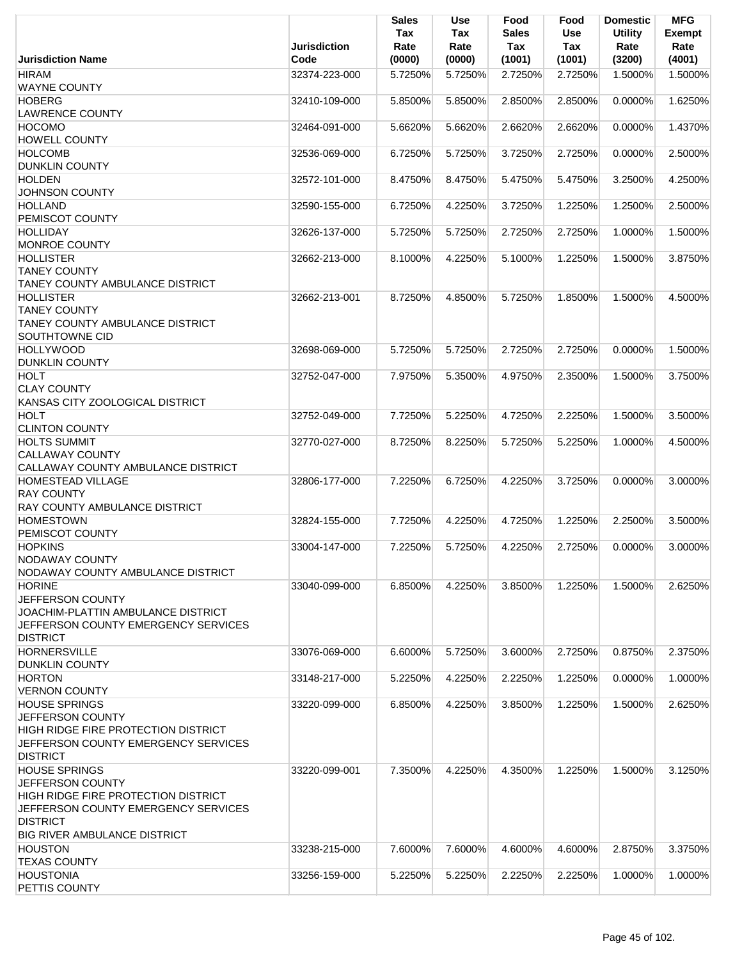|                                                                                                                                                                                         | Jurisdiction  | <b>Sales</b><br>Tax<br>Rate | <b>Use</b><br>Tax<br>Rate | Food<br><b>Sales</b><br>Tax | Food<br>Use<br><b>Tax</b> | <b>Domestic</b><br><b>Utility</b><br>Rate | <b>MFG</b><br><b>Exempt</b><br>Rate |
|-----------------------------------------------------------------------------------------------------------------------------------------------------------------------------------------|---------------|-----------------------------|---------------------------|-----------------------------|---------------------------|-------------------------------------------|-------------------------------------|
| <b>Jurisdiction Name</b>                                                                                                                                                                | Code          | (0000)                      | (0000)                    | (1001)                      | (1001)                    | (3200)                                    | (4001)                              |
| <b>HIRAM</b><br><b>WAYNE COUNTY</b>                                                                                                                                                     | 32374-223-000 | 5.7250%                     | 5.7250%                   | 2.7250%                     | 2.7250%                   | 1.5000%                                   | 1.5000%                             |
| <b>HOBERG</b><br><b>LAWRENCE COUNTY</b>                                                                                                                                                 | 32410-109-000 | 5.8500%                     | 5.8500%                   | 2.8500%                     | 2.8500%                   | 0.0000%                                   | 1.6250%                             |
| <b>HOCOMO</b><br>HOWELL COUNTY                                                                                                                                                          | 32464-091-000 | 5.6620%                     | 5.6620%                   | 2.6620%                     | 2.6620%                   | 0.0000%                                   | 1.4370%                             |
| <b>HOLCOMB</b><br><b>DUNKLIN COUNTY</b>                                                                                                                                                 | 32536-069-000 | 6.7250%                     | 5.7250%                   | 3.7250%                     | 2.7250%                   | 0.0000%                                   | 2.5000%                             |
| <b>HOLDEN</b><br><b>JOHNSON COUNTY</b>                                                                                                                                                  | 32572-101-000 | 8.4750%                     | 8.4750%                   | 5.4750%                     | 5.4750%                   | 3.2500%                                   | 4.2500%                             |
| <b>HOLLAND</b><br>PEMISCOT COUNTY                                                                                                                                                       | 32590-155-000 | 6.7250%                     | 4.2250%                   | 3.7250%                     | 1.2250%                   | 1.2500%                                   | 2.5000%                             |
| <b>HOLLIDAY</b><br><b>MONROE COUNTY</b>                                                                                                                                                 | 32626-137-000 | 5.7250%                     | 5.7250%                   | 2.7250%                     | 2.7250%                   | 1.0000%                                   | 1.5000%                             |
| <b>HOLLISTER</b><br><b>TANEY COUNTY</b>                                                                                                                                                 | 32662-213-000 | 8.1000%                     | 4.2250%                   | 5.1000%                     | 1.2250%                   | 1.5000%                                   | 3.8750%                             |
| <b>TANEY COUNTY AMBULANCE DISTRICT</b><br><b>HOLLISTER</b><br><b>TANEY COUNTY</b><br><b>TANEY COUNTY AMBULANCE DISTRICT</b>                                                             | 32662-213-001 | 8.7250%                     | 4.8500%                   | 5.7250%                     | 1.8500%                   | 1.5000%                                   | 4.5000%                             |
| <b>SOUTHTOWNE CID</b><br><b>HOLLYWOOD</b><br><b>DUNKLIN COUNTY</b>                                                                                                                      | 32698-069-000 | 5.7250%                     | 5.7250%                   | 2.7250%                     | 2.7250%                   | 0.0000%                                   | 1.5000%                             |
| <b>HOLT</b><br><b>CLAY COUNTY</b><br>KANSAS CITY ZOOLOGICAL DISTRICT                                                                                                                    | 32752-047-000 | 7.9750%                     | 5.3500%                   | 4.9750%                     | 2.3500%                   | 1.5000%                                   | 3.7500%                             |
| <b>HOLT</b><br><b>CLINTON COUNTY</b>                                                                                                                                                    | 32752-049-000 | 7.7250%                     | 5.2250%                   | 4.7250%                     | 2.2250%                   | 1.5000%                                   | 3.5000%                             |
| <b>HOLTS SUMMIT</b><br><b>CALLAWAY COUNTY</b><br>CALLAWAY COUNTY AMBULANCE DISTRICT                                                                                                     | 32770-027-000 | 8.7250%                     | 8.2250%                   | 5.7250%                     | 5.2250%                   | 1.0000%                                   | 4.5000%                             |
| <b>HOMESTEAD VILLAGE</b><br><b>RAY COUNTY</b><br>RAY COUNTY AMBULANCE DISTRICT                                                                                                          | 32806-177-000 | 7.2250%                     | 6.7250%                   | 4.2250%                     | 3.7250%                   | 0.0000%                                   | 3.0000%                             |
| <b>HOMESTOWN</b><br>PEMISCOT COUNTY                                                                                                                                                     | 32824-155-000 | 7.7250%                     | 4.2250%                   | 4.7250%                     | 1.2250%                   | 2.2500%                                   | 3.5000%                             |
| <b>HOPKINS</b><br>NODAWAY COUNTY<br>NODAWAY COUNTY AMBULANCE DISTRICT                                                                                                                   | 33004-147-000 | 7.2250%                     | 5.7250%                   | 4.2250%                     | 2.7250%                   | 0.0000%                                   | 3.0000%                             |
| <b>HORINE</b><br>JEFFERSON COUNTY<br>JOACHIM-PLATTIN AMBULANCE DISTRICT<br>JEFFERSON COUNTY EMERGENCY SERVICES<br><b>DISTRICT</b>                                                       | 33040-099-000 | 6.8500%                     | 4.2250%                   | 3.8500%                     | 1.2250%                   | 1.5000%                                   | 2.6250%                             |
| <b>HORNERSVILLE</b><br><b>DUNKLIN COUNTY</b>                                                                                                                                            | 33076-069-000 | 6.6000%                     | 5.7250%                   | 3.6000%                     | 2.7250%                   | 0.8750%                                   | 2.3750%                             |
| <b>HORTON</b><br><b>VERNON COUNTY</b>                                                                                                                                                   | 33148-217-000 | 5.2250%                     | 4.2250%                   | 2.2250%                     | 1.2250%                   | 0.0000%                                   | 1.0000%                             |
| <b>HOUSE SPRINGS</b><br>JEFFERSON COUNTY<br>HIGH RIDGE FIRE PROTECTION DISTRICT<br>JEFFERSON COUNTY EMERGENCY SERVICES<br><b>DISTRICT</b>                                               | 33220-099-000 | 6.8500%                     | 4.2250%                   | 3.8500%                     | 1.2250%                   | 1.5000%                                   | 2.6250%                             |
| <b>HOUSE SPRINGS</b><br>JEFFERSON COUNTY<br><b>HIGH RIDGE FIRE PROTECTION DISTRICT</b><br>JEFFERSON COUNTY EMERGENCY SERVICES<br><b>DISTRICT</b><br><b>BIG RIVER AMBULANCE DISTRICT</b> | 33220-099-001 | 7.3500%                     | 4.2250%                   | 4.3500%                     | 1.2250%                   | 1.5000%                                   | 3.1250%                             |
| <b>HOUSTON</b><br><b>TEXAS COUNTY</b>                                                                                                                                                   | 33238-215-000 | 7.6000%                     | 7.6000%                   | 4.6000%                     | 4.6000%                   | 2.8750%                                   | 3.3750%                             |
| <b>HOUSTONIA</b><br>PETTIS COUNTY                                                                                                                                                       | 33256-159-000 | 5.2250%                     | 5.2250%                   | 2.2250%                     | 2.2250%                   | 1.0000%                                   | 1.0000%                             |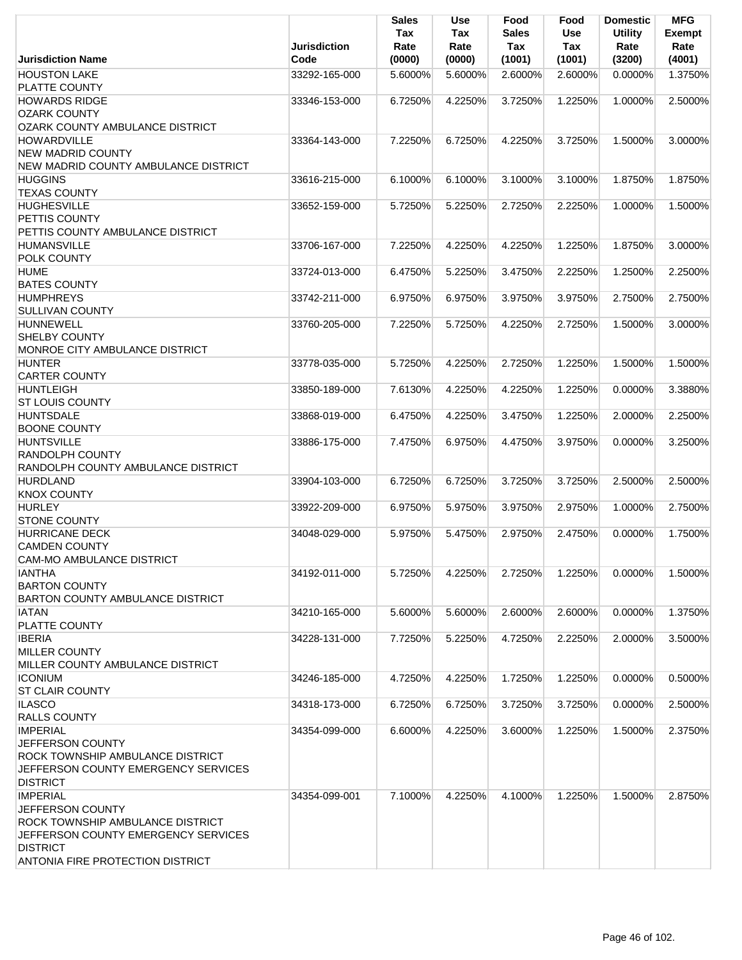|                                                           | <b>Jurisdiction</b> | <b>Sales</b><br>Tax<br>Rate | Use<br>Tax<br>Rate | Food<br><b>Sales</b><br>Tax | Food<br><b>Use</b><br>Tax | <b>Domestic</b><br><b>Utility</b><br>Rate | <b>MFG</b><br><b>Exempt</b><br>Rate |
|-----------------------------------------------------------|---------------------|-----------------------------|--------------------|-----------------------------|---------------------------|-------------------------------------------|-------------------------------------|
| <b>Jurisdiction Name</b>                                  | Code                | (0000)                      | (0000)             | (1001)                      | (1001)                    | (3200)                                    | (4001)                              |
| <b>HOUSTON LAKE</b><br>PLATTE COUNTY                      | 33292-165-000       | 5.6000%                     | 5.6000%            | 2.6000%                     | 2.6000%                   | $0.0000\%$                                | 1.3750%                             |
| <b>HOWARDS RIDGE</b>                                      | 33346-153-000       | 6.7250%                     | 4.2250%            | 3.7250%                     | 1.2250%                   | 1.0000%                                   | 2.5000%                             |
| <b>OZARK COUNTY</b>                                       |                     |                             |                    |                             |                           |                                           |                                     |
| OZARK COUNTY AMBULANCE DISTRICT                           |                     |                             |                    |                             |                           |                                           |                                     |
| <b>HOWARDVILLE</b>                                        | 33364-143-000       | 7.2250%                     | 6.7250%            | 4.2250%                     | 3.7250%                   | 1.5000%                                   | 3.0000%                             |
| <b>NEW MADRID COUNTY</b>                                  |                     |                             |                    |                             |                           |                                           |                                     |
| NEW MADRID COUNTY AMBULANCE DISTRICT<br><b>HUGGINS</b>    | 33616-215-000       | 6.1000%                     | 6.1000%            | 3.1000%                     | 3.1000%                   | 1.8750%                                   | 1.8750%                             |
| <b>TEXAS COUNTY</b>                                       |                     |                             |                    |                             |                           |                                           |                                     |
| <b>HUGHESVILLE</b>                                        | 33652-159-000       | 5.7250%                     | 5.2250%            | 2.7250%                     | 2.2250%                   | 1.0000%                                   | 1.5000%                             |
| PETTIS COUNTY                                             |                     |                             |                    |                             |                           |                                           |                                     |
| PETTIS COUNTY AMBULANCE DISTRICT                          |                     |                             |                    |                             |                           |                                           |                                     |
| <b>HUMANSVILLE</b>                                        | 33706-167-000       | 7.2250%                     | 4.2250%            | 4.2250%                     | 1.2250%                   | 1.8750%                                   | 3.0000%                             |
| POLK COUNTY                                               |                     |                             |                    |                             |                           |                                           |                                     |
| <b>HUME</b>                                               | 33724-013-000       | 6.4750%                     | 5.2250%            | 3.4750%                     | 2.2250%                   | 1.2500%                                   | 2.2500%                             |
| <b>BATES COUNTY</b>                                       |                     |                             |                    |                             |                           |                                           |                                     |
| <b>HUMPHREYS</b><br><b>SULLIVAN COUNTY</b>                | 33742-211-000       | 6.9750%                     | 6.9750%            | 3.9750%                     | 3.9750%                   | 2.7500%                                   | 2.7500%                             |
| <b>HUNNEWELL</b>                                          | 33760-205-000       | 7.2250%                     | 5.7250%            | 4.2250%                     | 2.7250%                   | 1.5000%                                   | 3.0000%                             |
| <b>SHELBY COUNTY</b>                                      |                     |                             |                    |                             |                           |                                           |                                     |
| MONROE CITY AMBULANCE DISTRICT                            |                     |                             |                    |                             |                           |                                           |                                     |
| <b>HUNTER</b>                                             | 33778-035-000       | 5.7250%                     | 4.2250%            | 2.7250%                     | 1.2250%                   | 1.5000%                                   | 1.5000%                             |
| <b>CARTER COUNTY</b>                                      |                     |                             |                    |                             |                           |                                           |                                     |
| <b>HUNTLEIGH</b>                                          | 33850-189-000       | 7.6130%                     | 4.2250%            | 4.2250%                     | 1.2250%                   | 0.0000%                                   | 3.3880%                             |
| <b>ST LOUIS COUNTY</b>                                    |                     |                             |                    |                             |                           |                                           |                                     |
| <b>HUNTSDALE</b>                                          | 33868-019-000       | 6.4750%                     | 4.2250%            | 3.4750%                     | 1.2250%                   | 2.0000%                                   | 2.2500%                             |
| <b>BOONE COUNTY</b><br><b>HUNTSVILLE</b>                  | 33886-175-000       | 7.4750%                     | 6.9750%            | 4.4750%                     | 3.9750%                   | 0.0000%                                   | 3.2500%                             |
| <b>RANDOLPH COUNTY</b>                                    |                     |                             |                    |                             |                           |                                           |                                     |
| RANDOLPH COUNTY AMBULANCE DISTRICT                        |                     |                             |                    |                             |                           |                                           |                                     |
| <b>HURDLAND</b>                                           | 33904-103-000       | 6.7250%                     | 6.7250%            | 3.7250%                     | 3.7250%                   | 2.5000%                                   | 2.5000%                             |
| <b>KNOX COUNTY</b>                                        |                     |                             |                    |                             |                           |                                           |                                     |
| <b>HURLEY</b>                                             | 33922-209-000       | 6.9750%                     | 5.9750%            | 3.9750%                     | 2.9750%                   | 1.0000%                                   | 2.7500%                             |
| <b>STONE COUNTY</b>                                       |                     |                             |                    |                             |                           |                                           |                                     |
| HURRICANE DECK                                            | 34048-029-000       | 5.9750%                     | 5.4750%            | 2.9750%                     | 2.4750%                   | 0.0000%                                   | 1.7500%                             |
| <b>CAMDEN COUNTY</b><br><b>CAM-MO AMBULANCE DISTRICT</b>  |                     |                             |                    |                             |                           |                                           |                                     |
| <b>IANTHA</b>                                             | 34192-011-000       | 5.7250%                     | 4.2250%            | 2.7250%                     | 1.2250%                   | $0.0000\%$                                | 1.5000%                             |
| <b>BARTON COUNTY</b>                                      |                     |                             |                    |                             |                           |                                           |                                     |
| <b>BARTON COUNTY AMBULANCE DISTRICT</b>                   |                     |                             |                    |                             |                           |                                           |                                     |
| <b>IATAN</b>                                              | 34210-165-000       | 5.6000%                     | 5.6000%            | 2.6000%                     | 2.6000%                   | 0.0000%                                   | 1.3750%                             |
| PLATTE COUNTY                                             |                     |                             |                    |                             |                           |                                           |                                     |
| <b>IBERIA</b>                                             | 34228-131-000       | 7.7250%                     | 5.2250%            | 4.7250%                     | 2.2250%                   | 2.0000%                                   | 3.5000%                             |
| <b>MILLER COUNTY</b>                                      |                     |                             |                    |                             |                           |                                           |                                     |
| <b>MILLER COUNTY AMBULANCE DISTRICT</b><br><b>ICONIUM</b> |                     | 4.7250%                     |                    |                             | 1.2250%                   | $0.0000\%$                                |                                     |
| <b>ST CLAIR COUNTY</b>                                    | 34246-185-000       |                             | 4.2250%            | 1.7250%                     |                           |                                           | 0.5000%                             |
| <b>ILASCO</b>                                             | 34318-173-000       | 6.7250%                     | 6.7250%            | 3.7250%                     | 3.7250%                   | 0.0000%                                   | 2.5000%                             |
| <b>RALLS COUNTY</b>                                       |                     |                             |                    |                             |                           |                                           |                                     |
| <b>IMPERIAL</b>                                           | 34354-099-000       | 6.6000%                     | 4.2250%            | 3.6000%                     | 1.2250%                   | 1.5000%                                   | 2.3750%                             |
| JEFFERSON COUNTY                                          |                     |                             |                    |                             |                           |                                           |                                     |
| ROCK TOWNSHIP AMBULANCE DISTRICT                          |                     |                             |                    |                             |                           |                                           |                                     |
| JEFFERSON COUNTY EMERGENCY SERVICES                       |                     |                             |                    |                             |                           |                                           |                                     |
| <b>DISTRICT</b>                                           |                     |                             |                    |                             |                           |                                           |                                     |
| <b>IMPERIAL</b><br><b>JEFFERSON COUNTY</b>                | 34354-099-001       | 7.1000%                     | 4.2250%            | 4.1000%                     | 1.2250%                   | 1.5000%                                   | 2.8750%                             |
| ROCK TOWNSHIP AMBULANCE DISTRICT                          |                     |                             |                    |                             |                           |                                           |                                     |
| JEFFERSON COUNTY EMERGENCY SERVICES                       |                     |                             |                    |                             |                           |                                           |                                     |
| <b>DISTRICT</b>                                           |                     |                             |                    |                             |                           |                                           |                                     |
| <b>ANTONIA FIRE PROTECTION DISTRICT</b>                   |                     |                             |                    |                             |                           |                                           |                                     |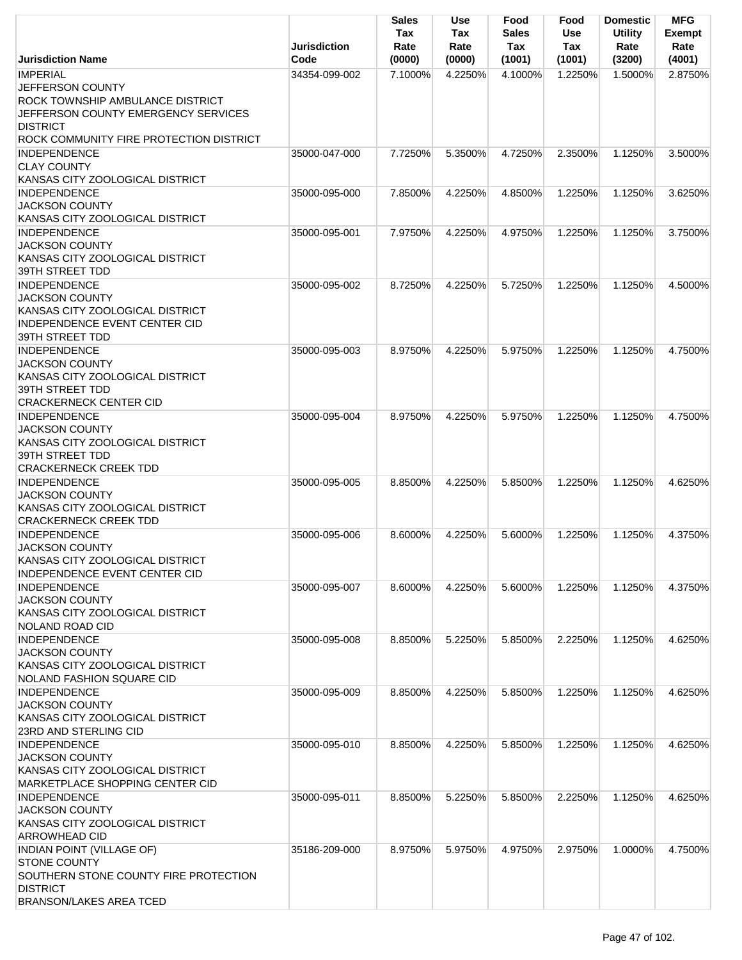|                                                                                                                                          | <b>Jurisdiction</b> | <b>Sales</b><br>Tax<br>Rate | Use<br>Tax<br>Rate | Food<br><b>Sales</b><br>Tax | Food<br><b>Use</b><br>Tax | <b>Domestic</b><br><b>Utility</b><br>Rate | <b>MFG</b><br><b>Exempt</b><br>Rate |
|------------------------------------------------------------------------------------------------------------------------------------------|---------------------|-----------------------------|--------------------|-----------------------------|---------------------------|-------------------------------------------|-------------------------------------|
| <b>Jurisdiction Name</b>                                                                                                                 | Code                | (0000)                      | (0000)             | (1001)                      | (1001)                    | (3200)                                    | (4001)                              |
| <b>IMPERIAL</b><br><b>JEFFERSON COUNTY</b><br>ROCK TOWNSHIP AMBULANCE DISTRICT<br>JEFFERSON COUNTY EMERGENCY SERVICES<br><b>DISTRICT</b> | 34354-099-002       | 7.1000%                     | 4.2250%            | 4.1000%                     | 1.2250%                   | 1.5000%                                   | 2.8750%                             |
| ROCK COMMUNITY FIRE PROTECTION DISTRICT                                                                                                  |                     |                             |                    |                             |                           |                                           |                                     |
| <b>INDEPENDENCE</b><br><b>CLAY COUNTY</b><br>KANSAS CITY ZOOLOGICAL DISTRICT                                                             | 35000-047-000       | 7.7250%                     | 5.3500%            | 4.7250%                     | 2.3500%                   | 1.1250%                                   | 3.5000%                             |
| <b>INDEPENDENCE</b>                                                                                                                      | 35000-095-000       | 7.8500%                     | 4.2250%            | 4.8500%                     | 1.2250%                   | 1.1250%                                   | 3.6250%                             |
| <b>JACKSON COUNTY</b><br>KANSAS CITY ZOOLOGICAL DISTRICT                                                                                 |                     |                             |                    |                             |                           |                                           |                                     |
| <b>INDEPENDENCE</b>                                                                                                                      | 35000-095-001       | 7.9750%                     | 4.2250%            | 4.9750%                     | 1.2250%                   | 1.1250%                                   | 3.7500%                             |
| <b>JACKSON COUNTY</b><br>KANSAS CITY ZOOLOGICAL DISTRICT<br>39TH STREET TDD                                                              |                     |                             |                    |                             |                           |                                           |                                     |
| <b>INDEPENDENCE</b>                                                                                                                      | 35000-095-002       | 8.7250%                     | 4.2250%            | 5.7250%                     | 1.2250%                   | 1.1250%                                   | 4.5000%                             |
| <b>JACKSON COUNTY</b><br>KANSAS CITY ZOOLOGICAL DISTRICT<br><b>INDEPENDENCE EVENT CENTER CID</b><br>39TH STREET TDD                      |                     |                             |                    |                             |                           |                                           |                                     |
| <b>INDEPENDENCE</b>                                                                                                                      | 35000-095-003       | 8.9750%                     | 4.2250%            | 5.9750%                     | 1.2250%                   | 1.1250%                                   | 4.7500%                             |
| <b>JACKSON COUNTY</b><br>KANSAS CITY ZOOLOGICAL DISTRICT<br>39TH STREET TDD                                                              |                     |                             |                    |                             |                           |                                           |                                     |
| <b>CRACKERNECK CENTER CID</b>                                                                                                            |                     |                             |                    |                             |                           |                                           |                                     |
| <b>INDEPENDENCE</b><br><b>JACKSON COUNTY</b><br>KANSAS CITY ZOOLOGICAL DISTRICT<br>39TH STREET TDD<br><b>CRACKERNECK CREEK TDD</b>       | 35000-095-004       | 8.9750%                     | 4.2250%            | 5.9750%                     | 1.2250%                   | 1.1250%                                   | 4.7500%                             |
| <b>INDEPENDENCE</b>                                                                                                                      | 35000-095-005       | 8.8500%                     | 4.2250%            | 5.8500%                     | 1.2250%                   | 1.1250%                                   | 4.6250%                             |
| <b>JACKSON COUNTY</b><br>KANSAS CITY ZOOLOGICAL DISTRICT<br><b>CRACKERNECK CREEK TDD</b>                                                 |                     |                             |                    |                             |                           |                                           |                                     |
| <b>INDEPENDENCE</b>                                                                                                                      | 35000-095-006       | 8.6000%                     | 4.2250%            | 5.6000%                     | 1.2250%                   | 1.1250%                                   | 4.3750%                             |
| <b>JACKSON COUNTY</b>                                                                                                                    |                     |                             |                    |                             |                           |                                           |                                     |
| KANSAS CITY ZOOLOGICAL DISTRICT<br>INDEPENDENCE EVENT CENTER CID                                                                         |                     |                             |                    |                             |                           |                                           |                                     |
| <b>INDEPENDENCE</b>                                                                                                                      | 35000-095-007       | 8.6000%                     | 4.2250%            | 5.6000%                     | 1.2250%                   | 1.1250%                                   | 4.3750%                             |
| <b>JACKSON COUNTY</b><br>KANSAS CITY ZOOLOGICAL DISTRICT<br><b>NOLAND ROAD CID</b>                                                       |                     |                             |                    |                             |                           |                                           |                                     |
| <b>INDEPENDENCE</b>                                                                                                                      | 35000-095-008       | 8.8500%                     | 5.2250%            | 5.8500%                     | 2.2250%                   | 1.1250%                                   | 4.6250%                             |
| <b>JACKSON COUNTY</b><br>KANSAS CITY ZOOLOGICAL DISTRICT<br><b>NOLAND FASHION SQUARE CID</b>                                             |                     |                             |                    |                             |                           |                                           |                                     |
| <b>INDEPENDENCE</b>                                                                                                                      | 35000-095-009       | 8.8500%                     | 4.2250%            | 5.8500%                     | 1.2250%                   | 1.1250%                                   | 4.6250%                             |
| <b>JACKSON COUNTY</b>                                                                                                                    |                     |                             |                    |                             |                           |                                           |                                     |
| KANSAS CITY ZOOLOGICAL DISTRICT<br>23RD AND STERLING CID                                                                                 |                     |                             |                    |                             |                           |                                           |                                     |
| <b>INDEPENDENCE</b>                                                                                                                      | 35000-095-010       | 8.8500%                     | 4.2250%            | 5.8500%                     | 1.2250%                   | 1.1250%                                   | 4.6250%                             |
| <b>JACKSON COUNTY</b><br>KANSAS CITY ZOOLOGICAL DISTRICT<br>MARKETPLACE SHOPPING CENTER CID                                              |                     |                             |                    |                             |                           |                                           |                                     |
| <b>INDEPENDENCE</b><br><b>JACKSON COUNTY</b><br>KANSAS CITY ZOOLOGICAL DISTRICT<br><b>ARROWHEAD CID</b>                                  | 35000-095-011       | 8.8500%                     | 5.2250%            | 5.8500%                     | 2.2250%                   | 1.1250%                                   | 4.6250%                             |
| <b>INDIAN POINT (VILLAGE OF)</b><br><b>STONE COUNTY</b><br>SOUTHERN STONE COUNTY FIRE PROTECTION<br><b>DISTRICT</b>                      | 35186-209-000       | 8.9750%                     | 5.9750%            | 4.9750%                     | 2.9750%                   | 1.0000%                                   | 4.7500%                             |
| <b>BRANSON/LAKES AREA TCED</b>                                                                                                           |                     |                             |                    |                             |                           |                                           |                                     |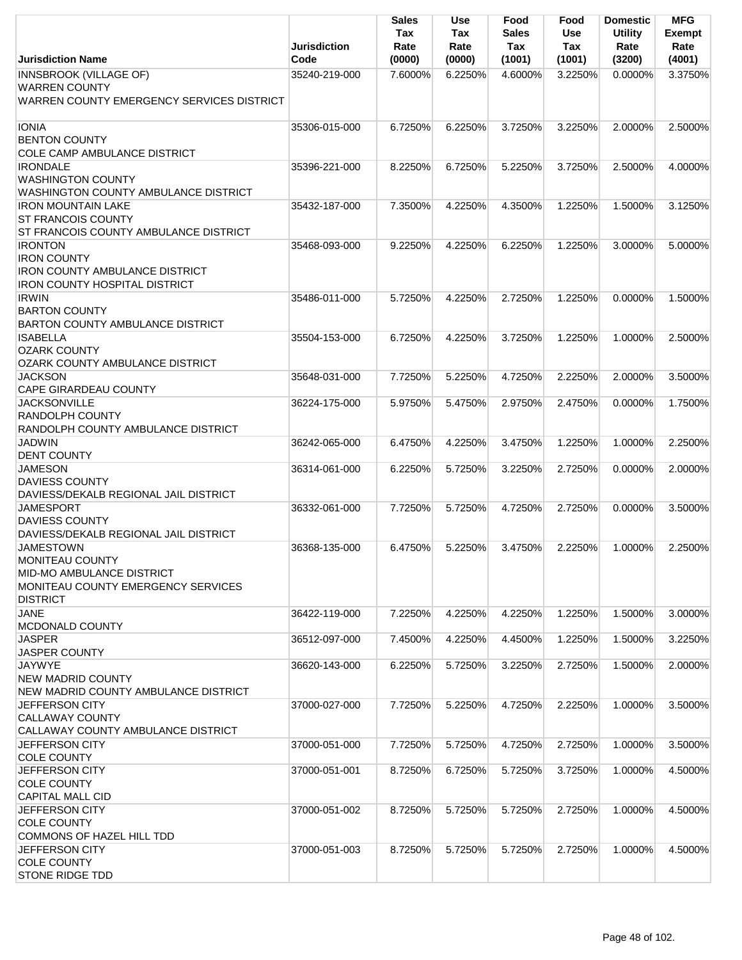|                                                                                                                                  | <b>Jurisdiction</b> | Sales<br>Tax<br>Rate | <b>Use</b><br>Tax<br>Rate | Food<br>Sales<br>Tax | Food<br><b>Use</b><br>Tax | <b>Domestic</b><br><b>Utility</b><br>Rate | <b>MFG</b><br><b>Exempt</b><br>Rate |
|----------------------------------------------------------------------------------------------------------------------------------|---------------------|----------------------|---------------------------|----------------------|---------------------------|-------------------------------------------|-------------------------------------|
| <b>Jurisdiction Name</b>                                                                                                         | Code                | (0000)               | (0000)                    | (1001)               | (1001)                    | (3200)                                    | (4001)                              |
| <b>INNSBROOK (VILLAGE OF)</b><br><b>WARREN COUNTY</b><br>WARREN COUNTY EMERGENCY SERVICES DISTRICT                               | 35240-219-000       | 7.6000%              | 6.2250%                   | 4.6000%              | 3.2250%                   | $0.0000\%$                                | 3.3750%                             |
| <b>IONIA</b><br><b>BENTON COUNTY</b><br><b>COLE CAMP AMBULANCE DISTRICT</b>                                                      | 35306-015-000       | 6.7250%              | 6.2250%                   | 3.7250%              | 3.2250%                   | 2.0000%                                   | 2.5000%                             |
| <b>IRONDALE</b><br><b>WASHINGTON COUNTY</b><br>WASHINGTON COUNTY AMBULANCE DISTRICT                                              | 35396-221-000       | 8.2250%              | 6.7250%                   | 5.2250%              | 3.7250%                   | 2.5000%                                   | 4.0000%                             |
| <b>IRON MOUNTAIN LAKE</b><br><b>ST FRANCOIS COUNTY</b><br>ST FRANCOIS COUNTY AMBULANCE DISTRICT                                  | 35432-187-000       | 7.3500%              | 4.2250%                   | 4.3500%              | 1.2250%                   | 1.5000%                                   | 3.1250%                             |
| <b>IRONTON</b><br><b>IRON COUNTY</b><br><b>IRON COUNTY AMBULANCE DISTRICT</b><br><b>IRON COUNTY HOSPITAL DISTRICT</b>            | 35468-093-000       | 9.2250%              | 4.2250%                   | 6.2250%              | 1.2250%                   | 3.0000%                                   | 5.0000%                             |
| <b>IRWIN</b><br><b>BARTON COUNTY</b><br><b>BARTON COUNTY AMBULANCE DISTRICT</b>                                                  | 35486-011-000       | 5.7250%              | 4.2250%                   | 2.7250%              | 1.2250%                   | $0.0000\%$                                | 1.5000%                             |
| <b>ISABELLA</b><br><b>OZARK COUNTY</b><br>OZARK COUNTY AMBULANCE DISTRICT                                                        | 35504-153-000       | 6.7250%              | 4.2250%                   | 3.7250%              | 1.2250%                   | 1.0000%                                   | 2.5000%                             |
| <b>JACKSON</b><br><b>CAPE GIRARDEAU COUNTY</b>                                                                                   | 35648-031-000       | 7.7250%              | 5.2250%                   | 4.7250%              | 2.2250%                   | 2.0000%                                   | 3.5000%                             |
| <b>JACKSONVILLE</b><br><b>RANDOLPH COUNTY</b><br>RANDOLPH COUNTY AMBULANCE DISTRICT                                              | 36224-175-000       | 5.9750%              | 5.4750%                   | 2.9750%              | 2.4750%                   | 0.0000%                                   | 1.7500%                             |
| <b>JADWIN</b><br><b>DENT COUNTY</b>                                                                                              | 36242-065-000       | 6.4750%              | 4.2250%                   | 3.4750%              | 1.2250%                   | 1.0000%                                   | 2.2500%                             |
| <b>JAMESON</b><br><b>DAVIESS COUNTY</b><br>DAVIESS/DEKALB REGIONAL JAIL DISTRICT                                                 | 36314-061-000       | 6.2250%              | 5.7250%                   | 3.2250%              | 2.7250%                   | 0.0000%                                   | 2.0000%                             |
| <b>JAMESPORT</b><br><b>DAVIESS COUNTY</b><br>DAVIESS/DEKALB REGIONAL JAIL DISTRICT                                               | 36332-061-000       | 7.7250%              | 5.7250%                   | 4.7250%              | 2.7250%                   | $0.0000\%$                                | 3.5000%                             |
| <b>JAMESTOWN</b><br><b>MONITEAU COUNTY</b><br>MID-MO AMBULANCE DISTRICT<br>MONITEAU COUNTY EMERGENCY SERVICES<br><b>DISTRICT</b> | 36368-135-000       | 6.4750%              | 5.2250%                   | 3.4750%              | 2.2250%                   | 1.0000%                                   | 2.2500%                             |
| <b>JANE</b><br><b>MCDONALD COUNTY</b>                                                                                            | 36422-119-000       | 7.2250%              | 4.2250%                   | 4.2250%              | 1.2250%                   | 1.5000%                                   | 3.0000%                             |
| <b>JASPER</b><br><b>JASPER COUNTY</b>                                                                                            | 36512-097-000       | 7.4500%              | 4.2250%                   | 4.4500%              | 1.2250%                   | 1.5000%                                   | 3.2250%                             |
| <b>JAYWYE</b><br><b>NEW MADRID COUNTY</b><br>NEW MADRID COUNTY AMBULANCE DISTRICT                                                | 36620-143-000       | 6.2250%              | 5.7250%                   | 3.2250%              | 2.7250%                   | 1.5000%                                   | 2.0000%                             |
| <b>JEFFERSON CITY</b><br><b>CALLAWAY COUNTY</b><br>CALLAWAY COUNTY AMBULANCE DISTRICT                                            | 37000-027-000       | 7.7250%              | 5.2250%                   | 4.7250%              | 2.2250%                   | 1.0000%                                   | 3.5000%                             |
| JEFFERSON CITY<br><b>COLE COUNTY</b>                                                                                             | 37000-051-000       | 7.7250%              | 5.7250%                   | 4.7250%              | 2.7250%                   | 1.0000%                                   | 3.5000%                             |
| <b>JEFFERSON CITY</b><br><b>COLE COUNTY</b><br><b>CAPITAL MALL CID</b>                                                           | 37000-051-001       | 8.7250%              | 6.7250%                   | 5.7250%              | 3.7250%                   | 1.0000%                                   | 4.5000%                             |
| <b>JEFFERSON CITY</b><br><b>COLE COUNTY</b><br>COMMONS OF HAZEL HILL TDD                                                         | 37000-051-002       | 8.7250%              | 5.7250%                   | 5.7250%              | 2.7250%                   | 1.0000%                                   | 4.5000%                             |
| <b>JEFFERSON CITY</b><br><b>COLE COUNTY</b><br>STONE RIDGE TDD                                                                   | 37000-051-003       | 8.7250%              | 5.7250%                   | 5.7250%              | 2.7250%                   | 1.0000%                                   | 4.5000%                             |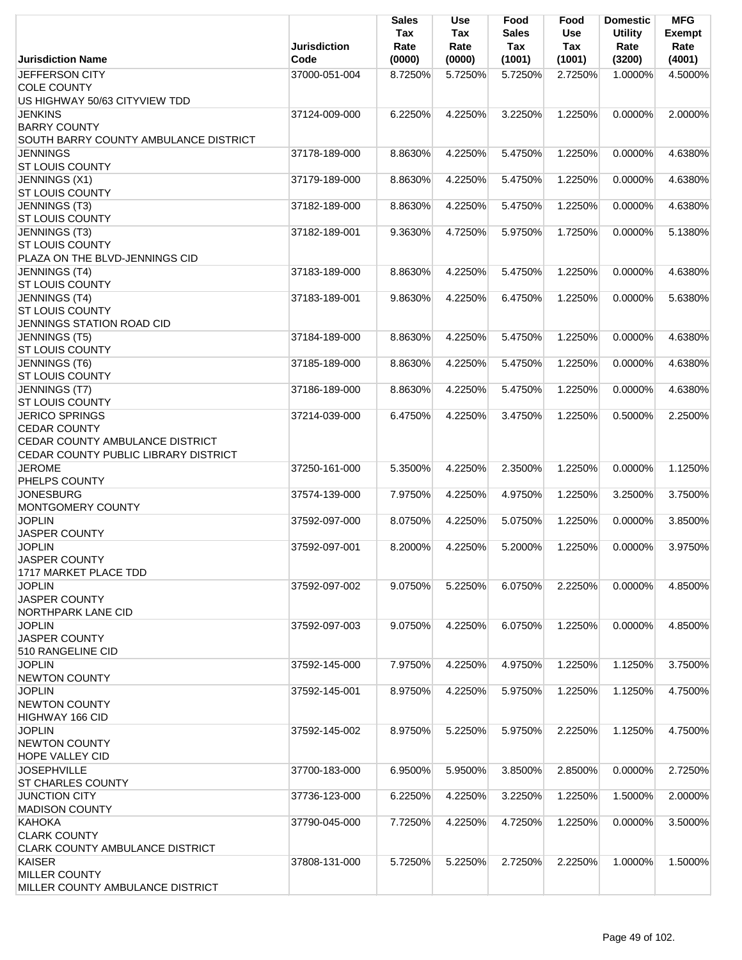|                                                                                                                         | <b>Jurisdiction</b> | <b>Sales</b><br>Tax<br>Rate | <b>Use</b><br>Tax<br>Rate | Food<br><b>Sales</b><br>Tax | Food<br><b>Use</b><br>Tax | <b>Domestic</b><br><b>Utility</b><br>Rate | <b>MFG</b><br><b>Exempt</b><br>Rate |
|-------------------------------------------------------------------------------------------------------------------------|---------------------|-----------------------------|---------------------------|-----------------------------|---------------------------|-------------------------------------------|-------------------------------------|
| <b>Jurisdiction Name</b>                                                                                                | Code                | (0000)                      | (0000)                    | (1001)                      | (1001)                    | (3200)                                    | (4001)                              |
| JEFFERSON CITY<br><b>COLE COUNTY</b>                                                                                    | 37000-051-004       | 8.7250%                     | 5.7250%                   | 5.7250%                     | 2.7250%                   | 1.0000%                                   | 4.5000%                             |
| US HIGHWAY 50/63 CITYVIEW TDD                                                                                           |                     |                             |                           |                             |                           |                                           |                                     |
| <b>JENKINS</b>                                                                                                          | 37124-009-000       | 6.2250%                     | 4.2250%                   | 3.2250%                     | 1.2250%                   | 0.0000%                                   | 2.0000%                             |
| <b>BARRY COUNTY</b><br>SOUTH BARRY COUNTY AMBULANCE DISTRICT                                                            |                     |                             |                           |                             |                           |                                           |                                     |
| <b>JENNINGS</b>                                                                                                         | 37178-189-000       | 8.8630%                     | 4.2250%                   | 5.4750%                     | 1.2250%                   | 0.0000%                                   | 4.6380%                             |
| <b>ST LOUIS COUNTY</b>                                                                                                  |                     |                             |                           |                             |                           |                                           |                                     |
| JENNINGS (X1)<br><b>ST LOUIS COUNTY</b>                                                                                 | 37179-189-000       | 8.8630%                     | 4.2250%                   | 5.4750%                     | 1.2250%                   | 0.0000%                                   | 4.6380%                             |
| JENNINGS (T3)<br><b>ST LOUIS COUNTY</b>                                                                                 | 37182-189-000       | 8.8630%                     | 4.2250%                   | 5.4750%                     | 1.2250%                   | 0.0000%                                   | 4.6380%                             |
| JENNINGS (T3)<br><b>ST LOUIS COUNTY</b><br>PLAZA ON THE BLVD-JENNINGS CID                                               | 37182-189-001       | 9.3630%                     | 4.7250%                   | 5.9750%                     | 1.7250%                   | 0.0000%                                   | 5.1380%                             |
| JENNINGS (T4)<br><b>ST LOUIS COUNTY</b>                                                                                 | 37183-189-000       | 8.8630%                     | 4.2250%                   | 5.4750%                     | 1.2250%                   | 0.0000%                                   | 4.6380%                             |
| <b>JENNINGS</b> (T4)<br><b>ST LOUIS COUNTY</b><br>JENNINGS STATION ROAD CID                                             | 37183-189-001       | 9.8630%                     | 4.2250%                   | 6.4750%                     | 1.2250%                   | 0.0000%                                   | 5.6380%                             |
| JENNINGS (T5)                                                                                                           | 37184-189-000       | 8.8630%                     | 4.2250%                   | 5.4750%                     | 1.2250%                   | 0.0000%                                   | 4.6380%                             |
| <b>ST LOUIS COUNTY</b>                                                                                                  |                     |                             |                           |                             |                           |                                           |                                     |
| JENNINGS (T6)<br><b>ST LOUIS COUNTY</b>                                                                                 | 37185-189-000       | 8.8630%                     | 4.2250%                   | 5.4750%                     | 1.2250%                   | 0.0000%                                   | 4.6380%                             |
| JENNINGS (T7)<br><b>ST LOUIS COUNTY</b>                                                                                 | 37186-189-000       | 8.8630%                     | 4.2250%                   | 5.4750%                     | 1.2250%                   | 0.0000%                                   | 4.6380%                             |
| <b>JERICO SPRINGS</b><br><b>CEDAR COUNTY</b><br>CEDAR COUNTY AMBULANCE DISTRICT<br>CEDAR COUNTY PUBLIC LIBRARY DISTRICT | 37214-039-000       | 6.4750%                     | 4.2250%                   | 3.4750%                     | 1.2250%                   | 0.5000%                                   | 2.2500%                             |
| <b>JEROME</b><br>PHELPS COUNTY                                                                                          | 37250-161-000       | 5.3500%                     | 4.2250%                   | 2.3500%                     | 1.2250%                   | 0.0000%                                   | 1.1250%                             |
| <b>JONESBURG</b><br>MONTGOMERY COUNTY                                                                                   | 37574-139-000       | 7.9750%                     | 4.2250%                   | 4.9750%                     | 1.2250%                   | 3.2500%                                   | 3.7500%                             |
| <b>JOPLIN</b><br>JASPER COUNTY                                                                                          | 37592-097-000       | 8.0750%                     | 4.2250%                   | 5.0750%                     | 1.2250%                   | 0.0000%                                   | 3.8500%                             |
| <b>JOPLIN</b><br><b>JASPER COUNTY</b><br>1717 MARKET PLACE TDD                                                          | 37592-097-001       | 8.2000%                     | 4.2250%                   | 5.2000%                     | 1.2250%                   | 0.0000%                                   | 3.9750%                             |
| <b>JOPLIN</b><br>JASPER COUNTY<br><b>NORTHPARK LANE CID</b>                                                             | 37592-097-002       | 9.0750%                     | 5.2250%                   | 6.0750%                     | 2.2250%                   | 0.0000%                                   | 4.8500%                             |
| <b>JOPLIN</b><br><b>JASPER COUNTY</b>                                                                                   | 37592-097-003       | 9.0750%                     | 4.2250%                   | 6.0750%                     | 1.2250%                   | 0.0000%                                   | 4.8500%                             |
| 510 RANGELINE CID<br><b>JOPLIN</b><br><b>NEWTON COUNTY</b>                                                              | 37592-145-000       | 7.9750%                     | 4.2250%                   | 4.9750%                     | 1.2250%                   | 1.1250%                                   | 3.7500%                             |
| <b>JOPLIN</b><br><b>NEWTON COUNTY</b><br>HIGHWAY 166 CID                                                                | 37592-145-001       | 8.9750%                     | 4.2250%                   | 5.9750%                     | 1.2250%                   | 1.1250%                                   | 4.7500%                             |
| <b>JOPLIN</b><br><b>NEWTON COUNTY</b><br><b>HOPE VALLEY CID</b>                                                         | 37592-145-002       | 8.9750%                     | 5.2250%                   | 5.9750%                     | 2.2250%                   | 1.1250%                                   | 4.7500%                             |
| <b>JOSEPHVILLE</b><br><b>ST CHARLES COUNTY</b>                                                                          | 37700-183-000       | 6.9500%                     | 5.9500%                   | 3.8500%                     | 2.8500%                   | 0.0000%                                   | 2.7250%                             |
| <b>JUNCTION CITY</b><br><b>MADISON COUNTY</b>                                                                           | 37736-123-000       | 6.2250%                     | 4.2250%                   | 3.2250%                     | 1.2250%                   | 1.5000%                                   | 2.0000%                             |
| KAHOKA<br><b>CLARK COUNTY</b><br><b>CLARK COUNTY AMBULANCE DISTRICT</b>                                                 | 37790-045-000       | 7.7250%                     | 4.2250%                   | 4.7250%                     | 1.2250%                   | 0.0000%                                   | 3.5000%                             |
| KAISER<br><b>MILLER COUNTY</b><br>MILLER COUNTY AMBULANCE DISTRICT                                                      | 37808-131-000       | 5.7250%                     | 5.2250%                   | 2.7250%                     | 2.2250%                   | 1.0000%                                   | 1.5000%                             |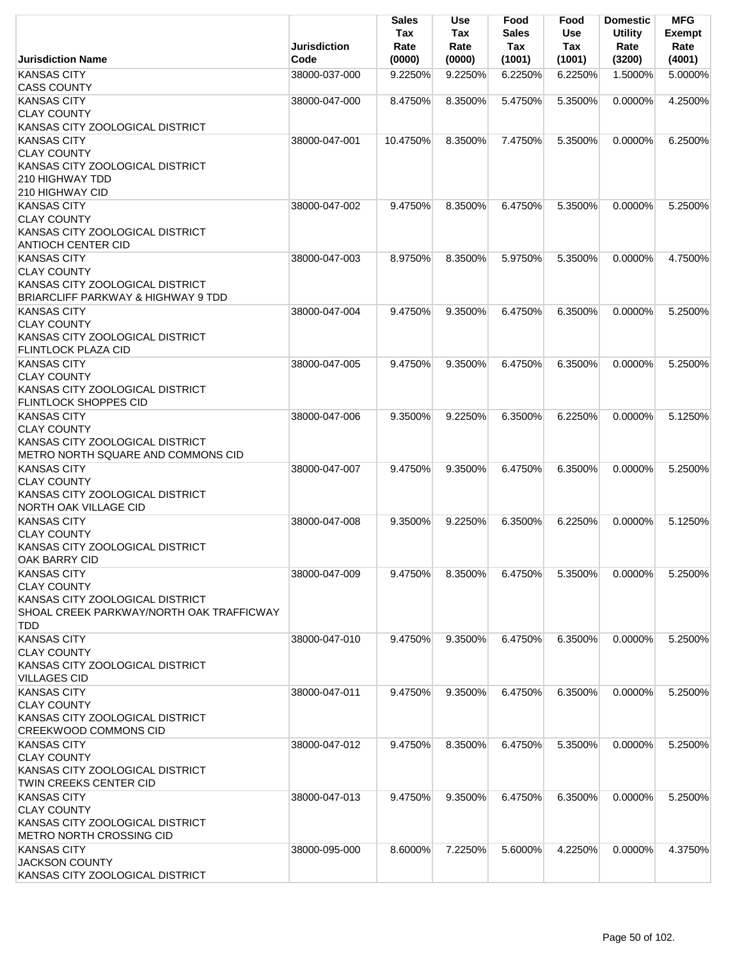|                                                                                                                                | Jurisdiction  | <b>Sales</b><br>Tax<br>Rate | Use<br>Tax<br>Rate | Food<br><b>Sales</b><br>Tax | Food<br><b>Use</b><br>Tax | <b>Domestic</b><br><b>Utility</b><br>Rate | <b>MFG</b><br><b>Exempt</b><br>Rate |
|--------------------------------------------------------------------------------------------------------------------------------|---------------|-----------------------------|--------------------|-----------------------------|---------------------------|-------------------------------------------|-------------------------------------|
| <b>Jurisdiction Name</b>                                                                                                       | Code          | (0000)                      | (0000)             | (1001)                      | (1001)                    | (3200)                                    | (4001)                              |
| <b>KANSAS CITY</b><br><b>CASS COUNTY</b>                                                                                       | 38000-037-000 | 9.2250%                     | 9.2250%            | 6.2250%                     | 6.2250%                   | 1.5000%                                   | 5.0000%                             |
| <b>KANSAS CITY</b><br><b>CLAY COUNTY</b><br>KANSAS CITY ZOOLOGICAL DISTRICT                                                    | 38000-047-000 | 8.4750%                     | 8.3500%            | 5.4750%                     | 5.3500%                   | 0.0000%                                   | 4.2500%                             |
| <b>KANSAS CITY</b><br><b>CLAY COUNTY</b><br>KANSAS CITY ZOOLOGICAL DISTRICT                                                    | 38000-047-001 | 10.4750%                    | 8.3500%            | 7.4750%                     | 5.3500%                   | $0.0000\%$                                | 6.2500%                             |
| 210 HIGHWAY TDD<br>210 HIGHWAY CID                                                                                             |               |                             |                    |                             |                           |                                           |                                     |
| <b>KANSAS CITY</b><br><b>CLAY COUNTY</b><br>KANSAS CITY ZOOLOGICAL DISTRICT<br><b>ANTIOCH CENTER CID</b>                       | 38000-047-002 | 9.4750%                     | 8.3500%            | 6.4750%                     | 5.3500%                   | 0.0000%                                   | 5.2500%                             |
| <b>KANSAS CITY</b><br><b>CLAY COUNTY</b><br>KANSAS CITY ZOOLOGICAL DISTRICT<br><b>BRIARCLIFF PARKWAY &amp; HIGHWAY 9 TDD</b>   | 38000-047-003 | 8.9750%                     | 8.3500%            | 5.9750%                     | 5.3500%                   | 0.0000%                                   | 4.7500%                             |
| <b>KANSAS CITY</b><br><b>CLAY COUNTY</b><br>KANSAS CITY ZOOLOGICAL DISTRICT<br><b>FLINTLOCK PLAZA CID</b>                      | 38000-047-004 | 9.4750%                     | 9.3500%            | 6.4750%                     | 6.3500%                   | $0.0000\%$                                | 5.2500%                             |
| <b>KANSAS CITY</b><br><b>CLAY COUNTY</b><br>KANSAS CITY ZOOLOGICAL DISTRICT<br><b>FLINTLOCK SHOPPES CID</b>                    | 38000-047-005 | 9.4750%                     | 9.3500%            | 6.4750%                     | 6.3500%                   | 0.0000%                                   | 5.2500%                             |
| <b>KANSAS CITY</b><br><b>CLAY COUNTY</b><br>KANSAS CITY ZOOLOGICAL DISTRICT<br>METRO NORTH SQUARE AND COMMONS CID              | 38000-047-006 | 9.3500%                     | 9.2250%            | 6.3500%                     | 6.2250%                   | $0.0000\%$                                | 5.1250%                             |
| <b>KANSAS CITY</b><br><b>CLAY COUNTY</b><br>KANSAS CITY ZOOLOGICAL DISTRICT<br><b>NORTH OAK VILLAGE CID</b>                    | 38000-047-007 | 9.4750%                     | 9.3500%            | 6.4750%                     | 6.3500%                   | $0.0000\%$                                | 5.2500%                             |
| <b>KANSAS CITY</b><br><b>CLAY COUNTY</b><br>KANSAS CITY ZOOLOGICAL DISTRICT<br>OAK BARRY CID                                   | 38000-047-008 | 9.3500%                     | 9.2250%            | 6.3500%                     | 6.2250%                   | $0.0000\%$                                | 5.1250%                             |
| <b>KANSAS CITY</b><br><b>CLAY COUNTY</b><br>KANSAS CITY ZOOLOGICAL DISTRICT<br>SHOAL CREEK PARKWAY/NORTH OAK TRAFFICWAY<br>TDD | 38000-047-009 | 9.4750%                     | 8.3500%            | 6.4750%                     | 5.3500%                   | 0.0000%                                   | 5.2500%                             |
| <b>KANSAS CITY</b><br><b>CLAY COUNTY</b><br>KANSAS CITY ZOOLOGICAL DISTRICT<br><b>VILLAGES CID</b>                             | 38000-047-010 | 9.4750%                     | 9.3500%            | 6.4750%                     | 6.3500%                   | 0.0000%                                   | 5.2500%                             |
| <b>KANSAS CITY</b><br><b>CLAY COUNTY</b><br>KANSAS CITY ZOOLOGICAL DISTRICT<br><b>CREEKWOOD COMMONS CID</b>                    | 38000-047-011 | 9.4750%                     | 9.3500%            | 6.4750%                     | 6.3500%                   | 0.0000%                                   | 5.2500%                             |
| <b>KANSAS CITY</b><br><b>CLAY COUNTY</b><br>KANSAS CITY ZOOLOGICAL DISTRICT<br>TWIN CREEKS CENTER CID                          | 38000-047-012 | 9.4750%                     | 8.3500%            | 6.4750%                     | 5.3500%                   | 0.0000%                                   | 5.2500%                             |
| <b>KANSAS CITY</b><br><b>CLAY COUNTY</b><br>KANSAS CITY ZOOLOGICAL DISTRICT<br><b>METRO NORTH CROSSING CID</b>                 | 38000-047-013 | 9.4750%                     | 9.3500%            | 6.4750%                     | 6.3500%                   | $0.0000\%$                                | 5.2500%                             |
| <b>KANSAS CITY</b><br><b>JACKSON COUNTY</b><br>KANSAS CITY ZOOLOGICAL DISTRICT                                                 | 38000-095-000 | 8.6000%                     | 7.2250%            | 5.6000%                     | 4.2250%                   | $0.0000\%$                                | 4.3750%                             |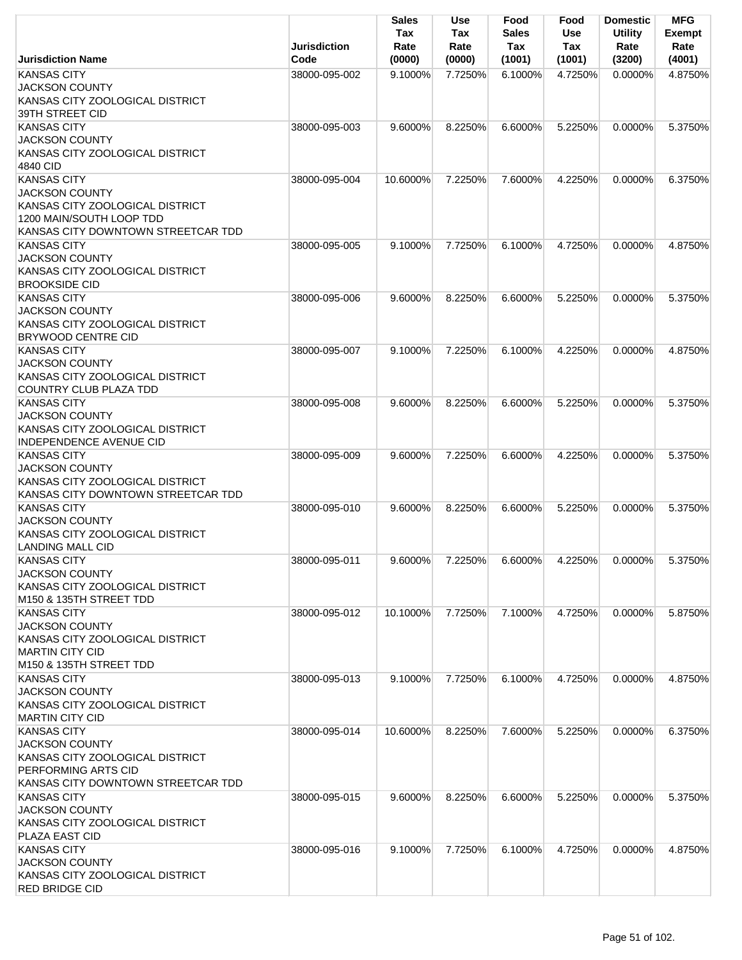|                                                                                                                                                  | <b>Jurisdiction</b> | Sales<br>Tax<br>Rate | Use<br>Tax<br>Rate | Food<br><b>Sales</b><br>Tax | Food<br><b>Use</b><br>Tax | <b>Domestic</b><br><b>Utility</b><br>Rate | <b>MFG</b><br><b>Exempt</b><br>Rate |
|--------------------------------------------------------------------------------------------------------------------------------------------------|---------------------|----------------------|--------------------|-----------------------------|---------------------------|-------------------------------------------|-------------------------------------|
| <b>Jurisdiction Name</b>                                                                                                                         | Code                | (0000)               | (0000)             | (1001)                      | (1001)                    | (3200)                                    | (4001)                              |
| <b>KANSAS CITY</b><br><b>JACKSON COUNTY</b><br>KANSAS CITY ZOOLOGICAL DISTRICT<br>39TH STREET CID                                                | 38000-095-002       | 9.1000%              | 7.7250%            | 6.1000%                     | 4.7250%                   | 0.0000%                                   | 4.8750%                             |
| <b>KANSAS CITY</b><br><b>JACKSON COUNTY</b><br>KANSAS CITY ZOOLOGICAL DISTRICT<br>4840 CID                                                       | 38000-095-003       | 9.6000%              | 8.2250%            | 6.6000%                     | 5.2250%                   | $0.0000\%$                                | 5.3750%                             |
| <b>KANSAS CITY</b><br><b>JACKSON COUNTY</b><br>KANSAS CITY ZOOLOGICAL DISTRICT<br>1200 MAIN/SOUTH LOOP TDD<br>KANSAS CITY DOWNTOWN STREETCAR TDD | 38000-095-004       | 10.6000%             | 7.2250%            | 7.6000%                     | 4.2250%                   | $0.0000\%$                                | 6.3750%                             |
| <b>KANSAS CITY</b><br><b>JACKSON COUNTY</b><br>KANSAS CITY ZOOLOGICAL DISTRICT<br><b>BROOKSIDE CID</b>                                           | 38000-095-005       | 9.1000%              | 7.7250%            | 6.1000%                     | 4.7250%                   | 0.0000%                                   | 4.8750%                             |
| <b>KANSAS CITY</b><br><b>JACKSON COUNTY</b><br>KANSAS CITY ZOOLOGICAL DISTRICT<br><b>BRYWOOD CENTRE CID</b>                                      | 38000-095-006       | 9.6000%              | 8.2250%            | 6.6000%                     | 5.2250%                   | 0.0000%                                   | 5.3750%                             |
| <b>KANSAS CITY</b><br><b>JACKSON COUNTY</b><br>KANSAS CITY ZOOLOGICAL DISTRICT<br>COUNTRY CLUB PLAZA TDD                                         | 38000-095-007       | 9.1000%              | 7.2250%            | 6.1000%                     | 4.2250%                   | 0.0000%                                   | 4.8750%                             |
| <b>KANSAS CITY</b><br><b>JACKSON COUNTY</b><br>KANSAS CITY ZOOLOGICAL DISTRICT<br>INDEPENDENCE AVENUE CID                                        | 38000-095-008       | 9.6000%              | 8.2250%            | 6.6000%                     | 5.2250%                   | $0.0000\%$                                | 5.3750%                             |
| <b>KANSAS CITY</b><br><b>JACKSON COUNTY</b><br>KANSAS CITY ZOOLOGICAL DISTRICT<br>KANSAS CITY DOWNTOWN STREETCAR TDD                             | 38000-095-009       | 9.6000%              | 7.2250%            | 6.6000%                     | 4.2250%                   | $0.0000\%$                                | 5.3750%                             |
| <b>KANSAS CITY</b><br><b>JACKSON COUNTY</b><br>KANSAS CITY ZOOLOGICAL DISTRICT<br><b>LANDING MALL CID</b>                                        | 38000-095-010       | 9.6000%              | 8.2250%            | 6.6000%                     | 5.2250%                   | 0.0000%                                   | 5.3750%                             |
| <b>KANSAS CITY</b><br><b>JACKSON COUNTY</b><br>KANSAS CITY ZOOLOGICAL DISTRICT<br>M <sub>150</sub> & 135TH STREET TDD                            | 38000-095-011       | 9.6000%              | 7.2250%            | 6.6000%                     | 4.2250%                   | 0.0000%                                   | 5.3750%                             |
| <b>KANSAS CITY</b><br><b>JACKSON COUNTY</b><br>KANSAS CITY ZOOLOGICAL DISTRICT<br><b>MARTIN CITY CID</b><br>M150 & 135TH STREET TDD              | 38000-095-012       | 10.1000%             | 7.7250%            | 7.1000%                     | 4.7250%                   | 0.0000%                                   | 5.8750%                             |
| <b>KANSAS CITY</b><br><b>JACKSON COUNTY</b><br>KANSAS CITY ZOOLOGICAL DISTRICT<br><b>MARTIN CITY CID</b>                                         | 38000-095-013       | 9.1000%              | 7.7250%            | 6.1000%                     | 4.7250%                   | 0.0000%                                   | 4.8750%                             |
| <b>KANSAS CITY</b><br><b>JACKSON COUNTY</b><br>KANSAS CITY ZOOLOGICAL DISTRICT<br>PERFORMING ARTS CID<br>KANSAS CITY DOWNTOWN STREETCAR TDD      | 38000-095-014       | 10.6000%             | 8.2250%            | 7.6000%                     | 5.2250%                   | 0.0000%                                   | 6.3750%                             |
| <b>KANSAS CITY</b><br><b>JACKSON COUNTY</b><br>KANSAS CITY ZOOLOGICAL DISTRICT<br>PLAZA EAST CID                                                 | 38000-095-015       | 9.6000%              | 8.2250%            | 6.6000%                     | 5.2250%                   | 0.0000%                                   | 5.3750%                             |
| <b>KANSAS CITY</b><br><b>JACKSON COUNTY</b><br>KANSAS CITY ZOOLOGICAL DISTRICT<br><b>RED BRIDGE CID</b>                                          | 38000-095-016       | 9.1000%              | 7.7250%            | 6.1000%                     | 4.7250%                   | $0.0000\%$                                | 4.8750%                             |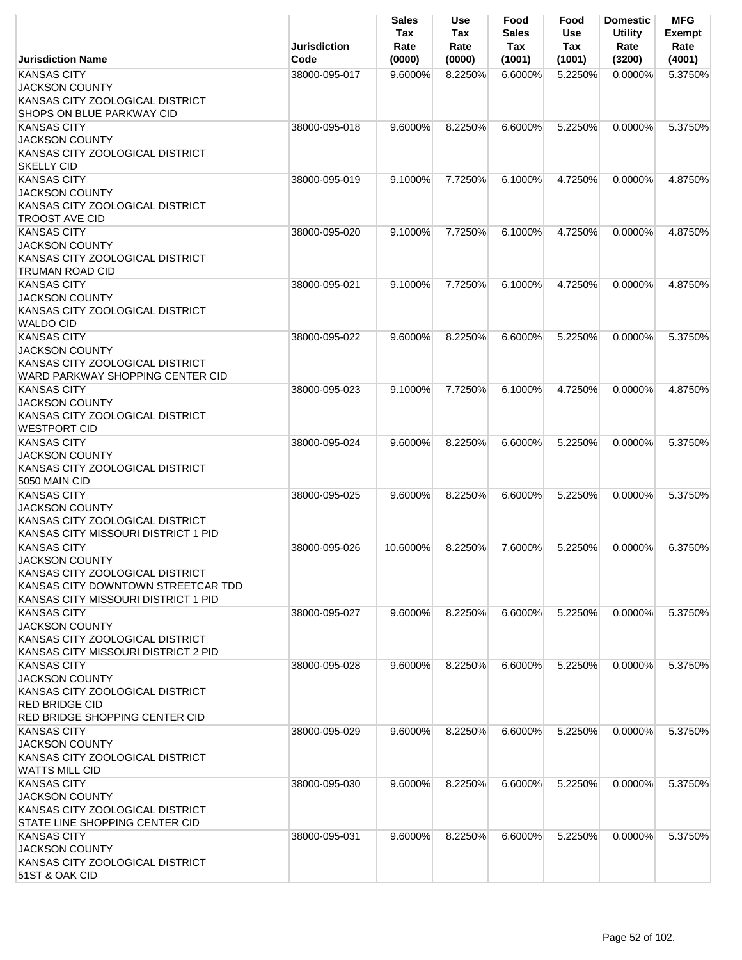|                                                                                                                                                             | <b>Jurisdiction</b> | <b>Sales</b><br>Tax<br>Rate | Use<br>Tax<br>Rate | Food<br><b>Sales</b><br>Tax | Food<br><b>Use</b><br>Tax | <b>Domestic</b><br><b>Utility</b><br>Rate | <b>MFG</b><br><b>Exempt</b><br>Rate |
|-------------------------------------------------------------------------------------------------------------------------------------------------------------|---------------------|-----------------------------|--------------------|-----------------------------|---------------------------|-------------------------------------------|-------------------------------------|
| <b>Jurisdiction Name</b>                                                                                                                                    | Code                | (0000)                      | (0000)             | (1001)                      | (1001)                    | (3200)                                    | (4001)                              |
| <b>KANSAS CITY</b><br><b>JACKSON COUNTY</b><br>KANSAS CITY ZOOLOGICAL DISTRICT<br>SHOPS ON BLUE PARKWAY CID                                                 | 38000-095-017       | 9.6000%                     | 8.2250%            | 6.6000%                     | 5.2250%                   | $0.0000\%$                                | 5.3750%                             |
| <b>KANSAS CITY</b><br><b>JACKSON COUNTY</b><br>KANSAS CITY ZOOLOGICAL DISTRICT<br><b>SKELLY CID</b>                                                         | 38000-095-018       | 9.6000%                     | 8.2250%            | 6.6000%                     | 5.2250%                   | 0.0000%                                   | 5.3750%                             |
| <b>KANSAS CITY</b><br><b>JACKSON COUNTY</b><br>KANSAS CITY ZOOLOGICAL DISTRICT<br><b>TROOST AVE CID</b>                                                     | 38000-095-019       | 9.1000%                     | 7.7250%            | $6.1000\%$                  | 4.7250%                   | 0.0000%                                   | 4.8750%                             |
| <b>KANSAS CITY</b><br><b>JACKSON COUNTY</b><br>KANSAS CITY ZOOLOGICAL DISTRICT<br><b>TRUMAN ROAD CID</b>                                                    | 38000-095-020       | 9.1000%                     | 7.7250%            | 6.1000%                     | 4.7250%                   | 0.0000%                                   | 4.8750%                             |
| <b>KANSAS CITY</b><br><b>JACKSON COUNTY</b><br>KANSAS CITY ZOOLOGICAL DISTRICT<br><b>WALDO CID</b>                                                          | 38000-095-021       | 9.1000%                     | 7.7250%            | 6.1000%                     | 4.7250%                   | $0.0000\%$                                | 4.8750%                             |
| <b>KANSAS CITY</b><br><b>JACKSON COUNTY</b><br>KANSAS CITY ZOOLOGICAL DISTRICT<br>WARD PARKWAY SHOPPING CENTER CID                                          | 38000-095-022       | 9.6000%                     | 8.2250%            | 6.6000%                     | 5.2250%                   | 0.0000%                                   | 5.3750%                             |
| <b>KANSAS CITY</b><br><b>JACKSON COUNTY</b><br>KANSAS CITY ZOOLOGICAL DISTRICT<br><b>WESTPORT CID</b>                                                       | 38000-095-023       | 9.1000%                     | 7.7250%            | 6.1000%                     | 4.7250%                   | $0.0000\%$                                | 4.8750%                             |
| <b>KANSAS CITY</b><br><b>JACKSON COUNTY</b><br>KANSAS CITY ZOOLOGICAL DISTRICT<br>5050 MAIN CID                                                             | 38000-095-024       | 9.6000%                     | 8.2250%            | 6.6000%                     | 5.2250%                   | $0.0000\%$                                | 5.3750%                             |
| <b>KANSAS CITY</b><br><b>JACKSON COUNTY</b><br>KANSAS CITY ZOOLOGICAL DISTRICT<br>KANSAS CITY MISSOURI DISTRICT 1 PID                                       | 38000-095-025       | 9.6000%                     | 8.2250%            | 6.6000%                     | 5.2250%                   | 0.0000%                                   | 5.3750%                             |
| <b>KANSAS CITY</b><br><b>JACKSON COUNTY</b><br>KANSAS CITY ZOOLOGICAL DISTRICT<br>KANSAS CITY DOWNTOWN STREETCAR TDD<br>KANSAS CITY MISSOURI DISTRICT 1 PID | 38000-095-026       | 10.6000%                    | 8.2250%            | 7.6000%                     | 5.2250%                   | 0.0000%                                   | 6.3750%                             |
| <b>KANSAS CITY</b><br><b>JACKSON COUNTY</b><br>KANSAS CITY ZOOLOGICAL DISTRICT<br>KANSAS CITY MISSOURI DISTRICT 2 PID                                       | 38000-095-027       | 9.6000%                     | 8.2250%            | 6.6000%                     | 5.2250%                   | 0.0000%                                   | 5.3750%                             |
| <b>KANSAS CITY</b><br><b>JACKSON COUNTY</b><br>KANSAS CITY ZOOLOGICAL DISTRICT<br><b>RED BRIDGE CID</b><br><b>RED BRIDGE SHOPPING CENTER CID</b>            | 38000-095-028       | 9.6000%                     | 8.2250%            | 6.6000%                     | 5.2250%                   | 0.0000%                                   | 5.3750%                             |
| <b>KANSAS CITY</b><br><b>JACKSON COUNTY</b><br>KANSAS CITY ZOOLOGICAL DISTRICT<br><b>WATTS MILL CID</b>                                                     | 38000-095-029       | 9.6000%                     | 8.2250%            | 6.6000%                     | 5.2250%                   | $0.0000\%$                                | 5.3750%                             |
| <b>KANSAS CITY</b><br><b>JACKSON COUNTY</b><br>KANSAS CITY ZOOLOGICAL DISTRICT<br>STATE LINE SHOPPING CENTER CID                                            | 38000-095-030       | 9.6000%                     | 8.2250%            | 6.6000%                     | 5.2250%                   | 0.0000%                                   | 5.3750%                             |
| <b>KANSAS CITY</b><br><b>JACKSON COUNTY</b><br>KANSAS CITY ZOOLOGICAL DISTRICT<br>51ST & OAK CID                                                            | 38000-095-031       | 9.6000%                     | 8.2250%            | 6.6000%                     | 5.2250%                   | $0.0000\%$                                | 5.3750%                             |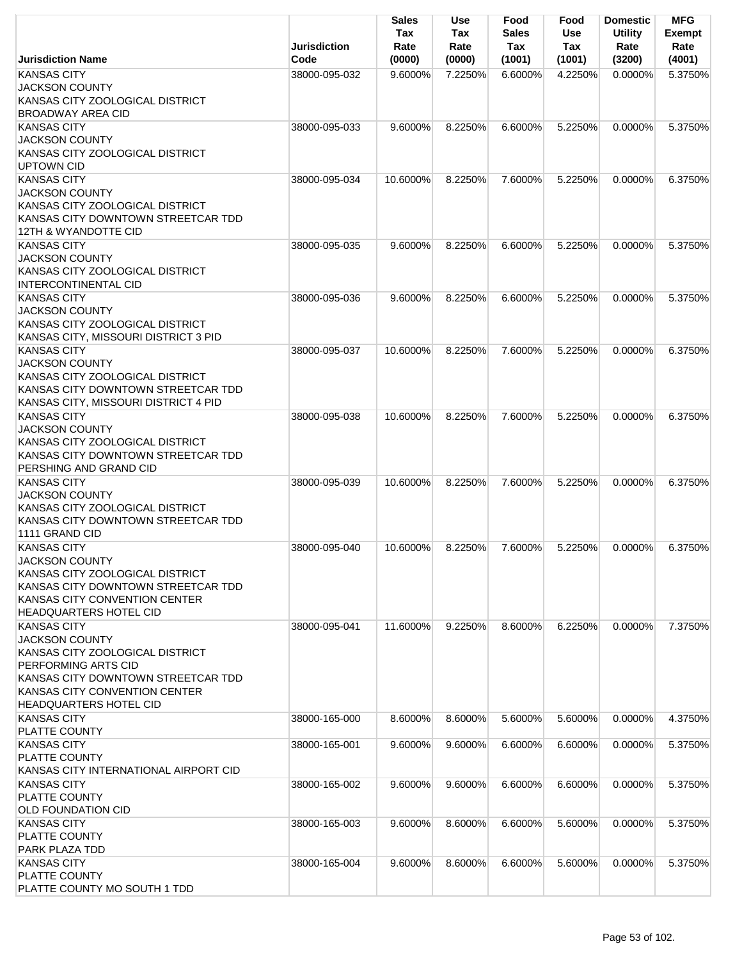|                                                                                                                                                                                                               | <b>Jurisdiction</b> | <b>Sales</b><br>Tax<br>Rate | Use<br>Tax<br>Rate | Food<br><b>Sales</b><br>Tax | Food<br><b>Use</b><br>Tax | <b>Domestic</b><br><b>Utility</b><br>Rate | <b>MFG</b><br><b>Exempt</b><br>Rate |
|---------------------------------------------------------------------------------------------------------------------------------------------------------------------------------------------------------------|---------------------|-----------------------------|--------------------|-----------------------------|---------------------------|-------------------------------------------|-------------------------------------|
| <b>Jurisdiction Name</b>                                                                                                                                                                                      | Code                | (0000)                      | (0000)             | (1001)                      | (1001)                    | (3200)                                    | (4001)                              |
| <b>KANSAS CITY</b><br><b>JACKSON COUNTY</b><br>KANSAS CITY ZOOLOGICAL DISTRICT<br><b>BROADWAY AREA CID</b>                                                                                                    | 38000-095-032       | 9.6000%                     | 7.2250%            | 6.6000%                     | 4.2250%                   | 0.0000%                                   | 5.3750%                             |
| <b>KANSAS CITY</b><br><b>JACKSON COUNTY</b><br>KANSAS CITY ZOOLOGICAL DISTRICT<br><b>UPTOWN CID</b>                                                                                                           | 38000-095-033       | 9.6000%                     | 8.2250%            | 6.6000%                     | 5.2250%                   | 0.0000%                                   | 5.3750%                             |
| <b>KANSAS CITY</b><br><b>JACKSON COUNTY</b><br>KANSAS CITY ZOOLOGICAL DISTRICT<br>KANSAS CITY DOWNTOWN STREETCAR TDD<br>12TH & WYANDOTTE CID                                                                  | 38000-095-034       | 10.6000%                    | 8.2250%            | 7.6000%                     | 5.2250%                   | $0.0000\%$                                | 6.3750%                             |
| <b>KANSAS CITY</b><br><b>JACKSON COUNTY</b><br>KANSAS CITY ZOOLOGICAL DISTRICT<br><b>INTERCONTINENTAL CID</b>                                                                                                 | 38000-095-035       | 9.6000%                     | 8.2250%            | 6.6000%                     | 5.2250%                   | 0.0000%                                   | 5.3750%                             |
| <b>KANSAS CITY</b><br><b>JACKSON COUNTY</b><br>KANSAS CITY ZOOLOGICAL DISTRICT<br>KANSAS CITY, MISSOURI DISTRICT 3 PID                                                                                        | 38000-095-036       | 9.6000%                     | 8.2250%            | 6.6000%                     | 5.2250%                   | 0.0000%                                   | 5.3750%                             |
| <b>KANSAS CITY</b><br><b>JACKSON COUNTY</b><br>KANSAS CITY ZOOLOGICAL DISTRICT<br>KANSAS CITY DOWNTOWN STREETCAR TDD<br>KANSAS CITY, MISSOURI DISTRICT 4 PID                                                  | 38000-095-037       | 10.6000%                    | 8.2250%            | 7.6000%                     | 5.2250%                   | 0.0000%                                   | 6.3750%                             |
| <b>KANSAS CITY</b><br><b>JACKSON COUNTY</b><br>KANSAS CITY ZOOLOGICAL DISTRICT<br>KANSAS CITY DOWNTOWN STREETCAR TDD<br>PERSHING AND GRAND CID                                                                | 38000-095-038       | 10.6000%                    | 8.2250%            | 7.6000%                     | 5.2250%                   | $0.0000\%$                                | 6.3750%                             |
| <b>KANSAS CITY</b><br><b>JACKSON COUNTY</b><br>KANSAS CITY ZOOLOGICAL DISTRICT<br>KANSAS CITY DOWNTOWN STREETCAR TDD<br>1111 GRAND CID                                                                        | 38000-095-039       | 10.6000%                    | 8.2250%            | 7.6000%                     | 5.2250%                   | $0.0000\%$                                | 6.3750%                             |
| <b>KANSAS CITY</b><br><b>JACKSON COUNTY</b><br>KANSAS CITY ZOOLOGICAL DISTRICT<br>KANSAS CITY DOWNTOWN STREETCAR TDD<br>KANSAS CITY CONVENTION CENTER<br><b>HEADQUARTERS HOTEL CID</b>                        | 38000-095-040       | 10.6000%                    | 8.2250%            | 7.6000%                     | 5.2250%                   | 0.0000%                                   | 6.3750%                             |
| <b>KANSAS CITY</b><br><b>JACKSON COUNTY</b><br>KANSAS CITY ZOOLOGICAL DISTRICT<br>PERFORMING ARTS CID<br>KANSAS CITY DOWNTOWN STREETCAR TDD<br>KANSAS CITY CONVENTION CENTER<br><b>HEADQUARTERS HOTEL CID</b> | 38000-095-041       | 11.6000%                    | 9.2250%            | 8.6000%                     | 6.2250%                   | 0.0000%                                   | 7.3750%                             |
| <b>KANSAS CITY</b><br>PLATTE COUNTY                                                                                                                                                                           | 38000-165-000       | 8.6000%                     | 8.6000%            | 5.6000%                     | 5.6000%                   | 0.0000%                                   | 4.3750%                             |
| <b>KANSAS CITY</b><br>PLATTE COUNTY<br>KANSAS CITY INTERNATIONAL AIRPORT CID                                                                                                                                  | 38000-165-001       | 9.6000%                     | 9.6000%            | 6.6000%                     | 6.6000%                   | 0.0000%                                   | 5.3750%                             |
| <b>KANSAS CITY</b><br>PLATTE COUNTY<br><b>OLD FOUNDATION CID</b>                                                                                                                                              | 38000-165-002       | 9.6000%                     | 9.6000%            | 6.6000%                     | 6.6000%                   | 0.0000%                                   | 5.3750%                             |
| <b>KANSAS CITY</b><br>PLATTE COUNTY<br>PARK PLAZA TDD                                                                                                                                                         | 38000-165-003       | 9.6000%                     | 8.6000%            | 6.6000%                     | 5.6000%                   | $0.0000\%$                                | 5.3750%                             |
| <b>KANSAS CITY</b><br>PLATTE COUNTY<br>PLATTE COUNTY MO SOUTH 1 TDD                                                                                                                                           | 38000-165-004       | 9.6000%                     | 8.6000%            | 6.6000%                     | 5.6000%                   | $0.0000\%$                                | 5.3750%                             |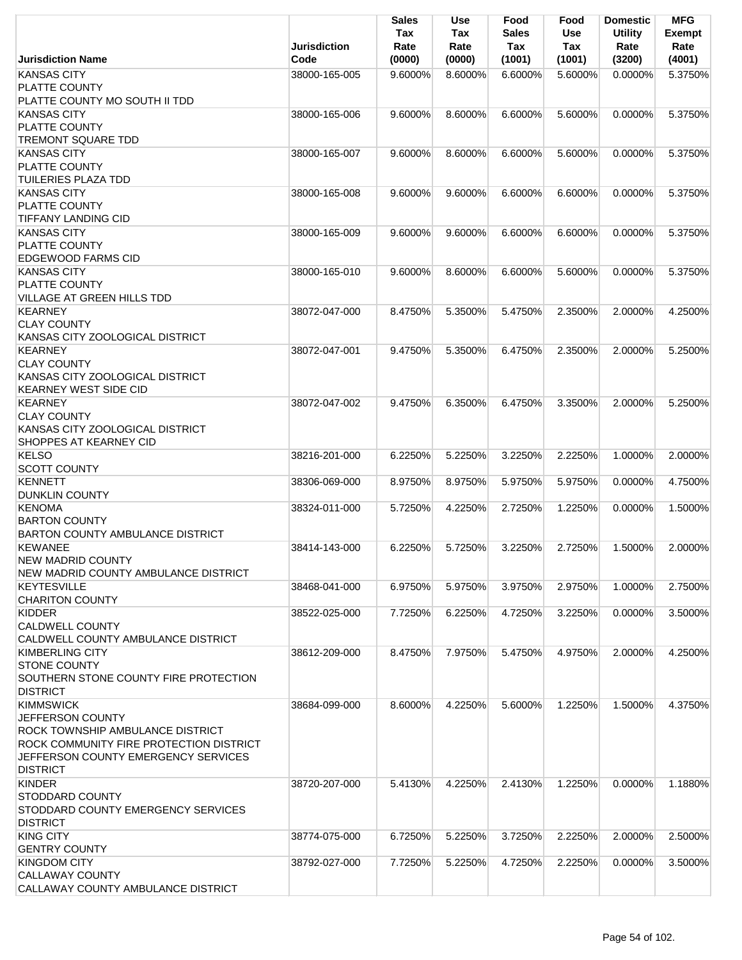|                                                                                 | <b>Jurisdiction</b> | Sales<br>Tax<br>Rate | Use<br>Tax<br>Rate | Food<br><b>Sales</b><br>Tax | Food<br>Use<br>Tax | <b>Domestic</b><br><b>Utility</b><br>Rate | <b>MFG</b><br><b>Exempt</b><br>Rate |
|---------------------------------------------------------------------------------|---------------------|----------------------|--------------------|-----------------------------|--------------------|-------------------------------------------|-------------------------------------|
| <b>Jurisdiction Name</b>                                                        | Code                | (0000)               | (0000)             | (1001)                      | (1001)             | (3200)                                    | (4001)                              |
| <b>KANSAS CITY</b><br>PLATTE COUNTY                                             | 38000-165-005       | 9.6000%              | 8.6000%            | 6.6000%                     | 5.6000%            | $0.0000\%$                                | 5.3750%                             |
| PLATTE COUNTY MO SOUTH II TDD                                                   |                     |                      |                    |                             |                    |                                           |                                     |
| <b>KANSAS CITY</b><br><b>PLATTE COUNTY</b>                                      | 38000-165-006       | 9.6000%              | 8.6000%            | 6.6000%                     | 5.6000%            | 0.0000%                                   | 5.3750%                             |
| <b>TREMONT SQUARE TDD</b>                                                       |                     |                      |                    |                             |                    |                                           |                                     |
| <b>KANSAS CITY</b><br><b>PLATTE COUNTY</b>                                      | 38000-165-007       | 9.6000%              | 8.6000%            | 6.6000%                     | 5.6000%            | 0.0000%                                   | 5.3750%                             |
| <b>TUILERIES PLAZA TDD</b><br><b>KANSAS CITY</b>                                | 38000-165-008       | 9.6000%              | 9.6000%            | 6.6000%                     | 6.6000%            | $0.0000\%$                                | 5.3750%                             |
| <b>PLATTE COUNTY</b><br><b>TIFFANY LANDING CID</b>                              |                     |                      |                    |                             |                    |                                           |                                     |
| <b>KANSAS CITY</b>                                                              | 38000-165-009       | 9.6000%              | 9.6000%            | 6.6000%                     | 6.6000%            | 0.0000%                                   | 5.3750%                             |
| PLATTE COUNTY                                                                   |                     |                      |                    |                             |                    |                                           |                                     |
| <b>EDGEWOOD FARMS CID</b>                                                       |                     |                      |                    |                             |                    |                                           |                                     |
| <b>KANSAS CITY</b><br><b>PLATTE COUNTY</b>                                      | 38000-165-010       | 9.6000%              | 8.6000%            | 6.6000%                     | 5.6000%            | 0.0000%                                   | 5.3750%                             |
| <b>VILLAGE AT GREEN HILLS TDD</b>                                               |                     |                      |                    |                             |                    |                                           |                                     |
| <b>KEARNEY</b><br><b>CLAY COUNTY</b>                                            | 38072-047-000       | 8.4750%              | 5.3500%            | 5.4750%                     | 2.3500%            | 2.0000%                                   | 4.2500%                             |
| KANSAS CITY ZOOLOGICAL DISTRICT                                                 |                     |                      |                    |                             |                    |                                           |                                     |
| <b>KEARNEY</b>                                                                  | 38072-047-001       | 9.4750%              | 5.3500%            | 6.4750%                     | 2.3500%            | 2.0000%                                   | 5.2500%                             |
| <b>CLAY COUNTY</b>                                                              |                     |                      |                    |                             |                    |                                           |                                     |
| KANSAS CITY ZOOLOGICAL DISTRICT<br><b>KEARNEY WEST SIDE CID</b>                 |                     |                      |                    |                             |                    |                                           |                                     |
| <b>KEARNEY</b>                                                                  | 38072-047-002       | 9.4750%              | 6.3500%            | 6.4750%                     | 3.3500%            | 2.0000%                                   | 5.2500%                             |
| <b>CLAY COUNTY</b>                                                              |                     |                      |                    |                             |                    |                                           |                                     |
| KANSAS CITY ZOOLOGICAL DISTRICT                                                 |                     |                      |                    |                             |                    |                                           |                                     |
| SHOPPES AT KEARNEY CID                                                          |                     |                      |                    |                             |                    |                                           |                                     |
| <b>KELSO</b><br><b>SCOTT COUNTY</b>                                             | 38216-201-000       | 6.2250%              | 5.2250%            | 3.2250%                     | 2.2250%            | 1.0000%                                   | 2.0000%                             |
| <b>KENNETT</b>                                                                  | 38306-069-000       | 8.9750%              | 8.9750%            | 5.9750%                     | 5.9750%            | 0.0000%                                   | 4.7500%                             |
| <b>DUNKLIN COUNTY</b><br><b>KENOMA</b>                                          | 38324-011-000       | 5.7250%              | 4.2250%            | 2.7250%                     | 1.2250%            | 0.0000%                                   | 1.5000%                             |
| <b>BARTON COUNTY</b><br>BARTON COUNTY AMBULANCE DISTRICT                        |                     |                      |                    |                             |                    |                                           |                                     |
| <b>KEWANEE</b>                                                                  | 38414-143-000       | 6.2250%              | 5.7250%            | 3.2250%                     | 2.7250%            | 1.5000%                                   | 2.0000%                             |
| <b>NEW MADRID COUNTY</b><br>NEW MADRID COUNTY AMBULANCE DISTRICT                |                     |                      |                    |                             |                    |                                           |                                     |
| <b>KEYTESVILLE</b><br><b>CHARITON COUNTY</b>                                    | 38468-041-000       | 6.9750%              | 5.9750%            | 3.9750%                     | 2.9750%            | 1.0000%                                   | 2.7500%                             |
| <b>KIDDER</b>                                                                   | 38522-025-000       | 7.7250%              | 6.2250%            | 4.7250%                     | 3.2250%            | 0.0000%                                   | 3.5000%                             |
| <b>CALDWELL COUNTY</b><br>CALDWELL COUNTY AMBULANCE DISTRICT                    |                     |                      |                    |                             |                    |                                           |                                     |
| KIMBERLING CITY                                                                 | 38612-209-000       | 8.4750%              | 7.9750%            | 5.4750%                     | 4.9750%            | 2.0000%                                   | 4.2500%                             |
| <b>STONE COUNTY</b><br>SOUTHERN STONE COUNTY FIRE PROTECTION<br><b>DISTRICT</b> |                     |                      |                    |                             |                    |                                           |                                     |
| <b>KIMMSWICK</b>                                                                | 38684-099-000       | 8.6000%              | 4.2250%            | 5.6000%                     | 1.2250%            | 1.5000%                                   | 4.3750%                             |
| <b>JEFFERSON COUNTY</b>                                                         |                     |                      |                    |                             |                    |                                           |                                     |
| <b>ROCK TOWNSHIP AMBULANCE DISTRICT</b>                                         |                     |                      |                    |                             |                    |                                           |                                     |
| ROCK COMMUNITY FIRE PROTECTION DISTRICT                                         |                     |                      |                    |                             |                    |                                           |                                     |
| JEFFERSON COUNTY EMERGENCY SERVICES                                             |                     |                      |                    |                             |                    |                                           |                                     |
| <b>DISTRICT</b>                                                                 |                     |                      |                    |                             |                    |                                           |                                     |
| <b>KINDER</b>                                                                   | 38720-207-000       | 5.4130%              | 4.2250%            | 2.4130%                     | 1.2250%            | 0.0000%                                   | 1.1880%                             |
| <b>STODDARD COUNTY</b>                                                          |                     |                      |                    |                             |                    |                                           |                                     |
| STODDARD COUNTY EMERGENCY SERVICES                                              |                     |                      |                    |                             |                    |                                           |                                     |
| <b>DISTRICT</b>                                                                 |                     |                      |                    |                             |                    |                                           |                                     |
| <b>KING CITY</b>                                                                | 38774-075-000       | 6.7250%              | 5.2250%            | 3.7250%                     | 2.2250%            | 2.0000%                                   | 2.5000%                             |
| <b>GENTRY COUNTY</b>                                                            |                     |                      |                    |                             |                    |                                           |                                     |
| <b>KINGDOM CITY</b><br><b>CALLAWAY COUNTY</b>                                   | 38792-027-000       | 7.7250%              | 5.2250%            | 4.7250%                     | 2.2250%            | 0.0000%                                   | 3.5000%                             |
| CALLAWAY COUNTY AMBULANCE DISTRICT                                              |                     |                      |                    |                             |                    |                                           |                                     |
|                                                                                 |                     |                      |                    |                             |                    |                                           |                                     |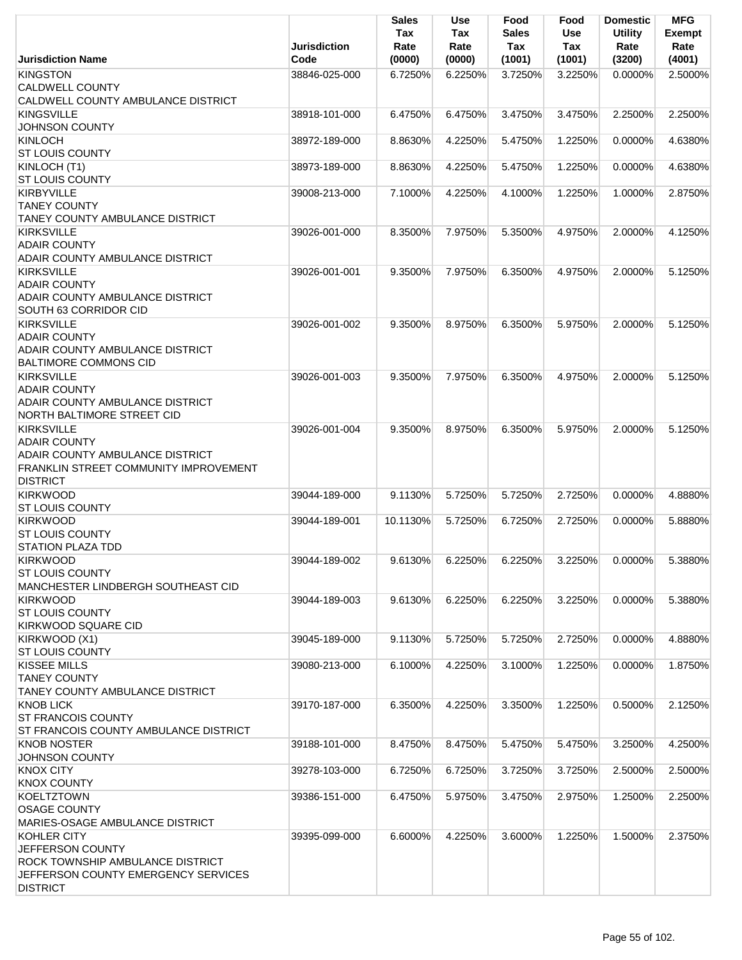|                                                                                                                                                       | <b>Jurisdiction</b> | <b>Sales</b><br>Tax<br>Rate | <b>Use</b><br>Tax<br>Rate | Food<br><b>Sales</b><br>Tax | Food<br>Use<br>Tax | <b>Domestic</b><br><b>Utility</b><br>Rate | <b>MFG</b><br><b>Exempt</b><br>Rate |
|-------------------------------------------------------------------------------------------------------------------------------------------------------|---------------------|-----------------------------|---------------------------|-----------------------------|--------------------|-------------------------------------------|-------------------------------------|
| <b>Jurisdiction Name</b>                                                                                                                              | Code                | (0000)                      | (0000)                    | (1001)                      | (1001)             | (3200)                                    | (4001)                              |
| <b>KINGSTON</b><br><b>CALDWELL COUNTY</b><br>CALDWELL COUNTY AMBULANCE DISTRICT                                                                       | 38846-025-000       | 6.7250%                     | 6.2250%                   | 3.7250%                     | 3.2250%            | $0.0000\%$                                | 2.5000%                             |
| <b>KINGSVILLE</b><br><b>JOHNSON COUNTY</b>                                                                                                            | 38918-101-000       | 6.4750%                     | 6.4750%                   | 3.4750%                     | 3.4750%            | 2.2500%                                   | 2.2500%                             |
| <b>KINLOCH</b>                                                                                                                                        | 38972-189-000       | 8.8630%                     | 4.2250%                   | 5.4750%                     | 1.2250%            | 0.0000%                                   | 4.6380%                             |
| <b>ST LOUIS COUNTY</b><br>KINLOCH (T1)                                                                                                                | 38973-189-000       | 8.8630%                     | 4.2250%                   | 5.4750%                     | 1.2250%            | $0.0000\%$                                | 4.6380%                             |
| <b>ST LOUIS COUNTY</b><br><b>KIRBYVILLE</b>                                                                                                           | 39008-213-000       | 7.1000%                     | 4.2250%                   | 4.1000%                     | 1.2250%            | 1.0000%                                   | 2.8750%                             |
| <b>TANEY COUNTY</b><br>TANEY COUNTY AMBULANCE DISTRICT                                                                                                |                     |                             |                           |                             |                    |                                           |                                     |
| <b>KIRKSVILLE</b><br><b>ADAIR COUNTY</b><br><b>ADAIR COUNTY AMBULANCE DISTRICT</b>                                                                    | 39026-001-000       | 8.3500%                     | 7.9750%                   | 5.3500%                     | 4.9750%            | 2.0000%                                   | 4.1250%                             |
| <b>KIRKSVILLE</b><br><b>ADAIR COUNTY</b><br><b>ADAIR COUNTY AMBULANCE DISTRICT</b><br><b>SOUTH 63 CORRIDOR CID</b>                                    | 39026-001-001       | 9.3500%                     | 7.9750%                   | 6.3500%                     | 4.9750%            | 2.0000%                                   | 5.1250%                             |
| <b>KIRKSVILLE</b><br><b>ADAIR COUNTY</b><br><b>ADAIR COUNTY AMBULANCE DISTRICT</b><br><b>BALTIMORE COMMONS CID</b>                                    | 39026-001-002       | 9.3500%                     | 8.9750%                   | 6.3500%                     | 5.9750%            | 2.0000%                                   | 5.1250%                             |
| <b>KIRKSVILLE</b><br><b>ADAIR COUNTY</b><br>ADAIR COUNTY AMBULANCE DISTRICT<br>NORTH BALTIMORE STREET CID                                             | 39026-001-003       | 9.3500%                     | 7.9750%                   | 6.3500%                     | 4.9750%            | 2.0000%                                   | 5.1250%                             |
| <b>KIRKSVILLE</b><br><b>ADAIR COUNTY</b><br><b>ADAIR COUNTY AMBULANCE DISTRICT</b><br><b>FRANKLIN STREET COMMUNITY IMPROVEMENT</b><br><b>DISTRICT</b> | 39026-001-004       | 9.3500%                     | 8.9750%                   | 6.3500%                     | 5.9750%            | 2.0000%                                   | 5.1250%                             |
| <b>KIRKWOOD</b><br><b>ST LOUIS COUNTY</b>                                                                                                             | 39044-189-000       | 9.1130%                     | 5.7250%                   | 5.7250%                     | 2.7250%            | 0.0000%                                   | 4.8880%                             |
| <b>KIRKWOOD</b><br>ST LOUIS COUNTY<br><b>STATION PLAZA TDD</b>                                                                                        | 39044-189-001       | 10.1130%                    | 5.7250%                   | 6.7250%                     | 2.7250%            | 0.0000%                                   | 5.8880%                             |
| <b>KIRKWOOD</b><br><b>ST LOUIS COUNTY</b><br>MANCHESTER LINDBERGH SOUTHEAST CID                                                                       | 39044-189-002       | 9.6130%                     | 6.2250%                   | 6.2250%                     | 3.2250%            | 0.0000%                                   | 5.3880%                             |
| <b>KIRKWOOD</b><br><b>ST LOUIS COUNTY</b><br><b>KIRKWOOD SQUARE CID</b>                                                                               | 39044-189-003       | 9.6130%                     | 6.2250%                   | 6.2250%                     | 3.2250%            | $0.0000\%$                                | 5.3880%                             |
| KIRKWOOD (X1)<br><b>ST LOUIS COUNTY</b>                                                                                                               | 39045-189-000       | 9.1130%                     | 5.7250%                   | 5.7250%                     | 2.7250%            | 0.0000%                                   | 4.8880%                             |
| <b>KISSEE MILLS</b><br><b>TANEY COUNTY</b><br>TANEY COUNTY AMBULANCE DISTRICT                                                                         | 39080-213-000       | 6.1000%                     | 4.2250%                   | 3.1000%                     | 1.2250%            | $0.0000\%$                                | 1.8750%                             |
| <b>KNOB LICK</b><br><b>ST FRANCOIS COUNTY</b><br>ST FRANCOIS COUNTY AMBULANCE DISTRICT                                                                | 39170-187-000       | 6.3500%                     | 4.2250%                   | 3.3500%                     | 1.2250%            | 0.5000%                                   | 2.1250%                             |
| <b>KNOB NOSTER</b><br><b>JOHNSON COUNTY</b>                                                                                                           | 39188-101-000       | 8.4750%                     | 8.4750%                   | 5.4750%                     | 5.4750%            | 3.2500%                                   | 4.2500%                             |
| <b>KNOX CITY</b><br><b>KNOX COUNTY</b>                                                                                                                | 39278-103-000       | 6.7250%                     | 6.7250%                   | 3.7250%                     | 3.7250%            | 2.5000%                                   | 2.5000%                             |
| <b>KOELTZTOWN</b><br><b>OSAGE COUNTY</b><br>MARIES-OSAGE AMBULANCE DISTRICT                                                                           | 39386-151-000       | 6.4750%                     | 5.9750%                   | 3.4750%                     | 2.9750%            | 1.2500%                                   | 2.2500%                             |
| KOHLER CITY<br><b>JEFFERSON COUNTY</b><br>ROCK TOWNSHIP AMBULANCE DISTRICT<br>JEFFERSON COUNTY EMERGENCY SERVICES<br><b>DISTRICT</b>                  | 39395-099-000       | 6.6000%                     | 4.2250%                   | 3.6000%                     | 1.2250%            | 1.5000%                                   | 2.3750%                             |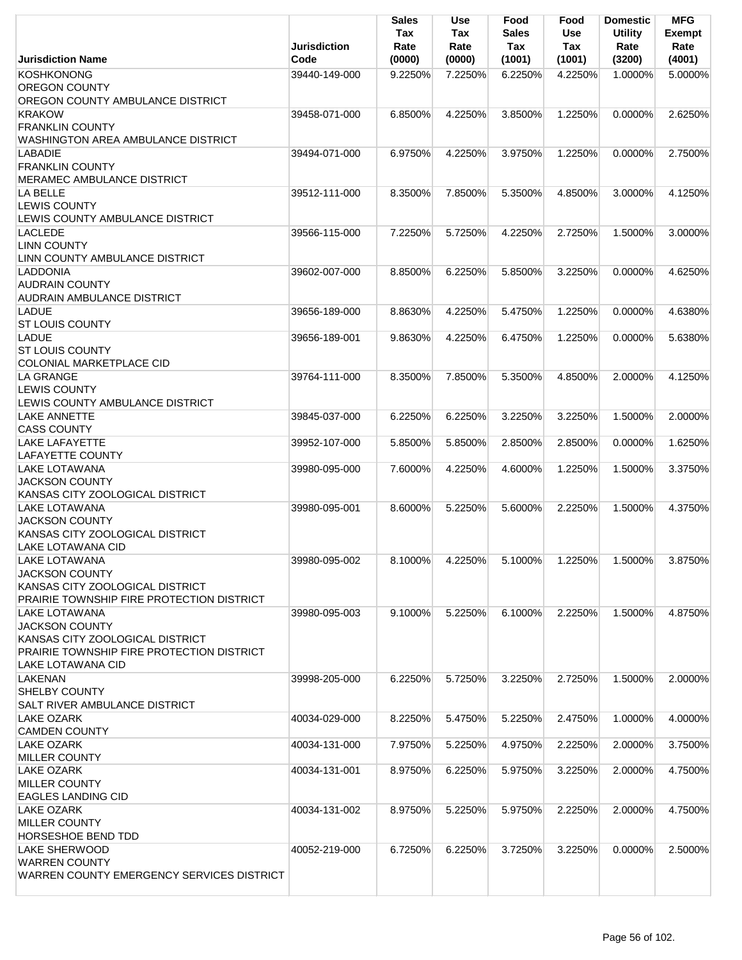|                                                                              | <b>Jurisdiction</b> | <b>Sales</b><br>Tax<br>Rate | <b>Use</b><br>Tax<br>Rate | Food<br><b>Sales</b><br>Tax | Food<br>Use<br>Tax | <b>Domestic</b><br><b>Utility</b><br>Rate | <b>MFG</b><br><b>Exempt</b><br>Rate |
|------------------------------------------------------------------------------|---------------------|-----------------------------|---------------------------|-----------------------------|--------------------|-------------------------------------------|-------------------------------------|
| <b>Jurisdiction Name</b>                                                     | Code                | (0000)                      | (0000)                    | (1001)                      | (1001)             | (3200)                                    | (4001)                              |
| <b>KOSHKONONG</b><br><b>OREGON COUNTY</b>                                    | 39440-149-000       | 9.2250%                     | 7.2250%                   | 6.2250%                     | 4.2250%            | 1.0000%                                   | 5.0000%                             |
| OREGON COUNTY AMBULANCE DISTRICT<br><b>KRAKOW</b>                            |                     |                             |                           |                             |                    |                                           | 2.6250%                             |
| <b>FRANKLIN COUNTY</b>                                                       | 39458-071-000       | 6.8500%                     | 4.2250%                   | 3.8500%                     | 1.2250%            | $0.0000\%$                                |                                     |
| WASHINGTON AREA AMBULANCE DISTRICT                                           |                     |                             |                           |                             |                    |                                           |                                     |
| <b>LABADIE</b>                                                               | 39494-071-000       | 6.9750%                     | 4.2250%                   | 3.9750%                     | 1.2250%            | 0.0000%                                   | 2.7500%                             |
| <b>FRANKLIN COUNTY</b><br><b>IMERAMEC AMBULANCE DISTRICT</b>                 |                     |                             |                           |                             |                    |                                           |                                     |
| <b>LA BELLE</b>                                                              | 39512-111-000       | 8.3500%                     | 7.8500%                   | 5.3500%                     | 4.8500%            | 3.0000%                                   | 4.1250%                             |
| <b>LEWIS COUNTY</b><br>LEWIS COUNTY AMBULANCE DISTRICT                       |                     |                             |                           |                             |                    |                                           |                                     |
| <b>LACLEDE</b>                                                               | 39566-115-000       | 7.2250%                     | 5.7250%                   | 4.2250%                     | 2.7250%            | 1.5000%                                   | 3.0000%                             |
| <b>LINN COUNTY</b>                                                           |                     |                             |                           |                             |                    |                                           |                                     |
| LINN COUNTY AMBULANCE DISTRICT                                               |                     |                             |                           |                             |                    |                                           |                                     |
| LADDONIA<br><b>AUDRAIN COUNTY</b><br><b>AUDRAIN AMBULANCE DISTRICT</b>       | 39602-007-000       | 8.8500%                     | 6.2250%                   | 5.8500%                     | 3.2250%            | 0.0000%                                   | 4.6250%                             |
| <b>LADUE</b>                                                                 | 39656-189-000       | 8.8630%                     | 4.2250%                   | 5.4750%                     | 1.2250%            | 0.0000%                                   | 4.6380%                             |
| <b>ST LOUIS COUNTY</b>                                                       |                     |                             |                           |                             |                    |                                           |                                     |
| <b>LADUE</b><br><b>ST LOUIS COUNTY</b><br><b>COLONIAL MARKETPLACE CID</b>    | 39656-189-001       | 9.8630%                     | 4.2250%                   | 6.4750%                     | 1.2250%            | 0.0000%                                   | 5.6380%                             |
| LA GRANGE                                                                    | 39764-111-000       | 8.3500%                     | 7.8500%                   | 5.3500%                     | 4.8500%            | 2.0000%                                   | 4.1250%                             |
| <b>LEWIS COUNTY</b><br>LEWIS COUNTY AMBULANCE DISTRICT                       |                     |                             |                           |                             |                    |                                           |                                     |
| LAKE ANNETTE                                                                 | 39845-037-000       | 6.2250%                     | 6.2250%                   | 3.2250%                     | 3.2250%            | 1.5000%                                   | 2.0000%                             |
| <b>CASS COUNTY</b>                                                           |                     |                             |                           |                             |                    |                                           |                                     |
| LAKE LAFAYETTE<br><b>LAFAYETTE COUNTY</b>                                    | 39952-107-000       | 5.8500%                     | 5.8500%                   | 2.8500%                     | 2.8500%            | $0.0000\%$                                | 1.6250%                             |
| <b>LAKE LOTAWANA</b><br><b>JACKSON COUNTY</b>                                | 39980-095-000       | 7.6000%                     | 4.2250%                   | 4.6000%                     | 1.2250%            | 1.5000%                                   | 3.3750%                             |
| KANSAS CITY ZOOLOGICAL DISTRICT<br>LAKE LOTAWANA                             | 39980-095-001       | 8.6000%                     | 5.2250%                   | 5.6000%                     | 2.2250%            | 1.5000%                                   | 4.3750%                             |
| <b>JACKSON COUNTY</b>                                                        |                     |                             |                           |                             |                    |                                           |                                     |
| KANSAS CITY ZOOLOGICAL DISTRICT                                              |                     |                             |                           |                             |                    |                                           |                                     |
| LAKE LOTAWANA CID                                                            |                     |                             |                           |                             |                    |                                           |                                     |
| <b>LAKE LOTAWANA</b>                                                         | 39980-095-002       | 8.1000%                     | 4.2250%                   | 5.1000%                     | 1.2250%            | 1.5000%                                   | 3.8750%                             |
| <b>JACKSON COUNTY</b>                                                        |                     |                             |                           |                             |                    |                                           |                                     |
| KANSAS CITY ZOOLOGICAL DISTRICT<br>PRAIRIE TOWNSHIP FIRE PROTECTION DISTRICT |                     |                             |                           |                             |                    |                                           |                                     |
| LAKE LOTAWANA                                                                | 39980-095-003       | 9.1000%                     | 5.2250%                   | 6.1000%                     | 2.2250%            | 1.5000%                                   | 4.8750%                             |
| <b>JACKSON COUNTY</b>                                                        |                     |                             |                           |                             |                    |                                           |                                     |
| KANSAS CITY ZOOLOGICAL DISTRICT                                              |                     |                             |                           |                             |                    |                                           |                                     |
| PRAIRIE TOWNSHIP FIRE PROTECTION DISTRICT                                    |                     |                             |                           |                             |                    |                                           |                                     |
| LAKE LOTAWANA CID                                                            |                     |                             |                           |                             |                    |                                           |                                     |
| LAKENAN                                                                      | 39998-205-000       | 6.2250%                     | 5.7250%                   | 3.2250%                     | 2.7250%            | 1.5000%                                   | 2.0000%                             |
| <b>SHELBY COUNTY</b><br>SALT RIVER AMBULANCE DISTRICT                        |                     |                             |                           |                             |                    |                                           |                                     |
| <b>LAKE OZARK</b>                                                            | 40034-029-000       | 8.2250%                     | 5.4750%                   | 5.2250%                     | 2.4750%            | 1.0000%                                   | 4.0000%                             |
| <b>CAMDEN COUNTY</b>                                                         |                     |                             |                           |                             |                    |                                           |                                     |
| <b>LAKE OZARK</b>                                                            | 40034-131-000       | 7.9750%                     | 5.2250%                   | 4.9750%                     | 2.2250%            | 2.0000%                                   | 3.7500%                             |
| <b>MILLER COUNTY</b><br><b>LAKE OZARK</b>                                    | 40034-131-001       | 8.9750%                     |                           | 5.9750%                     | 3.2250%            | 2.0000%                                   | 4.7500%                             |
| <b>MILLER COUNTY</b>                                                         |                     |                             | 6.2250%                   |                             |                    |                                           |                                     |
| <b>EAGLES LANDING CID</b>                                                    |                     |                             |                           |                             |                    |                                           |                                     |
| <b>LAKE OZARK</b>                                                            | 40034-131-002       | 8.9750%                     | 5.2250%                   | 5.9750%                     | 2.2250%            | 2.0000%                                   | 4.7500%                             |
| <b>MILLER COUNTY</b>                                                         |                     |                             |                           |                             |                    |                                           |                                     |
| <b>HORSESHOE BEND TDD</b>                                                    |                     |                             |                           |                             |                    |                                           |                                     |
| <b>LAKE SHERWOOD</b>                                                         | 40052-219-000       | 6.7250%                     | 6.2250%                   | 3.7250%                     | 3.2250%            | $0.0000\%$                                | 2.5000%                             |
| <b>WARREN COUNTY</b><br>WARREN COUNTY EMERGENCY SERVICES DISTRICT            |                     |                             |                           |                             |                    |                                           |                                     |
|                                                                              |                     |                             |                           |                             |                    |                                           |                                     |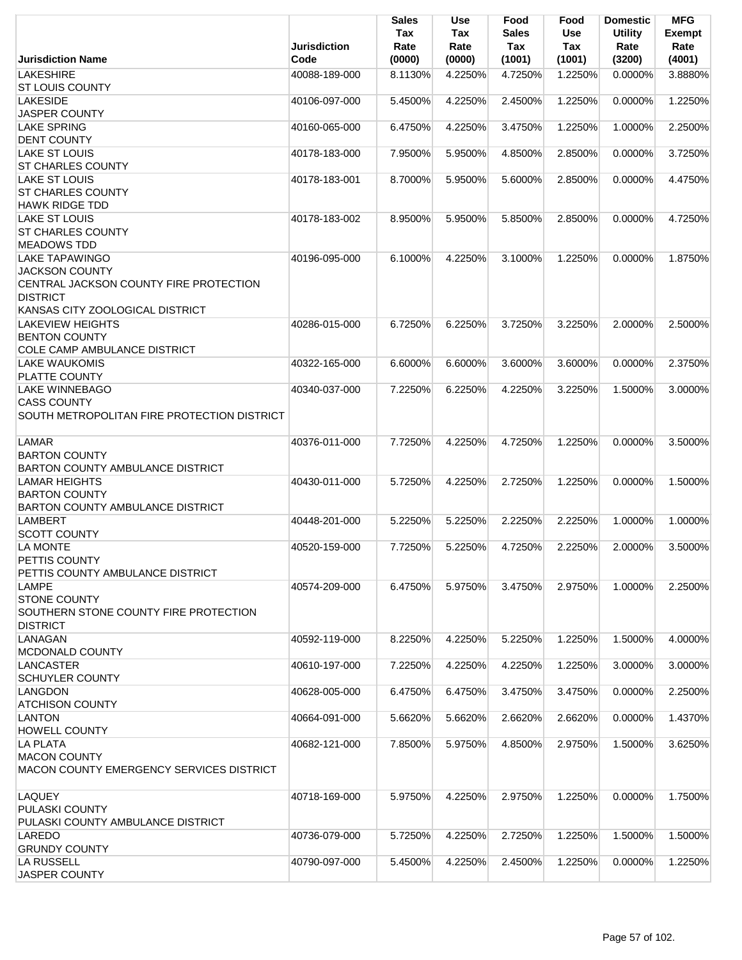|                                                 | Jurisdiction  | <b>Sales</b><br>Tax<br>Rate | <b>Use</b><br>Tax<br>Rate | Food<br><b>Sales</b><br>Tax | Food<br><b>Use</b><br>Tax | <b>Domestic</b><br><b>Utility</b><br>Rate | <b>MFG</b><br>Exempt<br>Rate |
|-------------------------------------------------|---------------|-----------------------------|---------------------------|-----------------------------|---------------------------|-------------------------------------------|------------------------------|
| <b>Jurisdiction Name</b>                        | Code          | (0000)                      | (0000)                    | (1001)                      | (1001)                    | (3200)                                    | (4001)                       |
| <b>LAKESHIRE</b>                                | 40088-189-000 | 8.1130%                     | 4.2250%                   | 4.7250%                     | 1.2250%                   | 0.0000%                                   | 3.8880%                      |
| <b>ST LOUIS COUNTY</b>                          |               |                             |                           |                             |                           |                                           |                              |
| <b>LAKESIDE</b>                                 | 40106-097-000 | 5.4500%                     | 4.2250%                   | 2.4500%                     | 1.2250%                   | 0.0000%                                   | 1.2250%                      |
| <b>JASPER COUNTY</b>                            |               |                             |                           |                             |                           |                                           |                              |
| <b>LAKE SPRING</b>                              | 40160-065-000 | 6.4750%                     | 4.2250%                   | 3.4750%                     | 1.2250%                   | 1.0000%                                   | 2.2500%                      |
| <b>DENT COUNTY</b>                              |               |                             |                           |                             |                           |                                           |                              |
| <b>LAKE ST LOUIS</b>                            | 40178-183-000 | 7.9500%                     | 5.9500%                   | 4.8500%                     | 2.8500%                   | 0.0000%                                   | 3.7250%                      |
| <b>ST CHARLES COUNTY</b>                        |               |                             |                           |                             |                           |                                           |                              |
| LAKE ST LOUIS                                   | 40178-183-001 | 8.7000%                     | 5.9500%                   | 5.6000%                     | 2.8500%                   | 0.0000%                                   | 4.4750%                      |
| <b>ST CHARLES COUNTY</b>                        |               |                             |                           |                             |                           |                                           |                              |
| <b>HAWK RIDGE TDD</b>                           |               |                             |                           |                             |                           |                                           |                              |
| <b>LAKE ST LOUIS</b>                            | 40178-183-002 | 8.9500%                     | 5.9500%                   | 5.8500%                     | 2.8500%                   | 0.0000%                                   | 4.7250%                      |
| <b>ST CHARLES COUNTY</b>                        |               |                             |                           |                             |                           |                                           |                              |
| <b>MEADOWS TDD</b>                              |               |                             |                           |                             |                           |                                           |                              |
| <b>LAKE TAPAWINGO</b>                           | 40196-095-000 | 6.1000%                     | 4.2250%                   | 3.1000%                     | 1.2250%                   | 0.0000%                                   | 1.8750%                      |
| <b>JACKSON COUNTY</b>                           |               |                             |                           |                             |                           |                                           |                              |
| CENTRAL JACKSON COUNTY FIRE PROTECTION          |               |                             |                           |                             |                           |                                           |                              |
| <b>DISTRICT</b>                                 |               |                             |                           |                             |                           |                                           |                              |
| KANSAS CITY ZOOLOGICAL DISTRICT                 |               |                             |                           |                             |                           |                                           |                              |
| <b>LAKEVIEW HEIGHTS</b>                         | 40286-015-000 | 6.7250%                     | 6.2250%                   | 3.7250%                     | 3.2250%                   | 2.0000%                                   | 2.5000%                      |
| <b>BENTON COUNTY</b>                            |               |                             |                           |                             |                           |                                           |                              |
| COLE CAMP AMBULANCE DISTRICT                    |               |                             |                           |                             |                           |                                           |                              |
| <b>LAKE WAUKOMIS</b>                            | 40322-165-000 | 6.6000%                     | 6.6000%                   | 3.6000%                     | 3.6000%                   | 0.0000%                                   | 2.3750%                      |
| <b>PLATTE COUNTY</b>                            |               |                             |                           |                             |                           |                                           |                              |
| <b>LAKE WINNEBAGO</b>                           | 40340-037-000 | 7.2250%                     | 6.2250%                   | 4.2250%                     | 3.2250%                   | 1.5000%                                   | 3.0000%                      |
| <b>CASS COUNTY</b>                              |               |                             |                           |                             |                           |                                           |                              |
| SOUTH METROPOLITAN FIRE PROTECTION DISTRICT     |               |                             |                           |                             |                           |                                           |                              |
|                                                 |               |                             |                           |                             |                           |                                           |                              |
| <b>LAMAR</b>                                    | 40376-011-000 | 7.7250%                     | 4.2250%                   | 4.7250%                     | 1.2250%                   | 0.0000%                                   | 3.5000%                      |
| <b>BARTON COUNTY</b>                            |               |                             |                           |                             |                           |                                           |                              |
| BARTON COUNTY AMBULANCE DISTRICT                |               |                             |                           |                             |                           |                                           |                              |
| <b>LAMAR HEIGHTS</b>                            | 40430-011-000 | 5.7250%                     | 4.2250%                   | 2.7250%                     | 1.2250%                   | 0.0000%                                   | 1.5000%                      |
| <b>BARTON COUNTY</b>                            |               |                             |                           |                             |                           |                                           |                              |
| <b>BARTON COUNTY AMBULANCE DISTRICT</b>         |               |                             |                           |                             |                           |                                           |                              |
| <b>LAMBERT</b>                                  | 40448-201-000 | 5.2250%                     | 5.2250%                   | 2.2250%                     | 2.2250%                   | 1.0000%                                   | 1.0000%                      |
| <b>SCOTT COUNTY</b>                             |               |                             |                           |                             |                           |                                           |                              |
| <b>LA MONTE</b>                                 | 40520-159-000 | 7.7250%                     | 5.2250%                   | 4.7250%                     | 2.2250%                   | 2.0000%                                   | 3.5000%                      |
| <b>PETTIS COUNTY</b>                            |               |                             |                           |                             |                           |                                           |                              |
| PETTIS COUNTY AMBULANCE DISTRICT                |               |                             |                           |                             |                           |                                           |                              |
| <b>LAMPE</b>                                    | 40574-209-000 | 6.4750%                     | 5.9750%                   | 3.4750%                     | 2.9750%                   | 1.0000%                                   | 2.2500%                      |
| <b>STONE COUNTY</b>                             |               |                             |                           |                             |                           |                                           |                              |
| SOUTHERN STONE COUNTY FIRE PROTECTION           |               |                             |                           |                             |                           |                                           |                              |
| <b>DISTRICT</b>                                 |               |                             |                           |                             |                           |                                           |                              |
| LANAGAN                                         | 40592-119-000 | 8.2250%                     | 4.2250%                   | 5.2250%                     | 1.2250%                   | 1.5000%                                   | 4.0000%                      |
| <b>MCDONALD COUNTY</b>                          |               |                             |                           |                             |                           |                                           |                              |
| LANCASTER                                       | 40610-197-000 | 7.2250%                     | 4.2250%                   | 4.2250%                     | 1.2250%                   | 3.0000%                                   | 3.0000%                      |
| <b>SCHUYLER COUNTY</b>                          |               |                             |                           |                             |                           |                                           |                              |
| LANGDON                                         | 40628-005-000 | 6.4750%                     | 6.4750%                   | 3.4750%                     | 3.4750%                   | 0.0000%                                   | 2.2500%                      |
| <b>ATCHISON COUNTY</b>                          |               |                             |                           |                             |                           |                                           |                              |
| <b>LANTON</b>                                   | 40664-091-000 | 5.6620%                     | 5.6620%                   | 2.6620%                     | 2.6620%                   | 0.0000%                                   | 1.4370%                      |
| <b>HOWELL COUNTY</b>                            |               |                             |                           |                             |                           |                                           |                              |
| <b>LA PLATA</b>                                 | 40682-121-000 | 7.8500%                     | 5.9750%                   | 4.8500%                     | 2.9750%                   | 1.5000%                                   | 3.6250%                      |
| <b>MACON COUNTY</b>                             |               |                             |                           |                             |                           |                                           |                              |
| <b>MACON COUNTY EMERGENCY SERVICES DISTRICT</b> |               |                             |                           |                             |                           |                                           |                              |
|                                                 |               |                             |                           |                             |                           |                                           |                              |
| <b>LAQUEY</b>                                   | 40718-169-000 | 5.9750%                     | 4.2250%                   | 2.9750%                     | 1.2250%                   | 0.0000%                                   | 1.7500%                      |
| <b>PULASKI COUNTY</b>                           |               |                             |                           |                             |                           |                                           |                              |
| PULASKI COUNTY AMBULANCE DISTRICT               |               |                             |                           |                             |                           |                                           |                              |
| LAREDO                                          | 40736-079-000 | 5.7250%                     | 4.2250%                   | 2.7250%                     | 1.2250%                   | 1.5000%                                   | 1.5000%                      |
| <b>GRUNDY COUNTY</b>                            |               |                             |                           |                             |                           |                                           |                              |
| LA RUSSELL                                      | 40790-097-000 | 5.4500%                     | 4.2250%                   | 2.4500%                     | 1.2250%                   | 0.0000%                                   | 1.2250%                      |
| <b>JASPER COUNTY</b>                            |               |                             |                           |                             |                           |                                           |                              |
|                                                 |               |                             |                           |                             |                           |                                           |                              |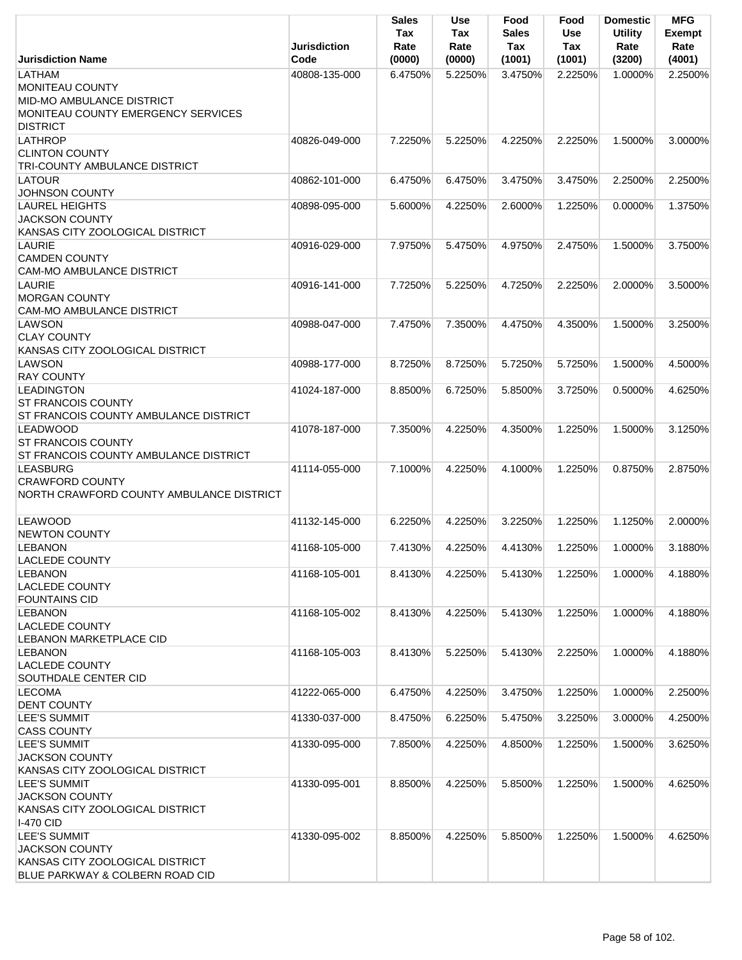|                                                                                                                        | <b>Jurisdiction</b>            | <b>Sales</b><br>Tax<br>Rate | Use<br>Tax<br>Rate | Food<br><b>Sales</b><br>Tax | Food<br><b>Use</b><br>Tax | <b>Domestic</b><br><b>Utility</b><br>Rate | <b>MFG</b><br><b>Exempt</b><br>Rate |
|------------------------------------------------------------------------------------------------------------------------|--------------------------------|-----------------------------|--------------------|-----------------------------|---------------------------|-------------------------------------------|-------------------------------------|
| <b>Jurisdiction Name</b>                                                                                               | Code                           | (0000)                      | (0000)             | (1001)                      | (1001)                    | (3200)                                    | (4001)                              |
| LATHAM<br><b>MONITEAU COUNTY</b><br>MID-MO AMBULANCE DISTRICT<br>MONITEAU COUNTY EMERGENCY SERVICES<br><b>DISTRICT</b> | 40808-135-000                  | 6.4750%                     | 5.2250%            | 3.4750%                     | 2.2250%                   | 1.0000%                                   | 2.2500%                             |
| LATHROP<br><b>CLINTON COUNTY</b><br><b>TRI-COUNTY AMBULANCE DISTRICT</b>                                               | 40826-049-000                  | 7.2250%                     | 5.2250%            | 4.2250%                     | 2.2250%                   | 1.5000%                                   | 3.0000%                             |
| <b>LATOUR</b><br><b>JOHNSON COUNTY</b>                                                                                 | 40862-101-000                  | 6.4750%                     | 6.4750%            | 3.4750%                     | 3.4750%                   | 2.2500%                                   | 2.2500%                             |
| <b>LAUREL HEIGHTS</b><br><b>JACKSON COUNTY</b><br>KANSAS CITY ZOOLOGICAL DISTRICT                                      | 40898-095-000                  | 5.6000%                     | 4.2250%            | 2.6000%                     | 1.2250%                   | 0.0000%                                   | 1.3750%                             |
| <b>LAURIE</b><br><b>CAMDEN COUNTY</b><br><b>CAM-MO AMBULANCE DISTRICT</b>                                              | 40916-029-000                  | 7.9750%                     | 5.4750%            | 4.9750%                     | 2.4750%                   | 1.5000%                                   | 3.7500%                             |
| LAURIE<br><b>MORGAN COUNTY</b><br><b>CAM-MO AMBULANCE DISTRICT</b>                                                     | 40916-141-000                  | 7.7250%                     | 5.2250%            | 4.7250%                     | 2.2250%                   | 2.0000%                                   | 3.5000%                             |
| LAWSON<br><b>CLAY COUNTY</b><br>KANSAS CITY ZOOLOGICAL DISTRICT<br>LAWSON                                              | 40988-047-000<br>40988-177-000 | 7.4750%                     | 7.3500%            | 4.4750%                     | 4.3500%                   | 1.5000%<br>1.5000%                        | 3.2500%<br>4.5000%                  |
| <b>RAY COUNTY</b>                                                                                                      |                                | 8.7250%                     | 8.7250%            | 5.7250%                     | 5.7250%                   |                                           |                                     |
| <b>LEADINGTON</b><br><b>ST FRANCOIS COUNTY</b><br>ST FRANCOIS COUNTY AMBULANCE DISTRICT                                | 41024-187-000                  | 8.8500%                     | 6.7250%            | 5.8500%                     | 3.7250%                   | 0.5000%                                   | 4.6250%                             |
| <b>LEADWOOD</b><br><b>ST FRANCOIS COUNTY</b><br>ST FRANCOIS COUNTY AMBULANCE DISTRICT                                  | 41078-187-000                  | 7.3500%                     | 4.2250%            | 4.3500%                     | 1.2250%                   | 1.5000%                                   | 3.1250%                             |
| <b>LEASBURG</b><br><b>CRAWFORD COUNTY</b><br>NORTH CRAWFORD COUNTY AMBULANCE DISTRICT                                  | 41114-055-000                  | 7.1000%                     | 4.2250%            | 4.1000%                     | 1.2250%                   | 0.8750%                                   | 2.8750%                             |
| <b>LEAWOOD</b><br>NEWTON COUNTY                                                                                        | 41132-145-000                  | 6.2250%                     | 4.2250%            | 3.2250%                     | 1.2250%                   | 1.1250%                                   | 2.0000%                             |
| <b>LEBANON</b><br><b>LACLEDE COUNTY</b>                                                                                | 41168-105-000                  | 7.4130%                     | 4.2250%            | 4.4130%                     | 1.2250%                   | 1.0000%                                   | 3.1880%                             |
| <b>LEBANON</b><br><b>LACLEDE COUNTY</b><br><b>FOUNTAINS CID</b>                                                        | 41168-105-001                  | 8.4130%                     | 4.2250%            | 5.4130%                     | 1.2250%                   | 1.0000%                                   | 4.1880%                             |
| <b>LEBANON</b><br><b>LACLEDE COUNTY</b><br>LEBANON MARKETPLACE CID                                                     | 41168-105-002                  | 8.4130%                     | 4.2250%            | 5.4130%                     | 1.2250%                   | 1.0000%                                   | 4.1880%                             |
| <b>LEBANON</b><br><b>LACLEDE COUNTY</b><br>SOUTHDALE CENTER CID                                                        | 41168-105-003                  | 8.4130%                     | 5.2250%            | 5.4130%                     | 2.2250%                   | 1.0000%                                   | 4.1880%                             |
| <b>LECOMA</b><br><b>DENT COUNTY</b>                                                                                    | 41222-065-000                  | 6.4750%                     | 4.2250%            | 3.4750%                     | 1.2250%                   | 1.0000%                                   | 2.2500%                             |
| LEE'S SUMMIT<br><b>CASS COUNTY</b>                                                                                     | 41330-037-000                  | 8.4750%                     | 6.2250%            | 5.4750%                     | 3.2250%                   | 3.0000%                                   | 4.2500%                             |
| LEE'S SUMMIT<br><b>JACKSON COUNTY</b><br>KANSAS CITY ZOOLOGICAL DISTRICT                                               | 41330-095-000                  | 7.8500%                     | 4.2250%            | 4.8500%                     | 1.2250%                   | 1.5000%                                   | 3.6250%                             |
| <b>LEE'S SUMMIT</b><br><b>JACKSON COUNTY</b><br>KANSAS CITY ZOOLOGICAL DISTRICT<br><b>I-470 CID</b>                    | 41330-095-001                  | 8.8500%                     | 4.2250%            | 5.8500%                     | 1.2250%                   | 1.5000%                                   | 4.6250%                             |
| <b>LEE'S SUMMIT</b><br><b>JACKSON COUNTY</b><br>KANSAS CITY ZOOLOGICAL DISTRICT<br>BLUE PARKWAY & COLBERN ROAD CID     | 41330-095-002                  | 8.8500%                     | 4.2250%            | 5.8500%                     | 1.2250%                   | 1.5000%                                   | 4.6250%                             |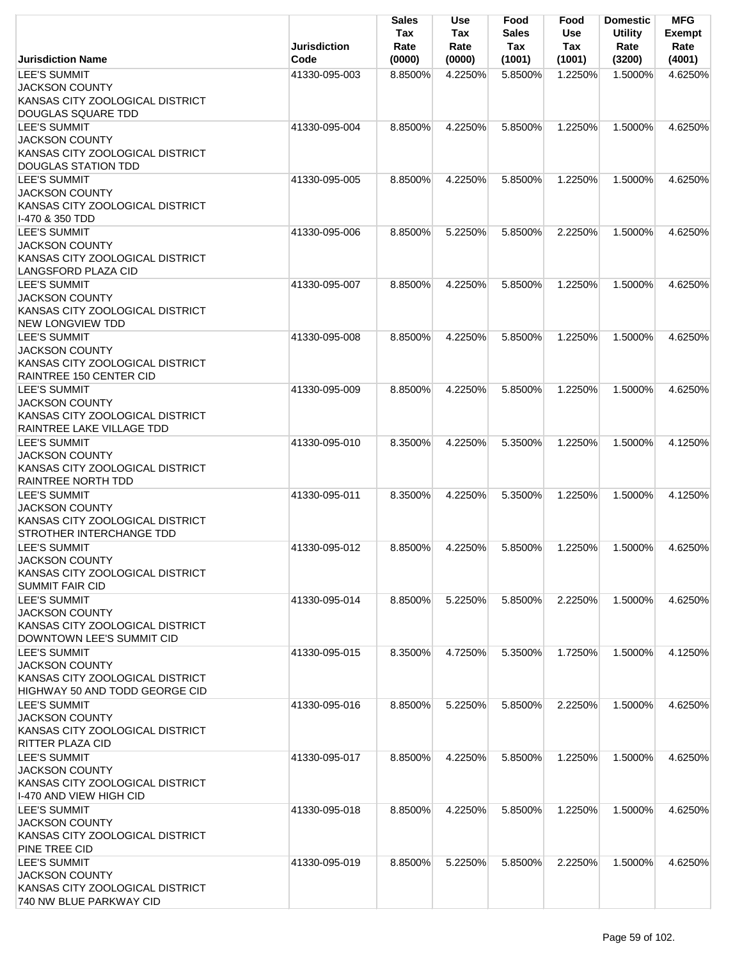|                                                                                                                   | <b>Jurisdiction</b> | Sales<br>Tax<br>Rate | <b>Use</b><br>Tax<br>Rate | Food<br><b>Sales</b><br>Tax | Food<br><b>Use</b><br>Tax | <b>Domestic</b><br><b>Utility</b><br>Rate | <b>MFG</b><br><b>Exempt</b><br>Rate |
|-------------------------------------------------------------------------------------------------------------------|---------------------|----------------------|---------------------------|-----------------------------|---------------------------|-------------------------------------------|-------------------------------------|
| <b>Jurisdiction Name</b>                                                                                          | Code                | (0000)               | (0000)                    | (1001)                      | (1001)                    | (3200)                                    | (4001)                              |
| <b>LEE'S SUMMIT</b><br><b>JACKSON COUNTY</b><br>KANSAS CITY ZOOLOGICAL DISTRICT<br>DOUGLAS SQUARE TDD             | 41330-095-003       | 8.8500%              | 4.2250%                   | 5.8500%                     | 1.2250%                   | 1.5000%                                   | 4.6250%                             |
| <b>LEE'S SUMMIT</b><br><b>JACKSON COUNTY</b><br>KANSAS CITY ZOOLOGICAL DISTRICT<br><b>DOUGLAS STATION TDD</b>     | 41330-095-004       | 8.8500%              | 4.2250%                   | 5.8500%                     | 1.2250%                   | 1.5000%                                   | 4.6250%                             |
| <b>LEE'S SUMMIT</b><br><b>JACKSON COUNTY</b><br>KANSAS CITY ZOOLOGICAL DISTRICT<br>1-470 & 350 TDD                | 41330-095-005       | 8.8500%              | 4.2250%                   | 5.8500%                     | 1.2250%                   | 1.5000%                                   | 4.6250%                             |
| <b>LEE'S SUMMIT</b><br><b>JACKSON COUNTY</b><br>KANSAS CITY ZOOLOGICAL DISTRICT<br><b>LANGSFORD PLAZA CID</b>     | 41330-095-006       | 8.8500%              | 5.2250%                   | 5.8500%                     | 2.2250%                   | 1.5000%                                   | 4.6250%                             |
| <b>LEE'S SUMMIT</b><br><b>JACKSON COUNTY</b><br>KANSAS CITY ZOOLOGICAL DISTRICT<br><b>NEW LONGVIEW TDD</b>        | 41330-095-007       | 8.8500%              | 4.2250%                   | 5.8500%                     | 1.2250%                   | 1.5000%                                   | 4.6250%                             |
| LEE'S SUMMIT<br><b>JACKSON COUNTY</b><br>KANSAS CITY ZOOLOGICAL DISTRICT<br>RAINTREE 150 CENTER CID               | 41330-095-008       | 8.8500%              | 4.2250%                   | 5.8500%                     | 1.2250%                   | 1.5000%                                   | 4.6250%                             |
| <b>LEE'S SUMMIT</b><br><b>JACKSON COUNTY</b><br>KANSAS CITY ZOOLOGICAL DISTRICT<br>RAINTREE LAKE VILLAGE TDD      | 41330-095-009       | 8.8500%              | 4.2250%                   | 5.8500%                     | 1.2250%                   | 1.5000%                                   | 4.6250%                             |
| <b>LEE'S SUMMIT</b><br>JACKSON COUNTY<br>KANSAS CITY ZOOLOGICAL DISTRICT<br><b>RAINTREE NORTH TDD</b>             | 41330-095-010       | 8.3500%              | 4.2250%                   | 5.3500%                     | 1.2250%                   | 1.5000%                                   | 4.1250%                             |
| <b>LEE'S SUMMIT</b><br><b>JACKSON COUNTY</b><br>KANSAS CITY ZOOLOGICAL DISTRICT<br>STROTHER INTERCHANGE TDD       | 41330-095-011       | 8.3500%              | 4.2250%                   | 5.3500%                     | 1.2250%                   | 1.5000%                                   | 4.1250%                             |
| <b>LEE'S SUMMIT</b><br><b>JACKSON COUNTY</b><br>KANSAS CITY ZOOLOGICAL DISTRICT<br><b>SUMMIT FAIR CID</b>         | 41330-095-012       | 8.8500%              | 4.2250%                   | 5.8500%                     | 1.2250%                   | 1.5000%                                   | 4.6250%                             |
| <b>LEE'S SUMMIT</b><br><b>JACKSON COUNTY</b><br>KANSAS CITY ZOOLOGICAL DISTRICT<br>DOWNTOWN LEE'S SUMMIT CID      | 41330-095-014       | 8.8500%              | 5.2250%                   | 5.8500%                     | 2.2250%                   | 1.5000%                                   | 4.6250%                             |
| <b>LEE'S SUMMIT</b><br><b>JACKSON COUNTY</b><br>KANSAS CITY ZOOLOGICAL DISTRICT<br>HIGHWAY 50 AND TODD GEORGE CID | 41330-095-015       | 8.3500%              | 4.7250%                   | 5.3500%                     | 1.7250%                   | 1.5000%                                   | 4.1250%                             |
| <b>LEE'S SUMMIT</b><br><b>JACKSON COUNTY</b><br>KANSAS CITY ZOOLOGICAL DISTRICT<br><b>RITTER PLAZA CID</b>        | 41330-095-016       | 8.8500%              | 5.2250%                   | 5.8500%                     | 2.2250%                   | 1.5000%                                   | 4.6250%                             |
| <b>LEE'S SUMMIT</b><br><b>JACKSON COUNTY</b><br>KANSAS CITY ZOOLOGICAL DISTRICT<br>I-470 AND VIEW HIGH CID        | 41330-095-017       | 8.8500%              | 4.2250%                   | 5.8500%                     | 1.2250%                   | 1.5000%                                   | 4.6250%                             |
| <b>LEE'S SUMMIT</b><br>JACKSON COUNTY<br>KANSAS CITY ZOOLOGICAL DISTRICT<br>PINE TREE CID                         | 41330-095-018       | 8.8500%              | 4.2250%                   | 5.8500%                     | 1.2250%                   | 1.5000%                                   | 4.6250%                             |
| <b>LEE'S SUMMIT</b><br><b>JACKSON COUNTY</b><br>KANSAS CITY ZOOLOGICAL DISTRICT<br>740 NW BLUE PARKWAY CID        | 41330-095-019       | 8.8500%              | 5.2250%                   | 5.8500%                     | 2.2250%                   | 1.5000%                                   | 4.6250%                             |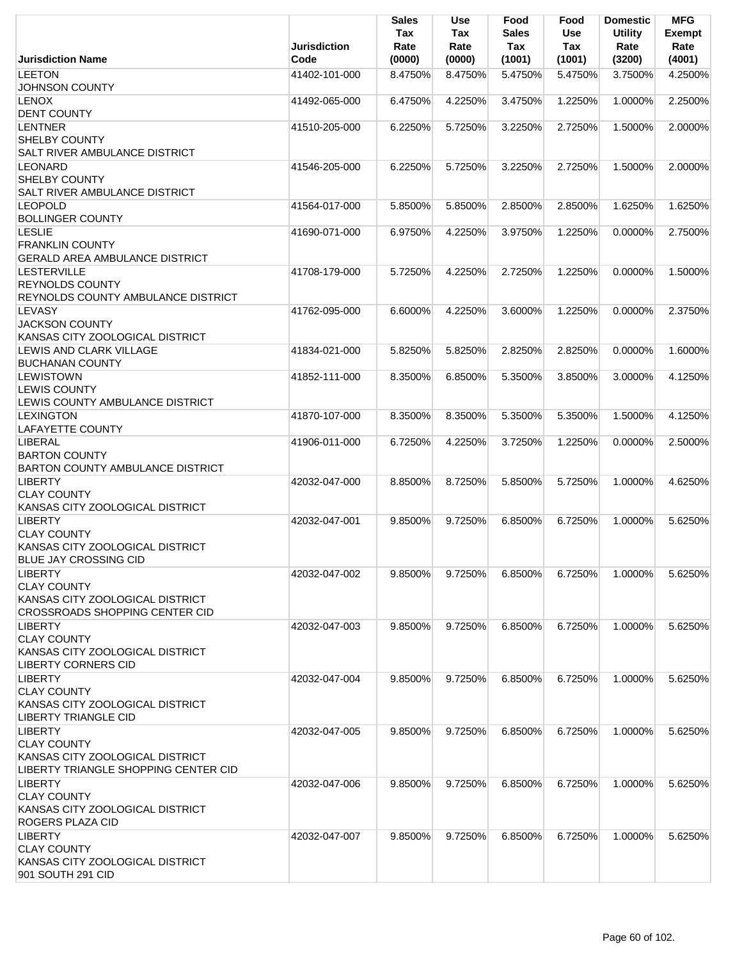| Jurisdiction Name                                 | <b>Jurisdiction</b><br>Code | <b>Sales</b><br>Tax<br>Rate | <b>Use</b><br>Tax<br>Rate | Food<br><b>Sales</b><br>Tax | Food<br>Use<br><b>Tax</b> | <b>Domestic</b><br><b>Utility</b><br>Rate<br>(3200) | <b>MFG</b><br><b>Exempt</b><br>Rate<br>(4001) |
|---------------------------------------------------|-----------------------------|-----------------------------|---------------------------|-----------------------------|---------------------------|-----------------------------------------------------|-----------------------------------------------|
| <b>LEETON</b>                                     | 41402-101-000               | (0000)<br>8.4750%           | (0000)<br>8.4750%         | (1001)<br>5.4750%           | (1001)<br>5.4750%         | 3.7500%                                             | 4.2500%                                       |
| <b>JOHNSON COUNTY</b>                             |                             |                             |                           |                             |                           |                                                     |                                               |
| <b>LENOX</b>                                      | 41492-065-000               | 6.4750%                     | 4.2250%                   | 3.4750%                     | 1.2250%                   | 1.0000%                                             | 2.2500%                                       |
| <b>DENT COUNTY</b>                                |                             |                             |                           |                             |                           |                                                     |                                               |
| <b>LENTNER</b>                                    | 41510-205-000               | 6.2250%                     | 5.7250%                   | 3.2250%                     | 2.7250%                   | 1.5000%                                             | 2.0000%                                       |
| <b>SHELBY COUNTY</b>                              |                             |                             |                           |                             |                           |                                                     |                                               |
| <b>SALT RIVER AMBULANCE DISTRICT</b>              |                             |                             |                           |                             |                           |                                                     |                                               |
| <b>LEONARD</b>                                    | 41546-205-000               | 6.2250%                     | 5.7250%                   | 3.2250%                     | 2.7250%                   | 1.5000%                                             | 2.0000%                                       |
| <b>SHELBY COUNTY</b>                              |                             |                             |                           |                             |                           |                                                     |                                               |
| <b>SALT RIVER AMBULANCE DISTRICT</b>              |                             |                             |                           |                             |                           |                                                     |                                               |
| <b>LEOPOLD</b>                                    | 41564-017-000               | 5.8500%                     | 5.8500%                   | 2.8500%                     | 2.8500%                   | 1.6250%                                             | 1.6250%                                       |
| <b>BOLLINGER COUNTY</b>                           |                             |                             |                           |                             |                           |                                                     |                                               |
| <b>LESLIE</b>                                     | 41690-071-000               | 6.9750%                     | 4.2250%                   | 3.9750%                     | 1.2250%                   | 0.0000%                                             | 2.7500%                                       |
| <b>FRANKLIN COUNTY</b>                            |                             |                             |                           |                             |                           |                                                     |                                               |
| <b>GERALD AREA AMBULANCE DISTRICT</b>             |                             |                             |                           |                             |                           |                                                     |                                               |
| <b>LESTERVILLE</b>                                | 41708-179-000               | 5.7250%                     | 4.2250%                   | 2.7250%                     | 1.2250%                   | 0.0000%                                             | 1.5000%                                       |
| <b>REYNOLDS COUNTY</b>                            |                             |                             |                           |                             |                           |                                                     |                                               |
| REYNOLDS COUNTY AMBULANCE DISTRICT                |                             |                             |                           |                             |                           |                                                     |                                               |
| <b>LEVASY</b>                                     | 41762-095-000               | 6.6000%                     | 4.2250%                   | 3.6000%                     | 1.2250%                   | $0.0000\%$                                          | 2.3750%                                       |
| <b>JACKSON COUNTY</b>                             |                             |                             |                           |                             |                           |                                                     |                                               |
| KANSAS CITY ZOOLOGICAL DISTRICT                   |                             |                             |                           |                             |                           |                                                     |                                               |
| LEWIS AND CLARK VILLAGE<br><b>BUCHANAN COUNTY</b> | 41834-021-000               | 5.8250%                     | 5.8250%                   | 2.8250%                     | 2.8250%                   | 0.0000%                                             | 1.6000%                                       |
| <b>LEWISTOWN</b>                                  | 41852-111-000               | 8.3500%                     | 6.8500%                   | 5.3500%                     | 3.8500%                   | 3.0000%                                             | 4.1250%                                       |
| <b>LEWIS COUNTY</b>                               |                             |                             |                           |                             |                           |                                                     |                                               |
| LEWIS COUNTY AMBULANCE DISTRICT                   |                             |                             |                           |                             |                           |                                                     |                                               |
| <b>LEXINGTON</b>                                  | 41870-107-000               | 8.3500%                     | 8.3500%                   | 5.3500%                     | 5.3500%                   | 1.5000%                                             | 4.1250%                                       |
| <b>LAFAYETTE COUNTY</b>                           |                             |                             |                           |                             |                           |                                                     |                                               |
| <b>LIBERAL</b>                                    | 41906-011-000               | 6.7250%                     | 4.2250%                   | 3.7250%                     | 1.2250%                   | 0.0000%                                             | 2.5000%                                       |
| <b>BARTON COUNTY</b>                              |                             |                             |                           |                             |                           |                                                     |                                               |
| BARTON COUNTY AMBULANCE DISTRICT                  |                             |                             |                           |                             |                           |                                                     |                                               |
| <b>LIBERTY</b>                                    | 42032-047-000               | 8.8500%                     | 8.7250%                   | 5.8500%                     | 5.7250%                   | 1.0000%                                             | 4.6250%                                       |
| <b>CLAY COUNTY</b>                                |                             |                             |                           |                             |                           |                                                     |                                               |
| KANSAS CITY ZOOLOGICAL DISTRICT                   |                             |                             |                           |                             |                           |                                                     |                                               |
| <b>LIBERTY</b>                                    | 42032-047-001               | 9.8500%                     | 9.7250%                   | 6.8500%                     | 6.7250%                   | 1.0000%                                             | 5.6250%                                       |
| <b>CLAY COUNTY</b>                                |                             |                             |                           |                             |                           |                                                     |                                               |
| KANSAS CITY ZOOLOGICAL DISTRICT                   |                             |                             |                           |                             |                           |                                                     |                                               |
| <b>BLUE JAY CROSSING CID</b>                      |                             |                             |                           |                             |                           |                                                     |                                               |
| <b>LIBERTY</b>                                    | 42032-047-002               | 9.8500%                     | 9.7250%                   | 6.8500%                     | 6.7250%                   | 1.0000%                                             | 5.6250%                                       |
| <b>CLAY COUNTY</b>                                |                             |                             |                           |                             |                           |                                                     |                                               |
| KANSAS CITY ZOOLOGICAL DISTRICT                   |                             |                             |                           |                             |                           |                                                     |                                               |
| <b>CROSSROADS SHOPPING CENTER CID</b>             | 42032-047-003               |                             |                           |                             | 6.7250%                   |                                                     | 5.6250%                                       |
| <b>LIBERTY</b><br><b>CLAY COUNTY</b>              |                             | 9.8500%                     | 9.7250%                   | 6.8500%                     |                           | 1.0000%                                             |                                               |
| KANSAS CITY ZOOLOGICAL DISTRICT                   |                             |                             |                           |                             |                           |                                                     |                                               |
| <b>LIBERTY CORNERS CID</b>                        |                             |                             |                           |                             |                           |                                                     |                                               |
| <b>LIBERTY</b>                                    | 42032-047-004               | 9.8500%                     | 9.7250%                   | 6.8500%                     | 6.7250%                   | 1.0000%                                             | 5.6250%                                       |
| <b>CLAY COUNTY</b>                                |                             |                             |                           |                             |                           |                                                     |                                               |
| KANSAS CITY ZOOLOGICAL DISTRICT                   |                             |                             |                           |                             |                           |                                                     |                                               |
| LIBERTY TRIANGLE CID                              |                             |                             |                           |                             |                           |                                                     |                                               |
| <b>LIBERTY</b>                                    | 42032-047-005               | 9.8500%                     | 9.7250%                   | 6.8500%                     | 6.7250%                   | 1.0000%                                             | 5.6250%                                       |
| <b>CLAY COUNTY</b>                                |                             |                             |                           |                             |                           |                                                     |                                               |
| KANSAS CITY ZOOLOGICAL DISTRICT                   |                             |                             |                           |                             |                           |                                                     |                                               |
| LIBERTY TRIANGLE SHOPPING CENTER CID              |                             |                             |                           |                             |                           |                                                     |                                               |
| <b>LIBERTY</b>                                    | 42032-047-006               | 9.8500%                     | 9.7250%                   | 6.8500%                     | 6.7250%                   | 1.0000%                                             | 5.6250%                                       |
| <b>CLAY COUNTY</b>                                |                             |                             |                           |                             |                           |                                                     |                                               |
| KANSAS CITY ZOOLOGICAL DISTRICT                   |                             |                             |                           |                             |                           |                                                     |                                               |
| ROGERS PLAZA CID                                  |                             |                             |                           |                             |                           |                                                     |                                               |
| <b>LIBERTY</b>                                    | 42032-047-007               | 9.8500%                     | 9.7250%                   | 6.8500%                     | 6.7250%                   | 1.0000%                                             | 5.6250%                                       |
| <b>CLAY COUNTY</b>                                |                             |                             |                           |                             |                           |                                                     |                                               |
| KANSAS CITY ZOOLOGICAL DISTRICT                   |                             |                             |                           |                             |                           |                                                     |                                               |
| 901 SOUTH 291 CID                                 |                             |                             |                           |                             |                           |                                                     |                                               |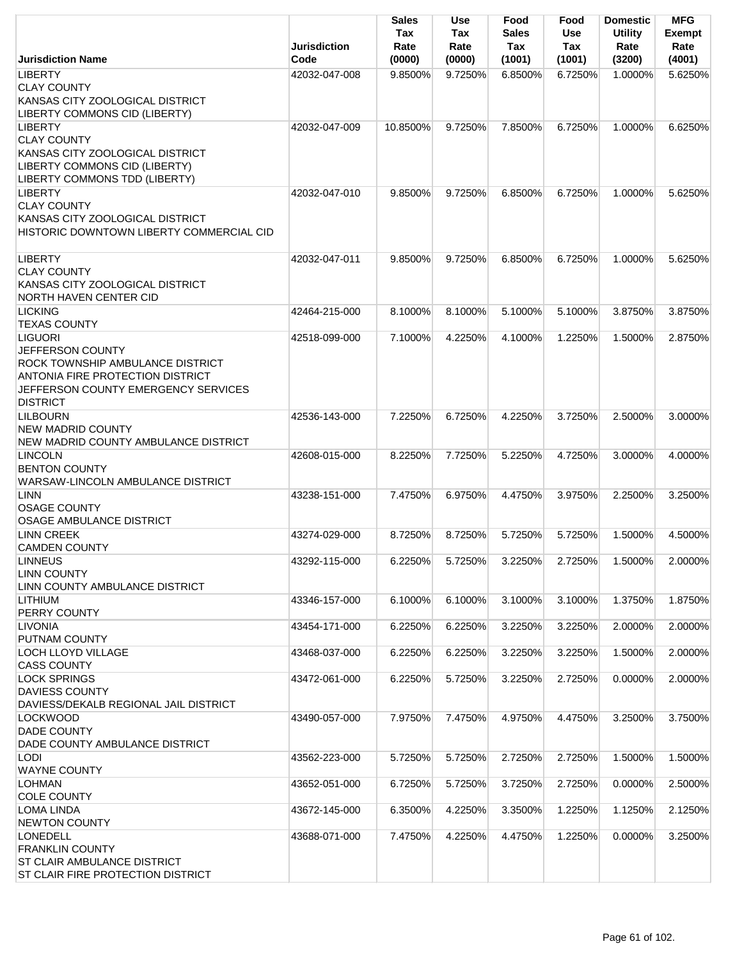|                                                                                                                                                                             | <b>Jurisdiction</b> | Sales<br>Tax<br>Rate | Use<br>Tax<br>Rate | Food<br><b>Sales</b><br>Tax | Food<br><b>Use</b><br>Tax | <b>Domestic</b><br><b>Utility</b><br>Rate | <b>MFG</b><br><b>Exempt</b><br>Rate |
|-----------------------------------------------------------------------------------------------------------------------------------------------------------------------------|---------------------|----------------------|--------------------|-----------------------------|---------------------------|-------------------------------------------|-------------------------------------|
| <b>Jurisdiction Name</b>                                                                                                                                                    | Code                | (0000)               | (0000)             | (1001)                      | (1001)                    | (3200)                                    | (4001)                              |
| <b>LIBERTY</b><br><b>CLAY COUNTY</b><br>KANSAS CITY ZOOLOGICAL DISTRICT<br>LIBERTY COMMONS CID (LIBERTY)                                                                    | 42032-047-008       | 9.8500%              | 9.7250%            | 6.8500%                     | 6.7250%                   | 1.0000%                                   | 5.6250%                             |
| <b>LIBERTY</b><br><b>CLAY COUNTY</b><br>KANSAS CITY ZOOLOGICAL DISTRICT<br>LIBERTY COMMONS CID (LIBERTY)<br>LIBERTY COMMONS TDD (LIBERTY)                                   | 42032-047-009       | 10.8500%             | 9.7250%            | 7.8500%                     | 6.7250%                   | 1.0000%                                   | 6.6250%                             |
| <b>LIBERTY</b><br><b>CLAY COUNTY</b><br>KANSAS CITY ZOOLOGICAL DISTRICT<br>HISTORIC DOWNTOWN LIBERTY COMMERCIAL CID                                                         | 42032-047-010       | 9.8500%              | 9.7250%            | 6.8500%                     | 6.7250%                   | 1.0000%                                   | 5.6250%                             |
| <b>LIBERTY</b><br><b>CLAY COUNTY</b><br>KANSAS CITY ZOOLOGICAL DISTRICT<br><b>NORTH HAVEN CENTER CID</b>                                                                    | 42032-047-011       | 9.8500%              | 9.7250%            | 6.8500%                     | 6.7250%                   | 1.0000%                                   | 5.6250%                             |
| <b>LICKING</b><br><b>TEXAS COUNTY</b>                                                                                                                                       | 42464-215-000       | 8.1000%              | 8.1000%            | 5.1000%                     | 5.1000%                   | 3.8750%                                   | 3.8750%                             |
| <b>LIGUORI</b><br>JEFFERSON COUNTY<br>ROCK TOWNSHIP AMBULANCE DISTRICT<br><b>ANTONIA FIRE PROTECTION DISTRICT</b><br>JEFFERSON COUNTY EMERGENCY SERVICES<br><b>DISTRICT</b> | 42518-099-000       | 7.1000%              | 4.2250%            | 4.1000%                     | 1.2250%                   | 1.5000%                                   | 2.8750%                             |
| <b>LILBOURN</b><br><b>NEW MADRID COUNTY</b><br>NEW MADRID COUNTY AMBULANCE DISTRICT                                                                                         | 42536-143-000       | 7.2250%              | 6.7250%            | 4.2250%                     | 3.7250%                   | 2.5000%                                   | 3.0000%                             |
| <b>LINCOLN</b><br><b>BENTON COUNTY</b><br>WARSAW-LINCOLN AMBULANCE DISTRICT                                                                                                 | 42608-015-000       | 8.2250%              | 7.7250%            | 5.2250%                     | 4.7250%                   | 3.0000%                                   | 4.0000%                             |
| LINN<br><b>OSAGE COUNTY</b><br><b>OSAGE AMBULANCE DISTRICT</b>                                                                                                              | 43238-151-000       | 7.4750%              | 6.9750%            | 4.4750%                     | 3.9750%                   | 2.2500%                                   | 3.2500%                             |
| <b>LINN CREEK</b><br><b>CAMDEN COUNTY</b>                                                                                                                                   | 43274-029-000       | 8.7250%              | 8.7250%            | 5.7250%                     | 5.7250%                   | 1.5000% 4.5000%                           |                                     |
| <b>LINNEUS</b><br><b>LINN COUNTY</b><br>LINN COUNTY AMBULANCE DISTRICT                                                                                                      | 43292-115-000       | 6.2250%              | 5.7250%            | 3.2250%                     | 2.7250%                   | 1.5000%                                   | 2.0000%                             |
| <b>LITHIUM</b><br>PERRY COUNTY                                                                                                                                              | 43346-157-000       | 6.1000%              | 6.1000%            | 3.1000%                     | 3.1000%                   | 1.3750%                                   | 1.8750%                             |
| <b>LIVONIA</b><br>PUTNAM COUNTY                                                                                                                                             | 43454-171-000       | 6.2250%              | 6.2250%            | 3.2250%                     | 3.2250%                   | 2.0000%                                   | 2.0000%                             |
| <b>LOCH LLOYD VILLAGE</b><br><b>CASS COUNTY</b>                                                                                                                             | 43468-037-000       | 6.2250%              | 6.2250%            | 3.2250%                     | 3.2250%                   | 1.5000%                                   | 2.0000%                             |
| <b>LOCK SPRINGS</b><br><b>DAVIESS COUNTY</b><br>DAVIESS/DEKALB REGIONAL JAIL DISTRICT                                                                                       | 43472-061-000       | 6.2250%              | 5.7250%            | 3.2250%                     | 2.7250%                   | 0.0000%                                   | 2.0000%                             |
| <b>LOCKWOOD</b><br><b>DADE COUNTY</b><br>DADE COUNTY AMBULANCE DISTRICT                                                                                                     | 43490-057-000       | 7.9750%              | 7.4750%            | 4.9750%                     | 4.4750%                   | 3.2500%                                   | 3.7500%                             |
| <b>LODI</b><br><b>WAYNE COUNTY</b>                                                                                                                                          | 43562-223-000       | 5.7250%              | 5.7250%            | 2.7250%                     | 2.7250%                   | 1.5000%                                   | 1.5000%                             |
| <b>LOHMAN</b><br><b>COLE COUNTY</b>                                                                                                                                         | 43652-051-000       | 6.7250%              | 5.7250%            | 3.7250%                     | 2.7250%                   | 0.0000%                                   | 2.5000%                             |
| <b>LOMA LINDA</b><br><b>NEWTON COUNTY</b>                                                                                                                                   | 43672-145-000       | 6.3500%              | 4.2250%            | 3.3500%                     | 1.2250%                   | 1.1250%                                   | 2.1250%                             |
| <b>LONEDELL</b><br><b>FRANKLIN COUNTY</b><br><b>ST CLAIR AMBULANCE DISTRICT</b><br>ST CLAIR FIRE PROTECTION DISTRICT                                                        | 43688-071-000       | 7.4750%              | 4.2250%            | 4.4750%                     | 1.2250%                   | 0.0000%                                   | 3.2500%                             |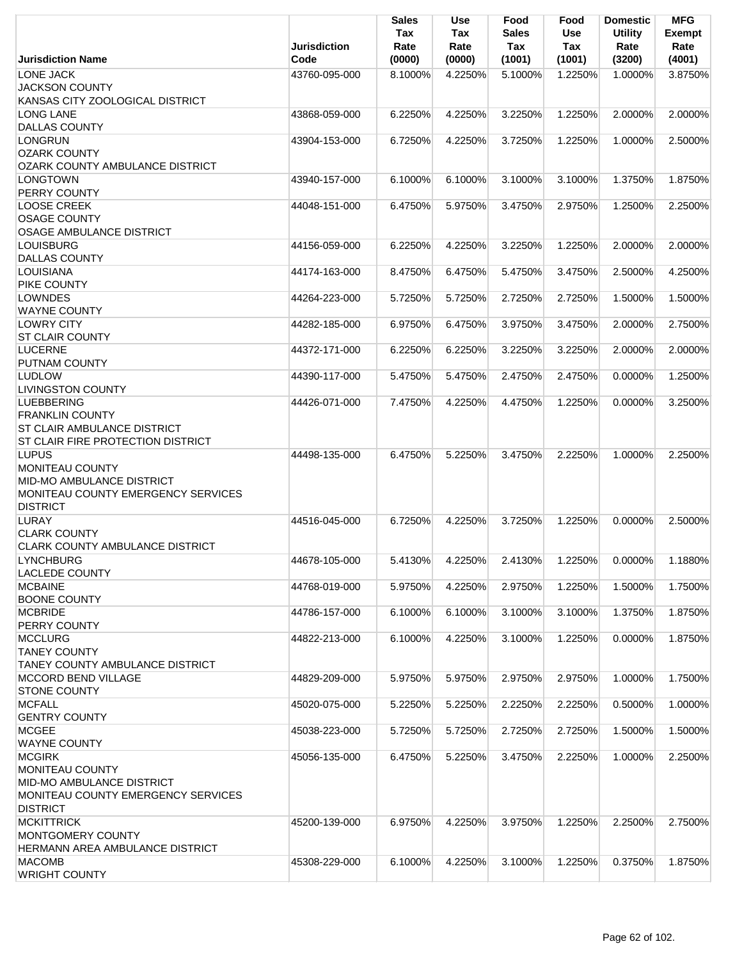|                                                 | <b>Jurisdiction</b> | <b>Sales</b><br>Tax<br>Rate | Use<br>Tax<br>Rate | Food<br><b>Sales</b><br>Tax | Food<br><b>Use</b><br>Tax | <b>Domestic</b><br><b>Utility</b><br>Rate | <b>MFG</b><br><b>Exempt</b><br>Rate |
|-------------------------------------------------|---------------------|-----------------------------|--------------------|-----------------------------|---------------------------|-------------------------------------------|-------------------------------------|
| <b>Jurisdiction Name</b>                        | Code                | (0000)                      | (0000)             | (1001)                      | (1001)                    | (3200)                                    | (4001)                              |
| <b>LONE JACK</b><br><b>JACKSON COUNTY</b>       | 43760-095-000       | 8.1000%                     | 4.2250%            | 5.1000%                     | 1.2250%                   | 1.0000%                                   | 3.8750%                             |
| KANSAS CITY ZOOLOGICAL DISTRICT                 |                     |                             |                    |                             |                           |                                           |                                     |
| <b>LONG LANE</b>                                | 43868-059-000       | 6.2250%                     | 4.2250%            | 3.2250%                     | 1.2250%                   | 2.0000%                                   | 2.0000%                             |
| <b>DALLAS COUNTY</b>                            |                     |                             |                    |                             |                           |                                           |                                     |
| LONGRUN<br><b>OZARK COUNTY</b>                  | 43904-153-000       | 6.7250%                     | 4.2250%            | 3.7250%                     | 1.2250%                   | 1.0000%                                   | 2.5000%                             |
| OZARK COUNTY AMBULANCE DISTRICT                 |                     |                             |                    |                             |                           |                                           |                                     |
| <b>LONGTOWN</b><br>PERRY COUNTY                 | 43940-157-000       | 6.1000%                     | 6.1000%            | 3.1000%                     | 3.1000%                   | 1.3750%                                   | 1.8750%                             |
| <b>LOOSE CREEK</b>                              | 44048-151-000       | 6.4750%                     | 5.9750%            | 3.4750%                     | 2.9750%                   | 1.2500%                                   | 2.2500%                             |
| <b>OSAGE COUNTY</b><br>OSAGE AMBULANCE DISTRICT |                     |                             |                    |                             |                           |                                           |                                     |
| <b>LOUISBURG</b>                                | 44156-059-000       | 6.2250%                     | 4.2250%            | 3.2250%                     | 1.2250%                   | 2.0000%                                   | 2.0000%                             |
| <b>DALLAS COUNTY</b>                            |                     |                             |                    |                             |                           |                                           |                                     |
| LOUISIANA<br><b>PIKE COUNTY</b>                 | 44174-163-000       | 8.4750%                     | 6.4750%            | 5.4750%                     | 3.4750%                   | 2.5000%                                   | 4.2500%                             |
| <b>LOWNDES</b>                                  | 44264-223-000       | 5.7250%                     | 5.7250%            | 2.7250%                     | 2.7250%                   | 1.5000%                                   | 1.5000%                             |
| <b>WAYNE COUNTY</b>                             |                     |                             |                    |                             |                           |                                           |                                     |
| <b>LOWRY CITY</b>                               | 44282-185-000       | 6.9750%                     | 6.4750%            | 3.9750%                     | 3.4750%                   | 2.0000%                                   | 2.7500%                             |
| <b>ST CLAIR COUNTY</b>                          |                     |                             |                    |                             |                           |                                           |                                     |
| <b>LUCERNE</b>                                  | 44372-171-000       | 6.2250%                     | 6.2250%            | 3.2250%                     | 3.2250%                   | 2.0000%                                   | 2.0000%                             |
| PUTNAM COUNTY                                   |                     |                             |                    |                             |                           |                                           |                                     |
| <b>LUDLOW</b>                                   | 44390-117-000       | 5.4750%                     | 5.4750%            | 2.4750%                     | 2.4750%                   | 0.0000%                                   | 1.2500%                             |
| <b>LIVINGSTON COUNTY</b><br><b>LUEBBERING</b>   | 44426-071-000       | 7.4750%                     | 4.2250%            | 4.4750%                     | 1.2250%                   | 0.0000%                                   | 3.2500%                             |
| <b>FRANKLIN COUNTY</b>                          |                     |                             |                    |                             |                           |                                           |                                     |
| <b>ST CLAIR AMBULANCE DISTRICT</b>              |                     |                             |                    |                             |                           |                                           |                                     |
| <b>ST CLAIR FIRE PROTECTION DISTRICT</b>        |                     |                             |                    |                             |                           |                                           |                                     |
| <b>LUPUS</b>                                    | 44498-135-000       | 6.4750%                     | 5.2250%            | 3.4750%                     | 2.2250%                   | 1.0000%                                   | 2.2500%                             |
| <b>MONITEAU COUNTY</b>                          |                     |                             |                    |                             |                           |                                           |                                     |
| <b>MID-MO AMBULANCE DISTRICT</b>                |                     |                             |                    |                             |                           |                                           |                                     |
| MONITEAU COUNTY EMERGENCY SERVICES              |                     |                             |                    |                             |                           |                                           |                                     |
| <b>DISTRICT</b>                                 |                     |                             |                    |                             |                           |                                           |                                     |
| LURAY                                           | 44516-045-000       | 6.7250%                     | 4.2250%            | 3.7250%                     | 1.2250%                   | 0.0000%                                   | 2.5000%                             |
| <b>CLARK COUNTY</b>                             |                     |                             |                    |                             |                           |                                           |                                     |
| <b>CLARK COUNTY AMBULANCE DISTRICT</b>          |                     |                             |                    |                             |                           | $0.0000\%$                                |                                     |
| <b>LYNCHBURG</b><br><b>LACLEDE COUNTY</b>       | 44678-105-000       | 5.4130%                     | 4.2250%            | 2.4130%                     | 1.2250%                   |                                           | 1.1880%                             |
| <b>MCBAINE</b>                                  | 44768-019-000       | 5.9750%                     | 4.2250%            | 2.9750%                     | 1.2250%                   | 1.5000%                                   | 1.7500%                             |
| <b>BOONE COUNTY</b>                             |                     |                             |                    |                             |                           |                                           |                                     |
| <b>MCBRIDE</b>                                  | 44786-157-000       | 6.1000%                     | 6.1000%            | 3.1000%                     | 3.1000%                   | 1.3750%                                   | 1.8750%                             |
| PERRY COUNTY                                    |                     |                             |                    |                             |                           |                                           |                                     |
| <b>MCCLURG</b>                                  | 44822-213-000       | 6.1000%                     | 4.2250%            | 3.1000%                     | 1.2250%                   | 0.0000%                                   | 1.8750%                             |
| <b>TANEY COUNTY</b>                             |                     |                             |                    |                             |                           |                                           |                                     |
| <b>TANEY COUNTY AMBULANCE DISTRICT</b>          |                     |                             |                    |                             |                           |                                           |                                     |
| <b>MCCORD BEND VILLAGE</b>                      | 44829-209-000       | 5.9750%                     | 5.9750%            | 2.9750%                     | 2.9750%                   | 1.0000%                                   | 1.7500%                             |
| <b>STONE COUNTY</b>                             |                     |                             |                    |                             |                           |                                           |                                     |
| <b>MCFALL</b>                                   | 45020-075-000       | 5.2250%                     | 5.2250%            | 2.2250%                     | 2.2250%                   | 0.5000%                                   | 1.0000%                             |
| <b>GENTRY COUNTY</b>                            |                     |                             |                    |                             |                           |                                           |                                     |
| <b>MCGEE</b><br><b>WAYNE COUNTY</b>             | 45038-223-000       | 5.7250%                     | 5.7250%            | 2.7250%                     | 2.7250%                   | 1.5000%                                   | 1.5000%                             |
| <b>MCGIRK</b>                                   | 45056-135-000       | 6.4750%                     | 5.2250%            | 3.4750%                     | 2.2250%                   | 1.0000%                                   | 2.2500%                             |
| MONITEAU COUNTY                                 |                     |                             |                    |                             |                           |                                           |                                     |
| MID-MO AMBULANCE DISTRICT                       |                     |                             |                    |                             |                           |                                           |                                     |
| MONITEAU COUNTY EMERGENCY SERVICES              |                     |                             |                    |                             |                           |                                           |                                     |
| <b>DISTRICT</b>                                 |                     |                             |                    |                             |                           |                                           |                                     |
| <b>MCKITTRICK</b>                               | 45200-139-000       | 6.9750%                     | 4.2250%            | 3.9750%                     | 1.2250%                   | 2.2500%                                   | 2.7500%                             |
| <b>MONTGOMERY COUNTY</b>                        |                     |                             |                    |                             |                           |                                           |                                     |
| HERMANN AREA AMBULANCE DISTRICT                 |                     |                             |                    |                             |                           |                                           |                                     |
| <b>MACOMB</b><br><b>WRIGHT COUNTY</b>           | 45308-229-000       | 6.1000%                     | 4.2250%            | 3.1000%                     | 1.2250%                   | 0.3750%                                   | 1.8750%                             |
|                                                 |                     |                             |                    |                             |                           |                                           |                                     |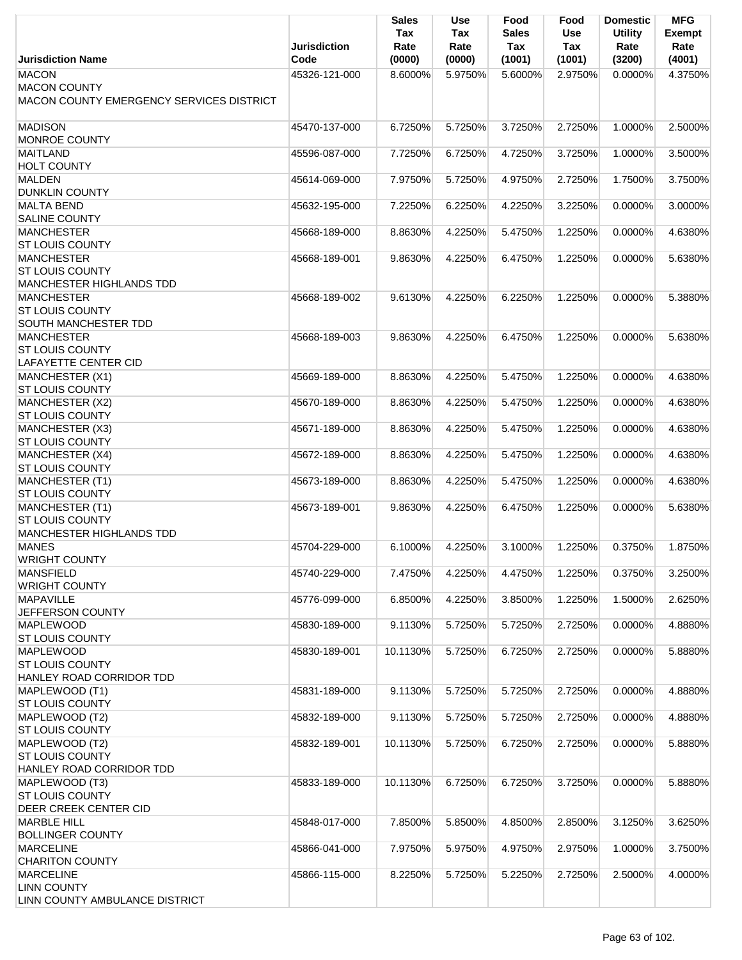|                                                                                 | <b>Jurisdiction</b> | <b>Sales</b><br>Tax<br>Rate | <b>Use</b><br>Tax<br>Rate | Food<br><b>Sales</b><br>Tax | Food<br><b>Use</b><br>Tax | <b>Domestic</b><br><b>Utility</b><br>Rate | <b>MFG</b><br><b>Exempt</b><br>Rate |
|---------------------------------------------------------------------------------|---------------------|-----------------------------|---------------------------|-----------------------------|---------------------------|-------------------------------------------|-------------------------------------|
| <b>Jurisdiction Name</b>                                                        | Code                | (0000)                      | (0000)                    | (1001)                      | (1001)                    | (3200)                                    | (4001)                              |
| <b>MACON</b><br><b>MACON COUNTY</b><br>MACON COUNTY EMERGENCY SERVICES DISTRICT | 45326-121-000       | 8.6000%                     | 5.9750%                   | 5.6000%                     | 2.9750%                   | 0.0000%                                   | 4.3750%                             |
| <b>MADISON</b><br>MONROE COUNTY                                                 | 45470-137-000       | 6.7250%                     | 5.7250%                   | 3.7250%                     | 2.7250%                   | 1.0000%                                   | 2.5000%                             |
| <b>MAITLAND</b><br><b>HOLT COUNTY</b>                                           | 45596-087-000       | 7.7250%                     | 6.7250%                   | 4.7250%                     | 3.7250%                   | 1.0000%                                   | 3.5000%                             |
| <b>MALDEN</b><br><b>DUNKLIN COUNTY</b>                                          | 45614-069-000       | 7.9750%                     | 5.7250%                   | 4.9750%                     | 2.7250%                   | 1.7500%                                   | 3.7500%                             |
| <b>MALTA BEND</b><br><b>SALINE COUNTY</b>                                       | 45632-195-000       | 7.2250%                     | 6.2250%                   | 4.2250%                     | 3.2250%                   | 0.0000%                                   | 3.0000%                             |
| <b>MANCHESTER</b><br><b>ST LOUIS COUNTY</b>                                     | 45668-189-000       | 8.8630%                     | 4.2250%                   | 5.4750%                     | 1.2250%                   | 0.0000%                                   | 4.6380%                             |
| <b>MANCHESTER</b><br><b>ST LOUIS COUNTY</b><br>MANCHESTER HIGHLANDS TDD         | 45668-189-001       | 9.8630%                     | 4.2250%                   | 6.4750%                     | 1.2250%                   | 0.0000%                                   | 5.6380%                             |
| <b>MANCHESTER</b><br><b>ST LOUIS COUNTY</b><br>SOUTH MANCHESTER TDD             | 45668-189-002       | 9.6130%                     | 4.2250%                   | 6.2250%                     | 1.2250%                   | 0.0000%                                   | 5.3880%                             |
| <b>MANCHESTER</b><br><b>ST LOUIS COUNTY</b>                                     | 45668-189-003       | 9.8630%                     | 4.2250%                   | 6.4750%                     | 1.2250%                   | 0.0000%                                   | 5.6380%                             |
| LAFAYETTE CENTER CID<br>MANCHESTER (X1)<br><b>ST LOUIS COUNTY</b>               | 45669-189-000       | 8.8630%                     | 4.2250%                   | 5.4750%                     | 1.2250%                   | 0.0000%                                   | 4.6380%                             |
| MANCHESTER (X2)<br><b>ST LOUIS COUNTY</b>                                       | 45670-189-000       | 8.8630%                     | 4.2250%                   | 5.4750%                     | 1.2250%                   | 0.0000%                                   | 4.6380%                             |
| MANCHESTER (X3)<br><b>ST LOUIS COUNTY</b>                                       | 45671-189-000       | 8.8630%                     | 4.2250%                   | 5.4750%                     | 1.2250%                   | 0.0000%                                   | 4.6380%                             |
| MANCHESTER (X4)<br><b>ST LOUIS COUNTY</b>                                       | 45672-189-000       | 8.8630%                     | 4.2250%                   | 5.4750%                     | 1.2250%                   | 0.0000%                                   | 4.6380%                             |
| <b>MANCHESTER (T1)</b><br><b>ST LOUIS COUNTY</b>                                | 45673-189-000       | 8.8630%                     | 4.2250%                   | 5.4750%                     | 1.2250%                   | 0.0000%                                   | 4.6380%                             |
| <b>MANCHESTER (T1)</b><br><b>ST LOUIS COUNTY</b><br>MANCHESTER HIGHLANDS TDD    | 45673-189-001       | 9.8630%                     | 4.2250%                   | 6.4750%                     | 1.2250%                   | 0.0000%                                   | 5.6380%                             |
| <b>MANES</b><br><b>WRIGHT COUNTY</b>                                            | 45704-229-000       | 6.1000%                     | 4.2250%                   | 3.1000%                     | 1.2250%                   | 0.3750%                                   | 1.8750%                             |
| <b>MANSFIELD</b><br><b>WRIGHT COUNTY</b>                                        | 45740-229-000       | 7.4750%                     | 4.2250%                   | 4.4750%                     | 1.2250%                   | 0.3750%                                   | 3.2500%                             |
| <b>MAPAVILLE</b><br>JEFFERSON COUNTY                                            | 45776-099-000       | 6.8500%                     | 4.2250%                   | 3.8500%                     | 1.2250%                   | 1.5000%                                   | 2.6250%                             |
| <b>MAPLEWOOD</b><br><b>ST LOUIS COUNTY</b>                                      | 45830-189-000       | 9.1130%                     | 5.7250%                   | 5.7250%                     | 2.7250%                   | 0.0000%                                   | 4.8880%                             |
| <b>MAPLEWOOD</b><br><b>ST LOUIS COUNTY</b><br>HANLEY ROAD CORRIDOR TDD          | 45830-189-001       | 10.1130%                    | 5.7250%                   | 6.7250%                     | 2.7250%                   | $0.0000\%$                                | 5.8880%                             |
| MAPLEWOOD (T1)<br><b>ST LOUIS COUNTY</b>                                        | 45831-189-000       | 9.1130%                     | 5.7250%                   | 5.7250%                     | 2.7250%                   | 0.0000%                                   | 4.8880%                             |
| MAPLEWOOD (T2)<br><b>ST LOUIS COUNTY</b>                                        | 45832-189-000       | 9.1130%                     | 5.7250%                   | 5.7250%                     | 2.7250%                   | 0.0000%                                   | 4.8880%                             |
| MAPLEWOOD (T2)<br><b>ST LOUIS COUNTY</b><br>HANLEY ROAD CORRIDOR TDD            | 45832-189-001       | 10.1130%                    | 5.7250%                   | 6.7250%                     | 2.7250%                   | 0.0000%                                   | 5.8880%                             |
| MAPLEWOOD (T3)<br><b>ST LOUIS COUNTY</b><br>DEER CREEK CENTER CID               | 45833-189-000       | 10.1130%                    | 6.7250%                   | 6.7250%                     | 3.7250%                   | 0.0000%                                   | 5.8880%                             |
| <b>MARBLE HILL</b><br><b>BOLLINGER COUNTY</b>                                   | 45848-017-000       | 7.8500%                     | 5.8500%                   | 4.8500%                     | 2.8500%                   | 3.1250%                                   | 3.6250%                             |
| <b>MARCELINE</b><br><b>CHARITON COUNTY</b>                                      | 45866-041-000       | 7.9750%                     | 5.9750%                   | 4.9750%                     | 2.9750%                   | 1.0000%                                   | 3.7500%                             |
| <b>MARCELINE</b><br><b>LINN COUNTY</b>                                          | 45866-115-000       | 8.2250%                     | 5.7250%                   | 5.2250%                     | 2.7250%                   | 2.5000%                                   | 4.0000%                             |
| LINN COUNTY AMBULANCE DISTRICT                                                  |                     |                             |                           |                             |                           |                                           |                                     |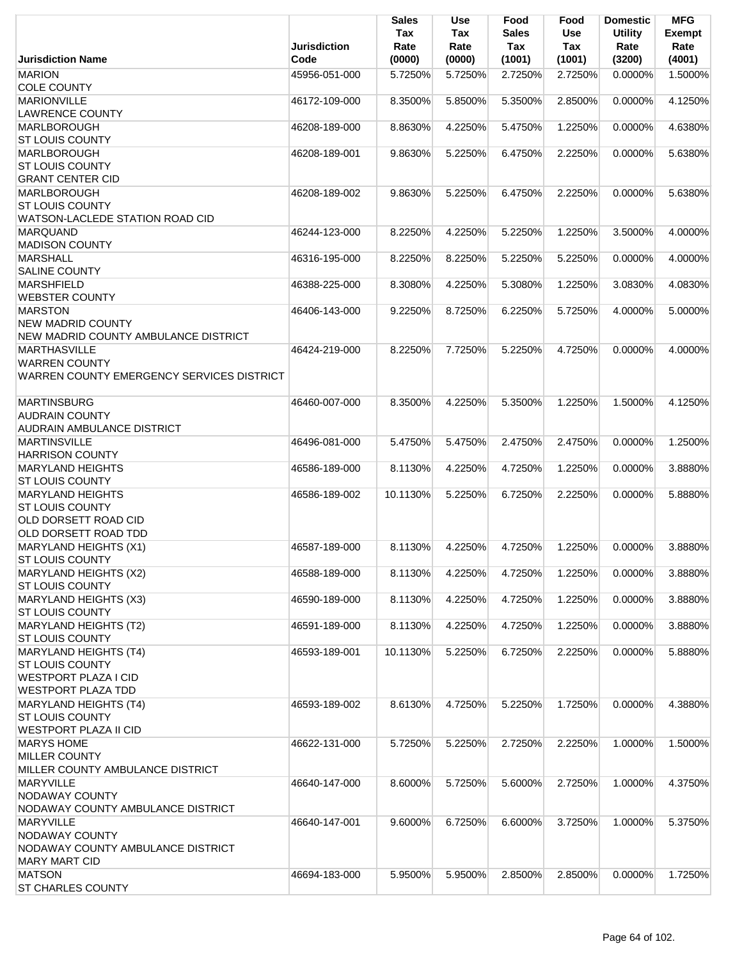|                                                 | <b>Jurisdiction</b> | <b>Sales</b><br>Tax<br>Rate | <b>Use</b><br>Tax<br>Rate | Food<br><b>Sales</b><br>Tax | Food<br>Use<br><b>Tax</b> | <b>Domestic</b><br><b>Utility</b><br>Rate | <b>MFG</b><br><b>Exempt</b><br>Rate |
|-------------------------------------------------|---------------------|-----------------------------|---------------------------|-----------------------------|---------------------------|-------------------------------------------|-------------------------------------|
| <b>Jurisdiction Name</b>                        | Code                | (0000)                      | (0000)                    | (1001)                      | (1001)                    | (3200)                                    | (4001)                              |
| <b>MARION</b><br><b>COLE COUNTY</b>             | 45956-051-000       | 5.7250%                     | 5.7250%                   | 2.7250%                     | 2.7250%                   | 0.0000%                                   | 1.5000%                             |
| <b>MARIONVILLE</b>                              | 46172-109-000       | 8.3500%                     | 5.8500%                   | 5.3500%                     | 2.8500%                   | 0.0000%                                   | 4.1250%                             |
| <b>LAWRENCE COUNTY</b>                          |                     |                             |                           |                             |                           |                                           |                                     |
| MARLBOROUGH                                     | 46208-189-000       | 8.8630%                     | 4.2250%                   | 5.4750%                     | 1.2250%                   | 0.0000%                                   | 4.6380%                             |
| <b>ST LOUIS COUNTY</b>                          |                     |                             |                           |                             |                           |                                           |                                     |
| MARLBOROUGH                                     | 46208-189-001       | 9.8630%                     | 5.2250%                   | 6.4750%                     | 2.2250%                   | 0.0000%                                   | 5.6380%                             |
| <b>ST LOUIS COUNTY</b>                          |                     |                             |                           |                             |                           |                                           |                                     |
| <b>GRANT CENTER CID</b>                         |                     |                             |                           |                             |                           |                                           |                                     |
| MARLBOROUGH                                     | 46208-189-002       | 9.8630%                     | 5.2250%                   | 6.4750%                     | 2.2250%                   | 0.0000%                                   | 5.6380%                             |
| <b>ST LOUIS COUNTY</b>                          |                     |                             |                           |                             |                           |                                           |                                     |
| WATSON-LACLEDE STATION ROAD CID                 |                     |                             |                           |                             |                           |                                           |                                     |
| <b>MARQUAND</b><br><b>MADISON COUNTY</b>        | 46244-123-000       | 8.2250%                     | 4.2250%                   | 5.2250%                     | 1.2250%                   | 3.5000%                                   | 4.0000%                             |
| <b>MARSHALL</b>                                 | 46316-195-000       | 8.2250%                     | 8.2250%                   | 5.2250%                     | 5.2250%                   | 0.0000%                                   | 4.0000%                             |
| <b>SALINE COUNTY</b>                            |                     |                             |                           |                             |                           |                                           |                                     |
| <b>MARSHFIELD</b>                               | 46388-225-000       | 8.3080%                     | 4.2250%                   | 5.3080%                     | 1.2250%                   | 3.0830%                                   | 4.0830%                             |
| <b>WEBSTER COUNTY</b>                           |                     |                             |                           |                             |                           |                                           |                                     |
| <b>MARSTON</b>                                  | 46406-143-000       | 9.2250%                     | 8.7250%                   | 6.2250%                     | 5.7250%                   | 4.0000%                                   | 5.0000%                             |
| <b>NEW MADRID COUNTY</b>                        |                     |                             |                           |                             |                           |                                           |                                     |
| NEW MADRID COUNTY AMBULANCE DISTRICT            |                     |                             |                           |                             |                           |                                           |                                     |
| <b>MARTHASVILLE</b>                             | 46424-219-000       | 8.2250%                     | 7.7250%                   | 5.2250%                     | 4.7250%                   | 0.0000%                                   | 4.0000%                             |
| <b>WARREN COUNTY</b>                            |                     |                             |                           |                             |                           |                                           |                                     |
| WARREN COUNTY EMERGENCY SERVICES DISTRICT       |                     |                             |                           |                             |                           |                                           |                                     |
| <b>MARTINSBURG</b>                              | 46460-007-000       | 8.3500%                     | 4.2250%                   | 5.3500%                     | 1.2250%                   | 1.5000%                                   | 4.1250%                             |
| <b>AUDRAIN COUNTY</b>                           |                     |                             |                           |                             |                           |                                           |                                     |
| <b>AUDRAIN AMBULANCE DISTRICT</b>               |                     |                             |                           |                             |                           |                                           |                                     |
| <b>MARTINSVILLE</b>                             | 46496-081-000       | 5.4750%                     | 5.4750%                   | 2.4750%                     | 2.4750%                   | $0.0000\%$                                | 1.2500%                             |
| <b>HARRISON COUNTY</b>                          |                     |                             |                           |                             |                           |                                           |                                     |
| <b>MARYLAND HEIGHTS</b>                         | 46586-189-000       | 8.1130%                     | 4.2250%                   | 4.7250%                     | 1.2250%                   | 0.0000%                                   | 3.8880%                             |
| <b>ST LOUIS COUNTY</b>                          |                     |                             |                           |                             |                           |                                           |                                     |
| <b>MARYLAND HEIGHTS</b>                         | 46586-189-002       | 10.1130%                    | 5.2250%                   | 6.7250%                     | 2.2250%                   | 0.0000%                                   | 5.8880%                             |
| <b>ST LOUIS COUNTY</b>                          |                     |                             |                           |                             |                           |                                           |                                     |
| OLD DORSETT ROAD CID                            |                     |                             |                           |                             |                           |                                           |                                     |
| OLD DORSETT ROAD TDD                            |                     |                             |                           |                             |                           |                                           |                                     |
| MARYLAND HEIGHTS (X1)                           | 46587-189-000       | 8.1130%                     | 4.2250%                   | 4.7250%                     | 1.2250%                   | 0.0000%                                   | 3.8880%                             |
| <b>ST LOUIS COUNTY</b>                          |                     |                             |                           |                             |                           |                                           |                                     |
| MARYLAND HEIGHTS (X2)                           | 46588-189-000       | 8.1130%                     | 4.2250%                   | 4.7250%                     | 1.2250%                   | 0.0000%                                   | 3.8880%                             |
| <b>ST LOUIS COUNTY</b>                          |                     |                             |                           |                             |                           |                                           |                                     |
| MARYLAND HEIGHTS (X3)<br><b>ST LOUIS COUNTY</b> | 46590-189-000       | 8.1130%                     | 4.2250%                   | 4.7250%                     | 1.2250%                   | 0.0000%                                   | 3.8880%                             |
| MARYLAND HEIGHTS (T2)                           | 46591-189-000       |                             |                           |                             | 1.2250%                   | 0.0000%                                   | 3.8880%                             |
| <b>ST LOUIS COUNTY</b>                          |                     | 8.1130%                     | 4.2250%                   | 4.7250%                     |                           |                                           |                                     |
| MARYLAND HEIGHTS (T4)                           | 46593-189-001       | 10.1130%                    | 5.2250%                   | 6.7250%                     | 2.2250%                   | 0.0000%                                   | 5.8880%                             |
| <b>ST LOUIS COUNTY</b>                          |                     |                             |                           |                             |                           |                                           |                                     |
| <b>WESTPORT PLAZA I CID</b>                     |                     |                             |                           |                             |                           |                                           |                                     |
| <b>WESTPORT PLAZA TDD</b>                       |                     |                             |                           |                             |                           |                                           |                                     |
| MARYLAND HEIGHTS (T4)                           | 46593-189-002       | 8.6130%                     | 4.7250%                   | 5.2250%                     | 1.7250%                   | 0.0000%                                   | 4.3880%                             |
| <b>ST LOUIS COUNTY</b>                          |                     |                             |                           |                             |                           |                                           |                                     |
| <b>WESTPORT PLAZA II CID</b>                    |                     |                             |                           |                             |                           |                                           |                                     |
| <b>MARYS HOME</b>                               | 46622-131-000       | 5.7250%                     | 5.2250%                   | 2.7250%                     | 2.2250%                   | 1.0000%                                   | 1.5000%                             |
| <b>MILLER COUNTY</b>                            |                     |                             |                           |                             |                           |                                           |                                     |
| MILLER COUNTY AMBULANCE DISTRICT                |                     |                             |                           |                             |                           |                                           |                                     |
| <b>MARYVILLE</b>                                | 46640-147-000       | 8.6000%                     | 5.7250%                   | 5.6000%                     | 2.7250%                   | 1.0000%                                   | 4.3750%                             |
| NODAWAY COUNTY                                  |                     |                             |                           |                             |                           |                                           |                                     |
| NODAWAY COUNTY AMBULANCE DISTRICT               |                     |                             |                           |                             |                           |                                           |                                     |
| <b>MARYVILLE</b>                                | 46640-147-001       | 9.6000%                     | 6.7250%                   | 6.6000%                     | 3.7250%                   | 1.0000%                                   | 5.3750%                             |
| NODAWAY COUNTY                                  |                     |                             |                           |                             |                           |                                           |                                     |
| NODAWAY COUNTY AMBULANCE DISTRICT               |                     |                             |                           |                             |                           |                                           |                                     |
| <b>MARY MART CID</b>                            |                     |                             |                           |                             |                           |                                           |                                     |
| <b>MATSON</b>                                   | 46694-183-000       | 5.9500%                     | 5.9500%                   | 2.8500%                     | 2.8500%                   | 0.0000%                                   | 1.7250%                             |
| ST CHARLES COUNTY                               |                     |                             |                           |                             |                           |                                           |                                     |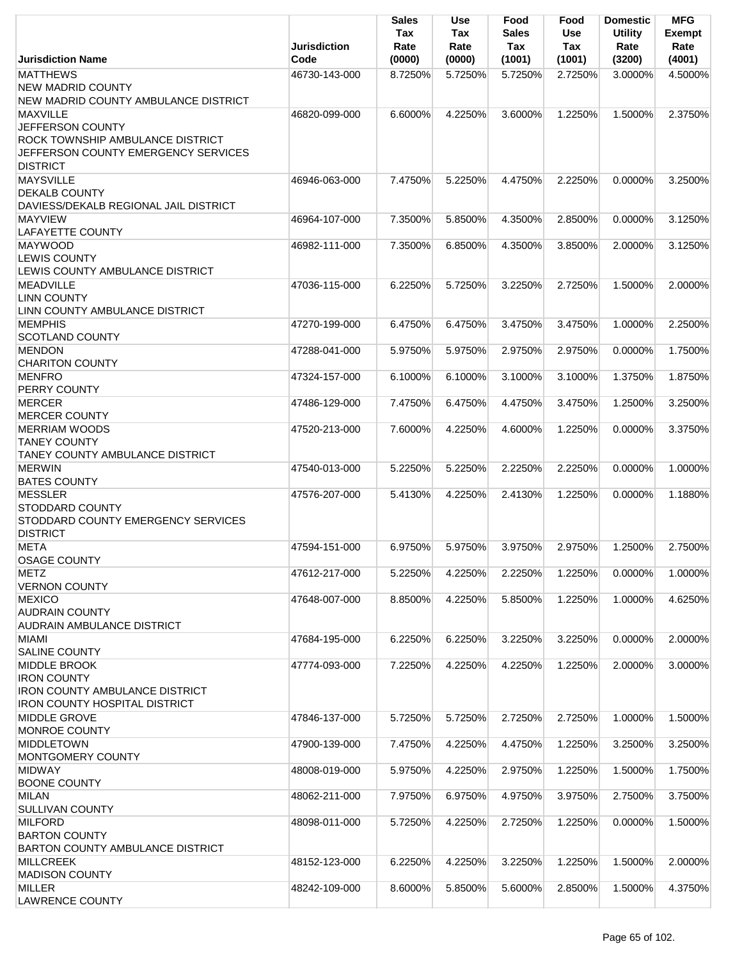|                                                                                                                                   | <b>Jurisdiction</b> | <b>Sales</b><br>Tax<br>Rate | Use<br>Tax<br>Rate | Food<br><b>Sales</b><br>Tax | Food<br><b>Use</b><br>Tax | <b>Domestic</b><br><b>Utility</b><br>Rate | <b>MFG</b><br><b>Exempt</b><br>Rate |
|-----------------------------------------------------------------------------------------------------------------------------------|---------------------|-----------------------------|--------------------|-----------------------------|---------------------------|-------------------------------------------|-------------------------------------|
| <b>Jurisdiction Name</b>                                                                                                          | Code                | (0000)                      | (0000)             | (1001)                      | (1001)                    | (3200)                                    | (4001)                              |
| <b>MATTHEWS</b><br><b>NEW MADRID COUNTY</b>                                                                                       | 46730-143-000       | 8.7250%                     | 5.7250%            | 5.7250%                     | 2.7250%                   | 3.0000%                                   | 4.5000%                             |
| NEW MADRID COUNTY AMBULANCE DISTRICT                                                                                              |                     |                             |                    |                             |                           |                                           |                                     |
| <b>MAXVILLE</b><br>JEFFERSON COUNTY<br>ROCK TOWNSHIP AMBULANCE DISTRICT<br>JEFFERSON COUNTY EMERGENCY SERVICES<br><b>DISTRICT</b> | 46820-099-000       | 6.6000%                     | 4.2250%            | 3.6000%                     | 1.2250%                   | 1.5000%                                   | 2.3750%                             |
| <b>MAYSVILLE</b><br><b>DEKALB COUNTY</b><br>DAVIESS/DEKALB REGIONAL JAIL DISTRICT                                                 | 46946-063-000       | 7.4750%                     | 5.2250%            | 4.4750%                     | 2.2250%                   | 0.0000%                                   | 3.2500%                             |
| <b>MAYVIEW</b><br><b>LAFAYETTE COUNTY</b>                                                                                         | 46964-107-000       | 7.3500%                     | 5.8500%            | 4.3500%                     | 2.8500%                   | 0.0000%                                   | 3.1250%                             |
| <b>MAYWOOD</b><br><b>LEWIS COUNTY</b><br>LEWIS COUNTY AMBULANCE DISTRICT                                                          | 46982-111-000       | 7.3500%                     | 6.8500%            | 4.3500%                     | 3.8500%                   | 2.0000%                                   | 3.1250%                             |
| <b>MEADVILLE</b><br><b>LINN COUNTY</b><br>LINN COUNTY AMBULANCE DISTRICT                                                          | 47036-115-000       | 6.2250%                     | 5.7250%            | 3.2250%                     | 2.7250%                   | 1.5000%                                   | 2.0000%                             |
| <b>MEMPHIS</b><br><b>SCOTLAND COUNTY</b>                                                                                          | 47270-199-000       | 6.4750%                     | 6.4750%            | 3.4750%                     | 3.4750%                   | 1.0000%                                   | 2.2500%                             |
| <b>MENDON</b><br><b>CHARITON COUNTY</b>                                                                                           | 47288-041-000       | 5.9750%                     | 5.9750%            | 2.9750%                     | 2.9750%                   | 0.0000%                                   | 1.7500%                             |
| <b>MENFRO</b><br><b>PERRY COUNTY</b>                                                                                              | 47324-157-000       | 6.1000%                     | 6.1000%            | 3.1000%                     | 3.1000%                   | 1.3750%                                   | 1.8750%                             |
| <b>MERCER</b><br><b>MERCER COUNTY</b>                                                                                             | 47486-129-000       | 7.4750%                     | 6.4750%            | 4.4750%                     | 3.4750%                   | 1.2500%                                   | 3.2500%                             |
| <b>MERRIAM WOODS</b><br><b>TANEY COUNTY</b><br><b>TANEY COUNTY AMBULANCE DISTRICT</b>                                             | 47520-213-000       | 7.6000%                     | 4.2250%            | 4.6000%                     | 1.2250%                   | 0.0000%                                   | 3.3750%                             |
| <b>MERWIN</b><br><b>BATES COUNTY</b>                                                                                              | 47540-013-000       | 5.2250%                     | 5.2250%            | 2.2250%                     | 2.2250%                   | 0.0000%                                   | 1.0000%                             |
| <b>MESSLER</b><br><b>STODDARD COUNTY</b><br>STODDARD COUNTY EMERGENCY SERVICES<br><b>DISTRICT</b>                                 | 47576-207-000       | 5.4130%                     | 4.2250%            | 2.4130%                     | 1.2250%                   | 0.0000%                                   | 1.1880%                             |
| <b>META</b><br><b>OSAGE COUNTY</b>                                                                                                | 47594-151-000       | 6.9750%                     | 5.9750%            | 3.9750%                     | 2.9750%                   | 1.2500%                                   | 2.7500%                             |
| <b>METZ</b><br><b>VERNON COUNTY</b>                                                                                               | 47612-217-000       | 5.2250%                     | 4.2250%            | 2.2250%                     | 1.2250%                   | 0.0000%                                   | 1.0000%                             |
| <b>MEXICO</b><br><b>AUDRAIN COUNTY</b><br><b>AUDRAIN AMBULANCE DISTRICT</b>                                                       | 47648-007-000       | 8.8500%                     | 4.2250%            | 5.8500%                     | 1.2250%                   | 1.0000%                                   | 4.6250%                             |
| <b>MIAMI</b><br><b>SALINE COUNTY</b>                                                                                              | 47684-195-000       | 6.2250%                     | 6.2250%            | 3.2250%                     | 3.2250%                   | 0.0000%                                   | 2.0000%                             |
| MIDDLE BROOK<br><b>IRON COUNTY</b><br><b>IRON COUNTY AMBULANCE DISTRICT</b><br><b>IRON COUNTY HOSPITAL DISTRICT</b>               | 47774-093-000       | 7.2250%                     | 4.2250%            | 4.2250%                     | 1.2250%                   | 2.0000%                                   | 3.0000%                             |
| <b>MIDDLE GROVE</b><br>MONROE COUNTY                                                                                              | 47846-137-000       | 5.7250%                     | 5.7250%            | 2.7250%                     | 2.7250%                   | 1.0000%                                   | 1.5000%                             |
| <b>MIDDLETOWN</b><br>MONTGOMERY COUNTY                                                                                            | 47900-139-000       | 7.4750%                     | 4.2250%            | 4.4750%                     | 1.2250%                   | 3.2500%                                   | 3.2500%                             |
| <b>MIDWAY</b><br><b>BOONE COUNTY</b>                                                                                              | 48008-019-000       | 5.9750%                     | 4.2250%            | 2.9750%                     | 1.2250%                   | 1.5000%                                   | 1.7500%                             |
| <b>MILAN</b><br><b>SULLIVAN COUNTY</b>                                                                                            | 48062-211-000       | 7.9750%                     | 6.9750%            | 4.9750%                     | 3.9750%                   | 2.7500%                                   | 3.7500%                             |
| <b>MILFORD</b><br><b>BARTON COUNTY</b><br>BARTON COUNTY AMBULANCE DISTRICT                                                        | 48098-011-000       | 5.7250%                     | 4.2250%            | 2.7250%                     | 1.2250%                   | 0.0000%                                   | 1.5000%                             |
| <b>MILLCREEK</b><br><b>MADISON COUNTY</b>                                                                                         | 48152-123-000       | 6.2250%                     | 4.2250%            | 3.2250%                     | 1.2250%                   | 1.5000%                                   | 2.0000%                             |
| <b>MILLER</b><br><b>LAWRENCE COUNTY</b>                                                                                           | 48242-109-000       | 8.6000%                     | 5.8500%            | 5.6000%                     | 2.8500%                   | 1.5000%                                   | 4.3750%                             |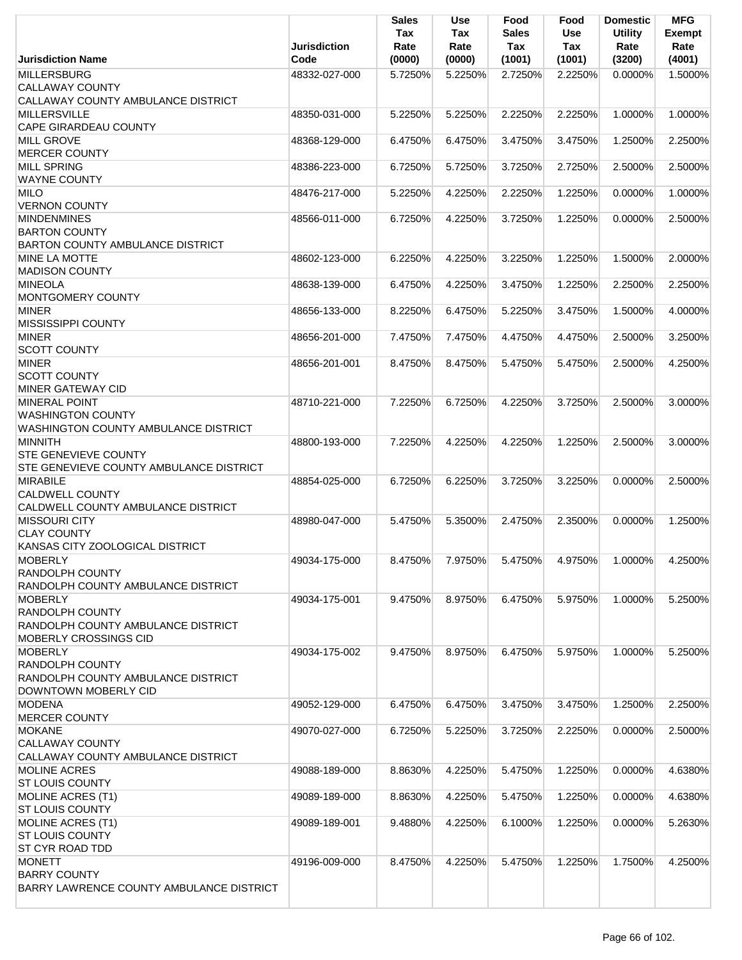|                                                            | <b>Jurisdiction</b> | Sales<br>Tax<br>Rate | Use<br>Tax<br>Rate | Food<br><b>Sales</b><br>Tax | Food<br><b>Use</b><br><b>Tax</b> | <b>Domestic</b><br><b>Utility</b><br>Rate | <b>MFG</b><br><b>Exempt</b><br>Rate |
|------------------------------------------------------------|---------------------|----------------------|--------------------|-----------------------------|----------------------------------|-------------------------------------------|-------------------------------------|
| <b>Jurisdiction Name</b>                                   | Code                | (0000)               | (0000)             | (1001)                      | (1001)                           | (3200)                                    | (4001)                              |
| <b>MILLERSBURG</b>                                         | 48332-027-000       | 5.7250%              | 5.2250%            | 2.7250%                     | 2.2250%                          | 0.0000%                                   | 1.5000%                             |
| <b>CALLAWAY COUNTY</b>                                     |                     |                      |                    |                             |                                  |                                           |                                     |
| CALLAWAY COUNTY AMBULANCE DISTRICT                         |                     |                      |                    |                             |                                  |                                           |                                     |
| <b>MILLERSVILLE</b>                                        | 48350-031-000       | 5.2250%              | 5.2250%            | 2.2250%                     | 2.2250%                          | 1.0000%                                   | 1.0000%                             |
| <b>CAPE GIRARDEAU COUNTY</b>                               |                     |                      |                    |                             |                                  |                                           |                                     |
| <b>MILL GROVE</b>                                          | 48368-129-000       | 6.4750%              | 6.4750%            | 3.4750%                     | 3.4750%                          | 1.2500%                                   | 2.2500%                             |
| <b>MERCER COUNTY</b>                                       |                     |                      |                    |                             |                                  |                                           |                                     |
| <b>MILL SPRING</b>                                         | 48386-223-000       | 6.7250%              | 5.7250%            | 3.7250%                     | 2.7250%                          | 2.5000%                                   | 2.5000%                             |
| <b>WAYNE COUNTY</b>                                        |                     |                      |                    |                             |                                  |                                           |                                     |
| <b>MILO</b>                                                | 48476-217-000       | 5.2250%              | 4.2250%            | 2.2250%                     | 1.2250%                          | 0.0000%                                   | 1.0000%                             |
| <b>VERNON COUNTY</b>                                       |                     |                      |                    |                             |                                  |                                           |                                     |
| <b>MINDENMINES</b>                                         | 48566-011-000       | 6.7250%              | 4.2250%            | 3.7250%                     | 1.2250%                          | 0.0000%                                   | 2.5000%                             |
| <b>BARTON COUNTY</b>                                       |                     |                      |                    |                             |                                  |                                           |                                     |
| <b>BARTON COUNTY AMBULANCE DISTRICT</b>                    |                     |                      |                    |                             |                                  |                                           |                                     |
| <b>MINE LA MOTTE</b>                                       | 48602-123-000       | 6.2250%              | 4.2250%            | 3.2250%                     | 1.2250%                          | 1.5000%                                   | 2.0000%                             |
| <b>MADISON COUNTY</b>                                      |                     |                      |                    |                             |                                  |                                           |                                     |
| <b>MINEOLA</b>                                             | 48638-139-000       | 6.4750%              | 4.2250%            | 3.4750%                     | 1.2250%                          | 2.2500%                                   | 2.2500%                             |
| MONTGOMERY COUNTY                                          |                     |                      |                    |                             |                                  |                                           |                                     |
| <b>MINER</b>                                               | 48656-133-000       | 8.2250%              | 6.4750%            | 5.2250%                     | 3.4750%                          | 1.5000%                                   | 4.0000%                             |
| <b>MISSISSIPPI COUNTY</b>                                  |                     |                      |                    |                             |                                  |                                           |                                     |
| <b>MINER</b>                                               | 48656-201-000       | 7.4750%              | 7.4750%            | 4.4750%                     | 4.4750%                          | 2.5000%                                   | 3.2500%                             |
| <b>SCOTT COUNTY</b>                                        |                     |                      |                    |                             |                                  |                                           |                                     |
| <b>MINER</b>                                               | 48656-201-001       | 8.4750%              | 8.4750%            | 5.4750%                     | 5.4750%                          | 2.5000%                                   | 4.2500%                             |
| <b>SCOTT COUNTY</b>                                        |                     |                      |                    |                             |                                  |                                           |                                     |
| <b>MINER GATEWAY CID</b>                                   |                     |                      |                    |                             |                                  |                                           |                                     |
| <b>MINERAL POINT</b>                                       | 48710-221-000       | 7.2250%              | 6.7250%            | 4.2250%                     | 3.7250%                          | 2.5000%                                   | 3.0000%                             |
| <b>WASHINGTON COUNTY</b>                                   |                     |                      |                    |                             |                                  |                                           |                                     |
| WASHINGTON COUNTY AMBULANCE DISTRICT                       |                     |                      |                    |                             |                                  |                                           |                                     |
| <b>MINNITH</b>                                             | 48800-193-000       | 7.2250%              | 4.2250%            | 4.2250%                     | 1.2250%                          | 2.5000%                                   | 3.0000%                             |
| <b>STE GENEVIEVE COUNTY</b>                                |                     |                      |                    |                             |                                  |                                           |                                     |
| <b>STE GENEVIEVE COUNTY AMBULANCE DISTRICT</b>             |                     |                      |                    |                             |                                  |                                           |                                     |
| <b>MIRABILE</b>                                            | 48854-025-000       | 6.7250%              | 6.2250%            | 3.7250%                     | 3.2250%                          | 0.0000%                                   | 2.5000%                             |
| <b>CALDWELL COUNTY</b>                                     |                     |                      |                    |                             |                                  |                                           |                                     |
| CALDWELL COUNTY AMBULANCE DISTRICT<br><b>MISSOURI CITY</b> | 48980-047-000       | 5.4750%              |                    |                             |                                  |                                           |                                     |
| <b>CLAY COUNTY</b>                                         |                     |                      | 5.3500%            | 2.4750%                     | 2.3500%                          | 0.0000%                                   | 1.2500%                             |
| KANSAS CITY ZOOLOGICAL DISTRICT                            |                     |                      |                    |                             |                                  |                                           |                                     |
| <b>MOBERLY</b>                                             | 49034-175-000       | 8.4750%              | 7.9750%            | 5.4750%                     | 4.9750%                          | 1.0000%                                   | 4.2500%                             |
| <b>RANDOLPH COUNTY</b>                                     |                     |                      |                    |                             |                                  |                                           |                                     |
| RANDOLPH COUNTY AMBULANCE DISTRICT                         |                     |                      |                    |                             |                                  |                                           |                                     |
| <b>MOBERLY</b>                                             | 49034-175-001       | 9.4750%              | 8.9750%            | 6.4750%                     | 5.9750%                          | 1.0000%                                   | 5.2500%                             |
| <b>RANDOLPH COUNTY</b>                                     |                     |                      |                    |                             |                                  |                                           |                                     |
| RANDOLPH COUNTY AMBULANCE DISTRICT                         |                     |                      |                    |                             |                                  |                                           |                                     |
| MOBERLY CROSSINGS CID                                      |                     |                      |                    |                             |                                  |                                           |                                     |
| <b>MOBERLY</b>                                             | 49034-175-002       | 9.4750%              | 8.9750%            | 6.4750%                     | 5.9750%                          | 1.0000%                                   | 5.2500%                             |
| <b>RANDOLPH COUNTY</b>                                     |                     |                      |                    |                             |                                  |                                           |                                     |
| RANDOLPH COUNTY AMBULANCE DISTRICT                         |                     |                      |                    |                             |                                  |                                           |                                     |
| DOWNTOWN MOBERLY CID                                       |                     |                      |                    |                             |                                  |                                           |                                     |
| <b>MODENA</b>                                              | 49052-129-000       | 6.4750%              | 6.4750%            | 3.4750%                     | 3.4750%                          | 1.2500%                                   | 2.2500%                             |
| <b>MERCER COUNTY</b>                                       |                     |                      |                    |                             |                                  |                                           |                                     |
| <b>MOKANE</b>                                              | 49070-027-000       | 6.7250%              | 5.2250%            | 3.7250%                     | 2.2250%                          | 0.0000%                                   | 2.5000%                             |
| <b>CALLAWAY COUNTY</b>                                     |                     |                      |                    |                             |                                  |                                           |                                     |
| CALLAWAY COUNTY AMBULANCE DISTRICT                         |                     |                      |                    |                             |                                  |                                           |                                     |
| <b>MOLINE ACRES</b>                                        | 49088-189-000       | 8.8630%              | 4.2250%            | 5.4750%                     | 1.2250%                          | 0.0000%                                   | 4.6380%                             |
| <b>ST LOUIS COUNTY</b>                                     |                     |                      |                    |                             |                                  |                                           |                                     |
| <b>MOLINE ACRES (T1)</b>                                   | 49089-189-000       | 8.8630%              | 4.2250%            | 5.4750%                     | 1.2250%                          | 0.0000%                                   | 4.6380%                             |
| <b>ST LOUIS COUNTY</b>                                     |                     |                      |                    |                             |                                  |                                           |                                     |
| MOLINE ACRES (T1)                                          | 49089-189-001       | 9.4880%              | 4.2250%            | 6.1000%                     | 1.2250%                          | 0.0000%                                   | 5.2630%                             |
| <b>ST LOUIS COUNTY</b>                                     |                     |                      |                    |                             |                                  |                                           |                                     |
| ST CYR ROAD TDD                                            |                     |                      |                    |                             |                                  |                                           |                                     |
| <b>MONETT</b>                                              | 49196-009-000       | 8.4750%              | 4.2250%            | 5.4750%                     | 1.2250%                          | 1.7500%                                   | 4.2500%                             |
| <b>BARRY COUNTY</b>                                        |                     |                      |                    |                             |                                  |                                           |                                     |
| BARRY LAWRENCE COUNTY AMBULANCE DISTRICT                   |                     |                      |                    |                             |                                  |                                           |                                     |
|                                                            |                     |                      |                    |                             |                                  |                                           |                                     |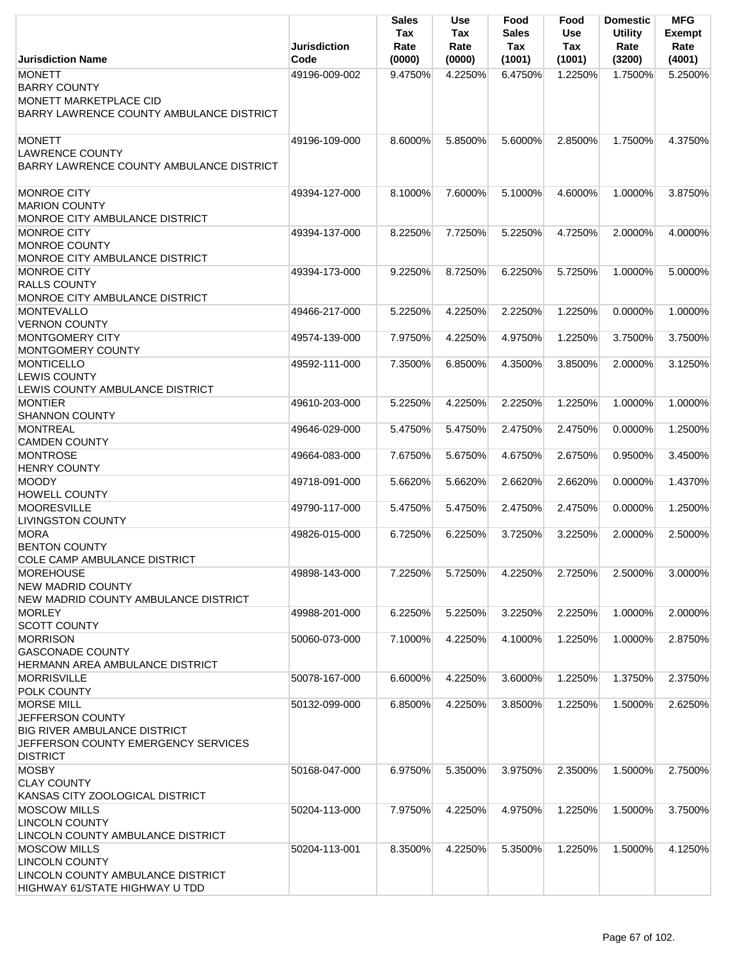|                                                                                                                                        | <b>Jurisdiction</b>            | <b>Sales</b><br>Tax<br>Rate | <b>Use</b><br>Tax<br>Rate | Food<br><b>Sales</b><br>Tax | Food<br><b>Use</b><br>Tax | <b>Domestic</b><br><b>Utility</b><br>Rate | <b>MFG</b><br><b>Exempt</b><br>Rate |
|----------------------------------------------------------------------------------------------------------------------------------------|--------------------------------|-----------------------------|---------------------------|-----------------------------|---------------------------|-------------------------------------------|-------------------------------------|
| <b>Jurisdiction Name</b>                                                                                                               | Code                           | (0000)                      | (0000)                    | (1001)                      | (1001)                    | (3200)                                    | (4001)                              |
| <b>MONETT</b><br><b>BARRY COUNTY</b><br><b>MONETT MARKETPLACE CID</b><br>BARRY LAWRENCE COUNTY AMBULANCE DISTRICT                      | 49196-009-002                  | 9.4750%                     | 4.2250%                   | 6.4750%                     | 1.2250%                   | 1.7500%                                   | 5.2500%                             |
| <b>MONETT</b><br><b>LAWRENCE COUNTY</b><br>BARRY LAWRENCE COUNTY AMBULANCE DISTRICT                                                    | 49196-109-000                  | 8.6000%                     | 5.8500%                   | 5.6000%                     | 2.8500%                   | 1.7500%                                   | 4.3750%                             |
| <b>MONROE CITY</b><br><b>MARION COUNTY</b><br>MONROE CITY AMBULANCE DISTRICT                                                           | 49394-127-000                  | 8.1000%                     | 7.6000%                   | 5.1000%                     | 4.6000%                   | 1.0000%                                   | 3.8750%                             |
| <b>MONROE CITY</b><br><b>MONROE COUNTY</b><br>MONROE CITY AMBULANCE DISTRICT                                                           | 49394-137-000                  | 8.2250%                     | 7.7250%                   | 5.2250%                     | 4.7250%                   | 2.0000%                                   | 4.0000%                             |
| <b>MONROE CITY</b><br><b>RALLS COUNTY</b><br>MONROE CITY AMBULANCE DISTRICT                                                            | 49394-173-000                  | 9.2250%                     | 8.7250%                   | 6.2250%                     | 5.7250%                   | 1.0000%                                   | 5.0000%                             |
| <b>MONTEVALLO</b><br><b>VERNON COUNTY</b>                                                                                              | 49466-217-000                  | 5.2250%                     | 4.2250%                   | 2.2250%                     | 1.2250%                   | 0.0000%                                   | 1.0000%                             |
| <b>MONTGOMERY CITY</b><br>MONTGOMERY COUNTY<br><b>MONTICELLO</b>                                                                       | 49574-139-000<br>49592-111-000 | 7.9750%<br>7.3500%          | 4.2250%<br>6.8500%        | 4.9750%<br>4.3500%          | 1.2250%<br>3.8500%        | 3.7500%<br>2.0000%                        | 3.7500%<br>3.1250%                  |
| <b>LEWIS COUNTY</b><br>LEWIS COUNTY AMBULANCE DISTRICT                                                                                 |                                |                             |                           |                             |                           |                                           |                                     |
| <b>MONTIER</b><br><b>SHANNON COUNTY</b>                                                                                                | 49610-203-000                  | 5.2250%                     | 4.2250%                   | 2.2250%                     | 1.2250%                   | 1.0000%                                   | 1.0000%                             |
| <b>MONTREAL</b><br><b>CAMDEN COUNTY</b>                                                                                                | 49646-029-000                  | 5.4750%                     | 5.4750%                   | 2.4750%                     | 2.4750%                   | 0.0000%                                   | 1.2500%                             |
| <b>MONTROSE</b><br><b>HENRY COUNTY</b>                                                                                                 | 49664-083-000                  | 7.6750%                     | 5.6750%                   | 4.6750%                     | 2.6750%                   | 0.9500%                                   | 3.4500%                             |
| <b>MOODY</b><br><b>HOWELL COUNTY</b>                                                                                                   | 49718-091-000                  | 5.6620%                     | 5.6620%                   | 2.6620%                     | 2.6620%                   | 0.0000%                                   | 1.4370%                             |
| <b>MOORESVILLE</b><br><b>LIVINGSTON COUNTY</b>                                                                                         | 49790-117-000                  | 5.4750%                     | 5.4750%                   | 2.4750%                     | 2.4750%                   | 0.0000%                                   | 1.2500%                             |
| <b>MORA</b><br><b>BENTON COUNTY</b><br><b>COLE CAMP AMBULANCE DISTRICT</b>                                                             | 49826-015-000                  | 6.7250%                     | 6.2250%                   | 3.7250%                     | 3.2250%                   | 2.0000%                                   | 2.5000%                             |
| <b>MOREHOUSE</b><br><b>NEW MADRID COUNTY</b><br>NEW MADRID COUNTY AMBULANCE DISTRICT                                                   | 49898-143-000                  | 7.2250%                     | 5.7250%                   | 4.2250%                     | 2.7250%                   | 2.5000%                                   | 3.0000%                             |
| <b>MORLEY</b><br><b>SCOTT COUNTY</b>                                                                                                   | 49988-201-000                  | 6.2250%                     | 5.2250%                   | 3.2250%                     | 2.2250%                   | 1.0000%                                   | 2.0000%                             |
| <b>MORRISON</b><br><b>GASCONADE COUNTY</b><br>HERMANN AREA AMBULANCE DISTRICT                                                          | 50060-073-000                  | 7.1000%                     | 4.2250%                   | 4.1000%                     | 1.2250%                   | 1.0000%                                   | 2.8750%                             |
| <b>MORRISVILLE</b><br>POLK COUNTY                                                                                                      | 50078-167-000                  | 6.6000%                     | 4.2250%                   | 3.6000%                     | 1.2250%                   | 1.3750%                                   | 2.3750%                             |
| <b>MORSE MILL</b><br>JEFFERSON COUNTY<br><b>BIG RIVER AMBULANCE DISTRICT</b><br>JEFFERSON COUNTY EMERGENCY SERVICES<br><b>DISTRICT</b> | 50132-099-000                  | 6.8500%                     | 4.2250%                   | 3.8500%                     | 1.2250%                   | 1.5000%                                   | 2.6250%                             |
| <b>MOSBY</b><br><b>CLAY COUNTY</b><br>KANSAS CITY ZOOLOGICAL DISTRICT                                                                  | 50168-047-000                  | 6.9750%                     | 5.3500%                   | 3.9750%                     | 2.3500%                   | 1.5000%                                   | 2.7500%                             |
| <b>MOSCOW MILLS</b><br><b>LINCOLN COUNTY</b><br>LINCOLN COUNTY AMBULANCE DISTRICT                                                      | 50204-113-000                  | 7.9750%                     | 4.2250%                   | 4.9750%                     | 1.2250%                   | 1.5000%                                   | 3.7500%                             |
| <b>MOSCOW MILLS</b><br><b>LINCOLN COUNTY</b><br>LINCOLN COUNTY AMBULANCE DISTRICT<br>HIGHWAY 61/STATE HIGHWAY U TDD                    | 50204-113-001                  | 8.3500%                     | 4.2250%                   | 5.3500%                     | 1.2250%                   | 1.5000%                                   | 4.1250%                             |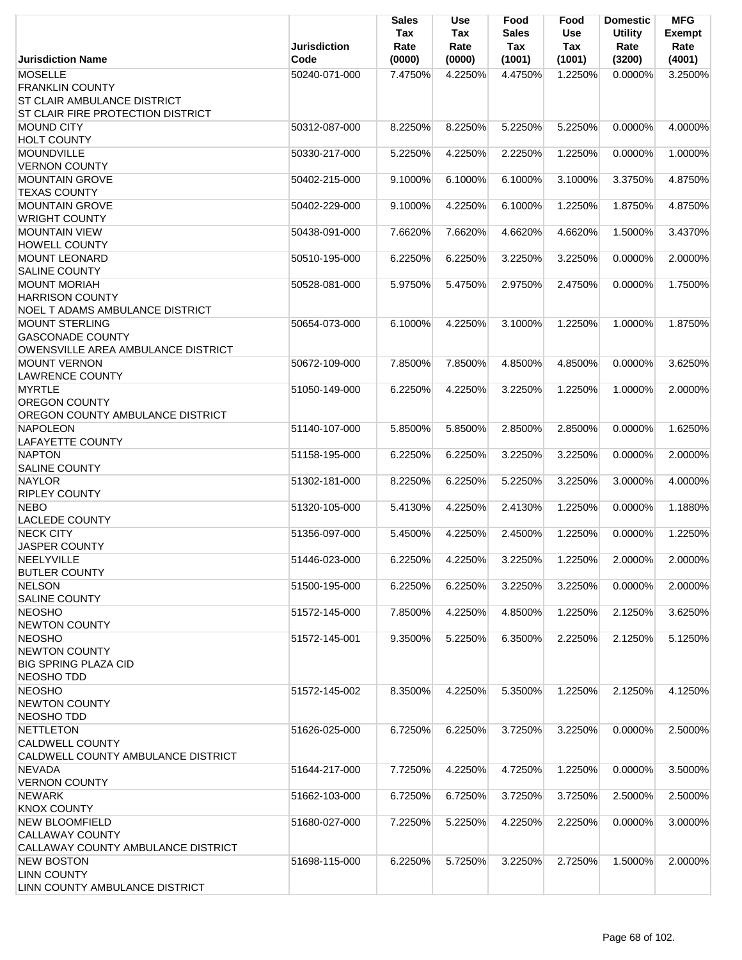|                                                                                         | <b>Jurisdiction</b> | <b>Sales</b><br>Tax<br>Rate | <b>Use</b><br>Tax<br>Rate | Food<br>Sales<br>Tax | Food<br><b>Use</b><br>Tax | <b>Domestic</b><br><b>Utility</b><br>Rate | <b>MFG</b><br><b>Exempt</b><br>Rate |
|-----------------------------------------------------------------------------------------|---------------------|-----------------------------|---------------------------|----------------------|---------------------------|-------------------------------------------|-------------------------------------|
| <b>Jurisdiction Name</b>                                                                | Code                | (0000)                      | (0000)                    | (1001)               | (1001)                    | (3200)                                    | (4001)                              |
| <b>MOSELLE</b><br><b>FRANKLIN COUNTY</b><br><b>ST CLAIR AMBULANCE DISTRICT</b>          | 50240-071-000       | 7.4750%                     | 4.2250%                   | 4.4750%              | 1.2250%                   | 0.0000%                                   | 3.2500%                             |
| ST CLAIR FIRE PROTECTION DISTRICT                                                       |                     |                             |                           |                      |                           |                                           |                                     |
| <b>MOUND CITY</b><br><b>HOLT COUNTY</b>                                                 | 50312-087-000       | 8.2250%                     | 8.2250%                   | 5.2250%              | 5.2250%                   | 0.0000%                                   | 4.0000%                             |
| <b>MOUNDVILLE</b><br><b>VERNON COUNTY</b>                                               | 50330-217-000       | 5.2250%                     | 4.2250%                   | 2.2250%              | 1.2250%                   | 0.0000%                                   | 1.0000%                             |
| <b>MOUNTAIN GROVE</b><br><b>TEXAS COUNTY</b>                                            | 50402-215-000       | 9.1000%                     | 6.1000%                   | 6.1000%              | 3.1000%                   | 3.3750%                                   | 4.8750%                             |
| <b>MOUNTAIN GROVE</b><br><b>WRIGHT COUNTY</b>                                           | 50402-229-000       | 9.1000%                     | 4.2250%                   | 6.1000%              | 1.2250%                   | 1.8750%                                   | 4.8750%                             |
| <b>MOUNTAIN VIEW</b><br><b>HOWELL COUNTY</b>                                            | 50438-091-000       | 7.6620%                     | 7.6620%                   | 4.6620%              | 4.6620%                   | 1.5000%                                   | 3.4370%                             |
| <b>MOUNT LEONARD</b><br><b>SALINE COUNTY</b>                                            | 50510-195-000       | 6.2250%                     | 6.2250%                   | 3.2250%              | 3.2250%                   | 0.0000%                                   | 2.0000%                             |
| <b>MOUNT MORIAH</b><br><b>HARRISON COUNTY</b><br><b>NOEL T ADAMS AMBULANCE DISTRICT</b> | 50528-081-000       | 5.9750%                     | 5.4750%                   | 2.9750%              | 2.4750%                   | 0.0000%                                   | 1.7500%                             |
| <b>MOUNT STERLING</b><br><b>GASCONADE COUNTY</b><br>OWENSVILLE AREA AMBULANCE DISTRICT  | 50654-073-000       | 6.1000%                     | 4.2250%                   | 3.1000%              | 1.2250%                   | 1.0000%                                   | 1.8750%                             |
| <b>MOUNT VERNON</b><br><b>LAWRENCE COUNTY</b>                                           | 50672-109-000       | 7.8500%                     | 7.8500%                   | 4.8500%              | 4.8500%                   | 0.0000%                                   | 3.6250%                             |
| <b>MYRTLE</b><br><b>OREGON COUNTY</b><br>OREGON COUNTY AMBULANCE DISTRICT               | 51050-149-000       | 6.2250%                     | 4.2250%                   | 3.2250%              | 1.2250%                   | 1.0000%                                   | 2.0000%                             |
| <b>NAPOLEON</b><br><b>LAFAYETTE COUNTY</b>                                              | 51140-107-000       | 5.8500%                     | 5.8500%                   | 2.8500%              | 2.8500%                   | 0.0000%                                   | 1.6250%                             |
| <b>NAPTON</b><br><b>SALINE COUNTY</b>                                                   | 51158-195-000       | 6.2250%                     | 6.2250%                   | 3.2250%              | 3.2250%                   | 0.0000%                                   | 2.0000%                             |
| <b>NAYLOR</b><br><b>RIPLEY COUNTY</b>                                                   | 51302-181-000       | 8.2250%                     | 6.2250%                   | 5.2250%              | 3.2250%                   | 3.0000%                                   | 4.0000%                             |
| <b>NEBO</b><br><b>LACLEDE COUNTY</b>                                                    | 51320-105-000       | 5.4130%                     | 4.2250%                   | 2.4130%              | 1.2250%                   | 0.0000%                                   | 1.1880%                             |
| NECK CITY<br>JASPER COUNTY                                                              | 51356-097-000       | 5.4500%                     | 4.2250%                   | 2.4500%              | 1.2250%                   | 0.0000%                                   | 1.2250%                             |
| NEELYVILLE<br><b>BUTLER COUNTY</b>                                                      | 51446-023-000       | 6.2250%                     | 4.2250%                   | 3.2250%              | 1.2250%                   | 2.0000%                                   | 2.0000%                             |
| <b>NELSON</b><br><b>SALINE COUNTY</b>                                                   | 51500-195-000       | 6.2250%                     | 6.2250%                   | 3.2250%              | 3.2250%                   | 0.0000%                                   | 2.0000%                             |
| <b>NEOSHO</b><br><b>NEWTON COUNTY</b>                                                   | 51572-145-000       | 7.8500%                     | 4.2250%                   | 4.8500%              | 1.2250%                   | 2.1250%                                   | 3.6250%                             |
| <b>NEOSHO</b><br><b>NEWTON COUNTY</b><br><b>BIG SPRING PLAZA CID</b><br>NEOSHO TDD      | 51572-145-001       | 9.3500%                     | 5.2250%                   | 6.3500%              | 2.2250%                   | 2.1250%                                   | 5.1250%                             |
| <b>NEOSHO</b><br><b>NEWTON COUNTY</b><br>NEOSHO TDD                                     | 51572-145-002       | 8.3500%                     | 4.2250%                   | 5.3500%              | 1.2250%                   | 2.1250%                                   | 4.1250%                             |
| <b>NETTLETON</b><br><b>CALDWELL COUNTY</b><br>CALDWELL COUNTY AMBULANCE DISTRICT        | 51626-025-000       | 6.7250%                     | 6.2250%                   | 3.7250%              | 3.2250%                   | 0.0000%                                   | 2.5000%                             |
| <b>NEVADA</b><br><b>VERNON COUNTY</b>                                                   | 51644-217-000       | 7.7250%                     | 4.2250%                   | 4.7250%              | 1.2250%                   | 0.0000%                                   | 3.5000%                             |
| <b>NEWARK</b><br><b>KNOX COUNTY</b>                                                     | 51662-103-000       | 6.7250%                     | 6.7250%                   | 3.7250%              | 3.7250%                   | 2.5000%                                   | 2.5000%                             |
| <b>NEW BLOOMFIELD</b><br><b>CALLAWAY COUNTY</b><br>CALLAWAY COUNTY AMBULANCE DISTRICT   | 51680-027-000       | 7.2250%                     | 5.2250%                   | 4.2250%              | 2.2250%                   | 0.0000%                                   | 3.0000%                             |
| <b>NEW BOSTON</b><br><b>LINN COUNTY</b><br>LINN COUNTY AMBULANCE DISTRICT               | 51698-115-000       | 6.2250%                     | 5.7250%                   | 3.2250%              | 2.7250%                   | 1.5000%                                   | 2.0000%                             |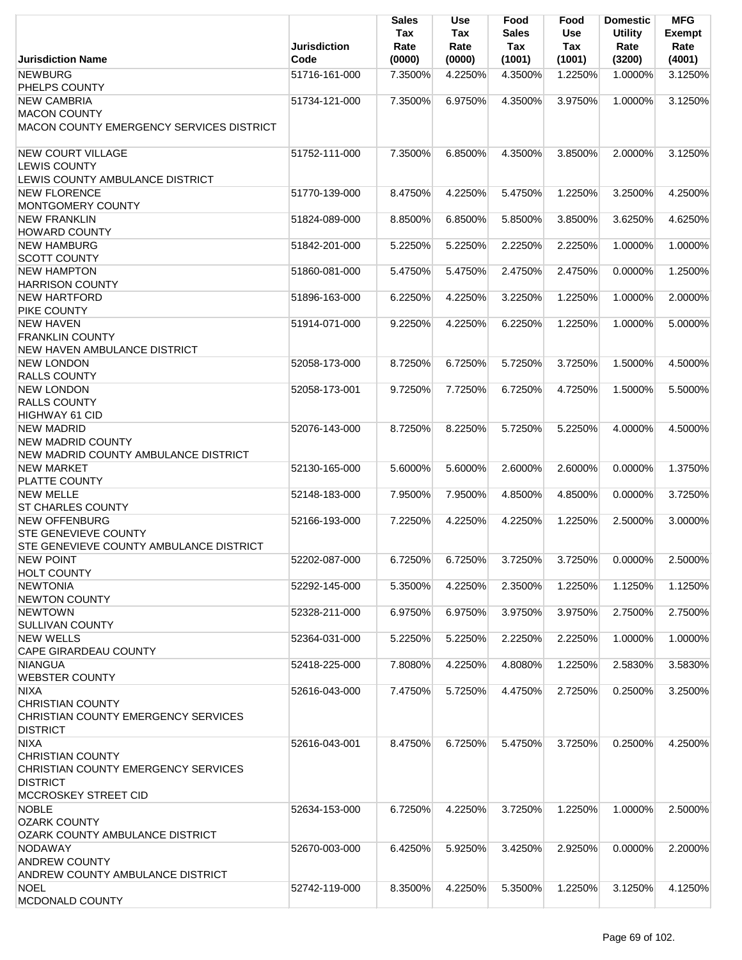|                                                                               | <b>Jurisdiction</b> | <b>Sales</b><br>Tax<br>Rate | <b>Use</b><br>Tax<br>Rate | Food<br><b>Sales</b><br>Tax | Food<br>Use<br>Tax | <b>Domestic</b><br><b>Utility</b><br>Rate | <b>MFG</b><br>Exempt<br>Rate |
|-------------------------------------------------------------------------------|---------------------|-----------------------------|---------------------------|-----------------------------|--------------------|-------------------------------------------|------------------------------|
| <b>Jurisdiction Name</b>                                                      | Code                | (0000)                      | (0000)                    | (1001)                      | (1001)             | (3200)                                    | (4001)                       |
| <b>NEWBURG</b>                                                                | 51716-161-000       | 7.3500%                     | 4.2250%                   | 4.3500%                     | 1.2250%            | 1.0000%                                   | 3.1250%                      |
| PHELPS COUNTY<br><b>NEW CAMBRIA</b>                                           |                     |                             |                           |                             |                    |                                           |                              |
| <b>MACON COUNTY</b>                                                           | 51734-121-000       | 7.3500%                     | 6.9750%                   | 4.3500%                     | 3.9750%            | 1.0000%                                   | 3.1250%                      |
| MACON COUNTY EMERGENCY SERVICES DISTRICT                                      |                     |                             |                           |                             |                    |                                           |                              |
|                                                                               |                     |                             |                           |                             |                    |                                           |                              |
| <b>NEW COURT VILLAGE</b>                                                      | 51752-111-000       | 7.3500%                     | 6.8500%                   | 4.3500%                     | 3.8500%            | 2.0000%                                   | 3.1250%                      |
| <b>LEWIS COUNTY</b>                                                           |                     |                             |                           |                             |                    |                                           |                              |
| LEWIS COUNTY AMBULANCE DISTRICT                                               |                     |                             |                           |                             |                    |                                           |                              |
| <b>NEW FLORENCE</b>                                                           | 51770-139-000       | 8.4750%                     | 4.2250%                   | 5.4750%                     | 1.2250%            | 3.2500%                                   | 4.2500%                      |
| MONTGOMERY COUNTY                                                             |                     |                             |                           |                             |                    |                                           |                              |
| <b>NEW FRANKLIN</b>                                                           | 51824-089-000       | 8.8500%                     | 6.8500%                   | 5.8500%                     | 3.8500%            | 3.6250%                                   | 4.6250%                      |
| <b>HOWARD COUNTY</b>                                                          |                     |                             |                           |                             |                    |                                           |                              |
| <b>NEW HAMBURG</b>                                                            | 51842-201-000       | 5.2250%                     | 5.2250%                   | 2.2250%                     | 2.2250%            | 1.0000%                                   | 1.0000%                      |
| <b>SCOTT COUNTY</b>                                                           |                     |                             |                           |                             |                    |                                           |                              |
| <b>NEW HAMPTON</b>                                                            | 51860-081-000       | 5.4750%                     | 5.4750%                   | 2.4750%                     | 2.4750%            | 0.0000%                                   | 1.2500%                      |
| <b>HARRISON COUNTY</b>                                                        |                     |                             |                           |                             |                    |                                           |                              |
| <b>NEW HARTFORD</b>                                                           | 51896-163-000       | 6.2250%                     | 4.2250%                   | 3.2250%                     | 1.2250%            | 1.0000%                                   | 2.0000%                      |
| PIKE COUNTY                                                                   |                     |                             |                           |                             |                    |                                           |                              |
| <b>NEW HAVEN</b>                                                              | 51914-071-000       | 9.2250%                     | 4.2250%                   | 6.2250%                     | 1.2250%            | 1.0000%                                   | 5.0000%                      |
| <b>FRANKLIN COUNTY</b>                                                        |                     |                             |                           |                             |                    |                                           |                              |
| NEW HAVEN AMBULANCE DISTRICT                                                  |                     |                             |                           |                             |                    |                                           |                              |
| <b>NEW LONDON</b>                                                             | 52058-173-000       | 8.7250%                     | 6.7250%                   | 5.7250%                     | 3.7250%            | 1.5000%                                   | 4.5000%                      |
| RALLS COUNTY                                                                  |                     |                             |                           |                             |                    |                                           |                              |
| <b>NEW LONDON</b>                                                             | 52058-173-001       | 9.7250%                     | 7.7250%                   | 6.7250%                     | 4.7250%            | 1.5000%                                   | 5.5000%                      |
| <b>RALLS COUNTY</b>                                                           |                     |                             |                           |                             |                    |                                           |                              |
| <b>HIGHWAY 61 CID</b>                                                         |                     |                             |                           |                             |                    |                                           |                              |
| <b>NEW MADRID</b>                                                             | 52076-143-000       | 8.7250%                     | 8.2250%                   | 5.7250%                     | 5.2250%            | 4.0000%                                   | 4.5000%                      |
| <b>NEW MADRID COUNTY</b>                                                      |                     |                             |                           |                             |                    |                                           |                              |
| NEW MADRID COUNTY AMBULANCE DISTRICT                                          |                     |                             |                           |                             |                    |                                           |                              |
| <b>NEW MARKET</b>                                                             | 52130-165-000       | 5.6000%                     | 5.6000%                   | 2.6000%                     | 2.6000%            | 0.0000%                                   | 1.3750%                      |
| PLATTE COUNTY                                                                 |                     |                             |                           |                             |                    |                                           |                              |
| <b>NEW MELLE</b>                                                              | 52148-183-000       | 7.9500%                     | 7.9500%                   | 4.8500%                     | 4.8500%            | 0.0000%                                   | 3.7250%                      |
| <b>ST CHARLES COUNTY</b>                                                      |                     |                             |                           |                             |                    |                                           |                              |
| <b>NEW OFFENBURG</b>                                                          | 52166-193-000       | 7.2250%                     | 4.2250%                   | 4.2250%                     | 1.2250%            | 2.5000%                                   | 3.0000%                      |
| <b>STE GENEVIEVE COUNTY</b><br><b>STE GENEVIEVE COUNTY AMBULANCE DISTRICT</b> |                     |                             |                           |                             |                    |                                           |                              |
| <b>NEW POINT</b>                                                              | 52202-087-000       | 6.7250%                     | 6.7250%                   | 3.7250%                     | 3.7250%            | 0.0000%                                   | 2.5000%                      |
| <b>HOLT COUNTY</b>                                                            |                     |                             |                           |                             |                    |                                           |                              |
| <b>NEWTONIA</b>                                                               | 52292-145-000       | 5.3500%                     | 4.2250%                   | 2.3500%                     | 1.2250%            | 1.1250%                                   | 1.1250%                      |
| <b>NEWTON COUNTY</b>                                                          |                     |                             |                           |                             |                    |                                           |                              |
| <b>NEWTOWN</b>                                                                | 52328-211-000       | 6.9750%                     | 6.9750%                   | 3.9750%                     | 3.9750%            | 2.7500%                                   | 2.7500%                      |
| <b>SULLIVAN COUNTY</b>                                                        |                     |                             |                           |                             |                    |                                           |                              |
| <b>NEW WELLS</b>                                                              | 52364-031-000       | 5.2250%                     | 5.2250%                   | 2.2250%                     | 2.2250%            | 1.0000%                                   | 1.0000%                      |
| <b>CAPE GIRARDEAU COUNTY</b>                                                  |                     |                             |                           |                             |                    |                                           |                              |
| <b>NIANGUA</b>                                                                | 52418-225-000       | 7.8080%                     | 4.2250%                   | 4.8080%                     | 1.2250%            | 2.5830%                                   | 3.5830%                      |
| <b>WEBSTER COUNTY</b>                                                         |                     |                             |                           |                             |                    |                                           |                              |
| <b>NIXA</b>                                                                   | 52616-043-000       | 7.4750%                     | 5.7250%                   | 4.4750%                     | 2.7250%            | 0.2500%                                   | 3.2500%                      |
| <b>CHRISTIAN COUNTY</b>                                                       |                     |                             |                           |                             |                    |                                           |                              |
| CHRISTIAN COUNTY EMERGENCY SERVICES                                           |                     |                             |                           |                             |                    |                                           |                              |
| <b>DISTRICT</b>                                                               |                     |                             |                           |                             |                    |                                           |                              |
| <b>NIXA</b>                                                                   | 52616-043-001       | 8.4750%                     | 6.7250%                   | 5.4750%                     | 3.7250%            | 0.2500%                                   | 4.2500%                      |
| <b>CHRISTIAN COUNTY</b>                                                       |                     |                             |                           |                             |                    |                                           |                              |
| CHRISTIAN COUNTY EMERGENCY SERVICES                                           |                     |                             |                           |                             |                    |                                           |                              |
| <b>DISTRICT</b>                                                               |                     |                             |                           |                             |                    |                                           |                              |
| <b>MCCROSKEY STREET CID</b>                                                   |                     |                             |                           |                             |                    |                                           |                              |
| <b>NOBLE</b>                                                                  | 52634-153-000       | 6.7250%                     | 4.2250%                   | 3.7250%                     | 1.2250%            | 1.0000%                                   | 2.5000%                      |
| <b>OZARK COUNTY</b>                                                           |                     |                             |                           |                             |                    |                                           |                              |
| OZARK COUNTY AMBULANCE DISTRICT                                               |                     |                             |                           |                             |                    |                                           |                              |
| <b>NODAWAY</b>                                                                | 52670-003-000       | 6.4250%                     | 5.9250%                   | 3.4250%                     | 2.9250%            | $0.0000\%$                                | 2.2000%                      |
| <b>ANDREW COUNTY</b>                                                          |                     |                             |                           |                             |                    |                                           |                              |
| ANDREW COUNTY AMBULANCE DISTRICT                                              |                     |                             |                           |                             |                    |                                           |                              |
| <b>NOEL</b>                                                                   | 52742-119-000       | 8.3500%                     | 4.2250%                   | 5.3500%                     | 1.2250%            | 3.1250%                                   | 4.1250%                      |
| MCDONALD COUNTY                                                               |                     |                             |                           |                             |                    |                                           |                              |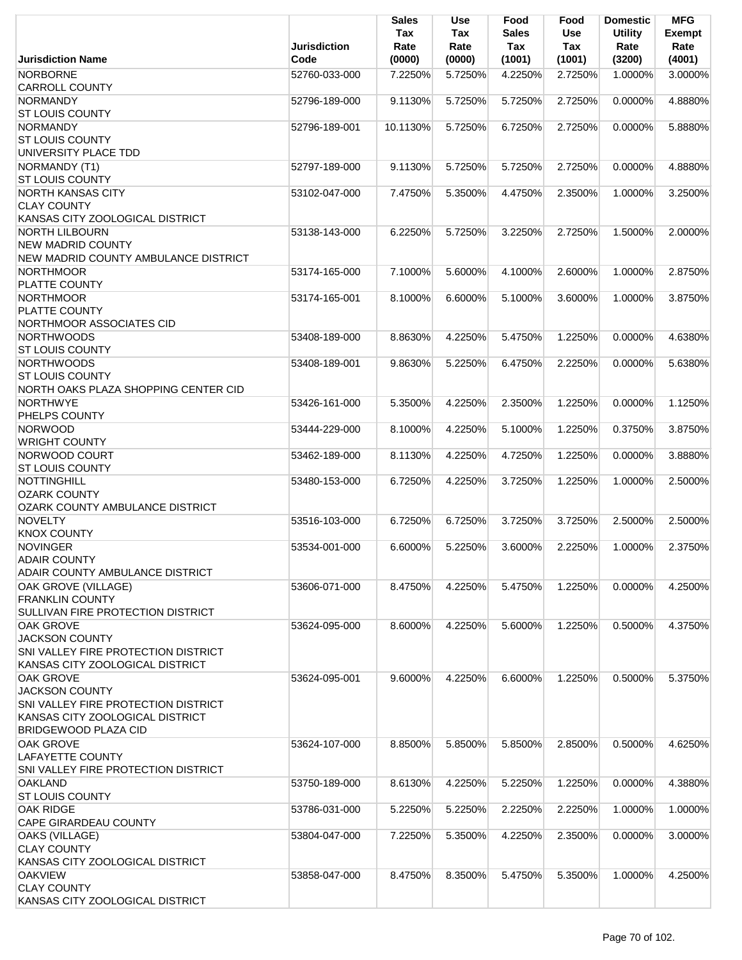|                                                   |               | <b>Sales</b><br>Tax | Use<br>Tax | Food<br><b>Sales</b> | Food<br><b>Use</b> | <b>Domestic</b><br><b>Utility</b> | <b>MFG</b><br><b>Exempt</b> |
|---------------------------------------------------|---------------|---------------------|------------|----------------------|--------------------|-----------------------------------|-----------------------------|
|                                                   | Jurisdiction  | Rate                | Rate       | Tax                  | Tax                | Rate                              | Rate                        |
| <b>Jurisdiction Name</b>                          | Code          | (0000)              | (0000)     | (1001)               | (1001)             | (3200)                            | (4001)                      |
| <b>NORBORNE</b><br><b>CARROLL COUNTY</b>          | 52760-033-000 | 7.2250%             | 5.7250%    | 4.2250%              | 2.7250%            | 1.0000%                           | 3.0000%                     |
| <b>NORMANDY</b>                                   | 52796-189-000 | 9.1130%             | 5.7250%    | 5.7250%              | 2.7250%            | 0.0000%                           | 4.8880%                     |
| <b>ST LOUIS COUNTY</b>                            |               |                     |            |                      |                    |                                   |                             |
| <b>NORMANDY</b>                                   | 52796-189-001 | 10.1130%            | 5.7250%    | 6.7250%              | 2.7250%            | 0.0000%                           | 5.8880%                     |
| <b>ST LOUIS COUNTY</b>                            |               |                     |            |                      |                    |                                   |                             |
| UNIVERSITY PLACE TDD                              |               |                     |            |                      |                    |                                   |                             |
| NORMANDY (T1)                                     | 52797-189-000 | 9.1130%             | 5.7250%    | 5.7250%              | 2.7250%            | 0.0000%                           | 4.8880%                     |
| <b>ST LOUIS COUNTY</b>                            |               |                     |            |                      |                    |                                   |                             |
| <b>NORTH KANSAS CITY</b>                          | 53102-047-000 | 7.4750%             | 5.3500%    | 4.4750%              | 2.3500%            | 1.0000%                           | 3.2500%                     |
| <b>CLAY COUNTY</b>                                |               |                     |            |                      |                    |                                   |                             |
| KANSAS CITY ZOOLOGICAL DISTRICT                   |               |                     |            |                      |                    |                                   |                             |
| <b>NORTH LILBOURN</b><br><b>NEW MADRID COUNTY</b> | 53138-143-000 | 6.2250%             | 5.7250%    | 3.2250%              | 2.7250%            | 1.5000%                           | 2.0000%                     |
| NEW MADRID COUNTY AMBULANCE DISTRICT              |               |                     |            |                      |                    |                                   |                             |
| <b>NORTHMOOR</b>                                  | 53174-165-000 | 7.1000%             | 5.6000%    | 4.1000%              | 2.6000%            | 1.0000%                           | 2.8750%                     |
| PLATTE COUNTY                                     |               |                     |            |                      |                    |                                   |                             |
| <b>NORTHMOOR</b>                                  | 53174-165-001 | 8.1000%             | 6.6000%    | 5.1000%              | 3.6000%            | 1.0000%                           | 3.8750%                     |
| PLATTE COUNTY                                     |               |                     |            |                      |                    |                                   |                             |
| NORTHMOOR ASSOCIATES CID                          |               |                     |            |                      |                    |                                   |                             |
| <b>NORTHWOODS</b>                                 | 53408-189-000 | 8.8630%             | 4.2250%    | 5.4750%              | 1.2250%            | 0.0000%                           | 4.6380%                     |
| <b>ST LOUIS COUNTY</b>                            |               |                     |            |                      |                    |                                   |                             |
| <b>NORTHWOODS</b>                                 | 53408-189-001 | 9.8630%             | 5.2250%    | 6.4750%              | 2.2250%            | 0.0000%                           | 5.6380%                     |
| <b>ST LOUIS COUNTY</b>                            |               |                     |            |                      |                    |                                   |                             |
| NORTH OAKS PLAZA SHOPPING CENTER CID              |               |                     |            |                      |                    |                                   |                             |
| <b>NORTHWYE</b>                                   | 53426-161-000 | 5.3500%             | 4.2250%    | 2.3500%              | 1.2250%            | 0.0000%                           | 1.1250%                     |
| PHELPS COUNTY                                     |               |                     |            |                      |                    |                                   |                             |
| <b>NORWOOD</b>                                    | 53444-229-000 | 8.1000%             | 4.2250%    | 5.1000%              | 1.2250%            | 0.3750%                           | 3.8750%                     |
| <b>WRIGHT COUNTY</b><br>NORWOOD COURT             | 53462-189-000 | 8.1130%             | 4.2250%    | 4.7250%              | 1.2250%            | 0.0000%                           | 3.8880%                     |
| <b>ST LOUIS COUNTY</b>                            |               |                     |            |                      |                    |                                   |                             |
| NOTTINGHILL                                       | 53480-153-000 | 6.7250%             | 4.2250%    | 3.7250%              | 1.2250%            | 1.0000%                           | 2.5000%                     |
| <b>OZARK COUNTY</b>                               |               |                     |            |                      |                    |                                   |                             |
| <b>OZARK COUNTY AMBULANCE DISTRICT</b>            |               |                     |            |                      |                    |                                   |                             |
| <b>NOVELTY</b>                                    | 53516-103-000 | 6.7250%             | 6.7250%    | 3.7250%              | 3.7250%            | 2.5000%                           | 2.5000%                     |
| <b>KNOX COUNTY</b>                                |               |                     |            |                      |                    |                                   |                             |
| <b>NOVINGER</b>                                   | 53534-001-000 | 6.6000%             | 5.2250%    | 3.6000%              | 2.2250%            | 1.0000%                           | 2.3750%                     |
| <b>ADAIR COUNTY</b>                               |               |                     |            |                      |                    |                                   |                             |
| ADAIR COUNTY AMBULANCE DISTRICT                   |               |                     |            |                      |                    |                                   |                             |
| OAK GROVE (VILLAGE)                               | 53606-071-000 | 8.4750%             | 4.2250%    | 5.4750%              | 1.2250%            | 0.0000%                           | 4.2500%                     |
| <b>FRANKLIN COUNTY</b>                            |               |                     |            |                      |                    |                                   |                             |
| SULLIVAN FIRE PROTECTION DISTRICT                 |               |                     |            |                      |                    |                                   |                             |
| <b>OAK GROVE</b><br><b>JACKSON COUNTY</b>         | 53624-095-000 | 8.6000%             | 4.2250%    | 5.6000%              | 1.2250%            | 0.5000%                           | 4.3750%                     |
| SNI VALLEY FIRE PROTECTION DISTRICT               |               |                     |            |                      |                    |                                   |                             |
| KANSAS CITY ZOOLOGICAL DISTRICT                   |               |                     |            |                      |                    |                                   |                             |
| <b>OAK GROVE</b>                                  | 53624-095-001 | 9.6000%             | 4.2250%    | 6.6000%              | 1.2250%            | 0.5000%                           | 5.3750%                     |
| <b>JACKSON COUNTY</b>                             |               |                     |            |                      |                    |                                   |                             |
| SNI VALLEY FIRE PROTECTION DISTRICT               |               |                     |            |                      |                    |                                   |                             |
| KANSAS CITY ZOOLOGICAL DISTRICT                   |               |                     |            |                      |                    |                                   |                             |
| <b>BRIDGEWOOD PLAZA CID</b>                       |               |                     |            |                      |                    |                                   |                             |
| <b>OAK GROVE</b>                                  | 53624-107-000 | 8.8500%             | 5.8500%    | 5.8500%              | 2.8500%            | 0.5000%                           | 4.6250%                     |
| <b>LAFAYETTE COUNTY</b>                           |               |                     |            |                      |                    |                                   |                             |
| SNI VALLEY FIRE PROTECTION DISTRICT               |               |                     |            |                      |                    |                                   |                             |
| <b>OAKLAND</b>                                    | 53750-189-000 | 8.6130%             | 4.2250%    | 5.2250%              | 1.2250%            | 0.0000%                           | 4.3880%                     |
| <b>ST LOUIS COUNTY</b>                            |               |                     |            |                      |                    |                                   |                             |
| <b>OAK RIDGE</b><br><b>CAPE GIRARDEAU COUNTY</b>  | 53786-031-000 | 5.2250%             | 5.2250%    | 2.2250%              | 2.2250%            | 1.0000%                           | 1.0000%                     |
| OAKS (VILLAGE)                                    | 53804-047-000 | 7.2250%             | 5.3500%    | 4.2250%              | 2.3500%            | 0.0000%                           | 3.0000%                     |
| <b>CLAY COUNTY</b>                                |               |                     |            |                      |                    |                                   |                             |
| KANSAS CITY ZOOLOGICAL DISTRICT                   |               |                     |            |                      |                    |                                   |                             |
| <b>OAKVIEW</b>                                    | 53858-047-000 | 8.4750%             | 8.3500%    | 5.4750%              | 5.3500%            | 1.0000%                           | 4.2500%                     |
| <b>CLAY COUNTY</b>                                |               |                     |            |                      |                    |                                   |                             |
| KANSAS CITY ZOOLOGICAL DISTRICT                   |               |                     |            |                      |                    |                                   |                             |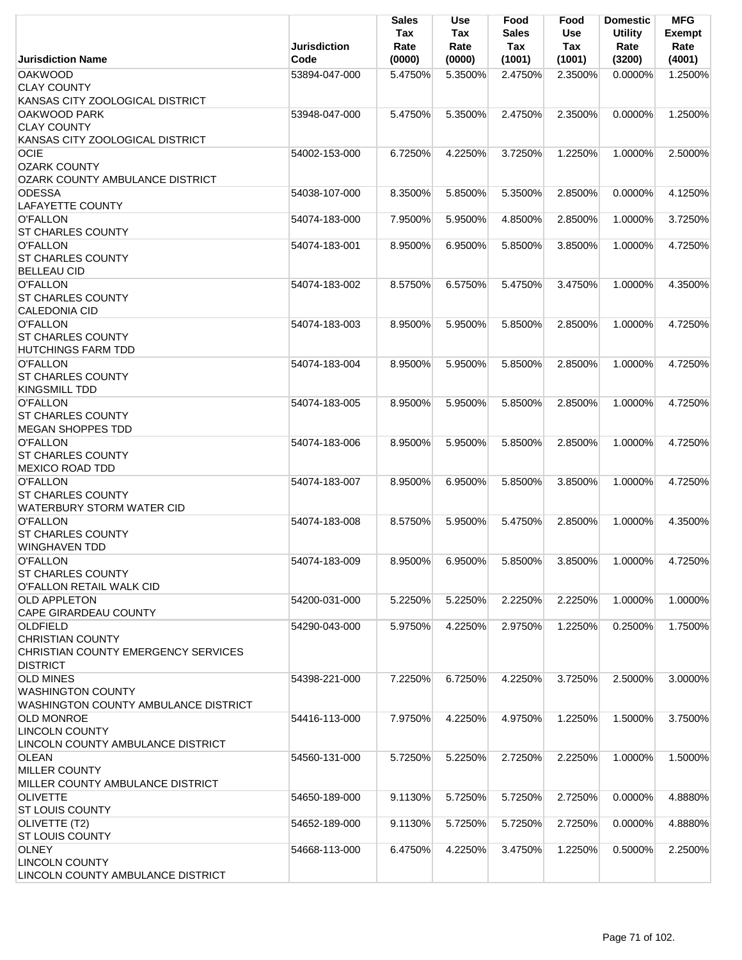|                                                                                                      | <b>Jurisdiction</b> | Sales<br>Tax<br>Rate | <b>Use</b><br>Tax<br>Rate | Food<br><b>Sales</b><br>Tax | Food<br>Use<br>Tax | <b>Domestic</b><br><b>Utility</b><br>Rate | <b>MFG</b><br><b>Exempt</b><br>Rate |
|------------------------------------------------------------------------------------------------------|---------------------|----------------------|---------------------------|-----------------------------|--------------------|-------------------------------------------|-------------------------------------|
| <b>Jurisdiction Name</b>                                                                             | Code                | (0000)               | (0000)                    | (1001)                      | (1001)             | (3200)                                    | (4001)                              |
| <b>OAKWOOD</b><br><b>CLAY COUNTY</b>                                                                 | 53894-047-000       | 5.4750%              | 5.3500%                   | 2.4750%                     | 2.3500%            | $0.0000\%$                                | 1.2500%                             |
| KANSAS CITY ZOOLOGICAL DISTRICT<br>OAKWOOD PARK<br><b>CLAY COUNTY</b>                                | 53948-047-000       | 5.4750%              | 5.3500%                   | 2.4750%                     | 2.3500%            | 0.0000%                                   | 1.2500%                             |
| KANSAS CITY ZOOLOGICAL DISTRICT<br><b>OCIE</b>                                                       | 54002-153-000       | 6.7250%              | 4.2250%                   | 3.7250%                     | 1.2250%            | 1.0000%                                   | 2.5000%                             |
| <b>OZARK COUNTY</b><br><b>OZARK COUNTY AMBULANCE DISTRICT</b>                                        |                     |                      |                           |                             |                    |                                           |                                     |
| <b>ODESSA</b><br><b>LAFAYETTE COUNTY</b>                                                             | 54038-107-000       | 8.3500%              | 5.8500%                   | 5.3500%                     | 2.8500%            | $0.0000\%$                                | 4.1250%                             |
| <b>O'FALLON</b><br><b>ST CHARLES COUNTY</b>                                                          | 54074-183-000       | 7.9500%              | 5.9500%                   | 4.8500%                     | 2.8500%            | 1.0000%                                   | 3.7250%                             |
| <b>O'FALLON</b><br><b>ST CHARLES COUNTY</b><br><b>BELLEAU CID</b>                                    | 54074-183-001       | 8.9500%              | 6.9500%                   | 5.8500%                     | 3.8500%            | 1.0000%                                   | 4.7250%                             |
| <b>O'FALLON</b><br><b>ST CHARLES COUNTY</b><br><b>CALEDONIA CID</b>                                  | 54074-183-002       | 8.5750%              | 6.5750%                   | 5.4750%                     | 3.4750%            | 1.0000%                                   | 4.3500%                             |
| <b>O'FALLON</b><br><b>ST CHARLES COUNTY</b><br><b>HUTCHINGS FARM TDD</b>                             | 54074-183-003       | 8.9500%              | 5.9500%                   | 5.8500%                     | 2.8500%            | 1.0000%                                   | 4.7250%                             |
| <b>O'FALLON</b><br><b>ST CHARLES COUNTY</b><br><b>KINGSMILL TDD</b>                                  | 54074-183-004       | 8.9500%              | 5.9500%                   | 5.8500%                     | 2.8500%            | 1.0000%                                   | 4.7250%                             |
| <b>O'FALLON</b><br><b>ST CHARLES COUNTY</b><br><b>MEGAN SHOPPES TDD</b>                              | 54074-183-005       | 8.9500%              | 5.9500%                   | 5.8500%                     | 2.8500%            | 1.0000%                                   | 4.7250%                             |
| <b>O'FALLON</b><br><b>ST CHARLES COUNTY</b><br><b>MEXICO ROAD TDD</b>                                | 54074-183-006       | 8.9500%              | 5.9500%                   | 5.8500%                     | 2.8500%            | 1.0000%                                   | 4.7250%                             |
| <b>O'FALLON</b><br><b>ST CHARLES COUNTY</b><br>WATERBURY STORM WATER CID                             | 54074-183-007       | 8.9500%              | 6.9500%                   | 5.8500%                     | 3.8500%            | 1.0000%                                   | 4.7250%                             |
| <b>O'FALLON</b><br>ST CHARLES COUNTY<br><b>WINGHAVEN TDD</b>                                         | 54074-183-008       | 8.5750%              | 5.9500%                   | 5.4750%                     | 2.8500%            | 1.0000%                                   | 4.3500%                             |
| <b>O'FALLON</b><br><b>ST CHARLES COUNTY</b><br>O'FALLON RETAIL WALK CID                              | 54074-183-009       | 8.9500%              | 6.9500%                   | 5.8500%                     | 3.8500%            | 1.0000%                                   | 4.7250%                             |
| <b>OLD APPLETON</b><br><b>CAPE GIRARDEAU COUNTY</b>                                                  | 54200-031-000       | 5.2250%              | 5.2250%                   | 2.2250%                     | 2.2250%            | 1.0000%                                   | 1.0000%                             |
| <b>OLDFIELD</b><br><b>CHRISTIAN COUNTY</b><br>CHRISTIAN COUNTY EMERGENCY SERVICES<br><b>DISTRICT</b> | 54290-043-000       | 5.9750%              | 4.2250%                   | 2.9750%                     | 1.2250%            | 0.2500%                                   | 1.7500%                             |
| <b>OLD MINES</b><br><b>WASHINGTON COUNTY</b><br>WASHINGTON COUNTY AMBULANCE DISTRICT                 | 54398-221-000       | 7.2250%              | 6.7250%                   | 4.2250%                     | 3.7250%            | 2.5000%                                   | 3.0000%                             |
| <b>OLD MONROE</b><br><b>LINCOLN COUNTY</b><br>LINCOLN COUNTY AMBULANCE DISTRICT                      | 54416-113-000       | 7.9750%              | 4.2250%                   | 4.9750%                     | 1.2250%            | 1.5000%                                   | 3.7500%                             |
| <b>OLEAN</b><br><b>MILLER COUNTY</b><br>MILLER COUNTY AMBULANCE DISTRICT                             | 54560-131-000       | 5.7250%              | 5.2250%                   | 2.7250%                     | 2.2250%            | 1.0000%                                   | 1.5000%                             |
| <b>OLIVETTE</b><br><b>ST LOUIS COUNTY</b>                                                            | 54650-189-000       | 9.1130%              | 5.7250%                   | 5.7250%                     | 2.7250%            | 0.0000%                                   | 4.8880%                             |
| OLIVETTE (T2)<br><b>ST LOUIS COUNTY</b>                                                              | 54652-189-000       | 9.1130%              | 5.7250%                   | 5.7250%                     | 2.7250%            | 0.0000%                                   | 4.8880%                             |
| <b>OLNEY</b><br><b>LINCOLN COUNTY</b><br>LINCOLN COUNTY AMBULANCE DISTRICT                           | 54668-113-000       | 6.4750%              | 4.2250%                   | 3.4750%                     | 1.2250%            | 0.5000%                                   | 2.2500%                             |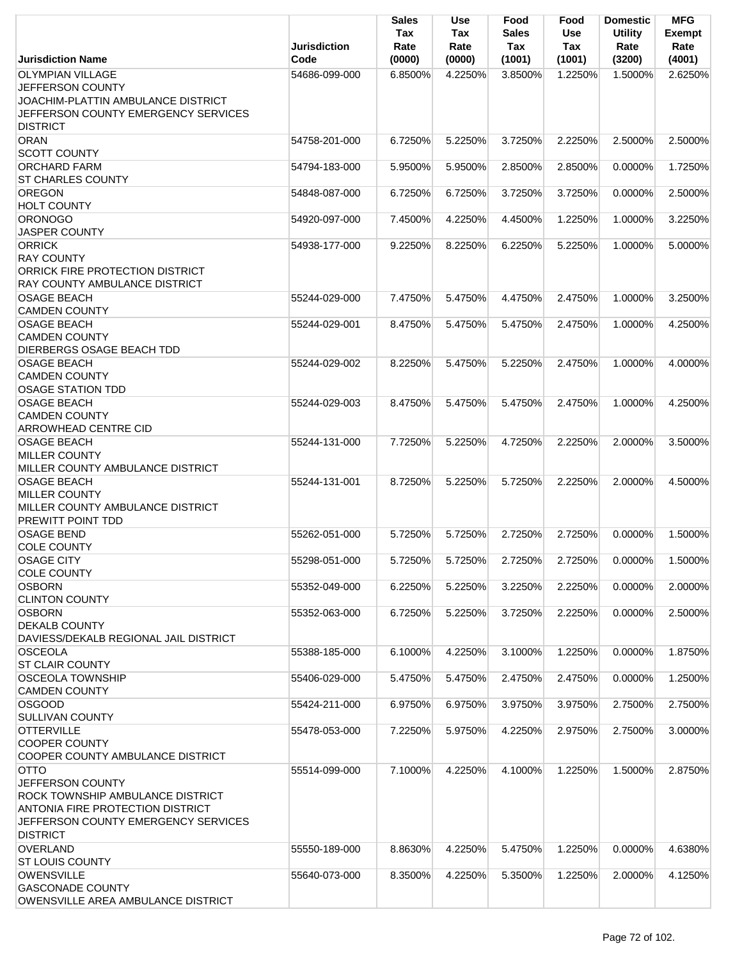|                                         | <b>Jurisdiction</b> | <b>Sales</b><br>Tax<br>Rate | <b>Use</b><br>Tax<br>Rate | Food<br><b>Sales</b><br>Tax | Food<br><b>Use</b><br>Tax | <b>Domestic</b><br><b>Utility</b><br>Rate | <b>MFG</b><br><b>Exempt</b><br>Rate |
|-----------------------------------------|---------------------|-----------------------------|---------------------------|-----------------------------|---------------------------|-------------------------------------------|-------------------------------------|
| <b>Jurisdiction Name</b>                | Code                | (0000)                      | (0000)                    | (1001)                      | (1001)                    | (3200)                                    | (4001)                              |
| <b>OLYMPIAN VILLAGE</b>                 | 54686-099-000       | 6.8500%                     | 4.2250%                   | 3.8500%                     | 1.2250%                   | 1.5000%                                   | 2.6250%                             |
| JEFFERSON COUNTY                        |                     |                             |                           |                             |                           |                                           |                                     |
| JOACHIM-PLATTIN AMBULANCE DISTRICT      |                     |                             |                           |                             |                           |                                           |                                     |
| JEFFERSON COUNTY EMERGENCY SERVICES     |                     |                             |                           |                             |                           |                                           |                                     |
| <b>DISTRICT</b>                         |                     |                             |                           |                             |                           |                                           |                                     |
| <b>ORAN</b>                             | 54758-201-000       | 6.7250%                     | 5.2250%                   | 3.7250%                     | 2.2250%                   | 2.5000%                                   | 2.5000%                             |
| <b>SCOTT COUNTY</b>                     |                     |                             |                           |                             |                           |                                           |                                     |
| <b>ORCHARD FARM</b>                     | 54794-183-000       | 5.9500%                     | 5.9500%                   | 2.8500%                     | 2.8500%                   | 0.0000%                                   | 1.7250%                             |
| <b>ST CHARLES COUNTY</b>                |                     |                             |                           |                             |                           |                                           |                                     |
| <b>OREGON</b>                           | 54848-087-000       | 6.7250%                     | 6.7250%                   | 3.7250%                     | 3.7250%                   | 0.0000%                                   | 2.5000%                             |
| <b>HOLT COUNTY</b>                      |                     |                             |                           |                             |                           |                                           |                                     |
| <b>ORONOGO</b>                          | 54920-097-000       | 7.4500%                     | 4.2250%                   | 4.4500%                     | 1.2250%                   | 1.0000%                                   | 3.2250%                             |
| <b>JASPER COUNTY</b>                    |                     |                             |                           |                             |                           |                                           |                                     |
| <b>ORRICK</b>                           | 54938-177-000       | 9.2250%                     | 8.2250%                   | 6.2250%                     | 5.2250%                   | 1.0000%                                   | 5.0000%                             |
| <b>RAY COUNTY</b>                       |                     |                             |                           |                             |                           |                                           |                                     |
| ORRICK FIRE PROTECTION DISTRICT         |                     |                             |                           |                             |                           |                                           |                                     |
| RAY COUNTY AMBULANCE DISTRICT           |                     |                             |                           |                             |                           |                                           |                                     |
| <b>OSAGE BEACH</b>                      | 55244-029-000       | 7.4750%                     | 5.4750%                   | 4.4750%                     | 2.4750%                   | 1.0000%                                   | 3.2500%                             |
| <b>CAMDEN COUNTY</b>                    |                     |                             |                           |                             |                           |                                           |                                     |
| <b>OSAGE BEACH</b>                      | 55244-029-001       | 8.4750%                     | 5.4750%                   | 5.4750%                     | 2.4750%                   | 1.0000%                                   | 4.2500%                             |
| <b>CAMDEN COUNTY</b>                    |                     |                             |                           |                             |                           |                                           |                                     |
| DIERBERGS OSAGE BEACH TDD               |                     |                             |                           |                             |                           |                                           |                                     |
| <b>OSAGE BEACH</b>                      | 55244-029-002       | 8.2250%                     | 5.4750%                   | 5.2250%                     | 2.4750%                   | 1.0000%                                   | 4.0000%                             |
| <b>CAMDEN COUNTY</b>                    |                     |                             |                           |                             |                           |                                           |                                     |
| <b>OSAGE STATION TDD</b>                |                     |                             |                           |                             |                           |                                           |                                     |
| <b>OSAGE BEACH</b>                      | 55244-029-003       | 8.4750%                     | 5.4750%                   | 5.4750%                     | 2.4750%                   | 1.0000%                                   | 4.2500%                             |
| <b>CAMDEN COUNTY</b>                    |                     |                             |                           |                             |                           |                                           |                                     |
| <b>ARROWHEAD CENTRE CID</b>             |                     |                             |                           |                             |                           |                                           |                                     |
| <b>OSAGE BEACH</b>                      | 55244-131-000       | 7.7250%                     | 5.2250%                   | 4.7250%                     | 2.2250%                   | 2.0000%                                   | 3.5000%                             |
| <b>MILLER COUNTY</b>                    |                     |                             |                           |                             |                           |                                           |                                     |
| MILLER COUNTY AMBULANCE DISTRICT        |                     |                             |                           |                             |                           |                                           |                                     |
| <b>OSAGE BEACH</b>                      | 55244-131-001       | 8.7250%                     | 5.2250%                   | 5.7250%                     | 2.2250%                   | 2.0000%                                   | 4.5000%                             |
| <b>MILLER COUNTY</b>                    |                     |                             |                           |                             |                           |                                           |                                     |
| MILLER COUNTY AMBULANCE DISTRICT        |                     |                             |                           |                             |                           |                                           |                                     |
| PREWITT POINT TDD                       |                     |                             |                           |                             |                           |                                           |                                     |
| <b>OSAGE BEND</b>                       | 55262-051-000       | 5.7250%                     | 5.7250%                   | 2.7250%                     | 2.7250%                   | 0.0000%                                   | 1.5000%                             |
| <b>COLE COUNTY</b>                      |                     |                             |                           |                             |                           |                                           |                                     |
| <b>OSAGE CITY</b>                       | 55298-051-000       | 5.7250%                     | 5.7250%                   | 2.7250%                     | 2.7250%                   | 0.0000%                                   | 1.5000%                             |
| <b>COLE COUNTY</b>                      |                     |                             |                           |                             |                           |                                           |                                     |
| <b>OSBORN</b>                           | 55352-049-000       | 6.2250%                     | 5.2250%                   | 3.2250%                     | 2.2250%                   | 0.0000%                                   | 2.0000%                             |
| <b>CLINTON COUNTY</b>                   |                     |                             |                           |                             |                           |                                           |                                     |
| <b>OSBORN</b>                           | 55352-063-000       | 6.7250%                     | 5.2250%                   | 3.7250%                     | 2.2250%                   | $0.0000\%$                                | 2.5000%                             |
| <b>DEKALB COUNTY</b>                    |                     |                             |                           |                             |                           |                                           |                                     |
| DAVIESS/DEKALB REGIONAL JAIL DISTRICT   |                     |                             |                           |                             |                           |                                           |                                     |
| <b>OSCEOLA</b>                          | 55388-185-000       | 6.1000%                     | 4.2250%                   | 3.1000%                     | 1.2250%                   | 0.0000%                                   | 1.8750%                             |
| <b>ST CLAIR COUNTY</b>                  |                     |                             |                           |                             |                           |                                           |                                     |
| <b>OSCEOLA TOWNSHIP</b>                 | 55406-029-000       | 5.4750%                     | 5.4750%                   | 2.4750%                     | 2.4750%                   | 0.0000%                                   | 1.2500%                             |
| <b>CAMDEN COUNTY</b>                    |                     |                             |                           |                             |                           |                                           |                                     |
| <b>OSGOOD</b>                           | 55424-211-000       | 6.9750%                     | 6.9750%                   | 3.9750%                     | 3.9750%                   | 2.7500%                                   | 2.7500%                             |
| <b>SULLIVAN COUNTY</b>                  |                     |                             |                           |                             |                           |                                           |                                     |
| <b>OTTERVILLE</b>                       | 55478-053-000       | 7.2250%                     | 5.9750%                   | 4.2250%                     | 2.9750%                   | 2.7500%                                   | 3.0000%                             |
| <b>COOPER COUNTY</b>                    |                     |                             |                           |                             |                           |                                           |                                     |
| COOPER COUNTY AMBULANCE DISTRICT        |                     |                             |                           |                             |                           |                                           |                                     |
| <b>OTTO</b>                             | 55514-099-000       | 7.1000%                     | 4.2250%                   | 4.1000%                     | 1.2250%                   | 1.5000%                                   | 2.8750%                             |
| JEFFERSON COUNTY                        |                     |                             |                           |                             |                           |                                           |                                     |
| ROCK TOWNSHIP AMBULANCE DISTRICT        |                     |                             |                           |                             |                           |                                           |                                     |
| <b>ANTONIA FIRE PROTECTION DISTRICT</b> |                     |                             |                           |                             |                           |                                           |                                     |
| JEFFERSON COUNTY EMERGENCY SERVICES     |                     |                             |                           |                             |                           |                                           |                                     |
| <b>DISTRICT</b>                         |                     |                             |                           |                             |                           |                                           |                                     |
| <b>OVERLAND</b>                         | 55550-189-000       | 8.8630%                     | 4.2250%                   | 5.4750%                     | 1.2250%                   | 0.0000%                                   | 4.6380%                             |
| <b>ST LOUIS COUNTY</b>                  |                     |                             |                           |                             |                           |                                           |                                     |
| <b>OWENSVILLE</b>                       | 55640-073-000       | 8.3500%                     | 4.2250%                   | 5.3500%                     | 1.2250%                   | 2.0000%                                   | 4.1250%                             |
| <b>GASCONADE COUNTY</b>                 |                     |                             |                           |                             |                           |                                           |                                     |
| OWENSVILLE AREA AMBULANCE DISTRICT      |                     |                             |                           |                             |                           |                                           |                                     |
|                                         |                     |                             |                           |                             |                           |                                           |                                     |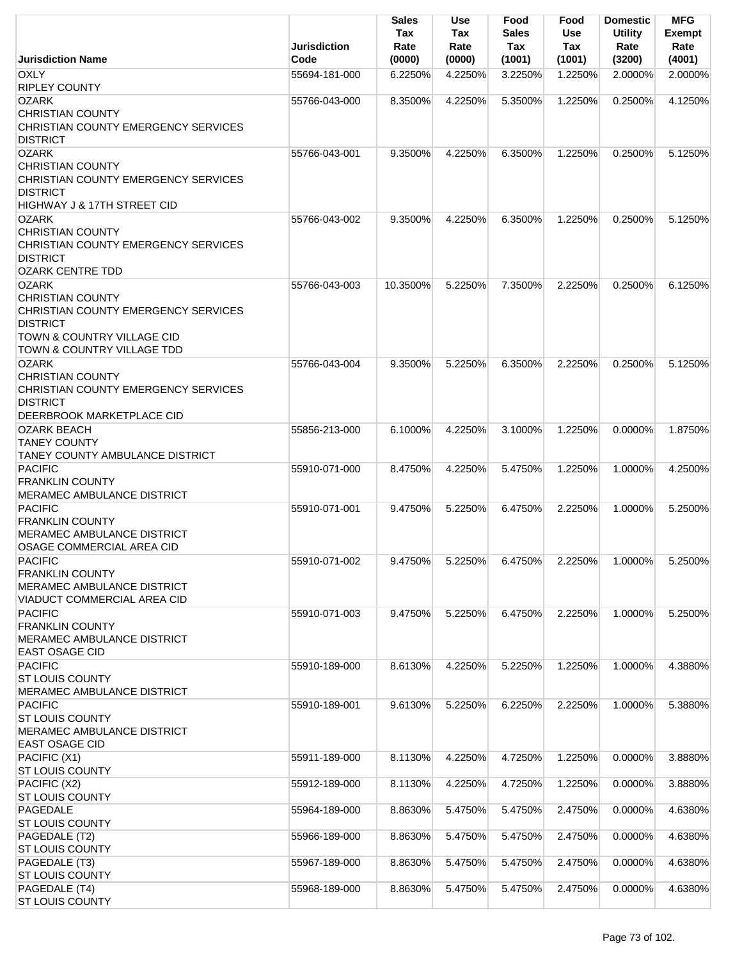|                                                                                                                                                          | Jurisdiction<br>Code | Sales<br>Tax<br>Rate | Use<br>Tax<br>Rate | Food<br><b>Sales</b><br>Tax | Food<br>Use<br><b>Tax</b> | <b>Domestic</b><br><b>Utility</b><br>Rate | <b>MFG</b><br>Exempt<br>Rate |
|----------------------------------------------------------------------------------------------------------------------------------------------------------|----------------------|----------------------|--------------------|-----------------------------|---------------------------|-------------------------------------------|------------------------------|
| <b>Jurisdiction Name</b><br><b>OXLY</b>                                                                                                                  | 55694-181-000        | (0000)<br>6.2250%    | (0000)<br>4.2250%  | (1001)<br>3.2250%           | (1001)<br>1.2250%         | (3200)<br>2.0000%                         | (4001)<br>2.0000%            |
| <b>RIPLEY COUNTY</b>                                                                                                                                     |                      |                      |                    |                             |                           |                                           |                              |
| <b>OZARK</b>                                                                                                                                             | 55766-043-000        | 8.3500%              | 4.2250%            | 5.3500%                     | 1.2250%                   | 0.2500%                                   | 4.1250%                      |
| <b>CHRISTIAN COUNTY</b><br>CHRISTIAN COUNTY EMERGENCY SERVICES                                                                                           |                      |                      |                    |                             |                           |                                           |                              |
| <b>DISTRICT</b><br><b>OZARK</b>                                                                                                                          | 55766-043-001        | 9.3500%              | 4.2250%            | 6.3500%                     | 1.2250%                   | 0.2500%                                   | 5.1250%                      |
| <b>CHRISTIAN COUNTY</b><br>CHRISTIAN COUNTY EMERGENCY SERVICES<br><b>DISTRICT</b><br><b>HIGHWAY J &amp; 17TH STREET CID</b>                              |                      |                      |                    |                             |                           |                                           |                              |
| <b>OZARK</b>                                                                                                                                             | 55766-043-002        | 9.3500%              | 4.2250%            | 6.3500%                     | 1.2250%                   | 0.2500%                                   | 5.1250%                      |
| <b>CHRISTIAN COUNTY</b><br>CHRISTIAN COUNTY EMERGENCY SERVICES<br><b>DISTRICT</b><br><b>OZARK CENTRE TDD</b>                                             |                      |                      |                    |                             |                           |                                           |                              |
| <b>OZARK</b>                                                                                                                                             | 55766-043-003        | 10.3500%             | 5.2250%            | 7.3500%                     | 2.2250%                   | 0.2500%                                   | 6.1250%                      |
| <b>CHRISTIAN COUNTY</b><br>CHRISTIAN COUNTY EMERGENCY SERVICES<br><b>DISTRICT</b><br><b>TOWN &amp; COUNTRY VILLAGE CID</b><br>TOWN & COUNTRY VILLAGE TDD |                      |                      |                    |                             |                           |                                           |                              |
| <b>OZARK</b>                                                                                                                                             | 55766-043-004        | 9.3500%              | 5.2250%            | 6.3500%                     | 2.2250%                   | 0.2500%                                   | 5.1250%                      |
| <b>CHRISTIAN COUNTY</b><br>CHRISTIAN COUNTY EMERGENCY SERVICES<br><b>DISTRICT</b><br>DEERBROOK MARKETPLACE CID                                           |                      |                      |                    |                             |                           |                                           |                              |
| <b>OZARK BEACH</b>                                                                                                                                       | 55856-213-000        | 6.1000%              | 4.2250%            | 3.1000%                     | 1.2250%                   | $0.0000\%$                                | 1.8750%                      |
| <b>TANEY COUNTY</b><br>TANEY COUNTY AMBULANCE DISTRICT                                                                                                   |                      |                      |                    |                             |                           |                                           |                              |
| <b>PACIFIC</b><br><b>FRANKLIN COUNTY</b><br>MERAMEC AMBULANCE DISTRICT                                                                                   | 55910-071-000        | 8.4750%              | 4.2250%            | 5.4750%                     | 1.2250%                   | 1.0000%                                   | 4.2500%                      |
| <b>PACIFIC</b><br><b>FRANKLIN COUNTY</b><br>MERAMEC AMBULANCE DISTRICT<br>OSAGE COMMERCIAL AREA CID                                                      | 55910-071-001        | 9.4750%              | 5.2250%            | 6.4750%                     | 2.2250%                   | 1.0000%                                   | 5.2500%                      |
| <b>PACIFIC</b><br><b>FRANKLIN COUNTY</b><br>MERAMEC AMBULANCE DISTRICT<br>VIADUCT COMMERCIAL AREA CID                                                    | 55910-071-002        | 9.4750%              | 5.2250%            | 6.4750%                     | 2.2250%                   | 1.0000%                                   | 5.2500%                      |
| <b>PACIFIC</b><br><b>FRANKLIN COUNTY</b><br><b>MERAMEC AMBULANCE DISTRICT</b><br><b>EAST OSAGE CID</b>                                                   | 55910-071-003        | 9.4750%              | 5.2250%            | 6.4750%                     | 2.2250%                   | 1.0000%                                   | 5.2500%                      |
| <b>PACIFIC</b><br><b>ST LOUIS COUNTY</b><br><b>MERAMEC AMBULANCE DISTRICT</b>                                                                            | 55910-189-000        | 8.6130%              | 4.2250%            | 5.2250%                     | 1.2250%                   | 1.0000%                                   | 4.3880%                      |
| <b>PACIFIC</b><br><b>ST LOUIS COUNTY</b><br>MERAMEC AMBULANCE DISTRICT<br>EAST OSAGE CID                                                                 | 55910-189-001        | 9.6130%              | 5.2250%            | 6.2250%                     | 2.2250%                   | 1.0000%                                   | 5.3880%                      |
| PACIFIC (X1)<br><b>ST LOUIS COUNTY</b>                                                                                                                   | 55911-189-000        | 8.1130%              | 4.2250%            | 4.7250%                     | 1.2250%                   | 0.0000%                                   | 3.8880%                      |
| PACIFIC (X2)<br><b>ST LOUIS COUNTY</b>                                                                                                                   | 55912-189-000        | 8.1130%              | 4.2250%            | 4.7250%                     | 1.2250%                   | 0.0000%                                   | 3.8880%                      |
| PAGEDALE<br><b>ST LOUIS COUNTY</b>                                                                                                                       | 55964-189-000        | 8.8630%              | 5.4750%            | 5.4750%                     | 2.4750%                   | 0.0000%                                   | 4.6380%                      |
| PAGEDALE (T2)<br><b>ST LOUIS COUNTY</b>                                                                                                                  | 55966-189-000        | 8.8630%              | 5.4750%            | 5.4750%                     | 2.4750%                   | 0.0000%                                   | 4.6380%                      |
| PAGEDALE (T3)<br><b>ST LOUIS COUNTY</b>                                                                                                                  | 55967-189-000        | 8.8630%              | 5.4750%            | 5.4750%                     | 2.4750%                   | 0.0000%                                   | 4.6380%                      |
| PAGEDALE (T4)<br>ST LOUIS COUNTY                                                                                                                         | 55968-189-000        | 8.8630%              | 5.4750%            | 5.4750%                     | 2.4750%                   | 0.0000%                                   | 4.6380%                      |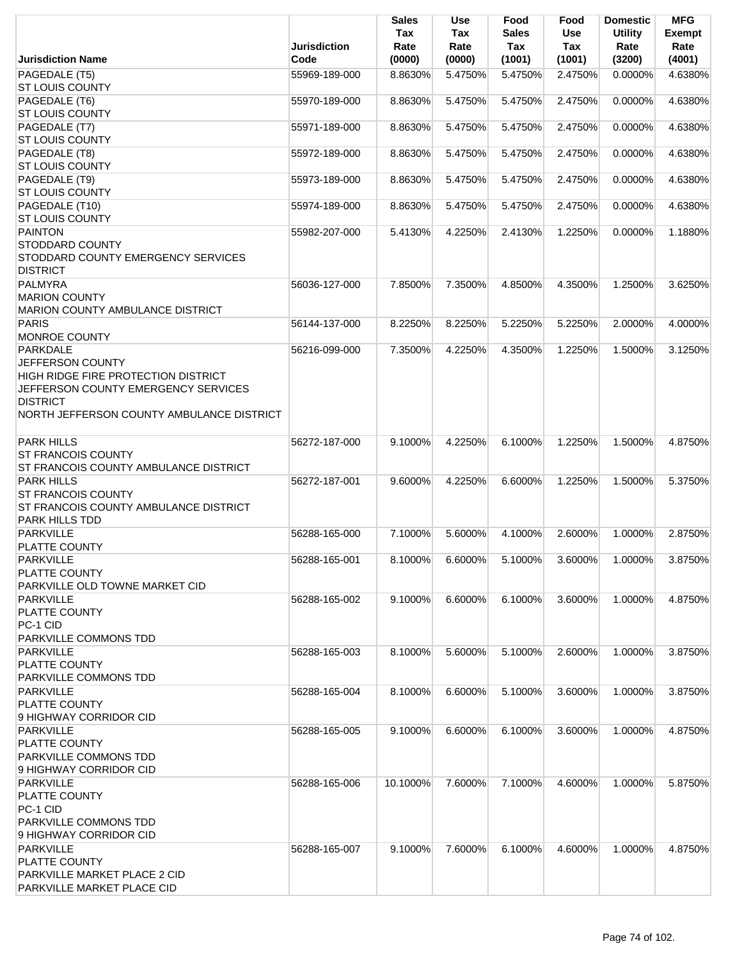|                                                                                                                                                                                   | <b>Jurisdiction</b> | <b>Sales</b><br>Tax<br>Rate | Use<br>Tax<br>Rate | Food<br><b>Sales</b><br>Tax | Food<br><b>Use</b><br>Tax | <b>Domestic</b><br><b>Utility</b><br>Rate | <b>MFG</b><br><b>Exempt</b><br>Rate |
|-----------------------------------------------------------------------------------------------------------------------------------------------------------------------------------|---------------------|-----------------------------|--------------------|-----------------------------|---------------------------|-------------------------------------------|-------------------------------------|
| <b>Jurisdiction Name</b>                                                                                                                                                          | Code                | (0000)                      | (0000)             | (1001)                      | (1001)                    | (3200)                                    | (4001)                              |
| PAGEDALE (T5)<br><b>ST LOUIS COUNTY</b>                                                                                                                                           | 55969-189-000       | 8.8630%                     | 5.4750%            | 5.4750%                     | 2.4750%                   | 0.0000%                                   | 4.6380%                             |
| PAGEDALE (T6)<br><b>ST LOUIS COUNTY</b>                                                                                                                                           | 55970-189-000       | 8.8630%                     | 5.4750%            | 5.4750%                     | 2.4750%                   | 0.0000%                                   | 4.6380%                             |
| PAGEDALE (T7)<br><b>ST LOUIS COUNTY</b>                                                                                                                                           | 55971-189-000       | 8.8630%                     | 5.4750%            | 5.4750%                     | 2.4750%                   | 0.0000%                                   | 4.6380%                             |
| PAGEDALE (T8)<br><b>ST LOUIS COUNTY</b>                                                                                                                                           | 55972-189-000       | 8.8630%                     | 5.4750%            | 5.4750%                     | 2.4750%                   | 0.0000%                                   | 4.6380%                             |
| PAGEDALE (T9)<br><b>ST LOUIS COUNTY</b>                                                                                                                                           | 55973-189-000       | 8.8630%                     | 5.4750%            | 5.4750%                     | 2.4750%                   | 0.0000%                                   | 4.6380%                             |
| PAGEDALE (T10)<br><b>ST LOUIS COUNTY</b>                                                                                                                                          | 55974-189-000       | 8.8630%                     | 5.4750%            | 5.4750%                     | 2.4750%                   | 0.0000%                                   | 4.6380%                             |
| <b>PAINTON</b><br><b>STODDARD COUNTY</b><br>STODDARD COUNTY EMERGENCY SERVICES<br><b>DISTRICT</b>                                                                                 | 55982-207-000       | 5.4130%                     | 4.2250%            | 2.4130%                     | 1.2250%                   | 0.0000%                                   | 1.1880%                             |
| PALMYRA<br><b>MARION COUNTY</b><br>MARION COUNTY AMBULANCE DISTRICT                                                                                                               | 56036-127-000       | 7.8500%                     | 7.3500%            | 4.8500%                     | 4.3500%                   | 1.2500%                                   | 3.6250%                             |
| PARIS<br><b>MONROE COUNTY</b>                                                                                                                                                     | 56144-137-000       | 8.2250%                     | 8.2250%            | 5.2250%                     | 5.2250%                   | 2.0000%                                   | 4.0000%                             |
| <b>PARKDALE</b><br>JEFFERSON COUNTY<br>HIGH RIDGE FIRE PROTECTION DISTRICT<br>JEFFERSON COUNTY EMERGENCY SERVICES<br><b>DISTRICT</b><br>NORTH JEFFERSON COUNTY AMBULANCE DISTRICT | 56216-099-000       | 7.3500%                     | 4.2250%            | 4.3500%                     | 1.2250%                   | 1.5000%                                   | 3.1250%                             |
| <b>PARK HILLS</b><br><b>ST FRANCOIS COUNTY</b><br>ST FRANCOIS COUNTY AMBULANCE DISTRICT                                                                                           | 56272-187-000       | 9.1000%                     | 4.2250%            | 6.1000%                     | 1.2250%                   | 1.5000%                                   | 4.8750%                             |
| <b>PARK HILLS</b><br><b>ST FRANCOIS COUNTY</b><br>ST FRANCOIS COUNTY AMBULANCE DISTRICT<br>PARK HILLS TDD                                                                         | 56272-187-001       | 9.6000%                     | 4.2250%            | 6.6000%                     | 1.2250%                   | 1.5000%                                   | 5.3750%                             |
| PARKVILLE<br>PLATTE COUNTY                                                                                                                                                        | 56288-165-000       | 7.1000%                     | 5.6000%            | 4.1000%                     | 2.6000%                   | 1.0000%                                   | 2.8750%                             |
| <b>PARKVILLE</b><br><b>PLATTE COUNTY</b><br>PARKVILLE OLD TOWNE MARKET CID                                                                                                        | 56288-165-001       | 8.1000%                     | 6.6000%            | 5.1000%                     | 3.6000%                   | 1.0000%                                   | 3.8750%                             |
| <b>PARKVILLE</b><br>PLATTE COUNTY<br>PC-1 CID<br><b>PARKVILLE COMMONS TDD</b>                                                                                                     | 56288-165-002       | 9.1000%                     | 6.6000%            | 6.1000%                     | 3.6000%                   | 1.0000%                                   | 4.8750%                             |
| <b>PARKVILLE</b><br><b>PLATTE COUNTY</b><br>PARKVILLE COMMONS TDD                                                                                                                 | 56288-165-003       | 8.1000%                     | 5.6000%            | 5.1000%                     | 2.6000%                   | 1.0000%                                   | 3.8750%                             |
| <b>PARKVILLE</b><br><b>PLATTE COUNTY</b><br>9 HIGHWAY CORRIDOR CID                                                                                                                | 56288-165-004       | 8.1000%                     | 6.6000%            | 5.1000%                     | 3.6000%                   | 1.0000%                                   | 3.8750%                             |
| <b>PARKVILLE</b><br><b>PLATTE COUNTY</b><br><b>PARKVILLE COMMONS TDD</b><br>9 HIGHWAY CORRIDOR CID                                                                                | 56288-165-005       | 9.1000%                     | 6.6000%            | 6.1000%                     | 3.6000%                   | 1.0000%                                   | 4.8750%                             |
| <b>PARKVILLE</b><br>PLATTE COUNTY<br>PC-1 CID<br>PARKVILLE COMMONS TDD<br>9 HIGHWAY CORRIDOR CID                                                                                  | 56288-165-006       | 10.1000%                    | 7.6000%            | 7.1000%                     | 4.6000%                   | 1.0000%                                   | 5.8750%                             |
| <b>PARKVILLE</b><br>PLATTE COUNTY<br>PARKVILLE MARKET PLACE 2 CID<br>PARKVILLE MARKET PLACE CID                                                                                   | 56288-165-007       | 9.1000%                     | 7.6000%            | $6.1000\%$                  | 4.6000%                   | 1.0000%                                   | 4.8750%                             |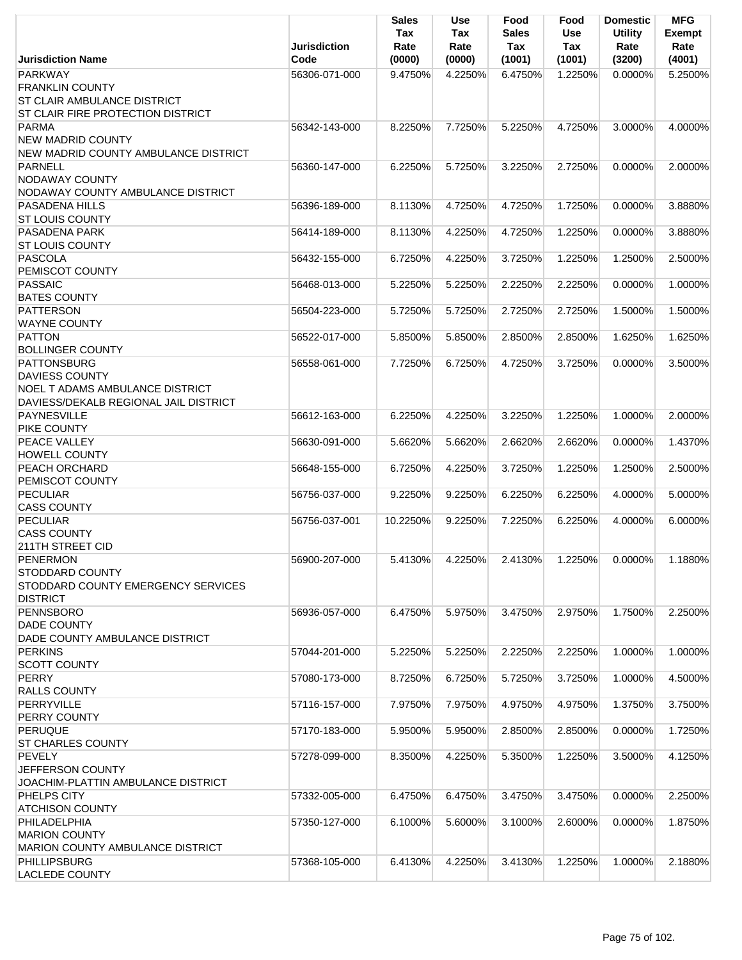|                                                                                                               | <b>Jurisdiction</b>            | Sales<br>Tax<br>Rate | Use<br>Tax<br>Rate | Food<br><b>Sales</b><br>Tax | Food<br><b>Use</b><br>Tax | <b>Domestic</b><br><b>Utility</b><br>Rate | <b>MFG</b><br><b>Exempt</b><br>Rate |
|---------------------------------------------------------------------------------------------------------------|--------------------------------|----------------------|--------------------|-----------------------------|---------------------------|-------------------------------------------|-------------------------------------|
| <b>Jurisdiction Name</b>                                                                                      | Code                           | (0000)               | (0000)             | (1001)                      | (1001)                    | (3200)                                    | (4001)                              |
| <b>PARKWAY</b><br><b>FRANKLIN COUNTY</b><br>ST CLAIR AMBULANCE DISTRICT                                       | 56306-071-000                  | 9.4750%              | 4.2250%            | 6.4750%                     | 1.2250%                   | 0.0000%                                   | 5.2500%                             |
| ST CLAIR FIRE PROTECTION DISTRICT<br><b>PARMA</b><br><b>NEW MADRID COUNTY</b>                                 | 56342-143-000                  | 8.2250%              | 7.7250%            | 5.2250%                     | 4.7250%                   | 3.0000%                                   | 4.0000%                             |
| NEW MADRID COUNTY AMBULANCE DISTRICT<br><b>PARNELL</b><br>NODAWAY COUNTY<br>NODAWAY COUNTY AMBULANCE DISTRICT | 56360-147-000                  | 6.2250%              | 5.7250%            | 3.2250%                     | 2.7250%                   | $0.0000\%$                                | 2.0000%                             |
| <b>PASADENA HILLS</b><br><b>ST LOUIS COUNTY</b>                                                               | 56396-189-000                  | 8.1130%              | 4.7250%            | 4.7250%                     | 1.7250%                   | 0.0000%                                   | 3.8880%                             |
| PASADENA PARK<br><b>ST LOUIS COUNTY</b>                                                                       | 56414-189-000                  | 8.1130%              | 4.2250%            | 4.7250%                     | 1.2250%                   | 0.0000%                                   | 3.8880%                             |
| <b>PASCOLA</b><br>PEMISCOT COUNTY                                                                             | 56432-155-000                  | 6.7250%              | 4.2250%            | 3.7250%                     | 1.2250%                   | 1.2500%                                   | 2.5000%                             |
| <b>PASSAIC</b><br><b>BATES COUNTY</b><br><b>PATTERSON</b>                                                     | 56468-013-000                  | 5.2250%              | 5.2250%            | 2.2250%                     | 2.2250%                   | 0.0000%                                   | 1.0000%<br>1.5000%                  |
| <b>WAYNE COUNTY</b><br><b>PATTON</b>                                                                          | 56504-223-000<br>56522-017-000 | 5.7250%<br>5.8500%   | 5.7250%<br>5.8500% | 2.7250%<br>2.8500%          | 2.7250%<br>2.8500%        | 1.5000%<br>1.6250%                        | 1.6250%                             |
| <b>BOLLINGER COUNTY</b><br><b>PATTONSBURG</b>                                                                 | 56558-061-000                  | 7.7250%              | 6.7250%            | 4.7250%                     | 3.7250%                   | 0.0000%                                   | 3.5000%                             |
| <b>DAVIESS COUNTY</b><br>NOEL T ADAMS AMBULANCE DISTRICT<br>DAVIESS/DEKALB REGIONAL JAIL DISTRICT             |                                |                      |                    |                             |                           |                                           |                                     |
| <b>PAYNESVILLE</b><br>PIKE COUNTY                                                                             | 56612-163-000                  | 6.2250%              | 4.2250%            | 3.2250%                     | 1.2250%                   | 1.0000%                                   | 2.0000%                             |
| PEACE VALLEY<br><b>HOWELL COUNTY</b>                                                                          | 56630-091-000                  | 5.6620%              | 5.6620%            | 2.6620%                     | 2.6620%                   | 0.0000%                                   | 1.4370%                             |
| PEACH ORCHARD<br>PEMISCOT COUNTY                                                                              | 56648-155-000                  | 6.7250%              | 4.2250%            | 3.7250%                     | 1.2250%                   | 1.2500%                                   | 2.5000%                             |
| <b>PECULIAR</b><br><b>CASS COUNTY</b>                                                                         | 56756-037-000                  | 9.2250%              | 9.2250%            | 6.2250%                     | 6.2250%                   | 4.0000%                                   | 5.0000%                             |
| <b>PECULIAR</b><br><b>CASS COUNTY</b><br>211TH STREET CID                                                     | 56756-037-001                  | 10.2250%             | 9.2250%            | 7.2250%                     | 6.2250%                   | 4.0000%                                   | 6.0000%                             |
| <b>PENERMON</b><br><b>STODDARD COUNTY</b><br>STODDARD COUNTY EMERGENCY SERVICES<br><b>DISTRICT</b>            | 56900-207-000                  | 5.4130%              | 4.2250%            | 2.4130%                     | 1.2250%                   | 0.0000%                                   | 1.1880%                             |
| <b>PENNSBORO</b><br><b>DADE COUNTY</b><br>DADE COUNTY AMBULANCE DISTRICT                                      | 56936-057-000                  | 6.4750%              | 5.9750%            | 3.4750%                     | 2.9750%                   | 1.7500%                                   | 2.2500%                             |
| <b>PERKINS</b><br><b>SCOTT COUNTY</b>                                                                         | 57044-201-000                  | 5.2250%              | 5.2250%            | 2.2250%                     | 2.2250%                   | 1.0000%                                   | 1.0000%                             |
| <b>PERRY</b><br><b>RALLS COUNTY</b>                                                                           | 57080-173-000                  | 8.7250%              | 6.7250%            | 5.7250%                     | 3.7250%                   | 1.0000%                                   | 4.5000%                             |
| <b>PERRYVILLE</b><br>PERRY COUNTY                                                                             | 57116-157-000                  | 7.9750%              | 7.9750%            | 4.9750%                     | 4.9750%                   | 1.3750%                                   | 3.7500%                             |
| <b>PERUQUE</b><br><b>ST CHARLES COUNTY</b>                                                                    | 57170-183-000                  | 5.9500%              | 5.9500%            | 2.8500%                     | 2.8500%                   | 0.0000%                                   | 1.7250%                             |
| <b>PEVELY</b><br>JEFFERSON COUNTY<br>JOACHIM-PLATTIN AMBULANCE DISTRICT                                       | 57278-099-000                  | 8.3500%              | 4.2250%            | 5.3500%                     | 1.2250%                   | 3.5000%                                   | 4.1250%                             |
| PHELPS CITY<br><b>ATCHISON COUNTY</b>                                                                         | 57332-005-000                  | 6.4750%              | 6.4750%            | 3.4750%                     | 3.4750%                   | 0.0000%                                   | 2.2500%                             |
| PHILADELPHIA<br><b>MARION COUNTY</b><br><b>MARION COUNTY AMBULANCE DISTRICT</b>                               | 57350-127-000                  | 6.1000%              | 5.6000%            | 3.1000%                     | 2.6000%                   | 0.0000%                                   | 1.8750%                             |
| <b>PHILLIPSBURG</b><br><b>LACLEDE COUNTY</b>                                                                  | 57368-105-000                  | 6.4130%              | 4.2250%            | 3.4130%                     | 1.2250%                   | 1.0000%                                   | 2.1880%                             |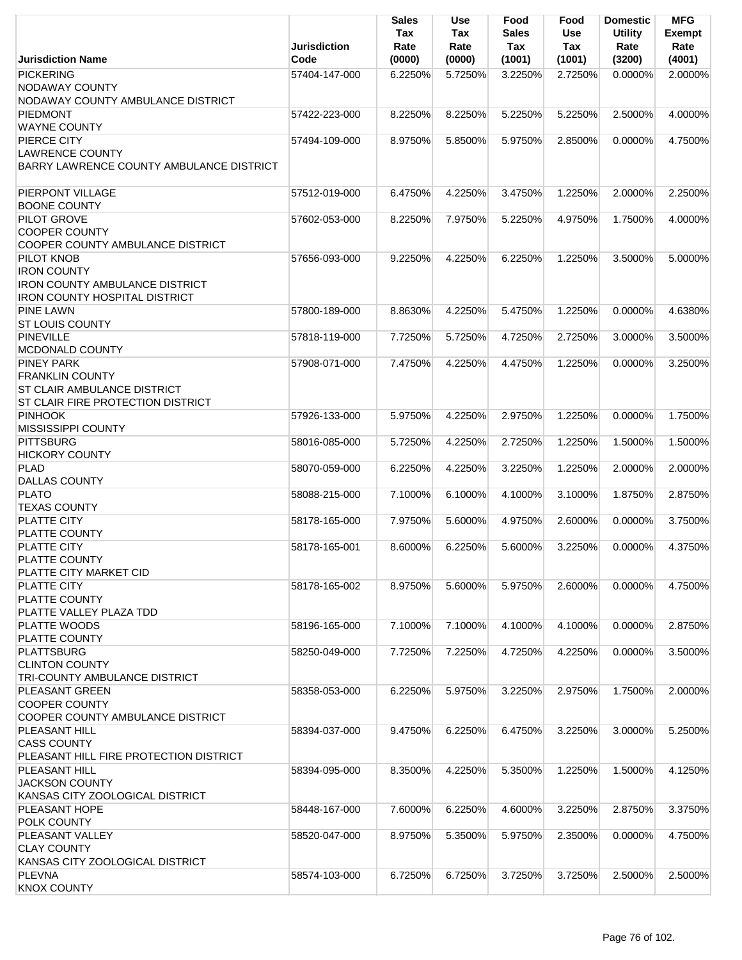|                                                                    | <b>Jurisdiction</b> | <b>Sales</b><br>Tax<br>Rate | <b>Use</b><br>Tax<br>Rate | Food<br><b>Sales</b><br>Tax | Food<br>Use<br>Tax | <b>Domestic</b><br><b>Utility</b><br>Rate | <b>MFG</b><br><b>Exempt</b><br>Rate |
|--------------------------------------------------------------------|---------------------|-----------------------------|---------------------------|-----------------------------|--------------------|-------------------------------------------|-------------------------------------|
| <b>Jurisdiction Name</b>                                           | Code                | (0000)                      | (0000)                    | (1001)                      | (1001)             | (3200)                                    | (4001)                              |
| <b>PICKERING</b><br>NODAWAY COUNTY                                 | 57404-147-000       | 6.2250%                     | 5.7250%                   | 3.2250%                     | 2.7250%            | $0.0000\%$                                | 2.0000%                             |
| NODAWAY COUNTY AMBULANCE DISTRICT                                  |                     |                             |                           |                             |                    |                                           |                                     |
| <b>PIEDMONT</b><br><b>WAYNE COUNTY</b>                             | 57422-223-000       | 8.2250%                     | 8.2250%                   | 5.2250%                     | 5.2250%            | 2.5000%                                   | 4.0000%                             |
| PIERCE CITY                                                        | 57494-109-000       | 8.9750%                     | 5.8500%                   | 5.9750%                     | 2.8500%            | 0.0000%                                   | 4.7500%                             |
| <b>LAWRENCE COUNTY</b><br>BARRY LAWRENCE COUNTY AMBULANCE DISTRICT |                     |                             |                           |                             |                    |                                           |                                     |
| PIERPONT VILLAGE<br><b>BOONE COUNTY</b>                            | 57512-019-000       | 6.4750%                     | 4.2250%                   | 3.4750%                     | 1.2250%            | 2.0000%                                   | 2.2500%                             |
| PILOT GROVE                                                        | 57602-053-000       | 8.2250%                     | 7.9750%                   | 5.2250%                     | 4.9750%            | 1.7500%                                   | 4.0000%                             |
| <b>COOPER COUNTY</b>                                               |                     |                             |                           |                             |                    |                                           |                                     |
| COOPER COUNTY AMBULANCE DISTRICT                                   |                     |                             |                           |                             |                    |                                           |                                     |
| PILOT KNOB                                                         | 57656-093-000       | 9.2250%                     | 4.2250%                   | 6.2250%                     | 1.2250%            | 3.5000%                                   | 5.0000%                             |
| <b>IRON COUNTY</b>                                                 |                     |                             |                           |                             |                    |                                           |                                     |
| <b>IRON COUNTY AMBULANCE DISTRICT</b>                              |                     |                             |                           |                             |                    |                                           |                                     |
| <b>IRON COUNTY HOSPITAL DISTRICT</b>                               |                     |                             |                           |                             |                    |                                           |                                     |
| <b>PINE LAWN</b><br><b>ST LOUIS COUNTY</b>                         | 57800-189-000       | 8.8630%                     | 4.2250%                   | 5.4750%                     | 1.2250%            | 0.0000%                                   | 4.6380%                             |
| <b>PINEVILLE</b>                                                   | 57818-119-000       | 7.7250%                     | 5.7250%                   | 4.7250%                     | 2.7250%            | 3.0000%                                   | 3.5000%                             |
| MCDONALD COUNTY                                                    |                     |                             |                           |                             |                    |                                           |                                     |
| <b>PINEY PARK</b>                                                  | 57908-071-000       | 7.4750%                     | 4.2250%                   | 4.4750%                     | 1.2250%            | 0.0000%                                   | 3.2500%                             |
| <b>FRANKLIN COUNTY</b>                                             |                     |                             |                           |                             |                    |                                           |                                     |
| <b>ST CLAIR AMBULANCE DISTRICT</b>                                 |                     |                             |                           |                             |                    |                                           |                                     |
| ST CLAIR FIRE PROTECTION DISTRICT                                  |                     |                             |                           |                             |                    |                                           |                                     |
| <b>PINHOOK</b>                                                     | 57926-133-000       | 5.9750%                     | 4.2250%                   | 2.9750%                     | 1.2250%            | 0.0000%                                   | 1.7500%                             |
| <b>MISSISSIPPI COUNTY</b>                                          |                     |                             |                           |                             |                    |                                           |                                     |
| <b>PITTSBURG</b>                                                   | 58016-085-000       | 5.7250%                     | 4.2250%                   | 2.7250%                     | 1.2250%            | 1.5000%                                   | 1.5000%                             |
| <b>HICKORY COUNTY</b>                                              |                     |                             |                           |                             |                    |                                           |                                     |
| <b>PLAD</b>                                                        | 58070-059-000       | 6.2250%                     | 4.2250%                   | 3.2250%                     | 1.2250%            | 2.0000%                                   | 2.0000%                             |
| <b>DALLAS COUNTY</b><br><b>PLATO</b>                               | 58088-215-000       | 7.1000%                     | 6.1000%                   | 4.1000%                     | 3.1000%            | 1.8750%                                   | 2.8750%                             |
| <b>TEXAS COUNTY</b>                                                |                     |                             |                           |                             |                    |                                           |                                     |
| PLATTE CITY                                                        | 58178-165-000       | 7.9750%                     | 5.6000%                   | 4.9750%                     | 2.6000%            | 0.0000%                                   | 3.7500%                             |
| PLATTE COUNTY                                                      |                     |                             |                           |                             |                    |                                           |                                     |
| <b>PLATTE CITY</b>                                                 | 58178-165-001       | 8.6000%                     | 6.2250%                   | 5.6000%                     | 3.2250%            | 0.0000%                                   | 4.3750%                             |
| PLATTE COUNTY                                                      |                     |                             |                           |                             |                    |                                           |                                     |
| PLATTE CITY MARKET CID                                             |                     |                             |                           |                             |                    |                                           |                                     |
| <b>PLATTE CITY</b>                                                 | 58178-165-002       | 8.9750%                     | 5.6000%                   | 5.9750%                     | 2.6000%            | 0.0000%                                   | 4.7500%                             |
| PLATTE COUNTY                                                      |                     |                             |                           |                             |                    |                                           |                                     |
| PLATTE VALLEY PLAZA TDD                                            |                     |                             |                           |                             |                    |                                           |                                     |
| PLATTE WOODS                                                       | 58196-165-000       | 7.1000%                     | 7.1000%                   | 4.1000%                     | 4.1000%            | 0.0000%                                   | 2.8750%                             |
| PLATTE COUNTY<br><b>PLATTSBURG</b>                                 | 58250-049-000       |                             | 7.2250%                   | 4.7250%                     | 4.2250%            | 0.0000%                                   | 3.5000%                             |
| <b>CLINTON COUNTY</b>                                              |                     | 7.7250%                     |                           |                             |                    |                                           |                                     |
| TRI-COUNTY AMBULANCE DISTRICT                                      |                     |                             |                           |                             |                    |                                           |                                     |
| PLEASANT GREEN                                                     | 58358-053-000       | 6.2250%                     | 5.9750%                   | 3.2250%                     | 2.9750%            | 1.7500%                                   | 2.0000%                             |
| <b>COOPER COUNTY</b>                                               |                     |                             |                           |                             |                    |                                           |                                     |
| COOPER COUNTY AMBULANCE DISTRICT                                   |                     |                             |                           |                             |                    |                                           |                                     |
| PLEASANT HILL                                                      | 58394-037-000       | 9.4750%                     | 6.2250%                   | 6.4750%                     | 3.2250%            | 3.0000%                                   | 5.2500%                             |
| <b>CASS COUNTY</b>                                                 |                     |                             |                           |                             |                    |                                           |                                     |
| PLEASANT HILL FIRE PROTECTION DISTRICT                             |                     |                             |                           |                             |                    |                                           |                                     |
| PLEASANT HILL                                                      | 58394-095-000       | 8.3500%                     | 4.2250%                   | 5.3500%                     | 1.2250%            | 1.5000%                                   | 4.1250%                             |
| <b>JACKSON COUNTY</b>                                              |                     |                             |                           |                             |                    |                                           |                                     |
| KANSAS CITY ZOOLOGICAL DISTRICT                                    |                     |                             |                           |                             |                    |                                           |                                     |
| PLEASANT HOPE                                                      | 58448-167-000       | 7.6000%                     | 6.2250%                   | 4.6000%                     | 3.2250%            | 2.8750%                                   | 3.3750%                             |
| <b>POLK COUNTY</b><br>PLEASANT VALLEY                              | 58520-047-000       | 8.9750%                     | 5.3500%                   | 5.9750%                     | 2.3500%            | 0.0000%                                   | 4.7500%                             |
| <b>CLAY COUNTY</b>                                                 |                     |                             |                           |                             |                    |                                           |                                     |
| KANSAS CITY ZOOLOGICAL DISTRICT                                    |                     |                             |                           |                             |                    |                                           |                                     |
| <b>PLEVNA</b>                                                      | 58574-103-000       | 6.7250%                     | 6.7250%                   | 3.7250%                     | 3.7250%            | 2.5000%                                   | 2.5000%                             |
| <b>KNOX COUNTY</b>                                                 |                     |                             |                           |                             |                    |                                           |                                     |
|                                                                    |                     |                             |                           |                             |                    |                                           |                                     |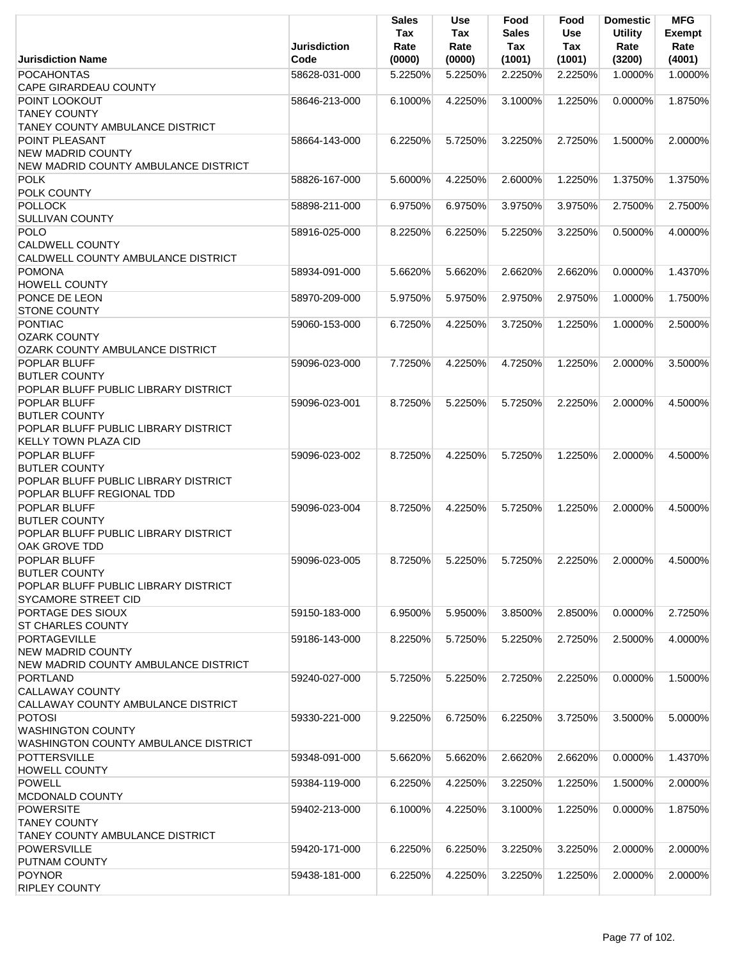|                                                                                                                  | <b>Jurisdiction</b> | <b>Sales</b><br>Tax<br>Rate | <b>Use</b><br>Tax<br>Rate | Food<br><b>Sales</b><br>Tax | Food<br>Use<br>Tax | <b>Domestic</b><br><b>Utility</b><br>Rate | <b>MFG</b><br><b>Exempt</b><br>Rate |
|------------------------------------------------------------------------------------------------------------------|---------------------|-----------------------------|---------------------------|-----------------------------|--------------------|-------------------------------------------|-------------------------------------|
| <b>Jurisdiction Name</b>                                                                                         | Code                | (0000)                      | (0000)                    | (1001)                      | (1001)             | (3200)                                    | (4001)                              |
| <b>POCAHONTAS</b><br><b>CAPE GIRARDEAU COUNTY</b>                                                                | 58628-031-000       | 5.2250%                     | 5.2250%                   | 2.2250%                     | 2.2250%            | 1.0000%                                   | 1.0000%                             |
| POINT LOOKOUT<br><b>TANEY COUNTY</b><br>TANEY COUNTY AMBULANCE DISTRICT                                          | 58646-213-000       | 6.1000%                     | 4.2250%                   | 3.1000%                     | 1.2250%            | 0.0000%                                   | 1.8750%                             |
| POINT PLEASANT                                                                                                   | 58664-143-000       | 6.2250%                     | 5.7250%                   | 3.2250%                     | 2.7250%            | 1.5000%                                   | 2.0000%                             |
| <b>NEW MADRID COUNTY</b><br>NEW MADRID COUNTY AMBULANCE DISTRICT                                                 |                     |                             |                           |                             |                    |                                           |                                     |
| <b>POLK</b><br>POLK COUNTY                                                                                       | 58826-167-000       | 5.6000%                     | 4.2250%                   | 2.6000%                     | 1.2250%            | 1.3750%                                   | 1.3750%                             |
| <b>POLLOCK</b><br><b>SULLIVAN COUNTY</b>                                                                         | 58898-211-000       | 6.9750%                     | 6.9750%                   | 3.9750%                     | 3.9750%            | 2.7500%                                   | 2.7500%                             |
| <b>POLO</b><br><b>CALDWELL COUNTY</b>                                                                            | 58916-025-000       | 8.2250%                     | 6.2250%                   | 5.2250%                     | 3.2250%            | 0.5000%                                   | 4.0000%                             |
| CALDWELL COUNTY AMBULANCE DISTRICT<br><b>POMONA</b>                                                              | 58934-091-000       | 5.6620%                     | 5.6620%                   | 2.6620%                     | 2.6620%            | 0.0000%                                   | 1.4370%                             |
| <b>HOWELL COUNTY</b><br>PONCE DE LEON                                                                            | 58970-209-000       | 5.9750%                     | 5.9750%                   | 2.9750%                     | 2.9750%            | 1.0000%                                   | 1.7500%                             |
| <b>STONE COUNTY</b>                                                                                              |                     |                             |                           |                             |                    |                                           |                                     |
| PONTIAC<br><b>OZARK COUNTY</b><br>OZARK COUNTY AMBULANCE DISTRICT                                                | 59060-153-000       | 6.7250%                     | 4.2250%                   | 3.7250%                     | 1.2250%            | 1.0000%                                   | 2.5000%                             |
| POPLAR BLUFF<br><b>BUTLER COUNTY</b><br>POPLAR BLUFF PUBLIC LIBRARY DISTRICT                                     | 59096-023-000       | 7.7250%                     | 4.2250%                   | 4.7250%                     | 1.2250%            | 2.0000%                                   | 3.5000%                             |
| <b>POPLAR BLUFF</b><br><b>BUTLER COUNTY</b><br>POPLAR BLUFF PUBLIC LIBRARY DISTRICT                              | 59096-023-001       | 8.7250%                     | 5.2250%                   | 5.7250%                     | 2.2250%            | 2.0000%                                   | 4.5000%                             |
| <b>KELLY TOWN PLAZA CID</b>                                                                                      |                     |                             |                           |                             |                    |                                           |                                     |
| <b>POPLAR BLUFF</b><br><b>BUTLER COUNTY</b><br>POPLAR BLUFF PUBLIC LIBRARY DISTRICT<br>POPLAR BLUFF REGIONAL TDD | 59096-023-002       | 8.7250%                     | 4.2250%                   | 5.7250%                     | 1.2250%            | 2.0000%                                   | 4.5000%                             |
| POPLAR BLUFF<br><b>BUTLER COUNTY</b><br>POPLAR BLUFF PUBLIC LIBRARY DISTRICT<br>OAK GROVE TDD                    | 59096-023-004       | 8.7250%                     | 4.2250%                   | 5.7250%                     | 1.2250%            | 2.0000%                                   | 4.5000%                             |
| POPLAR BLUFF<br><b>BUTLER COUNTY</b><br>POPLAR BLUFF PUBLIC LIBRARY DISTRICT<br><b>SYCAMORE STREET CID</b>       | 59096-023-005       | 8.7250%                     | 5.2250%                   | 5.7250%                     | 2.2250%            | 2.0000%                                   | 4.5000%                             |
| PORTAGE DES SIOUX<br><b>ST CHARLES COUNTY</b>                                                                    | 59150-183-000       | 6.9500%                     | 5.9500%                   | 3.8500%                     | 2.8500%            | 0.0000%                                   | 2.7250%                             |
| <b>PORTAGEVILLE</b><br><b>NEW MADRID COUNTY</b><br>NEW MADRID COUNTY AMBULANCE DISTRICT                          | 59186-143-000       | 8.2250%                     | 5.7250%                   | 5.2250%                     | 2.7250%            | 2.5000%                                   | 4.0000%                             |
| <b>PORTLAND</b><br><b>CALLAWAY COUNTY</b><br>CALLAWAY COUNTY AMBULANCE DISTRICT                                  | 59240-027-000       | 5.7250%                     | 5.2250%                   | 2.7250%                     | 2.2250%            | $0.0000\%$                                | 1.5000%                             |
| <b>POTOSI</b><br><b>WASHINGTON COUNTY</b><br>WASHINGTON COUNTY AMBULANCE DISTRICT                                | 59330-221-000       | 9.2250%                     | 6.7250%                   | 6.2250%                     | 3.7250%            | 3.5000%                                   | 5.0000%                             |
| <b>POTTERSVILLE</b><br><b>HOWELL COUNTY</b>                                                                      | 59348-091-000       | 5.6620%                     | 5.6620%                   | 2.6620%                     | 2.6620%            | 0.0000%                                   | 1.4370%                             |
| <b>POWELL</b><br>MCDONALD COUNTY                                                                                 | 59384-119-000       | 6.2250%                     | 4.2250%                   | 3.2250%                     | 1.2250%            | 1.5000%                                   | 2.0000%                             |
| <b>POWERSITE</b><br><b>TANEY COUNTY</b><br><b>TANEY COUNTY AMBULANCE DISTRICT</b>                                | 59402-213-000       | 6.1000%                     | 4.2250%                   | 3.1000%                     | 1.2250%            | 0.0000%                                   | 1.8750%                             |
| <b>POWERSVILLE</b><br>PUTNAM COUNTY                                                                              | 59420-171-000       | 6.2250%                     | 6.2250%                   | 3.2250%                     | 3.2250%            | 2.0000%                                   | 2.0000%                             |
| <b>POYNOR</b>                                                                                                    | 59438-181-000       | 6.2250%                     | 4.2250%                   | 3.2250%                     | 1.2250%            | 2.0000%                                   | 2.0000%                             |
| RIPLEY COUNTY                                                                                                    |                     |                             |                           |                             |                    |                                           |                                     |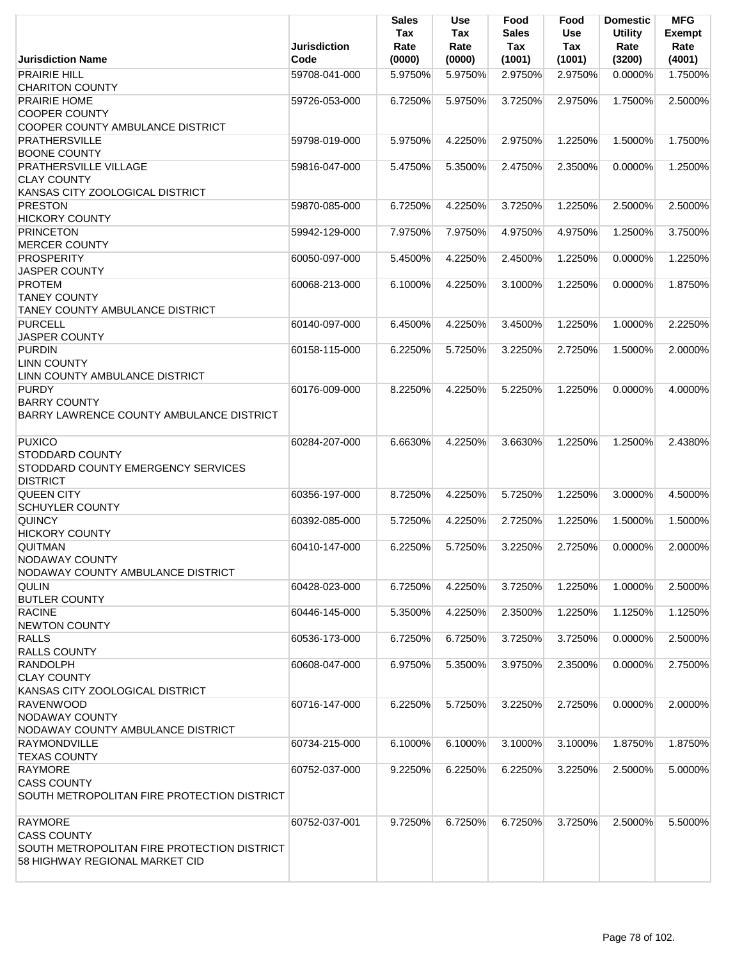|                                                                                                                       | <b>Jurisdiction</b> | Sales<br>Tax<br>Rate | <b>Use</b><br>Tax<br>Rate | Food<br><b>Sales</b><br>Tax | Food<br><b>Use</b><br><b>Tax</b> | <b>Domestic</b><br><b>Utility</b><br>Rate | <b>MFG</b><br><b>Exempt</b><br>Rate |
|-----------------------------------------------------------------------------------------------------------------------|---------------------|----------------------|---------------------------|-----------------------------|----------------------------------|-------------------------------------------|-------------------------------------|
| <b>Jurisdiction Name</b>                                                                                              | Code                | (0000)               | (0000)                    | (1001)                      | (1001)                           | (3200)                                    | (4001)                              |
| <b>PRAIRIE HILL</b><br><b>CHARITON COUNTY</b>                                                                         | 59708-041-000       | 5.9750%              | 5.9750%                   | 2.9750%                     | 2.9750%                          | 0.0000%                                   | 1.7500%                             |
| PRAIRIE HOME<br><b>COOPER COUNTY</b><br>COOPER COUNTY AMBULANCE DISTRICT                                              | 59726-053-000       | 6.7250%              | 5.9750%                   | 3.7250%                     | 2.9750%                          | 1.7500%                                   | 2.5000%                             |
| <b>PRATHERSVILLE</b><br><b>BOONE COUNTY</b>                                                                           | 59798-019-000       | 5.9750%              | 4.2250%                   | 2.9750%                     | 1.2250%                          | 1.5000%                                   | 1.7500%                             |
| PRATHERSVILLE VILLAGE<br><b>CLAY COUNTY</b><br>KANSAS CITY ZOOLOGICAL DISTRICT                                        | 59816-047-000       | 5.4750%              | 5.3500%                   | 2.4750%                     | 2.3500%                          | 0.0000%                                   | 1.2500%                             |
| <b>PRESTON</b><br><b>HICKORY COUNTY</b>                                                                               | 59870-085-000       | 6.7250%              | 4.2250%                   | 3.7250%                     | 1.2250%                          | 2.5000%                                   | 2.5000%                             |
| <b>PRINCETON</b><br><b>MERCER COUNTY</b>                                                                              | 59942-129-000       | 7.9750%              | 7.9750%                   | 4.9750%                     | 4.9750%                          | 1.2500%                                   | 3.7500%                             |
| <b>PROSPERITY</b><br><b>JASPER COUNTY</b>                                                                             | 60050-097-000       | 5.4500%              | 4.2250%                   | 2.4500%                     | 1.2250%                          | 0.0000%                                   | 1.2250%                             |
| <b>PROTEM</b><br><b>TANEY COUNTY</b>                                                                                  | 60068-213-000       | 6.1000%              | 4.2250%                   | 3.1000%                     | 1.2250%                          | 0.0000%                                   | 1.8750%                             |
| <b>TANEY COUNTY AMBULANCE DISTRICT</b><br><b>PURCELL</b>                                                              | 60140-097-000       | 6.4500%              | 4.2250%                   | 3.4500%                     | 1.2250%                          | 1.0000%                                   | 2.2250%                             |
| <b>JASPER COUNTY</b><br><b>PURDIN</b><br><b>LINN COUNTY</b>                                                           | 60158-115-000       | 6.2250%              | 5.7250%                   | 3.2250%                     | 2.7250%                          | 1.5000%                                   | 2.0000%                             |
| LINN COUNTY AMBULANCE DISTRICT<br><b>PURDY</b><br><b>BARRY COUNTY</b><br>BARRY LAWRENCE COUNTY AMBULANCE DISTRICT     | 60176-009-000       | 8.2250%              | 4.2250%                   | 5.2250%                     | 1.2250%                          | 0.0000%                                   | 4.0000%                             |
| <b>PUXICO</b><br><b>STODDARD COUNTY</b><br>STODDARD COUNTY EMERGENCY SERVICES                                         | 60284-207-000       | 6.6630%              | 4.2250%                   | 3.6630%                     | 1.2250%                          | 1.2500%                                   | 2.4380%                             |
| <b>DISTRICT</b><br><b>QUEEN CITY</b><br><b>SCHUYLER COUNTY</b>                                                        | 60356-197-000       | 8.7250%              | 4.2250%                   | 5.7250%                     | 1.2250%                          | 3.0000%                                   | 4.5000%                             |
| <b>QUINCY</b><br><b>HICKORY COUNTY</b>                                                                                | 60392-085-000       | 5.7250%              | 4.2250%                   | 2.7250%                     | 1.2250%                          | 1.5000%                                   | 1.5000%                             |
| <b>QUITMAN</b><br><b>NODAWAY COUNTY</b><br>NODAWAY COUNTY AMBULANCE DISTRICT                                          | 60410-147-000       | 6.2250%              | 5.7250%                   | 3.2250%                     | 2.7250%                          | 0.0000%                                   | 2.0000%                             |
| <b>QULIN</b><br><b>BUTLER COUNTY</b>                                                                                  | 60428-023-000       | 6.7250%              | 4.2250%                   | 3.7250%                     | 1.2250%                          | 1.0000%                                   | 2.5000%                             |
| <b>RACINE</b><br><b>NEWTON COUNTY</b>                                                                                 | 60446-145-000       | 5.3500%              | 4.2250%                   | 2.3500%                     | 1.2250%                          | 1.1250%                                   | 1.1250%                             |
| <b>RALLS</b><br><b>RALLS COUNTY</b>                                                                                   | 60536-173-000       | 6.7250%              | 6.7250%                   | 3.7250%                     | 3.7250%                          | $0.0000\%$                                | 2.5000%                             |
| <b>RANDOLPH</b><br><b>CLAY COUNTY</b><br>KANSAS CITY ZOOLOGICAL DISTRICT                                              | 60608-047-000       | 6.9750%              | 5.3500%                   | 3.9750%                     | 2.3500%                          | 0.0000%                                   | 2.7500%                             |
| <b>RAVENWOOD</b><br>NODAWAY COUNTY<br>NODAWAY COUNTY AMBULANCE DISTRICT                                               | 60716-147-000       | 6.2250%              | 5.7250%                   | 3.2250%                     | 2.7250%                          | 0.0000%                                   | 2.0000%                             |
| RAYMONDVILLE<br><b>TEXAS COUNTY</b>                                                                                   | 60734-215-000       | 6.1000%              | 6.1000%                   | 3.1000%                     | 3.1000%                          | 1.8750%                                   | 1.8750%                             |
| <b>RAYMORE</b><br><b>CASS COUNTY</b><br>SOUTH METROPOLITAN FIRE PROTECTION DISTRICT                                   | 60752-037-000       | 9.2250%              | 6.2250%                   | 6.2250%                     | 3.2250%                          | 2.5000%                                   | 5.0000%                             |
| <b>RAYMORE</b><br><b>CASS COUNTY</b><br>SOUTH METROPOLITAN FIRE PROTECTION DISTRICT<br>58 HIGHWAY REGIONAL MARKET CID | 60752-037-001       | 9.7250%              | 6.7250%                   | 6.7250%                     | 3.7250%                          | 2.5000%                                   | 5.5000%                             |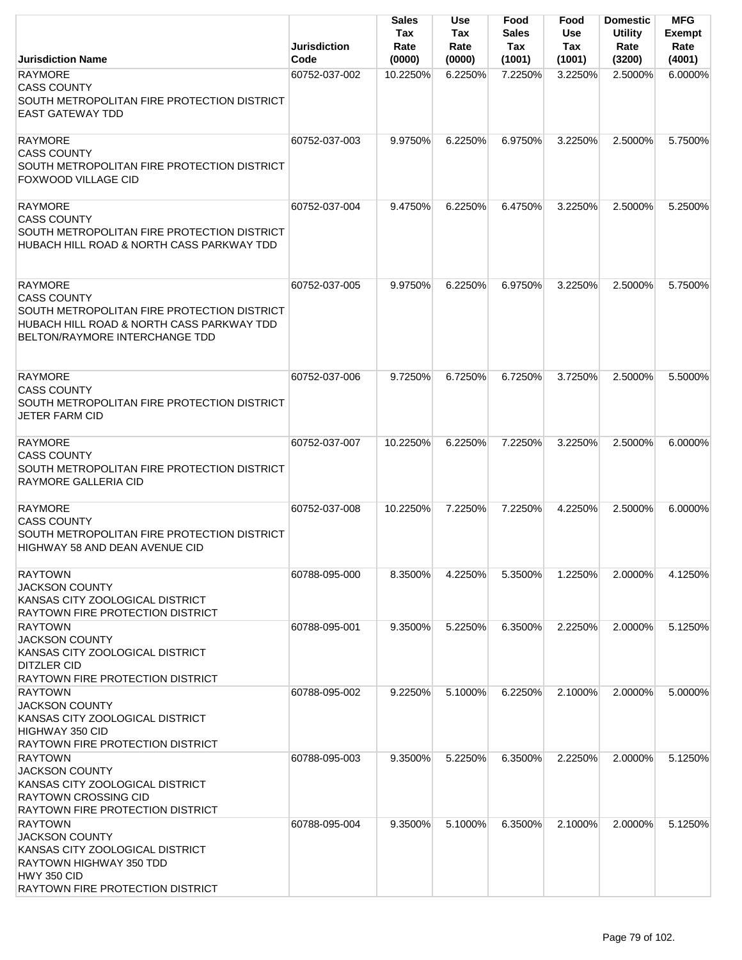|                                                                                                                                                                           | <b>Jurisdiction</b> | Sales<br>Tax<br>Rate | Use<br>Tax<br>Rate | Food<br><b>Sales</b><br>Tax | Food<br><b>Use</b><br>Tax | <b>Domestic</b><br><b>Utility</b><br>Rate | <b>MFG</b><br><b>Exempt</b><br>Rate |
|---------------------------------------------------------------------------------------------------------------------------------------------------------------------------|---------------------|----------------------|--------------------|-----------------------------|---------------------------|-------------------------------------------|-------------------------------------|
| <b>Jurisdiction Name</b>                                                                                                                                                  | Code                | (0000)               | (0000)             | (1001)                      | (1001)                    | (3200)                                    | (4001)                              |
| <b>RAYMORE</b><br><b>CASS COUNTY</b><br>SOUTH METROPOLITAN FIRE PROTECTION DISTRICT<br><b>EAST GATEWAY TDD</b>                                                            | 60752-037-002       | 10.2250%             | 6.2250%            | 7.2250%                     | 3.2250%                   | 2.5000%                                   | 6.0000%                             |
| <b>RAYMORE</b><br><b>CASS COUNTY</b><br>SOUTH METROPOLITAN FIRE PROTECTION DISTRICT<br>FOXWOOD VILLAGE CID                                                                | 60752-037-003       | 9.9750%              | 6.2250%            | 6.9750%                     | 3.2250%                   | 2.5000%                                   | 5.7500%                             |
| <b>RAYMORE</b><br><b>CASS COUNTY</b><br>SOUTH METROPOLITAN FIRE PROTECTION DISTRICT<br>HUBACH HILL ROAD & NORTH CASS PARKWAY TDD                                          | 60752-037-004       | 9.4750%              | 6.2250%            | 6.4750%                     | 3.2250%                   | 2.5000%                                   | 5.2500%                             |
| <b>RAYMORE</b><br><b>CASS COUNTY</b><br>SOUTH METROPOLITAN FIRE PROTECTION DISTRICT<br>HUBACH HILL ROAD & NORTH CASS PARKWAY TDD<br><b>BELTON/RAYMORE INTERCHANGE TDD</b> | 60752-037-005       | 9.9750%              | 6.2250%            | 6.9750%                     | 3.2250%                   | 2.5000%                                   | 5.7500%                             |
| RAYMORE<br><b>CASS COUNTY</b><br>SOUTH METROPOLITAN FIRE PROTECTION DISTRICT<br><b>JETER FARM CID</b>                                                                     | 60752-037-006       | 9.7250%              | 6.7250%            | 6.7250%                     | 3.7250%                   | 2.5000%                                   | 5.5000%                             |
| <b>RAYMORE</b><br><b>CASS COUNTY</b><br>SOUTH METROPOLITAN FIRE PROTECTION DISTRICT<br>RAYMORE GALLERIA CID                                                               | 60752-037-007       | 10.2250%             | 6.2250%            | 7.2250%                     | 3.2250%                   | 2.5000%                                   | 6.0000%                             |
| <b>RAYMORE</b><br><b>CASS COUNTY</b><br>SOUTH METROPOLITAN FIRE PROTECTION DISTRICT<br>HIGHWAY 58 AND DEAN AVENUE CID                                                     | 60752-037-008       | 10.2250%             | 7.2250%            | 7.2250%                     | 4.2250%                   | 2.5000%                                   | 6.0000%                             |
| <b>RAYTOWN</b><br><b>JACKSON COUNTY</b><br>KANSAS CITY ZOOLOGICAL DISTRICT<br>RAYTOWN FIRE PROTECTION DISTRICT                                                            | 60788-095-000       | 8.3500%              | 4.2250%            | 5.3500%                     | 1.2250%                   | 2.0000%                                   | 4.1250%                             |
| <b>RAYTOWN</b><br><b>JACKSON COUNTY</b><br>KANSAS CITY ZOOLOGICAL DISTRICT<br><b>DITZLER CID</b><br><b>RAYTOWN FIRE PROTECTION DISTRICT</b>                               | 60788-095-001       | 9.3500%              | 5.2250%            | 6.3500%                     | 2.2250%                   | 2.0000%                                   | 5.1250%                             |
| <b>RAYTOWN</b><br><b>JACKSON COUNTY</b><br>KANSAS CITY ZOOLOGICAL DISTRICT<br>HIGHWAY 350 CID<br><b>RAYTOWN FIRE PROTECTION DISTRICT</b>                                  | 60788-095-002       | 9.2250%              | 5.1000%            | 6.2250%                     | 2.1000%                   | 2.0000%                                   | 5.0000%                             |
| <b>RAYTOWN</b><br><b>JACKSON COUNTY</b><br>KANSAS CITY ZOOLOGICAL DISTRICT<br><b>RAYTOWN CROSSING CID</b><br><b>RAYTOWN FIRE PROTECTION DISTRICT</b>                      | 60788-095-003       | 9.3500%              | 5.2250%            | 6.3500%                     | 2.2250%                   | 2.0000%                                   | 5.1250%                             |
| <b>RAYTOWN</b><br><b>JACKSON COUNTY</b><br>KANSAS CITY ZOOLOGICAL DISTRICT<br>RAYTOWN HIGHWAY 350 TDD<br>HWY 350 CID<br>RAYTOWN FIRE PROTECTION DISTRICT                  | 60788-095-004       | 9.3500%              | 5.1000%            | 6.3500%                     | 2.1000%                   | 2.0000%                                   | 5.1250%                             |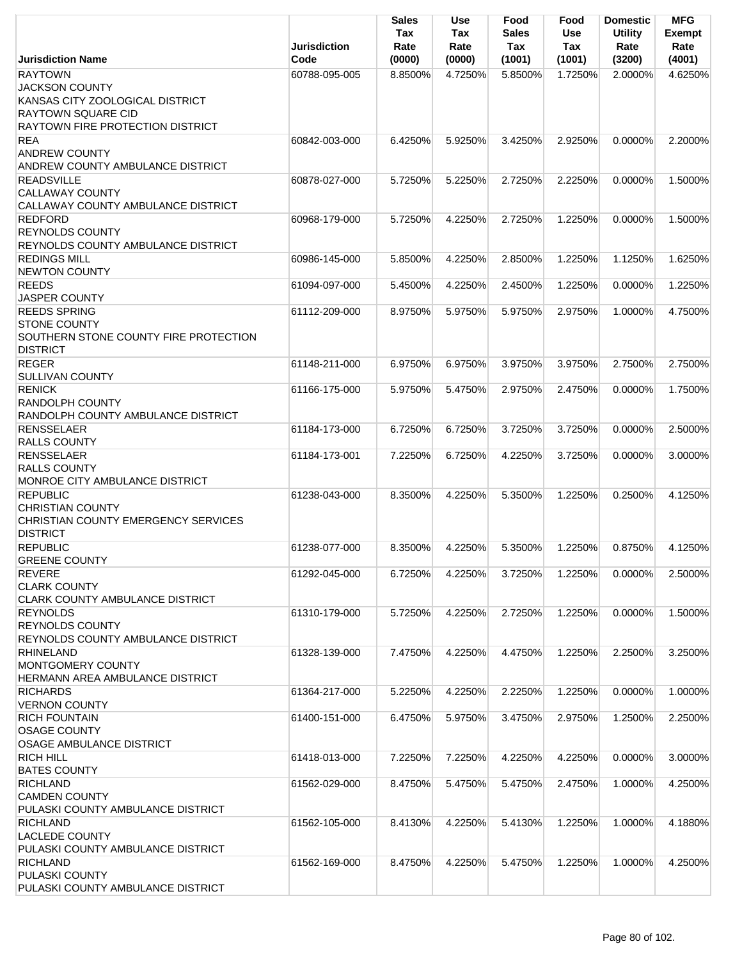|                                                                                                                                             | <b>Jurisdiction</b>            | <b>Sales</b><br>Tax<br>Rate | Use<br>Tax<br>Rate | Food<br><b>Sales</b><br>Tax | Food<br><b>Use</b><br>Tax | <b>Domestic</b><br><b>Utility</b><br>Rate | <b>MFG</b><br><b>Exempt</b><br>Rate |
|---------------------------------------------------------------------------------------------------------------------------------------------|--------------------------------|-----------------------------|--------------------|-----------------------------|---------------------------|-------------------------------------------|-------------------------------------|
| <b>Jurisdiction Name</b>                                                                                                                    | Code                           | (0000)                      | (0000)             | (1001)                      | (1001)                    | (3200)                                    | (4001)                              |
| <b>RAYTOWN</b><br><b>JACKSON COUNTY</b><br>KANSAS CITY ZOOLOGICAL DISTRICT<br><b>RAYTOWN SQUARE CID</b><br>RAYTOWN FIRE PROTECTION DISTRICT | 60788-095-005                  | 8.8500%                     | 4.7250%            | 5.8500%                     | 1.7250%                   | 2.0000%                                   | 4.6250%                             |
| <b>REA</b>                                                                                                                                  | 60842-003-000                  | 6.4250%                     | 5.9250%            | 3.4250%                     | 2.9250%                   | $0.0000\%$                                | 2.2000%                             |
| <b>ANDREW COUNTY</b><br><b>ANDREW COUNTY AMBULANCE DISTRICT</b>                                                                             |                                |                             |                    |                             |                           |                                           |                                     |
| <b>READSVILLE</b><br><b>CALLAWAY COUNTY</b><br>CALLAWAY COUNTY AMBULANCE DISTRICT                                                           | 60878-027-000                  | 5.7250%                     | 5.2250%            | 2.7250%                     | 2.2250%                   | 0.0000%                                   | 1.5000%                             |
| <b>REDFORD</b><br><b>REYNOLDS COUNTY</b>                                                                                                    | 60968-179-000                  | 5.7250%                     | 4.2250%            | 2.7250%                     | 1.2250%                   | 0.0000%                                   | 1.5000%                             |
| REYNOLDS COUNTY AMBULANCE DISTRICT                                                                                                          |                                |                             |                    | 2.8500%                     |                           |                                           |                                     |
| <b>REDINGS MILL</b><br><b>NEWTON COUNTY</b><br><b>REEDS</b>                                                                                 | 60986-145-000<br>61094-097-000 | 5.8500%<br>5.4500%          | 4.2250%<br>4.2250% | 2.4500%                     | 1.2250%<br>1.2250%        | 1.1250%<br>0.0000%                        | 1.6250%<br>1.2250%                  |
| JASPER COUNTY<br><b>REEDS SPRING</b>                                                                                                        | 61112-209-000                  | 8.9750%                     | 5.9750%            | 5.9750%                     | 2.9750%                   | 1.0000%                                   | 4.7500%                             |
| <b>STONE COUNTY</b><br>SOUTHERN STONE COUNTY FIRE PROTECTION<br><b>DISTRICT</b>                                                             |                                |                             |                    |                             |                           |                                           |                                     |
| <b>REGER</b><br><b>SULLIVAN COUNTY</b>                                                                                                      | 61148-211-000                  | 6.9750%                     | 6.9750%            | 3.9750%                     | 3.9750%                   | 2.7500%                                   | 2.7500%                             |
| <b>RENICK</b><br><b>RANDOLPH COUNTY</b><br>RANDOLPH COUNTY AMBULANCE DISTRICT                                                               | 61166-175-000                  | 5.9750%                     | 5.4750%            | 2.9750%                     | 2.4750%                   | 0.0000%                                   | 1.7500%                             |
| <b>RENSSELAER</b><br><b>RALLS COUNTY</b>                                                                                                    | 61184-173-000                  | 6.7250%                     | 6.7250%            | 3.7250%                     | 3.7250%                   | 0.0000%                                   | 2.5000%                             |
| <b>RENSSELAER</b><br><b>RALLS COUNTY</b><br>MONROE CITY AMBULANCE DISTRICT                                                                  | 61184-173-001                  | 7.2250%                     | 6.7250%            | 4.2250%                     | 3.7250%                   | 0.0000%                                   | 3.0000%                             |
| <b>REPUBLIC</b><br><b>CHRISTIAN COUNTY</b><br>CHRISTIAN COUNTY EMERGENCY SERVICES<br><b>DISTRICT</b>                                        | 61238-043-000                  | 8.3500%                     | 4.2250%            | 5.3500%                     | 1.2250%                   | 0.2500%                                   | 4.1250%                             |
| <b>REPUBLIC</b><br><b>GREENE COUNTY</b>                                                                                                     | 61238-077-000                  | 8.3500%                     | 4.2250%            | 5.3500%                     | 1.2250%                   | 0.8750%                                   | 4.1250%                             |
| <b>REVERE</b><br><b>CLARK COUNTY</b><br><b>CLARK COUNTY AMBULANCE DISTRICT</b>                                                              | 61292-045-000                  | 6.7250%                     | 4.2250%            | 3.7250%                     | 1.2250%                   | 0.0000%                                   | 2.5000%                             |
| <b>REYNOLDS</b><br><b>REYNOLDS COUNTY</b><br>REYNOLDS COUNTY AMBULANCE DISTRICT                                                             | 61310-179-000                  | 5.7250%                     | 4.2250%            | 2.7250%                     | 1.2250%                   | 0.0000%                                   | 1.5000%                             |
| <b>RHINELAND</b><br>MONTGOMERY COUNTY<br>HERMANN AREA AMBULANCE DISTRICT                                                                    | 61328-139-000                  | 7.4750%                     | 4.2250%            | 4.4750%                     | 1.2250%                   | 2.2500%                                   | 3.2500%                             |
| <b>RICHARDS</b><br><b>VERNON COUNTY</b>                                                                                                     | 61364-217-000                  | 5.2250%                     | 4.2250%            | 2.2250%                     | 1.2250%                   | 0.0000%                                   | 1.0000%                             |
| <b>RICH FOUNTAIN</b><br><b>OSAGE COUNTY</b><br><b>OSAGE AMBULANCE DISTRICT</b>                                                              | 61400-151-000                  | 6.4750%                     | 5.9750%            | 3.4750%                     | 2.9750%                   | 1.2500%                                   | 2.2500%                             |
| <b>RICH HILL</b><br><b>BATES COUNTY</b>                                                                                                     | 61418-013-000                  | 7.2250%                     | 7.2250%            | 4.2250%                     | 4.2250%                   | 0.0000%                                   | 3.0000%                             |
| <b>RICHLAND</b><br><b>CAMDEN COUNTY</b><br>PULASKI COUNTY AMBULANCE DISTRICT                                                                | 61562-029-000                  | 8.4750%                     | 5.4750%            | 5.4750%                     | 2.4750%                   | 1.0000%                                   | 4.2500%                             |
| <b>RICHLAND</b><br><b>LACLEDE COUNTY</b><br>PULASKI COUNTY AMBULANCE DISTRICT                                                               | 61562-105-000                  | 8.4130%                     | 4.2250%            | 5.4130%                     | 1.2250%                   | 1.0000%                                   | 4.1880%                             |
| <b>RICHLAND</b><br>PULASKI COUNTY<br>PULASKI COUNTY AMBULANCE DISTRICT                                                                      | 61562-169-000                  | 8.4750%                     | 4.2250%            | 5.4750%                     | 1.2250%                   | 1.0000%                                   | 4.2500%                             |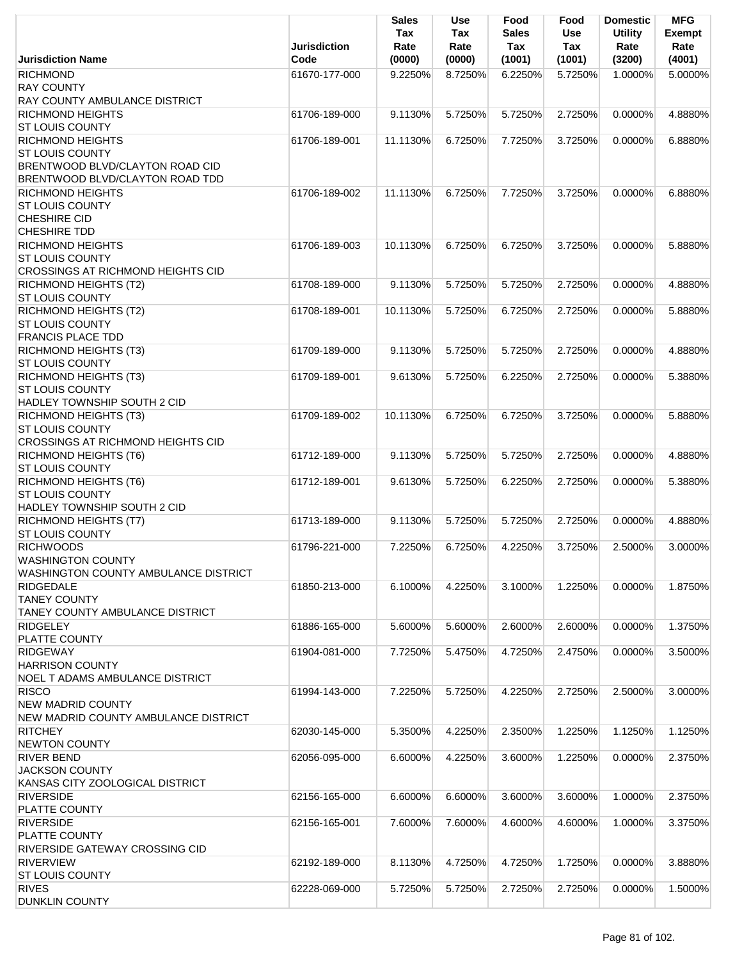|                                                                           | <b>Jurisdiction</b> | <b>Sales</b><br>Tax<br>Rate | Use<br>Tax<br>Rate | Food<br><b>Sales</b><br>Tax | Food<br>Use<br>Tax | <b>Domestic</b><br><b>Utility</b><br>Rate | <b>MFG</b><br><b>Exempt</b><br>Rate |
|---------------------------------------------------------------------------|---------------------|-----------------------------|--------------------|-----------------------------|--------------------|-------------------------------------------|-------------------------------------|
| <b>Jurisdiction Name</b>                                                  | Code                | (0000)                      | (0000)             | (1001)                      | (1001)             | (3200)                                    | (4001)                              |
| <b>RICHMOND</b>                                                           | 61670-177-000       | 9.2250%                     | 8.7250%            | 6.2250%                     | 5.7250%            | 1.0000%                                   | 5.0000%                             |
| <b>RAY COUNTY</b>                                                         |                     |                             |                    |                             |                    |                                           |                                     |
| RAY COUNTY AMBULANCE DISTRICT                                             |                     |                             |                    |                             |                    |                                           |                                     |
| <b>RICHMOND HEIGHTS</b>                                                   | 61706-189-000       | 9.1130%                     | 5.7250%            | 5.7250%                     | 2.7250%            | 0.0000%                                   | 4.8880%                             |
| <b>ST LOUIS COUNTY</b>                                                    |                     |                             |                    |                             |                    |                                           |                                     |
| <b>RICHMOND HEIGHTS</b>                                                   | 61706-189-001       | 11.1130%                    | 6.7250%            | 7.7250%                     | 3.7250%            | 0.0000%                                   | 6.8880%                             |
| <b>ST LOUIS COUNTY</b>                                                    |                     |                             |                    |                             |                    |                                           |                                     |
| <b>BRENTWOOD BLVD/CLAYTON ROAD CID</b><br>BRENTWOOD BLVD/CLAYTON ROAD TDD |                     |                             |                    |                             |                    |                                           |                                     |
| <b>RICHMOND HEIGHTS</b>                                                   |                     |                             | 6.7250%            |                             |                    | 0.0000%                                   | 6.8880%                             |
| <b>ST LOUIS COUNTY</b>                                                    | 61706-189-002       | 11.1130%                    |                    | 7.7250%                     | 3.7250%            |                                           |                                     |
| <b>CHESHIRE CID</b>                                                       |                     |                             |                    |                             |                    |                                           |                                     |
| <b>CHESHIRE TDD</b>                                                       |                     |                             |                    |                             |                    |                                           |                                     |
| <b>RICHMOND HEIGHTS</b>                                                   | 61706-189-003       | 10.1130%                    | 6.7250%            | 6.7250%                     | 3.7250%            | 0.0000%                                   | 5.8880%                             |
| <b>ST LOUIS COUNTY</b>                                                    |                     |                             |                    |                             |                    |                                           |                                     |
| <b>CROSSINGS AT RICHMOND HEIGHTS CID</b>                                  |                     |                             |                    |                             |                    |                                           |                                     |
| <b>RICHMOND HEIGHTS (T2)</b>                                              | 61708-189-000       | 9.1130%                     | 5.7250%            | 5.7250%                     | 2.7250%            | 0.0000%                                   | 4.8880%                             |
| <b>ST LOUIS COUNTY</b>                                                    |                     |                             |                    |                             |                    |                                           |                                     |
| RICHMOND HEIGHTS (T2)                                                     | 61708-189-001       | 10.1130%                    | 5.7250%            | 6.7250%                     | 2.7250%            | 0.0000%                                   | 5.8880%                             |
| <b>ST LOUIS COUNTY</b>                                                    |                     |                             |                    |                             |                    |                                           |                                     |
| <b>FRANCIS PLACE TDD</b>                                                  |                     |                             |                    |                             |                    |                                           |                                     |
| <b>RICHMOND HEIGHTS (T3)</b>                                              | 61709-189-000       | 9.1130%                     | 5.7250%            | 5.7250%                     | 2.7250%            | 0.0000%                                   | 4.8880%                             |
| <b>ST LOUIS COUNTY</b><br>RICHMOND HEIGHTS (T3)                           | 61709-189-001       | 9.6130%                     | 5.7250%            | 6.2250%                     | 2.7250%            | 0.0000%                                   | 5.3880%                             |
| <b>ST LOUIS COUNTY</b>                                                    |                     |                             |                    |                             |                    |                                           |                                     |
| HADLEY TOWNSHIP SOUTH 2 CID                                               |                     |                             |                    |                             |                    |                                           |                                     |
| RICHMOND HEIGHTS (T3)                                                     | 61709-189-002       | 10.1130%                    | 6.7250%            | 6.7250%                     | 3.7250%            | $0.0000\%$                                | 5.8880%                             |
| <b>ST LOUIS COUNTY</b>                                                    |                     |                             |                    |                             |                    |                                           |                                     |
| <b>CROSSINGS AT RICHMOND HEIGHTS CID</b>                                  |                     |                             |                    |                             |                    |                                           |                                     |
| RICHMOND HEIGHTS (T6)                                                     | 61712-189-000       | 9.1130%                     | 5.7250%            | 5.7250%                     | 2.7250%            | 0.0000%                                   | 4.8880%                             |
| <b>ST LOUIS COUNTY</b>                                                    |                     |                             |                    |                             |                    |                                           |                                     |
| <b>RICHMOND HEIGHTS (T6)</b>                                              | 61712-189-001       | 9.6130%                     | 5.7250%            | 6.2250%                     | 2.7250%            | 0.0000%                                   | 5.3880%                             |
| <b>ST LOUIS COUNTY</b>                                                    |                     |                             |                    |                             |                    |                                           |                                     |
| HADLEY TOWNSHIP SOUTH 2 CID                                               |                     |                             |                    |                             |                    |                                           |                                     |
| <b>RICHMOND HEIGHTS (T7)</b>                                              | 61713-189-000       | 9.1130%                     | 5.7250%            | 5.7250%                     | 2.7250%            | 0.0000%                                   | 4.8880%                             |
| ST LOUIS COUNTY                                                           |                     |                             |                    |                             |                    |                                           |                                     |
| <b>RICHWOODS</b><br><b>WASHINGTON COUNTY</b>                              | 61796-221-000       | 7.2250%                     | 6.7250%            | 4.2250%                     | 3.7250%            | 2.5000%                                   | 3.0000%                             |
| WASHINGTON COUNTY AMBULANCE DISTRICT                                      |                     |                             |                    |                             |                    |                                           |                                     |
| <b>RIDGEDALE</b>                                                          | 61850-213-000       | 6.1000%                     | 4.2250%            | 3.1000%                     | 1.2250%            | 0.0000%                                   | 1.8750%                             |
| <b>TANEY COUNTY</b>                                                       |                     |                             |                    |                             |                    |                                           |                                     |
| TANEY COUNTY AMBULANCE DISTRICT                                           |                     |                             |                    |                             |                    |                                           |                                     |
| <b>RIDGELEY</b>                                                           | 61886-165-000       | 5.6000%                     | 5.6000%            | 2.6000%                     | 2.6000%            | 0.0000%                                   | 1.3750%                             |
| PLATTE COUNTY                                                             |                     |                             |                    |                             |                    |                                           |                                     |
| <b>RIDGEWAY</b>                                                           | 61904-081-000       | 7.7250%                     | 5.4750%            | 4.7250%                     | 2.4750%            | 0.0000%                                   | 3.5000%                             |
| <b>HARRISON COUNTY</b>                                                    |                     |                             |                    |                             |                    |                                           |                                     |
| <b>NOEL T ADAMS AMBULANCE DISTRICT</b>                                    |                     |                             |                    |                             |                    |                                           |                                     |
| <b>RISCO</b>                                                              | 61994-143-000       | 7.2250%                     | 5.7250%            | 4.2250%                     | 2.7250%            | 2.5000%                                   | 3.0000%                             |
| <b>NEW MADRID COUNTY</b>                                                  |                     |                             |                    |                             |                    |                                           |                                     |
| NEW MADRID COUNTY AMBULANCE DISTRICT                                      |                     |                             |                    |                             |                    |                                           |                                     |
| <b>RITCHEY</b><br><b>NEWTON COUNTY</b>                                    | 62030-145-000       | 5.3500%                     | 4.2250%            | 2.3500%                     | 1.2250%            | 1.1250%                                   | 1.1250%                             |
| <b>RIVER BEND</b>                                                         | 62056-095-000       | 6.6000%                     | 4.2250%            | 3.6000%                     | 1.2250%            | 0.0000%                                   | 2.3750%                             |
| <b>JACKSON COUNTY</b>                                                     |                     |                             |                    |                             |                    |                                           |                                     |
| KANSAS CITY ZOOLOGICAL DISTRICT                                           |                     |                             |                    |                             |                    |                                           |                                     |
| <b>RIVERSIDE</b>                                                          | 62156-165-000       | 6.6000%                     | 6.6000%            | 3.6000%                     | 3.6000%            | 1.0000%                                   | 2.3750%                             |
| PLATTE COUNTY                                                             |                     |                             |                    |                             |                    |                                           |                                     |
| <b>RIVERSIDE</b>                                                          | 62156-165-001       | 7.6000%                     | 7.6000%            | 4.6000%                     | 4.6000%            | 1.0000%                                   | 3.3750%                             |
| PLATTE COUNTY                                                             |                     |                             |                    |                             |                    |                                           |                                     |
| <b>RIVERSIDE GATEWAY CROSSING CID</b>                                     |                     |                             |                    |                             |                    |                                           |                                     |
| <b>RIVERVIEW</b>                                                          | 62192-189-000       | 8.1130%                     | 4.7250%            | 4.7250%                     | 1.7250%            | 0.0000%                                   | 3.8880%                             |
| ST LOUIS COUNTY                                                           |                     |                             |                    |                             |                    |                                           |                                     |
| <b>RIVES</b>                                                              | 62228-069-000       | 5.7250%                     | 5.7250%            | 2.7250%                     | 2.7250%            | 0.0000%                                   | 1.5000%                             |
| <b>DUNKLIN COUNTY</b>                                                     |                     |                             |                    |                             |                    |                                           |                                     |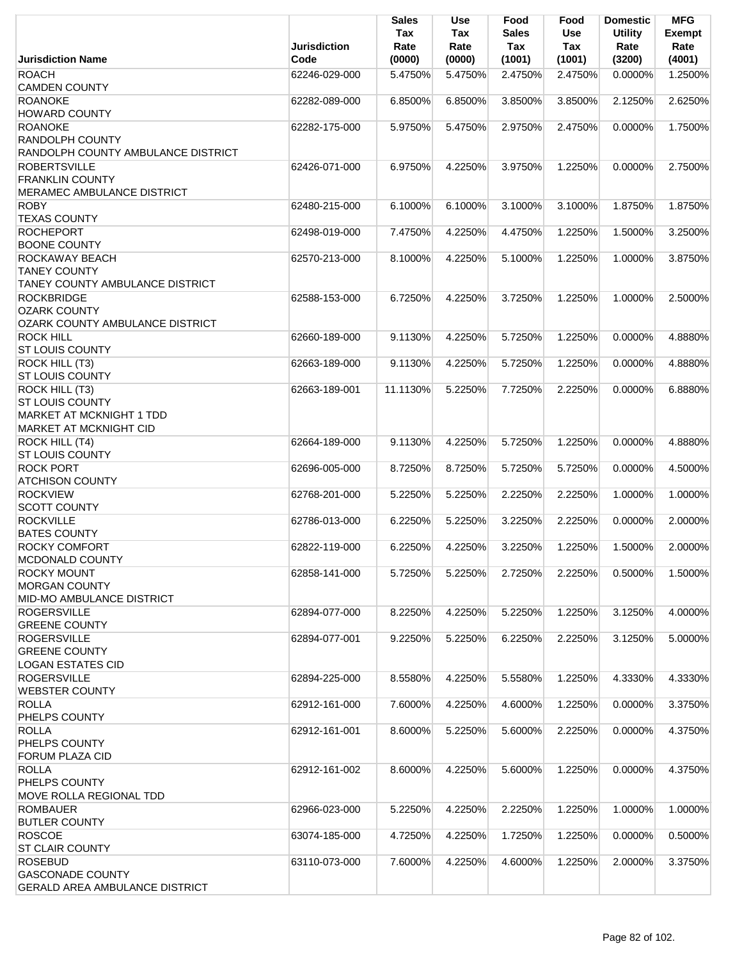|                                               | <b>Jurisdiction</b> | <b>Sales</b><br>Tax<br>Rate | Use<br>Tax<br>Rate | Food<br><b>Sales</b><br>Tax | Food<br>Use<br>Tax | <b>Domestic</b><br><b>Utility</b><br>Rate | <b>MFG</b><br><b>Exempt</b><br>Rate |
|-----------------------------------------------|---------------------|-----------------------------|--------------------|-----------------------------|--------------------|-------------------------------------------|-------------------------------------|
| <b>Jurisdiction Name</b>                      | Code                | (0000)                      | (0000)             | (1001)                      | (1001)             | (3200)                                    | (4001)                              |
| <b>ROACH</b><br><b>CAMDEN COUNTY</b>          | 62246-029-000       | 5.4750%                     | 5.4750%            | 2.4750%                     | 2.4750%            | 0.0000%                                   | 1.2500%                             |
| <b>ROANOKE</b><br><b>HOWARD COUNTY</b>        | 62282-089-000       | 6.8500%                     | 6.8500%            | 3.8500%                     | 3.8500%            | 2.1250%                                   | 2.6250%                             |
| <b>ROANOKE</b><br><b>RANDOLPH COUNTY</b>      | 62282-175-000       | 5.9750%                     | 5.4750%            | 2.9750%                     | 2.4750%            | 0.0000%                                   | 1.7500%                             |
| RANDOLPH COUNTY AMBULANCE DISTRICT            |                     |                             |                    |                             |                    |                                           |                                     |
| <b>ROBERTSVILLE</b><br><b>FRANKLIN COUNTY</b> | 62426-071-000       | 6.9750%                     | 4.2250%            | 3.9750%                     | 1.2250%            | 0.0000%                                   | 2.7500%                             |
| <b>MERAMEC AMBULANCE DISTRICT</b>             |                     |                             |                    |                             |                    |                                           |                                     |
| <b>ROBY</b>                                   | 62480-215-000       | 6.1000%                     | 6.1000%            | 3.1000%                     | 3.1000%            | 1.8750%                                   | 1.8750%                             |
| <b>TEXAS COUNTY</b>                           |                     |                             |                    |                             |                    |                                           |                                     |
| <b>ROCHEPORT</b><br><b>BOONE COUNTY</b>       | 62498-019-000       | 7.4750%                     | 4.2250%            | 4.4750%                     | 1.2250%            | 1.5000%                                   | 3.2500%                             |
| ROCKAWAY BEACH                                | 62570-213-000       | 8.1000%                     | 4.2250%            | 5.1000%                     | 1.2250%            | 1.0000%                                   | 3.8750%                             |
| <b>TANEY COUNTY</b>                           |                     |                             |                    |                             |                    |                                           |                                     |
| TANEY COUNTY AMBULANCE DISTRICT               |                     |                             |                    |                             |                    |                                           |                                     |
| <b>ROCKBRIDGE</b>                             | 62588-153-000       | 6.7250%                     | 4.2250%            | 3.7250%                     | 1.2250%            | 1.0000%                                   | 2.5000%                             |
| <b>OZARK COUNTY</b>                           |                     |                             |                    |                             |                    |                                           |                                     |
| OZARK COUNTY AMBULANCE DISTRICT               |                     |                             |                    |                             |                    |                                           |                                     |
| <b>ROCK HILL</b>                              | 62660-189-000       | 9.1130%                     | 4.2250%            | 5.7250%                     | 1.2250%            | 0.0000%                                   | 4.8880%                             |
| <b>ST LOUIS COUNTY</b>                        |                     |                             |                    |                             |                    |                                           |                                     |
| ROCK HILL (T3)<br><b>ST LOUIS COUNTY</b>      | 62663-189-000       | 9.1130%                     | 4.2250%            | 5.7250%                     | 1.2250%            | 0.0000%                                   | 4.8880%                             |
| ROCK HILL (T3)                                | 62663-189-001       | 11.1130%                    | 5.2250%            | 7.7250%                     | 2.2250%            | 0.0000%                                   | 6.8880%                             |
| <b>ST LOUIS COUNTY</b>                        |                     |                             |                    |                             |                    |                                           |                                     |
| MARKET AT MCKNIGHT 1 TDD                      |                     |                             |                    |                             |                    |                                           |                                     |
| <b>MARKET AT MCKNIGHT CID</b>                 |                     |                             |                    |                             |                    |                                           |                                     |
| <b>ROCK HILL (T4)</b>                         | 62664-189-000       | 9.1130%                     | 4.2250%            | 5.7250%                     | 1.2250%            | $0.0000\%$                                | 4.8880%                             |
| <b>ST LOUIS COUNTY</b>                        |                     |                             |                    |                             |                    |                                           |                                     |
| <b>ROCK PORT</b>                              | 62696-005-000       | 8.7250%                     | 8.7250%            | 5.7250%                     | 5.7250%            | 0.0000%                                   | 4.5000%                             |
| <b>ATCHISON COUNTY</b>                        |                     |                             |                    |                             |                    |                                           |                                     |
| <b>ROCKVIEW</b>                               | 62768-201-000       | 5.2250%                     | 5.2250%            | 2.2250%                     | 2.2250%            | 1.0000%                                   | 1.0000%                             |
| <b>SCOTT COUNTY</b>                           |                     |                             |                    |                             |                    |                                           |                                     |
| <b>ROCKVILLE</b>                              | 62786-013-000       | 6.2250%                     | 5.2250%            | 3.2250%                     | 2.2250%            | 0.0000%                                   | 2.0000%                             |
| <b>BATES COUNTY</b>                           |                     |                             |                    |                             |                    |                                           |                                     |
| <b>ROCKY COMFORT</b>                          | 62822-119-000       | 6.2250%                     | 4.2250%            | 3.2250%                     | 1.2250%            | 1.5000%                                   | 2.0000%                             |
| MCDONALD COUNTY                               |                     |                             |                    |                             |                    |                                           |                                     |
| <b>ROCKY MOUNT</b>                            | 62858-141-000       | 5.7250%                     | 5.2250%            | 2.7250%                     | 2.2250%            | 0.5000%                                   | 1.5000%                             |
| <b>MORGAN COUNTY</b>                          |                     |                             |                    |                             |                    |                                           |                                     |
| MID-MO AMBULANCE DISTRICT                     |                     |                             |                    |                             |                    |                                           |                                     |
| <b>ROGERSVILLE</b>                            | 62894-077-000       | 8.2250%                     | 4.2250%            | 5.2250%                     | 1.2250%            | 3.1250%                                   | 4.0000%                             |
| <b>GREENE COUNTY</b>                          |                     |                             |                    |                             |                    |                                           |                                     |
| <b>ROGERSVILLE</b><br><b>GREENE COUNTY</b>    | 62894-077-001       | 9.2250%                     | 5.2250%            | 6.2250%                     | 2.2250%            | 3.1250%                                   | 5.0000%                             |
| <b>LOGAN ESTATES CID</b>                      |                     |                             |                    |                             |                    |                                           |                                     |
| <b>ROGERSVILLE</b>                            | 62894-225-000       | 8.5580%                     | 4.2250%            | 5.5580%                     | 1.2250%            | 4.3330%                                   | 4.3330%                             |
| <b>WEBSTER COUNTY</b>                         |                     |                             |                    |                             |                    |                                           |                                     |
| <b>ROLLA</b>                                  | 62912-161-000       | 7.6000%                     | 4.2250%            | 4.6000%                     | 1.2250%            | 0.0000%                                   | 3.3750%                             |
| PHELPS COUNTY                                 |                     |                             |                    |                             |                    |                                           |                                     |
| <b>ROLLA</b>                                  | 62912-161-001       | 8.6000%                     | 5.2250%            | 5.6000%                     | 2.2250%            | 0.0000%                                   | 4.3750%                             |
| PHELPS COUNTY                                 |                     |                             |                    |                             |                    |                                           |                                     |
| FORUM PLAZA CID                               |                     |                             |                    |                             |                    |                                           |                                     |
| <b>ROLLA</b>                                  | 62912-161-002       | 8.6000%                     | 4.2250%            | 5.6000%                     | 1.2250%            | $0.0000\%$                                | 4.3750%                             |
| PHELPS COUNTY                                 |                     |                             |                    |                             |                    |                                           |                                     |
| <b>MOVE ROLLA REGIONAL TDD</b>                |                     |                             |                    |                             |                    |                                           |                                     |
| <b>ROMBAUER</b>                               | 62966-023-000       | 5.2250%                     | 4.2250%            | 2.2250%                     | 1.2250%            | 1.0000%                                   | 1.0000%                             |
| <b>BUTLER COUNTY</b>                          |                     |                             |                    |                             |                    |                                           |                                     |
| <b>ROSCOE</b>                                 | 63074-185-000       | 4.7250%                     | 4.2250%            | 1.7250%                     | 1.2250%            | 0.0000%                                   | 0.5000%                             |
| <b>ST CLAIR COUNTY</b>                        |                     |                             |                    |                             |                    |                                           |                                     |
| <b>ROSEBUD</b>                                | 63110-073-000       | 7.6000%                     | 4.2250%            | 4.6000%                     | 1.2250%            | 2.0000%                                   | 3.3750%                             |
| <b>GASCONADE COUNTY</b>                       |                     |                             |                    |                             |                    |                                           |                                     |
| <b>GERALD AREA AMBULANCE DISTRICT</b>         |                     |                             |                    |                             |                    |                                           |                                     |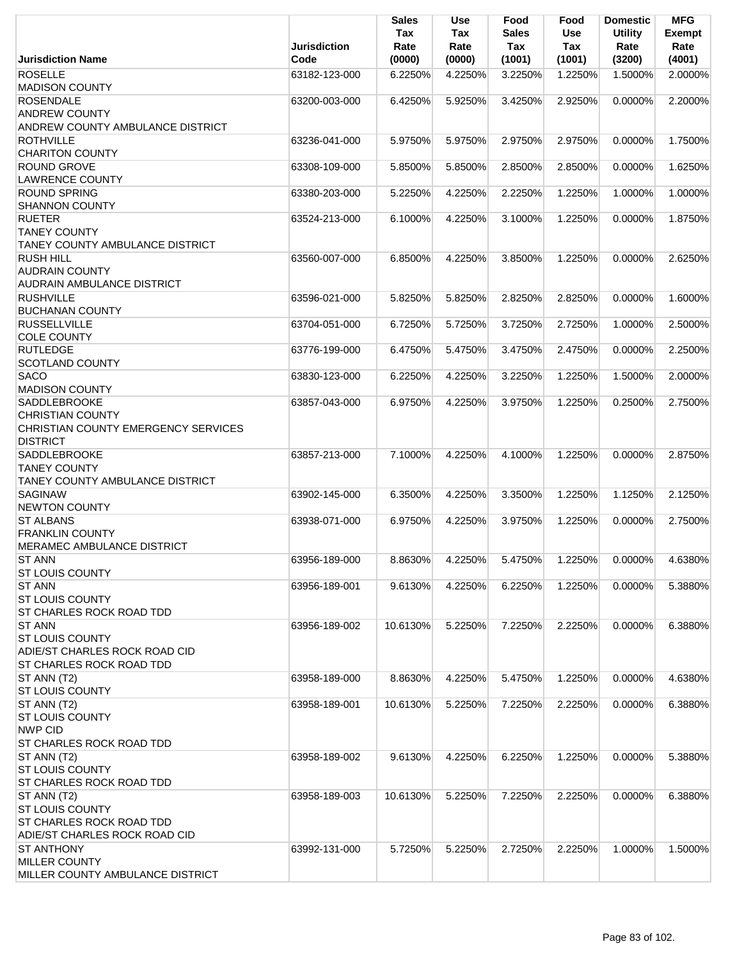|                                                                                                             | <b>Jurisdiction</b> | <b>Sales</b><br>Tax<br>Rate | <b>Use</b><br>Tax<br>Rate | Food<br>Sales<br>Tax | Food<br><b>Use</b><br>Tax | <b>Domestic</b><br><b>Utility</b><br>Rate | <b>MFG</b><br><b>Exempt</b><br>Rate |
|-------------------------------------------------------------------------------------------------------------|---------------------|-----------------------------|---------------------------|----------------------|---------------------------|-------------------------------------------|-------------------------------------|
| <b>Jurisdiction Name</b>                                                                                    | Code                | (0000)                      | (0000)                    | (1001)               | (1001)                    | (3200)                                    | (4001)                              |
| <b>ROSELLE</b><br><b>MADISON COUNTY</b>                                                                     | 63182-123-000       | 6.2250%                     | 4.2250%                   | 3.2250%              | 1.2250%                   | 1.5000%                                   | 2.0000%                             |
| <b>ROSENDALE</b><br><b>ANDREW COUNTY</b><br>ANDREW COUNTY AMBULANCE DISTRICT                                | 63200-003-000       | 6.4250%                     | 5.9250%                   | 3.4250%              | 2.9250%                   | 0.0000%                                   | 2.2000%                             |
| <b>ROTHVILLE</b><br><b>CHARITON COUNTY</b>                                                                  | 63236-041-000       | 5.9750%                     | 5.9750%                   | 2.9750%              | 2.9750%                   | 0.0000%                                   | 1.7500%                             |
| <b>ROUND GROVE</b><br><b>LAWRENCE COUNTY</b>                                                                | 63308-109-000       | 5.8500%                     | 5.8500%                   | 2.8500%              | 2.8500%                   | 0.0000%                                   | 1.6250%                             |
| <b>ROUND SPRING</b><br><b>SHANNON COUNTY</b>                                                                | 63380-203-000       | 5.2250%                     | 4.2250%                   | 2.2250%              | 1.2250%                   | 1.0000%                                   | 1.0000%                             |
| <b>RUETER</b><br><b>TANEY COUNTY</b><br>TANEY COUNTY AMBULANCE DISTRICT                                     | 63524-213-000       | 6.1000%                     | 4.2250%                   | 3.1000%              | 1.2250%                   | 0.0000%                                   | 1.8750%                             |
| <b>RUSH HILL</b><br><b>AUDRAIN COUNTY</b><br><b>AUDRAIN AMBULANCE DISTRICT</b>                              | 63560-007-000       | 6.8500%                     | 4.2250%                   | 3.8500%              | 1.2250%                   | 0.0000%                                   | 2.6250%                             |
| <b>RUSHVILLE</b><br><b>BUCHANAN COUNTY</b>                                                                  | 63596-021-000       | 5.8250%                     | 5.8250%                   | 2.8250%              | 2.8250%                   | 0.0000%                                   | 1.6000%                             |
| <b>RUSSELLVILLE</b><br><b>COLE COUNTY</b>                                                                   | 63704-051-000       | 6.7250%                     | 5.7250%                   | 3.7250%              | 2.7250%                   | 1.0000%                                   | 2.5000%                             |
| <b>RUTLEDGE</b><br><b>SCOTLAND COUNTY</b>                                                                   | 63776-199-000       | 6.4750%                     | 5.4750%                   | 3.4750%              | 2.4750%                   | 0.0000%                                   | 2.2500%                             |
| <b>SACO</b><br><b>MADISON COUNTY</b>                                                                        | 63830-123-000       | 6.2250%                     | 4.2250%                   | 3.2250%              | 1.2250%                   | 1.5000%                                   | 2.0000%                             |
| <b>SADDLEBROOKE</b><br><b>CHRISTIAN COUNTY</b><br>CHRISTIAN COUNTY EMERGENCY SERVICES<br><b>DISTRICT</b>    | 63857-043-000       | 6.9750%                     | 4.2250%                   | 3.9750%              | 1.2250%                   | 0.2500%                                   | 2.7500%                             |
| <b>SADDLEBROOKE</b><br><b>TANEY COUNTY</b><br>TANEY COUNTY AMBULANCE DISTRICT                               | 63857-213-000       | 7.1000%                     | 4.2250%                   | 4.1000%              | 1.2250%                   | $0.0000\%$                                | 2.8750%                             |
| <b>SAGINAW</b><br><b>NEWTON COUNTY</b>                                                                      | 63902-145-000       | 6.3500%                     | 4.2250%                   | 3.3500%              | 1.2250%                   | 1.1250%                                   | 2.1250%                             |
| <b>ST ALBANS</b><br><b>FRANKLIN COUNTY</b><br><b>MERAMEC AMBULANCE DISTRICT</b>                             | 63938-071-000       | 6.9750%                     | 4.2250%                   | 3.9750%              | 1.2250%                   | 0.0000%                                   | 2.7500%                             |
| <b>ST ANN</b><br><b>ST LOUIS COUNTY</b>                                                                     | 63956-189-000       | 8.8630%                     | 4.2250%                   | 5.4750%              | 1.2250%                   | 0.0000%                                   | 4.6380%                             |
| <b>ST ANN</b><br><b>ST LOUIS COUNTY</b><br>ST CHARLES ROCK ROAD TDD                                         | 63956-189-001       | 9.6130%                     | 4.2250%                   | 6.2250%              | 1.2250%                   | 0.0000%                                   | 5.3880%                             |
| <b>ST ANN</b><br><b>ST LOUIS COUNTY</b><br>ADIE/ST CHARLES ROCK ROAD CID<br><b>ST CHARLES ROCK ROAD TDD</b> | 63956-189-002       | 10.6130%                    | 5.2250%                   | 7.2250%              | 2.2250%                   | 0.0000%                                   | 6.3880%                             |
| ST ANN (T2)<br><b>ST LOUIS COUNTY</b>                                                                       | 63958-189-000       | 8.8630%                     | 4.2250%                   | 5.4750%              | 1.2250%                   | 0.0000%                                   | 4.6380%                             |
| ST ANN (T2)<br><b>ST LOUIS COUNTY</b><br><b>NWP CID</b><br><b>ST CHARLES ROCK ROAD TDD</b>                  | 63958-189-001       | 10.6130%                    | 5.2250%                   | 7.2250%              | 2.2250%                   | 0.0000%                                   | 6.3880%                             |
| ST ANN (T2)<br><b>ST LOUIS COUNTY</b><br>ST CHARLES ROCK ROAD TDD                                           | 63958-189-002       | 9.6130%                     | 4.2250%                   | 6.2250%              | 1.2250%                   | 0.0000%                                   | 5.3880%                             |
| ST ANN (T2)<br><b>ST LOUIS COUNTY</b><br><b>ST CHARLES ROCK ROAD TDD</b><br>ADIE/ST CHARLES ROCK ROAD CID   | 63958-189-003       | 10.6130%                    | 5.2250%                   | 7.2250%              | 2.2250%                   | $0.0000\%$                                | 6.3880%                             |
| <b>ST ANTHONY</b><br><b>MILLER COUNTY</b><br>MILLER COUNTY AMBULANCE DISTRICT                               | 63992-131-000       | 5.7250%                     | 5.2250%                   | 2.7250%              | 2.2250%                   | 1.0000%                                   | 1.5000%                             |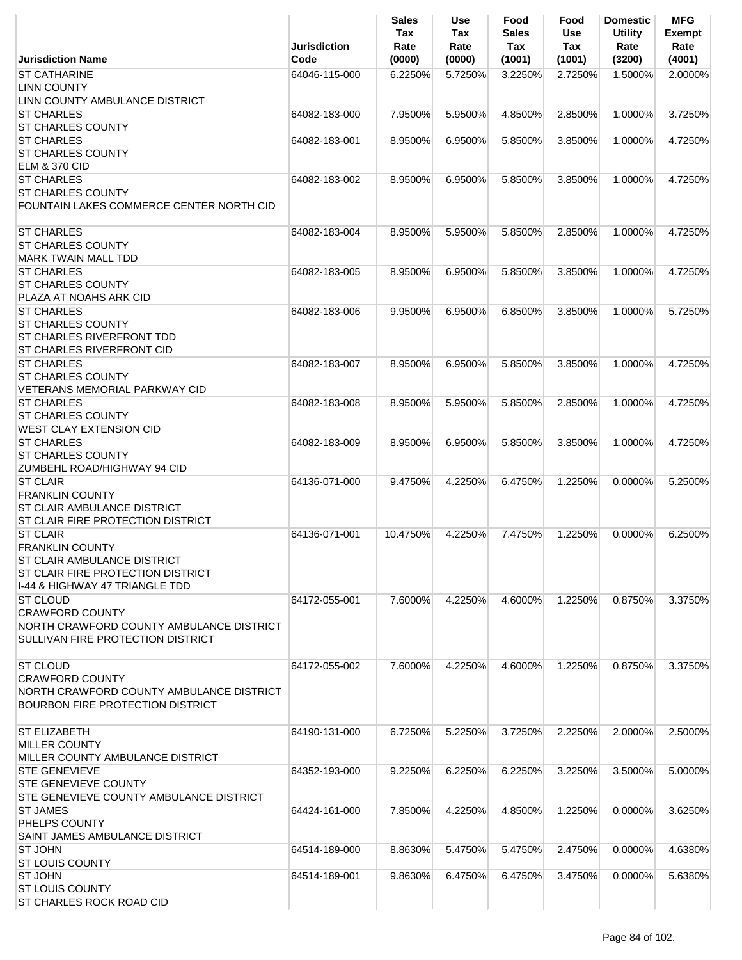|                                                              | <b>Jurisdiction</b> | <b>Sales</b><br>Tax<br>Rate | <b>Use</b><br>Tax<br>Rate | Food<br><b>Sales</b><br>Tax | Food<br>Use<br><b>Tax</b> | <b>Domestic</b><br><b>Utility</b><br>Rate | <b>MFG</b><br><b>Exempt</b><br>Rate |
|--------------------------------------------------------------|---------------------|-----------------------------|---------------------------|-----------------------------|---------------------------|-------------------------------------------|-------------------------------------|
| <b>Jurisdiction Name</b>                                     | Code                | (0000)                      | (0000)                    | (1001)                      | (1001)                    | (3200)                                    | (4001)                              |
| <b>ST CATHARINE</b>                                          | 64046-115-000       | 6.2250%                     | 5.7250%                   | 3.2250%                     | 2.7250%                   | 1.5000%                                   | 2.0000%                             |
| <b>LINN COUNTY</b>                                           |                     |                             |                           |                             |                           |                                           |                                     |
| LINN COUNTY AMBULANCE DISTRICT                               |                     |                             |                           |                             |                           |                                           |                                     |
| <b>ST CHARLES</b><br><b>ST CHARLES COUNTY</b>                | 64082-183-000       | 7.9500%                     | 5.9500%                   | 4.8500%                     | 2.8500%                   | 1.0000%                                   | 3.7250%                             |
| <b>ST CHARLES</b>                                            | 64082-183-001       | 8.9500%                     | 6.9500%                   | 5.8500%                     | 3.8500%                   | 1.0000%                                   | 4.7250%                             |
| <b>ST CHARLES COUNTY</b>                                     |                     |                             |                           |                             |                           |                                           |                                     |
| <b>ELM &amp; 370 CID</b>                                     |                     |                             |                           |                             |                           |                                           |                                     |
| <b>ST CHARLES</b>                                            | 64082-183-002       | 8.9500%                     | 6.9500%                   | 5.8500%                     | 3.8500%                   | 1.0000%                                   | 4.7250%                             |
| <b>ST CHARLES COUNTY</b>                                     |                     |                             |                           |                             |                           |                                           |                                     |
| FOUNTAIN LAKES COMMERCE CENTER NORTH CID                     |                     |                             |                           |                             |                           |                                           |                                     |
|                                                              |                     |                             |                           |                             |                           |                                           |                                     |
| <b>ST CHARLES</b>                                            | 64082-183-004       | 8.9500%                     | 5.9500%                   | 5.8500%                     | 2.8500%                   | 1.0000%                                   | 4.7250%                             |
| <b>ST CHARLES COUNTY</b>                                     |                     |                             |                           |                             |                           |                                           |                                     |
| <b>MARK TWAIN MALL TDD</b>                                   |                     |                             |                           |                             |                           |                                           |                                     |
| <b>ST CHARLES</b>                                            | 64082-183-005       | 8.9500%                     | 6.9500%                   | 5.8500%                     | 3.8500%                   | 1.0000%                                   | 4.7250%                             |
| <b>ST CHARLES COUNTY</b>                                     |                     |                             |                           |                             |                           |                                           |                                     |
| PLAZA AT NOAHS ARK CID                                       |                     |                             |                           |                             |                           |                                           |                                     |
| <b>ST CHARLES</b>                                            | 64082-183-006       | 9.9500%                     | 6.9500%                   | 6.8500%                     | 3.8500%                   | 1.0000%                                   | 5.7250%                             |
| <b>ST CHARLES COUNTY</b><br><b>ST CHARLES RIVERFRONT TDD</b> |                     |                             |                           |                             |                           |                                           |                                     |
| <b>ST CHARLES RIVERFRONT CID</b>                             |                     |                             |                           |                             |                           |                                           |                                     |
| <b>ST CHARLES</b>                                            | 64082-183-007       | 8.9500%                     | 6.9500%                   | 5.8500%                     | 3.8500%                   | 1.0000%                                   | 4.7250%                             |
| <b>ST CHARLES COUNTY</b>                                     |                     |                             |                           |                             |                           |                                           |                                     |
| VETERANS MEMORIAL PARKWAY CID                                |                     |                             |                           |                             |                           |                                           |                                     |
| <b>ST CHARLES</b>                                            | 64082-183-008       | 8.9500%                     | 5.9500%                   | 5.8500%                     | 2.8500%                   | 1.0000%                                   | 4.7250%                             |
| <b>ST CHARLES COUNTY</b>                                     |                     |                             |                           |                             |                           |                                           |                                     |
| <b>WEST CLAY EXTENSION CID</b>                               |                     |                             |                           |                             |                           |                                           |                                     |
| <b>ST CHARLES</b>                                            | 64082-183-009       | 8.9500%                     | 6.9500%                   | 5.8500%                     | 3.8500%                   | 1.0000%                                   | 4.7250%                             |
| <b>ST CHARLES COUNTY</b>                                     |                     |                             |                           |                             |                           |                                           |                                     |
| ZUMBEHL ROAD/HIGHWAY 94 CID                                  |                     |                             |                           |                             |                           |                                           |                                     |
| <b>ST CLAIR</b>                                              | 64136-071-000       | 9.4750%                     | 4.2250%                   | 6.4750%                     | 1.2250%                   | 0.0000%                                   | 5.2500%                             |
| <b>FRANKLIN COUNTY</b>                                       |                     |                             |                           |                             |                           |                                           |                                     |
| ST CLAIR AMBULANCE DISTRICT                                  |                     |                             |                           |                             |                           |                                           |                                     |
| ST CLAIR FIRE PROTECTION DISTRICT                            |                     |                             |                           |                             |                           |                                           |                                     |
| <b>ST CLAIR</b><br><b>FRANKLIN COUNTY</b>                    | 64136-071-001       | 10.4750%                    | 4.2250%                   | 7.4750%                     |                           | 1.2250% 0.0000%                           | 6.2500%                             |
| <b>ST CLAIR AMBULANCE DISTRICT</b>                           |                     |                             |                           |                             |                           |                                           |                                     |
| ST CLAIR FIRE PROTECTION DISTRICT                            |                     |                             |                           |                             |                           |                                           |                                     |
| 1-44 & HIGHWAY 47 TRIANGLE TDD                               |                     |                             |                           |                             |                           |                                           |                                     |
| <b>ST CLOUD</b>                                              | 64172-055-001       | 7.6000%                     | 4.2250%                   | 4.6000%                     | 1.2250%                   | 0.8750%                                   | 3.3750%                             |
| <b>CRAWFORD COUNTY</b>                                       |                     |                             |                           |                             |                           |                                           |                                     |
| NORTH CRAWFORD COUNTY AMBULANCE DISTRICT                     |                     |                             |                           |                             |                           |                                           |                                     |
| SULLIVAN FIRE PROTECTION DISTRICT                            |                     |                             |                           |                             |                           |                                           |                                     |
|                                                              |                     |                             |                           |                             |                           |                                           |                                     |
| <b>ST CLOUD</b>                                              | 64172-055-002       | 7.6000%                     | 4.2250%                   | 4.6000%                     | 1.2250%                   | 0.8750%                                   | 3.3750%                             |
| <b>CRAWFORD COUNTY</b>                                       |                     |                             |                           |                             |                           |                                           |                                     |
| NORTH CRAWFORD COUNTY AMBULANCE DISTRICT                     |                     |                             |                           |                             |                           |                                           |                                     |
| <b>BOURBON FIRE PROTECTION DISTRICT</b>                      |                     |                             |                           |                             |                           |                                           |                                     |
| <b>ST ELIZABETH</b>                                          | 64190-131-000       | 6.7250%                     | 5.2250%                   | 3.7250%                     | 2.2250%                   | 2.0000%                                   | 2.5000%                             |
| <b>MILLER COUNTY</b>                                         |                     |                             |                           |                             |                           |                                           |                                     |
| MILLER COUNTY AMBULANCE DISTRICT                             |                     |                             |                           |                             |                           |                                           |                                     |
| <b>STE GENEVIEVE</b>                                         | 64352-193-000       | 9.2250%                     | 6.2250%                   | 6.2250%                     | 3.2250%                   | 3.5000%                                   | 5.0000%                             |
| <b>STE GENEVIEVE COUNTY</b>                                  |                     |                             |                           |                             |                           |                                           |                                     |
| STE GENEVIEVE COUNTY AMBULANCE DISTRICT                      |                     |                             |                           |                             |                           |                                           |                                     |
| <b>ST JAMES</b>                                              | 64424-161-000       | 7.8500%                     | 4.2250%                   | 4.8500%                     | 1.2250%                   | $0.0000\%$                                | 3.6250%                             |
| PHELPS COUNTY                                                |                     |                             |                           |                             |                           |                                           |                                     |
| SAINT JAMES AMBULANCE DISTRICT                               |                     |                             |                           |                             |                           |                                           |                                     |
| <b>ST JOHN</b>                                               | 64514-189-000       | 8.8630%                     | 5.4750%                   | 5.4750%                     | 2.4750%                   | $0.0000\%$                                | 4.6380%                             |
| <b>ST LOUIS COUNTY</b>                                       |                     |                             |                           |                             |                           |                                           |                                     |
| <b>ST JOHN</b>                                               | 64514-189-001       | 9.8630%                     | 6.4750%                   | 6.4750%                     | 3.4750%                   | 0.0000%                                   | 5.6380%                             |
| <b>ST LOUIS COUNTY</b>                                       |                     |                             |                           |                             |                           |                                           |                                     |
| ST CHARLES ROCK ROAD CID                                     |                     |                             |                           |                             |                           |                                           |                                     |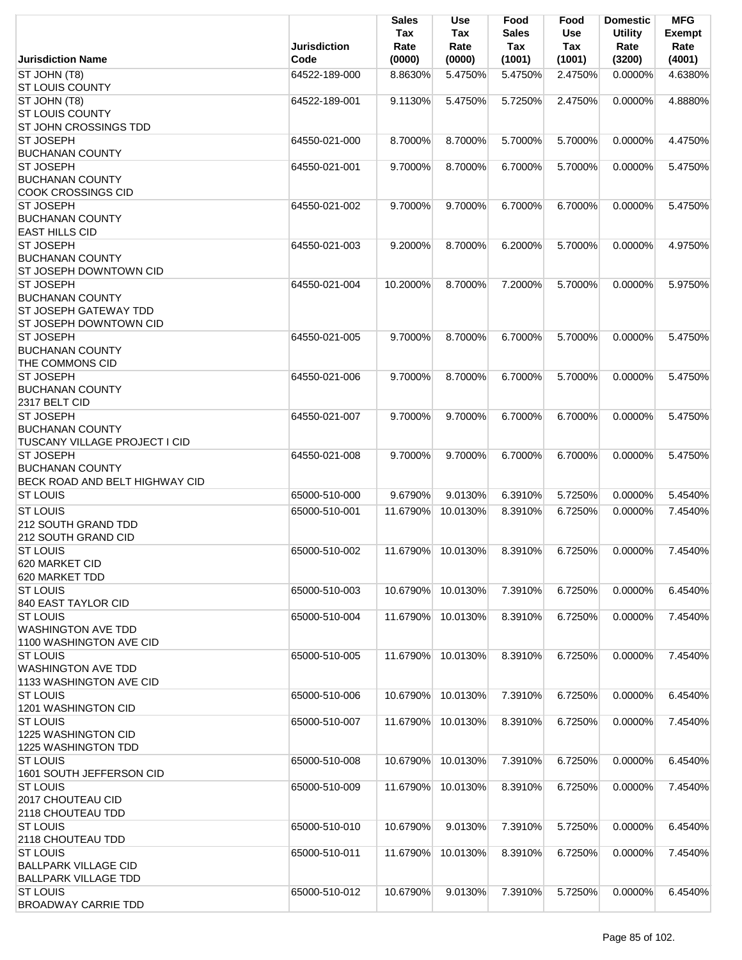|                                                                                    | <b>Jurisdiction</b> | Sales<br>Tax<br>Rate | <b>Use</b><br>Tax<br>Rate | Food<br><b>Sales</b><br>Tax | Food<br>Use<br><b>Tax</b> | <b>Domestic</b><br><b>Utility</b><br>Rate | <b>MFG</b><br><b>Exempt</b><br>Rate |
|------------------------------------------------------------------------------------|---------------------|----------------------|---------------------------|-----------------------------|---------------------------|-------------------------------------------|-------------------------------------|
| <b>Jurisdiction Name</b>                                                           | Code                | (0000)               | (0000)                    | (1001)                      | (1001)                    | (3200)                                    | (4001)                              |
| ST JOHN (T8)<br><b>ST LOUIS COUNTY</b>                                             | 64522-189-000       | 8.8630%              | 5.4750%                   | 5.4750%                     | 2.4750%                   | 0.0000%                                   | 4.6380%                             |
| ST JOHN (T8)<br><b>ST LOUIS COUNTY</b><br>ST JOHN CROSSINGS TDD                    | 64522-189-001       | 9.1130%              | 5.4750%                   | 5.7250%                     | 2.4750%                   | 0.0000%                                   | 4.8880%                             |
| <b>ST JOSEPH</b><br><b>BUCHANAN COUNTY</b>                                         | 64550-021-000       | 8.7000%              | 8.7000%                   | 5.7000%                     | 5.7000%                   | 0.0000%                                   | 4.4750%                             |
| <b>ST JOSEPH</b><br><b>BUCHANAN COUNTY</b><br><b>COOK CROSSINGS CID</b>            | 64550-021-001       | 9.7000%              | 8.7000%                   | 6.7000%                     | 5.7000%                   | 0.0000%                                   | 5.4750%                             |
| <b>ST JOSEPH</b><br><b>BUCHANAN COUNTY</b><br><b>EAST HILLS CID</b>                | 64550-021-002       | 9.7000%              | 9.7000%                   | 6.7000%                     | 6.7000%                   | 0.0000%                                   | 5.4750%                             |
| <b>ST JOSEPH</b><br><b>BUCHANAN COUNTY</b><br>ST JOSEPH DOWNTOWN CID               | 64550-021-003       | 9.2000%              | 8.7000%                   | 6.2000%                     | 5.7000%                   | 0.0000%                                   | 4.9750%                             |
| <b>ST JOSEPH</b><br><b>BUCHANAN COUNTY</b><br><b>ST JOSEPH GATEWAY TDD</b>         | 64550-021-004       | 10.2000%             | 8.7000%                   | 7.2000%                     | 5.7000%                   | $0.0000\%$                                | 5.9750%                             |
| <b>ST JOSEPH DOWNTOWN CID</b><br><b>ST JOSEPH</b><br><b>BUCHANAN COUNTY</b>        | 64550-021-005       | 9.7000%              | 8.7000%                   | 6.7000%                     | 5.7000%                   | 0.0000%                                   | 5.4750%                             |
| THE COMMONS CID<br><b>ST JOSEPH</b><br><b>BUCHANAN COUNTY</b>                      | 64550-021-006       | 9.7000%              | 8.7000%                   | 6.7000%                     | 5.7000%                   | 0.0000%                                   | 5.4750%                             |
| 2317 BELT CID<br><b>ST JOSEPH</b><br><b>BUCHANAN COUNTY</b>                        | 64550-021-007       | 9.7000%              | 9.7000%                   | 6.7000%                     | 6.7000%                   | 0.0000%                                   | 5.4750%                             |
| <b>TUSCANY VILLAGE PROJECT I CID</b><br><b>ST JOSEPH</b><br><b>BUCHANAN COUNTY</b> | 64550-021-008       | 9.7000%              | 9.7000%                   | 6.7000%                     | 6.7000%                   | $0.0000\%$                                | 5.4750%                             |
| BECK ROAD AND BELT HIGHWAY CID<br><b>ST LOUIS</b>                                  | 65000-510-000       | 9.6790%              | 9.0130%                   | 6.3910%                     | 5.7250%                   | 0.0000%                                   | 5.4540%                             |
| <b>ST LOUIS</b><br><b>212 SOUTH GRAND TDD</b><br>212 SOUTH GRAND CID               | 65000-510-001       | 11.6790%             | 10.0130%                  | 8.3910%                     | 6.7250%                   | $0.0000\%$                                | 7.4540%                             |
| <b>ST LOUIS</b><br>620 MARKET CID<br>620 MARKET TDD                                | 65000-510-002       | 11.6790%             | 10.0130%                  | 8.3910%                     | 6.7250%                   | 0.0000%                                   | 7.4540%                             |
| <b>ST LOUIS</b><br>840 EAST TAYLOR CID                                             | 65000-510-003       | 10.6790%             | 10.0130%                  | 7.3910%                     | 6.7250%                   | 0.0000%                                   | 6.4540%                             |
| <b>ST LOUIS</b><br><b>WASHINGTON AVE TDD</b><br>1100 WASHINGTON AVE CID            | 65000-510-004       | 11.6790%             | 10.0130%                  | 8.3910%                     | 6.7250%                   | 0.0000%                                   | 7.4540%                             |
| <b>ST LOUIS</b><br><b>WASHINGTON AVE TDD</b><br>1133 WASHINGTON AVE CID            | 65000-510-005       | 11.6790%             | 10.0130%                  | 8.3910%                     | 6.7250%                   | 0.0000%                                   | 7.4540%                             |
| <b>ST LOUIS</b><br>1201 WASHINGTON CID                                             | 65000-510-006       | 10.6790%             | 10.0130%                  | 7.3910%                     | 6.7250%                   | 0.0000%                                   | 6.4540%                             |
| <b>ST LOUIS</b><br>1225 WASHINGTON CID<br>1225 WASHINGTON TDD                      | 65000-510-007       | 11.6790%             | 10.0130%                  | 8.3910%                     | 6.7250%                   | 0.0000%                                   | 7.4540%                             |
| <b>ST LOUIS</b><br>1601 SOUTH JEFFERSON CID                                        | 65000-510-008       | 10.6790%             | 10.0130%                  | 7.3910%                     | 6.7250%                   | 0.0000%                                   | 6.4540%                             |
| <b>ST LOUIS</b><br>2017 CHOUTEAU CID<br>2118 CHOUTEAU TDD                          | 65000-510-009       | 11.6790%             | 10.0130%                  | 8.3910%                     | 6.7250%                   | 0.0000%                                   | 7.4540%                             |
| <b>ST LOUIS</b><br>2118 CHOUTEAU TDD                                               | 65000-510-010       | 10.6790%             | 9.0130%                   | 7.3910%                     | 5.7250%                   | 0.0000%                                   | 6.4540%                             |
| <b>ST LOUIS</b><br><b>BALLPARK VILLAGE CID</b><br><b>BALLPARK VILLAGE TDD</b>      | 65000-510-011       | 11.6790%             | 10.0130%                  | 8.3910%                     | 6.7250%                   | 0.0000%                                   | 7.4540%                             |
| <b>ST LOUIS</b><br><b>BROADWAY CARRIE TDD</b>                                      | 65000-510-012       | 10.6790%             | 9.0130%                   | 7.3910%                     | 5.7250%                   | 0.0000%                                   | 6.4540%                             |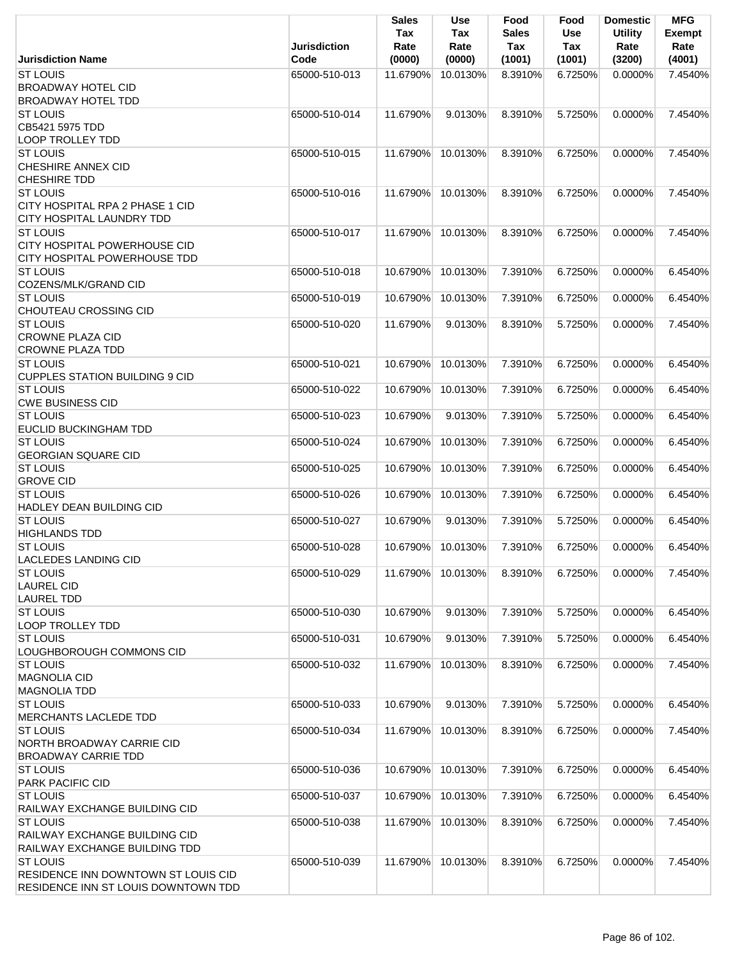|                                                                                                               | <b>Jurisdiction</b> | <b>Sales</b><br>Tax<br>Rate | <b>Use</b><br>Tax<br>Rate | Food<br><b>Sales</b><br>Tax | Food<br>Use<br>Tax | <b>Domestic</b><br><b>Utility</b><br>Rate | <b>MFG</b><br><b>Exempt</b><br>Rate |
|---------------------------------------------------------------------------------------------------------------|---------------------|-----------------------------|---------------------------|-----------------------------|--------------------|-------------------------------------------|-------------------------------------|
| <b>Jurisdiction Name</b>                                                                                      | Code                | (0000)                      | (0000)                    | (1001)                      | (1001)             | (3200)                                    | (4001)                              |
| <b>ST LOUIS</b><br><b>BROADWAY HOTEL CID</b><br><b>BROADWAY HOTEL TDD</b>                                     | 65000-510-013       | 11.6790%                    | 10.0130%                  | 8.3910%                     | 6.7250%            | $0.0000\%$                                | 7.4540%                             |
| <b>ST LOUIS</b><br>CB5421 5975 TDD                                                                            | 65000-510-014       | 11.6790%                    | 9.0130%                   | 8.3910%                     | 5.7250%            | 0.0000%                                   | 7.4540%                             |
| <b>LOOP TROLLEY TDD</b><br><b>ST LOUIS</b><br><b>CHESHIRE ANNEX CID</b>                                       | 65000-510-015       | 11.6790%                    | 10.0130%                  | 8.3910%                     | 6.7250%            | 0.0000%                                   | 7.4540%                             |
| <b>CHESHIRE TDD</b><br><b>ST LOUIS</b><br>CITY HOSPITAL RPA 2 PHASE 1 CID<br><b>CITY HOSPITAL LAUNDRY TDD</b> | 65000-510-016       | 11.6790%                    | 10.0130%                  | 8.3910%                     | 6.7250%            | 0.0000%                                   | 7.4540%                             |
| <b>ST LOUIS</b><br><b>CITY HOSPITAL POWERHOUSE CID</b><br>CITY HOSPITAL POWERHOUSE TDD                        | 65000-510-017       | 11.6790%                    | 10.0130%                  | 8.3910%                     | 6.7250%            | 0.0000%                                   | 7.4540%                             |
| <b>ST LOUIS</b><br>COZENS/MLK/GRAND CID                                                                       | 65000-510-018       | 10.6790%                    | 10.0130%                  | 7.3910%                     | 6.7250%            | 0.0000%                                   | 6.4540%                             |
| <b>ST LOUIS</b><br><b>CHOUTEAU CROSSING CID</b>                                                               | 65000-510-019       | 10.6790%                    | 10.0130%                  | 7.3910%                     | 6.7250%            | 0.0000%                                   | 6.4540%                             |
| <b>ST LOUIS</b><br><b>CROWNE PLAZA CID</b><br><b>CROWNE PLAZA TDD</b>                                         | 65000-510-020       | 11.6790%                    | 9.0130%                   | 8.3910%                     | 5.7250%            | $0.0000\%$                                | 7.4540%                             |
| <b>ST LOUIS</b><br><b>CUPPLES STATION BUILDING 9 CID</b>                                                      | 65000-510-021       | 10.6790%                    | 10.0130%                  | 7.3910%                     | 6.7250%            | 0.0000%                                   | 6.4540%                             |
| <b>ST LOUIS</b><br><b>CWE BUSINESS CID</b>                                                                    | 65000-510-022       | 10.6790%                    | 10.0130%                  | 7.3910%                     | 6.7250%            | 0.0000%                                   | 6.4540%                             |
| <b>ST LOUIS</b><br><b>EUCLID BUCKINGHAM TDD</b>                                                               | 65000-510-023       | 10.6790%                    | 9.0130%                   | 7.3910%                     | 5.7250%            | 0.0000%                                   | 6.4540%                             |
| <b>ST LOUIS</b><br><b>GEORGIAN SQUARE CID</b>                                                                 | 65000-510-024       | 10.6790%                    | 10.0130%                  | 7.3910%                     | 6.7250%            | 0.0000%                                   | 6.4540%                             |
| <b>ST LOUIS</b><br><b>GROVE CID</b>                                                                           | 65000-510-025       | 10.6790%                    | 10.0130%                  | 7.3910%                     | 6.7250%            | 0.0000%                                   | 6.4540%                             |
| <b>ST LOUIS</b><br><b>HADLEY DEAN BUILDING CID</b>                                                            | 65000-510-026       | 10.6790%                    | 10.0130%                  | 7.3910%                     | 6.7250%            | 0.0000%                                   | 6.4540%                             |
| <b>ST LOUIS</b><br><b>HIGHLANDS TDD</b>                                                                       | 65000-510-027       | 10.6790%                    | 9.0130%                   | 7.3910%                     | 5.7250%            | 0.0000%                                   | 6.4540%                             |
| ST LOUIS<br><b>LACLEDES LANDING CID</b>                                                                       | 65000-510-028       | 10.6790%                    | 10.0130%                  | 7.3910%                     | 6.7250%            | 0.0000%                                   | 6.4540%                             |
| <b>ST LOUIS</b><br><b>LAUREL CID</b><br><b>LAUREL TDD</b>                                                     | 65000-510-029       | 11.6790%                    | 10.0130%                  | 8.3910%                     | 6.7250%            | 0.0000%                                   | 7.4540%                             |
| <b>ST LOUIS</b><br><b>LOOP TROLLEY TDD</b>                                                                    | 65000-510-030       | 10.6790%                    | 9.0130%                   | 7.3910%                     | 5.7250%            | 0.0000%                                   | 6.4540%                             |
| <b>ST LOUIS</b><br>LOUGHBOROUGH COMMONS CID                                                                   | 65000-510-031       | 10.6790%                    | 9.0130%                   | 7.3910%                     | 5.7250%            | 0.0000%                                   | 6.4540%                             |
| <b>ST LOUIS</b><br>MAGNOLIA CID<br><b>MAGNOLIA TDD</b>                                                        | 65000-510-032       | 11.6790%                    | 10.0130%                  | 8.3910%                     | 6.7250%            | 0.0000%                                   | 7.4540%                             |
| <b>ST LOUIS</b><br><b>MERCHANTS LACLEDE TDD</b>                                                               | 65000-510-033       | 10.6790%                    | 9.0130%                   | 7.3910%                     | 5.7250%            | 0.0000%                                   | 6.4540%                             |
| <b>ST LOUIS</b><br>NORTH BROADWAY CARRIE CID<br><b>BROADWAY CARRIE TDD</b>                                    | 65000-510-034       | 11.6790%                    | 10.0130%                  | 8.3910%                     | 6.7250%            | 0.0000%                                   | 7.4540%                             |
| <b>ST LOUIS</b><br><b>PARK PACIFIC CID</b>                                                                    | 65000-510-036       | 10.6790%                    | 10.0130%                  | 7.3910%                     | 6.7250%            | 0.0000%                                   | 6.4540%                             |
| <b>ST LOUIS</b><br>RAILWAY EXCHANGE BUILDING CID                                                              | 65000-510-037       | 10.6790%                    | 10.0130%                  | 7.3910%                     | 6.7250%            | 0.0000%                                   | 6.4540%                             |
| <b>ST LOUIS</b><br>RAILWAY EXCHANGE BUILDING CID<br>RAILWAY EXCHANGE BUILDING TDD                             | 65000-510-038       | 11.6790%                    | 10.0130%                  | 8.3910%                     | 6.7250%            | 0.0000%                                   | 7.4540%                             |
| <b>ST LOUIS</b><br>RESIDENCE INN DOWNTOWN ST LOUIS CID<br>RESIDENCE INN ST LOUIS DOWNTOWN TDD                 | 65000-510-039       | 11.6790%                    | 10.0130%                  | 8.3910%                     | 6.7250%            | 0.0000%                                   | 7.4540%                             |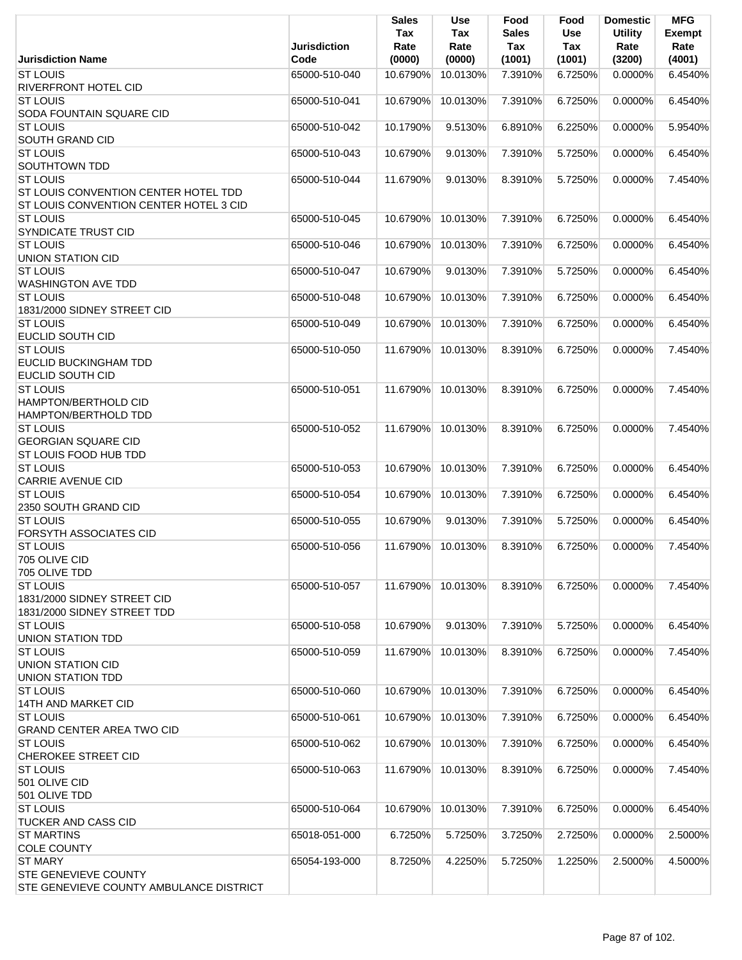|                                                                                                          | <b>Jurisdiction</b> | <b>Sales</b><br>Tax<br>Rate | <b>Use</b><br><b>Tax</b><br>Rate | Food<br><b>Sales</b><br>Tax | Food<br><b>Use</b><br>Tax | <b>Domestic</b><br><b>Utility</b><br>Rate | <b>MFG</b><br>Exempt<br>Rate |
|----------------------------------------------------------------------------------------------------------|---------------------|-----------------------------|----------------------------------|-----------------------------|---------------------------|-------------------------------------------|------------------------------|
| <b>Jurisdiction Name</b>                                                                                 | Code                | (0000)                      | (0000)                           | (1001)                      | (1001)                    | (3200)                                    | (4001)                       |
| <b>ST LOUIS</b><br><b>RIVERFRONT HOTEL CID</b>                                                           | 65000-510-040       | 10.6790%                    | 10.0130%                         | 7.3910%                     | 6.7250%                   | $0.0000\%$                                | 6.4540%                      |
| <b>ST LOUIS</b><br>SODA FOUNTAIN SQUARE CID                                                              | 65000-510-041       | 10.6790%                    | 10.0130%                         | 7.3910%                     | 6.7250%                   | 0.0000%                                   | 6.4540%                      |
| <b>ST LOUIS</b><br>SOUTH GRAND CID                                                                       | 65000-510-042       | 10.1790%                    | 9.5130%                          | 6.8910%                     | 6.2250%                   | 0.0000%                                   | 5.9540%                      |
| <b>ST LOUIS</b><br>SOUTHTOWN TDD                                                                         | 65000-510-043       | 10.6790%                    | 9.0130%                          | 7.3910%                     | 5.7250%                   | 0.0000%                                   | 6.4540%                      |
| <b>ST LOUIS</b><br><b>ST LOUIS CONVENTION CENTER HOTEL TDD</b><br>ST LOUIS CONVENTION CENTER HOTEL 3 CID | 65000-510-044       | 11.6790%                    | 9.0130%                          | 8.3910%                     | 5.7250%                   | 0.0000%                                   | 7.4540%                      |
| <b>ST LOUIS</b><br>SYNDICATE TRUST CID                                                                   | 65000-510-045       | 10.6790%                    | 10.0130%                         | 7.3910%                     | 6.7250%                   | 0.0000%                                   | 6.4540%                      |
| <b>ST LOUIS</b><br><b>UNION STATION CID</b>                                                              | 65000-510-046       | 10.6790%                    | 10.0130%                         | 7.3910%                     | 6.7250%                   | 0.0000%                                   | 6.4540%                      |
| <b>ST LOUIS</b><br><b>WASHINGTON AVE TDD</b>                                                             | 65000-510-047       | 10.6790%                    | 9.0130%                          | 7.3910%                     | 5.7250%                   | $0.0000\%$                                | 6.4540%                      |
| <b>ST LOUIS</b><br>1831/2000 SIDNEY STREET CID                                                           | 65000-510-048       | 10.6790%                    | 10.0130%                         | 7.3910%                     | 6.7250%                   | 0.0000%                                   | 6.4540%                      |
| <b>ST LOUIS</b><br><b>EUCLID SOUTH CID</b>                                                               | 65000-510-049       | 10.6790%                    | 10.0130%                         | 7.3910%                     | 6.7250%                   | 0.0000%                                   | 6.4540%                      |
| <b>ST LOUIS</b><br><b>EUCLID BUCKINGHAM TDD</b><br><b>EUCLID SOUTH CID</b>                               | 65000-510-050       | 11.6790%                    | 10.0130%                         | 8.3910%                     | 6.7250%                   | 0.0000%                                   | 7.4540%                      |
| <b>ST LOUIS</b><br>HAMPTON/BERTHOLD CID<br>HAMPTON/BERTHOLD TDD                                          | 65000-510-051       | 11.6790%                    | 10.0130%                         | 8.3910%                     | 6.7250%                   | $0.0000\%$                                | 7.4540%                      |
| <b>ST LOUIS</b><br><b>GEORGIAN SQUARE CID</b><br><b>ST LOUIS FOOD HUB TDD</b>                            | 65000-510-052       | 11.6790%                    | 10.0130%                         | 8.3910%                     | 6.7250%                   | 0.0000%                                   | 7.4540%                      |
| <b>ST LOUIS</b><br><b>CARRIE AVENUE CID</b>                                                              | 65000-510-053       | 10.6790%                    | 10.0130%                         | 7.3910%                     | 6.7250%                   | 0.0000%                                   | 6.4540%                      |
| <b>ST LOUIS</b><br>2350 SOUTH GRAND CID                                                                  | 65000-510-054       | 10.6790%                    | 10.0130%                         | 7.3910%                     | 6.7250%                   | 0.0000%                                   | 6.4540%                      |
| <b>ST LOUIS</b><br>FORSYTH ASSOCIATES CID                                                                | 65000-510-055       | 10.6790%                    | 9.0130%                          | 7.3910%                     | 5.7250%                   | 0.0000%                                   | 6.4540%                      |
| <b>ST LOUIS</b><br>705 OLIVE CID<br>705 OLIVE TDD                                                        | 65000-510-056       |                             | 11.6790% 10.0130%                | 8.3910%                     | 6.7250%                   | $0.0000\%$                                | 7.4540%                      |
| <b>ST LOUIS</b><br>1831/2000 SIDNEY STREET CID<br>1831/2000 SIDNEY STREET TDD                            | 65000-510-057       | 11.6790%                    | 10.0130%                         | 8.3910%                     | 6.7250%                   | 0.0000%                                   | 7.4540%                      |
| <b>ST LOUIS</b><br><b>UNION STATION TDD</b>                                                              | 65000-510-058       | 10.6790%                    | 9.0130%                          | 7.3910%                     | 5.7250%                   | 0.0000%                                   | 6.4540%                      |
| <b>ST LOUIS</b><br><b>UNION STATION CID</b><br>UNION STATION TDD                                         | 65000-510-059       | 11.6790%                    | 10.0130%                         | 8.3910%                     | 6.7250%                   | 0.0000%                                   | 7.4540%                      |
| <b>ST LOUIS</b><br>14TH AND MARKET CID                                                                   | 65000-510-060       | 10.6790%                    | 10.0130%                         | 7.3910%                     | 6.7250%                   | 0.0000%                                   | 6.4540%                      |
| <b>ST LOUIS</b><br><b>GRAND CENTER AREA TWO CID</b>                                                      | 65000-510-061       | 10.6790%                    | 10.0130%                         | 7.3910%                     | 6.7250%                   | 0.0000%                                   | 6.4540%                      |
| <b>ST LOUIS</b><br><b>CHEROKEE STREET CID</b>                                                            | 65000-510-062       | 10.6790%                    | 10.0130%                         | 7.3910%                     | 6.7250%                   | 0.0000%                                   | 6.4540%                      |
| <b>ST LOUIS</b><br>501 OLIVE CID<br>501 OLIVE TDD                                                        | 65000-510-063       | 11.6790%                    | 10.0130%                         | 8.3910%                     | 6.7250%                   | 0.0000%                                   | 7.4540%                      |
| <b>ST LOUIS</b><br><b>TUCKER AND CASS CID</b>                                                            | 65000-510-064       | 10.6790%                    | 10.0130%                         | 7.3910%                     | 6.7250%                   | 0.0000%                                   | 6.4540%                      |
| <b>ST MARTINS</b><br><b>COLE COUNTY</b>                                                                  | 65018-051-000       | 6.7250%                     | 5.7250%                          | 3.7250%                     | 2.7250%                   | 0.0000%                                   | 2.5000%                      |
| <b>ST MARY</b><br><b>STE GENEVIEVE COUNTY</b><br>STE GENEVIEVE COUNTY AMBULANCE DISTRICT                 | 65054-193-000       | 8.7250%                     | 4.2250%                          | 5.7250%                     | 1.2250%                   | 2.5000%                                   | 4.5000%                      |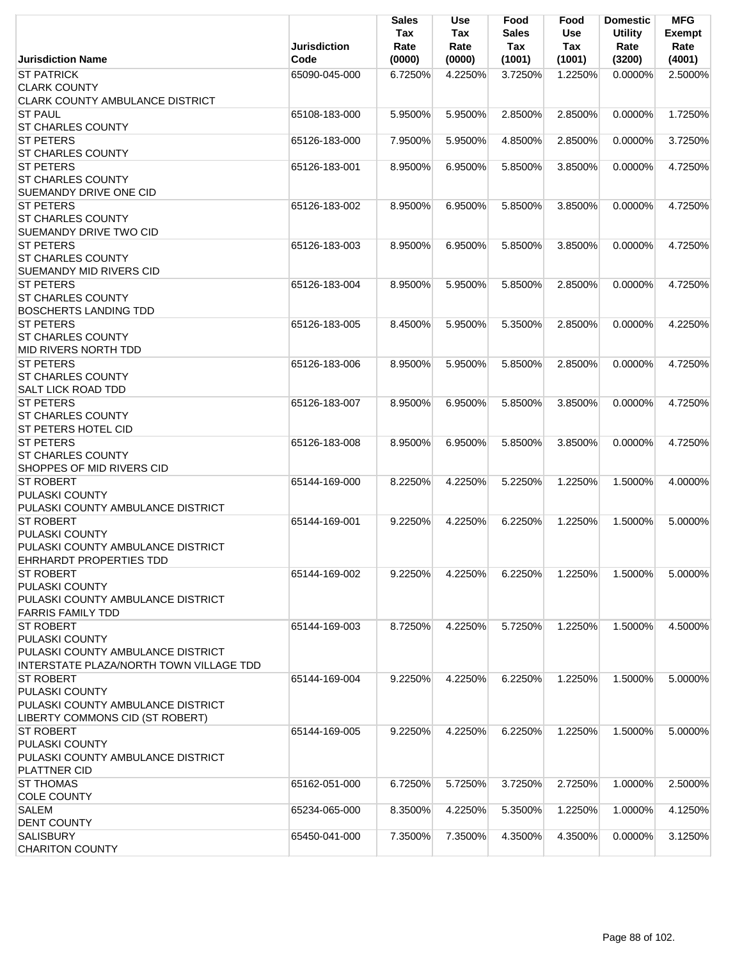|                                                                                                                    | <b>Jurisdiction</b> | <b>Sales</b><br>Tax<br>Rate | Use<br>Tax<br>Rate | Food<br><b>Sales</b><br>Tax | Food<br><b>Use</b><br>Tax | <b>Domestic</b><br><b>Utility</b><br>Rate | <b>MFG</b><br><b>Exempt</b><br>Rate |
|--------------------------------------------------------------------------------------------------------------------|---------------------|-----------------------------|--------------------|-----------------------------|---------------------------|-------------------------------------------|-------------------------------------|
| <b>Jurisdiction Name</b>                                                                                           | Code                | (0000)                      | (0000)             | (1001)                      | (1001)                    | (3200)                                    | (4001)                              |
| <b>ST PATRICK</b><br><b>CLARK COUNTY</b><br>CLARK COUNTY AMBULANCE DISTRICT                                        | 65090-045-000       | 6.7250%                     | 4.2250%            | 3.7250%                     | 1.2250%                   | $0.0000\%$                                | 2.5000%                             |
| <b>ST PAUL</b><br>ST CHARLES COUNTY                                                                                | 65108-183-000       | 5.9500%                     | 5.9500%            | 2.8500%                     | 2.8500%                   | 0.0000%                                   | 1.7250%                             |
| <b>ST PETERS</b><br><b>ST CHARLES COUNTY</b>                                                                       | 65126-183-000       | 7.9500%                     | 5.9500%            | 4.8500%                     | 2.8500%                   | 0.0000%                                   | 3.7250%                             |
| <b>ST PETERS</b><br><b>ST CHARLES COUNTY</b><br>SUEMANDY DRIVE ONE CID                                             | 65126-183-001       | 8.9500%                     | 6.9500%            | 5.8500%                     | 3.8500%                   | $0.0000\%$                                | 4.7250%                             |
| <b>ST PETERS</b><br><b>ST CHARLES COUNTY</b><br><b>SUEMANDY DRIVE TWO CID</b>                                      | 65126-183-002       | 8.9500%                     | 6.9500%            | 5.8500%                     | 3.8500%                   | $0.0000\%$                                | 4.7250%                             |
| <b>ST PETERS</b><br><b>ST CHARLES COUNTY</b><br><b>SUEMANDY MID RIVERS CID</b>                                     | 65126-183-003       | 8.9500%                     | 6.9500%            | 5.8500%                     | 3.8500%                   | 0.0000%                                   | 4.7250%                             |
| <b>ST PETERS</b><br><b>ST CHARLES COUNTY</b><br><b>BOSCHERTS LANDING TDD</b>                                       | 65126-183-004       | 8.9500%                     | 5.9500%            | 5.8500%                     | 2.8500%                   | 0.0000%                                   | 4.7250%                             |
| <b>ST PETERS</b><br><b>ST CHARLES COUNTY</b><br>MID RIVERS NORTH TDD                                               | 65126-183-005       | 8.4500%                     | 5.9500%            | 5.3500%                     | 2.8500%                   | $0.0000\%$                                | 4.2250%                             |
| <b>ST PETERS</b><br><b>ST CHARLES COUNTY</b><br><b>SALT LICK ROAD TDD</b>                                          | 65126-183-006       | 8.9500%                     | 5.9500%            | 5.8500%                     | 2.8500%                   | 0.0000%                                   | 4.7250%                             |
| <b>ST PETERS</b><br><b>ST CHARLES COUNTY</b><br><b>ST PETERS HOTEL CID</b>                                         | 65126-183-007       | 8.9500%                     | 6.9500%            | 5.8500%                     | 3.8500%                   | 0.0000%                                   | 4.7250%                             |
| <b>ST PETERS</b><br><b>ST CHARLES COUNTY</b><br>SHOPPES OF MID RIVERS CID                                          | 65126-183-008       | 8.9500%                     | 6.9500%            | 5.8500%                     | 3.8500%                   | 0.0000%                                   | 4.7250%                             |
| <b>ST ROBERT</b><br><b>PULASKI COUNTY</b><br>PULASKI COUNTY AMBULANCE DISTRICT                                     | 65144-169-000       | 8.2250%                     | 4.2250%            | 5.2250%                     | 1.2250%                   | 1.5000%                                   | 4.0000%                             |
| <b>ST ROBERT</b><br>PULASKI COUNTY<br>PULASKI COUNTY AMBULANCE DISTRICT<br>EHRHARDT PROPERTIES TDD                 | 65144-169-001       | 9.2250%                     | 4.2250%            | 6.2250%                     | 1.2250%                   | 1.5000%                                   | 5.0000%                             |
| <b>ST ROBERT</b><br>PULASKI COUNTY<br>PULASKI COUNTY AMBULANCE DISTRICT<br><b>FARRIS FAMILY TDD</b>                | 65144-169-002       | 9.2250%                     | 4.2250%            | 6.2250%                     | 1.2250%                   | 1.5000%                                   | 5.0000%                             |
| <b>ST ROBERT</b><br>PULASKI COUNTY<br>PULASKI COUNTY AMBULANCE DISTRICT<br>INTERSTATE PLAZA/NORTH TOWN VILLAGE TDD | 65144-169-003       | 8.7250%                     | 4.2250%            | 5.7250%                     | 1.2250%                   | 1.5000%                                   | 4.5000%                             |
| <b>ST ROBERT</b><br>PULASKI COUNTY<br>PULASKI COUNTY AMBULANCE DISTRICT<br>LIBERTY COMMONS CID (ST ROBERT)         | 65144-169-004       | 9.2250%                     | 4.2250%            | 6.2250%                     | 1.2250%                   | 1.5000%                                   | 5.0000%                             |
| <b>ST ROBERT</b><br>PULASKI COUNTY<br>PULASKI COUNTY AMBULANCE DISTRICT<br><b>PLATTNER CID</b>                     | 65144-169-005       | 9.2250%                     | 4.2250%            | 6.2250%                     | 1.2250%                   | 1.5000%                                   | 5.0000%                             |
| <b>ST THOMAS</b><br><b>COLE COUNTY</b>                                                                             | 65162-051-000       | 6.7250%                     | 5.7250%            | 3.7250%                     | 2.7250%                   | 1.0000%                                   | 2.5000%                             |
| <b>SALEM</b><br><b>DENT COUNTY</b>                                                                                 | 65234-065-000       | 8.3500%                     | 4.2250%            | 5.3500%                     | 1.2250%                   | 1.0000%                                   | 4.1250%                             |
| <b>SALISBURY</b><br><b>CHARITON COUNTY</b>                                                                         | 65450-041-000       | 7.3500%                     | 7.3500%            | 4.3500%                     | 4.3500%                   | $0.0000\%$                                | 3.1250%                             |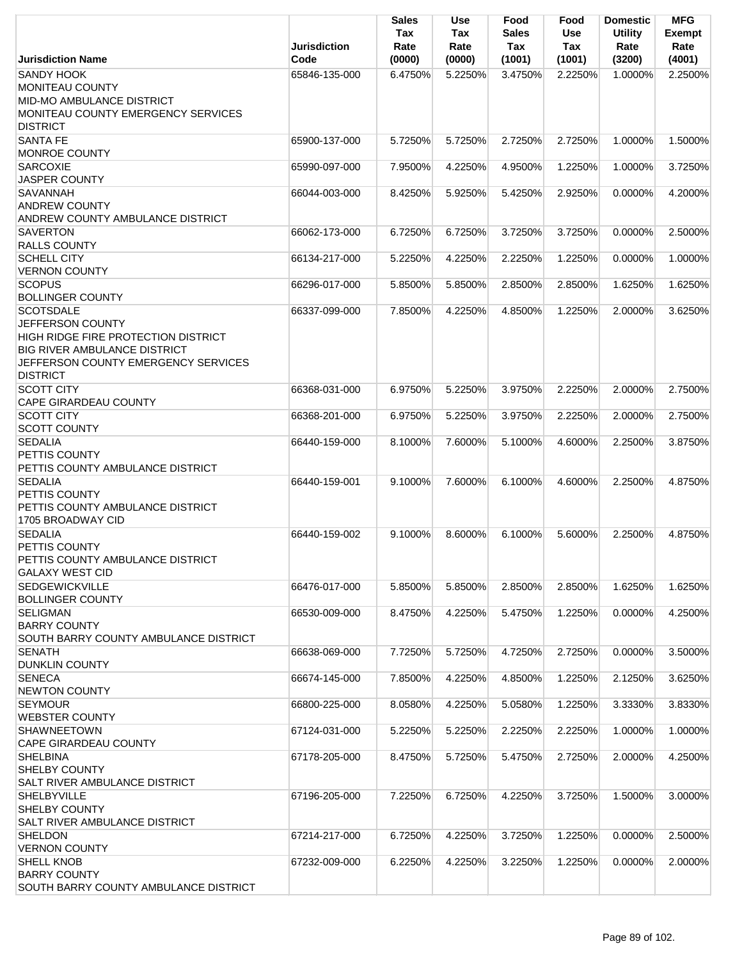|                                                                                                                                                                                     | <b>Jurisdiction</b> | Sales<br>Tax<br>Rate | <b>Use</b><br>Tax<br>Rate | Food<br>Sales<br>Tax    | Food<br><b>Use</b><br>Tax | <b>Domestic</b><br><b>Utility</b><br>Rate | <b>MFG</b><br><b>Exempt</b><br>Rate |
|-------------------------------------------------------------------------------------------------------------------------------------------------------------------------------------|---------------------|----------------------|---------------------------|-------------------------|---------------------------|-------------------------------------------|-------------------------------------|
| <b>Jurisdiction Name</b>                                                                                                                                                            | Code                | (0000)               | (0000)                    | (1001)                  | (1001)                    | (3200)                                    | (4001)                              |
| <b>SANDY HOOK</b><br>MONITEAU COUNTY<br>MID-MO AMBULANCE DISTRICT<br>MONITEAU COUNTY EMERGENCY SERVICES<br><b>DISTRICT</b>                                                          | 65846-135-000       | 6.4750%              | 5.2250%                   | 3.4750%                 | 2.2250%                   | 1.0000%                                   | 2.2500%                             |
| <b>SANTA FE</b>                                                                                                                                                                     | 65900-137-000       | 5.7250%              | 5.7250%                   | 2.7250%                 | 2.7250%                   | 1.0000%                                   | 1.5000%                             |
| <b>MONROE COUNTY</b>                                                                                                                                                                |                     |                      |                           |                         |                           |                                           |                                     |
| <b>SARCOXIE</b><br><b>JASPER COUNTY</b>                                                                                                                                             | 65990-097-000       | 7.9500%              | 4.2250%                   | 4.9500%                 | 1.2250%                   | 1.0000%                                   | 3.7250%                             |
| <b>SAVANNAH</b><br><b>ANDREW COUNTY</b><br>ANDREW COUNTY AMBULANCE DISTRICT                                                                                                         | 66044-003-000       | 8.4250%              | 5.9250%                   | 5.4250%                 | 2.9250%                   | 0.0000%                                   | 4.2000%                             |
| <b>SAVERTON</b>                                                                                                                                                                     | 66062-173-000       | 6.7250%              | 6.7250%                   | 3.7250%                 | 3.7250%                   | 0.0000%                                   | 2.5000%                             |
| <b>RALLS COUNTY</b><br><b>SCHELL CITY</b>                                                                                                                                           |                     |                      | 4.2250%                   |                         | 1.2250%                   |                                           |                                     |
| <b>VERNON COUNTY</b>                                                                                                                                                                | 66134-217-000       | 5.2250%              |                           | 2.2250%                 |                           | 0.0000%                                   | 1.0000%                             |
| <b>SCOPUS</b>                                                                                                                                                                       | 66296-017-000       | 5.8500%              | 5.8500%                   | 2.8500%                 | 2.8500%                   | 1.6250%                                   | 1.6250%                             |
| <b>BOLLINGER COUNTY</b>                                                                                                                                                             |                     |                      |                           |                         |                           |                                           |                                     |
| <b>SCOTSDALE</b><br>JEFFERSON COUNTY<br><b>HIGH RIDGE FIRE PROTECTION DISTRICT</b><br><b>BIG RIVER AMBULANCE DISTRICT</b><br>JEFFERSON COUNTY EMERGENCY SERVICES<br><b>DISTRICT</b> | 66337-099-000       | 7.8500%              | 4.2250%                   | 4.8500%                 | 1.2250%                   | 2.0000%                                   | 3.6250%                             |
| <b>SCOTT CITY</b><br><b>CAPE GIRARDEAU COUNTY</b>                                                                                                                                   | 66368-031-000       | 6.9750%              | 5.2250%                   | 3.9750%                 | 2.2250%                   | 2.0000%                                   | 2.7500%                             |
| <b>SCOTT CITY</b>                                                                                                                                                                   | 66368-201-000       | 6.9750%              | 5.2250%                   | 3.9750%                 | 2.2250%                   | 2.0000%                                   | 2.7500%                             |
| <b>SCOTT COUNTY</b>                                                                                                                                                                 |                     |                      |                           |                         |                           |                                           |                                     |
| <b>SEDALIA</b><br><b>PETTIS COUNTY</b><br>PETTIS COUNTY AMBULANCE DISTRICT                                                                                                          | 66440-159-000       | 8.1000%              | 7.6000%                   | 5.1000%                 | 4.6000%                   | 2.2500%                                   | 3.8750%                             |
| <b>SEDALIA</b><br>PETTIS COUNTY<br>PETTIS COUNTY AMBULANCE DISTRICT<br>1705 BROADWAY CID                                                                                            | 66440-159-001       | 9.1000%              | 7.6000%                   | 6.1000%                 | 4.6000%                   | 2.2500%                                   | 4.8750%                             |
| <b>SEDALIA</b><br>PETTIS COUNTY<br>PETTIS COUNTY AMBULANCE DISTRICT<br><b>GALAXY WEST CID</b>                                                                                       | 66440-159-002       | 9.1000%              |                           | 8.6000% 6.1000% 5.6000% |                           | 2.2500%                                   | 4.8750%                             |
| <b>SEDGEWICKVILLE</b><br><b>BOLLINGER COUNTY</b>                                                                                                                                    | 66476-017-000       | 5.8500%              | 5.8500%                   | 2.8500%                 | 2.8500%                   | 1.6250%                                   | 1.6250%                             |
| <b>SELIGMAN</b><br><b>BARRY COUNTY</b><br>SOUTH BARRY COUNTY AMBULANCE DISTRICT                                                                                                     | 66530-009-000       | 8.4750%              | 4.2250%                   | 5.4750%                 | 1.2250%                   | 0.0000%                                   | 4.2500%                             |
| <b>SENATH</b><br><b>DUNKLIN COUNTY</b>                                                                                                                                              | 66638-069-000       | 7.7250%              | 5.7250%                   | 4.7250%                 | 2.7250%                   | 0.0000%                                   | 3.5000%                             |
| <b>SENECA</b>                                                                                                                                                                       | 66674-145-000       | 7.8500%              | 4.2250%                   | 4.8500%                 | 1.2250%                   | 2.1250%                                   | 3.6250%                             |
| <b>NEWTON COUNTY</b><br><b>SEYMOUR</b>                                                                                                                                              | 66800-225-000       | 8.0580%              | 4.2250%                   | 5.0580%                 | 1.2250%                   | 3.3330%                                   | 3.8330%                             |
| <b>WEBSTER COUNTY</b>                                                                                                                                                               |                     |                      |                           |                         |                           |                                           |                                     |
| <b>SHAWNEETOWN</b><br><b>CAPE GIRARDEAU COUNTY</b>                                                                                                                                  | 67124-031-000       | 5.2250%              | 5.2250%                   | 2.2250%                 | 2.2250%                   | 1.0000%                                   | 1.0000%                             |
| <b>SHELBINA</b><br><b>SHELBY COUNTY</b><br><b>SALT RIVER AMBULANCE DISTRICT</b>                                                                                                     | 67178-205-000       | 8.4750%              | 5.7250%                   | 5.4750%                 | 2.7250%                   | 2.0000%                                   | 4.2500%                             |
| <b>SHELBYVILLE</b><br><b>SHELBY COUNTY</b><br><b>SALT RIVER AMBULANCE DISTRICT</b>                                                                                                  | 67196-205-000       | 7.2250%              | 6.7250%                   | 4.2250%                 | 3.7250%                   | 1.5000%                                   | 3.0000%                             |
| <b>SHELDON</b>                                                                                                                                                                      | 67214-217-000       | 6.7250%              | 4.2250%                   | 3.7250%                 | 1.2250%                   | 0.0000%                                   | 2.5000%                             |
| <b>VERNON COUNTY</b><br><b>SHELL KNOB</b><br><b>BARRY COUNTY</b><br>SOUTH BARRY COUNTY AMBULANCE DISTRICT                                                                           | 67232-009-000       | 6.2250%              | 4.2250%                   | 3.2250%                 | 1.2250%                   | 0.0000%                                   | 2.0000%                             |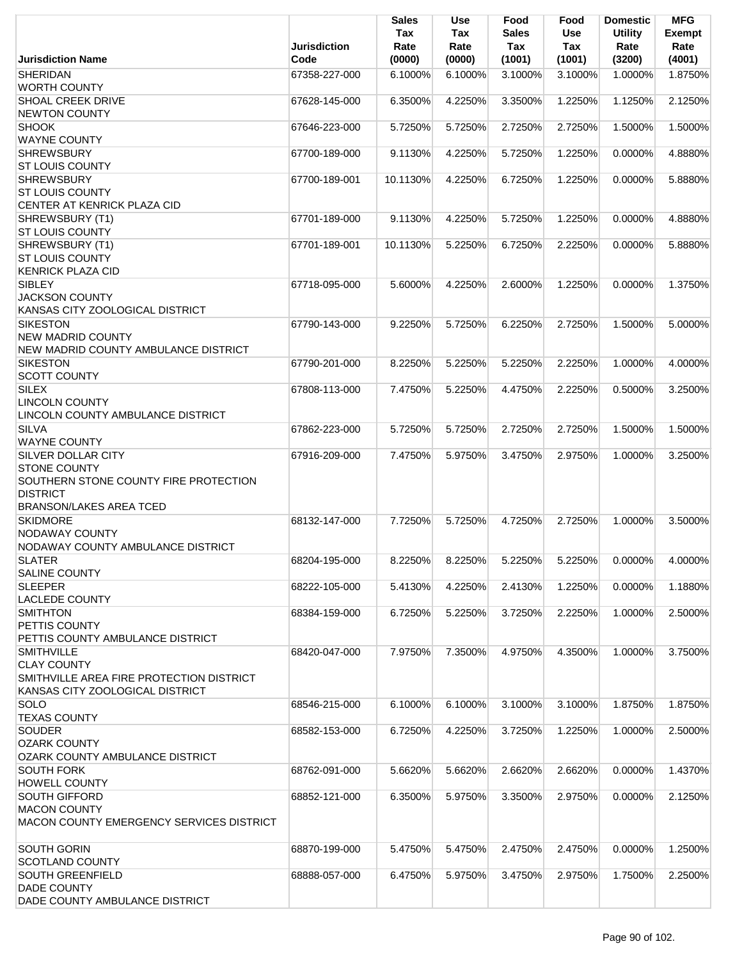|                                                                                                                                         | <b>Jurisdiction</b> | <b>Sales</b><br>Tax<br>Rate | Use<br>Tax<br>Rate | Food<br><b>Sales</b><br>Tax | Food<br><b>Use</b><br>Tax | <b>Domestic</b><br><b>Utility</b><br>Rate | <b>MFG</b><br><b>Exempt</b><br>Rate |
|-----------------------------------------------------------------------------------------------------------------------------------------|---------------------|-----------------------------|--------------------|-----------------------------|---------------------------|-------------------------------------------|-------------------------------------|
| <b>Jurisdiction Name</b>                                                                                                                | Code                | (0000)                      | (0000)             | (1001)                      | (1001)                    | (3200)                                    | (4001)                              |
| <b>SHERIDAN</b><br><b>WORTH COUNTY</b>                                                                                                  | 67358-227-000       | 6.1000%                     | 6.1000%            | 3.1000%                     | 3.1000%                   | 1.0000%                                   | 1.8750%                             |
| <b>SHOAL CREEK DRIVE</b><br><b>NEWTON COUNTY</b>                                                                                        | 67628-145-000       | 6.3500%                     | 4.2250%            | 3.3500%                     | 1.2250%                   | 1.1250%                                   | 2.1250%                             |
| <b>SHOOK</b><br><b>WAYNE COUNTY</b>                                                                                                     | 67646-223-000       | 5.7250%                     | 5.7250%            | 2.7250%                     | 2.7250%                   | 1.5000%                                   | 1.5000%                             |
| <b>SHREWSBURY</b><br><b>ST LOUIS COUNTY</b>                                                                                             | 67700-189-000       | 9.1130%                     | 4.2250%            | 5.7250%                     | 1.2250%                   | 0.0000%                                   | 4.8880%                             |
| <b>SHREWSBURY</b>                                                                                                                       | 67700-189-001       | 10.1130%                    | 4.2250%            | 6.7250%                     | 1.2250%                   | 0.0000%                                   | 5.8880%                             |
| <b>ST LOUIS COUNTY</b><br>CENTER AT KENRICK PLAZA CID                                                                                   |                     |                             |                    |                             |                           |                                           |                                     |
| SHREWSBURY (T1)<br><b>ST LOUIS COUNTY</b>                                                                                               | 67701-189-000       | 9.1130%                     | 4.2250%            | 5.7250%                     | 1.2250%                   | 0.0000%                                   | 4.8880%                             |
| SHREWSBURY (T1)<br><b>ST LOUIS COUNTY</b>                                                                                               | 67701-189-001       | 10.1130%                    | 5.2250%            | 6.7250%                     | 2.2250%                   | 0.0000%                                   | 5.8880%                             |
| <b>KENRICK PLAZA CID</b><br>SIBLEY                                                                                                      | 67718-095-000       | 5.6000%                     | 4.2250%            | 2.6000%                     | 1.2250%                   | 0.0000%                                   | 1.3750%                             |
| <b>JACKSON COUNTY</b><br>KANSAS CITY ZOOLOGICAL DISTRICT                                                                                |                     |                             |                    |                             |                           |                                           |                                     |
| <b>SIKESTON</b>                                                                                                                         | 67790-143-000       | 9.2250%                     | 5.7250%            | 6.2250%                     | 2.7250%                   | 1.5000%                                   | 5.0000%                             |
| <b>NEW MADRID COUNTY</b><br>NEW MADRID COUNTY AMBULANCE DISTRICT                                                                        |                     |                             |                    |                             |                           |                                           |                                     |
| <b>SIKESTON</b><br><b>SCOTT COUNTY</b>                                                                                                  | 67790-201-000       | 8.2250%                     | 5.2250%            | 5.2250%                     | 2.2250%                   | 1.0000%                                   | 4.0000%                             |
| <b>SILEX</b><br><b>LINCOLN COUNTY</b>                                                                                                   | 67808-113-000       | 7.4750%                     | 5.2250%            | 4.4750%                     | 2.2250%                   | 0.5000%                                   | 3.2500%                             |
| LINCOLN COUNTY AMBULANCE DISTRICT<br><b>SILVA</b>                                                                                       | 67862-223-000       | 5.7250%                     | 5.7250%            | 2.7250%                     | 2.7250%                   | 1.5000%                                   | 1.5000%                             |
| <b>WAYNE COUNTY</b>                                                                                                                     |                     |                             |                    |                             |                           |                                           |                                     |
| SILVER DOLLAR CITY<br><b>STONE COUNTY</b><br>SOUTHERN STONE COUNTY FIRE PROTECTION<br><b>DISTRICT</b><br><b>BRANSON/LAKES AREA TCED</b> | 67916-209-000       | 7.4750%                     | 5.9750%            | 3.4750%                     | 2.9750%                   | 1.0000%                                   | 3.2500%                             |
| <b>SKIDMORE</b><br><b>NODAWAY COUNTY</b><br>NODAWAY COUNTY AMBULANCE DISTRICT                                                           | 68132-147-000       | 7.7250%                     | 5.7250%            | 4.7250%                     | 2.7250%                   | 1.0000%                                   | 3.5000%                             |
| <b>SLATER</b><br><b>SALINE COUNTY</b>                                                                                                   | 68204-195-000       | 8.2250%                     | 8.2250%            | 5.2250%                     | 5.2250%                   | 0.0000%                                   | 4.0000%                             |
| <b>SLEEPER</b>                                                                                                                          | 68222-105-000       | 5.4130%                     | 4.2250%            | 2.4130%                     | 1.2250%                   | 0.0000%                                   | 1.1880%                             |
| <b>LACLEDE COUNTY</b><br><b>SMITHTON</b><br>PETTIS COUNTY                                                                               | 68384-159-000       | 6.7250%                     | 5.2250%            | 3.7250%                     | 2.2250%                   | 1.0000%                                   | 2.5000%                             |
| PETTIS COUNTY AMBULANCE DISTRICT<br><b>SMITHVILLE</b>                                                                                   | 68420-047-000       | 7.9750%                     | 7.3500%            | 4.9750%                     | 4.3500%                   | 1.0000%                                   | 3.7500%                             |
| <b>CLAY COUNTY</b><br>SMITHVILLE AREA FIRE PROTECTION DISTRICT<br>KANSAS CITY ZOOLOGICAL DISTRICT                                       |                     |                             |                    |                             |                           |                                           |                                     |
| SOLO<br><b>TEXAS COUNTY</b>                                                                                                             | 68546-215-000       | 6.1000%                     | 6.1000%            | 3.1000%                     | 3.1000%                   | 1.8750%                                   | 1.8750%                             |
| <b>SOUDER</b><br><b>OZARK COUNTY</b><br>OZARK COUNTY AMBULANCE DISTRICT                                                                 | 68582-153-000       | 6.7250%                     | 4.2250%            | 3.7250%                     | 1.2250%                   | 1.0000%                                   | 2.5000%                             |
| <b>SOUTH FORK</b><br><b>HOWELL COUNTY</b>                                                                                               | 68762-091-000       | 5.6620%                     | 5.6620%            | 2.6620%                     | 2.6620%                   | 0.0000%                                   | 1.4370%                             |
| <b>SOUTH GIFFORD</b><br><b>MACON COUNTY</b><br><b>MACON COUNTY EMERGENCY SERVICES DISTRICT</b>                                          | 68852-121-000       | 6.3500%                     | 5.9750%            | 3.3500%                     | 2.9750%                   | $0.0000\%$                                | 2.1250%                             |
| <b>SOUTH GORIN</b><br><b>SCOTLAND COUNTY</b>                                                                                            | 68870-199-000       | 5.4750%                     | 5.4750%            | 2.4750%                     | 2.4750%                   | 0.0000%                                   | 1.2500%                             |
| <b>SOUTH GREENFIELD</b><br><b>DADE COUNTY</b>                                                                                           | 68888-057-000       | 6.4750%                     | 5.9750%            | 3.4750%                     | 2.9750%                   | 1.7500%                                   | 2.2500%                             |
| DADE COUNTY AMBULANCE DISTRICT                                                                                                          |                     |                             |                    |                             |                           |                                           |                                     |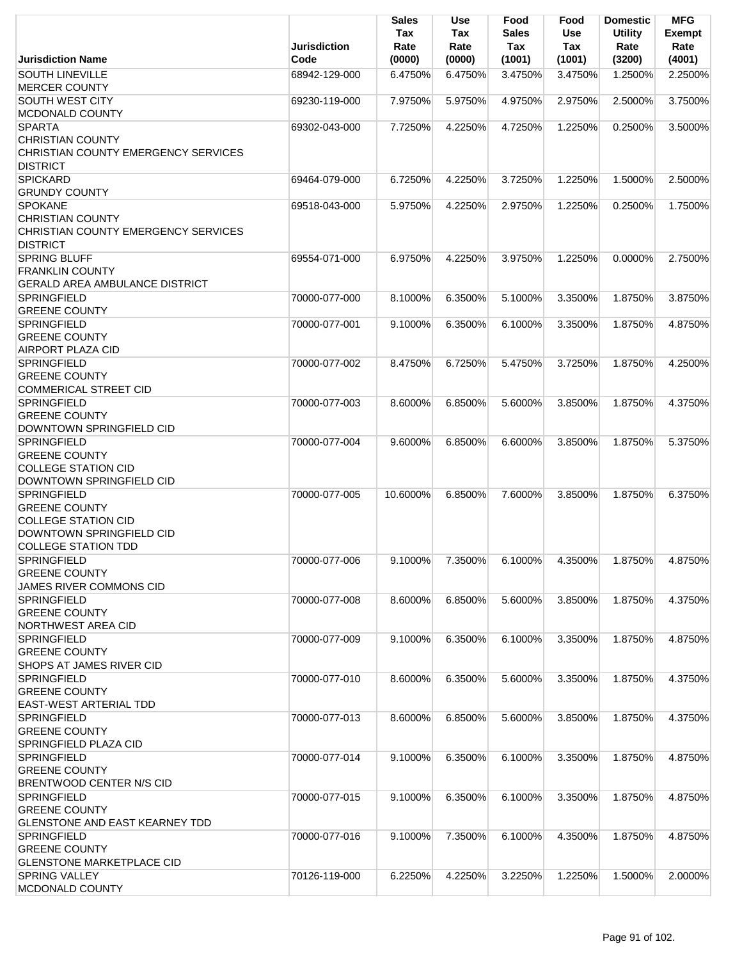|                                                                                                                                    | Jurisdiction  | <b>Sales</b><br>Tax<br>Rate | Use<br>Tax<br>Rate | Food<br><b>Sales</b><br>Tax | Food<br><b>Use</b><br>Tax | <b>Domestic</b><br><b>Utility</b><br>Rate | <b>MFG</b><br><b>Exempt</b><br>Rate |
|------------------------------------------------------------------------------------------------------------------------------------|---------------|-----------------------------|--------------------|-----------------------------|---------------------------|-------------------------------------------|-------------------------------------|
| <b>Jurisdiction Name</b>                                                                                                           | Code          | (0000)                      | (0000)             | (1001)                      | (1001)                    | (3200)                                    | (4001)                              |
| <b>SOUTH LINEVILLE</b><br><b>MERCER COUNTY</b>                                                                                     | 68942-129-000 | 6.4750%                     | 6.4750%            | 3.4750%                     | 3.4750%                   | 1.2500%                                   | 2.2500%                             |
| SOUTH WEST CITY<br>MCDONALD COUNTY                                                                                                 | 69230-119-000 | 7.9750%                     | 5.9750%            | 4.9750%                     | 2.9750%                   | 2.5000%                                   | 3.7500%                             |
| <b>SPARTA</b><br><b>CHRISTIAN COUNTY</b><br>CHRISTIAN COUNTY EMERGENCY SERVICES<br><b>DISTRICT</b>                                 | 69302-043-000 | 7.7250%                     | 4.2250%            | 4.7250%                     | 1.2250%                   | 0.2500%                                   | 3.5000%                             |
| <b>SPICKARD</b><br><b>GRUNDY COUNTY</b>                                                                                            | 69464-079-000 | 6.7250%                     | 4.2250%            | 3.7250%                     | 1.2250%                   | 1.5000%                                   | 2.5000%                             |
| <b>SPOKANE</b><br><b>CHRISTIAN COUNTY</b><br>CHRISTIAN COUNTY EMERGENCY SERVICES<br><b>DISTRICT</b>                                | 69518-043-000 | 5.9750%                     | 4.2250%            | 2.9750%                     | 1.2250%                   | 0.2500%                                   | 1.7500%                             |
| <b>SPRING BLUFF</b><br><b>FRANKLIN COUNTY</b><br>GERALD AREA AMBULANCE DISTRICT                                                    | 69554-071-000 | 6.9750%                     | 4.2250%            | 3.9750%                     | 1.2250%                   | $0.0000\%$                                | 2.7500%                             |
| <b>SPRINGFIELD</b><br><b>GREENE COUNTY</b>                                                                                         | 70000-077-000 | 8.1000%                     | 6.3500%            | 5.1000%                     | 3.3500%                   | 1.8750%                                   | 3.8750%                             |
| <b>SPRINGFIELD</b><br><b>GREENE COUNTY</b><br><b>AIRPORT PLAZA CID</b>                                                             | 70000-077-001 | 9.1000%                     | 6.3500%            | 6.1000%                     | 3.3500%                   | 1.8750%                                   | 4.8750%                             |
| <b>SPRINGFIELD</b><br><b>GREENE COUNTY</b><br><b>COMMERICAL STREET CID</b>                                                         | 70000-077-002 | 8.4750%                     | 6.7250%            | 5.4750%                     | 3.7250%                   | 1.8750%                                   | 4.2500%                             |
| <b>SPRINGFIELD</b><br><b>GREENE COUNTY</b><br>DOWNTOWN SPRINGFIELD CID                                                             | 70000-077-003 | 8.6000%                     | 6.8500%            | 5.6000%                     | 3.8500%                   | 1.8750%                                   | 4.3750%                             |
| <b>SPRINGFIELD</b><br><b>GREENE COUNTY</b><br><b>COLLEGE STATION CID</b><br>DOWNTOWN SPRINGFIELD CID                               | 70000-077-004 | 9.6000%                     | 6.8500%            | 6.6000%                     | 3.8500%                   | 1.8750%                                   | 5.3750%                             |
| <b>SPRINGFIELD</b><br><b>GREENE COUNTY</b><br><b>COLLEGE STATION CID</b><br>DOWNTOWN SPRINGFIELD CID<br><b>COLLEGE STATION TDD</b> | 70000-077-005 | 10.6000%                    | 6.8500%            | 7.6000%                     | 3.8500%                   | 1.8750%                                   | 6.3750%                             |
| <b>SPRINGFIELD</b><br><b>GREENE COUNTY</b><br><b>JAMES RIVER COMMONS CID</b>                                                       | 70000-077-006 | 9.1000%                     | 7.3500%            | 6.1000%                     | 4.3500%                   | 1.8750%                                   | 4.8750%                             |
| <b>SPRINGFIELD</b><br><b>GREENE COUNTY</b><br>NORTHWEST AREA CID                                                                   | 70000-077-008 | 8.6000%                     | 6.8500%            | 5.6000%                     | 3.8500%                   | 1.8750%                                   | 4.3750%                             |
| <b>SPRINGFIELD</b><br><b>GREENE COUNTY</b><br>SHOPS AT JAMES RIVER CID                                                             | 70000-077-009 | 9.1000%                     | 6.3500%            | 6.1000%                     | 3.3500%                   | 1.8750%                                   | 4.8750%                             |
| <b>SPRINGFIELD</b><br><b>GREENE COUNTY</b><br>EAST-WEST ARTERIAL TDD                                                               | 70000-077-010 | 8.6000%                     | 6.3500%            | 5.6000%                     | 3.3500%                   | 1.8750%                                   | 4.3750%                             |
| <b>SPRINGFIELD</b><br><b>GREENE COUNTY</b><br>SPRINGFIELD PLAZA CID                                                                | 70000-077-013 | 8.6000%                     | 6.8500%            | 5.6000%                     | 3.8500%                   | 1.8750%                                   | 4.3750%                             |
| <b>SPRINGFIELD</b><br><b>GREENE COUNTY</b><br>BRENTWOOD CENTER N/S CID                                                             | 70000-077-014 | 9.1000%                     | 6.3500%            | 6.1000%                     | 3.3500%                   | 1.8750%                                   | 4.8750%                             |
| <b>SPRINGFIELD</b><br><b>GREENE COUNTY</b><br><b>GLENSTONE AND EAST KEARNEY TDD</b>                                                | 70000-077-015 | 9.1000%                     | 6.3500%            | 6.1000%                     | 3.3500%                   | 1.8750%                                   | 4.8750%                             |
| <b>SPRINGFIELD</b><br><b>GREENE COUNTY</b><br><b>GLENSTONE MARKETPLACE CID</b>                                                     | 70000-077-016 | 9.1000%                     | 7.3500%            | 6.1000%                     | 4.3500%                   | 1.8750%                                   | 4.8750%                             |
| <b>SPRING VALLEY</b><br>MCDONALD COUNTY                                                                                            | 70126-119-000 | 6.2250%                     | 4.2250%            | 3.2250%                     | 1.2250%                   | 1.5000%                                   | 2.0000%                             |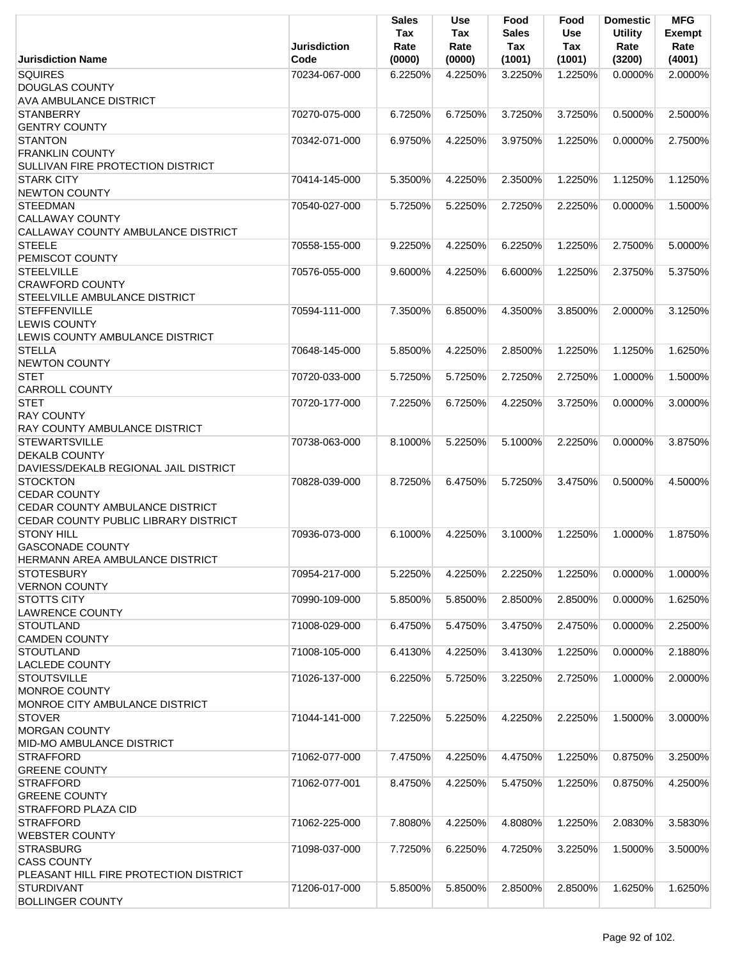|                                                                                                                   | <b>Jurisdiction</b> | <b>Sales</b><br>Tax<br>Rate | <b>Use</b><br>Tax<br>Rate | Food<br><b>Sales</b><br>Tax | Food<br><b>Use</b><br>Tax | <b>Domestic</b><br><b>Utility</b><br>Rate | <b>MFG</b><br><b>Exempt</b><br>Rate |
|-------------------------------------------------------------------------------------------------------------------|---------------------|-----------------------------|---------------------------|-----------------------------|---------------------------|-------------------------------------------|-------------------------------------|
| <b>Jurisdiction Name</b>                                                                                          | Code                | (0000)                      | (0000)                    | (1001)                      | (1001)                    | (3200)                                    | (4001)                              |
| <b>SQUIRES</b><br><b>DOUGLAS COUNTY</b>                                                                           | 70234-067-000       | 6.2250%                     | 4.2250%                   | 3.2250%                     | 1.2250%                   | $0.0000\%$                                | 2.0000%                             |
| <b>AVA AMBULANCE DISTRICT</b><br><b>STANBERRY</b><br><b>GENTRY COUNTY</b>                                         | 70270-075-000       | 6.7250%                     | 6.7250%                   | 3.7250%                     | 3.7250%                   | 0.5000%                                   | 2.5000%                             |
| <b>STANTON</b><br><b>FRANKLIN COUNTY</b><br>SULLIVAN FIRE PROTECTION DISTRICT                                     | 70342-071-000       | 6.9750%                     | 4.2250%                   | 3.9750%                     | 1.2250%                   | 0.0000%                                   | 2.7500%                             |
| <b>STARK CITY</b><br><b>NEWTON COUNTY</b>                                                                         | 70414-145-000       | 5.3500%                     | 4.2250%                   | 2.3500%                     | 1.2250%                   | 1.1250%                                   | 1.1250%                             |
| <b>STEEDMAN</b><br><b>CALLAWAY COUNTY</b><br>CALLAWAY COUNTY AMBULANCE DISTRICT                                   | 70540-027-000       | 5.7250%                     | 5.2250%                   | 2.7250%                     | 2.2250%                   | 0.0000%                                   | 1.5000%                             |
| <b>STEELE</b><br>PEMISCOT COUNTY                                                                                  | 70558-155-000       | 9.2250%                     | 4.2250%                   | 6.2250%                     | 1.2250%                   | 2.7500%                                   | 5.0000%                             |
| <b>STEELVILLE</b><br><b>CRAWFORD COUNTY</b><br>STEELVILLE AMBULANCE DISTRICT                                      | 70576-055-000       | 9.6000%                     | 4.2250%                   | 6.6000%                     | 1.2250%                   | 2.3750%                                   | 5.3750%                             |
| <b>STEFFENVILLE</b><br><b>LEWIS COUNTY</b><br>LEWIS COUNTY AMBULANCE DISTRICT                                     | 70594-111-000       | 7.3500%                     | 6.8500%                   | 4.3500%                     | 3.8500%                   | 2.0000%                                   | 3.1250%                             |
| <b>STELLA</b><br><b>NEWTON COUNTY</b>                                                                             | 70648-145-000       | 5.8500%                     | 4.2250%                   | 2.8500%                     | 1.2250%                   | 1.1250%                                   | 1.6250%                             |
| <b>STET</b><br><b>CARROLL COUNTY</b>                                                                              | 70720-033-000       | 5.7250%                     | 5.7250%                   | 2.7250%                     | 2.7250%                   | 1.0000%                                   | 1.5000%                             |
| <b>STET</b><br><b>RAY COUNTY</b><br>RAY COUNTY AMBULANCE DISTRICT                                                 | 70720-177-000       | 7.2250%                     | 6.7250%                   | 4.2250%                     | 3.7250%                   | 0.0000%                                   | 3.0000%                             |
| <b>STEWARTSVILLE</b><br><b>DEKALB COUNTY</b><br>DAVIESS/DEKALB REGIONAL JAIL DISTRICT                             | 70738-063-000       | 8.1000%                     | 5.2250%                   | 5.1000%                     | 2.2250%                   | $0.0000\%$                                | 3.8750%                             |
| <b>STOCKTON</b><br><b>CEDAR COUNTY</b><br>CEDAR COUNTY AMBULANCE DISTRICT<br>CEDAR COUNTY PUBLIC LIBRARY DISTRICT | 70828-039-000       | 8.7250%                     | 6.4750%                   | 5.7250%                     | 3.4750%                   | 0.5000%                                   | 4.5000%                             |
| <b>STONY HILL</b><br><b>GASCONADE COUNTY</b><br>HERMANN AREA AMBULANCE DISTRICT                                   | 70936-073-000       | 6.1000%                     | 4.2250%                   | 3.1000%                     | 1.2250%                   | 1.0000%                                   | 1.8750%                             |
| <b>STOTESBURY</b><br><b>VERNON COUNTY</b>                                                                         | 70954-217-000       | 5.2250%                     | 4.2250%                   | 2.2250%                     | 1.2250%                   | 0.0000%                                   | 1.0000%                             |
| <b>STOTTS CITY</b><br><b>LAWRENCE COUNTY</b>                                                                      | 70990-109-000       | 5.8500%                     | 5.8500%                   | 2.8500%                     | 2.8500%                   | 0.0000%                                   | 1.6250%                             |
| <b>STOUTLAND</b><br><b>CAMDEN COUNTY</b>                                                                          | 71008-029-000       | 6.4750%                     | 5.4750%                   | 3.4750%                     | 2.4750%                   | 0.0000%                                   | 2.2500%                             |
| <b>STOUTLAND</b><br><b>LACLEDE COUNTY</b>                                                                         | 71008-105-000       | 6.4130%                     | 4.2250%                   | 3.4130%                     | 1.2250%                   | 0.0000%                                   | 2.1880%                             |
| <b>STOUTSVILLE</b><br><b>MONROE COUNTY</b><br>MONROE CITY AMBULANCE DISTRICT                                      | 71026-137-000       | 6.2250%                     | 5.7250%                   | 3.2250%                     | 2.7250%                   | 1.0000%                                   | 2.0000%                             |
| <b>STOVER</b><br><b>MORGAN COUNTY</b><br><b>MID-MO AMBULANCE DISTRICT</b>                                         | 71044-141-000       | 7.2250%                     | 5.2250%                   | 4.2250%                     | 2.2250%                   | 1.5000%                                   | 3.0000%                             |
| <b>STRAFFORD</b><br><b>GREENE COUNTY</b>                                                                          | 71062-077-000       | 7.4750%                     | 4.2250%                   | 4.4750%                     | 1.2250%                   | 0.8750%                                   | 3.2500%                             |
| <b>STRAFFORD</b><br><b>GREENE COUNTY</b><br><b>STRAFFORD PLAZA CID</b>                                            | 71062-077-001       | 8.4750%                     | 4.2250%                   | 5.4750%                     | 1.2250%                   | 0.8750%                                   | 4.2500%                             |
| <b>STRAFFORD</b><br><b>WEBSTER COUNTY</b>                                                                         | 71062-225-000       | 7.8080%                     | 4.2250%                   | 4.8080%                     | 1.2250%                   | 2.0830%                                   | 3.5830%                             |
| <b>STRASBURG</b><br><b>CASS COUNTY</b><br>PLEASANT HILL FIRE PROTECTION DISTRICT                                  | 71098-037-000       | 7.7250%                     | 6.2250%                   | 4.7250%                     | 3.2250%                   | 1.5000%                                   | 3.5000%                             |
| <b>STURDIVANT</b><br><b>BOLLINGER COUNTY</b>                                                                      | 71206-017-000       | 5.8500%                     | 5.8500%                   | 2.8500%                     | 2.8500%                   | 1.6250%                                   | 1.6250%                             |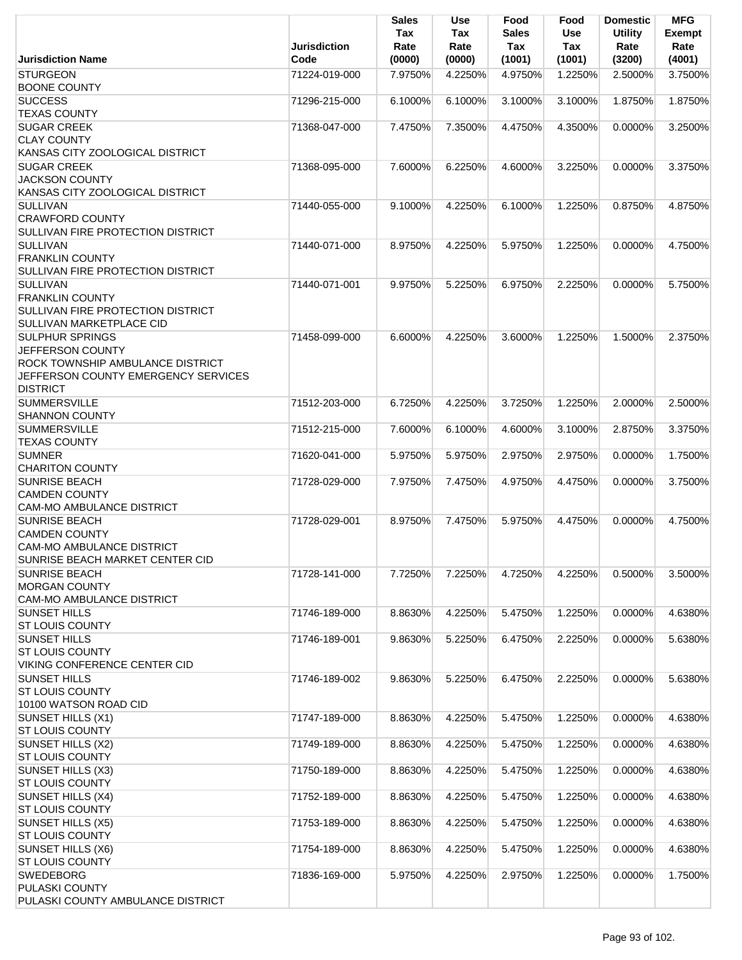|                                                        | <b>Jurisdiction</b> | <b>Sales</b><br>Tax<br>Rate | Use<br>Tax<br>Rate | Food<br><b>Sales</b><br>Tax | Food<br><b>Use</b><br>Tax | <b>Domestic</b><br><b>Utility</b><br>Rate | <b>MFG</b><br>Exempt<br>Rate |
|--------------------------------------------------------|---------------------|-----------------------------|--------------------|-----------------------------|---------------------------|-------------------------------------------|------------------------------|
| <b>Jurisdiction Name</b>                               | Code                | (0000)                      | (0000)             | (1001)                      | (1001)                    | (3200)                                    | (4001)                       |
| <b>STURGEON</b>                                        | 71224-019-000       | 7.9750%                     | 4.2250%            | 4.9750%                     | 1.2250%                   | 2.5000%                                   | 3.7500%                      |
| <b>BOONE COUNTY</b><br><b>SUCCESS</b>                  |                     |                             |                    |                             |                           |                                           |                              |
| <b>TEXAS COUNTY</b>                                    | 71296-215-000       | 6.1000%                     | 6.1000%            | 3.1000%                     | 3.1000%                   | 1.8750%                                   | 1.8750%                      |
| <b>SUGAR CREEK</b>                                     | 71368-047-000       | 7.4750%                     | 7.3500%            | 4.4750%                     | 4.3500%                   | $0.0000\%$                                | 3.2500%                      |
| <b>CLAY COUNTY</b>                                     |                     |                             |                    |                             |                           |                                           |                              |
| KANSAS CITY ZOOLOGICAL DISTRICT                        |                     |                             |                    |                             |                           |                                           |                              |
| <b>SUGAR CREEK</b>                                     | 71368-095-000       | 7.6000%                     | 6.2250%            | 4.6000%                     | 3.2250%                   | 0.0000%                                   | 3.3750%                      |
| <b>JACKSON COUNTY</b>                                  |                     |                             |                    |                             |                           |                                           |                              |
| KANSAS CITY ZOOLOGICAL DISTRICT                        |                     |                             |                    |                             |                           |                                           |                              |
| <b>SULLIVAN</b>                                        | 71440-055-000       | 9.1000%                     | 4.2250%            | 6.1000%                     | 1.2250%                   | 0.8750%                                   | 4.8750%                      |
| <b>CRAWFORD COUNTY</b>                                 |                     |                             |                    |                             |                           |                                           |                              |
| SULLIVAN FIRE PROTECTION DISTRICT                      |                     |                             |                    |                             |                           |                                           |                              |
| <b>SULLIVAN</b><br><b>FRANKLIN COUNTY</b>              | 71440-071-000       | 8.9750%                     | 4.2250%            | 5.9750%                     | 1.2250%                   | $0.0000\%$                                | 4.7500%                      |
| SULLIVAN FIRE PROTECTION DISTRICT                      |                     |                             |                    |                             |                           |                                           |                              |
| <b>SULLIVAN</b>                                        | 71440-071-001       | 9.9750%                     | 5.2250%            | 6.9750%                     | 2.2250%                   | $0.0000\%$                                | 5.7500%                      |
| <b>FRANKLIN COUNTY</b>                                 |                     |                             |                    |                             |                           |                                           |                              |
| <b>SULLIVAN FIRE PROTECTION DISTRICT</b>               |                     |                             |                    |                             |                           |                                           |                              |
| <b>SULLIVAN MARKETPLACE CID</b>                        |                     |                             |                    |                             |                           |                                           |                              |
| <b>SULPHUR SPRINGS</b>                                 | 71458-099-000       | 6.6000%                     | 4.2250%            | 3.6000%                     | 1.2250%                   | 1.5000%                                   | 2.3750%                      |
| JEFFERSON COUNTY                                       |                     |                             |                    |                             |                           |                                           |                              |
| ROCK TOWNSHIP AMBULANCE DISTRICT                       |                     |                             |                    |                             |                           |                                           |                              |
| JEFFERSON COUNTY EMERGENCY SERVICES                    |                     |                             |                    |                             |                           |                                           |                              |
| <b>DISTRICT</b><br><b>SUMMERSVILLE</b>                 | 71512-203-000       | 6.7250%                     | 4.2250%            | 3.7250%                     | 1.2250%                   | 2.0000%                                   | 2.5000%                      |
| <b>SHANNON COUNTY</b>                                  |                     |                             |                    |                             |                           |                                           |                              |
| <b>SUMMERSVILLE</b>                                    | 71512-215-000       | 7.6000%                     | 6.1000%            | 4.6000%                     | 3.1000%                   | 2.8750%                                   | 3.3750%                      |
| <b>TEXAS COUNTY</b>                                    |                     |                             |                    |                             |                           |                                           |                              |
| <b>SUMNER</b>                                          | 71620-041-000       | 5.9750%                     | 5.9750%            | 2.9750%                     | 2.9750%                   | 0.0000%                                   | 1.7500%                      |
| <b>CHARITON COUNTY</b>                                 |                     |                             |                    |                             |                           |                                           |                              |
| <b>SUNRISE BEACH</b>                                   | 71728-029-000       | 7.9750%                     | 7.4750%            | 4.9750%                     | 4.4750%                   | 0.0000%                                   | 3.7500%                      |
| <b>CAMDEN COUNTY</b>                                   |                     |                             |                    |                             |                           |                                           |                              |
| CAM-MO AMBULANCE DISTRICT                              |                     |                             |                    |                             |                           |                                           |                              |
| <b>SUNRISE BEACH</b><br><b>CAMDEN COUNTY</b>           | 71728-029-001       | 8.9750%                     | 7.4750%            | 5.9750%                     | 4.4750%                   | $0.0000\%$                                | 4.7500%                      |
| CAM-MO AMBULANCE DISTRICT                              |                     |                             |                    |                             |                           |                                           |                              |
| SUNRISE BEACH MARKET CENTER CID                        |                     |                             |                    |                             |                           |                                           |                              |
| <b>SUNRISE BEACH</b>                                   | 71728-141-000       | 7.7250%                     | 7.2250%            | 4.7250%                     | 4.2250%                   | 0.5000%                                   | 3.5000%                      |
| <b>MORGAN COUNTY</b>                                   |                     |                             |                    |                             |                           |                                           |                              |
| <b>CAM-MO AMBULANCE DISTRICT</b>                       |                     |                             |                    |                             |                           |                                           |                              |
| <b>SUNSET HILLS</b>                                    | 71746-189-000       | 8.8630%                     | 4.2250%            | 5.4750%                     | 1.2250%                   | 0.0000%                                   | 4.6380%                      |
| <b>ST LOUIS COUNTY</b>                                 |                     |                             |                    |                             |                           |                                           |                              |
| <b>SUNSET HILLS</b>                                    | 71746-189-001       | 9.8630%                     | 5.2250%            | 6.4750%                     | 2.2250%                   | 0.0000%                                   | 5.6380%                      |
| <b>ST LOUIS COUNTY</b><br>VIKING CONFERENCE CENTER CID |                     |                             |                    |                             |                           |                                           |                              |
| <b>SUNSET HILLS</b>                                    | 71746-189-002       | 9.8630%                     | 5.2250%            | 6.4750%                     | 2.2250%                   | 0.0000%                                   | 5.6380%                      |
| <b>ST LOUIS COUNTY</b>                                 |                     |                             |                    |                             |                           |                                           |                              |
| 10100 WATSON ROAD CID                                  |                     |                             |                    |                             |                           |                                           |                              |
| SUNSET HILLS (X1)                                      | 71747-189-000       | 8.8630%                     | 4.2250%            | 5.4750%                     | 1.2250%                   | 0.0000%                                   | 4.6380%                      |
| <b>ST LOUIS COUNTY</b>                                 |                     |                             |                    |                             |                           |                                           |                              |
| SUNSET HILLS (X2)                                      | 71749-189-000       | 8.8630%                     | 4.2250%            | 5.4750%                     | 1.2250%                   | 0.0000%                                   | 4.6380%                      |
| <b>ST LOUIS COUNTY</b>                                 |                     |                             |                    |                             |                           |                                           |                              |
| SUNSET HILLS (X3)                                      | 71750-189-000       | 8.8630%                     | 4.2250%            | 5.4750%                     | 1.2250%                   | 0.0000%                                   | 4.6380%                      |
| <b>ST LOUIS COUNTY</b>                                 |                     |                             |                    |                             |                           |                                           |                              |
| SUNSET HILLS (X4)<br><b>ST LOUIS COUNTY</b>            | 71752-189-000       | 8.8630%                     | 4.2250%            | 5.4750%                     | 1.2250%                   | 0.0000%                                   | 4.6380%                      |
| <b>SUNSET HILLS (X5)</b>                               | 71753-189-000       | 8.8630%                     | 4.2250%            | 5.4750%                     | 1.2250%                   | 0.0000%                                   | 4.6380%                      |
| <b>ST LOUIS COUNTY</b>                                 |                     |                             |                    |                             |                           |                                           |                              |
| SUNSET HILLS (X6)                                      | 71754-189-000       | 8.8630%                     | 4.2250%            | 5.4750%                     | 1.2250%                   | 0.0000%                                   | 4.6380%                      |
| <b>ST LOUIS COUNTY</b>                                 |                     |                             |                    |                             |                           |                                           |                              |
| <b>SWEDEBORG</b>                                       | 71836-169-000       | 5.9750%                     | 4.2250%            | 2.9750%                     | 1.2250%                   | 0.0000%                                   | 1.7500%                      |
| PULASKI COUNTY                                         |                     |                             |                    |                             |                           |                                           |                              |
| PULASKI COUNTY AMBULANCE DISTRICT                      |                     |                             |                    |                             |                           |                                           |                              |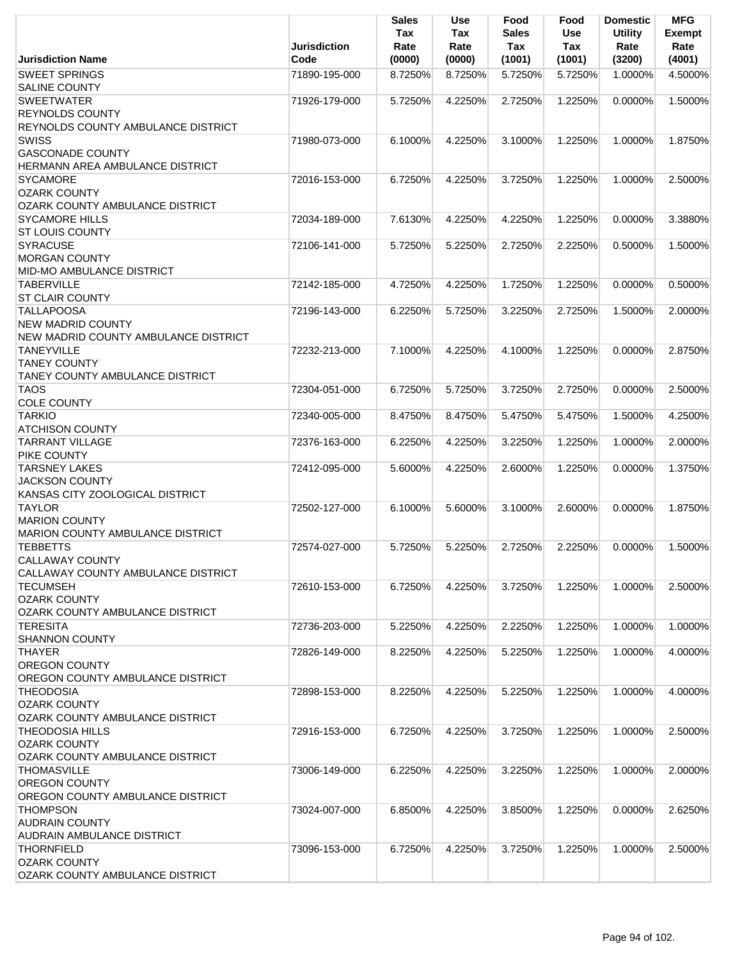|                                                            | <b>Jurisdiction</b> | <b>Sales</b><br>Tax<br>Rate | <b>Use</b><br>Tax<br>Rate | Food<br><b>Sales</b><br>Tax | Food<br><b>Use</b><br>Tax | <b>Domestic</b><br><b>Utility</b><br>Rate | <b>MFG</b><br>Exempt<br>Rate |
|------------------------------------------------------------|---------------------|-----------------------------|---------------------------|-----------------------------|---------------------------|-------------------------------------------|------------------------------|
| <b>Jurisdiction Name</b><br><b>SWEET SPRINGS</b>           | Code                | (0000)                      | (0000)                    | (1001)                      | (1001)                    | (3200)                                    | (4001)                       |
| <b>SALINE COUNTY</b>                                       | 71890-195-000       | 8.7250%                     | 8.7250%                   | 5.7250%                     | 5.7250%                   | 1.0000%                                   | 4.5000%                      |
| <b>SWEETWATER</b>                                          | 71926-179-000       | 5.7250%                     | 4.2250%                   | 2.7250%                     | 1.2250%                   | 0.0000%                                   | 1.5000%                      |
| <b>REYNOLDS COUNTY</b>                                     |                     |                             |                           |                             |                           |                                           |                              |
| REYNOLDS COUNTY AMBULANCE DISTRICT                         |                     |                             |                           |                             |                           |                                           |                              |
| <b>SWISS</b>                                               | 71980-073-000       | 6.1000%                     | 4.2250%                   | 3.1000%                     | 1.2250%                   | 1.0000%                                   | 1.8750%                      |
| <b>GASCONADE COUNTY</b>                                    |                     |                             |                           |                             |                           |                                           |                              |
| HERMANN AREA AMBULANCE DISTRICT                            |                     |                             |                           |                             |                           |                                           |                              |
| <b>SYCAMORE</b>                                            | 72016-153-000       | 6.7250%                     | 4.2250%                   | 3.7250%                     | 1.2250%                   | 1.0000%                                   | 2.5000%                      |
| <b>OZARK COUNTY</b>                                        |                     |                             |                           |                             |                           |                                           |                              |
| <b>OZARK COUNTY AMBULANCE DISTRICT</b>                     |                     |                             |                           |                             |                           |                                           |                              |
| <b>SYCAMORE HILLS</b>                                      | 72034-189-000       | 7.6130%                     | 4.2250%                   | 4.2250%                     | 1.2250%                   | 0.0000%                                   | 3.3880%                      |
| <b>ST LOUIS COUNTY</b>                                     |                     |                             |                           |                             |                           |                                           |                              |
| <b>SYRACUSE</b>                                            | 72106-141-000       | 5.7250%                     | 5.2250%                   | 2.7250%                     | 2.2250%                   | 0.5000%                                   | 1.5000%                      |
| <b>MORGAN COUNTY</b>                                       |                     |                             |                           |                             |                           |                                           |                              |
| MID-MO AMBULANCE DISTRICT                                  |                     |                             |                           |                             |                           |                                           |                              |
| <b>TABERVILLE</b>                                          | 72142-185-000       | 4.7250%                     | 4.2250%                   | 1.7250%                     | 1.2250%                   | 0.0000%                                   | 0.5000%                      |
| <b>ST CLAIR COUNTY</b><br><b>TALLAPOOSA</b>                | 72196-143-000       | 6.2250%                     | 5.7250%                   | 3.2250%                     | 2.7250%                   | 1.5000%                                   | 2.0000%                      |
| <b>NEW MADRID COUNTY</b>                                   |                     |                             |                           |                             |                           |                                           |                              |
| NEW MADRID COUNTY AMBULANCE DISTRICT                       |                     |                             |                           |                             |                           |                                           |                              |
| <b>TANEYVILLE</b>                                          | 72232-213-000       | 7.1000%                     | 4.2250%                   | 4.1000%                     | 1.2250%                   | 0.0000%                                   | 2.8750%                      |
| <b>TANEY COUNTY</b>                                        |                     |                             |                           |                             |                           |                                           |                              |
| <b>TANEY COUNTY AMBULANCE DISTRICT</b>                     |                     |                             |                           |                             |                           |                                           |                              |
| <b>TAOS</b>                                                | 72304-051-000       | 6.7250%                     | 5.7250%                   | 3.7250%                     | 2.7250%                   | 0.0000%                                   | 2.5000%                      |
| <b>COLE COUNTY</b>                                         |                     |                             |                           |                             |                           |                                           |                              |
| <b>TARKIO</b>                                              | 72340-005-000       | 8.4750%                     | 8.4750%                   | 5.4750%                     | 5.4750%                   | 1.5000%                                   | 4.2500%                      |
| <b>ATCHISON COUNTY</b>                                     |                     |                             |                           |                             |                           |                                           |                              |
| <b>TARRANT VILLAGE</b>                                     | 72376-163-000       | 6.2250%                     | 4.2250%                   | 3.2250%                     | 1.2250%                   | 1.0000%                                   | 2.0000%                      |
| PIKE COUNTY                                                |                     |                             |                           |                             |                           |                                           |                              |
| <b>TARSNEY LAKES</b>                                       | 72412-095-000       | 5.6000%                     | 4.2250%                   | 2.6000%                     | 1.2250%                   | 0.0000%                                   | 1.3750%                      |
| <b>JACKSON COUNTY</b>                                      |                     |                             |                           |                             |                           |                                           |                              |
| KANSAS CITY ZOOLOGICAL DISTRICT                            |                     |                             |                           |                             |                           |                                           |                              |
| <b>TAYLOR</b>                                              | 72502-127-000       | 6.1000%                     | 5.6000%                   | 3.1000%                     | 2.6000%                   | $0.0000\%$                                | 1.8750%                      |
| <b>MARION COUNTY</b>                                       |                     |                             |                           |                             |                           |                                           |                              |
| <b>MARION COUNTY AMBULANCE DISTRICT</b><br><b>TEBBETTS</b> |                     |                             | 5.2250%                   |                             |                           |                                           | 1.5000%                      |
| <b>CALLAWAY COUNTY</b>                                     | 72574-027-000       | 5.7250%                     |                           | 2.7250%                     | 2.2250%                   | 0.0000%                                   |                              |
| <b>CALLAWAY COUNTY AMBULANCE DISTRICT</b>                  |                     |                             |                           |                             |                           |                                           |                              |
| <b>TECUMSEH</b>                                            | 72610-153-000       | 6.7250%                     | 4.2250%                   | 3.7250%                     | 1.2250%                   | 1.0000%                                   | 2.5000%                      |
| <b>OZARK COUNTY</b>                                        |                     |                             |                           |                             |                           |                                           |                              |
| OZARK COUNTY AMBULANCE DISTRICT                            |                     |                             |                           |                             |                           |                                           |                              |
| <b>TERESITA</b>                                            | 72736-203-000       | 5.2250%                     | 4.2250%                   | 2.2250%                     | 1.2250%                   | 1.0000%                                   | 1.0000%                      |
| <b>SHANNON COUNTY</b>                                      |                     |                             |                           |                             |                           |                                           |                              |
| <b>THAYER</b>                                              | 72826-149-000       | 8.2250%                     | 4.2250%                   | 5.2250%                     | 1.2250%                   | 1.0000%                                   | 4.0000%                      |
| <b>OREGON COUNTY</b>                                       |                     |                             |                           |                             |                           |                                           |                              |
| OREGON COUNTY AMBULANCE DISTRICT                           |                     |                             |                           |                             |                           |                                           |                              |
| <b>THEODOSIA</b>                                           | 72898-153-000       | 8.2250%                     | 4.2250%                   | 5.2250%                     | 1.2250%                   | 1.0000%                                   | 4.0000%                      |
| <b>OZARK COUNTY</b>                                        |                     |                             |                           |                             |                           |                                           |                              |
| OZARK COUNTY AMBULANCE DISTRICT                            |                     |                             |                           |                             |                           |                                           |                              |
| <b>THEODOSIA HILLS</b>                                     | 72916-153-000       | 6.7250%                     | 4.2250%                   | 3.7250%                     | 1.2250%                   | 1.0000%                                   | 2.5000%                      |
| <b>OZARK COUNTY</b>                                        |                     |                             |                           |                             |                           |                                           |                              |
| OZARK COUNTY AMBULANCE DISTRICT                            |                     |                             |                           |                             |                           |                                           |                              |
| <b>THOMASVILLE</b>                                         | 73006-149-000       | 6.2250%                     | 4.2250%                   | 3.2250%                     | 1.2250%                   | 1.0000%                                   | 2.0000%                      |
| <b>OREGON COUNTY</b>                                       |                     |                             |                           |                             |                           |                                           |                              |
| OREGON COUNTY AMBULANCE DISTRICT                           |                     |                             |                           |                             |                           |                                           |                              |
| <b>THOMPSON</b>                                            | 73024-007-000       | 6.8500%                     | 4.2250%                   | 3.8500%                     | 1.2250%                   | 0.0000%                                   | 2.6250%                      |
| <b>AUDRAIN COUNTY</b><br>AUDRAIN AMBULANCE DISTRICT        |                     |                             |                           |                             |                           |                                           |                              |
| <b>THORNFIELD</b>                                          | 73096-153-000       | 6.7250%                     | 4.2250%                   | 3.7250%                     | 1.2250%                   | 1.0000%                                   | 2.5000%                      |
| <b>OZARK COUNTY</b>                                        |                     |                             |                           |                             |                           |                                           |                              |
| OZARK COUNTY AMBULANCE DISTRICT                            |                     |                             |                           |                             |                           |                                           |                              |
|                                                            |                     |                             |                           |                             |                           |                                           |                              |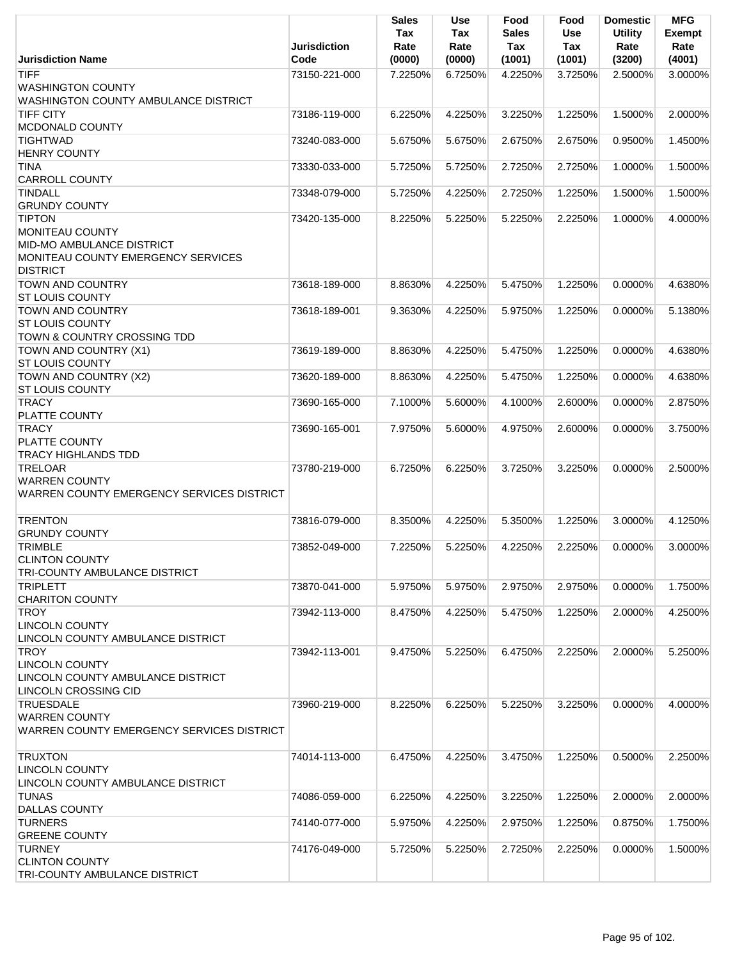|                                                                                                                        | <b>Jurisdiction</b> | <b>Sales</b><br>Tax<br>Rate | Use<br>Tax<br>Rate | Food<br><b>Sales</b><br>Tax | Food<br><b>Use</b><br>Tax | <b>Domestic</b><br><b>Utility</b><br>Rate | <b>MFG</b><br><b>Exempt</b><br>Rate |
|------------------------------------------------------------------------------------------------------------------------|---------------------|-----------------------------|--------------------|-----------------------------|---------------------------|-------------------------------------------|-------------------------------------|
| <b>Jurisdiction Name</b>                                                                                               | Code                | (0000)                      | (0000)             | (1001)                      | (1001)                    | (3200)                                    | (4001)                              |
| <b>TIFF</b><br><b>WASHINGTON COUNTY</b><br>WASHINGTON COUNTY AMBULANCE DISTRICT                                        | 73150-221-000       | 7.2250%                     | 6.7250%            | 4.2250%                     | 3.7250%                   | 2.5000%                                   | 3.0000%                             |
| <b>TIFF CITY</b><br>MCDONALD COUNTY                                                                                    | 73186-119-000       | 6.2250%                     | 4.2250%            | 3.2250%                     | 1.2250%                   | 1.5000%                                   | 2.0000%                             |
| <b>TIGHTWAD</b><br><b>HENRY COUNTY</b>                                                                                 | 73240-083-000       | 5.6750%                     | 5.6750%            | 2.6750%                     | 2.6750%                   | 0.9500%                                   | 1.4500%                             |
| <b>TINA</b><br><b>CARROLL COUNTY</b>                                                                                   | 73330-033-000       | 5.7250%                     | 5.7250%            | 2.7250%                     | 2.7250%                   | 1.0000%                                   | 1.5000%                             |
| <b>TINDALL</b><br><b>GRUNDY COUNTY</b>                                                                                 | 73348-079-000       | 5.7250%                     | 4.2250%            | 2.7250%                     | 1.2250%                   | 1.5000%                                   | 1.5000%                             |
| <b>TIPTON</b><br>MONITEAU COUNTY<br>MID-MO AMBULANCE DISTRICT<br>MONITEAU COUNTY EMERGENCY SERVICES<br><b>DISTRICT</b> | 73420-135-000       | 8.2250%                     | 5.2250%            | 5.2250%                     | 2.2250%                   | 1.0000%                                   | 4.0000%                             |
| <b>TOWN AND COUNTRY</b><br><b>ST LOUIS COUNTY</b>                                                                      | 73618-189-000       | 8.8630%                     | 4.2250%            | 5.4750%                     | 1.2250%                   | 0.0000%                                   | 4.6380%                             |
| <b>TOWN AND COUNTRY</b><br><b>ST LOUIS COUNTY</b><br>TOWN & COUNTRY CROSSING TDD                                       | 73618-189-001       | 9.3630%                     | 4.2250%            | 5.9750%                     | 1.2250%                   | 0.0000%                                   | 5.1380%                             |
| TOWN AND COUNTRY (X1)<br><b>ST LOUIS COUNTY</b>                                                                        | 73619-189-000       | 8.8630%                     | 4.2250%            | 5.4750%                     | 1.2250%                   | 0.0000%                                   | 4.6380%                             |
| TOWN AND COUNTRY (X2)<br><b>ST LOUIS COUNTY</b>                                                                        | 73620-189-000       | 8.8630%                     | 4.2250%            | 5.4750%                     | 1.2250%                   | 0.0000%                                   | 4.6380%                             |
| <b>TRACY</b><br><b>PLATTE COUNTY</b>                                                                                   | 73690-165-000       | 7.1000%                     | 5.6000%            | 4.1000%                     | 2.6000%                   | $0.0000\%$                                | 2.8750%                             |
| <b>TRACY</b><br><b>PLATTE COUNTY</b><br><b>TRACY HIGHLANDS TDD</b>                                                     | 73690-165-001       | 7.9750%                     | 5.6000%            | 4.9750%                     | 2.6000%                   | 0.0000%                                   | 3.7500%                             |
| <b>TRELOAR</b><br><b>WARREN COUNTY</b><br>WARREN COUNTY EMERGENCY SERVICES DISTRICT                                    | 73780-219-000       | 6.7250%                     | 6.2250%            | 3.7250%                     | 3.2250%                   | 0.0000%                                   | 2.5000%                             |
| <b>TRENTON</b><br><b>GRUNDY COUNTY</b>                                                                                 | 73816-079-000       | 8.3500%                     | 4.2250%            | 5.3500%                     | 1.2250%                   | 3.0000%                                   | 4.1250%                             |
| <b>TRIMBLE</b><br><b>CLINTON COUNTY</b><br><b>TRI-COUNTY AMBULANCE DISTRICT</b>                                        | 73852-049-000       | 7.2250%                     | 5.2250%            | 4.2250%                     | 2.2250%                   | 0.0000%                                   | 3.0000%                             |
| <b>TRIPLETT</b><br><b>CHARITON COUNTY</b>                                                                              | 73870-041-000       | 5.9750%                     | 5.9750%            | 2.9750%                     | 2.9750%                   | 0.0000%                                   | 1.7500%                             |
| <b>TROY</b><br><b>LINCOLN COUNTY</b><br>LINCOLN COUNTY AMBULANCE DISTRICT                                              | 73942-113-000       | 8.4750%                     | 4.2250%            | 5.4750%                     | 1.2250%                   | 2.0000%                                   | 4.2500%                             |
| <b>TROY</b><br><b>LINCOLN COUNTY</b><br>LINCOLN COUNTY AMBULANCE DISTRICT<br>LINCOLN CROSSING CID                      | 73942-113-001       | 9.4750%                     | 5.2250%            | 6.4750%                     | 2.2250%                   | 2.0000%                                   | 5.2500%                             |
| <b>TRUESDALE</b><br><b>WARREN COUNTY</b><br>WARREN COUNTY EMERGENCY SERVICES DISTRICT                                  | 73960-219-000       | 8.2250%                     | 6.2250%            | 5.2250%                     | 3.2250%                   | 0.0000%                                   | 4.0000%                             |
| <b>TRUXTON</b><br>LINCOLN COUNTY<br>LINCOLN COUNTY AMBULANCE DISTRICT                                                  | 74014-113-000       | 6.4750%                     | 4.2250%            | 3.4750%                     | 1.2250%                   | 0.5000%                                   | 2.2500%                             |
| <b>TUNAS</b><br><b>DALLAS COUNTY</b>                                                                                   | 74086-059-000       | 6.2250%                     | 4.2250%            | 3.2250%                     | 1.2250%                   | 2.0000%                                   | 2.0000%                             |
| <b>TURNERS</b><br><b>GREENE COUNTY</b>                                                                                 | 74140-077-000       | 5.9750%                     | 4.2250%            | 2.9750%                     | 1.2250%                   | 0.8750%                                   | 1.7500%                             |
| <b>TURNEY</b><br><b>CLINTON COUNTY</b><br>TRI-COUNTY AMBULANCE DISTRICT                                                | 74176-049-000       | 5.7250%                     | 5.2250%            | 2.7250%                     | 2.2250%                   | 0.0000%                                   | 1.5000%                             |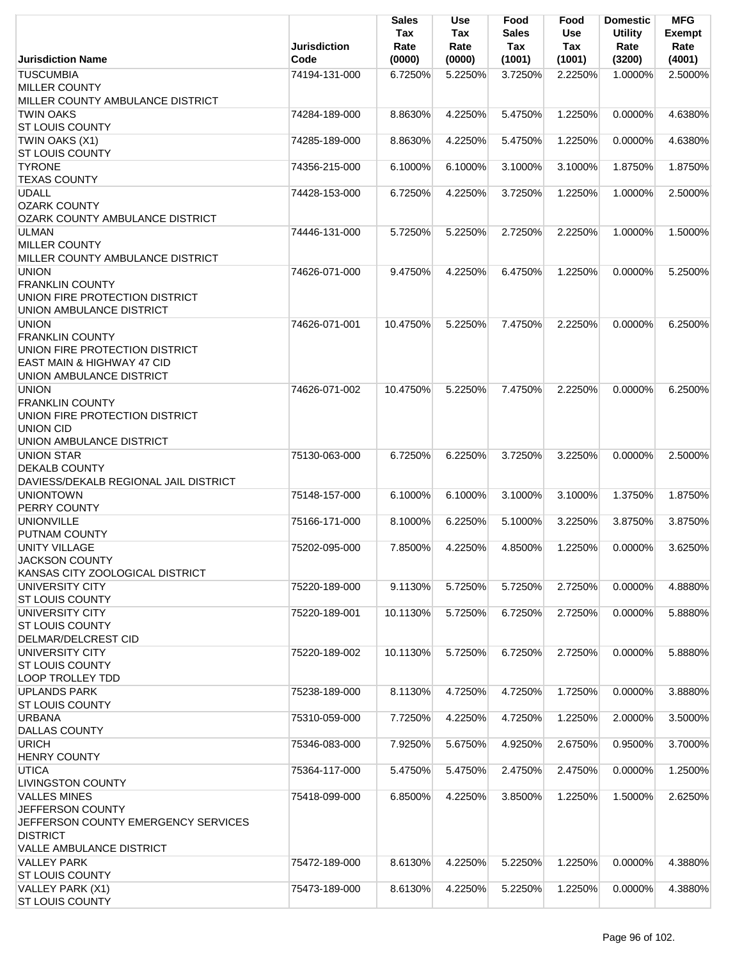|                                                   | <b>Jurisdiction</b> | Sales<br>Tax<br>Rate | <b>Use</b><br>Tax<br>Rate | Food<br><b>Sales</b><br>Tax | Food<br>Use<br>Tax | <b>Domestic</b><br><b>Utility</b><br>Rate | <b>MFG</b><br><b>Exempt</b><br>Rate |
|---------------------------------------------------|---------------------|----------------------|---------------------------|-----------------------------|--------------------|-------------------------------------------|-------------------------------------|
| <b>Jurisdiction Name</b>                          | Code                | (0000)               | (0000)                    | (1001)                      | (1001)             | (3200)                                    | (4001)                              |
| <b>TUSCUMBIA</b>                                  | 74194-131-000       | 6.7250%              | 5.2250%                   | 3.7250%                     | 2.2250%            | 1.0000%                                   | 2.5000%                             |
| <b>MILLER COUNTY</b>                              |                     |                      |                           |                             |                    |                                           |                                     |
| MILLER COUNTY AMBULANCE DISTRICT                  |                     |                      |                           |                             |                    |                                           |                                     |
| <b>TWIN OAKS</b>                                  | 74284-189-000       | 8.8630%              | 4.2250%                   | 5.4750%                     | 1.2250%            | 0.0000%                                   | 4.6380%                             |
| <b>ST LOUIS COUNTY</b>                            |                     |                      |                           |                             |                    |                                           |                                     |
| TWIN OAKS (X1)                                    | 74285-189-000       | 8.8630%              | 4.2250%                   | 5.4750%                     | 1.2250%            | 0.0000%                                   | 4.6380%                             |
| <b>ST LOUIS COUNTY</b><br><b>TYRONE</b>           | 74356-215-000       | 6.1000%              | 6.1000%                   | 3.1000%                     | 3.1000%            | 1.8750%                                   | 1.8750%                             |
| <b>TEXAS COUNTY</b>                               |                     |                      |                           |                             |                    |                                           |                                     |
| <b>UDALL</b>                                      | 74428-153-000       | 6.7250%              | 4.2250%                   | 3.7250%                     | 1.2250%            | 1.0000%                                   | 2.5000%                             |
| <b>OZARK COUNTY</b>                               |                     |                      |                           |                             |                    |                                           |                                     |
| OZARK COUNTY AMBULANCE DISTRICT                   |                     |                      |                           |                             |                    |                                           |                                     |
| <b>ULMAN</b>                                      | 74446-131-000       | 5.7250%              | 5.2250%                   | 2.7250%                     | 2.2250%            | 1.0000%                                   | 1.5000%                             |
| <b>MILLER COUNTY</b>                              |                     |                      |                           |                             |                    |                                           |                                     |
| MILLER COUNTY AMBULANCE DISTRICT                  |                     |                      |                           |                             |                    |                                           |                                     |
| <b>UNION</b>                                      | 74626-071-000       | 9.4750%              | 4.2250%                   | 6.4750%                     | 1.2250%            | 0.0000%                                   | 5.2500%                             |
| <b>FRANKLIN COUNTY</b>                            |                     |                      |                           |                             |                    |                                           |                                     |
| UNION FIRE PROTECTION DISTRICT                    |                     |                      |                           |                             |                    |                                           |                                     |
| UNION AMBULANCE DISTRICT                          |                     |                      |                           |                             |                    |                                           |                                     |
| <b>UNION</b>                                      | 74626-071-001       | 10.4750%             | 5.2250%                   | 7.4750%                     | 2.2250%            | $0.0000\%$                                | 6.2500%                             |
| <b>FRANKLIN COUNTY</b>                            |                     |                      |                           |                             |                    |                                           |                                     |
| UNION FIRE PROTECTION DISTRICT                    |                     |                      |                           |                             |                    |                                           |                                     |
| EAST MAIN & HIGHWAY 47 CID                        |                     |                      |                           |                             |                    |                                           |                                     |
| UNION AMBULANCE DISTRICT                          |                     |                      |                           |                             |                    |                                           |                                     |
| <b>UNION</b>                                      | 74626-071-002       | 10.4750%             | 5.2250%                   | 7.4750%                     | 2.2250%            | $0.0000\%$                                | 6.2500%                             |
| <b>FRANKLIN COUNTY</b>                            |                     |                      |                           |                             |                    |                                           |                                     |
| UNION FIRE PROTECTION DISTRICT                    |                     |                      |                           |                             |                    |                                           |                                     |
| <b>UNION CID</b><br>UNION AMBULANCE DISTRICT      |                     |                      |                           |                             |                    |                                           |                                     |
| <b>UNION STAR</b>                                 | 75130-063-000       | 6.7250%              | 6.2250%                   | 3.7250%                     | 3.2250%            | $0.0000\%$                                | 2.5000%                             |
| <b>DEKALB COUNTY</b>                              |                     |                      |                           |                             |                    |                                           |                                     |
| DAVIESS/DEKALB REGIONAL JAIL DISTRICT             |                     |                      |                           |                             |                    |                                           |                                     |
| <b>UNIONTOWN</b>                                  | 75148-157-000       | 6.1000%              | 6.1000%                   | 3.1000%                     | 3.1000%            | 1.3750%                                   | 1.8750%                             |
| PERRY COUNTY                                      |                     |                      |                           |                             |                    |                                           |                                     |
| <b>UNIONVILLE</b>                                 | 75166-171-000       | 8.1000%              | 6.2250%                   | 5.1000%                     | 3.2250%            | 3.8750%                                   | 3.8750%                             |
| PUTNAM COUNTY                                     |                     |                      |                           |                             |                    |                                           |                                     |
| <b>UNITY VILLAGE</b>                              | 75202-095-000       | 7.8500%              | 4.2250%                   | 4.8500%                     | 1.2250%            | 0.0000%                                   | 3.6250%                             |
| <b>JACKSON COUNTY</b>                             |                     |                      |                           |                             |                    |                                           |                                     |
| KANSAS CITY ZOOLOGICAL DISTRICT                   |                     |                      |                           |                             |                    |                                           |                                     |
| UNIVERSITY CITY                                   | 75220-189-000       | 9.1130%              | 5.7250%                   | 5.7250%                     | 2.7250%            | 0.0000%                                   | 4.8880%                             |
| <b>ST LOUIS COUNTY</b>                            |                     |                      |                           |                             |                    |                                           |                                     |
| UNIVERSITY CITY                                   | 75220-189-001       | 10.1130%             | 5.7250%                   | 6.7250%                     | 2.7250%            | 0.0000%                                   | 5.8880%                             |
| <b>ST LOUIS COUNTY</b>                            |                     |                      |                           |                             |                    |                                           |                                     |
| DELMAR/DELCREST CID                               |                     |                      |                           |                             |                    |                                           |                                     |
| UNIVERSITY CITY                                   | 75220-189-002       | 10.1130%             | 5.7250%                   | 6.7250%                     | 2.7250%            | 0.0000%                                   | 5.8880%                             |
| <b>ST LOUIS COUNTY</b><br><b>LOOP TROLLEY TDD</b> |                     |                      |                           |                             |                    |                                           |                                     |
| <b>UPLANDS PARK</b>                               | 75238-189-000       | 8.1130%              | 4.7250%                   | 4.7250%                     | 1.7250%            | 0.0000%                                   | 3.8880%                             |
| <b>ST LOUIS COUNTY</b>                            |                     |                      |                           |                             |                    |                                           |                                     |
| <b>URBANA</b>                                     | 75310-059-000       | 7.7250%              | 4.2250%                   | 4.7250%                     | 1.2250%            | 2.0000%                                   | 3.5000%                             |
| <b>DALLAS COUNTY</b>                              |                     |                      |                           |                             |                    |                                           |                                     |
| <b>URICH</b>                                      | 75346-083-000       | 7.9250%              | 5.6750%                   | 4.9250%                     | 2.6750%            | 0.9500%                                   | 3.7000%                             |
| <b>HENRY COUNTY</b>                               |                     |                      |                           |                             |                    |                                           |                                     |
| <b>UTICA</b>                                      | 75364-117-000       | 5.4750%              | 5.4750%                   | 2.4750%                     | 2.4750%            | 0.0000%                                   | 1.2500%                             |
| <b>LIVINGSTON COUNTY</b>                          |                     |                      |                           |                             |                    |                                           |                                     |
| <b>VALLES MINES</b>                               | 75418-099-000       | 6.8500%              | 4.2250%                   | 3.8500%                     | 1.2250%            | 1.5000%                                   | 2.6250%                             |
| JEFFERSON COUNTY                                  |                     |                      |                           |                             |                    |                                           |                                     |
| JEFFERSON COUNTY EMERGENCY SERVICES               |                     |                      |                           |                             |                    |                                           |                                     |
| <b>DISTRICT</b>                                   |                     |                      |                           |                             |                    |                                           |                                     |
| VALLE AMBULANCE DISTRICT                          |                     |                      |                           |                             |                    |                                           |                                     |
| <b>VALLEY PARK</b>                                | 75472-189-000       | 8.6130%              | 4.2250%                   | 5.2250%                     | 1.2250%            | 0.0000%                                   | 4.3880%                             |
| <b>ST LOUIS COUNTY</b>                            |                     |                      |                           |                             |                    |                                           |                                     |
| VALLEY PARK (X1)                                  | 75473-189-000       | 8.6130%              | 4.2250%                   | 5.2250%                     | 1.2250%            | 0.0000%                                   | 4.3880%                             |
| <b>ST LOUIS COUNTY</b>                            |                     |                      |                           |                             |                    |                                           |                                     |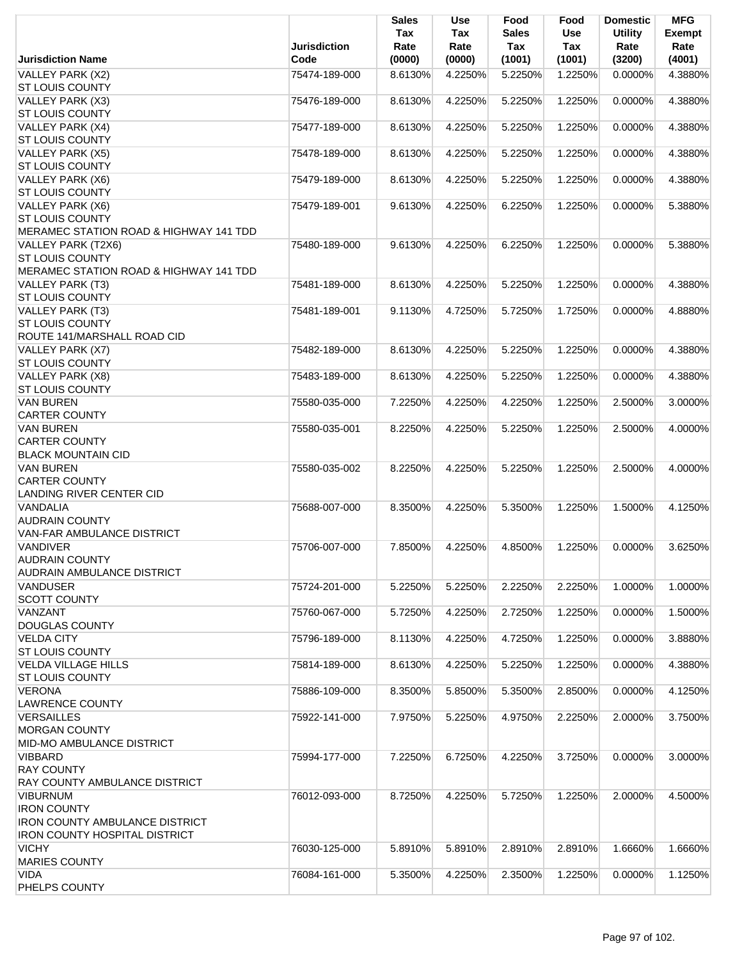|                                                                                                                        |                     | <b>Sales</b><br>Tax | <b>Use</b><br>Tax | Food<br><b>Sales</b> | Food<br>Use | <b>Domestic</b><br><b>Utility</b> | <b>MFG</b><br><b>Exempt</b> |
|------------------------------------------------------------------------------------------------------------------------|---------------------|---------------------|-------------------|----------------------|-------------|-----------------------------------|-----------------------------|
|                                                                                                                        | <b>Jurisdiction</b> | Rate                | Rate              | Tax                  | Tax         | Rate                              | Rate                        |
| <b>Jurisdiction Name</b>                                                                                               | Code                | (0000)              | (0000)            | (1001)               | (1001)      | (3200)                            | (4001)                      |
| VALLEY PARK (X2)<br><b>ST LOUIS COUNTY</b>                                                                             | 75474-189-000       | 8.6130%             | 4.2250%           | 5.2250%              | 1.2250%     | 0.0000%                           | 4.3880%                     |
| VALLEY PARK (X3)<br><b>ST LOUIS COUNTY</b>                                                                             | 75476-189-000       | 8.6130%             | 4.2250%           | 5.2250%              | 1.2250%     | 0.0000%                           | 4.3880%                     |
| VALLEY PARK (X4)<br><b>ST LOUIS COUNTY</b>                                                                             | 75477-189-000       | 8.6130%             | 4.2250%           | 5.2250%              | 1.2250%     | 0.0000%                           | 4.3880%                     |
| VALLEY PARK (X5)<br><b>ST LOUIS COUNTY</b>                                                                             | 75478-189-000       | 8.6130%             | 4.2250%           | 5.2250%              | 1.2250%     | 0.0000%                           | 4.3880%                     |
| VALLEY PARK (X6)<br><b>ST LOUIS COUNTY</b>                                                                             | 75479-189-000       | 8.6130%             | 4.2250%           | 5.2250%              | 1.2250%     | 0.0000%                           | 4.3880%                     |
| VALLEY PARK (X6)<br><b>ST LOUIS COUNTY</b><br>MERAMEC STATION ROAD & HIGHWAY 141 TDD                                   | 75479-189-001       | 9.6130%             | 4.2250%           | 6.2250%              | 1.2250%     | 0.0000%                           | 5.3880%                     |
| VALLEY PARK (T2X6)<br><b>ST LOUIS COUNTY</b><br>MERAMEC STATION ROAD & HIGHWAY 141 TDD                                 | 75480-189-000       | 9.6130%             | 4.2250%           | 6.2250%              | 1.2250%     | 0.0000%                           | 5.3880%                     |
| VALLEY PARK (T3)<br><b>ST LOUIS COUNTY</b>                                                                             | 75481-189-000       | 8.6130%             | 4.2250%           | 5.2250%              | 1.2250%     | 0.0000%                           | 4.3880%                     |
| VALLEY PARK (T3)<br><b>ST LOUIS COUNTY</b><br>ROUTE 141/MARSHALL ROAD CID                                              | 75481-189-001       | 9.1130%             | 4.7250%           | 5.7250%              | 1.7250%     | 0.0000%                           | 4.8880%                     |
| VALLEY PARK (X7)<br><b>ST LOUIS COUNTY</b>                                                                             | 75482-189-000       | 8.6130%             | 4.2250%           | 5.2250%              | 1.2250%     | 0.0000%                           | 4.3880%                     |
| VALLEY PARK (X8)<br><b>ST LOUIS COUNTY</b>                                                                             | 75483-189-000       | 8.6130%             | 4.2250%           | 5.2250%              | 1.2250%     | 0.0000%                           | 4.3880%                     |
| <b>VAN BUREN</b><br><b>CARTER COUNTY</b>                                                                               | 75580-035-000       | 7.2250%             | 4.2250%           | 4.2250%              | 1.2250%     | 2.5000%                           | 3.0000%                     |
| <b>VAN BUREN</b><br><b>CARTER COUNTY</b><br><b>BLACK MOUNTAIN CID</b>                                                  | 75580-035-001       | 8.2250%             | 4.2250%           | 5.2250%              | 1.2250%     | 2.5000%                           | 4.0000%                     |
| <b>VAN BUREN</b><br><b>CARTER COUNTY</b><br><b>LANDING RIVER CENTER CID</b>                                            | 75580-035-002       | 8.2250%             | 4.2250%           | 5.2250%              | 1.2250%     | 2.5000%                           | 4.0000%                     |
| VANDALIA<br><b>AUDRAIN COUNTY</b><br>VAN-FAR AMBULANCE DISTRICT                                                        | 75688-007-000       | 8.3500%             | 4.2250%           | 5.3500%              | 1.2250%     | 1.5000%                           | 4.1250%                     |
| <b>VANDIVER</b><br><b>AUDRAIN COUNTY</b><br><b>AUDRAIN AMBULANCE DISTRICT</b>                                          | 75706-007-000       | 7.8500%             | 4.2250%           | 4.8500%              | 1.2250%     | 0.0000%                           | 3.6250%                     |
| <b>VANDUSER</b><br><b>SCOTT COUNTY</b>                                                                                 | 75724-201-000       | 5.2250%             | 5.2250%           | 2.2250%              | 2.2250%     | 1.0000%                           | 1.0000%                     |
| VANZANT<br><b>DOUGLAS COUNTY</b>                                                                                       | 75760-067-000       | 5.7250%             | 4.2250%           | 2.7250%              | 1.2250%     | 0.0000%                           | 1.5000%                     |
| <b>VELDA CITY</b><br><b>ST LOUIS COUNTY</b>                                                                            | 75796-189-000       | 8.1130%             | 4.2250%           | 4.7250%              | 1.2250%     | 0.0000%                           | 3.8880%                     |
| <b>VELDA VILLAGE HILLS</b><br><b>ST LOUIS COUNTY</b>                                                                   | 75814-189-000       | 8.6130%             | 4.2250%           | 5.2250%              | 1.2250%     | $0.0000\%$                        | 4.3880%                     |
| <b>VERONA</b><br><b>LAWRENCE COUNTY</b>                                                                                | 75886-109-000       | 8.3500%             | 5.8500%           | 5.3500%              | 2.8500%     | 0.0000%                           | 4.1250%                     |
| <b>VERSAILLES</b><br><b>MORGAN COUNTY</b><br><b>MID-MO AMBULANCE DISTRICT</b>                                          | 75922-141-000       | 7.9750%             | 5.2250%           | 4.9750%              | 2.2250%     | 2.0000%                           | 3.7500%                     |
| <b>VIBBARD</b><br><b>RAY COUNTY</b><br>RAY COUNTY AMBULANCE DISTRICT                                                   | 75994-177-000       | 7.2250%             | 6.7250%           | 4.2250%              | 3.7250%     | 0.0000%                           | 3.0000%                     |
| <b>VIBURNUM</b><br><b>IRON COUNTY</b><br><b>IRON COUNTY AMBULANCE DISTRICT</b><br><b>IRON COUNTY HOSPITAL DISTRICT</b> | 76012-093-000       | 8.7250%             | 4.2250%           | 5.7250%              | 1.2250%     | 2.0000%                           | 4.5000%                     |
| <b>VICHY</b><br><b>MARIES COUNTY</b>                                                                                   | 76030-125-000       | 5.8910%             | 5.8910%           | 2.8910%              | 2.8910%     | 1.6660%                           | 1.6660%                     |
| VIDA<br>PHELPS COUNTY                                                                                                  | 76084-161-000       | 5.3500%             | 4.2250%           | 2.3500%              | 1.2250%     | 0.0000%                           | 1.1250%                     |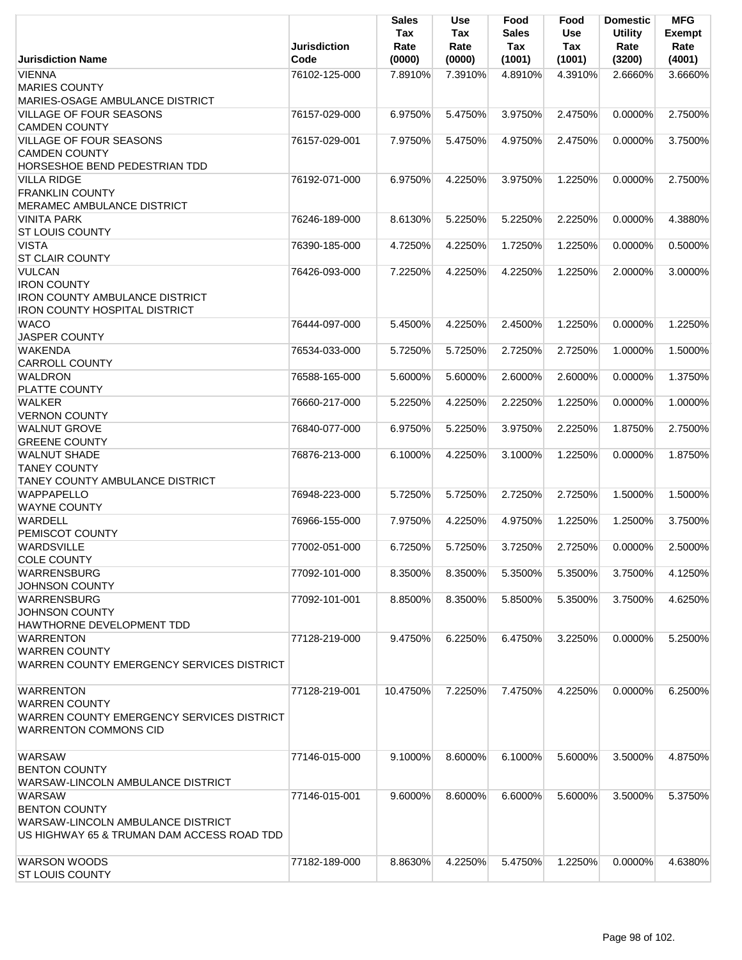|                                                             |                     | <b>Sales</b><br>Tax | <b>Use</b><br>Tax | Food<br><b>Sales</b> | Food<br><b>Use</b> | <b>Domestic</b><br><b>Utility</b> | <b>MFG</b><br><b>Exempt</b> |
|-------------------------------------------------------------|---------------------|---------------------|-------------------|----------------------|--------------------|-----------------------------------|-----------------------------|
|                                                             | <b>Jurisdiction</b> | Rate                | Rate              | Tax                  | Tax                | Rate                              | Rate                        |
| <b>Jurisdiction Name</b>                                    | Code                | (0000)              | (0000)            | (1001)               | (1001)             | (3200)                            | (4001)                      |
| <b>VIENNA</b><br><b>MARIES COUNTY</b>                       | 76102-125-000       | 7.8910%             | 7.3910%           | 4.8910%              | 4.3910%            | 2.6660%                           | 3.6660%                     |
| MARIES-OSAGE AMBULANCE DISTRICT                             |                     |                     |                   |                      |                    |                                   |                             |
| <b>VILLAGE OF FOUR SEASONS</b>                              | 76157-029-000       | 6.9750%             | 5.4750%           | 3.9750%              | 2.4750%            | 0.0000%                           | 2.7500%                     |
| <b>CAMDEN COUNTY</b>                                        |                     |                     |                   |                      |                    |                                   |                             |
| <b>VILLAGE OF FOUR SEASONS</b>                              | 76157-029-001       | 7.9750%             | 5.4750%           | 4.9750%              | 2.4750%            | 0.0000%                           | 3.7500%                     |
| <b>CAMDEN COUNTY</b>                                        |                     |                     |                   |                      |                    |                                   |                             |
| HORSESHOE BEND PEDESTRIAN TDD                               |                     |                     |                   |                      |                    |                                   |                             |
| <b>VILLA RIDGE</b>                                          | 76192-071-000       | 6.9750%             | 4.2250%           | 3.9750%              | 1.2250%            | 0.0000%                           | 2.7500%                     |
| <b>FRANKLIN COUNTY</b>                                      |                     |                     |                   |                      |                    |                                   |                             |
| MERAMEC AMBULANCE DISTRICT                                  |                     |                     |                   |                      |                    |                                   |                             |
| <b>VINITA PARK</b>                                          | 76246-189-000       | 8.6130%             | 5.2250%           | 5.2250%              | 2.2250%            | 0.0000%                           | 4.3880%                     |
| <b>ST LOUIS COUNTY</b>                                      |                     |                     |                   |                      |                    |                                   |                             |
| <b>VISTA</b>                                                | 76390-185-000       | 4.7250%             | 4.2250%           | 1.7250%              | 1.2250%            | 0.0000%                           | 0.5000%                     |
| <b>ST CLAIR COUNTY</b>                                      |                     |                     |                   |                      |                    |                                   |                             |
| <b>VULCAN</b><br><b>IRON COUNTY</b>                         | 76426-093-000       | 7.2250%             | 4.2250%           | 4.2250%              | 1.2250%            | 2.0000%                           | 3.0000%                     |
| <b>IRON COUNTY AMBULANCE DISTRICT</b>                       |                     |                     |                   |                      |                    |                                   |                             |
| <b>IRON COUNTY HOSPITAL DISTRICT</b>                        |                     |                     |                   |                      |                    |                                   |                             |
| <b>WACO</b>                                                 | 76444-097-000       | 5.4500%             | 4.2250%           | 2.4500%              | 1.2250%            | 0.0000%                           | 1.2250%                     |
| <b>JASPER COUNTY</b>                                        |                     |                     |                   |                      |                    |                                   |                             |
| <b>WAKENDA</b>                                              | 76534-033-000       | 5.7250%             | 5.7250%           | 2.7250%              | 2.7250%            | 1.0000%                           | 1.5000%                     |
| <b>CARROLL COUNTY</b>                                       |                     |                     |                   |                      |                    |                                   |                             |
| WALDRON                                                     | 76588-165-000       | 5.6000%             | 5.6000%           | 2.6000%              | 2.6000%            | 0.0000%                           | 1.3750%                     |
| PLATTE COUNTY                                               |                     |                     |                   |                      |                    |                                   |                             |
| <b>WALKER</b>                                               | 76660-217-000       | 5.2250%             | 4.2250%           | 2.2250%              | 1.2250%            | 0.0000%                           | 1.0000%                     |
| <b>VERNON COUNTY</b>                                        |                     |                     |                   |                      |                    |                                   |                             |
| <b>WALNUT GROVE</b>                                         | 76840-077-000       | 6.9750%             | 5.2250%           | 3.9750%              | 2.2250%            | 1.8750%                           | 2.7500%                     |
| <b>GREENE COUNTY</b>                                        |                     |                     |                   |                      |                    |                                   |                             |
| <b>WALNUT SHADE</b>                                         | 76876-213-000       | 6.1000%             | 4.2250%           | 3.1000%              | 1.2250%            | $0.0000\%$                        | 1.8750%                     |
| <b>TANEY COUNTY</b>                                         |                     |                     |                   |                      |                    |                                   |                             |
| <b>TANEY COUNTY AMBULANCE DISTRICT</b><br><b>WAPPAPELLO</b> | 76948-223-000       | 5.7250%             | 5.7250%           | 2.7250%              | 2.7250%            | 1.5000%                           | 1.5000%                     |
| <b>WAYNE COUNTY</b>                                         |                     |                     |                   |                      |                    |                                   |                             |
| <b>WARDELL</b>                                              | 76966-155-000       | 7.9750%             | 4.2250%           | 4.9750%              | 1.2250%            | 1.2500%                           | 3.7500%                     |
| PEMISCOT COUNTY                                             |                     |                     |                   |                      |                    |                                   |                             |
| <b>WARDSVILLE</b>                                           | 77002-051-000       | 6.7250%             | 5.7250%           | 3.7250%              | 2.7250%            | 0.0000%                           | 2.5000%                     |
| <b>COLE COUNTY</b>                                          |                     |                     |                   |                      |                    |                                   |                             |
| <b>WARRENSBURG</b>                                          | 77092-101-000       | 8.3500%             | 8.3500%           | 5.3500%              | 5.3500%            | 3.7500%                           | 4.1250%                     |
| <b>JOHNSON COUNTY</b>                                       |                     |                     |                   |                      |                    |                                   |                             |
| <b>WARRENSBURG</b>                                          | 77092-101-001       | 8.8500%             | 8.3500%           | 5.8500%              | 5.3500%            | 3.7500%                           | 4.6250%                     |
| <b>JOHNSON COUNTY</b>                                       |                     |                     |                   |                      |                    |                                   |                             |
| HAWTHORNE DEVELOPMENT TDD                                   |                     |                     |                   |                      |                    |                                   |                             |
| <b>WARRENTON</b>                                            | 77128-219-000       | 9.4750%             | 6.2250%           | 6.4750%              | 3.2250%            | 0.0000%                           | 5.2500%                     |
| <b>WARREN COUNTY</b>                                        |                     |                     |                   |                      |                    |                                   |                             |
| WARREN COUNTY EMERGENCY SERVICES DISTRICT                   |                     |                     |                   |                      |                    |                                   |                             |
| <b>WARRENTON</b>                                            | 77128-219-001       | 10.4750%            | 7.2250%           | 7.4750%              | 4.2250%            | $0.0000\%$                        | 6.2500%                     |
| <b>WARREN COUNTY</b>                                        |                     |                     |                   |                      |                    |                                   |                             |
| WARREN COUNTY EMERGENCY SERVICES DISTRICT                   |                     |                     |                   |                      |                    |                                   |                             |
| <b>WARRENTON COMMONS CID</b>                                |                     |                     |                   |                      |                    |                                   |                             |
|                                                             |                     |                     |                   |                      |                    |                                   |                             |
| <b>WARSAW</b>                                               | 77146-015-000       | 9.1000%             | 8.6000%           | 6.1000%              | 5.6000%            | 3.5000%                           | 4.8750%                     |
| <b>BENTON COUNTY</b>                                        |                     |                     |                   |                      |                    |                                   |                             |
| WARSAW-LINCOLN AMBULANCE DISTRICT                           |                     |                     |                   |                      |                    |                                   |                             |
| <b>WARSAW</b>                                               | 77146-015-001       | 9.6000%             | 8.6000%           | 6.6000%              | 5.6000%            | 3.5000%                           | 5.3750%                     |
| <b>BENTON COUNTY</b>                                        |                     |                     |                   |                      |                    |                                   |                             |
| WARSAW-LINCOLN AMBULANCE DISTRICT                           |                     |                     |                   |                      |                    |                                   |                             |
| US HIGHWAY 65 & TRUMAN DAM ACCESS ROAD TDD                  |                     |                     |                   |                      |                    |                                   |                             |
|                                                             |                     |                     |                   |                      |                    |                                   |                             |
| <b>WARSON WOODS</b><br><b>ST LOUIS COUNTY</b>               | 77182-189-000       | 8.8630%             | 4.2250%           | 5.4750%              | 1.2250%            | 0.0000%                           | 4.6380%                     |
|                                                             |                     |                     |                   |                      |                    |                                   |                             |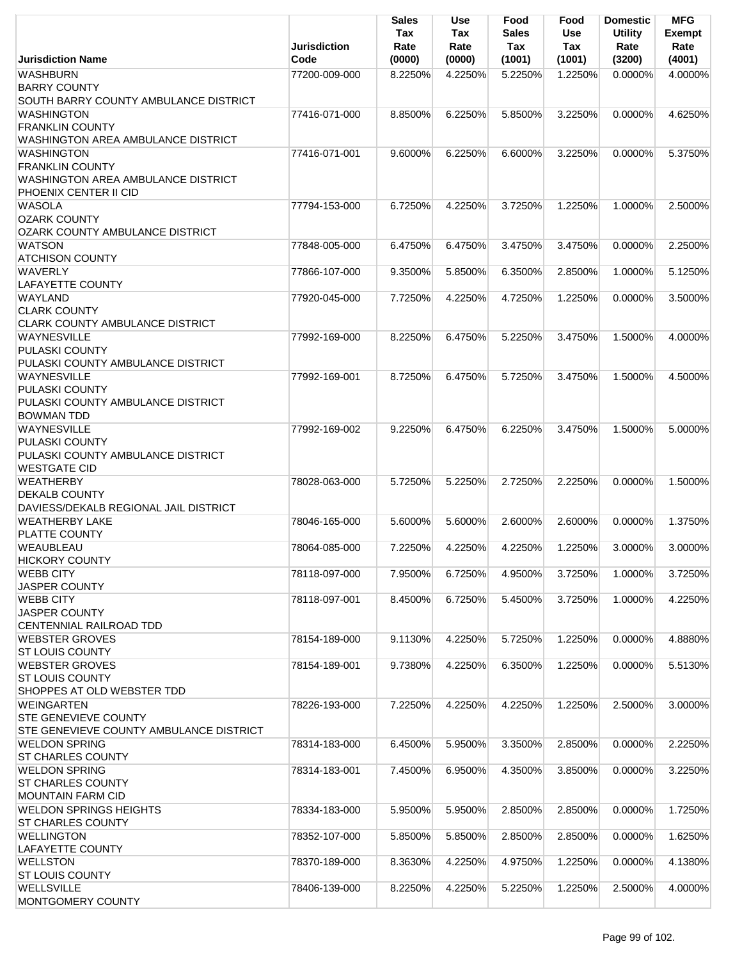|                                                  | <b>Jurisdiction</b> | Sales<br>Tax<br>Rate | Use<br>Tax<br>Rate | Food<br><b>Sales</b><br>Tax | Food<br><b>Use</b><br>Tax | <b>Domestic</b><br><b>Utility</b><br>Rate | <b>MFG</b><br><b>Exempt</b><br>Rate |
|--------------------------------------------------|---------------------|----------------------|--------------------|-----------------------------|---------------------------|-------------------------------------------|-------------------------------------|
| <b>Jurisdiction Name</b>                         | Code                | (0000)               | (0000)             | (1001)                      | (1001)                    | (3200)                                    | (4001)                              |
| <b>WASHBURN</b>                                  | 77200-009-000       | 8.2250%              | 4.2250%            | 5.2250%                     | 1.2250%                   | $0.0000\%$                                | 4.0000%                             |
| <b>BARRY COUNTY</b>                              |                     |                      |                    |                             |                           |                                           |                                     |
| SOUTH BARRY COUNTY AMBULANCE DISTRICT            |                     |                      |                    |                             |                           |                                           |                                     |
| <b>WASHINGTON</b>                                | 77416-071-000       | 8.8500%              | 6.2250%            | 5.8500%                     | 3.2250%                   | $0.0000\%$                                | 4.6250%                             |
| <b>FRANKLIN COUNTY</b>                           |                     |                      |                    |                             |                           |                                           |                                     |
| <b>WASHINGTON AREA AMBULANCE DISTRICT</b>        |                     |                      |                    |                             |                           |                                           |                                     |
| <b>WASHINGTON</b>                                | 77416-071-001       | 9.6000%              | 6.2250%            | 6.6000%                     | 3.2250%                   | $0.0000\%$                                | 5.3750%                             |
| <b>FRANKLIN COUNTY</b>                           |                     |                      |                    |                             |                           |                                           |                                     |
| <b>WASHINGTON AREA AMBULANCE DISTRICT</b>        |                     |                      |                    |                             |                           |                                           |                                     |
| PHOENIX CENTER II CID<br><b>WASOLA</b>           | 77794-153-000       | 6.7250%              | 4.2250%            | 3.7250%                     | 1.2250%                   | 1.0000%                                   | 2.5000%                             |
| <b>OZARK COUNTY</b>                              |                     |                      |                    |                             |                           |                                           |                                     |
| OZARK COUNTY AMBULANCE DISTRICT                  |                     |                      |                    |                             |                           |                                           |                                     |
| <b>WATSON</b>                                    | 77848-005-000       | 6.4750%              | 6.4750%            | 3.4750%                     | 3.4750%                   | 0.0000%                                   | 2.2500%                             |
| <b>ATCHISON COUNTY</b>                           |                     |                      |                    |                             |                           |                                           |                                     |
| <b>WAVERLY</b>                                   | 77866-107-000       | 9.3500%              | 5.8500%            | 6.3500%                     | 2.8500%                   | 1.0000%                                   | 5.1250%                             |
| <b>LAFAYETTE COUNTY</b>                          |                     |                      |                    |                             |                           |                                           |                                     |
| <b>WAYLAND</b>                                   | 77920-045-000       | 7.7250%              | 4.2250%            | 4.7250%                     | 1.2250%                   | 0.0000%                                   | 3.5000%                             |
| <b>CLARK COUNTY</b>                              |                     |                      |                    |                             |                           |                                           |                                     |
| CLARK COUNTY AMBULANCE DISTRICT                  |                     |                      |                    |                             |                           |                                           |                                     |
| <b>WAYNESVILLE</b>                               | 77992-169-000       | 8.2250%              | 6.4750%            | 5.2250%                     | 3.4750%                   | 1.5000%                                   | 4.0000%                             |
| PULASKI COUNTY                                   |                     |                      |                    |                             |                           |                                           |                                     |
| PULASKI COUNTY AMBULANCE DISTRICT                |                     |                      |                    |                             |                           |                                           |                                     |
| <b>WAYNESVILLE</b>                               | 77992-169-001       | 8.7250%              | 6.4750%            | 5.7250%                     | 3.4750%                   | 1.5000%                                   | 4.5000%                             |
| PULASKI COUNTY                                   |                     |                      |                    |                             |                           |                                           |                                     |
| PULASKI COUNTY AMBULANCE DISTRICT                |                     |                      |                    |                             |                           |                                           |                                     |
| <b>BOWMAN TDD</b>                                |                     |                      |                    |                             |                           |                                           |                                     |
| <b>WAYNESVILLE</b>                               | 77992-169-002       | 9.2250%              | 6.4750%            | 6.2250%                     | 3.4750%                   | 1.5000%                                   | 5.0000%                             |
| <b>PULASKI COUNTY</b>                            |                     |                      |                    |                             |                           |                                           |                                     |
| PULASKI COUNTY AMBULANCE DISTRICT                |                     |                      |                    |                             |                           |                                           |                                     |
| <b>WESTGATE CID</b>                              |                     |                      |                    |                             |                           |                                           |                                     |
| <b>WEATHERBY</b>                                 | 78028-063-000       | 5.7250%              | 5.2250%            | 2.7250%                     | 2.2250%                   | 0.0000%                                   | 1.5000%                             |
| <b>DEKALB COUNTY</b>                             |                     |                      |                    |                             |                           |                                           |                                     |
| DAVIESS/DEKALB REGIONAL JAIL DISTRICT            |                     |                      |                    |                             |                           |                                           |                                     |
| <b>WEATHERBY LAKE</b><br>PLATTE COUNTY           | 78046-165-000       | 5.6000%              | 5.6000%            | 2.6000%                     | 2.6000%                   | 0.0000%                                   | 1.3750%                             |
| WEAUBLEAU                                        | 78064-085-000       | 7.2250%              | 4.2250%            | 4.2250%                     | 1.2250%                   | 3.0000%                                   | 3.0000%                             |
| <b>HICKORY COUNTY</b>                            |                     |                      |                    |                             |                           |                                           |                                     |
| <b>WEBB CITY</b>                                 | 78118-097-000       | 7.9500%              | 6.7250%            | 4.9500%                     | 3.7250%                   | 1.0000%                                   | 3.7250%                             |
| <b>JASPER COUNTY</b>                             |                     |                      |                    |                             |                           |                                           |                                     |
| <b>WEBB CITY</b>                                 | 78118-097-001       | 8.4500%              | 6.7250%            | 5.4500%                     | 3.7250%                   | 1.0000%                                   | 4.2250%                             |
| <b>JASPER COUNTY</b>                             |                     |                      |                    |                             |                           |                                           |                                     |
| CENTENNIAL RAILROAD TDD                          |                     |                      |                    |                             |                           |                                           |                                     |
| <b>WEBSTER GROVES</b>                            | 78154-189-000       | 9.1130%              | 4.2250%            | 5.7250%                     | 1.2250%                   | 0.0000%                                   | 4.8880%                             |
| <b>ST LOUIS COUNTY</b>                           |                     |                      |                    |                             |                           |                                           |                                     |
| <b>WEBSTER GROVES</b>                            | 78154-189-001       | 9.7380%              | 4.2250%            | 6.3500%                     | 1.2250%                   | 0.0000%                                   | 5.5130%                             |
| <b>ST LOUIS COUNTY</b>                           |                     |                      |                    |                             |                           |                                           |                                     |
| SHOPPES AT OLD WEBSTER TDD                       |                     |                      |                    |                             |                           |                                           |                                     |
| <b>WEINGARTEN</b>                                | 78226-193-000       | 7.2250%              | 4.2250%            | 4.2250%                     | 1.2250%                   | 2.5000%                                   | 3.0000%                             |
| <b>STE GENEVIEVE COUNTY</b>                      |                     |                      |                    |                             |                           |                                           |                                     |
| STE GENEVIEVE COUNTY AMBULANCE DISTRICT          |                     |                      |                    |                             |                           |                                           |                                     |
| <b>WELDON SPRING</b>                             | 78314-183-000       | 6.4500%              | 5.9500%            | 3.3500%                     | 2.8500%                   | 0.0000%                                   | 2.2250%                             |
| <b>ST CHARLES COUNTY</b>                         |                     |                      |                    |                             |                           |                                           |                                     |
| <b>WELDON SPRING</b><br><b>ST CHARLES COUNTY</b> | 78314-183-001       | 7.4500%              | 6.9500%            | 4.3500%                     | 3.8500%                   | 0.0000%                                   | 3.2250%                             |
| <b>MOUNTAIN FARM CID</b>                         |                     |                      |                    |                             |                           |                                           |                                     |
| <b>WELDON SPRINGS HEIGHTS</b>                    | 78334-183-000       | 5.9500%              | 5.9500%            | 2.8500%                     | 2.8500%                   | $0.0000\%$                                | 1.7250%                             |
| <b>ST CHARLES COUNTY</b>                         |                     |                      |                    |                             |                           |                                           |                                     |
| <b>WELLINGTON</b>                                | 78352-107-000       | 5.8500%              | 5.8500%            | 2.8500%                     | 2.8500%                   | 0.0000%                                   | 1.6250%                             |
| <b>LAFAYETTE COUNTY</b>                          |                     |                      |                    |                             |                           |                                           |                                     |
| <b>WELLSTON</b>                                  | 78370-189-000       | 8.3630%              | 4.2250%            | 4.9750%                     | 1.2250%                   | 0.0000%                                   | 4.1380%                             |
| <b>ST LOUIS COUNTY</b>                           |                     |                      |                    |                             |                           |                                           |                                     |
| <b>WELLSVILLE</b>                                | 78406-139-000       | 8.2250%              | 4.2250%            | 5.2250%                     | 1.2250%                   | 2.5000%                                   | 4.0000%                             |
| MONTGOMERY COUNTY                                |                     |                      |                    |                             |                           |                                           |                                     |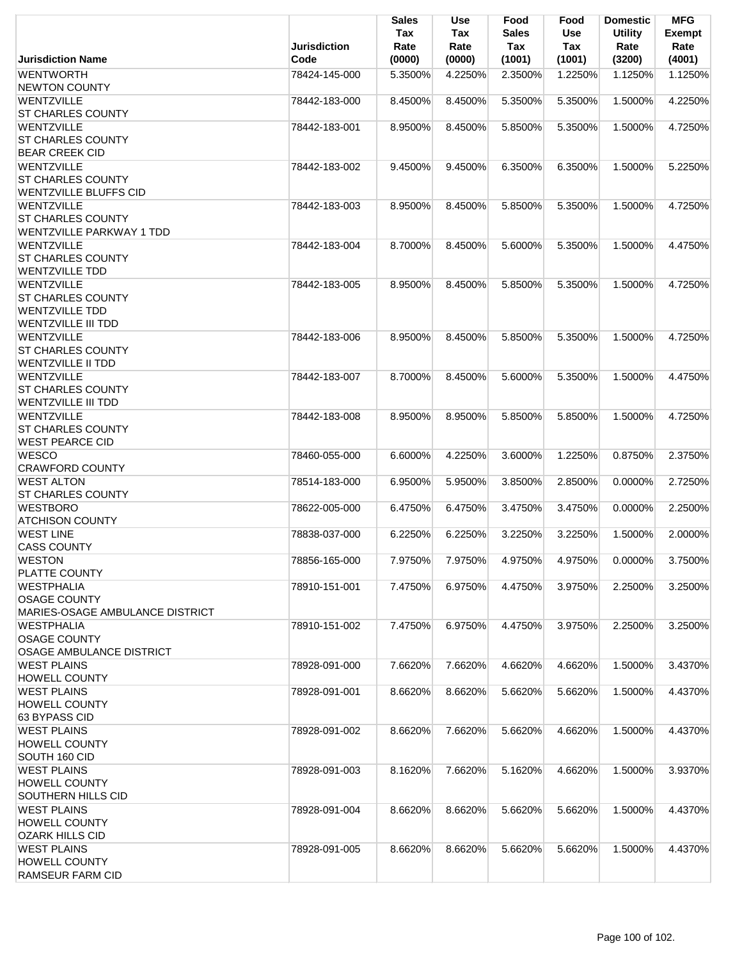| <b>WENTWORTH</b><br>78424-145-000<br>4.2250%<br>2.3500%<br>1.1250%<br>1.1250%<br>5.3500%<br>1.2250%<br><b>NEWTON COUNTY</b><br>WENTZVILLE<br>8.4500%<br>5.3500%<br>5.3500%<br>1.5000%<br>4.2250%<br>78442-183-000<br>8.4500%<br><b>ST CHARLES COUNTY</b><br><b>WENTZVILLE</b><br>1.5000%<br>4.7250%<br>78442-183-001<br>8.9500%<br>8.4500%<br>5.8500%<br>5.3500%<br><b>ST CHARLES COUNTY</b><br><b>BEAR CREEK CID</b><br>WENTZVILLE<br>78442-183-002<br>9.4500%<br>9.4500%<br>6.3500%<br>6.3500%<br>1.5000%<br>5.2250%<br><b>ST CHARLES COUNTY</b><br><b>WENTZVILLE BLUFFS CID</b><br>WENTZVILLE<br>8.4500%<br>5.8500%<br>5.3500%<br>1.5000%<br>4.7250%<br>78442-183-003<br>8.9500%<br><b>ST CHARLES COUNTY</b><br><b>WENTZVILLE PARKWAY 1 TDD</b><br><b>WENTZVILLE</b><br>8.7000%<br>8.4500%<br>5.6000%<br>5.3500%<br>1.5000%<br>4.4750%<br>78442-183-004<br><b>ST CHARLES COUNTY</b><br><b>WENTZVILLE TDD</b><br>WENTZVILLE<br>8.9500%<br>8.4500%<br>5.8500%<br>5.3500%<br>1.5000%<br>4.7250%<br>78442-183-005<br><b>ST CHARLES COUNTY</b><br><b>WENTZVILLE TDD</b><br><b>WENTZVILLE III TDD</b><br><b>WENTZVILLE</b><br>78442-183-006<br>8.9500%<br>8.4500%<br>5.8500%<br>5.3500%<br>1.5000%<br>4.7250%<br><b>ST CHARLES COUNTY</b><br><b>WENTZVILLE II TDD</b><br><b>WENTZVILLE</b><br>8.4500%<br>5.3500%<br>1.5000%<br>4.4750%<br>78442-183-007<br>8.7000%<br>5.6000%<br><b>ST CHARLES COUNTY</b><br><b>WENTZVILLE III TDD</b><br>WENTZVILLE<br>8.9500%<br>5.8500%<br>5.8500%<br>1.5000%<br>78442-183-008<br>8.9500%<br>4.7250%<br><b>ST CHARLES COUNTY</b><br><b>WEST PEARCE CID</b><br><b>WESCO</b><br>6.6000%<br>4.2250%<br>3.6000%<br>1.2250%<br>0.8750%<br>2.3750%<br>78460-055-000<br><b>CRAWFORD COUNTY</b><br><b>WEST ALTON</b><br>3.8500%<br>2.7250%<br>78514-183-000<br>6.9500%<br>5.9500%<br>2.8500%<br>$0.0000\%$<br><b>ST CHARLES COUNTY</b><br><b>WESTBORO</b><br>6.4750%<br>6.4750%<br>3.4750%<br>3.4750%<br>0.0000%<br>2.2500%<br>78622-005-000<br><b>ATCHISON COUNTY</b><br><b>WEST LINE</b><br>6.2250%<br>6.2250%<br>3.2250%<br>3.2250%<br>1.5000%<br>2.0000%<br>78838-037-000<br><b>CASS COUNTY</b><br><b>WESTON</b><br>7.9750%<br>7.9750%<br>3.7500%<br>78856-165-000<br>4.9750%<br>4.9750%<br>0.0000%<br>PLATTE COUNTY<br><b>WESTPHALIA</b><br>7.4750%<br>6.9750%<br>3.9750%<br>2.2500%<br>78910-151-001<br>4.4750%<br>3.2500%<br><b>OSAGE COUNTY</b><br>MARIES-OSAGE AMBULANCE DISTRICT<br><b>WESTPHALIA</b><br>7.4750%<br>6.9750%<br>3.9750%<br>2.2500%<br>78910-151-002<br>4.4750%<br>3.2500%<br><b>OSAGE COUNTY</b><br>OSAGE AMBULANCE DISTRICT<br><b>WEST PLAINS</b><br>78928-091-000<br>7.6620%<br>7.6620%<br>4.6620%<br>4.6620%<br>1.5000%<br>3.4370%<br><b>HOWELL COUNTY</b><br><b>WEST PLAINS</b><br>78928-091-001<br>8.6620%<br>8.6620%<br>5.6620%<br>5.6620%<br>1.5000%<br>4.4370%<br><b>HOWELL COUNTY</b><br>63 BYPASS CID<br><b>WEST PLAINS</b><br>78928-091-002<br>8.6620%<br>7.6620%<br>5.6620%<br>4.6620%<br>1.5000%<br>4.4370%<br><b>HOWELL COUNTY</b><br>SOUTH 160 CID<br><b>WEST PLAINS</b><br>78928-091-003<br>8.1620%<br>7.6620%<br>5.1620%<br>4.6620%<br>1.5000%<br>3.9370%<br><b>HOWELL COUNTY</b><br><b>SOUTHERN HILLS CID</b><br><b>WEST PLAINS</b><br>5.6620%<br>5.6620%<br>78928-091-004<br>8.6620%<br>8.6620%<br>1.5000%<br>4.4370%<br><b>HOWELL COUNTY</b><br><b>OZARK HILLS CID</b><br><b>WEST PLAINS</b><br>8.6620%<br>8.6620%<br>5.6620%<br>5.6620%<br>1.5000%<br>4.4370%<br>78928-091-005<br><b>HOWELL COUNTY</b><br>RAMSEUR FARM CID | <b>Jurisdiction Name</b> | <b>Jurisdiction</b><br>Code | <b>Sales</b><br>Tax<br>Rate<br>(0000) | Use<br>Tax<br>Rate<br>(0000) | Food<br><b>Sales</b><br>Tax<br>(1001) | Food<br><b>Use</b><br>Tax<br>(1001) | <b>Domestic</b><br><b>Utility</b><br>Rate<br>(3200) | <b>MFG</b><br>Exempt<br>Rate<br>(4001) |
|--------------------------------------------------------------------------------------------------------------------------------------------------------------------------------------------------------------------------------------------------------------------------------------------------------------------------------------------------------------------------------------------------------------------------------------------------------------------------------------------------------------------------------------------------------------------------------------------------------------------------------------------------------------------------------------------------------------------------------------------------------------------------------------------------------------------------------------------------------------------------------------------------------------------------------------------------------------------------------------------------------------------------------------------------------------------------------------------------------------------------------------------------------------------------------------------------------------------------------------------------------------------------------------------------------------------------------------------------------------------------------------------------------------------------------------------------------------------------------------------------------------------------------------------------------------------------------------------------------------------------------------------------------------------------------------------------------------------------------------------------------------------------------------------------------------------------------------------------------------------------------------------------------------------------------------------------------------------------------------------------------------------------------------------------------------------------------------------------------------------------------------------------------------------------------------------------------------------------------------------------------------------------------------------------------------------------------------------------------------------------------------------------------------------------------------------------------------------------------------------------------------------------------------------------------------------------------------------------------------------------------------------------------------------------------------------------------------------------------------------------------------------------------------------------------------------------------------------------------------------------------------------------------------------------------------------------------------------------------------------------------------------------------------------------------------------------------------------------------------------------------------------------------------------------------------------------------------------------------------------------------------------------------------------------------------------------------------------------------------------------------------------------------------------------------------------------------------------------------------------------|--------------------------|-----------------------------|---------------------------------------|------------------------------|---------------------------------------|-------------------------------------|-----------------------------------------------------|----------------------------------------|
|                                                                                                                                                                                                                                                                                                                                                                                                                                                                                                                                                                                                                                                                                                                                                                                                                                                                                                                                                                                                                                                                                                                                                                                                                                                                                                                                                                                                                                                                                                                                                                                                                                                                                                                                                                                                                                                                                                                                                                                                                                                                                                                                                                                                                                                                                                                                                                                                                                                                                                                                                                                                                                                                                                                                                                                                                                                                                                                                                                                                                                                                                                                                                                                                                                                                                                                                                                                                                                                                                                  |                          |                             |                                       |                              |                                       |                                     |                                                     |                                        |
|                                                                                                                                                                                                                                                                                                                                                                                                                                                                                                                                                                                                                                                                                                                                                                                                                                                                                                                                                                                                                                                                                                                                                                                                                                                                                                                                                                                                                                                                                                                                                                                                                                                                                                                                                                                                                                                                                                                                                                                                                                                                                                                                                                                                                                                                                                                                                                                                                                                                                                                                                                                                                                                                                                                                                                                                                                                                                                                                                                                                                                                                                                                                                                                                                                                                                                                                                                                                                                                                                                  |                          |                             |                                       |                              |                                       |                                     |                                                     |                                        |
|                                                                                                                                                                                                                                                                                                                                                                                                                                                                                                                                                                                                                                                                                                                                                                                                                                                                                                                                                                                                                                                                                                                                                                                                                                                                                                                                                                                                                                                                                                                                                                                                                                                                                                                                                                                                                                                                                                                                                                                                                                                                                                                                                                                                                                                                                                                                                                                                                                                                                                                                                                                                                                                                                                                                                                                                                                                                                                                                                                                                                                                                                                                                                                                                                                                                                                                                                                                                                                                                                                  |                          |                             |                                       |                              |                                       |                                     |                                                     |                                        |
|                                                                                                                                                                                                                                                                                                                                                                                                                                                                                                                                                                                                                                                                                                                                                                                                                                                                                                                                                                                                                                                                                                                                                                                                                                                                                                                                                                                                                                                                                                                                                                                                                                                                                                                                                                                                                                                                                                                                                                                                                                                                                                                                                                                                                                                                                                                                                                                                                                                                                                                                                                                                                                                                                                                                                                                                                                                                                                                                                                                                                                                                                                                                                                                                                                                                                                                                                                                                                                                                                                  |                          |                             |                                       |                              |                                       |                                     |                                                     |                                        |
|                                                                                                                                                                                                                                                                                                                                                                                                                                                                                                                                                                                                                                                                                                                                                                                                                                                                                                                                                                                                                                                                                                                                                                                                                                                                                                                                                                                                                                                                                                                                                                                                                                                                                                                                                                                                                                                                                                                                                                                                                                                                                                                                                                                                                                                                                                                                                                                                                                                                                                                                                                                                                                                                                                                                                                                                                                                                                                                                                                                                                                                                                                                                                                                                                                                                                                                                                                                                                                                                                                  |                          |                             |                                       |                              |                                       |                                     |                                                     |                                        |
|                                                                                                                                                                                                                                                                                                                                                                                                                                                                                                                                                                                                                                                                                                                                                                                                                                                                                                                                                                                                                                                                                                                                                                                                                                                                                                                                                                                                                                                                                                                                                                                                                                                                                                                                                                                                                                                                                                                                                                                                                                                                                                                                                                                                                                                                                                                                                                                                                                                                                                                                                                                                                                                                                                                                                                                                                                                                                                                                                                                                                                                                                                                                                                                                                                                                                                                                                                                                                                                                                                  |                          |                             |                                       |                              |                                       |                                     |                                                     |                                        |
|                                                                                                                                                                                                                                                                                                                                                                                                                                                                                                                                                                                                                                                                                                                                                                                                                                                                                                                                                                                                                                                                                                                                                                                                                                                                                                                                                                                                                                                                                                                                                                                                                                                                                                                                                                                                                                                                                                                                                                                                                                                                                                                                                                                                                                                                                                                                                                                                                                                                                                                                                                                                                                                                                                                                                                                                                                                                                                                                                                                                                                                                                                                                                                                                                                                                                                                                                                                                                                                                                                  |                          |                             |                                       |                              |                                       |                                     |                                                     |                                        |
|                                                                                                                                                                                                                                                                                                                                                                                                                                                                                                                                                                                                                                                                                                                                                                                                                                                                                                                                                                                                                                                                                                                                                                                                                                                                                                                                                                                                                                                                                                                                                                                                                                                                                                                                                                                                                                                                                                                                                                                                                                                                                                                                                                                                                                                                                                                                                                                                                                                                                                                                                                                                                                                                                                                                                                                                                                                                                                                                                                                                                                                                                                                                                                                                                                                                                                                                                                                                                                                                                                  |                          |                             |                                       |                              |                                       |                                     |                                                     |                                        |
|                                                                                                                                                                                                                                                                                                                                                                                                                                                                                                                                                                                                                                                                                                                                                                                                                                                                                                                                                                                                                                                                                                                                                                                                                                                                                                                                                                                                                                                                                                                                                                                                                                                                                                                                                                                                                                                                                                                                                                                                                                                                                                                                                                                                                                                                                                                                                                                                                                                                                                                                                                                                                                                                                                                                                                                                                                                                                                                                                                                                                                                                                                                                                                                                                                                                                                                                                                                                                                                                                                  |                          |                             |                                       |                              |                                       |                                     |                                                     |                                        |
|                                                                                                                                                                                                                                                                                                                                                                                                                                                                                                                                                                                                                                                                                                                                                                                                                                                                                                                                                                                                                                                                                                                                                                                                                                                                                                                                                                                                                                                                                                                                                                                                                                                                                                                                                                                                                                                                                                                                                                                                                                                                                                                                                                                                                                                                                                                                                                                                                                                                                                                                                                                                                                                                                                                                                                                                                                                                                                                                                                                                                                                                                                                                                                                                                                                                                                                                                                                                                                                                                                  |                          |                             |                                       |                              |                                       |                                     |                                                     |                                        |
|                                                                                                                                                                                                                                                                                                                                                                                                                                                                                                                                                                                                                                                                                                                                                                                                                                                                                                                                                                                                                                                                                                                                                                                                                                                                                                                                                                                                                                                                                                                                                                                                                                                                                                                                                                                                                                                                                                                                                                                                                                                                                                                                                                                                                                                                                                                                                                                                                                                                                                                                                                                                                                                                                                                                                                                                                                                                                                                                                                                                                                                                                                                                                                                                                                                                                                                                                                                                                                                                                                  |                          |                             |                                       |                              |                                       |                                     |                                                     |                                        |
|                                                                                                                                                                                                                                                                                                                                                                                                                                                                                                                                                                                                                                                                                                                                                                                                                                                                                                                                                                                                                                                                                                                                                                                                                                                                                                                                                                                                                                                                                                                                                                                                                                                                                                                                                                                                                                                                                                                                                                                                                                                                                                                                                                                                                                                                                                                                                                                                                                                                                                                                                                                                                                                                                                                                                                                                                                                                                                                                                                                                                                                                                                                                                                                                                                                                                                                                                                                                                                                                                                  |                          |                             |                                       |                              |                                       |                                     |                                                     |                                        |
|                                                                                                                                                                                                                                                                                                                                                                                                                                                                                                                                                                                                                                                                                                                                                                                                                                                                                                                                                                                                                                                                                                                                                                                                                                                                                                                                                                                                                                                                                                                                                                                                                                                                                                                                                                                                                                                                                                                                                                                                                                                                                                                                                                                                                                                                                                                                                                                                                                                                                                                                                                                                                                                                                                                                                                                                                                                                                                                                                                                                                                                                                                                                                                                                                                                                                                                                                                                                                                                                                                  |                          |                             |                                       |                              |                                       |                                     |                                                     |                                        |
|                                                                                                                                                                                                                                                                                                                                                                                                                                                                                                                                                                                                                                                                                                                                                                                                                                                                                                                                                                                                                                                                                                                                                                                                                                                                                                                                                                                                                                                                                                                                                                                                                                                                                                                                                                                                                                                                                                                                                                                                                                                                                                                                                                                                                                                                                                                                                                                                                                                                                                                                                                                                                                                                                                                                                                                                                                                                                                                                                                                                                                                                                                                                                                                                                                                                                                                                                                                                                                                                                                  |                          |                             |                                       |                              |                                       |                                     |                                                     |                                        |
|                                                                                                                                                                                                                                                                                                                                                                                                                                                                                                                                                                                                                                                                                                                                                                                                                                                                                                                                                                                                                                                                                                                                                                                                                                                                                                                                                                                                                                                                                                                                                                                                                                                                                                                                                                                                                                                                                                                                                                                                                                                                                                                                                                                                                                                                                                                                                                                                                                                                                                                                                                                                                                                                                                                                                                                                                                                                                                                                                                                                                                                                                                                                                                                                                                                                                                                                                                                                                                                                                                  |                          |                             |                                       |                              |                                       |                                     |                                                     |                                        |
|                                                                                                                                                                                                                                                                                                                                                                                                                                                                                                                                                                                                                                                                                                                                                                                                                                                                                                                                                                                                                                                                                                                                                                                                                                                                                                                                                                                                                                                                                                                                                                                                                                                                                                                                                                                                                                                                                                                                                                                                                                                                                                                                                                                                                                                                                                                                                                                                                                                                                                                                                                                                                                                                                                                                                                                                                                                                                                                                                                                                                                                                                                                                                                                                                                                                                                                                                                                                                                                                                                  |                          |                             |                                       |                              |                                       |                                     |                                                     |                                        |
|                                                                                                                                                                                                                                                                                                                                                                                                                                                                                                                                                                                                                                                                                                                                                                                                                                                                                                                                                                                                                                                                                                                                                                                                                                                                                                                                                                                                                                                                                                                                                                                                                                                                                                                                                                                                                                                                                                                                                                                                                                                                                                                                                                                                                                                                                                                                                                                                                                                                                                                                                                                                                                                                                                                                                                                                                                                                                                                                                                                                                                                                                                                                                                                                                                                                                                                                                                                                                                                                                                  |                          |                             |                                       |                              |                                       |                                     |                                                     |                                        |
|                                                                                                                                                                                                                                                                                                                                                                                                                                                                                                                                                                                                                                                                                                                                                                                                                                                                                                                                                                                                                                                                                                                                                                                                                                                                                                                                                                                                                                                                                                                                                                                                                                                                                                                                                                                                                                                                                                                                                                                                                                                                                                                                                                                                                                                                                                                                                                                                                                                                                                                                                                                                                                                                                                                                                                                                                                                                                                                                                                                                                                                                                                                                                                                                                                                                                                                                                                                                                                                                                                  |                          |                             |                                       |                              |                                       |                                     |                                                     |                                        |
|                                                                                                                                                                                                                                                                                                                                                                                                                                                                                                                                                                                                                                                                                                                                                                                                                                                                                                                                                                                                                                                                                                                                                                                                                                                                                                                                                                                                                                                                                                                                                                                                                                                                                                                                                                                                                                                                                                                                                                                                                                                                                                                                                                                                                                                                                                                                                                                                                                                                                                                                                                                                                                                                                                                                                                                                                                                                                                                                                                                                                                                                                                                                                                                                                                                                                                                                                                                                                                                                                                  |                          |                             |                                       |                              |                                       |                                     |                                                     |                                        |
|                                                                                                                                                                                                                                                                                                                                                                                                                                                                                                                                                                                                                                                                                                                                                                                                                                                                                                                                                                                                                                                                                                                                                                                                                                                                                                                                                                                                                                                                                                                                                                                                                                                                                                                                                                                                                                                                                                                                                                                                                                                                                                                                                                                                                                                                                                                                                                                                                                                                                                                                                                                                                                                                                                                                                                                                                                                                                                                                                                                                                                                                                                                                                                                                                                                                                                                                                                                                                                                                                                  |                          |                             |                                       |                              |                                       |                                     |                                                     |                                        |
|                                                                                                                                                                                                                                                                                                                                                                                                                                                                                                                                                                                                                                                                                                                                                                                                                                                                                                                                                                                                                                                                                                                                                                                                                                                                                                                                                                                                                                                                                                                                                                                                                                                                                                                                                                                                                                                                                                                                                                                                                                                                                                                                                                                                                                                                                                                                                                                                                                                                                                                                                                                                                                                                                                                                                                                                                                                                                                                                                                                                                                                                                                                                                                                                                                                                                                                                                                                                                                                                                                  |                          |                             |                                       |                              |                                       |                                     |                                                     |                                        |
|                                                                                                                                                                                                                                                                                                                                                                                                                                                                                                                                                                                                                                                                                                                                                                                                                                                                                                                                                                                                                                                                                                                                                                                                                                                                                                                                                                                                                                                                                                                                                                                                                                                                                                                                                                                                                                                                                                                                                                                                                                                                                                                                                                                                                                                                                                                                                                                                                                                                                                                                                                                                                                                                                                                                                                                                                                                                                                                                                                                                                                                                                                                                                                                                                                                                                                                                                                                                                                                                                                  |                          |                             |                                       |                              |                                       |                                     |                                                     |                                        |
|                                                                                                                                                                                                                                                                                                                                                                                                                                                                                                                                                                                                                                                                                                                                                                                                                                                                                                                                                                                                                                                                                                                                                                                                                                                                                                                                                                                                                                                                                                                                                                                                                                                                                                                                                                                                                                                                                                                                                                                                                                                                                                                                                                                                                                                                                                                                                                                                                                                                                                                                                                                                                                                                                                                                                                                                                                                                                                                                                                                                                                                                                                                                                                                                                                                                                                                                                                                                                                                                                                  |                          |                             |                                       |                              |                                       |                                     |                                                     |                                        |
|                                                                                                                                                                                                                                                                                                                                                                                                                                                                                                                                                                                                                                                                                                                                                                                                                                                                                                                                                                                                                                                                                                                                                                                                                                                                                                                                                                                                                                                                                                                                                                                                                                                                                                                                                                                                                                                                                                                                                                                                                                                                                                                                                                                                                                                                                                                                                                                                                                                                                                                                                                                                                                                                                                                                                                                                                                                                                                                                                                                                                                                                                                                                                                                                                                                                                                                                                                                                                                                                                                  |                          |                             |                                       |                              |                                       |                                     |                                                     |                                        |
|                                                                                                                                                                                                                                                                                                                                                                                                                                                                                                                                                                                                                                                                                                                                                                                                                                                                                                                                                                                                                                                                                                                                                                                                                                                                                                                                                                                                                                                                                                                                                                                                                                                                                                                                                                                                                                                                                                                                                                                                                                                                                                                                                                                                                                                                                                                                                                                                                                                                                                                                                                                                                                                                                                                                                                                                                                                                                                                                                                                                                                                                                                                                                                                                                                                                                                                                                                                                                                                                                                  |                          |                             |                                       |                              |                                       |                                     |                                                     |                                        |
|                                                                                                                                                                                                                                                                                                                                                                                                                                                                                                                                                                                                                                                                                                                                                                                                                                                                                                                                                                                                                                                                                                                                                                                                                                                                                                                                                                                                                                                                                                                                                                                                                                                                                                                                                                                                                                                                                                                                                                                                                                                                                                                                                                                                                                                                                                                                                                                                                                                                                                                                                                                                                                                                                                                                                                                                                                                                                                                                                                                                                                                                                                                                                                                                                                                                                                                                                                                                                                                                                                  |                          |                             |                                       |                              |                                       |                                     |                                                     |                                        |
|                                                                                                                                                                                                                                                                                                                                                                                                                                                                                                                                                                                                                                                                                                                                                                                                                                                                                                                                                                                                                                                                                                                                                                                                                                                                                                                                                                                                                                                                                                                                                                                                                                                                                                                                                                                                                                                                                                                                                                                                                                                                                                                                                                                                                                                                                                                                                                                                                                                                                                                                                                                                                                                                                                                                                                                                                                                                                                                                                                                                                                                                                                                                                                                                                                                                                                                                                                                                                                                                                                  |                          |                             |                                       |                              |                                       |                                     |                                                     |                                        |
|                                                                                                                                                                                                                                                                                                                                                                                                                                                                                                                                                                                                                                                                                                                                                                                                                                                                                                                                                                                                                                                                                                                                                                                                                                                                                                                                                                                                                                                                                                                                                                                                                                                                                                                                                                                                                                                                                                                                                                                                                                                                                                                                                                                                                                                                                                                                                                                                                                                                                                                                                                                                                                                                                                                                                                                                                                                                                                                                                                                                                                                                                                                                                                                                                                                                                                                                                                                                                                                                                                  |                          |                             |                                       |                              |                                       |                                     |                                                     |                                        |
|                                                                                                                                                                                                                                                                                                                                                                                                                                                                                                                                                                                                                                                                                                                                                                                                                                                                                                                                                                                                                                                                                                                                                                                                                                                                                                                                                                                                                                                                                                                                                                                                                                                                                                                                                                                                                                                                                                                                                                                                                                                                                                                                                                                                                                                                                                                                                                                                                                                                                                                                                                                                                                                                                                                                                                                                                                                                                                                                                                                                                                                                                                                                                                                                                                                                                                                                                                                                                                                                                                  |                          |                             |                                       |                              |                                       |                                     |                                                     |                                        |
|                                                                                                                                                                                                                                                                                                                                                                                                                                                                                                                                                                                                                                                                                                                                                                                                                                                                                                                                                                                                                                                                                                                                                                                                                                                                                                                                                                                                                                                                                                                                                                                                                                                                                                                                                                                                                                                                                                                                                                                                                                                                                                                                                                                                                                                                                                                                                                                                                                                                                                                                                                                                                                                                                                                                                                                                                                                                                                                                                                                                                                                                                                                                                                                                                                                                                                                                                                                                                                                                                                  |                          |                             |                                       |                              |                                       |                                     |                                                     |                                        |
|                                                                                                                                                                                                                                                                                                                                                                                                                                                                                                                                                                                                                                                                                                                                                                                                                                                                                                                                                                                                                                                                                                                                                                                                                                                                                                                                                                                                                                                                                                                                                                                                                                                                                                                                                                                                                                                                                                                                                                                                                                                                                                                                                                                                                                                                                                                                                                                                                                                                                                                                                                                                                                                                                                                                                                                                                                                                                                                                                                                                                                                                                                                                                                                                                                                                                                                                                                                                                                                                                                  |                          |                             |                                       |                              |                                       |                                     |                                                     |                                        |
|                                                                                                                                                                                                                                                                                                                                                                                                                                                                                                                                                                                                                                                                                                                                                                                                                                                                                                                                                                                                                                                                                                                                                                                                                                                                                                                                                                                                                                                                                                                                                                                                                                                                                                                                                                                                                                                                                                                                                                                                                                                                                                                                                                                                                                                                                                                                                                                                                                                                                                                                                                                                                                                                                                                                                                                                                                                                                                                                                                                                                                                                                                                                                                                                                                                                                                                                                                                                                                                                                                  |                          |                             |                                       |                              |                                       |                                     |                                                     |                                        |
|                                                                                                                                                                                                                                                                                                                                                                                                                                                                                                                                                                                                                                                                                                                                                                                                                                                                                                                                                                                                                                                                                                                                                                                                                                                                                                                                                                                                                                                                                                                                                                                                                                                                                                                                                                                                                                                                                                                                                                                                                                                                                                                                                                                                                                                                                                                                                                                                                                                                                                                                                                                                                                                                                                                                                                                                                                                                                                                                                                                                                                                                                                                                                                                                                                                                                                                                                                                                                                                                                                  |                          |                             |                                       |                              |                                       |                                     |                                                     |                                        |
|                                                                                                                                                                                                                                                                                                                                                                                                                                                                                                                                                                                                                                                                                                                                                                                                                                                                                                                                                                                                                                                                                                                                                                                                                                                                                                                                                                                                                                                                                                                                                                                                                                                                                                                                                                                                                                                                                                                                                                                                                                                                                                                                                                                                                                                                                                                                                                                                                                                                                                                                                                                                                                                                                                                                                                                                                                                                                                                                                                                                                                                                                                                                                                                                                                                                                                                                                                                                                                                                                                  |                          |                             |                                       |                              |                                       |                                     |                                                     |                                        |
|                                                                                                                                                                                                                                                                                                                                                                                                                                                                                                                                                                                                                                                                                                                                                                                                                                                                                                                                                                                                                                                                                                                                                                                                                                                                                                                                                                                                                                                                                                                                                                                                                                                                                                                                                                                                                                                                                                                                                                                                                                                                                                                                                                                                                                                                                                                                                                                                                                                                                                                                                                                                                                                                                                                                                                                                                                                                                                                                                                                                                                                                                                                                                                                                                                                                                                                                                                                                                                                                                                  |                          |                             |                                       |                              |                                       |                                     |                                                     |                                        |
|                                                                                                                                                                                                                                                                                                                                                                                                                                                                                                                                                                                                                                                                                                                                                                                                                                                                                                                                                                                                                                                                                                                                                                                                                                                                                                                                                                                                                                                                                                                                                                                                                                                                                                                                                                                                                                                                                                                                                                                                                                                                                                                                                                                                                                                                                                                                                                                                                                                                                                                                                                                                                                                                                                                                                                                                                                                                                                                                                                                                                                                                                                                                                                                                                                                                                                                                                                                                                                                                                                  |                          |                             |                                       |                              |                                       |                                     |                                                     |                                        |
|                                                                                                                                                                                                                                                                                                                                                                                                                                                                                                                                                                                                                                                                                                                                                                                                                                                                                                                                                                                                                                                                                                                                                                                                                                                                                                                                                                                                                                                                                                                                                                                                                                                                                                                                                                                                                                                                                                                                                                                                                                                                                                                                                                                                                                                                                                                                                                                                                                                                                                                                                                                                                                                                                                                                                                                                                                                                                                                                                                                                                                                                                                                                                                                                                                                                                                                                                                                                                                                                                                  |                          |                             |                                       |                              |                                       |                                     |                                                     |                                        |
|                                                                                                                                                                                                                                                                                                                                                                                                                                                                                                                                                                                                                                                                                                                                                                                                                                                                                                                                                                                                                                                                                                                                                                                                                                                                                                                                                                                                                                                                                                                                                                                                                                                                                                                                                                                                                                                                                                                                                                                                                                                                                                                                                                                                                                                                                                                                                                                                                                                                                                                                                                                                                                                                                                                                                                                                                                                                                                                                                                                                                                                                                                                                                                                                                                                                                                                                                                                                                                                                                                  |                          |                             |                                       |                              |                                       |                                     |                                                     |                                        |
|                                                                                                                                                                                                                                                                                                                                                                                                                                                                                                                                                                                                                                                                                                                                                                                                                                                                                                                                                                                                                                                                                                                                                                                                                                                                                                                                                                                                                                                                                                                                                                                                                                                                                                                                                                                                                                                                                                                                                                                                                                                                                                                                                                                                                                                                                                                                                                                                                                                                                                                                                                                                                                                                                                                                                                                                                                                                                                                                                                                                                                                                                                                                                                                                                                                                                                                                                                                                                                                                                                  |                          |                             |                                       |                              |                                       |                                     |                                                     |                                        |
|                                                                                                                                                                                                                                                                                                                                                                                                                                                                                                                                                                                                                                                                                                                                                                                                                                                                                                                                                                                                                                                                                                                                                                                                                                                                                                                                                                                                                                                                                                                                                                                                                                                                                                                                                                                                                                                                                                                                                                                                                                                                                                                                                                                                                                                                                                                                                                                                                                                                                                                                                                                                                                                                                                                                                                                                                                                                                                                                                                                                                                                                                                                                                                                                                                                                                                                                                                                                                                                                                                  |                          |                             |                                       |                              |                                       |                                     |                                                     |                                        |
|                                                                                                                                                                                                                                                                                                                                                                                                                                                                                                                                                                                                                                                                                                                                                                                                                                                                                                                                                                                                                                                                                                                                                                                                                                                                                                                                                                                                                                                                                                                                                                                                                                                                                                                                                                                                                                                                                                                                                                                                                                                                                                                                                                                                                                                                                                                                                                                                                                                                                                                                                                                                                                                                                                                                                                                                                                                                                                                                                                                                                                                                                                                                                                                                                                                                                                                                                                                                                                                                                                  |                          |                             |                                       |                              |                                       |                                     |                                                     |                                        |
|                                                                                                                                                                                                                                                                                                                                                                                                                                                                                                                                                                                                                                                                                                                                                                                                                                                                                                                                                                                                                                                                                                                                                                                                                                                                                                                                                                                                                                                                                                                                                                                                                                                                                                                                                                                                                                                                                                                                                                                                                                                                                                                                                                                                                                                                                                                                                                                                                                                                                                                                                                                                                                                                                                                                                                                                                                                                                                                                                                                                                                                                                                                                                                                                                                                                                                                                                                                                                                                                                                  |                          |                             |                                       |                              |                                       |                                     |                                                     |                                        |
|                                                                                                                                                                                                                                                                                                                                                                                                                                                                                                                                                                                                                                                                                                                                                                                                                                                                                                                                                                                                                                                                                                                                                                                                                                                                                                                                                                                                                                                                                                                                                                                                                                                                                                                                                                                                                                                                                                                                                                                                                                                                                                                                                                                                                                                                                                                                                                                                                                                                                                                                                                                                                                                                                                                                                                                                                                                                                                                                                                                                                                                                                                                                                                                                                                                                                                                                                                                                                                                                                                  |                          |                             |                                       |                              |                                       |                                     |                                                     |                                        |
|                                                                                                                                                                                                                                                                                                                                                                                                                                                                                                                                                                                                                                                                                                                                                                                                                                                                                                                                                                                                                                                                                                                                                                                                                                                                                                                                                                                                                                                                                                                                                                                                                                                                                                                                                                                                                                                                                                                                                                                                                                                                                                                                                                                                                                                                                                                                                                                                                                                                                                                                                                                                                                                                                                                                                                                                                                                                                                                                                                                                                                                                                                                                                                                                                                                                                                                                                                                                                                                                                                  |                          |                             |                                       |                              |                                       |                                     |                                                     |                                        |
|                                                                                                                                                                                                                                                                                                                                                                                                                                                                                                                                                                                                                                                                                                                                                                                                                                                                                                                                                                                                                                                                                                                                                                                                                                                                                                                                                                                                                                                                                                                                                                                                                                                                                                                                                                                                                                                                                                                                                                                                                                                                                                                                                                                                                                                                                                                                                                                                                                                                                                                                                                                                                                                                                                                                                                                                                                                                                                                                                                                                                                                                                                                                                                                                                                                                                                                                                                                                                                                                                                  |                          |                             |                                       |                              |                                       |                                     |                                                     |                                        |
|                                                                                                                                                                                                                                                                                                                                                                                                                                                                                                                                                                                                                                                                                                                                                                                                                                                                                                                                                                                                                                                                                                                                                                                                                                                                                                                                                                                                                                                                                                                                                                                                                                                                                                                                                                                                                                                                                                                                                                                                                                                                                                                                                                                                                                                                                                                                                                                                                                                                                                                                                                                                                                                                                                                                                                                                                                                                                                                                                                                                                                                                                                                                                                                                                                                                                                                                                                                                                                                                                                  |                          |                             |                                       |                              |                                       |                                     |                                                     |                                        |
|                                                                                                                                                                                                                                                                                                                                                                                                                                                                                                                                                                                                                                                                                                                                                                                                                                                                                                                                                                                                                                                                                                                                                                                                                                                                                                                                                                                                                                                                                                                                                                                                                                                                                                                                                                                                                                                                                                                                                                                                                                                                                                                                                                                                                                                                                                                                                                                                                                                                                                                                                                                                                                                                                                                                                                                                                                                                                                                                                                                                                                                                                                                                                                                                                                                                                                                                                                                                                                                                                                  |                          |                             |                                       |                              |                                       |                                     |                                                     |                                        |
|                                                                                                                                                                                                                                                                                                                                                                                                                                                                                                                                                                                                                                                                                                                                                                                                                                                                                                                                                                                                                                                                                                                                                                                                                                                                                                                                                                                                                                                                                                                                                                                                                                                                                                                                                                                                                                                                                                                                                                                                                                                                                                                                                                                                                                                                                                                                                                                                                                                                                                                                                                                                                                                                                                                                                                                                                                                                                                                                                                                                                                                                                                                                                                                                                                                                                                                                                                                                                                                                                                  |                          |                             |                                       |                              |                                       |                                     |                                                     |                                        |
|                                                                                                                                                                                                                                                                                                                                                                                                                                                                                                                                                                                                                                                                                                                                                                                                                                                                                                                                                                                                                                                                                                                                                                                                                                                                                                                                                                                                                                                                                                                                                                                                                                                                                                                                                                                                                                                                                                                                                                                                                                                                                                                                                                                                                                                                                                                                                                                                                                                                                                                                                                                                                                                                                                                                                                                                                                                                                                                                                                                                                                                                                                                                                                                                                                                                                                                                                                                                                                                                                                  |                          |                             |                                       |                              |                                       |                                     |                                                     |                                        |
|                                                                                                                                                                                                                                                                                                                                                                                                                                                                                                                                                                                                                                                                                                                                                                                                                                                                                                                                                                                                                                                                                                                                                                                                                                                                                                                                                                                                                                                                                                                                                                                                                                                                                                                                                                                                                                                                                                                                                                                                                                                                                                                                                                                                                                                                                                                                                                                                                                                                                                                                                                                                                                                                                                                                                                                                                                                                                                                                                                                                                                                                                                                                                                                                                                                                                                                                                                                                                                                                                                  |                          |                             |                                       |                              |                                       |                                     |                                                     |                                        |
|                                                                                                                                                                                                                                                                                                                                                                                                                                                                                                                                                                                                                                                                                                                                                                                                                                                                                                                                                                                                                                                                                                                                                                                                                                                                                                                                                                                                                                                                                                                                                                                                                                                                                                                                                                                                                                                                                                                                                                                                                                                                                                                                                                                                                                                                                                                                                                                                                                                                                                                                                                                                                                                                                                                                                                                                                                                                                                                                                                                                                                                                                                                                                                                                                                                                                                                                                                                                                                                                                                  |                          |                             |                                       |                              |                                       |                                     |                                                     |                                        |
|                                                                                                                                                                                                                                                                                                                                                                                                                                                                                                                                                                                                                                                                                                                                                                                                                                                                                                                                                                                                                                                                                                                                                                                                                                                                                                                                                                                                                                                                                                                                                                                                                                                                                                                                                                                                                                                                                                                                                                                                                                                                                                                                                                                                                                                                                                                                                                                                                                                                                                                                                                                                                                                                                                                                                                                                                                                                                                                                                                                                                                                                                                                                                                                                                                                                                                                                                                                                                                                                                                  |                          |                             |                                       |                              |                                       |                                     |                                                     |                                        |
|                                                                                                                                                                                                                                                                                                                                                                                                                                                                                                                                                                                                                                                                                                                                                                                                                                                                                                                                                                                                                                                                                                                                                                                                                                                                                                                                                                                                                                                                                                                                                                                                                                                                                                                                                                                                                                                                                                                                                                                                                                                                                                                                                                                                                                                                                                                                                                                                                                                                                                                                                                                                                                                                                                                                                                                                                                                                                                                                                                                                                                                                                                                                                                                                                                                                                                                                                                                                                                                                                                  |                          |                             |                                       |                              |                                       |                                     |                                                     |                                        |
|                                                                                                                                                                                                                                                                                                                                                                                                                                                                                                                                                                                                                                                                                                                                                                                                                                                                                                                                                                                                                                                                                                                                                                                                                                                                                                                                                                                                                                                                                                                                                                                                                                                                                                                                                                                                                                                                                                                                                                                                                                                                                                                                                                                                                                                                                                                                                                                                                                                                                                                                                                                                                                                                                                                                                                                                                                                                                                                                                                                                                                                                                                                                                                                                                                                                                                                                                                                                                                                                                                  |                          |                             |                                       |                              |                                       |                                     |                                                     |                                        |
|                                                                                                                                                                                                                                                                                                                                                                                                                                                                                                                                                                                                                                                                                                                                                                                                                                                                                                                                                                                                                                                                                                                                                                                                                                                                                                                                                                                                                                                                                                                                                                                                                                                                                                                                                                                                                                                                                                                                                                                                                                                                                                                                                                                                                                                                                                                                                                                                                                                                                                                                                                                                                                                                                                                                                                                                                                                                                                                                                                                                                                                                                                                                                                                                                                                                                                                                                                                                                                                                                                  |                          |                             |                                       |                              |                                       |                                     |                                                     |                                        |
|                                                                                                                                                                                                                                                                                                                                                                                                                                                                                                                                                                                                                                                                                                                                                                                                                                                                                                                                                                                                                                                                                                                                                                                                                                                                                                                                                                                                                                                                                                                                                                                                                                                                                                                                                                                                                                                                                                                                                                                                                                                                                                                                                                                                                                                                                                                                                                                                                                                                                                                                                                                                                                                                                                                                                                                                                                                                                                                                                                                                                                                                                                                                                                                                                                                                                                                                                                                                                                                                                                  |                          |                             |                                       |                              |                                       |                                     |                                                     |                                        |
|                                                                                                                                                                                                                                                                                                                                                                                                                                                                                                                                                                                                                                                                                                                                                                                                                                                                                                                                                                                                                                                                                                                                                                                                                                                                                                                                                                                                                                                                                                                                                                                                                                                                                                                                                                                                                                                                                                                                                                                                                                                                                                                                                                                                                                                                                                                                                                                                                                                                                                                                                                                                                                                                                                                                                                                                                                                                                                                                                                                                                                                                                                                                                                                                                                                                                                                                                                                                                                                                                                  |                          |                             |                                       |                              |                                       |                                     |                                                     |                                        |
|                                                                                                                                                                                                                                                                                                                                                                                                                                                                                                                                                                                                                                                                                                                                                                                                                                                                                                                                                                                                                                                                                                                                                                                                                                                                                                                                                                                                                                                                                                                                                                                                                                                                                                                                                                                                                                                                                                                                                                                                                                                                                                                                                                                                                                                                                                                                                                                                                                                                                                                                                                                                                                                                                                                                                                                                                                                                                                                                                                                                                                                                                                                                                                                                                                                                                                                                                                                                                                                                                                  |                          |                             |                                       |                              |                                       |                                     |                                                     |                                        |
|                                                                                                                                                                                                                                                                                                                                                                                                                                                                                                                                                                                                                                                                                                                                                                                                                                                                                                                                                                                                                                                                                                                                                                                                                                                                                                                                                                                                                                                                                                                                                                                                                                                                                                                                                                                                                                                                                                                                                                                                                                                                                                                                                                                                                                                                                                                                                                                                                                                                                                                                                                                                                                                                                                                                                                                                                                                                                                                                                                                                                                                                                                                                                                                                                                                                                                                                                                                                                                                                                                  |                          |                             |                                       |                              |                                       |                                     |                                                     |                                        |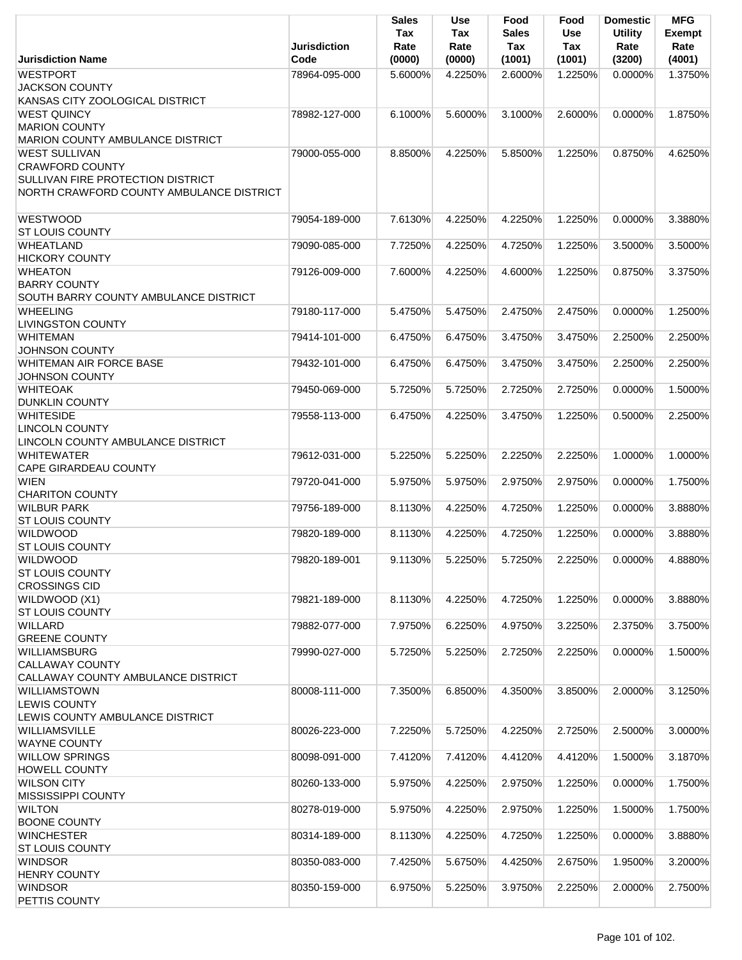|                                                | <b>Jurisdiction</b> | Sales<br>Tax<br>Rate | <b>Use</b><br>Tax<br>Rate | Food<br>Sales<br>Tax | Food<br><b>Use</b><br>Tax | <b>Domestic</b><br><b>Utility</b><br>Rate | MFG<br><b>Exempt</b><br>Rate |
|------------------------------------------------|---------------------|----------------------|---------------------------|----------------------|---------------------------|-------------------------------------------|------------------------------|
| <b>Jurisdiction Name</b>                       | Code                | (0000)               | (0000)                    | (1001)               | (1001)                    | (3200)                                    | (4001)                       |
| <b>WESTPORT</b>                                | 78964-095-000       | 5.6000%              | 4.2250%                   | 2.6000%              | 1.2250%                   | $0.0000\%$                                | 1.3750%                      |
| <b>JACKSON COUNTY</b>                          |                     |                      |                           |                      |                           |                                           |                              |
| KANSAS CITY ZOOLOGICAL DISTRICT                |                     |                      |                           |                      |                           |                                           |                              |
| <b>WEST QUINCY</b>                             | 78982-127-000       | 6.1000%              | 5.6000%                   | 3.1000%              | 2.6000%                   | 0.0000%                                   | 1.8750%                      |
| <b>MARION COUNTY</b>                           |                     |                      |                           |                      |                           |                                           |                              |
| MARION COUNTY AMBULANCE DISTRICT               |                     |                      |                           |                      |                           |                                           |                              |
| <b>WEST SULLIVAN</b>                           | 79000-055-000       | 8.8500%              | 4.2250%                   | 5.8500%              | 1.2250%                   | 0.8750%                                   | 4.6250%                      |
| <b>CRAWFORD COUNTY</b>                         |                     |                      |                           |                      |                           |                                           |                              |
| <b>SULLIVAN FIRE PROTECTION DISTRICT</b>       |                     |                      |                           |                      |                           |                                           |                              |
| NORTH CRAWFORD COUNTY AMBULANCE DISTRICT       |                     |                      |                           |                      |                           |                                           |                              |
|                                                |                     |                      |                           |                      |                           |                                           |                              |
| <b>WESTWOOD</b>                                | 79054-189-000       | 7.6130%              | 4.2250%                   | 4.2250%              | 1.2250%                   | 0.0000%                                   | 3.3880%                      |
| <b>ST LOUIS COUNTY</b>                         |                     |                      |                           |                      |                           |                                           |                              |
| WHEATLAND                                      | 79090-085-000       | 7.7250%              | 4.2250%                   | 4.7250%              | 1.2250%                   | 3.5000%                                   | 3.5000%                      |
| <b>HICKORY COUNTY</b>                          |                     |                      |                           |                      |                           |                                           |                              |
| <b>WHEATON</b>                                 | 79126-009-000       | 7.6000%              | 4.2250%                   | 4.6000%              | 1.2250%                   | 0.8750%                                   | 3.3750%                      |
| <b>BARRY COUNTY</b>                            |                     |                      |                           |                      |                           |                                           |                              |
| SOUTH BARRY COUNTY AMBULANCE DISTRICT          |                     |                      |                           |                      |                           |                                           |                              |
| <b>WHEELING</b>                                | 79180-117-000       | 5.4750%              | 5.4750%                   | 2.4750%              | 2.4750%                   | 0.0000%                                   | 1.2500%                      |
| <b>LIVINGSTON COUNTY</b>                       |                     |                      |                           |                      |                           |                                           |                              |
| <b>WHITEMAN</b>                                | 79414-101-000       | 6.4750%              | 6.4750%                   | 3.4750%              | 3.4750%                   | 2.2500%                                   | 2.2500%                      |
| <b>JOHNSON COUNTY</b>                          |                     |                      |                           |                      |                           |                                           |                              |
| <b>WHITEMAN AIR FORCE BASE</b>                 | 79432-101-000       | 6.4750%              | 6.4750%                   | 3.4750%              | 3.4750%                   | 2.2500%                                   | 2.2500%                      |
| <b>JOHNSON COUNTY</b>                          |                     |                      |                           |                      |                           |                                           |                              |
| <b>WHITEOAK</b>                                | 79450-069-000       | 5.7250%              | 5.7250%                   | 2.7250%              | 2.7250%                   | 0.0000%                                   | 1.5000%                      |
| <b>DUNKLIN COUNTY</b>                          |                     |                      |                           |                      |                           |                                           |                              |
| <b>WHITESIDE</b>                               | 79558-113-000       | 6.4750%              | 4.2250%                   | 3.4750%              | 1.2250%                   | 0.5000%                                   | 2.2500%                      |
| <b>LINCOLN COUNTY</b>                          |                     |                      |                           |                      |                           |                                           |                              |
| LINCOLN COUNTY AMBULANCE DISTRICT              |                     |                      |                           |                      |                           |                                           |                              |
| <b>WHITEWATER</b>                              | 79612-031-000       | 5.2250%              | 5.2250%                   | 2.2250%              | 2.2250%                   | 1.0000%                                   | 1.0000%                      |
| CAPE GIRARDEAU COUNTY                          |                     |                      |                           |                      |                           |                                           |                              |
| <b>WIEN</b>                                    | 79720-041-000       | 5.9750%              | 5.9750%                   | 2.9750%              | 2.9750%                   | 0.0000%                                   | 1.7500%                      |
| <b>CHARITON COUNTY</b>                         |                     |                      |                           |                      |                           |                                           |                              |
| <b>WILBUR PARK</b>                             | 79756-189-000       | 8.1130%              | 4.2250%                   | 4.7250%              | 1.2250%                   | 0.0000%                                   | 3.8880%                      |
| <b>ST LOUIS COUNTY</b>                         |                     |                      |                           |                      |                           |                                           |                              |
| <b>WILDWOOD</b>                                | 79820-189-000       | 8.1130%              | 4.2250%                   | 4.7250%              | 1.2250%                   | 0.0000%                                   | 3.8880%                      |
| <b>ST LOUIS COUNTY</b>                         |                     |                      |                           |                      |                           |                                           |                              |
| <b>WILDWOOD</b>                                | 79820-189-001       | 9.1130%              | 5.2250%                   | 5.7250%              | 2.2250%                   | 0.0000%                                   | 4.8880%                      |
| <b>ST LOUIS COUNTY</b><br><b>CROSSINGS CID</b> |                     |                      |                           |                      |                           |                                           |                              |
|                                                |                     |                      |                           |                      |                           | 0.0000%                                   |                              |
| WILDWOOD (X1)<br><b>ST LOUIS COUNTY</b>        | 79821-189-000       | 8.1130%              | 4.2250%                   | 4.7250%              | 1.2250%                   |                                           | 3.8880%                      |
| <b>WILLARD</b>                                 | 79882-077-000       | 7.9750%              | 6.2250%                   | 4.9750%              | 3.2250%                   | 2.3750%                                   | 3.7500%                      |
| <b>GREENE COUNTY</b>                           |                     |                      |                           |                      |                           |                                           |                              |
| <b>WILLIAMSBURG</b>                            | 79990-027-000       | 5.7250%              | 5.2250%                   | 2.7250%              | 2.2250%                   | 0.0000%                                   | 1.5000%                      |
| CALLAWAY COUNTY                                |                     |                      |                           |                      |                           |                                           |                              |
| CALLAWAY COUNTY AMBULANCE DISTRICT             |                     |                      |                           |                      |                           |                                           |                              |
| WILLIAMSTOWN                                   | 80008-111-000       | 7.3500%              | 6.8500%                   | 4.3500%              | 3.8500%                   | 2.0000%                                   | 3.1250%                      |
| <b>LEWIS COUNTY</b>                            |                     |                      |                           |                      |                           |                                           |                              |
| LEWIS COUNTY AMBULANCE DISTRICT                |                     |                      |                           |                      |                           |                                           |                              |
| WILLIAMSVILLE                                  | 80026-223-000       | 7.2250%              | 5.7250%                   | 4.2250%              | 2.7250%                   | 2.5000%                                   | 3.0000%                      |
| <b>WAYNE COUNTY</b>                            |                     |                      |                           |                      |                           |                                           |                              |
| <b>WILLOW SPRINGS</b>                          | 80098-091-000       | 7.4120%              | 7.4120%                   | 4.4120%              | 4.4120%                   | 1.5000%                                   | 3.1870%                      |
| <b>HOWELL COUNTY</b>                           |                     |                      |                           |                      |                           |                                           |                              |
| <b>WILSON CITY</b>                             | 80260-133-000       | 5.9750%              | 4.2250%                   | 2.9750%              | 1.2250%                   | 0.0000%                                   | 1.7500%                      |
| MISSISSIPPI COUNTY                             |                     |                      |                           |                      |                           |                                           |                              |
| <b>WILTON</b>                                  | 80278-019-000       | 5.9750%              | 4.2250%                   | 2.9750%              | 1.2250%                   | 1.5000%                                   | 1.7500%                      |
| <b>BOONE COUNTY</b>                            |                     |                      |                           |                      |                           |                                           |                              |
| <b>WINCHESTER</b>                              | 80314-189-000       | 8.1130%              | 4.2250%                   | 4.7250%              | 1.2250%                   | 0.0000%                                   | 3.8880%                      |
| <b>ST LOUIS COUNTY</b>                         |                     |                      |                           |                      |                           |                                           |                              |
| <b>WINDSOR</b>                                 | 80350-083-000       | 7.4250%              | 5.6750%                   | 4.4250%              | 2.6750%                   | 1.9500%                                   | 3.2000%                      |
| <b>HENRY COUNTY</b>                            |                     |                      |                           |                      |                           |                                           |                              |
| <b>WINDSOR</b>                                 | 80350-159-000       | 6.9750%              | 5.2250%                   | 3.9750%              | 2.2250%                   | 2.0000%                                   | 2.7500%                      |
| PETTIS COUNTY                                  |                     |                      |                           |                      |                           |                                           |                              |